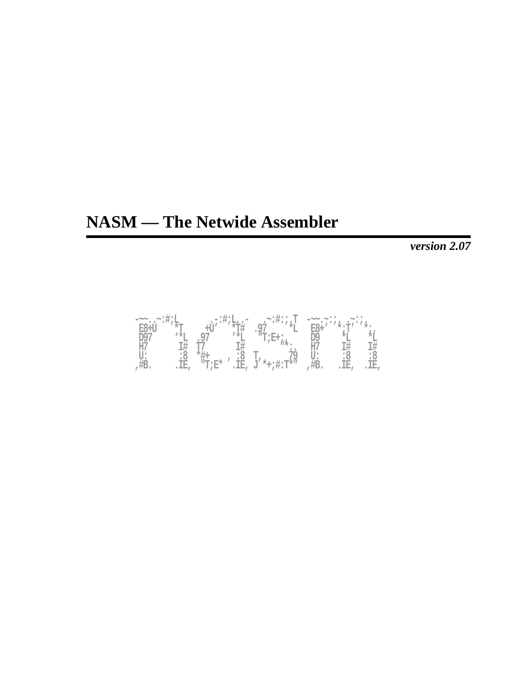# **NASM — The Netwide Assembler**

*version 2.07*

| $-\sim\sim$  | .∼:#;L      |             | $\cdot$ = : $\frac{1}{2}$ ; $\frac{1}{2}$ $\frac{1}{2}$ ; = | <u>.</u> ~:#:;.T                 | $= \sim \sim$<br>٠ |                        |     |
|--------------|-------------|-------------|-------------------------------------------------------------|----------------------------------|--------------------|------------------------|-----|
| $E8+1$       |             |             |                                                             | Q <sub>7</sub>                   |                    | $* \cdot \mathbb{T}^f$ |     |
| 197          | <b>1 *T</b> |             |                                                             | "T;E+:                           |                    |                        |     |
| <b>ALL A</b> |             |             |                                                             |                                  | ĦГ                 |                        |     |
|              | ٠ч          |             | :४                                                          |                                  |                    | : č                    | ះ ୪ |
|              | TR.         | $T^*T^*E^*$ | $\overline{\mathbb{E}}$ ,                                   | $*+;$ #: $T*$ <sup>11</sup><br>U | π⊃.                | IΕ,                    | Œ,  |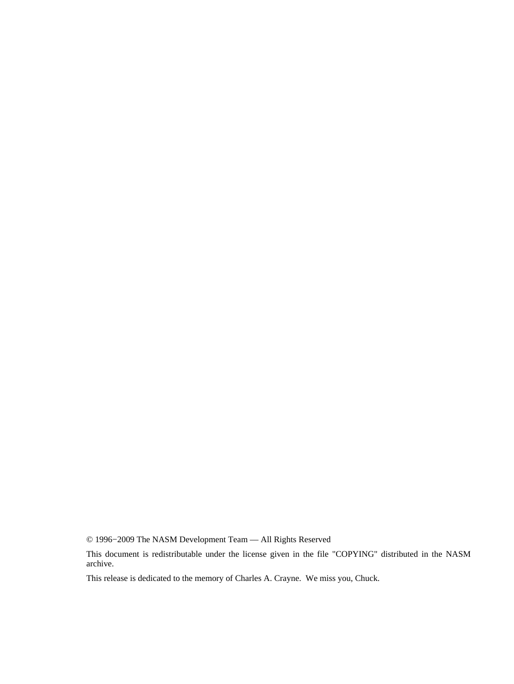© 1996−2009 The NASM Development Team — All Rights Reserved

This document is redistributable under the license given in the file "COPYING" distributed in the NASM archive.

This release is dedicated to the memory of Charles A. Crayne. We miss you, Chuck.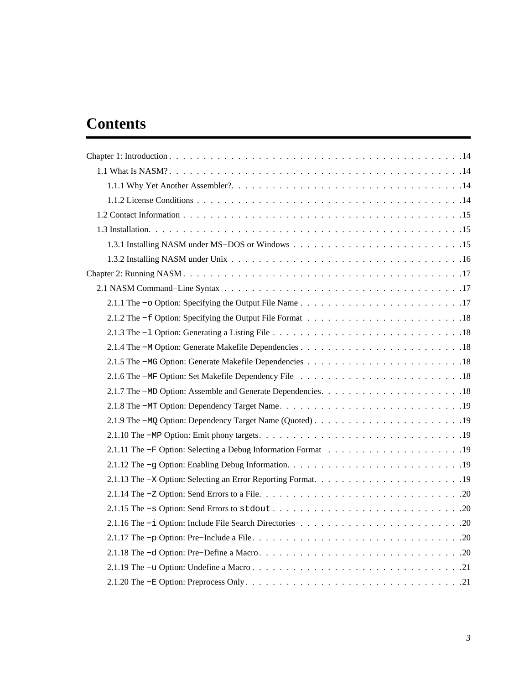# **Contents**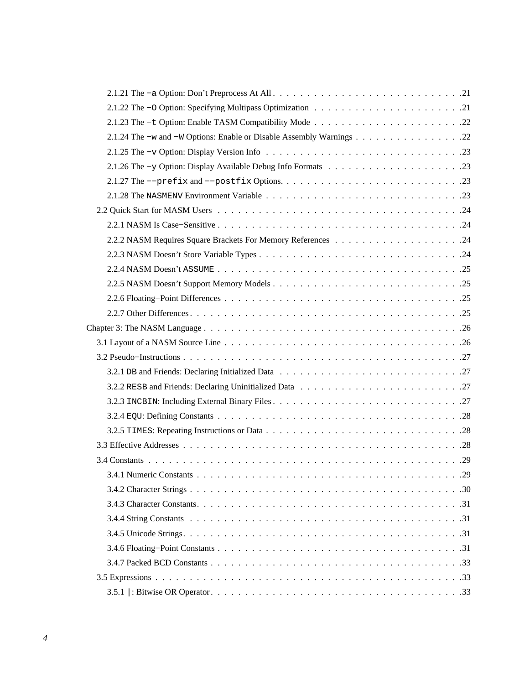| 2.1.24 The -w and -W Options: Enable or Disable Assembly Warnings 22 |
|----------------------------------------------------------------------|
|                                                                      |
|                                                                      |
|                                                                      |
|                                                                      |
|                                                                      |
|                                                                      |
|                                                                      |
|                                                                      |
|                                                                      |
|                                                                      |
|                                                                      |
|                                                                      |
|                                                                      |
|                                                                      |
|                                                                      |
|                                                                      |
|                                                                      |
|                                                                      |
|                                                                      |
|                                                                      |
|                                                                      |
|                                                                      |
|                                                                      |
|                                                                      |
|                                                                      |
|                                                                      |
|                                                                      |
|                                                                      |
|                                                                      |
|                                                                      |
|                                                                      |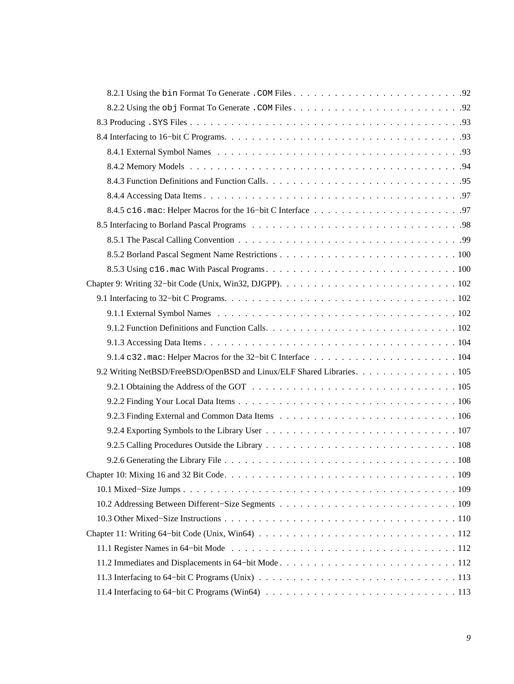| 9.2 Writing NetBSD/FreeBSD/OpenBSD and Linux/ELF Shared Libraries. 105 |
|------------------------------------------------------------------------|
|                                                                        |
|                                                                        |
|                                                                        |
|                                                                        |
|                                                                        |
|                                                                        |
|                                                                        |
|                                                                        |
|                                                                        |
|                                                                        |
|                                                                        |
|                                                                        |
|                                                                        |
|                                                                        |
|                                                                        |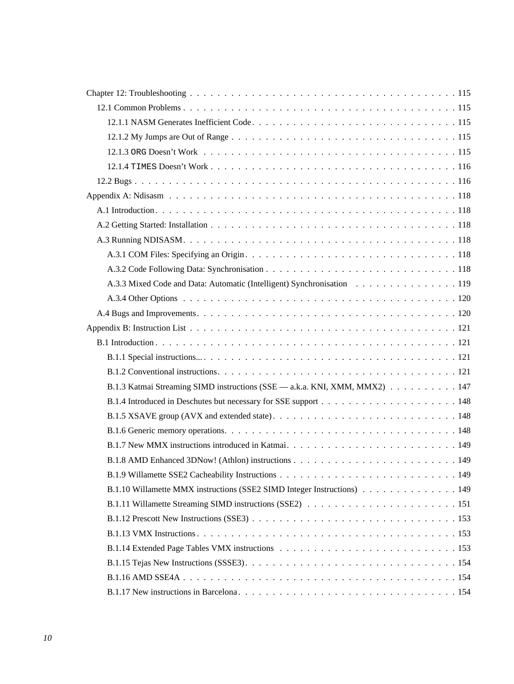| A.3.3 Mixed Code and Data: Automatic (Intelligent) Synchronisation 119     |
|----------------------------------------------------------------------------|
|                                                                            |
|                                                                            |
|                                                                            |
|                                                                            |
|                                                                            |
|                                                                            |
| B.1.3 Katmai Streaming SIMD instructions (SSE — a.k.a. KNI, XMM, MMX2) 147 |
|                                                                            |
|                                                                            |
|                                                                            |
|                                                                            |
|                                                                            |
| . 149                                                                      |
| B.1.10 Willamette MMX instructions (SSE2 SIMD Integer Instructions) 149    |
|                                                                            |
|                                                                            |
|                                                                            |
|                                                                            |
|                                                                            |
|                                                                            |
|                                                                            |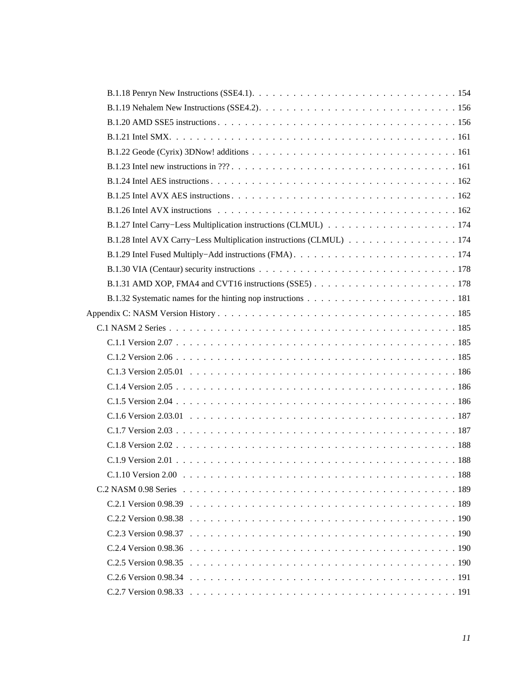| B.1.28 Intel AVX Carry–Less Multiplication instructions (CLMUL) 174 |  |
|---------------------------------------------------------------------|--|
|                                                                     |  |
|                                                                     |  |
|                                                                     |  |
|                                                                     |  |
|                                                                     |  |
|                                                                     |  |
|                                                                     |  |
|                                                                     |  |
|                                                                     |  |
|                                                                     |  |
|                                                                     |  |
|                                                                     |  |
|                                                                     |  |
|                                                                     |  |
|                                                                     |  |
| 188<br>$C.1.10$ Version $2.00$                                      |  |
|                                                                     |  |
|                                                                     |  |
|                                                                     |  |
|                                                                     |  |
|                                                                     |  |
|                                                                     |  |
|                                                                     |  |
|                                                                     |  |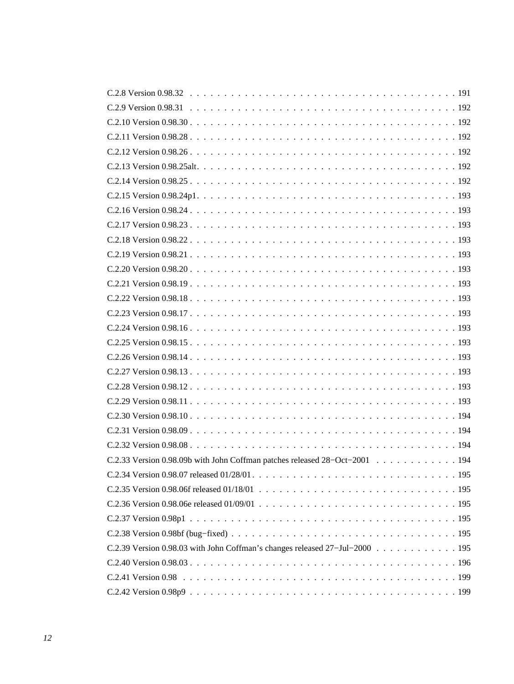| C.2.33 Version 0.98.09b with John Coffman patches released 28-Oct-2001 194  |
|-----------------------------------------------------------------------------|
| C.2.34 Version 0.98.07 released 01/28/01<br>195                             |
|                                                                             |
|                                                                             |
|                                                                             |
|                                                                             |
| C.2.39 Version 0.98.03 with John Coffman's changes released 27-Jul-2000 195 |
|                                                                             |
|                                                                             |
|                                                                             |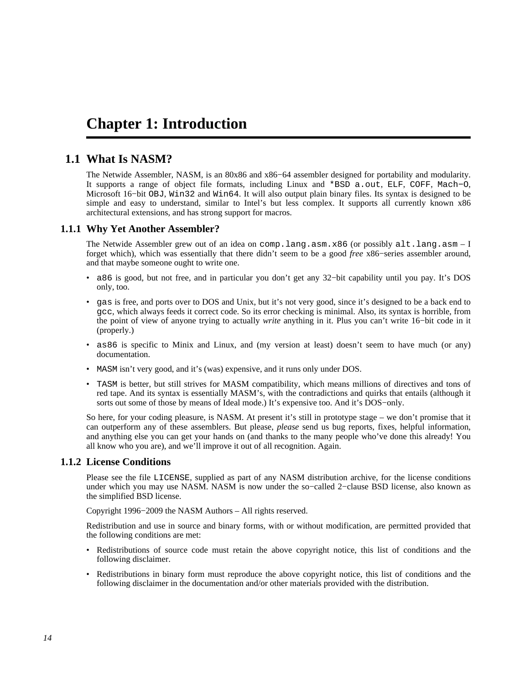# <span id="page-13-0"></span>**Chapter 1: Introduction**

# **1.1 What Is NASM?**

<span id="page-13-1"></span>The Netwide Assembler, NASM, is an 80x86 and x86−64 assembler designed for portability and modularity. It supports a range of object file formats, including Linux and \*BSD a.out, ELF, COFF, Mach−O, Microsoft 16−bit OBJ, Win32 and Win64. It will also output plain binary files. Its syntax is designed to be simple and easy to understand, similar to Intel's but less complex. It supports all currently known x86 architectural extensions, and has strong support for macros.

### **1.1.1 Why Yet Another Assembler?**

<span id="page-13-2"></span>The Netwide Assembler grew out of an idea on comp.lang.asm.x86 (or possibly alt.lang.asm – I forget which), which was essentially that there didn't seem to be a good *free* x86−series assembler around, and that maybe someone ought to write one.

- a86 is good, but not free, and in particular you don't get any 32–bit capability until you pay. It's DOS only, too.
- gas is free, and ports over to DOS and Unix, but it's not very good, since it's designed to be a back end to gcc, which always feeds it correct code. So its error checking is minimal. Also, its syntax is horrible, from the point of view of anyone trying to actually *write* anything in it. Plus you can't write 16−bit code in it (properly.)
- as86 is specific to Minix and Linux, and (my version at least) doesn't seem to have much (or any) documentation.
- MASM isn't very good, and it's (was) expensive, and it runs only under DOS.
- TASM is better, but still strives for MASM compatibility, which means millions of directives and tons of red tape. And its syntax is essentially MASM's, with the contradictions and quirks that entails (although it sorts out some of those by means of Ideal mode.) It's expensive too. And it's DOS−only.

So here, for your coding pleasure, is NASM. At present it's still in prototype stage – we don't promise that it can outperform any of these assemblers. But please, *please* send us bug reports, fixes, helpful information, and anything else you can get your hands on (and thanks to the many people who've done this already! You all know who you are), and we'll improve it out of all recognition. Again.

### **1.1.2 License Conditions**

<span id="page-13-3"></span>Please see the file LICENSE, supplied as part of any NASM distribution archive, for the license conditions under which you may use NASM. NASM is now under the so−called 2−clause BSD license, also known as the simplified BSD license.

Copyright 1996−2009 the NASM Authors – All rights reserved.

Redistribution and use in source and binary forms, with or without modification, are permitted provided that the following conditions are met:

- Redistributions of source code must retain the above copyright notice, this list of conditions and the following disclaimer.
- Redistributions in binary form must reproduce the above copyright notice, this list of conditions and the following disclaimer in the documentation and/or other materials provided with the distribution.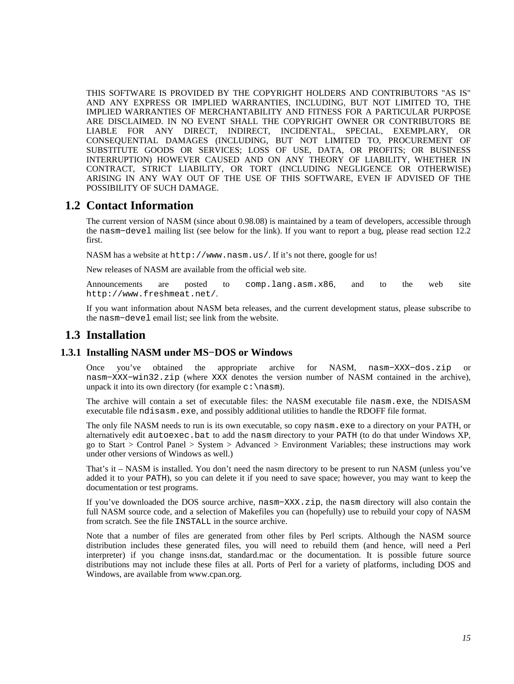THIS SOFTWARE IS PROVIDED BY THE COPYRIGHT HOLDERS AND CONTRIBUTORS "AS IS" AND ANY EXPRESS OR IMPLIED WARRANTIES, INCLUDING, BUT NOT LIMITED TO, THE IMPLIED WARRANTIES OF MERCHANTABILITY AND FITNESS FOR A PARTICULAR PURPOSE ARE DISCLAIMED. IN NO EVENT SHALL THE COPYRIGHT OWNER OR CONTRIBUTORS BE LIABLE FOR ANY DIRECT, INDIRECT, INCIDENTAL, SPECIAL, EXEMPLARY, OR CONSEQUENTIAL DAMAGES (INCLUDING, BUT NOT LIMITED TO, PROCUREMENT OF SUBSTITUTE GOODS OR SERVICES; LOSS OF USE, DATA, OR PROFITS; OR BUSINESS INTERRUPTION) HOWEVER CAUSED AND ON ANY THEORY OF LIABILITY, WHETHER IN CONTRACT, STRICT LIABILITY, OR TORT (INCLUDING NEGLIGENCE OR OTHERWISE) ARISING IN ANY WAY OUT OF THE USE OF THIS SOFTWARE, EVEN IF ADVISED OF THE POSSIBILITY OF SUCH DAMAGE.

## **1.2 Contact Information**

<span id="page-14-0"></span>The current version of NASM (since about 0.98.08) is maintained by a team of developers, accessible through the nasm−devel mailing list (see below for the link). If you want to report a bug, please read [section 12.2](#page-115-1) first.

NASM has a website at <http://www.nasm.us/>. If it's not there, google for us!

New releases of NASM are available from the official web site.

Announcements are posted to [comp.lang.asm.x86](news:comp.lang.asm.x86), and to the web site <http://www.freshmeat.net/>.

If you want information about NASM beta releases, and the current development status, please subscribe to the nasm−devel email list; see link from the website.

# <span id="page-14-1"></span>**1.3 Installation**

## **1.3.1 Installing NASM under MS−DOS or Windows**

<span id="page-14-2"></span>Once you've obtained the appropriate archive for NASM, nasm−XXX−dos.zip or nasm−XXX−win32.zip (where XXX denotes the version number of NASM contained in the archive), unpack it into its own directory (for example  $c:\n$ asm).

The archive will contain a set of executable files: the NASM executable file nasm.exe, the NDISASM executable file ndisasm.exe, and possibly additional utilities to handle the RDOFF file format.

The only file NASM needs to run is its own executable, so copy nasm.exe to a directory on your PATH, or alternatively edit autoexec.bat to add the nasm directory to your PATH (to do that under Windows XP, go to Start > Control Panel > System > Advanced > Environment Variables; these instructions may work under other versions of Windows as well.)

That's it – NASM is installed. You don't need the nasm directory to be present to run NASM (unless you've added it to your PATH), so you can delete it if you need to save space; however, you may want to keep the documentation or test programs.

If you've downloaded the DOS source archive, nasm−XXX.zip, the nasm directory will also contain the full NASM source code, and a selection of Makefiles you can (hopefully) use to rebuild your copy of NASM from scratch. See the file INSTALL in the source archive.

Note that a number of files are generated from other files by Perl scripts. Although the NASM source distribution includes these generated files, you will need to rebuild them (and hence, will need a Perl interpreter) if you change insns.dat, standard.mac or the documentation. It is possible future source distributions may not include these files at all. Ports of Perl for a variety of platforms, including DOS and Windows, are available from [www.cpan.org.](http://www.cpan.org/ports/)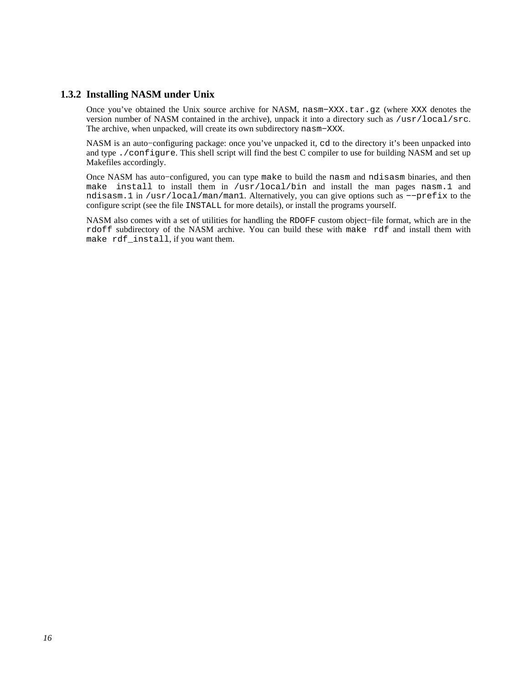## **1.3.2 Installing NASM under Unix**

<span id="page-15-0"></span>Once you've obtained the Unix source archive for NASM, nasm−XXX.tar.gz (where XXX denotes the version number of NASM contained in the archive), unpack it into a directory such as /usr/local/src. The archive, when unpacked, will create its own subdirectory nasm−XXX.

NASM is an auto−configuring package: once you've unpacked it, cd to the directory it's been unpacked into and type ./configure. This shell script will find the best C compiler to use for building NASM and set up Makefiles accordingly.

Once NASM has auto−configured, you can type make to build the nasm and ndisasm binaries, and then make install to install them in /usr/local/bin and install the man pages nasm.1 and ndisasm.1 in /usr/local/man/man1. Alternatively, you can give options such as −−prefix to the configure script (see the file INSTALL for more details), or install the programs yourself.

NASM also comes with a set of utilities for handling the RDOFF custom object−file format, which are in the rdoff subdirectory of the NASM archive. You can build these with make rdf and install them with make rdf\_install, if you want them.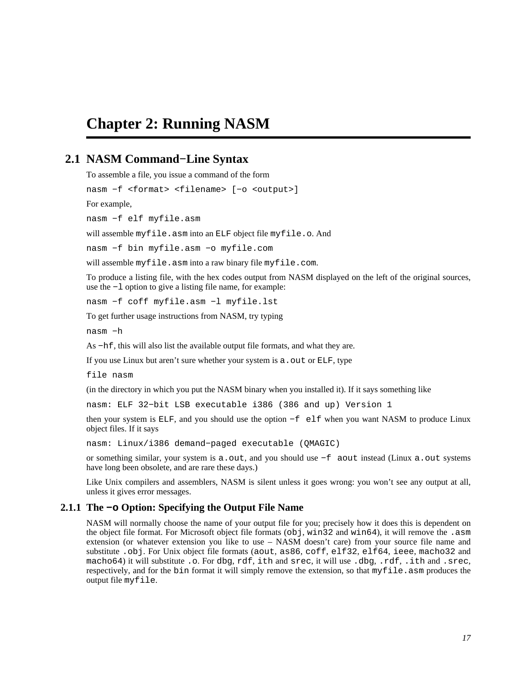# <span id="page-16-0"></span>**Chapter 2: Running NASM**

# **2.1 NASM Command−Line Syntax**

<span id="page-16-1"></span>To assemble a file, you issue a command of the form

nasm −f <format> <filename> [−o <output>]

For example,

nasm −f elf myfile.asm

will assemble myfile.asm into an ELF object file myfile.o. And

nasm −f bin myfile.asm −o myfile.com

will assemble myfile.asm into a raw binary file myfile.com.

To produce a listing file, with the hex codes output from NASM displayed on the left of the original sources, use the −l option to give a listing file name, for example:

nasm −f coff myfile.asm −l myfile.lst

To get further usage instructions from NASM, try typing

nasm −h

As −hf, this will also list the available output file formats, and what they are.

If you use Linux but aren't sure whether your system is a . out or ELF, type

file nasm

(in the directory in which you put the NASM binary when you installed it). If it says something like

nasm: ELF 32−bit LSB executable i386 (386 and up) Version 1

then your system is ELF, and you should use the option −f elf when you want NASM to produce Linux object files. If it says

nasm: Linux/i386 demand−paged executable (QMAGIC)

or something similar, your system is a.out, and you should use −f aout instead (Linux a.out systems have long been obsolete, and are rare these days.)

Like Unix compilers and assemblers, NASM is silent unless it goes wrong: you won't see any output at all, unless it gives error messages.

#### **2.1.1 The −o Option: Specifying the Output File Name**

<span id="page-16-2"></span>NASM will normally choose the name of your output file for you; precisely how it does this is dependent on the object file format. For Microsoft object file formats (obj, win32 and win64), it will remove the .asm extension (or whatever extension you like to use – NASM doesn't care) from your source file name and substitute .obj. For Unix object file formats (aout, as86, coff, elf32, elf64, ieee, macho32 and macho64) it will substitute .o. For dbg, rdf, ith and srec, it will use .dbg, .rdf, .ith and .srec, respectively, and for the bin format it will simply remove the extension, so that myfile.asm produces the output file myfile.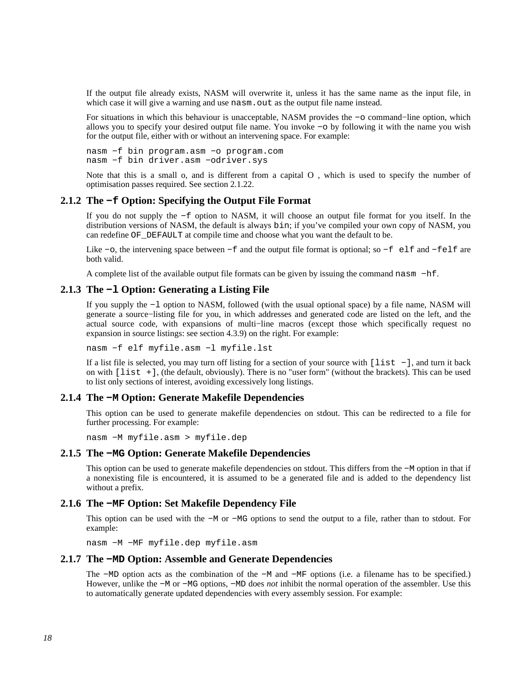If the output file already exists, NASM will overwrite it, unless it has the same name as the input file, in which case it will give a warning and use nasm. out as the output file name instead.

For situations in which this behaviour is unacceptable, NASM provides the −o command−line option, which allows you to specify your desired output file name. You invoke −o by following it with the name you wish for the output file, either with or without an intervening space. For example:

nasm −f bin program.asm −o program.com nasm −f bin driver.asm −odriver.sys

Note that this is a small o, and is different from a capital O , which is used to specify the number of optimisation passes required. See [section 2.1.22.](#page-20-3)

#### **2.1.2 The −f Option: Specifying the Output File Format**

<span id="page-17-0"></span>If you do not supply the −f option to NASM, it will choose an output file format for you itself. In the distribution versions of NASM, the default is always bin; if you've compiled your own copy of NASM, you can redefine OF\_DEFAULT at compile time and choose what you want the default to be.

Like −o, the intervening space between −f and the output file format is optional; so −f elf and −felf are both valid.

A complete list of the available output file formats can be given by issuing the command nasm −hf.

## **2.1.3 The −l Option: Generating a Listing File**

<span id="page-17-1"></span>If you supply the −l option to NASM, followed (with the usual optional space) by a file name, NASM will generate a source−listing file for you, in which addresses and generated code are listed on the left, and the actual source code, with expansions of multi−line macros (except those which specifically request no expansion in source listings: see [section 4.3.9\)](#page-46-1) on the right. For example:

nasm −f elf myfile.asm −l myfile.lst

If a list file is selected, you may turn off listing for a section of your source with [list −], and turn it back on with [list +], (the default, obviously). There is no "user form" (without the brackets). This can be used to list only sections of interest, avoiding excessively long listings.

#### **2.1.4 The −M Option: Generate Makefile Dependencies**

<span id="page-17-2"></span>This option can be used to generate makefile dependencies on stdout. This can be redirected to a file for further processing. For example:

nasm −M myfile.asm > myfile.dep

#### **2.1.5 The −MG Option: Generate Makefile Dependencies**

<span id="page-17-3"></span>This option can be used to generate makefile dependencies on stdout. This differs from the −M option in that if a nonexisting file is encountered, it is assumed to be a generated file and is added to the dependency list without a prefix.

#### **2.1.6 The −MF Option: Set Makefile Dependency File**

<span id="page-17-4"></span>This option can be used with the −M or −MG options to send the output to a file, rather than to stdout. For example:

nasm −M −MF myfile.dep myfile.asm

#### **2.1.7 The −MD Option: Assemble and Generate Dependencies**

<span id="page-17-5"></span>The −MD option acts as the combination of the −M and −MF options (i.e. a filename has to be specified.) However, unlike the −M or −MG options, −MD does *not* inhibit the normal operation of the assembler. Use this to automatically generate updated dependencies with every assembly session. For example: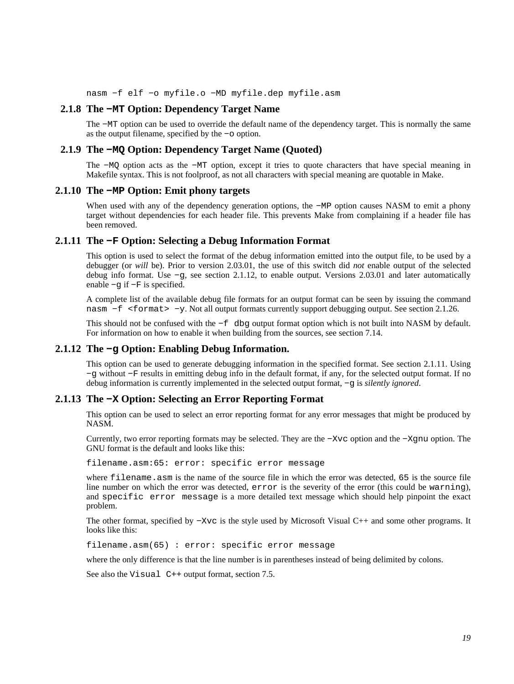nasm −f elf −o myfile.o −MD myfile.dep myfile.asm

#### **2.1.8 The −MT Option: Dependency Target Name**

<span id="page-18-0"></span>The −MT option can be used to override the default name of the dependency target. This is normally the same as the output filename, specified by the −o option.

#### **2.1.9 The −MQ Option: Dependency Target Name (Quoted)**

<span id="page-18-1"></span>The −MQ option acts as the −MT option, except it tries to quote characters that have special meaning in Makefile syntax. This is not foolproof, as not all characters with special meaning are quotable in Make.

## **2.1.10 The −MP Option: Emit phony targets**

<span id="page-18-2"></span>When used with any of the dependency generation options, the −MP option causes NASM to emit a phony target without dependencies for each header file. This prevents Make from complaining if a header file has been removed.

### **2.1.11 The −F Option: Selecting a Debug Information Format**

<span id="page-18-3"></span>This option is used to select the format of the debug information emitted into the output file, to be used by a debugger (or *will* be). Prior to version 2.03.01, the use of this switch did *not* enable output of the selected debug info format. Use −g, see [section 2.1.12,](#page-18-4) to enable output. Versions 2.03.01 and later automatically enable −g if −F is specified.

A complete list of the available debug file formats for an output format can be seen by issuing the command nasm −f <format> −y. Not all output formats currently support debugging output. See [section 2.1.26.](#page-22-1)

This should not be confused with the −f dbg output format option which is not built into NASM by default. For information on how to enable it when building from the sources, see [section 7.14.](#page-88-0)

#### **2.1.12 The −g Option: Enabling Debug Information.**

<span id="page-18-4"></span>This option can be used to generate debugging information in the specified format. See [section 2.1.11](#page-18-3). Using −g without −F results in emitting debug info in the default format, if any, for the selected output format. If no debug information is currently implemented in the selected output format, −g is *silently ignored*.

### **2.1.13 The −X Option: Selecting an Error Reporting Format**

<span id="page-18-5"></span>This option can be used to select an error reporting format for any error messages that might be produced by NASM.

Currently, two error reporting formats may be selected. They are the −Xvc option and the −Xgnu option. The GNU format is the default and looks like this:

filename.asm:65: error: specific error message

where filename.asm is the name of the source file in which the error was detected, 65 is the source file line number on which the error was detected, error is the severity of the error (this could be warning), and specific error message is a more detailed text message which should help pinpoint the exact problem.

The other format, specified by −Xvc is the style used by Microsoft Visual C++ and some other programs. It looks like this:

filename.asm(65) : error: specific error message

where the only difference is that the line number is in parentheses instead of being delimited by colons.

See also the Visual C<sup>++</sup> output format, [section 7.5.](#page-77-0)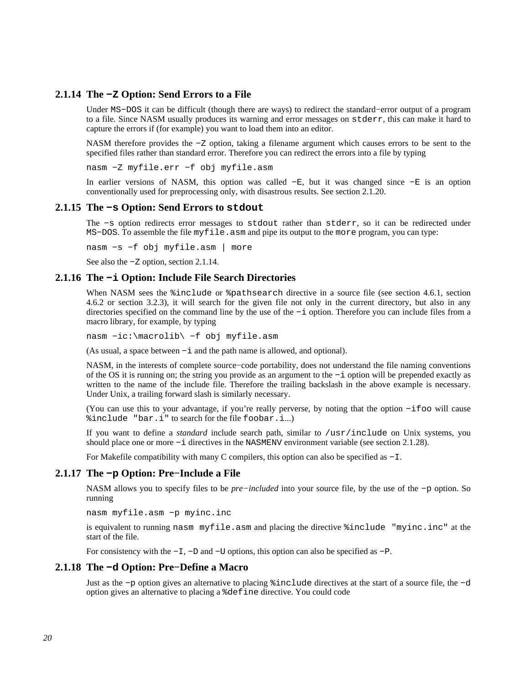## **2.1.14 The −Z Option: Send Errors to a File**

<span id="page-19-0"></span>Under MS−DOS it can be difficult (though there are ways) to redirect the standard−error output of a program to a file. Since NASM usually produces its warning and error messages on stderr, this can make it hard to capture the errors if (for example) you want to load them into an editor.

NASM therefore provides the −Z option, taking a filename argument which causes errors to be sent to the specified files rather than standard error. Therefore you can redirect the errors into a file by typing

nasm −Z myfile.err −f obj myfile.asm

In earlier versions of NASM, this option was called −E, but it was changed since −E is an option conventionally used for preprocessing only, with disastrous results. See [section 2.1.20.](#page-20-1)

#### **2.1.15 The −s Option: Send Errors to stdout**

<span id="page-19-1"></span>The −s option redirects error messages to stdout rather than stderr, so it can be redirected under MS−DOS. To assemble the file myfile.asm and pipe its output to the more program, you can type:

nasm −s −f obj myfile.asm | more

See also the −Z option, [section 2.1.14.](#page-19-0)

#### **2.1.16 The −i Option: Include File Search Directories**

<span id="page-19-2"></span>When NASM sees the  $\frac{2}{3}$  include or  $\frac{2}{3}$  pathsearch directive in a source file (see [section 4.6.1](#page-51-1), [section](#page-52-0) [4.6.2](#page-52-0) or [section 3.2.3\)](#page-26-3), it will search for the given file not only in the current directory, but also in any directories specified on the command line by the use of the −i option. Therefore you can include files from a macro library, for example, by typing

nasm −ic:\macrolib\ −f obj myfile.asm

(As usual, a space between −i and the path name is allowed, and optional).

NASM, in the interests of complete source−code portability, does not understand the file naming conventions of the OS it is running on; the string you provide as an argument to the −i option will be prepended exactly as written to the name of the include file. Therefore the trailing backslash in the above example is necessary. Under Unix, a trailing forward slash is similarly necessary.

(You can use this to your advantage, if you're really perverse, by noting that the option −ifoo will cause %include "bar.i" to search for the file foobar.i...)

If you want to define a *standard* include search path, similar to /usr/include on Unix systems, you should place one or more −i directives in the NASMENV environment variable (see [section 2.1.28\)](#page-22-3).

For Makefile compatibility with many C compilers, this option can also be specified as −I.

#### **2.1.17 The −p Option: Pre−Include a File**

<span id="page-19-3"></span>NASM allows you to specify files to be *pre−included* into your source file, by the use of the −p option. So running

nasm myfile.asm −p myinc.inc

is equivalent to running nasm myfile.asm and placing the directive %include "myinc.inc" at the start of the file.

For consistency with the −I, −D and −U options, this option can also be specified as −P.

#### **2.1.18 The −d Option: Pre−Define a Macro**

<span id="page-19-4"></span>Just as the −p option gives an alternative to placing %include directives at the start of a source file, the −d option gives an alternative to placing a %define directive. You could code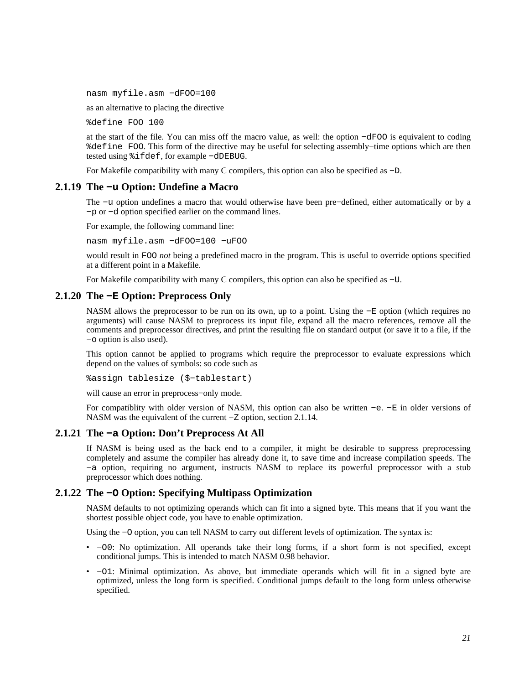nasm myfile.asm −dFOO=100

as an alternative to placing the directive

%define FOO 100

at the start of the file. You can miss off the macro value, as well: the option −dFOO is equivalent to coding %define FOO. This form of the directive may be useful for selecting assembly−time options which are then tested using %ifdef, for example −dDEBUG.

For Makefile compatibility with many C compilers, this option can also be specified as −D.

#### **2.1.19 The −u Option: Undefine a Macro**

<span id="page-20-0"></span>The −u option undefines a macro that would otherwise have been pre−defined, either automatically or by a −p or −d option specified earlier on the command lines.

For example, the following command line:

nasm myfile.asm −dFOO=100 −uFOO

would result in FOO *not* being a predefined macro in the program. This is useful to override options specified at a different point in a Makefile.

For Makefile compatibility with many C compilers, this option can also be specified as −U.

#### **2.1.20 The −E Option: Preprocess Only**

<span id="page-20-1"></span>NASM allows the preprocessor to be run on its own, up to a point. Using the −E option (which requires no arguments) will cause NASM to preprocess its input file, expand all the macro references, remove all the comments and preprocessor directives, and print the resulting file on standard output (or save it to a file, if the −o option is also used).

This option cannot be applied to programs which require the preprocessor to evaluate expressions which depend on the values of symbols: so code such as

%assign tablesize (\$−tablestart)

will cause an error in preprocess−only mode.

For compatiblity with older version of NASM, this option can also be written −e. −E in older versions of NASM was the equivalent of the current −Z option, [section 2.1.14.](#page-19-0)

#### **2.1.21 The −a Option: Don't Preprocess At All**

<span id="page-20-2"></span>If NASM is being used as the back end to a compiler, it might be desirable to suppress preprocessing completely and assume the compiler has already done it, to save time and increase compilation speeds. The −a option, requiring no argument, instructs NASM to replace its powerful preprocessor with a stub preprocessor which does nothing.

#### **2.1.22 The −O Option: Specifying Multipass Optimization**

<span id="page-20-3"></span>NASM defaults to not optimizing operands which can fit into a signed byte. This means that if you want the shortest possible object code, you have to enable optimization.

Using the −O option, you can tell NASM to carry out different levels of optimization. The syntax is:

- −O0: No optimization. All operands take their long forms, if a short form is not specified, except conditional jumps. This is intended to match NASM 0.98 behavior.
- −O1: Minimal optimization. As above, but immediate operands which will fit in a signed byte are optimized, unless the long form is specified. Conditional jumps default to the long form unless otherwise specified.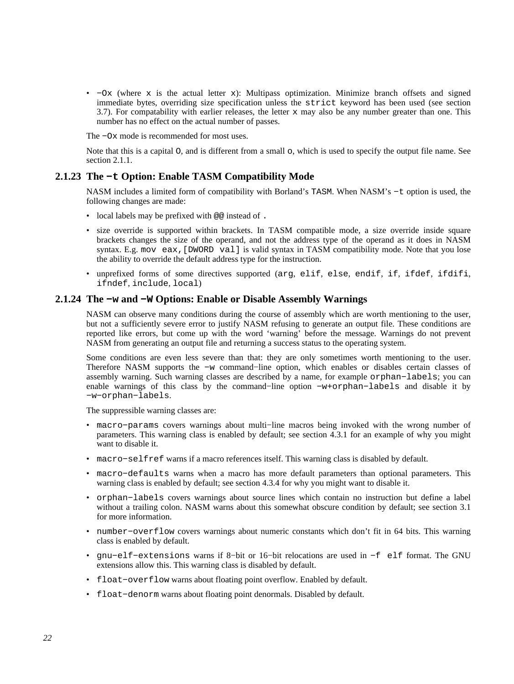• −Ox (where x is the actual letter x): Multipass optimization. Minimize branch offsets and signed immediate bytes, overriding size specification unless the strict keyword has been used (see [section](#page-33-2) [3.7\)](#page-33-2). For compatability with earlier releases, the letter  $x$  may also be any number greater than one. This number has no effect on the actual number of passes.

The −Ox mode is recommended for most uses.

Note that this is a capital O, and is different from a small o, which is used to specify the output file name. See [section 2.1.1.](#page-16-2)

### **2.1.23 The −t Option: Enable TASM Compatibility Mode**

<span id="page-21-0"></span>NASM includes a limited form of compatibility with Borland's TASM. When NASM's −t option is used, the following changes are made:

- local labels may be prefixed with @@ instead of .
- size override is supported within brackets. In TASM compatible mode, a size override inside square brackets changes the size of the operand, and not the address type of the operand as it does in NASM syntax. E.g. mov eax,[DWORD val] is valid syntax in TASM compatibility mode. Note that you lose the ability to override the default address type for the instruction.
- unprefixed forms of some directives supported (arg, elif, else, endif, if, ifdef, ifdifi, ifndef, include, local)

#### **2.1.24 The −w and −W Options: Enable or Disable Assembly Warnings**

<span id="page-21-1"></span>NASM can observe many conditions during the course of assembly which are worth mentioning to the user, but not a sufficiently severe error to justify NASM refusing to generate an output file. These conditions are reported like errors, but come up with the word 'warning' before the message. Warnings do not prevent NASM from generating an output file and returning a success status to the operating system.

Some conditions are even less severe than that: they are only sometimes worth mentioning to the user. Therefore NASM supports the −w command−line option, which enables or disables certain classes of assembly warning. Such warning classes are described by a name, for example orphan−labels; you can enable warnings of this class by the command−line option −w+orphan−labels and disable it by −w−orphan−labels.

The suppressible warning classes are:

- macro−params covers warnings about multi−line macros being invoked with the wrong number of parameters. This warning class is enabled by default; see [section 4.3.1](#page-42-0) for an example of why you might want to disable it.
- macro−selfref warns if a macro references itself. This warning class is disabled by default.
- macro−defaults warns when a macro has more default parameters than optional parameters. This warning class is enabled by default; see [section 4.3.4](#page-43-1) for why you might want to disable it.
- orphan−labels covers warnings about source lines which contain no instruction but define a label without a trailing colon. NASM warns about this somewhat obscure condition by default; see [section 3.1](#page-25-1) for more information.
- number−overflow covers warnings about numeric constants which don't fit in 64 bits. This warning class is enabled by default.
- gnu−elf−extensions warns if 8−bit or 16−bit relocations are used in −f elf format. The GNU extensions allow this. This warning class is disabled by default.
- float−overflow warns about floating point overflow. Enabled by default.
- float−denorm warns about floating point denormals. Disabled by default.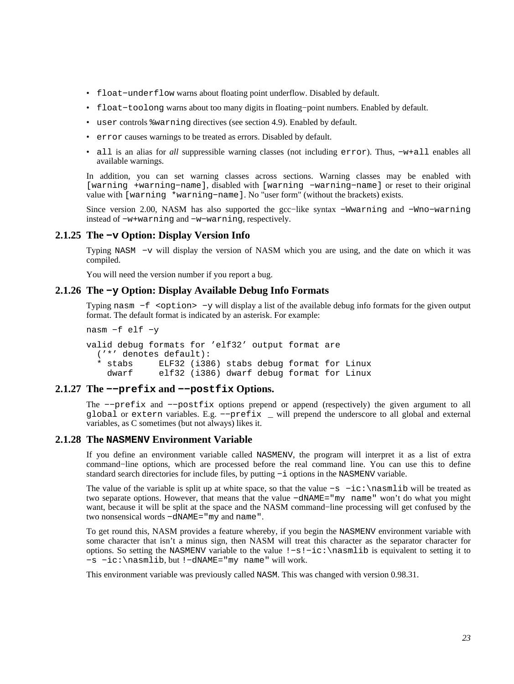- float−underflow warns about floating point underflow. Disabled by default.
- float−toolong warns about too many digits in floating−point numbers. Enabled by default.
- user controls %warning directives (see [section 4.9\)](#page-57-0). Enabled by default.
- error causes warnings to be treated as errors. Disabled by default.
- all is an alias for *all* suppressible warning classes (not including error). Thus, −w+all enables all available warnings.

In addition, you can set warning classes across sections. Warning classes may be enabled with [warning +warning−name], disabled with [warning −warning−name] or reset to their original value with [warning \*warning−name]. No "user form" (without the brackets) exists.

Since version 2.00, NASM has also supported the gcc−like syntax −Wwarning and −Wno−warning instead of −w+warning and −w−warning, respectively.

### **2.1.25 The −v Option: Display Version Info**

<span id="page-22-0"></span>Typing NASM −v will display the version of NASM which you are using, and the date on which it was compiled.

You will need the version number if you report a bug.

## **2.1.26 The −y Option: Display Available Debug Info Formats**

<span id="page-22-1"></span>Typing nasm −f <option> −y will display a list of the available debug info formats for the given output format. The default format is indicated by an asterisk. For example:

```
nasm −f elf −y
```
valid debug formats for 'elf32' output format are ('\*' denotes default): \* stabs ELF32 (i386) stabs debug format for Linux dwarf elf32 (i386) dwarf debug format for Linux

## **2.1.27 The −−prefix and −−postfix Options.**

<span id="page-22-2"></span>The −−prefix and −−postfix options prepend or append (respectively) the given argument to all global or extern variables. E.g. −−prefix \_ will prepend the underscore to all global and external variables, as C sometimes (but not always) likes it.

#### **2.1.28 The NASMENV Environment Variable**

<span id="page-22-3"></span>If you define an environment variable called NASMENV, the program will interpret it as a list of extra command−line options, which are processed before the real command line. You can use this to define standard search directories for include files, by putting −i options in the NASMENV variable.

The value of the variable is split up at white space, so that the value -s -ic:\nasmlib will be treated as two separate options. However, that means that the value −dNAME="my name" won't do what you might want, because it will be split at the space and the NASM command−line processing will get confused by the two nonsensical words −dNAME="my and name".

To get round this, NASM provides a feature whereby, if you begin the NASMENV environment variable with some character that isn't a minus sign, then NASM will treat this character as the separator character for options. So setting the NASMENV variable to the value !−s!−ic:\nasmlib is equivalent to setting it to −s −ic:\nasmlib, but !−dNAME="my name" will work.

This environment variable was previously called NASM. This was changed with version 0.98.31.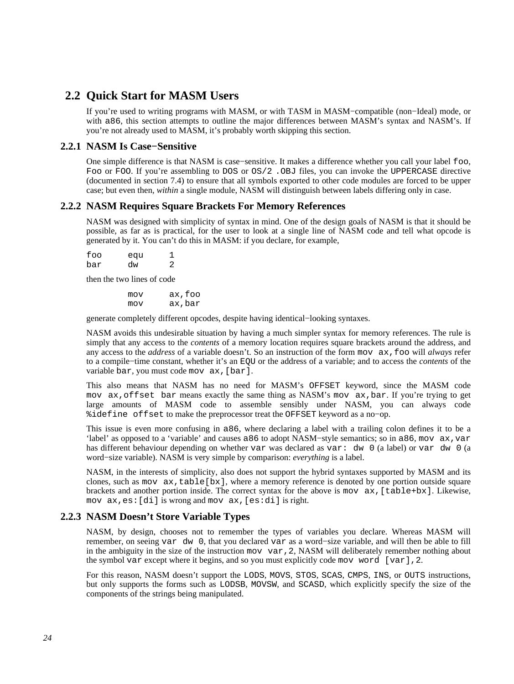# **2.2 Quick Start for MASM Users**

<span id="page-23-0"></span>If you're used to writing programs with MASM, or with TASM in MASM−compatible (non−Ideal) mode, or with a86, this section attempts to outline the major differences between MASM's syntax and NASM's. If you're not already used to MASM, it's probably worth skipping this section.

## **2.2.1 NASM Is Case−Sensitive**

<span id="page-23-1"></span>One simple difference is that NASM is case−sensitive. It makes a difference whether you call your label foo, Foo or FOO. If you're assembling to DOS or  $OS/2$ . OBJ files, you can invoke the UPPERCASE directive (documented in [section 7.4\)](#page-73-0) to ensure that all symbols exported to other code modules are forced to be upper case; but even then, *within* a single module, NASM will distinguish between labels differing only in case.

## **2.2.2 NASM Requires Square Brackets For Memory References**

<span id="page-23-2"></span>NASM was designed with simplicity of syntax in mind. One of the design goals of NASM is that it should be possible, as far as is practical, for the user to look at a single line of NASM code and tell what opcode is generated by it. You can't do this in MASM: if you declare, for example,

| foo | equ |   |
|-----|-----|---|
| bar | dw  | 2 |

then the two lines of code

 mov ax,foo mov ax,bar

generate completely different opcodes, despite having identical−looking syntaxes.

NASM avoids this undesirable situation by having a much simpler syntax for memory references. The rule is simply that any access to the *contents* of a memory location requires square brackets around the address, and any access to the *address* of a variable doesn't. So an instruction of the form mov ax,foo will *always* refer to a compile−time constant, whether it's an EQU or the address of a variable; and to access the *contents* of the variable bar, you must code mov ax, [bar].

This also means that NASM has no need for MASM's OFFSET keyword, since the MASM code mov ax,offset bar means exactly the same thing as NASM's mov ax,bar. If you're trying to get large amounts of MASM code to assemble sensibly under NASM, you can always code %idefine offset to make the preprocessor treat the OFFSET keyword as a no−op.

This issue is even more confusing in a86, where declaring a label with a trailing colon defines it to be a 'label' as opposed to a 'variable' and causes a86 to adopt NASM−style semantics; so in a86, mov ax,var has different behaviour depending on whether var was declared as var: dw 0 (a label) or var dw 0 (a word−size variable). NASM is very simple by comparison: *everything* is a label.

NASM, in the interests of simplicity, also does not support the hybrid syntaxes supported by MASM and its clones, such as mov  $ax,table[bx]$ , where a memory reference is denoted by one portion outside square brackets and another portion inside. The correct syntax for the above is mov ax,[table+bx]. Likewise, mov ax,es:[di] is wrong and mov ax,[es:di] is right.

## **2.2.3 NASM Doesn't Store Variable Types**

<span id="page-23-3"></span>NASM, by design, chooses not to remember the types of variables you declare. Whereas MASM will remember, on seeing var dw 0, that you declared var as a word−size variable, and will then be able to fill in the ambiguity in the size of the instruction mov var,2, NASM will deliberately remember nothing about the symbol var except where it begins, and so you must explicitly code mov word [var],2.

For this reason, NASM doesn't support the LODS, MOVS, STOS, SCAS, CMPS, INS, or OUTS instructions, but only supports the forms such as LODSB, MOVSW, and SCASD, which explicitly specify the size of the components of the strings being manipulated.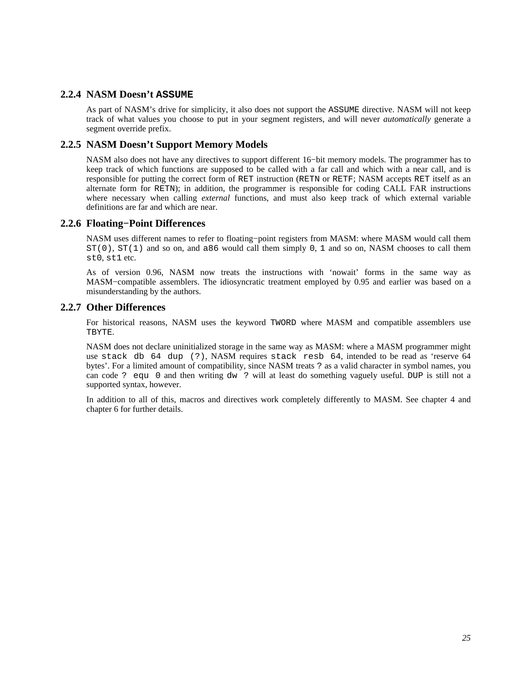## **2.2.4 NASM Doesn't ASSUME**

<span id="page-24-0"></span>As part of NASM's drive for simplicity, it also does not support the ASSUME directive. NASM will not keep track of what values you choose to put in your segment registers, and will never *automatically* generate a segment override prefix.

## **2.2.5 NASM Doesn't Support Memory Models**

<span id="page-24-1"></span>NASM also does not have any directives to support different 16−bit memory models. The programmer has to keep track of which functions are supposed to be called with a far call and which with a near call, and is responsible for putting the correct form of RET instruction (RETN or RETF; NASM accepts RET itself as an alternate form for RETN); in addition, the programmer is responsible for coding CALL FAR instructions where necessary when calling *external* functions, and must also keep track of which external variable definitions are far and which are near.

## **2.2.6 Floating−Point Differences**

<span id="page-24-2"></span>NASM uses different names to refer to floating−point registers from MASM: where MASM would call them  $ST(0)$ ,  $ST(1)$  and so on, and a86 would call them simply 0, 1 and so on, NASM chooses to call them st0, st1 etc.

As of version 0.96, NASM now treats the instructions with 'nowait' forms in the same way as MASM–compatible assemblers. The idiosyncratic treatment employed by 0.95 and earlier was based on a misunderstanding by the authors.

## **2.2.7 Other Differences**

<span id="page-24-3"></span>For historical reasons, NASM uses the keyword TWORD where MASM and compatible assemblers use TBYTE.

NASM does not declare uninitialized storage in the same way as MASM: where a MASM programmer might use stack db 64 dup (?), NASM requires stack resb 64, intended to be read as 'reserve 64 bytes'. For a limited amount of compatibility, since NASM treats ? as a valid character in symbol names, you can code ? equ 0 and then writing dw ? will at least do something vaguely useful. DUP is still not a supported syntax, however.

In addition to all of this, macros and directives work completely differently to MASM. See [chapter 4](#page-36-0) and [chapter 6](#page-65-0) for further details.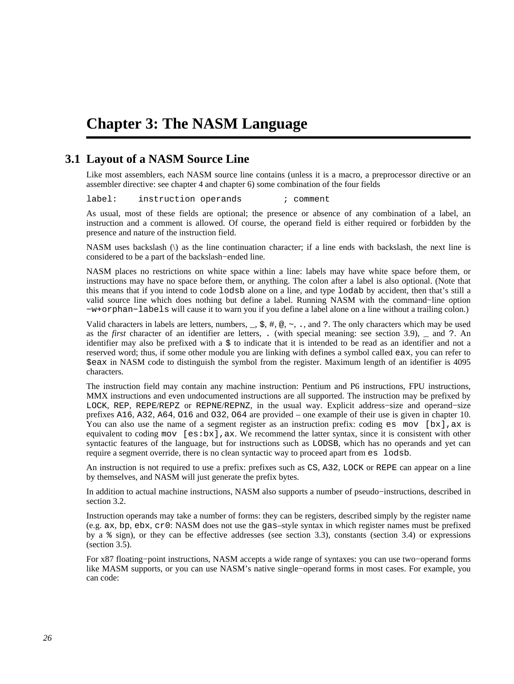# <span id="page-25-0"></span>**Chapter 3: The NASM Language**

# **3.1 Layout of a NASM Source Line**

<span id="page-25-1"></span>Like most assemblers, each NASM source line contains (unless it is a macro, a preprocessor directive or an assembler directive: see [chapter 4](#page-36-0) and [chapter 6\)](#page-65-0) some combination of the four fields

label: instruction operands ; comment

As usual, most of these fields are optional; the presence or absence of any combination of a label, an instruction and a comment is allowed. Of course, the operand field is either required or forbidden by the presence and nature of the instruction field.

NASM uses backslash (\) as the line continuation character; if a line ends with backslash, the next line is considered to be a part of the backslash−ended line.

NASM places no restrictions on white space within a line: labels may have white space before them, or instructions may have no space before them, or anything. The colon after a label is also optional. (Note that this means that if you intend to code lodsb alone on a line, and type lodab by accident, then that's still a valid source line which does nothing but define a label. Running NASM with the command−line option −w+orphan−labels will cause it to warn you if you define a label alone on a line without a trailing colon.)

Valid characters in labels are letters, numbers,  $\overline{z}$ ,  $\overline{z}$ ,  $\overline{z}$ ,  $\overline{z}$ ,  $\overline{z}$ ,  $\overline{z}$ ,  $\overline{z}$ ,  $\overline{z}$ ,  $\overline{z}$ ,  $\overline{z}$ ,  $\overline{z}$ ,  $\overline{z}$ ,  $\overline{z}$ ,  $\overline{z}$ ,  $\overline{z}$ ,  $\overline{z}$ ,  $\overline{z}$ ,  $\$ as the *first* character of an identifier are letters, . (with special meaning: see [section 3.9\)](#page-34-1), \_ and ?. An identifier may also be prefixed with a \$ to indicate that it is intended to be read as an identifier and not a reserved word; thus, if some other module you are linking with defines a symbol called eax, you can refer to \$eax in NASM code to distinguish the symbol from the register. Maximum length of an identifier is 4095 characters.

The instruction field may contain any machine instruction: Pentium and P6 instructions, FPU instructions, MMX instructions and even undocumented instructions are all supported. The instruction may be prefixed by LOCK, REP, REPE/REPZ or REPNE/REPNZ, in the usual way. Explicit address−size and operand−size prefixes A16, A32, A64, O16 and O32, O64 are provided – one example of their use is given in [chapter 10.](#page-108-0) You can also use the name of a segment register as an instruction prefix: coding es mov  $[bx]$ , ax is equivalent to coding mov  $[es:bx]$ , ax. We recommend the latter syntax, since it is consistent with other syntactic features of the language, but for instructions such as LODSB, which has no operands and yet can require a segment override, there is no clean syntactic way to proceed apart from es lodsb.

An instruction is not required to use a prefix: prefixes such as CS, A32, LOCK or REPE can appear on a line by themselves, and NASM will just generate the prefix bytes.

In addition to actual machine instructions, NASM also supports a number of pseudo−instructions, described in [section 3.2.](#page-26-0)

Instruction operands may take a number of forms: they can be registers, described simply by the register name (e.g. ax, bp, ebx, cr0: NASM does not use the gas–style syntax in which register names must be prefixed by a % sign), or they can be effective addresses (see [section 3.3\)](#page-27-2), constants [\(section 3.4\)](#page-28-0) or expressions [\(section 3.5\)](#page-32-1).

For x87 floating−point instructions, NASM accepts a wide range of syntaxes: you can use two−operand forms like MASM supports, or you can use NASM's native single−operand forms in most cases. For example, you can code: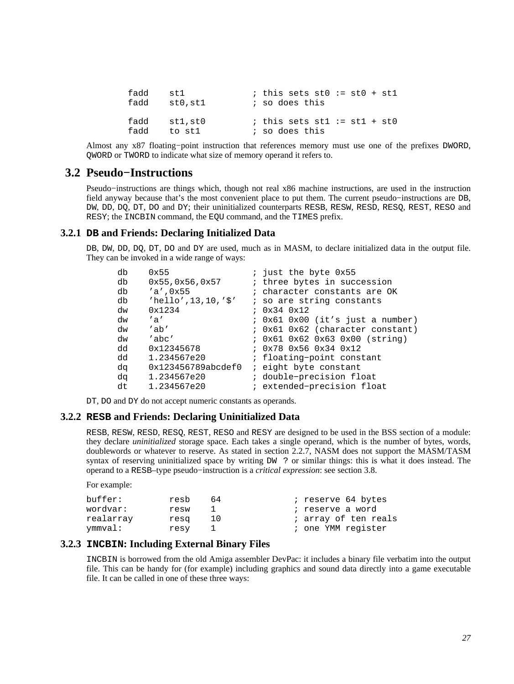| fadd | st 1    | ; this sets $st0 := st0 + st1$ |
|------|---------|--------------------------------|
| fadd | stO,stl | ; so does this                 |
| fadd | stl,stO | ; this sets stl := $st1 + st0$ |
| fadd | to stl  | ; so does this                 |

Almost any x87 floating−point instruction that references memory must use one of the prefixes DWORD, QWORD or TWORD to indicate what size of memory operand it refers to.

## **3.2 Pseudo−Instructions**

<span id="page-26-0"></span>Pseudo−instructions are things which, though not real x86 machine instructions, are used in the instruction field anyway because that's the most convenient place to put them. The current pseudo−instructions are DB, DW, DD, DQ, DT, DO and DY; their uninitialized counterparts RESB, RESW, RESD, RESQ, REST, RESO and RESY; the INCBIN command, the EQU command, and the TIMES prefix.

## **3.2.1 DB and Friends: Declaring Initialized Data**

<span id="page-26-1"></span>DB, DW, DD, DO, DT, DO and DY are used, much as in MASM, to declare initialized data in the output file. They can be invoked in a wide range of ways:

| ; just the byte 0x55                               |
|----------------------------------------------------|
| ; three bytes in succession                        |
| ; character constants are OK                       |
| ; so are string constants                          |
| $0x34$ $0x12$                                      |
| ; 0x61 0x00 (it's just a number)                   |
| ; 0x61 0x62 (character constant)                   |
| ; 0x61 0x62 0x63 0x00 (string)                     |
| $: 0x78$ $0x56$ $0x34$ $0x12$                      |
| ; floating-point constant                          |
| 0x123456789abcdef0<br><i>i</i> eight byte constant |
| ; double-precision float                           |
| ; extended-precision float                         |
|                                                    |

DT, DO and DY do not accept numeric constants as operands.

#### **3.2.2 RESB and Friends: Declaring Uninitialized Data**

<span id="page-26-2"></span>RESB, RESW, RESD, RESQ, REST, RESO and RESY are designed to be used in the BSS section of a module: they declare *uninitialized* storage space. Each takes a single operand, which is the number of bytes, words, doublewords or whatever to reserve. As stated in [section 2.2.7,](#page-24-3) NASM does not support the MASM/TASM syntax of reserving uninitialized space by writing  $DW$  ? or similar things: this is what it does instead. The operand to a RESB–type pseudo−instruction is a *critical expression*: see [section 3.8](#page-34-0).

```
For example:
```

| buffer:   | resb | 64 | ; reserve 64 bytes   |
|-----------|------|----|----------------------|
| wordvar:  | resw |    | ; reserve a word     |
| realarray | resq | 10 | ; array of ten reals |
| ymmval:   | resy |    | ; one YMM register   |

## **3.2.3 INCBIN: Including External Binary Files**

<span id="page-26-3"></span>INCBIN is borrowed from the old Amiga assembler DevPac: it includes a binary file verbatim into the output file. This can be handy for (for example) including graphics and sound data directly into a game executable file. It can be called in one of these three ways: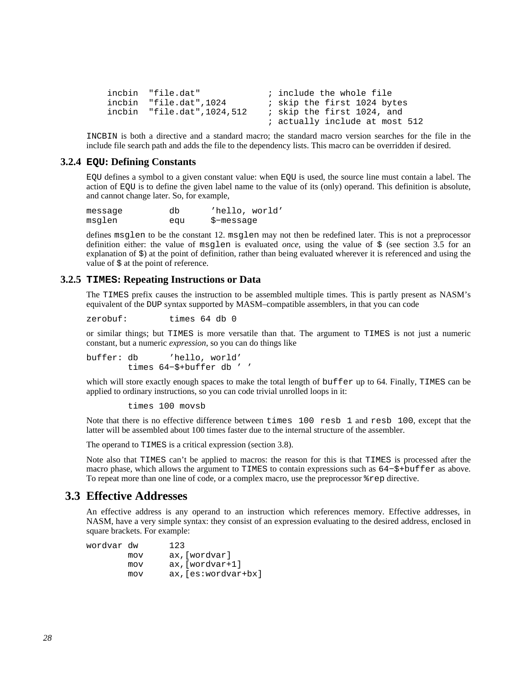```
incbin "file.dat" ; include the whole file<br>incbin "file.dat",1024 ; skip the first 1024 by
 incbin "file.dat",1024 ; skip the first 1024 bytes 
 incbin "file.dat",1024,512 ; skip the first 1024, and 
                                     ; actually include at most 512
```
INCBIN is both a directive and a standard macro; the standard macro version searches for the file in the include file search path and adds the file to the dependency lists. This macro can be overridden if desired.

#### **3.2.4 EQU: Defining Constants**

<span id="page-27-0"></span>EQU defines a symbol to a given constant value: when EQU is used, the source line must contain a label. The action of EQU is to define the given label name to the value of its (only) operand. This definition is absolute, and cannot change later. So, for example,

| message | db  | 'hello, world' |
|---------|-----|----------------|
| msglen  | equ | \$-message     |

defines msglen to be the constant 12. msglen may not then be redefined later. This is not a preprocessor definition either: the value of msglen is evaluated *once*, using the value of \$ (see [section 3.5](#page-32-1) for an explanation of \$) at the point of definition, rather than being evaluated wherever it is referenced and using the value of  $\frac{1}{2}$  at the point of reference.

## **3.2.5 TIMES: Repeating Instructions or Data**

<span id="page-27-1"></span>The TIMES prefix causes the instruction to be assembled multiple times. This is partly present as NASM's equivalent of the DUP syntax supported by MASM–compatible assemblers, in that you can code

zerobuf: times 64 db 0

or similar things; but TIMES is more versatile than that. The argument to TIMES is not just a numeric constant, but a numeric *expression*, so you can do things like

buffer: db 'hello, world' times 64−\$+buffer db ' '

which will store exactly enough spaces to make the total length of buffer up to 64. Finally, TIMES can be applied to ordinary instructions, so you can code trivial unrolled loops in it:

times 100 movsb

Note that there is no effective difference between times 100 resb 1 and resb 100, except that the latter will be assembled about 100 times faster due to the internal structure of the assembler.

The operand to TIMES is a critical expression [\(section 3.8\)](#page-34-0).

Note also that TIMES can't be applied to macros: the reason for this is that TIMES is processed after the macro phase, which allows the argument to TIMES to contain expressions such as 64−\$+buffer as above. To repeat more than one line of code, or a complex macro, use the preprocessor %rep directive.

## **3.3 Effective Addresses**

<span id="page-27-2"></span>An effective address is any operand to an instruction which references memory. Effective addresses, in NASM, have a very simple syntax: they consist of an expression evaluating to the desired address, enclosed in square brackets. For example:

| wordvar dw |     | 123                      |
|------------|-----|--------------------------|
|            | mov | ax, [wordvar]            |
|            | mov | $ax$ , [wordvar+1]       |
|            | mov | $ax$ , $es:wordvar+bx$ ] |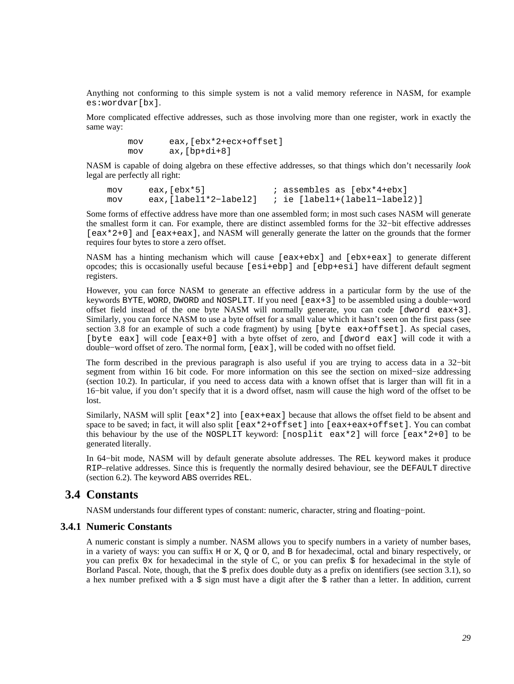Anything not conforming to this simple system is not a valid memory reference in NASM, for example es:wordvar[bx].

More complicated effective addresses, such as those involving more than one register, work in exactly the same way:

> mov eax,[ebx\*2+ecx+offset] mov ax,[bp+di+8]

NASM is capable of doing algebra on these effective addresses, so that things which don't necessarily *look* legal are perfectly all right:

mov eax,[ebx\*5] ; assembles as [ebx\*4+ebx]<br>mov eax,[label1\*2-label2] ; ie [label1+(label1-label mov eax,[label1\*2−label2] ; ie [label1+(label1−label2)]

Some forms of effective address have more than one assembled form; in most such cases NASM will generate the smallest form it can. For example, there are distinct assembled forms for the 32−bit effective addresses [eax\*2+0] and [eax+eax], and NASM will generally generate the latter on the grounds that the former requires four bytes to store a zero offset.

NASM has a hinting mechanism which will cause [eax+ebx] and [ebx+eax] to generate different opcodes; this is occasionally useful because [esi+ebp] and [ebp+esi] have different default segment registers.

However, you can force NASM to generate an effective address in a particular form by the use of the keywords BYTE, WORD, DWORD and NOSPLIT. If you need [eax+3] to be assembled using a double−word offset field instead of the one byte NASM will normally generate, you can code [dword eax+3]. Similarly, you can force NASM to use a byte offset for a small value which it hasn't seen on the first pass (see [section 3.8](#page-34-0) for an example of such a code fragment) by using [byte eax+offset]. As special cases, [byte eax] will code [eax+0] with a byte offset of zero, and [dword eax] will code it with a double−word offset of zero. The normal form, [eax], will be coded with no offset field.

The form described in the previous paragraph is also useful if you are trying to access data in a 32−bit segment from within 16 bit code. For more information on this see the section on mixed–size addressing [\(section 10.2\)](#page-108-2). In particular, if you need to access data with a known offset that is larger than will fit in a 16−bit value, if you don't specify that it is a dword offset, nasm will cause the high word of the offset to be lost.

Similarly, NASM will split  $[ear*2]$  into  $[ear+ear]$  because that allows the offset field to be absent and space to be saved; in fact, it will also split [eax\*2+offset] into [eax+eax+offset]. You can combat this behaviour by the use of the NOSPLIT keyword: [nosplit eax\*2] will force [eax\*2+0] to be generated literally.

In 64−bit mode, NASM will by default generate absolute addresses. The REL keyword makes it produce RIP–relative addresses. Since this is frequently the normally desired behaviour, see the DEFAULT directive [\(section 6.2\)](#page-66-1). The keyword ABS overrides REL.

# **3.4 Constants**

<span id="page-28-0"></span>NASM understands four different types of constant: numeric, character, string and floating−point.

#### **3.4.1 Numeric Constants**

<span id="page-28-1"></span>A numeric constant is simply a number. NASM allows you to specify numbers in a variety of number bases, in a variety of ways: you can suffix H or X,  $Q$  or  $O$ , and B for hexadecimal, octal and binary respectively, or you can prefix 0x for hexadecimal in the style of C, or you can prefix  $\frac{1}{2}$  for hexadecimal in the style of Borland Pascal. Note, though, that the  $\frac{1}{5}$  prefix does double duty as a prefix on identifiers (see [section 3.1](#page-25-1)), so a hex number prefixed with a  $\frac{2}{3}$  sign must have a digit after the  $\frac{2}{3}$  rather than a letter. In addition, current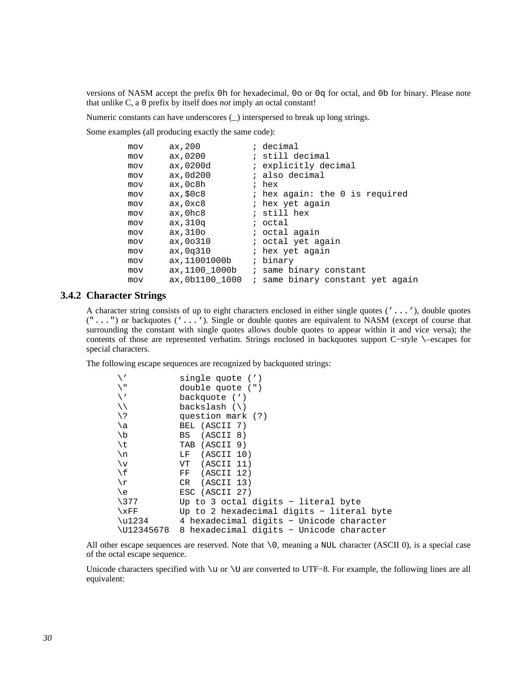versions of NASM accept the prefix 0h for hexadecimal, 0o or 0q for octal, and 0b for binary. Please note that unlike C, a 0 prefix by itself does *not* imply an octal constant!

Numeric constants can have underscores (\_) interspersed to break up long strings.

Some examples (all producing exactly the same code):

| mov | ax, 200         | ; decimal                        |
|-----|-----------------|----------------------------------|
| mov | ax,0200         | ; still decimal                  |
| mov | ax,0200d        | ; explicitly decimal             |
| mov | ax,0d200        | ; also decimal                   |
| mov | ax,0c8h         | ; hex                            |
| mov | ax, \$0c8       | ; hex again: the 0 is required   |
| mov | ax,0xc8         | ; hex yet again                  |
| mov | ax,0hc8         | ; still hex                      |
| mov | ax, 310q        | ; octal                          |
| mov | ax,310o         | ; octal again                    |
| mov | ax, 00310       | ; octal yet again                |
| mov | ax,0q310        | ; hex yet again                  |
| mov | ax, 11001000b   | ; binary                         |
| mov | ax,1100 1000b   | ; same binary constant           |
| mov | ax, 0b1100 1000 | ; same binary constant yet again |

### **3.4.2 Character Strings**

<span id="page-29-0"></span>A character string consists of up to eight characters enclosed in either single quotes ('...'), double quotes ("...") or backquotes ('...'). Single or double quotes are equivalent to NASM (except of course that surrounding the constant with single quotes allows double quotes to appear within it and vice versa); the contents of those are represented verbatim. Strings enclosed in backquotes support C−style \–escapes for special characters.

The following escape sequences are recognized by backquoted strings:

| $\overline{\phantom{a}}$ | single quote (')                          |
|--------------------------|-------------------------------------------|
| ι Π                      | double quote (")                          |
| $\sqrt{2}$               | backquote (')                             |
| ヽヽ                       | backslash $(\setminus)$                   |
| / ¿                      | question mark (?)                         |
| \a                       | BEL (ASCII 7)                             |
| \b                       | BS (ASCII 8)                              |
| \t                       | TAB (ASCII 9)                             |
| \n                       | LF (ASCII 10)                             |
| $\vee$                   | VT (ASCII 11)                             |
| \f                       | FF (ASCII 12)                             |
| \r                       | CR (ASCII 13)                             |
| \e                       | ESC (ASCII 27)                            |
| $\backslash$ 377         | Up to 3 octal digits - literal byte       |
| $\chi_{\rm FF}$          | Up to 2 hexadecimal digits - literal byte |
| \u1234                   | 4 hexadecimal digits - Unicode character  |
| \U12345678               | 8 hexadecimal digits - Unicode character  |

All other escape sequences are reserved. Note that  $\setminus 0$ , meaning a NUL character (ASCII 0), is a special case of the octal escape sequence.

Unicode characters specified with \u or \U are converted to UTF−8. For example, the following lines are all equivalent: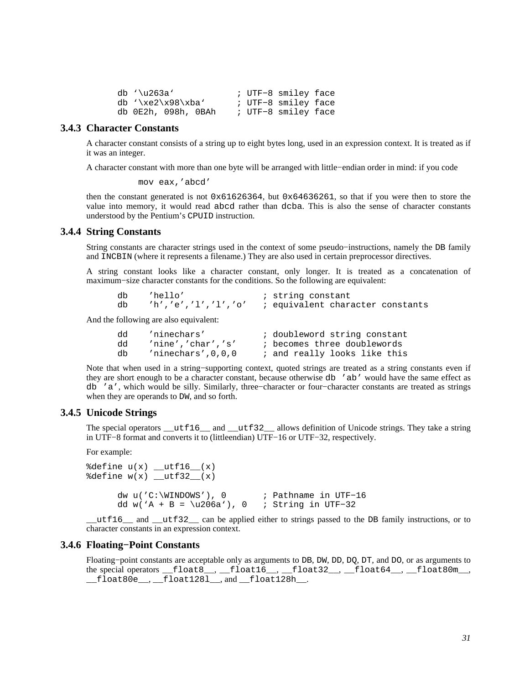| db '\u263a'         |  | ; UTF-8 smiley face |  |
|---------------------|--|---------------------|--|
| db $\xe2\x98\xba'$  |  | ; UTF-8 smiley face |  |
| db 0E2h, 098h, 0BAh |  | ; UTF-8 smiley face |  |

## **3.4.3 Character Constants**

<span id="page-30-0"></span>A character constant consists of a string up to eight bytes long, used in an expression context. It is treated as if it was an integer.

A character constant with more than one byte will be arranged with little−endian order in mind: if you code

mov eax,'abcd'

then the constant generated is not 0x61626364, but 0x64636261, so that if you were then to store the value into memory, it would read abcd rather than dcba. This is also the sense of character constants understood by the Pentium's CPUID instruction.

#### **3.4.4 String Constants**

<span id="page-30-1"></span>String constants are character strings used in the context of some pseudo−instructions, namely the DB family and INCBIN (where it represents a filename.) They are also used in certain preprocessor directives.

A string constant looks like a character constant, only longer. It is treated as a concatenation of maximum−size character constants for the conditions. So the following are equivalent:

| 'hello'             | ; string constant                |
|---------------------|----------------------------------|
| 'h','e','l','l','o' | ; equivalent character constants |

And the following are also equivalent:

| dd | 'ninechars'          | ; doubleword string constant |
|----|----------------------|------------------------------|
| dd | 'nine','char','s'    | ; becomes three doublewords  |
| db | $'$ ninechars'.0.0.0 | ; and really looks like this |

Note that when used in a string–supporting context, quoted strings are treated as a string constants even if they are short enough to be a character constant, because otherwise db 'ab' would have the same effect as db 'a', which would be silly. Similarly, three−character or four−character constants are treated as strings when they are operands to DW, and so forth.

#### **3.4.5 Unicode Strings**

<span id="page-30-2"></span>The special operators  $u$ tf16 and  $u$ tf32 allows definition of Unicode strings. They take a string in UTF−8 format and converts it to (littleendian) UTF−16 or UTF−32, respectively.

For example:

```
\text{8define } u(x) \text{ [with]} (x)\deltadefine w(x) utf32 (x)
       dw u('C:\WINDOWS'), 0 ; Pathname in UTF−16 
       dd w('A + B = \u206a'), 0 ; String in UTF−32
```
utf16 and utf32 can be applied either to strings passed to the DB family instructions, or to character constants in an expression context.

#### **3.4.6 Floating−Point Constants**

<span id="page-30-3"></span>Floating−point constants are acceptable only as arguments to DB, DW, DD, DQ, DT, and DO, or as arguments to the special operators \_\_float8\_\_, \_\_float16\_\_, \_\_float32\_\_, \_\_float64\_\_, \_\_float80m\_\_,  $\_$ float80e $\_$ , $\_$ float1281 $\_$ , and  $\_$ float128h $\_$ .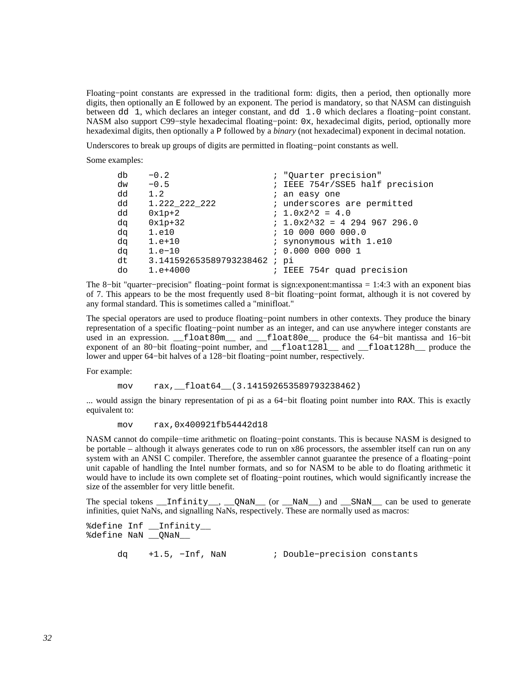Floating−point constants are expressed in the traditional form: digits, then a period, then optionally more digits, then optionally an E followed by an exponent. The period is mandatory, so that NASM can distinguish between dd 1, which declares an integer constant, and dd 1.0 which declares a floating−point constant. NASM also support C99−style hexadecimal floating−point: 0x, hexadecimal digits, period, optionally more hexadeximal digits, then optionally a P followed by a *binary* (not hexadecimal) exponent in decimal notation.

Underscores to break up groups of digits are permitted in floating−point constants as well.

Some examples:

| db | $-0.2$                      | ; "Quarter precision"           |
|----|-----------------------------|---------------------------------|
| dw | $-0.5$                      | ; IEEE 754r/SSE5 half precision |
| dd | 1.2                         | ; an easy one                   |
| dd | 1.222 222 222               | ; underscores are permitted     |
| dd | $0x1p+2$                    | $: 1.0x2^2 = 4.0$               |
| dq | $0x1p+32$                   | $: 1.0x2^332 = 4294967296.0$    |
| da | 1.e10                       | : 100000000000.0                |
| da | $1.e+10$                    | ; synonymous with 1.e10         |
| da | $1.e-10$                    | : 0.000 000 000 1               |
| dt | 3.141592653589793238462; pi |                                 |
| do | $1. e + 4000$               | ; IEEE 754r quad precision      |

The 8−bit "quarter−precision" floating−point format is sign:exponent:mantissa = 1:4:3 with an exponent bias of 7. This appears to be the most frequently used 8−bit floating−point format, although it is not covered by any formal standard. This is sometimes called a "minifloat."

The special operators are used to produce floating−point numbers in other contexts. They produce the binary representation of a specific floating−point number as an integer, and can use anywhere integer constants are used in an expression. \_\_float80m\_\_ and \_\_float80e\_\_ produce the 64−bit mantissa and 16−bit exponent of an 80−bit floating−point number, and \_\_float128l\_\_ and \_\_float128h\_\_ produce the lower and upper 64−bit halves of a 128−bit floating−point number, respectively.

For example:

mov rax, float64 (3.141592653589793238462)

... would assign the binary representation of pi as a 64−bit floating point number into RAX. This is exactly equivalent to:

mov rax,0x400921fb54442d18

NASM cannot do compile−time arithmetic on floating−point constants. This is because NASM is designed to be portable – although it always generates code to run on x86 processors, the assembler itself can run on any system with an ANSI C compiler. Therefore, the assembler cannot guarantee the presence of a floating−point unit capable of handling the Intel number formats, and so for NASM to be able to do floating arithmetic it would have to include its own complete set of floating−point routines, which would significantly increase the size of the assembler for very little benefit.

The special tokens  $\text{infinity}_\text{...}$ ,  $\text{QNaN}_\text{...}$  (or  $\text{MaN}_\text{...}$ ) and  $\text{SNaN}_\text{...}$  can be used to generate infinities, quiet NaNs, and signalling NaNs, respectively. These are normally used as macros:

```
%define Inf __Infinity__ 
%define NaN __QNaN__ 
      dq +1.5, −Inf, NaN ; Double−precision constants
```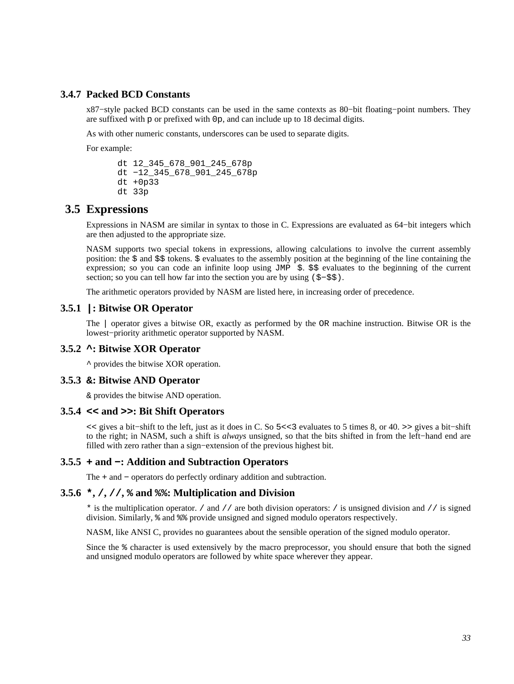## **3.4.7 Packed BCD Constants**

<span id="page-32-0"></span>x87−style packed BCD constants can be used in the same contexts as 80−bit floating−point numbers. They are suffixed with p or prefixed with 0p, and can include up to 18 decimal digits.

As with other numeric constants, underscores can be used to separate digits.

For example:

```
 dt 12_345_678_901_245_678p 
 dt −12_345_678_901_245_678p 
 dt +0p33 
 dt 33p
```
## **3.5 Expressions**

<span id="page-32-1"></span>Expressions in NASM are similar in syntax to those in C. Expressions are evaluated as 64−bit integers which are then adjusted to the appropriate size.

NASM supports two special tokens in expressions, allowing calculations to involve the current assembly position: the \$ and \$\$ tokens. \$ evaluates to the assembly position at the beginning of the line containing the expression; so you can code an infinite loop using  $JMP \leq S$ .  $\leq S$  evaluates to the beginning of the current section; so you can tell how far into the section you are by using (\$–\$\$).

The arithmetic operators provided by NASM are listed here, in increasing order of precedence.

## **3.5.1 |: Bitwise OR Operator**

<span id="page-32-2"></span>The | operator gives a bitwise OR, exactly as performed by the OR machine instruction. Bitwise OR is the lowest−priority arithmetic operator supported by NASM.

#### **3.5.2 ^: Bitwise XOR Operator**

<span id="page-32-3"></span>^ provides the bitwise XOR operation.

#### **3.5.3 &: Bitwise AND Operator**

<span id="page-32-4"></span>& provides the bitwise AND operation.

#### **3.5.4 << and >>: Bit Shift Operators**

<span id="page-32-5"></span><< gives a bit−shift to the left, just as it does in C. So 5<<3 evaluates to 5 times 8, or 40. >> gives a bit−shift to the right; in NASM, such a shift is *always* unsigned, so that the bits shifted in from the left−hand end are filled with zero rather than a sign−extension of the previous highest bit.

#### **3.5.5 + and −: Addition and Subtraction Operators**

<span id="page-32-6"></span>The + and − operators do perfectly ordinary addition and subtraction.

#### **3.5.6 \*, /, //, % and %%: Multiplication and Division**

<span id="page-32-7"></span>\* is the multiplication operator. / and // are both division operators: / is unsigned division and // is signed division. Similarly, % and %% provide unsigned and signed modulo operators respectively.

NASM, like ANSI C, provides no guarantees about the sensible operation of the signed modulo operator.

Since the % character is used extensively by the macro preprocessor, you should ensure that both the signed and unsigned modulo operators are followed by white space wherever they appear.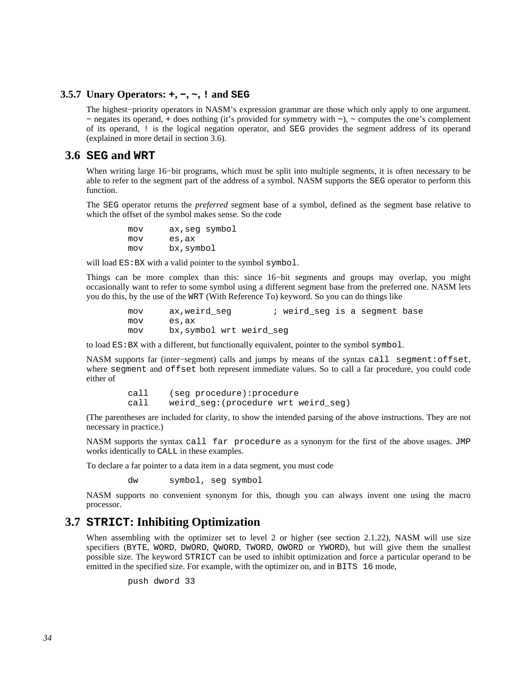## **3.5.7 Unary Operators: +, −, ~, ! and SEG**

<span id="page-33-0"></span>The highest−priority operators in NASM's expression grammar are those which only apply to one argument. − negates its operand, + does nothing (it's provided for symmetry with −), ~ computes the one's complement of its operand, ! is the logical negation operator, and SEG provides the segment address of its operand (explained in more detail in [section 3.6\)](#page-33-1).

## **3.6 SEG and WRT**

<span id="page-33-1"></span>When writing large 16−bit programs, which must be split into multiple segments, it is often necessary to be able to refer to the segment part of the address of a symbol. NASM supports the SEG operator to perform this function.

The SEG operator returns the *preferred* segment base of a symbol, defined as the segment base relative to which the offset of the symbol makes sense. So the code

> mov ax,seg symbol mov es,ax mov bx,symbol

will load  $ES:BX$  with a valid pointer to the symbol symbol.

Things can be more complex than this: since 16−bit segments and groups may overlap, you might occasionally want to refer to some symbol using a different segment base from the preferred one. NASM lets you do this, by the use of the WRT (With Reference To) keyword. So you can do things like

> mov ax, weird seg *i* weird seg is a segment base mov es,ax mov bx,symbol wrt weird\_seg

to load ES:BX with a different, but functionally equivalent, pointer to the symbol symbol.

NASM supports far (inter−segment) calls and jumps by means of the syntax call segment:offset, where segment and offset both represent immediate values. So to call a far procedure, you could code either of

> call (seg procedure):procedure call weird seg: (procedure wrt weird seg)

(The parentheses are included for clarity, to show the intended parsing of the above instructions. They are not necessary in practice.)

NASM supports the syntax call far procedure as a synonym for the first of the above usages. JMP works identically to CALL in these examples.

To declare a far pointer to a data item in a data segment, you must code

dw symbol, seg symbol

NASM supports no convenient synonym for this, though you can always invent one using the macro processor.

## **3.7 STRICT: Inhibiting Optimization**

<span id="page-33-2"></span>When assembling with the optimizer set to level 2 or higher (see [section 2.1.22\)](#page-20-3), NASM will use size specifiers (BYTE, WORD, DWORD, QWORD, TWORD, OWORD or YWORD), but will give them the smallest possible size. The keyword STRICT can be used to inhibit optimization and force a particular operand to be emitted in the specified size. For example, with the optimizer on, and in BITS 16 mode,

push dword 33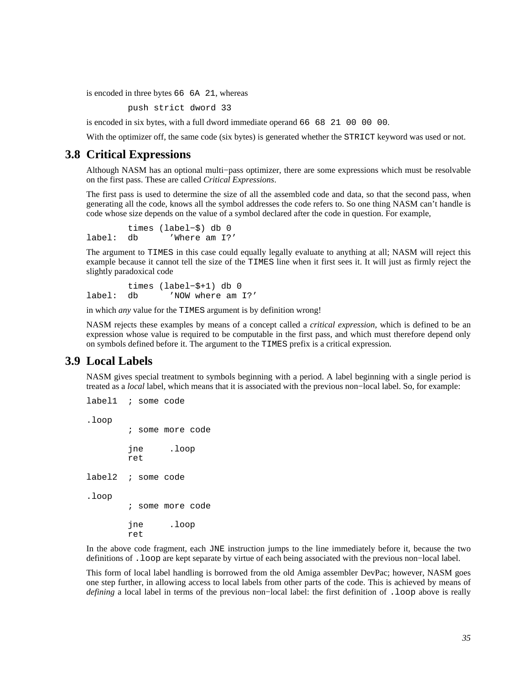is encoded in three bytes 66 6A 21, whereas

push strict dword 33

is encoded in six bytes, with a full dword immediate operand 66 68 21 00 00 00.

With the optimizer off, the same code (six bytes) is generated whether the STRICT keyword was used or not.

## **3.8 Critical Expressions**

<span id="page-34-0"></span>Although NASM has an optional multi−pass optimizer, there are some expressions which must be resolvable on the first pass. These are called *Critical Expressions*.

The first pass is used to determine the size of all the assembled code and data, so that the second pass, when generating all the code, knows all the symbol addresses the code refers to. So one thing NASM can't handle is code whose size depends on the value of a symbol declared after the code in question. For example,

 times (label−\$) db 0 label: db 'Where am I?'

The argument to TIMES in this case could equally legally evaluate to anything at all; NASM will reject this example because it cannot tell the size of the TIMES line when it first sees it. It will just as firmly reject the slightly paradoxical code

 times (label−\$+1) db 0 label: db 'NOW where am I?'

in which *any* value for the TIMES argument is by definition wrong!

NASM rejects these examples by means of a concept called a *critical expression*, which is defined to be an expression whose value is required to be computable in the first pass, and which must therefore depend only on symbols defined before it. The argument to the TIMES prefix is a critical expression.

## **3.9 Local Labels**

<span id="page-34-1"></span>NASM gives special treatment to symbols beginning with a period. A label beginning with a single period is treated as a *local* label, which means that it is associated with the previous non−local label. So, for example:

```
label1 ; some code 
.loop 
          ; some more code 
          jne .loop 
         ret 
label2 ; some code 
.loop 
          ; some more code 
         jne .loop 
         ret
```
In the above code fragment, each JNE instruction jumps to the line immediately before it, because the two definitions of .loop are kept separate by virtue of each being associated with the previous non−local label.

This form of local label handling is borrowed from the old Amiga assembler DevPac; however, NASM goes one step further, in allowing access to local labels from other parts of the code. This is achieved by means of *defining* a local label in terms of the previous non–local label: the first definition of .loop above is really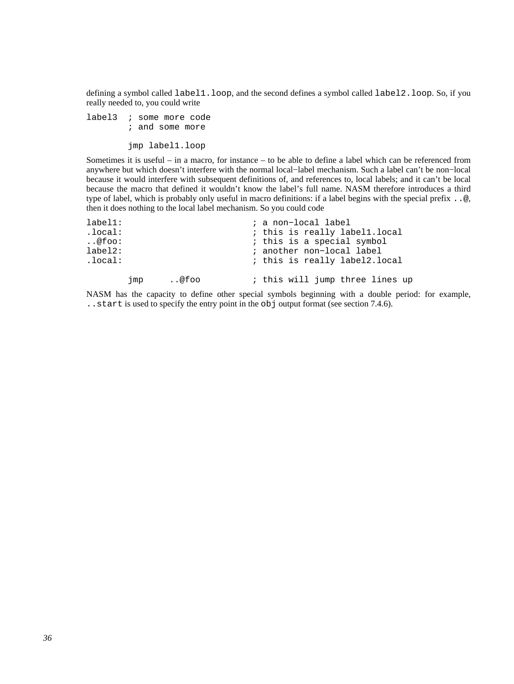defining a symbol called label1.loop, and the second defines a symbol called label2.loop. So, if you really needed to, you could write

label3 ; some more code ; and some more

jmp label1.loop

Sometimes it is useful – in a macro, for instance – to be able to define a label which can be referenced from anywhere but which doesn't interfere with the normal local−label mechanism. Such a label can't be non−local because it would interfere with subsequent definitions of, and references to, local labels; and it can't be local because the macro that defined it wouldn't know the label's full name. NASM therefore introduces a third type of label, which is probably only useful in macro definitions: if a label begins with the special prefix ..@, then it does nothing to the local label mechanism. So you could code

| $label1:1}$ |     |      | ; a non-local label             |
|-------------|-----|------|---------------------------------|
| .local:     |     |      | ; this is really labell.local   |
| @foo:       |     |      | ; this is a special symbol      |
| $label2:1}$ |     |      | ; another non-local label       |
| .local:     |     |      | ; this is really label2.local   |
|             | jmp | @foo | ; this will jump three lines up |

NASM has the capacity to define other special symbols beginning with a double period: for example, ..start is used to specify the entry point in the obj output format (see [section 7.4.6\)](#page-76-0).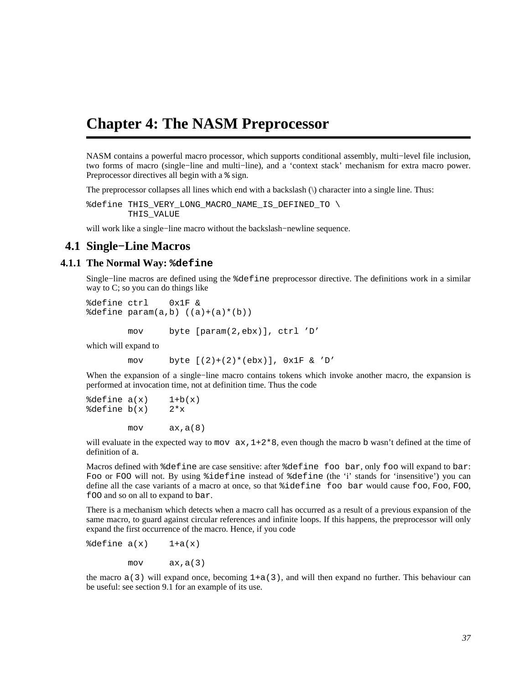# **Chapter 4: The NASM Preprocessor**

NASM contains a powerful macro processor, which supports conditional assembly, multi−level file inclusion, two forms of macro (single−line and multi−line), and a 'context stack' mechanism for extra macro power. Preprocessor directives all begin with a % sign.

The preprocessor collapses all lines which end with a backslash (\) character into a single line. Thus:

%define THIS\_VERY\_LONG\_MACRO\_NAME\_IS\_DEFINED\_TO \ THIS\_VALUE

will work like a single−line macro without the backslash−newline sequence.

# **4.1 Single−Line Macros**

### **4.1.1 The Normal Way: %define**

Single−line macros are defined using the %define preprocessor directive. The definitions work in a similar way to C; so you can do things like

%define ctrl 0x1F &  $\texttt{define param}(a,b)$   $((a)+(a)*(b))$ 

mov byte [param(2,ebx)], ctrl 'D'

which will expand to

mov byte  $[(2)+(2)*(ebx)]$ ,  $0x1F$  & 'D'

When the expansion of a single−line macro contains tokens which invoke another macro, the expansion is performed at invocation time, not at definition time. Thus the code

 $\text{8define } a(x)$  1+b(x)  $\delta$ define b(x)  $2 \star x$ 

mov ax,a(8)

will evaluate in the expected way to mov  $ax, 1+2*8$ , even though the macro b wasn't defined at the time of definition of a.

Macros defined with %define are case sensitive: after %define foo bar, only foo will expand to bar: Foo or FOO will not. By using %idefine instead of %define (the 'i' stands for 'insensitive') you can define all the case variants of a macro at once, so that %idefine foo bar would cause foo, Foo, FOO, fOO and so on all to expand to bar.

There is a mechanism which detects when a macro call has occurred as a result of a previous expansion of the same macro, to guard against circular references and infinite loops. If this happens, the preprocessor will only expand the first occurrence of the macro. Hence, if you code

 $\delta$ define  $a(x)$  1+a(x)

 $mov$   $ax, a(3)$ 

the macro  $a(3)$  will expand once, becoming  $1+a(3)$ , and will then expand no further. This behaviour can be useful: see [section 9.1](#page-101-0) for an example of its use.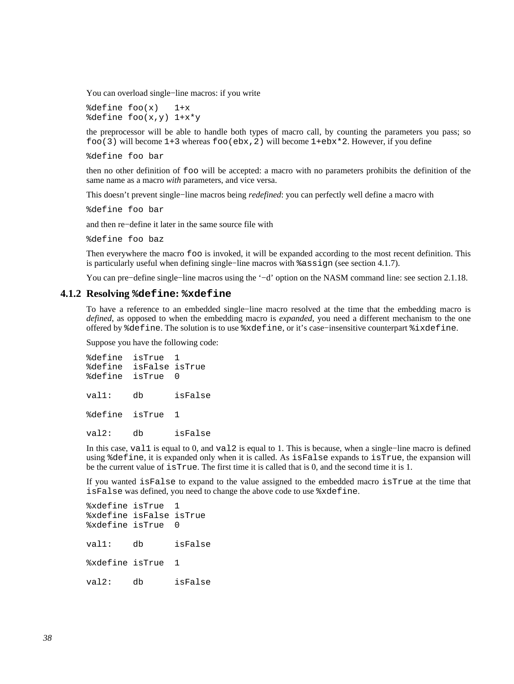You can overload single−line macros: if you write

 $\delta$ define foo $(x)$  1+x %define foo(x,y) 1+x\*y

the preprocessor will be able to handle both types of macro call, by counting the parameters you pass; so foo(3) will become  $1+3$  whereas foo(ebx, 2) will become  $1+ebx*2$ . However, if you define

%define foo bar

then no other definition of foo will be accepted: a macro with no parameters prohibits the definition of the same name as a macro *with* parameters, and vice versa.

This doesn't prevent single−line macros being *redefined*: you can perfectly well define a macro with

%define foo bar

and then re−define it later in the same source file with

%define foo baz

Then everywhere the macro foo is invoked, it will be expanded according to the most recent definition. This is particularly useful when defining single−line macros with %assign (see [section 4.1.7\)](#page-39-0).

You can pre−define single−line macros using the '−d' option on the NASM command line: see [section 2.1.18.](#page-19-0)

### **4.1.2 Resolving %define: %xdefine**

To have a reference to an embedded single−line macro resolved at the time that the embedding macro is *defined*, as opposed to when the embedding macro is *expanded*, you need a different mechanism to the one offered by %define. The solution is to use %xdefine, or it's case−insensitive counterpart %ixdefine.

Suppose you have the following code:

%define isTrue 1 %define isFalse isTrue %define isTrue 0 val1: db isFalse %define isTrue 1 val2: db isFalse

In this case, val1 is equal to 0, and val2 is equal to 1. This is because, when a single−line macro is defined using %define, it is expanded only when it is called. As isFalse expands to isTrue, the expansion will be the current value of isTrue. The first time it is called that is 0, and the second time it is 1.

If you wanted isFalse to expand to the value assigned to the embedded macro isTrue at the time that isFalse was defined, you need to change the above code to use %xdefine.

%xdefine isTrue %xdefine isFalse isTrue %xdefine isTrue 0 val1: db isFalse %xdefine isTrue 1 val2: db isFalse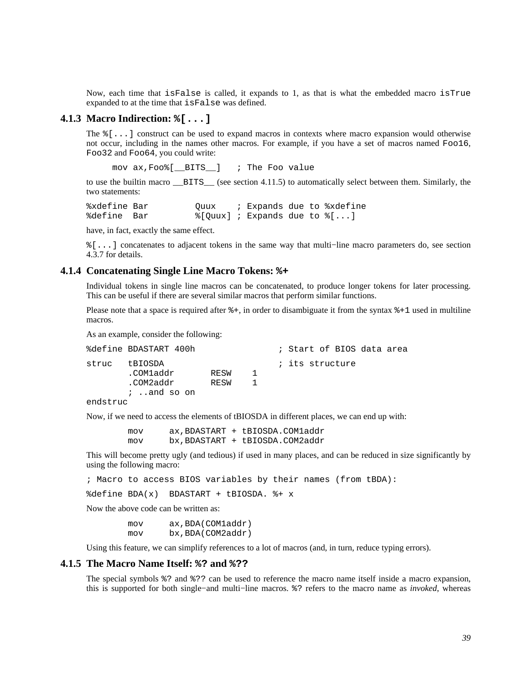Now, each time that isFalse is called, it expands to 1, as that is what the embedded macro isTrue expanded to at the time that isFalse was defined.

### **4.1.3 Macro Indirection: %[...]**

<span id="page-38-0"></span>The %[...] construct can be used to expand macros in contexts where macro expansion would otherwise not occur, including in the names other macros. For example, if you have a set of macros named Foo16, Foo32 and Foo64, you could write:

mov ax,Foo%[\_\_BITS\_\_] ; The Foo value

to use the builtin macro \_\_BITS\_\_ (see [section 4.11.5\)](#page-60-0) to automatically select between them. Similarly, the two statements:

%xdefine Bar Quux ; Expands due to %xdefine %define Bar %[Quux] ; Expands due to  $[(\ldots)]$ 

have, in fact, exactly the same effect.

%[...] concatenates to adjacent tokens in the same way that multi−line macro parameters do, see [section](#page-45-0) [4.3.7](#page-45-0) for details.

### **4.1.4 Concatenating Single Line Macro Tokens: %+**

<span id="page-38-1"></span>Individual tokens in single line macros can be concatenated, to produce longer tokens for later processing. This can be useful if there are several similar macros that perform similar functions.

Please note that a space is required after  $\hat{\epsilon}$  +, in order to disambiguate it from the syntax  $\hat{\epsilon}$  +1 used in multiline macros.

As an example, consider the following:

|          | %define BDASTART 400h                                |              |    |  |                 | ; Start of BIOS data area |  |
|----------|------------------------------------------------------|--------------|----|--|-----------------|---------------------------|--|
| struc    | tBIOSDA<br>.COMladdr<br>.COM2addr<br>$i$ , and so on | RESW<br>RESW | п. |  | ; its structure |                           |  |
| endstruc |                                                      |              |    |  |                 |                           |  |

Now, if we need to access the elements of tBIOSDA in different places, we can end up with:

 mov ax,BDASTART + tBIOSDA.COM1addr mov bx,BDASTART + tBIOSDA.COM2addr

This will become pretty ugly (and tedious) if used in many places, and can be reduced in size significantly by using the following macro:

; Macro to access BIOS variables by their names (from tBDA):

%define BDA(x) BDASTART + tBIOSDA. %+ x

Now the above code can be written as:

 mov ax,BDA(COM1addr) mov bx,BDA(COM2addr)

Using this feature, we can simplify references to a lot of macros (and, in turn, reduce typing errors).

#### **4.1.5 The Macro Name Itself: %? and %??**

The special symbols %? and %?? can be used to reference the macro name itself inside a macro expansion, this is supported for both single−and multi−line macros. %? refers to the macro name as *invoked*, whereas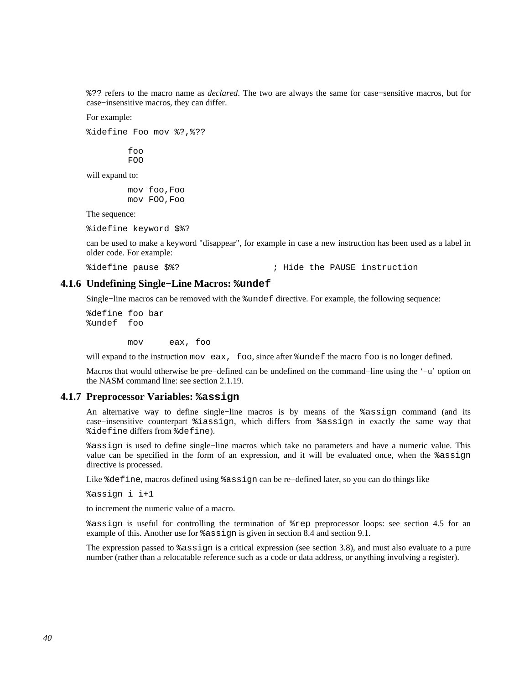%?? refers to the macro name as *declared*. The two are always the same for case−sensitive macros, but for case−insensitive macros, they can differ.

For example:

%idefine Foo mov %?,%??

 foo FOO

will expand to:

 mov foo,Foo mov FOO,Foo

The sequence:

%idefine keyword \$%?

can be used to make a keyword "disappear", for example in case a new instruction has been used as a label in older code. For example:

%idefine pause \$%? ; Hide the PAUSE instruction

### **4.1.6 Undefining Single−Line Macros: %undef**

Single−line macros can be removed with the %undef directive. For example, the following sequence:

%define foo bar %undef foo

mov eax, foo

will expand to the instruction mov eax, foo, since after  $\text{under the macro foo}$  is no longer defined.

Macros that would otherwise be pre−defined can be undefined on the command−line using the '−u' option on the NASM command line: see [section 2.1.19.](#page-20-0)

#### **4.1.7 Preprocessor Variables: %assign**

<span id="page-39-0"></span>An alternative way to define single−line macros is by means of the %assign command (and its case−insensitive counterpart %iassign, which differs from %assign in exactly the same way that %idefine differs from %define).

%assign is used to define single−line macros which take no parameters and have a numeric value. This value can be specified in the form of an expression, and it will be evaluated once, when the %assign directive is processed.

Like %define, macros defined using %assign can be re−defined later, so you can do things like

%assign i i+1

to increment the numeric value of a macro.

%assign is useful for controlling the termination of %rep preprocessor loops: see [section 4.5](#page-50-0) for an example of this. Another use for %assign is given in [section 8.4](#page-92-0) and [section 9.1.](#page-101-0)

The expression passed to %assign is a critical expression (see [section 3.8\)](#page-34-0), and must also evaluate to a pure number (rather than a relocatable reference such as a code or data address, or anything involving a register).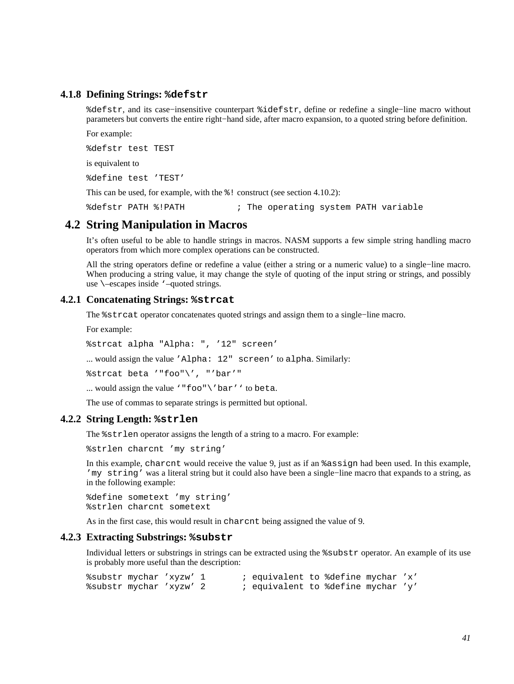### **4.1.8 Defining Strings: %defstr**

<span id="page-40-1"></span>%defstr, and its case−insensitive counterpart %idefstr, define or redefine a single−line macro without parameters but converts the entire right−hand side, after macro expansion, to a quoted string before definition.

For example:

%defstr test TEST

is equivalent to

%define test 'TEST'

This can be used, for example, with the  $\frac{1}{6}$ ! construct (see [section 4.10.2\)](#page-58-0):

%defstr PATH %!PATH ; The operating system PATH variable

# **4.2 String Manipulation in Macros**

It's often useful to be able to handle strings in macros. NASM supports a few simple string handling macro operators from which more complex operations can be constructed.

All the string operators define or redefine a value (either a string or a numeric value) to a single−line macro. When producing a string value, it may change the style of quoting of the input string or strings, and possibly use \–escapes inside '–quoted strings.

### **4.2.1 Concatenating Strings: %strcat**

The %strcat operator concatenates quoted strings and assign them to a single−line macro.

For example:

%strcat alpha "Alpha: ", '12" screen'

... would assign the value 'Alpha: 12" screen' to alpha. Similarly:

%strcat beta '"foo"\', "'bar'"

... would assign the value '"foo"\'bar'' to beta.

The use of commas to separate strings is permitted but optional.

### **4.2.2 String Length: %strlen**

<span id="page-40-0"></span>The %strlen operator assigns the length of a string to a macro. For example:

%strlen charcnt 'my string'

In this example, charcnt would receive the value 9, just as if an %assign had been used. In this example, 'my string' was a literal string but it could also have been a single−line macro that expands to a string, as in the following example:

%define sometext 'my string' %strlen charcnt sometext

As in the first case, this would result in charcnt being assigned the value of 9.

### **4.2.3 Extracting Substrings: %substr**

Individual letters or substrings in strings can be extracted using the %substr operator. An example of its use is probably more useful than the description:

%substr mychar 'xyzw' 1 ; equivalent to %define mychar 'x' %substr mychar 'xyzw' 2 ; equivalent to %define mychar 'y'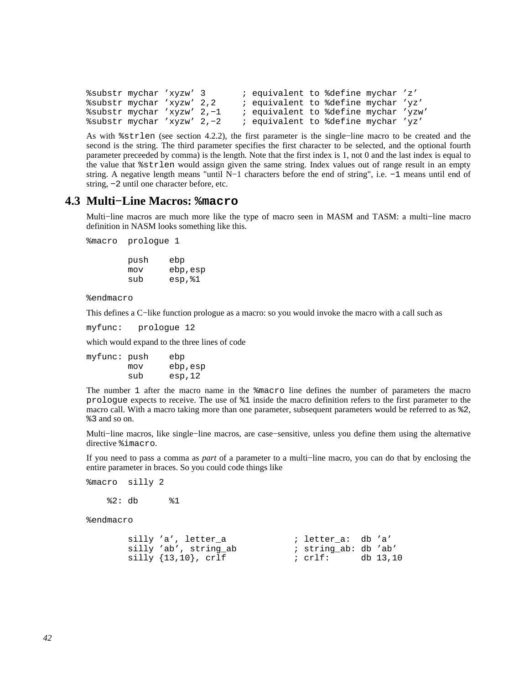```
%substr mychar 'xyzw' 3 ; equivalent to %define mychar 'z' 
%substr mychar 'xyzw' 2,2 ; equivalent to %define mychar 'yz'<br>%substr mychar 'xyzw' 2,-1 ; equivalent to %define mychar 'yzw
%substr mychar 'xyzw' 2,−1 ; equivalent to %define mychar 'yzw' 
                                       %substr mychar 'xyzw' 2,−2 ; equivalent to %define mychar 'yz'
```
As with %strlen (see [section 4.2.2\)](#page-40-0), the first parameter is the single−line macro to be created and the second is the string. The third parameter specifies the first character to be selected, and the optional fourth parameter preceeded by comma) is the length. Note that the first index is 1, not 0 and the last index is equal to the value that %strlen would assign given the same string. Index values out of range result in an empty string. A negative length means "until N−1 characters before the end of string", i.e. −1 means until end of string, −2 until one character before, etc.

# **4.3 Multi−Line Macros: %macro**

Multi−line macros are much more like the type of macro seen in MASM and TASM: a multi−line macro definition in NASM looks something like this.

%macro prologue 1

 push ebp mov ebp,esp sub esp,%1

%endmacro

This defines a C−like function prologue as a macro: so you would invoke the macro with a call such as

myfunc: prologue 12

which would expand to the three lines of code

myfunc: push ebp mov ebp,esp sub esp,12

The number 1 after the macro name in the %macro line defines the number of parameters the macro prologue expects to receive. The use of %1 inside the macro definition refers to the first parameter to the macro call. With a macro taking more than one parameter, subsequent parameters would be referred to as %2, %3 and so on.

Multi−line macros, like single−line macros, are case−sensitive, unless you define them using the alternative directive %imacro.

If you need to pass a comma as *part* of a parameter to a multi−line macro, you can do that by enclosing the entire parameter in braces. So you could code things like

%macro silly 2

%2: db %1

%endmacro

| silly 'a', letter a              | ; letter a: db 'a'   |          |
|----------------------------------|----------------------|----------|
| silly 'ab', string ab            | ; string ab: db 'ab' |          |
| $\text{silly } \{13,10\}$ , crlf | ; crlf:              | db 13,10 |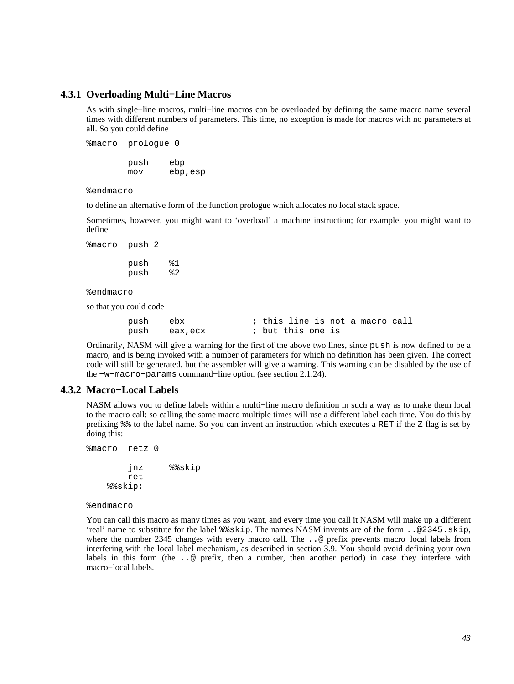### **4.3.1 Overloading Multi−Line Macros**

As with single−line macros, multi−line macros can be overloaded by defining the same macro name several times with different numbers of parameters. This time, no exception is made for macros with no parameters at all. So you could define

%macro prologue 0 push ebp mov ebp,esp

%endmacro

to define an alternative form of the function prologue which allocates no local stack space.

Sometimes, however, you might want to 'overload' a machine instruction; for example, you might want to define

%macro push 2

 push %1 push %2

%endmacro

so that you could code

| push ebx |               |                   |  |  | ; this line is not a macro call |  |
|----------|---------------|-------------------|--|--|---------------------------------|--|
|          | push eax, ecx | ; but this one is |  |  |                                 |  |

Ordinarily, NASM will give a warning for the first of the above two lines, since push is now defined to be a macro, and is being invoked with a number of parameters for which no definition has been given. The correct code will still be generated, but the assembler will give a warning. This warning can be disabled by the use of the −w−macro−params command−line option (see [section 2.1.24\)](#page-21-0).

### **4.3.2 Macro−Local Labels**

<span id="page-42-0"></span>NASM allows you to define labels within a multi−line macro definition in such a way as to make them local to the macro call: so calling the same macro multiple times will use a different label each time. You do this by prefixing %% to the label name. So you can invent an instruction which executes a RET if the Z flag is set by doing this:

```
%macro retz 0 
          jnz %%skip 
         ret 
     %%skip:
```
%endmacro

You can call this macro as many times as you want, and every time you call it NASM will make up a different 'real' name to substitute for the label %%skip. The names NASM invents are of the form ..@2345.skip, where the number 2345 changes with every macro call. The ..@ prefix prevents macro−local labels from interfering with the local label mechanism, as described in [section 3.9.](#page-34-1) You should avoid defining your own labels in this form (the ..@ prefix, then a number, then another period) in case they interfere with macro−local labels.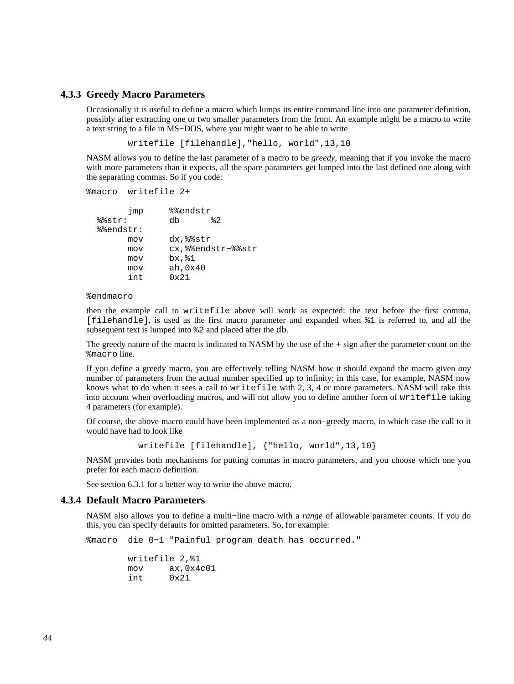### **4.3.3 Greedy Macro Parameters**

<span id="page-43-0"></span>Occasionally it is useful to define a macro which lumps its entire command line into one parameter definition, possibly after extracting one or two smaller parameters from the front. An example might be a macro to write a text string to a file in MS−DOS, where you might want to be able to write

writefile [filehandle],"hello, world",13,10

NASM allows you to define the last parameter of a macro to be *greedy*, meaning that if you invoke the macro with more parameters than it expects, all the spare parameters get lumped into the last defined one along with the separating commas. So if you code:

```
%macro writefile 2+
```

| jmp       | %%endstr          |
|-----------|-------------------|
| %%str:    | 82<br>dh          |
| %%endstr: |                   |
| mov       | dx, %%str         |
| mov       | cx,%%endstr-%%str |
| mov       | $bx.\&1$          |
| mov       | ah, 0x40          |
| int       | $0 \times 21$     |

%endmacro

then the example call to writefile above will work as expected: the text before the first comma, [filehandle], is used as the first macro parameter and expanded when %1 is referred to, and all the subsequent text is lumped into %2 and placed after the db.

The greedy nature of the macro is indicated to NASM by the use of the + sign after the parameter count on the %macro line.

If you define a greedy macro, you are effectively telling NASM how it should expand the macro given *any* number of parameters from the actual number specified up to infinity; in this case, for example, NASM now knows what to do when it sees a call to writefile with 2, 3, 4 or more parameters. NASM will take this into account when overloading macros, and will not allow you to define another form of writefile taking 4 parameters (for example).

Of course, the above macro could have been implemented as a non−greedy macro, in which case the call to it would have had to look like

writefile [filehandle], {"hello, world",13,10}

NASM provides both mechanisms for putting commas in macro parameters, and you choose which one you prefer for each macro definition.

See [section 6.3.1](#page-66-0) for a better way to write the above macro.

#### **4.3.4 Default Macro Parameters**

NASM also allows you to define a multi−line macro with a *range* of allowable parameter counts. If you do this, you can specify defaults for omitted parameters. So, for example:

%macro die 0−1 "Painful program death has occurred."

|     | writefile 2.%1 |
|-----|----------------|
| mov | ax,0x4c01      |
| int | $0 \times 21$  |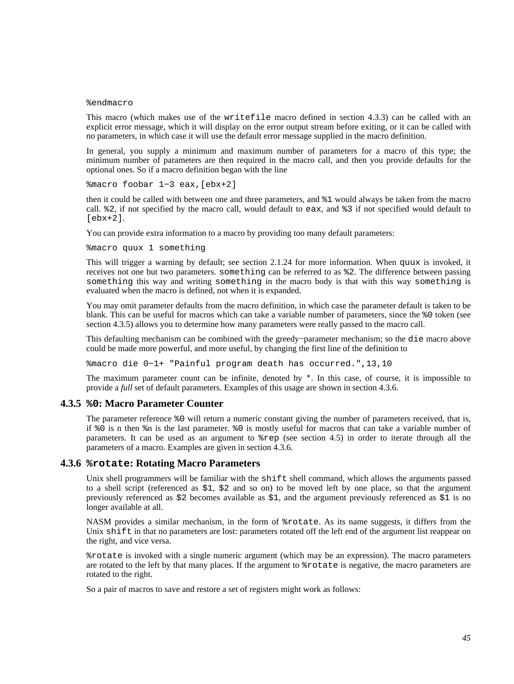#### %endmacro

This macro (which makes use of the writefile macro defined in [section 4.3.3](#page-43-0)) can be called with an explicit error message, which it will display on the error output stream before exiting, or it can be called with no parameters, in which case it will use the default error message supplied in the macro definition.

In general, you supply a minimum and maximum number of parameters for a macro of this type; the minimum number of parameters are then required in the macro call, and then you provide defaults for the optional ones. So if a macro definition began with the line

%macro foobar 1−3 eax,[ebx+2]

then it could be called with between one and three parameters, and %1 would always be taken from the macro call. %2, if not specified by the macro call, would default to eax, and %3 if not specified would default to  $[ekx+2]$ .

You can provide extra information to a macro by providing too many default parameters:

%macro quux 1 something

This will trigger a warning by default; see [section 2.1.24](#page-21-0) for more information. When quux is invoked, it receives not one but two parameters. something can be referred to as %2. The difference between passing something this way and writing something in the macro body is that with this way something is evaluated when the macro is defined, not when it is expanded.

You may omit parameter defaults from the macro definition, in which case the parameter default is taken to be blank. This can be useful for macros which can take a variable number of parameters, since the %0 token (see [section 4.3.5\)](#page-44-0) allows you to determine how many parameters were really passed to the macro call.

This defaulting mechanism can be combined with the greedy−parameter mechanism; so the die macro above could be made more powerful, and more useful, by changing the first line of the definition to

%macro die 0−1+ "Painful program death has occurred.",13,10

The maximum parameter count can be infinite, denoted by  $*$ . In this case, of course, it is impossible to provide a *full* set of default parameters. Examples of this usage are shown in [section 4.3.6.](#page-44-1)

### **4.3.5 %0: Macro Parameter Counter**

<span id="page-44-0"></span>The parameter reference %0 will return a numeric constant giving the number of parameters received, that is, if %0 is n then %n is the last parameter. %0 is mostly useful for macros that can take a variable number of parameters. It can be used as an argument to %rep (see [section 4.5\)](#page-50-0) in order to iterate through all the parameters of a macro. Examples are given in [section 4.3.6.](#page-44-1)

#### **4.3.6 %rotate: Rotating Macro Parameters**

<span id="page-44-1"></span>Unix shell programmers will be familiar with the shift shell command, which allows the arguments passed to a shell script (referenced as \$1, \$2 and so on) to be moved left by one place, so that the argument previously referenced as \$2 becomes available as \$1, and the argument previously referenced as \$1 is no longer available at all.

NASM provides a similar mechanism, in the form of %rotate. As its name suggests, it differs from the Unix shift in that no parameters are lost: parameters rotated off the left end of the argument list reappear on the right, and vice versa.

%rotate is invoked with a single numeric argument (which may be an expression). The macro parameters are rotated to the left by that many places. If the argument to %rotate is negative, the macro parameters are rotated to the right.

So a pair of macros to save and restore a set of registers might work as follows: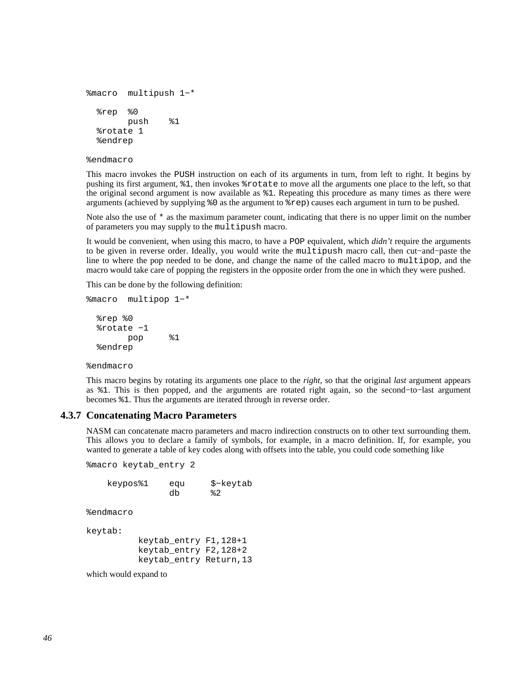```
%macro multipush 1−* 
   %rep %0 
         push %1 
   %rotate 1 
   %endrep
```
%endmacro

This macro invokes the PUSH instruction on each of its arguments in turn, from left to right. It begins by pushing its first argument, %1, then invokes %rotate to move all the arguments one place to the left, so that the original second argument is now available as %1. Repeating this procedure as many times as there were arguments (achieved by supplying %0 as the argument to %rep) causes each argument in turn to be pushed.

Note also the use of  $*$  as the maximum parameter count, indicating that there is no upper limit on the number of parameters you may supply to the multipush macro.

It would be convenient, when using this macro, to have a POP equivalent, which *didn't* require the arguments to be given in reverse order. Ideally, you would write the multipush macro call, then cut−and−paste the line to where the pop needed to be done, and change the name of the called macro to multipop, and the macro would take care of popping the registers in the opposite order from the one in which they were pushed.

This can be done by the following definition:

```
%macro multipop 1−* 
   %rep %0 
   %rotate −1 
         pop %1 
   %endrep
```
%endmacro

This macro begins by rotating its arguments one place to the *right*, so that the original *last* argument appears as %1. This is then popped, and the arguments are rotated right again, so the second−to−last argument becomes %1. Thus the arguments are iterated through in reverse order.

#### **4.3.7 Concatenating Macro Parameters**

<span id="page-45-0"></span>NASM can concatenate macro parameters and macro indirection constructs on to other text surrounding them. This allows you to declare a family of symbols, for example, in a macro definition. If, for example, you wanted to generate a table of key codes along with offsets into the table, you could code something like

%macro keytab\_entry 2

| keypos%1 | equ | \$-keytab     |
|----------|-----|---------------|
|          | db  | $\frac{2}{6}$ |

%endmacro

keytab:

```
 keytab_entry F1,128+1 
 keytab_entry F2,128+2 
 keytab_entry Return,13
```
which would expand to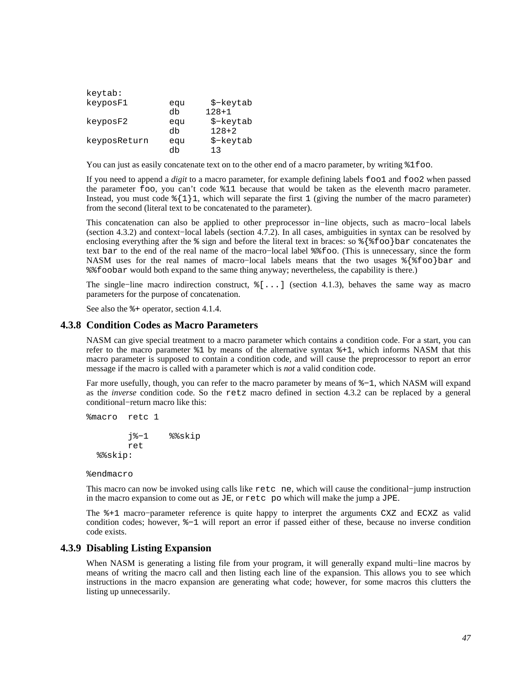| keytab:      |     |           |
|--------------|-----|-----------|
| keyposF1     | eau | \$-keytab |
|              | db  | $128+1$   |
| keyposF2     | eau | \$-keytab |
|              | db  | $128 + 2$ |
| keyposReturn | eau | \$-keytab |
|              | db  | 1 ว       |

You can just as easily concatenate text on to the other end of a macro parameter, by writing  $\$1$  foo.

If you need to append a *digit* to a macro parameter, for example defining labels foo1 and foo2 when passed the parameter foo, you can't code %11 because that would be taken as the eleventh macro parameter. Instead, you must code  $\{\1\}$ 1, which will separate the first 1 (giving the number of the macro parameter) from the second (literal text to be concatenated to the parameter).

This concatenation can also be applied to other preprocessor in−line objects, such as macro−local labels [\(section 4.3.2\)](#page-42-0) and context−local labels [\(section 4.7.2\)](#page-53-0). In all cases, ambiguities in syntax can be resolved by enclosing everything after the  $\frac{1}{6}$  sign and before the literal text in braces: so  $\frac{1}{6}$  foo bar concatenates the text bar to the end of the real name of the macro−local label %%foo. (This is unnecessary, since the form NASM uses for the real names of macro–local labels means that the two usages %{%foo}bar and %%foobar would both expand to the same thing anyway; nevertheless, the capability is there.)

The single−line macro indirection construct, %[...] [\(section 4.1.3\)](#page-38-0), behaves the same way as macro parameters for the purpose of concatenation.

See also the  $*$  - operator, [section 4.1.4.](#page-38-1)

#### **4.3.8 Condition Codes as Macro Parameters**

NASM can give special treatment to a macro parameter which contains a condition code. For a start, you can refer to the macro parameter %1 by means of the alternative syntax %+1, which informs NASM that this macro parameter is supposed to contain a condition code, and will cause the preprocessor to report an error message if the macro is called with a parameter which is *not* a valid condition code.

Far more usefully, though, you can refer to the macro parameter by means of %−1, which NASM will expand as the *inverse* condition code. So the retz macro defined in [section 4.3.2](#page-42-0) can be replaced by a general conditional−return macro like this:

```
%macro retc 1 
          j%−1 %%skip 
         ret 
   %%skip:
```
%endmacro

This macro can now be invoked using calls like retc ne, which will cause the conditional−jump instruction in the macro expansion to come out as JE, or retc po which will make the jump a JPE.

The %+1 macro−parameter reference is quite happy to interpret the arguments CXZ and ECXZ as valid condition codes; however, %−1 will report an error if passed either of these, because no inverse condition code exists.

### **4.3.9 Disabling Listing Expansion**

When NASM is generating a listing file from your program, it will generally expand multi−line macros by means of writing the macro call and then listing each line of the expansion. This allows you to see which instructions in the macro expansion are generating what code; however, for some macros this clutters the listing up unnecessarily.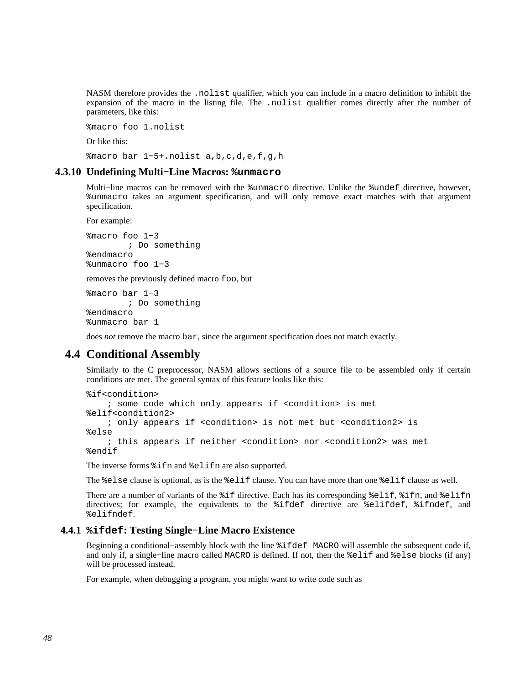NASM therefore provides the .nolist qualifier, which you can include in a macro definition to inhibit the expansion of the macro in the listing file. The .nolist qualifier comes directly after the number of parameters, like this:

%macro foo 1.nolist

Or like this:

%macro bar 1−5+.nolist a,b,c,d,e,f,g,h

#### **4.3.10 Undefining Multi−Line Macros: %unmacro**

Multi−line macros can be removed with the %unmacro directive. Unlike the %undef directive, however, %unmacro takes an argument specification, and will only remove exact matches with that argument specification.

For example:

%macro foo 1−3 ; Do something %endmacro %unmacro foo 1−3

removes the previously defined macro foo, but

%macro bar 1−3 ; Do something %endmacro %unmacro bar 1

does *not* remove the macro bar, since the argument specification does not match exactly.

# **4.4 Conditional Assembly**

Similarly to the C preprocessor, NASM allows sections of a source file to be assembled only if certain conditions are met. The general syntax of this feature looks like this:

```
%if<condition> 
     ; some code which only appears if <condition> is met 
%elif<condition2> 
     ; only appears if <condition> is not met but <condition2> is 
%else 
     ; this appears if neither <condition> nor <condition2> was met 
%endif
```
The inverse forms %ifn and %elifn are also supported.

The %else clause is optional, as is the %elif clause. You can have more than one %elif clause as well.

There are a number of variants of the %if directive. Each has its corresponding %elif, %ifn, and %elifn directives; for example, the equivalents to the %ifdef directive are %elifdef, %ifndef, and %elifndef.

#### **4.4.1 %ifdef: Testing Single−Line Macro Existence**

Beginning a conditional−assembly block with the line %ifdef MACRO will assemble the subsequent code if, and only if, a single−line macro called MACRO is defined. If not, then the %elif and %else blocks (if any) will be processed instead.

For example, when debugging a program, you might want to write code such as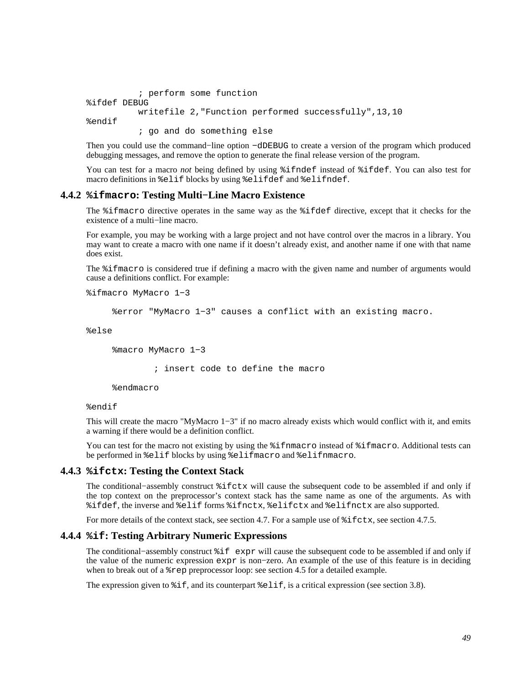```
 ; perform some function 
%ifdef DEBUG 
           writefile 2,"Function performed successfully",13,10 
%endif 
            ; go and do something else
```
Then you could use the command–line option −dDEBUG to create a version of the program which produced debugging messages, and remove the option to generate the final release version of the program.

You can test for a macro *not* being defined by using %ifndef instead of %ifdef. You can also test for macro definitions in %elif blocks by using %elifdef and %elifndef.

### **4.4.2 %ifmacro: Testing Multi−Line Macro Existence**

The %ifmacro directive operates in the same way as the %ifdef directive, except that it checks for the existence of a multi−line macro.

For example, you may be working with a large project and not have control over the macros in a library. You may want to create a macro with one name if it doesn't already exist, and another name if one with that name does exist.

The %ifmacro is considered true if defining a macro with the given name and number of arguments would cause a definitions conflict. For example:

```
%ifmacro MyMacro 1−3
```
%error "MyMacro 1−3" causes a conflict with an existing macro.

%else

%macro MyMacro 1−3

; insert code to define the macro

%endmacro

#### %endif

This will create the macro "MyMacro 1−3" if no macro already exists which would conflict with it, and emits a warning if there would be a definition conflict.

You can test for the macro not existing by using the  $\frac{2}{3}$  if final frace instead of  $\frac{2}{3}$  if macro. Additional tests can be performed in %elif blocks by using %elifmacro and %elifnmacro.

#### **4.4.3 %ifctx: Testing the Context Stack**

The conditional−assembly construct %ifctx will cause the subsequent code to be assembled if and only if the top context on the preprocessor's context stack has the same name as one of the arguments. As with %ifdef, the inverse and %elif forms %ifnctx, %elifctx and %elifnctx are also supported.

For more details of the context stack, see [section 4.7.](#page-52-0) For a sample use of  $\text{\$if} \text{ctx}$ , see [section 4.7.5.](#page-54-0)

### **4.4.4 %if: Testing Arbitrary Numeric Expressions**

The conditional−assembly construct %if expr will cause the subsequent code to be assembled if and only if the value of the numeric expression expr is non−zero. An example of the use of this feature is in deciding when to break out of a %rep preprocessor loop: see [section 4.5](#page-50-0) for a detailed example.

The expression given to  $\hat{\tau}$  if, and its counterpart  $\hat{\tau}$  elif, is a critical expression (see [section 3.8\)](#page-34-0).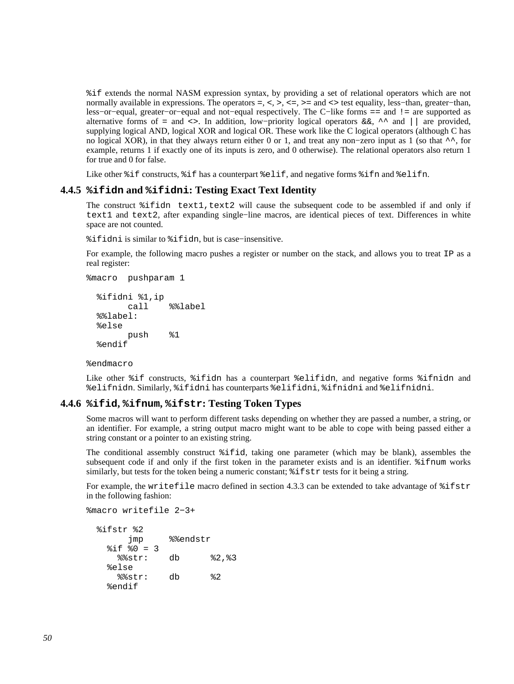%if extends the normal NASM expression syntax, by providing a set of relational operators which are not normally available in expressions. The operators =, <, >, <=, >= and <> test equality, less–than, greater–than, less−or−equal, greater−or−equal and not−equal respectively. The C−like forms == and != are supported as alternative forms of = and <>. In addition, low−priority logical operators &&, ^^ and || are provided, supplying logical AND, logical XOR and logical OR. These work like the C logical operators (although C has no logical XOR), in that they always return either 0 or 1, and treat any non−zero input as 1 (so that ^^, for example, returns 1 if exactly one of its inputs is zero, and 0 otherwise). The relational operators also return 1 for true and 0 for false.

Like other  $i$ f constructs,  $i$  f has a counterpart  $i$  elif, and negative forms  $i$  fn and  $i$  elifn.

### **4.4.5 %ifidn and %ifidni: Testing Exact Text Identity**

The construct  $\text{ifidn text1, text2 will cause the subsequent code to be assembled if and only if}$ text1 and text2, after expanding single−line macros, are identical pieces of text. Differences in white space are not counted.

%ifidni is similar to %ifidn, but is case−insensitive.

For example, the following macro pushes a register or number on the stack, and allows you to treat IP as a real register:

```
%macro pushparam 1
```

```
 %ifidni %1,ip 
       call %%label 
 %%label: 
 %else 
       push %1 
 %endif
```
%endmacro

Like other %if constructs, %ifidn has a counterpart %elifidn, and negative forms %ifnidn and %elifnidn. Similarly, %ifidni has counterparts %elifidni, %ifnidni and %elifnidni.

### **4.4.6 %ifid, %ifnum, %ifstr: Testing Token Types**

Some macros will want to perform different tasks depending on whether they are passed a number, a string, or an identifier. For example, a string output macro might want to be able to cope with being passed either a string constant or a pointer to an existing string.

The conditional assembly construct %ifid, taking one parameter (which may be blank), assembles the subsequent code if and only if the first token in the parameter exists and is an identifier. %ifnum works similarly, but tests for the token being a numeric constant;  $\hat{\tau}$  if  $\tau$  tests for it being a string.

For example, the writefile macro defined in [section 4.3.3](#page-43-0) can be extended to take advantage of  $\text{\$ifstr}$ in the following fashion:

```
%macro writefile 2−3+
```

```
 %ifstr %2 
      jmp %%endstr 
 §if §0 = 3
    %%str: db %2,%3 
   %else 
    %%str: db %2 
   %endif
```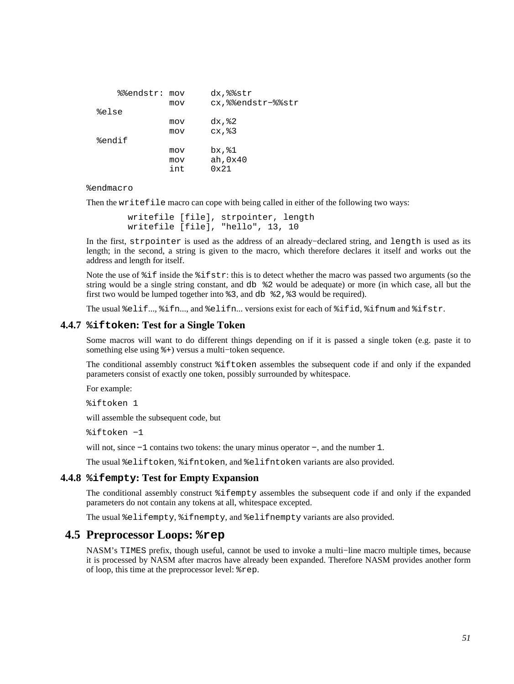| %%endstr: mov |     | dx, %%str         |
|---------------|-----|-------------------|
|               | mov | cx,%%endstr-%%str |
| %else         |     |                   |
|               | mov | $dx,$ $2$         |
|               | mov | cx, 83            |
| %endif        |     |                   |
|               | mov | bx, %1            |
|               | mov | ah, 0x40          |
|               | int | $0 \times 21$     |

#### %endmacro

Then the writefile macro can cope with being called in either of the following two ways:

```
 writefile [file], strpointer, length 
 writefile [file], "hello", 13, 10
```
In the first, strpointer is used as the address of an already−declared string, and length is used as its length; in the second, a string is given to the macro, which therefore declares it itself and works out the address and length for itself.

Note the use of %if inside the %ifstr: this is to detect whether the macro was passed two arguments (so the string would be a single string constant, and db %2 would be adequate) or more (in which case, all but the first two would be lumped together into %3, and db %2,%3 would be required).

The usual %elif..., %ifn..., and %elifn... versions exist for each of %ifid, %ifnum and %ifstr.

### **4.4.7 %iftoken: Test for a Single Token**

Some macros will want to do different things depending on if it is passed a single token (e.g. paste it to something else using %+) versus a multi−token sequence.

The conditional assembly construct %iftoken assembles the subsequent code if and only if the expanded parameters consist of exactly one token, possibly surrounded by whitespace.

For example:

%iftoken 1

will assemble the subsequent code, but

%iftoken −1

will not, since −1 contains two tokens: the unary minus operator −, and the number 1.

The usual %eliftoken, %ifntoken, and %elifntoken variants are also provided.

#### **4.4.8 %ifempty: Test for Empty Expansion**

The conditional assembly construct %ifempty assembles the subsequent code if and only if the expanded parameters do not contain any tokens at all, whitespace excepted.

The usual %elifempty, %ifnempty, and %elifnempty variants are also provided.

## **4.5 Preprocessor Loops: %rep**

<span id="page-50-0"></span>NASM's TIMES prefix, though useful, cannot be used to invoke a multi−line macro multiple times, because it is processed by NASM after macros have already been expanded. Therefore NASM provides another form of loop, this time at the preprocessor level: %rep.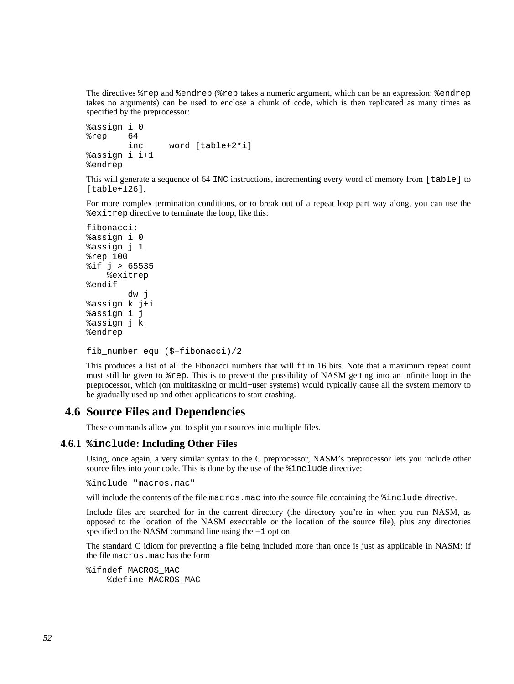The directives %rep and %endrep (%rep takes a numeric argument, which can be an expression; %endrep takes no arguments) can be used to enclose a chunk of code, which is then replicated as many times as specified by the preprocessor:

```
%assign i 0 
%rep 64 
         inc word [table+2*i] 
%assign i i+1 
%endrep
```
This will generate a sequence of 64 INC instructions, incrementing every word of memory from [table] to [table+126].

For more complex termination conditions, or to break out of a repeat loop part way along, you can use the %exitrep directive to terminate the loop, like this:

```
fibonacci: 
%assign i 0 
%assign j 1 
%rep 100 
%if j > 65535 
     %exitrep 
%endif 
          dw j 
%assign k j+i 
%assign i j 
%assign j k 
%endrep
```

```
fib_number equ ($−fibonacci)/2
```
This produces a list of all the Fibonacci numbers that will fit in 16 bits. Note that a maximum repeat count must still be given to %rep. This is to prevent the possibility of NASM getting into an infinite loop in the preprocessor, which (on multitasking or multi−user systems) would typically cause all the system memory to be gradually used up and other applications to start crashing.

# **4.6 Source Files and Dependencies**

These commands allow you to split your sources into multiple files.

### **4.6.1 %include: Including Other Files**

<span id="page-51-0"></span>Using, once again, a very similar syntax to the C preprocessor, NASM's preprocessor lets you include other source files into your code. This is done by the use of the %include directive:

%include "macros.mac"

will include the contents of the file macros.mac into the source file containing the  $\text{\$include}$  directive.

Include files are searched for in the current directory (the directory you're in when you run NASM, as opposed to the location of the NASM executable or the location of the source file), plus any directories specified on the NASM command line using the −i option.

The standard C idiom for preventing a file being included more than once is just as applicable in NASM: if the file macros.mac has the form

%ifndef MACROS\_MAC %define MACROS\_MAC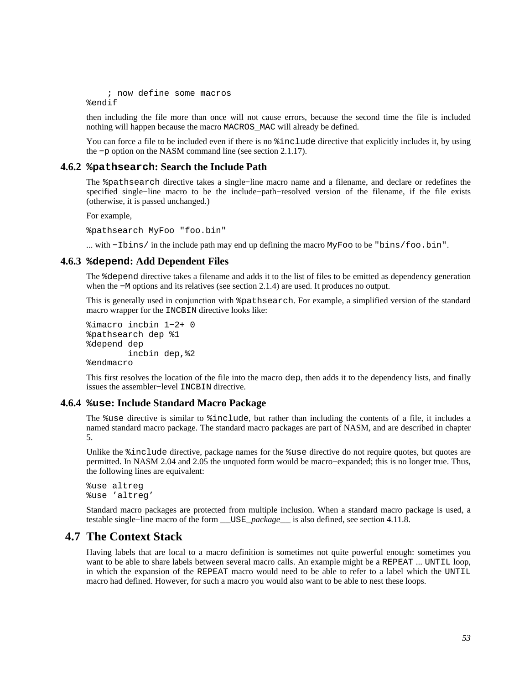; now define some macros %endif

then including the file more than once will not cause errors, because the second time the file is included nothing will happen because the macro MACROS\_MAC will already be defined.

You can force a file to be included even if there is no  $\frac{1}{2}$  include directive that explicitly includes it, by using the −p option on the NASM command line (see [section 2.1.17\)](#page-19-1).

### **4.6.2 %pathsearch: Search the Include Path**

The %pathsearch directive takes a single−line macro name and a filename, and declare or redefines the specified single−line macro to be the include−path–resolved version of the filename, if the file exists (otherwise, it is passed unchanged.)

For example,

%pathsearch MyFoo "foo.bin"

... with −Ibins/ in the include path may end up defining the macro MyFoo to be "bins/foo.bin".

### **4.6.3 %depend: Add Dependent Files**

The %depend directive takes a filename and adds it to the list of files to be emitted as dependency generation when the −M options and its relatives (see [section 2.1.4\)](#page-17-0) are used. It produces no output.

This is generally used in conjunction with %pathsearch. For example, a simplified version of the standard macro wrapper for the INCBIN directive looks like:

```
%imacro incbin 1−2+ 0 
%pathsearch dep %1 
%depend dep 
         incbin dep,%2 
%endmacro
```
This first resolves the location of the file into the macro dep, then adds it to the dependency lists, and finally issues the assembler−level INCBIN directive.

#### **4.6.4 %use: Include Standard Macro Package**

<span id="page-52-1"></span>The %use directive is similar to %include, but rather than including the contents of a file, it includes a named standard macro package. The standard macro packages are part of NASM, and are described in [chapter](#page-64-0) [5.](#page-64-0)

Unlike the %include directive, package names for the %use directive do not require quotes, but quotes are permitted. In NASM 2.04 and 2.05 the unquoted form would be macro−expanded; this is no longer true. Thus, the following lines are equivalent:

```
%use altreg 
%use 'altreg'
```
Standard macro packages are protected from multiple inclusion. When a standard macro package is used, a testable single−line macro of the form \_\_USE\_*package*\_\_ is also defined, see [section 4.11.8.](#page-61-0)

# **4.7 The Context Stack**

<span id="page-52-0"></span>Having labels that are local to a macro definition is sometimes not quite powerful enough: sometimes you want to be able to share labels between several macro calls. An example might be a REPEAT ... UNTIL loop, in which the expansion of the REPEAT macro would need to be able to refer to a label which the UNTIL macro had defined. However, for such a macro you would also want to be able to nest these loops.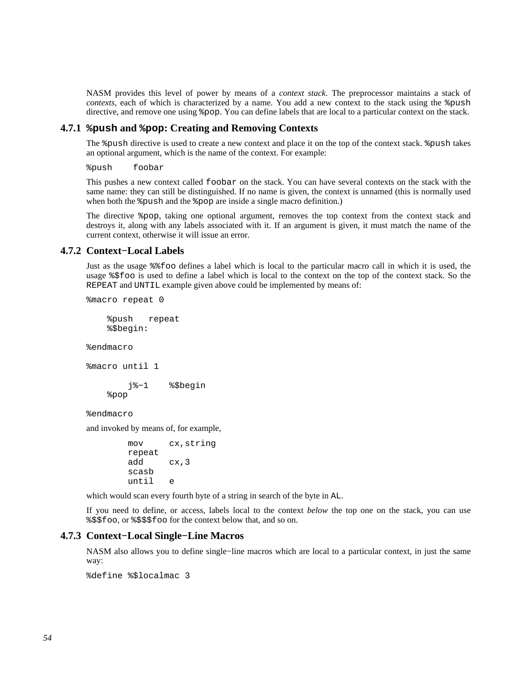NASM provides this level of power by means of a *context stack*. The preprocessor maintains a stack of *contexts*, each of which is characterized by a name. You add a new context to the stack using the  $\epsilon$  push directive, and remove one using %pop. You can define labels that are local to a particular context on the stack.

### **4.7.1 %push and %pop: Creating and Removing Contexts**

<span id="page-53-1"></span>The %push directive is used to create a new context and place it on the top of the context stack. %push takes an optional argument, which is the name of the context. For example:

%push foobar

This pushes a new context called foobar on the stack. You can have several contexts on the stack with the same name: they can still be distinguished. If no name is given, the context is unnamed (this is normally used when both the  $\epsilon$  push and the  $\epsilon$  pop are inside a single macro definition.)

The directive %pop, taking one optional argument, removes the top context from the context stack and destroys it, along with any labels associated with it. If an argument is given, it must match the name of the current context, otherwise it will issue an error.

### **4.7.2 Context−Local Labels**

<span id="page-53-0"></span>Just as the usage %%foo defines a label which is local to the particular macro call in which it is used, the usage %\$foo is used to define a label which is local to the context on the top of the context stack. So the REPEAT and UNTIL example given above could be implemented by means of:

%macro repeat 0

 %push repeat %\$begin:

%endmacro

```
%macro until 1
```
 j%−1 %\$begin %pop

%endmacro

and invoked by means of, for example,

```
 mov cx,string 
 repeat 
 add cx,3 
 scasb 
 until e
```
which would scan every fourth byte of a string in search of the byte in AL.

If you need to define, or access, labels local to the context *below* the top one on the stack, you can use %\$\$foo, or %\$\$\$foo for the context below that, and so on.

### **4.7.3 Context−Local Single−Line Macros**

NASM also allows you to define single−line macros which are local to a particular context, in just the same way:

%define %\$localmac 3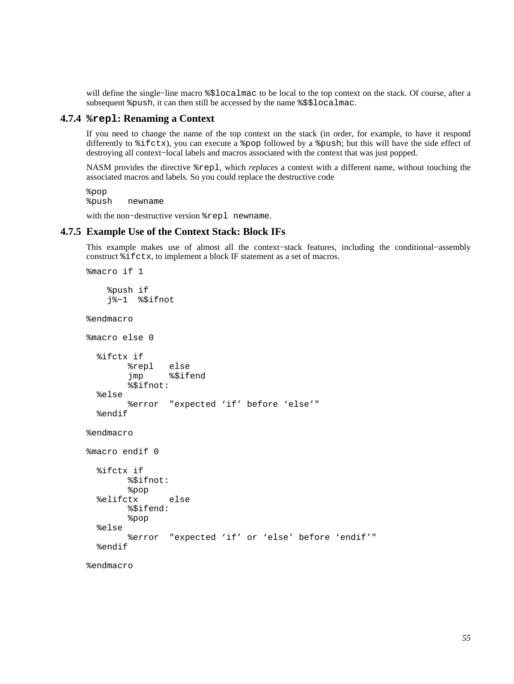will define the single−line macro %\$localmac to be local to the top context on the stack. Of course, after a subsequent %push, it can then still be accessed by the name %\$\$localmac.

### **4.7.4 %repl: Renaming a Context**

If you need to change the name of the top context on the stack (in order, for example, to have it respond differently to %ifctx), you can execute a %pop followed by a %push; but this will have the side effect of destroying all context−local labels and macros associated with the context that was just popped.

NASM provides the directive %repl, which *replaces* a context with a different name, without touching the associated macros and labels. So you could replace the destructive code

```
%pop 
%push newname
```
with the non−destructive version %repl newname.

### **4.7.5 Example Use of the Context Stack: Block IFs**

<span id="page-54-0"></span>This example makes use of almost all the context−stack features, including the conditional−assembly construct %ifctx, to implement a block IF statement as a set of macros.

```
%macro if 1 
     %push if 
     j%−1 %$ifnot 
%endmacro 
%macro else 0 
   %ifctx if 
         %repl else 
          jmp %$ifend 
          %$ifnot: 
   %else 
          %error "expected 'if' before 'else'" 
   %endif 
%endmacro 
%macro endif 0 
   %ifctx if 
         %$ifnot: 
          %pop 
   %elifctx else 
          %$ifend: 
          %pop 
   %else 
          %error "expected 'if' or 'else' before 'endif'" 
   %endif 
%endmacro
```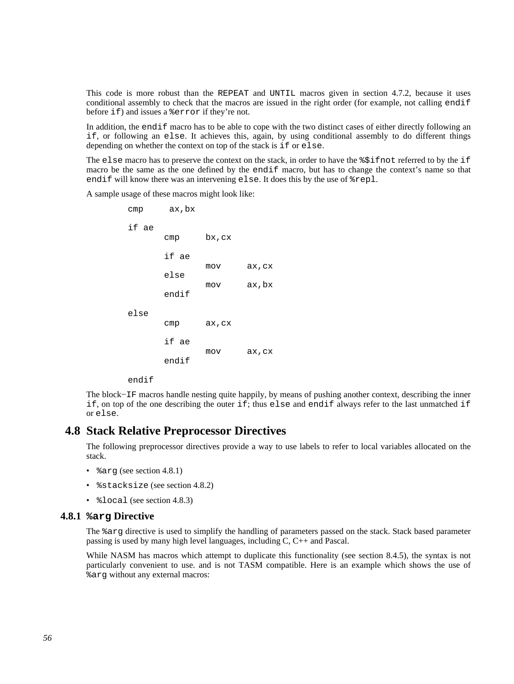This code is more robust than the REPEAT and UNTIL macros given in [section 4.7.2,](#page-53-0) because it uses conditional assembly to check that the macros are issued in the right order (for example, not calling endif before if) and issues a %error if they're not.

In addition, the endif macro has to be able to cope with the two distinct cases of either directly following an if, or following an else. It achieves this, again, by using conditional assembly to do different things depending on whether the context on top of the stack is if or else.

The else macro has to preserve the context on the stack, in order to have the  $\frac{25}{15}$  finot referred to by the if macro be the same as the one defined by the endif macro, but has to change the context's name so that endif will know there was an intervening else. It does this by the use of %repl.

A sample usage of these macros might look like:

 cmp ax,bx if ae cmp bx,cx if ae mov ax,cx else mov ax,bx endif else cmp ax,cx if ae mov ax,cx endif

endif

The block−IF macros handle nesting quite happily, by means of pushing another context, describing the inner if, on top of the one describing the outer if; thus else and endif always refer to the last unmatched if or else.

# **4.8 Stack Relative Preprocessor Directives**

The following preprocessor directives provide a way to use labels to refer to local variables allocated on the stack.

- %arg (see [section 4.8.1\)](#page-55-0)
- *%stacksize (see [section 4.8.2\)](#page-56-0)*
- *\*  $3$ local (see [section 4.8.3\)](#page-56-1)

### **4.8.1 %arg Directive**

<span id="page-55-0"></span>The %arg directive is used to simplify the handling of parameters passed on the stack. Stack based parameter passing is used by many high level languages, including C, C++ and Pascal.

While NASM has macros which attempt to duplicate this functionality (see [section 8.4.5\)](#page-96-0), the syntax is not particularly convenient to use. and is not TASM compatible. Here is an example which shows the use of %arg without any external macros: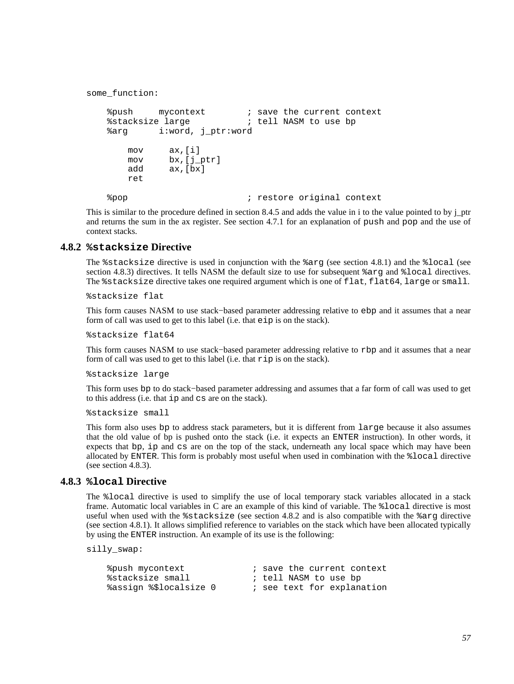```
some_function: 
    %push mycontext : save the current context<br>%stacksize large : i tell NASM to use bp
                                ; tell NASM to use bp
     %arg i:word, j_ptr:word 
         mov ax,[i] 
         mov bx,[j_ptr] 
         add ax,[bx] 
         ret 
     %pop ; restore original context
```
This is similar to the procedure defined in [section 8.4.5](#page-96-0) and adds the value in i to the value pointed to by j\_ptr and returns the sum in the ax register. See [section 4.7.1](#page-53-1) for an explanation of push and pop and the use of context stacks.

### **4.8.2 %stacksize Directive**

<span id="page-56-0"></span>The %stacksize directive is used in conjunction with the %arg (see [section 4.8.1](#page-55-0)) and the %local (see [section 4.8.3\)](#page-56-1) directives. It tells NASM the default size to use for subsequent %arg and %local directives. The %stacksize directive takes one required argument which is one of flat, flat64, large or small.

%stacksize flat

This form causes NASM to use stack−based parameter addressing relative to ebp and it assumes that a near form of call was used to get to this label (i.e. that eip is on the stack).

%stacksize flat64

This form causes NASM to use stack–based parameter addressing relative to rbp and it assumes that a near form of call was used to get to this label (i.e. that rip is on the stack).

%stacksize large

This form uses bp to do stack−based parameter addressing and assumes that a far form of call was used to get to this address (i.e. that ip and cs are on the stack).

%stacksize small

This form also uses bp to address stack parameters, but it is different from large because it also assumes that the old value of bp is pushed onto the stack (i.e. it expects an ENTER instruction). In other words, it expects that bp, ip and cs are on the top of the stack, underneath any local space which may have been allocated by ENTER. This form is probably most useful when used in combination with the %local directive (see [section 4.8.3\)](#page-56-1).

### **4.8.3 %local Directive**

<span id="page-56-1"></span>The %local directive is used to simplify the use of local temporary stack variables allocated in a stack frame. Automatic local variables in C are an example of this kind of variable. The %local directive is most useful when used with the %stacksize (see [section 4.8.2](#page-56-0) and is also compatible with the %arg directive (see [section 4.8.1](#page-55-0)). It allows simplified reference to variables on the stack which have been allocated typically by using the ENTER instruction. An example of its use is the following:

silly\_swap:

| %push mycontext        | ; save the current context |
|------------------------|----------------------------|
| %stacksize small       | ; tell NASM to use bp      |
| %assign %\$localsize 0 | ; see text for explanation |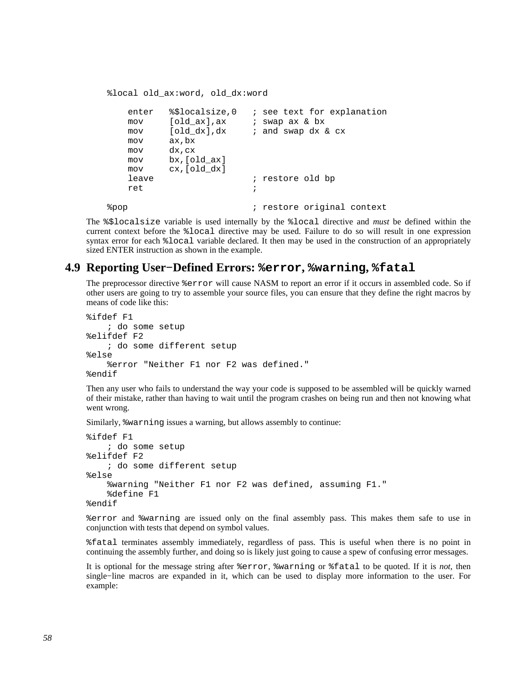```
 %local old_ax:word, old_dx:word
```

```
 enter %$localsize,0 ; see text for explanation 
       mov [old_ax],ax ; swap ax & bx 
      mov [old_dx],dx ; and swap dx & cx
       mov ax,bx 
       mov dx,cx 
       mov bx,[old_ax] 
       mov cx,[old_dx] 
      leave \qquad \qquad ; restore old bp
 ret ; 
    %pop ; restore original context
```
The %\$localsize variable is used internally by the %local directive and *must* be defined within the current context before the %local directive may be used. Failure to do so will result in one expression syntax error for each  $\lambda$ local variable declared. It then may be used in the construction of an appropriately sized ENTER instruction as shown in the example.

# **4.9 Reporting User−Defined Errors: %error, %warning, %fatal**

The preprocessor directive %error will cause NASM to report an error if it occurs in assembled code. So if other users are going to try to assemble your source files, you can ensure that they define the right macros by means of code like this:

```
%ifdef F1 
     ; do some setup 
%elifdef F2 
     ; do some different setup 
%else 
     %error "Neither F1 nor F2 was defined." 
%endif
```
Then any user who fails to understand the way your code is supposed to be assembled will be quickly warned of their mistake, rather than having to wait until the program crashes on being run and then not knowing what went wrong.

Similarly, %warning issues a warning, but allows assembly to continue:

```
%ifdef F1 
     ; do some setup 
%elifdef F2 
     ; do some different setup 
%else 
     %warning "Neither F1 nor F2 was defined, assuming F1." 
     %define F1 
%endif
```
%error and %warning are issued only on the final assembly pass. This makes them safe to use in conjunction with tests that depend on symbol values.

%fatal terminates assembly immediately, regardless of pass. This is useful when there is no point in continuing the assembly further, and doing so is likely just going to cause a spew of confusing error messages.

It is optional for the message string after %error, %warning or %fatal to be quoted. If it is *not*, then single−line macros are expanded in it, which can be used to display more information to the user. For example: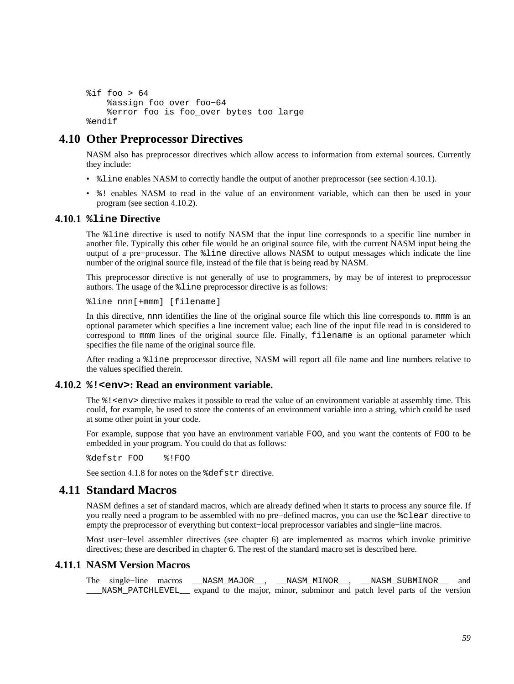```
sif foo > 64
     %assign foo_over foo−64 
     %error foo is foo_over bytes too large 
%endif
```
# **4.10 Other Preprocessor Directives**

NASM also has preprocessor directives which allow access to information from external sources. Currently they include:

- $\text{\$line}$  and  $\text{F}$  and  $\text{F}$  and  $\text{F}$  and  $\text{F}$  and  $\text{F}$  and  $\text{F}$  another preprocessor (see [section 4.10.1\)](#page-58-1).
- %! enables NASM to read in the value of an environment variable, which can then be used in your program (see [section 4.10.2\)](#page-58-0).

### **4.10.1 %line Directive**

<span id="page-58-1"></span>The %line directive is used to notify NASM that the input line corresponds to a specific line number in another file. Typically this other file would be an original source file, with the current NASM input being the output of a pre−processor. The %line directive allows NASM to output messages which indicate the line number of the original source file, instead of the file that is being read by NASM.

This preprocessor directive is not generally of use to programmers, by may be of interest to preprocessor authors. The usage of the %line preprocessor directive is as follows:

%line nnn[+mmm] [filename]

In this directive, nnn identifies the line of the original source file which this line corresponds to. mmm is an optional parameter which specifies a line increment value; each line of the input file read in is considered to correspond to mmm lines of the original source file. Finally, filename is an optional parameter which specifies the file name of the original source file.

After reading a %line preprocessor directive, NASM will report all file name and line numbers relative to the values specified therein.

### **4.10.2 %!<env>: Read an environment variable.**

<span id="page-58-0"></span>The  $\frac{1}{2}$ ! <env> directive makes it possible to read the value of an environment variable at assembly time. This could, for example, be used to store the contents of an environment variable into a string, which could be used at some other point in your code.

For example, suppose that you have an environment variable FOO, and you want the contents of FOO to be embedded in your program. You could do that as follows:

%defstr FOO %!FOO

See [section 4.1.8](#page-40-1) for notes on the %defstr directive.

# **4.11 Standard Macros**

NASM defines a set of standard macros, which are already defined when it starts to process any source file. If you really need a program to be assembled with no pre−defined macros, you can use the %clear directive to empty the preprocessor of everything but context−local preprocessor variables and single−line macros.

Most user−level assembler directives (see [chapter 6\)](#page-65-0) are implemented as macros which invoke primitive directives; these are described in [chapter 6.](#page-65-0) The rest of the standard macro set is described here.

### **4.11.1 NASM Version Macros**

The single−line macros \_\_NASM\_MAJOR\_\_, \_\_NASM\_MINOR\_\_, \_\_NASM\_SUBMINOR\_\_ and NASM PATCHLEVEL expand to the major, minor, subminor and patch level parts of the version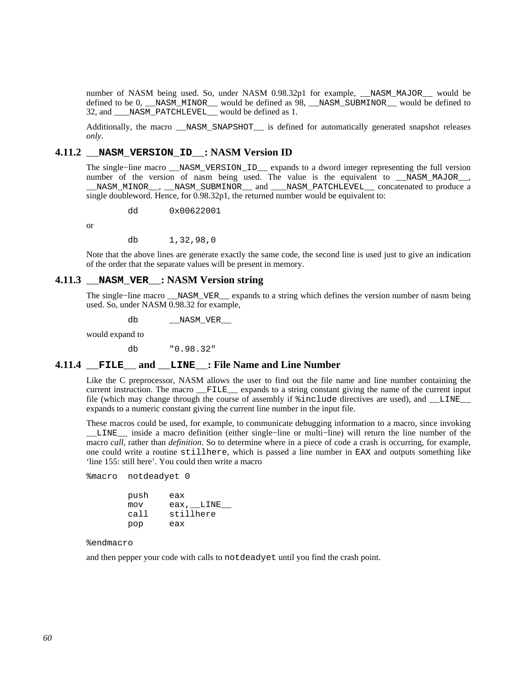number of NASM being used. So, under NASM 0.98.32p1 for example, \_\_NASM\_MAJOR\_\_ would be defined to be 0, \_\_NASM\_MINOR\_\_ would be defined as 98, \_\_NASM\_SUBMINOR\_\_ would be defined to 32, and NASM PATCHLEVEL would be defined as 1.

Additionally, the macro \_\_NASM\_SNAPSHOT \_\_\_\_\_\_\_ is defined for automatically generated snapshot releases *only*.

### **4.11.2 \_\_NASM\_VERSION\_ID\_\_: NASM Version ID**

The single−line macro \_\_NASM\_VERSION\_ID\_\_ expands to a dword integer representing the full version number of the version of nasm being used. The value is the equivalent to  $NASM_MAJOR$ , NASM\_MINOR\_, \_\_NASM\_SUBMINOR\_\_ and \_\_\_NASM\_PATCHLEVEL\_ concatenated to produce a single doubleword. Hence, for 0.98.32p1, the returned number would be equivalent to:

dd 0x00622001

or

db 1,32,98,0

Note that the above lines are generate exactly the same code, the second line is used just to give an indication of the order that the separate values will be present in memory.

# **4.11.3 \_\_NASM\_VER\_\_: NASM Version string**

The single−line macro \_\_NASM\_VER\_\_ expands to a string which defines the version number of nasm being used. So, under NASM 0.98.32 for example,

db \_\_NASM\_VER\_\_

would expand to

db "0.98.32"

### **4.11.4 \_\_FILE\_\_ and \_\_LINE\_\_: File Name and Line Number**

Like the C preprocessor, NASM allows the user to find out the file name and line number containing the current instruction. The macro FILE expands to a string constant giving the name of the current input file (which may change through the course of assembly if  $\frac{1}{2}$  include directives are used), and LINE expands to a numeric constant giving the current line number in the input file.

These macros could be used, for example, to communicate debugging information to a macro, since invoking \_\_LINE\_\_ inside a macro definition (either single−line or multi−line) will return the line number of the macro *call*, rather than *definition*. So to determine where in a piece of code a crash is occurring, for example, one could write a routine stillhere, which is passed a line number in EAX and outputs something like 'line 155: still here'. You could then write a macro

%macro notdeadyet 0

 push eax mov eax, LINE call stillhere pop eax

#### %endmacro

and then pepper your code with calls to notdeadyet until you find the crash point.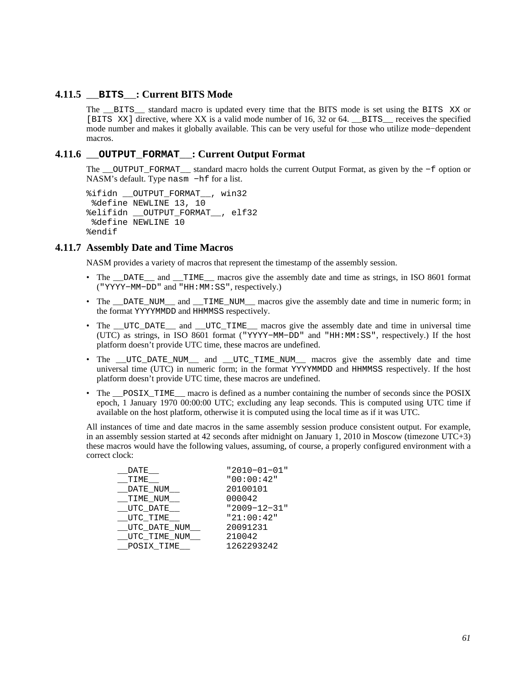### **4.11.5 \_\_BITS\_\_: Current BITS Mode**

<span id="page-60-0"></span>The \_\_BITS\_\_ standard macro is updated every time that the BITS mode is set using the BITS XX or [BITS XX] directive, where XX is a valid mode number of 16, 32 or 64. \_\_BITS\_\_ receives the specified mode number and makes it globally available. This can be very useful for those who utilize mode−dependent macros.

## **4.11.6 \_\_OUTPUT\_FORMAT\_\_: Current Output Format**

The \_\_OUTPUT\_FORMAT\_\_ standard macro holds the current Output Format, as given by the −f option or NASM's default. Type nasm −hf for a list.

```
%ifidn __OUTPUT_FORMAT__, win32 
  %define NEWLINE 13, 10 
%elifidn __OUTPUT_FORMAT__, elf32 
  %define NEWLINE 10 
%endif
```
### **4.11.7 Assembly Date and Time Macros**

NASM provides a variety of macros that represent the timestamp of the assembly session.

- The DATE and TIME macros give the assembly date and time as strings, in ISO 8601 format ("YYYY−MM−DD" and "HH:MM:SS", respectively.)
- The \_\_DATE\_NUM\_\_ and \_\_TIME\_NUM\_\_ macros give the assembly date and time in numeric form; in the format YYYYMMDD and HHMMSS respectively.
- The UTC DATE and UTC TIME macros give the assembly date and time in universal time (UTC) as strings, in ISO 8601 format ("YYYY−MM−DD" and "HH:MM:SS", respectively.) If the host platform doesn't provide UTC time, these macros are undefined.
- The \_UTC\_DATE\_NUM\_\_ and \_UTC\_TIME\_NUM\_\_ macros give the assembly date and time universal time (UTC) in numeric form; in the format YYYYMMDD and HHMMSS respectively. If the host platform doesn't provide UTC time, these macros are undefined.
- The <u>positing</u> macro is defined as a number containing the number of seconds since the POSIX epoch, 1 January 1970 00:00:00 UTC; excluding any leap seconds. This is computed using UTC time if available on the host platform, otherwise it is computed using the local time as if it was UTC.

All instances of time and date macros in the same assembly session produce consistent output. For example, in an assembly session started at 42 seconds after midnight on January 1, 2010 in Moscow (timezone UTC+3) these macros would have the following values, assuming, of course, a properly configured environment with a correct clock:

| "2010-01-01" |
|--------------|
| "00:00:42"   |
| 20100101     |
| 000042       |
| "2009-12-31" |
| "21:00:42"   |
| 20091231     |
| 210042       |
| 1262293242   |
|              |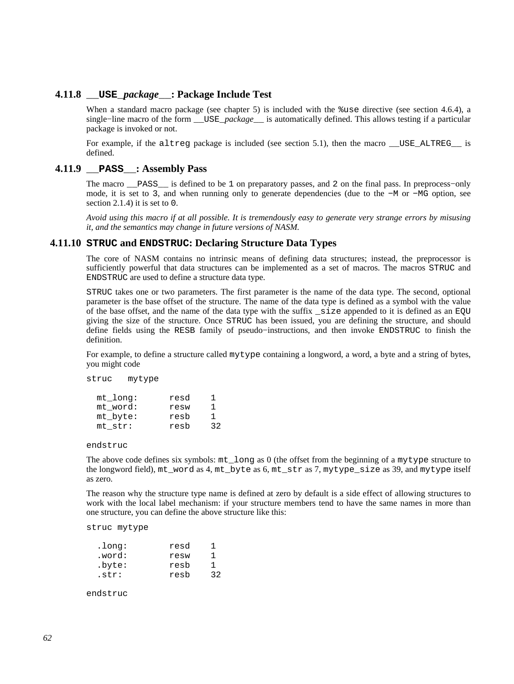### **4.11.8 \_\_USE\_***package***\_\_: Package Include Test**

<span id="page-61-0"></span>When a standard macro package (see [chapter 5\)](#page-64-0) is included with the %use directive (see [section 4.6.4\)](#page-52-1), a single−line macro of the form \_\_USE\_*package*\_\_ is automatically defined. This allows testing if a particular package is invoked or not.

For example, if the altreg package is included (see [section 5.1](#page-64-1)), then the macro \_\_USE\_ALTREG\_ is defined.

### **4.11.9 \_\_PASS\_\_: Assembly Pass**

The macro \_\_PASS\_\_ is defined to be 1 on preparatory passes, and 2 on the final pass. In preprocess−only mode, it is set to 3, and when running only to generate dependencies (due to the −M or −MG option, see [section 2.1.4\)](#page-17-0) it is set to 0.

*Avoid using this macro if at all possible. It is tremendously easy to generate very strange errors by misusing it, and the semantics may change in future versions of NASM.*

#### **4.11.10 STRUC and ENDSTRUC: Declaring Structure Data Types**

The core of NASM contains no intrinsic means of defining data structures; instead, the preprocessor is sufficiently powerful that data structures can be implemented as a set of macros. The macros STRUC and ENDSTRUC are used to define a structure data type.

STRUC takes one or two parameters. The first parameter is the name of the data type. The second, optional parameter is the base offset of the structure. The name of the data type is defined as a symbol with the value of the base offset, and the name of the data type with the suffix \_size appended to it is defined as an EQU giving the size of the structure. Once STRUC has been issued, you are defining the structure, and should define fields using the RESB family of pseudo−instructions, and then invoke ENDSTRUC to finish the definition.

For example, to define a structure called mytype containing a longword, a word, a byte and a string of bytes, you might code

| struc | mytype |
|-------|--------|
|-------|--------|

| mt long:    | resd | ı  |
|-------------|------|----|
| mt word:    | resw | 1  |
| $mt\_byte:$ | resb | 1  |
| mt str:     | resb | 32 |

endstruc

The above code defines six symbols: mt\_long as 0 (the offset from the beginning of a mytype structure to the longword field), mt\_word as 4, mt\_byte as 6, mt\_str as 7, mytype\_size as 39, and mytype itself as zero.

The reason why the structure type name is defined at zero by default is a side effect of allowing structures to work with the local label mechanism: if your structure members tend to have the same names in more than one structure, you can define the above structure like this:

struc mytype

| .long: | resd | ٦  |
|--------|------|----|
| .word: | resw | ı  |
| .byte: | resb | 1  |
| .str:  | resb | 32 |

endstruc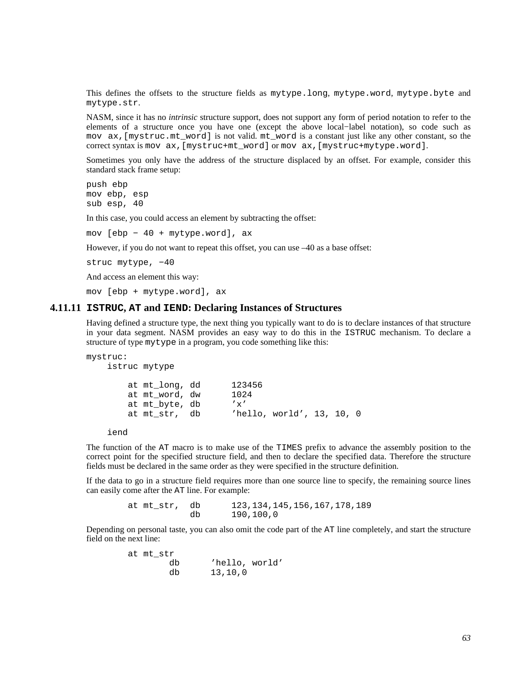This defines the offsets to the structure fields as mytype.long, mytype.word, mytype.byte and mytype.str.

NASM, since it has no *intrinsic* structure support, does not support any form of period notation to refer to the elements of a structure once you have one (except the above local−label notation), so code such as mov ax,[mystruc.mt\_word] is not valid. mt\_word is a constant just like any other constant, so the correct syntax is mov ax,[mystruc+mt\_word] or mov ax,[mystruc+mytype.word].

Sometimes you only have the address of the structure displaced by an offset. For example, consider this standard stack frame setup:

push ebp mov ebp, esp sub esp, 40

In this case, you could access an element by subtracting the offset:

mov [ebp − 40 + mytype.word], ax

However, if you do not want to repeat this offset, you can use –40 as a base offset:

struc mytype, -40

And access an element this way:

mov [ebp + mytype.word], ax

#### **4.11.11 ISTRUC, AT and IEND: Declaring Instances of Structures**

Having defined a structure type, the next thing you typically want to do is to declare instances of that structure in your data segment. NASM provides an easy way to do this in the ISTRUC mechanism. To declare a structure of type mytype in a program, you code something like this:

```
mystruc: 
    istruc mytype 
        at mt_long, dd 123456 
        at mt_word, dw 1024 
        at mt_byte, db 'x' 
        at mt_str, db 'hello, world', 13, 10, 0
```

```
 iend
```
The function of the AT macro is to make use of the TIMES prefix to advance the assembly position to the correct point for the specified structure field, and then to declare the specified data. Therefore the structure fields must be declared in the same order as they were specified in the structure definition.

If the data to go in a structure field requires more than one source line to specify, the remaining source lines can easily come after the AT line. For example:

> at mt\_str, db 123,134,145,156,167,178,189 db 190,100,0

Depending on personal taste, you can also omit the code part of the AT line completely, and start the structure field on the next line:

| at mt str |                |
|-----------|----------------|
| db        | 'hello, world' |
| db        | 13,10,0        |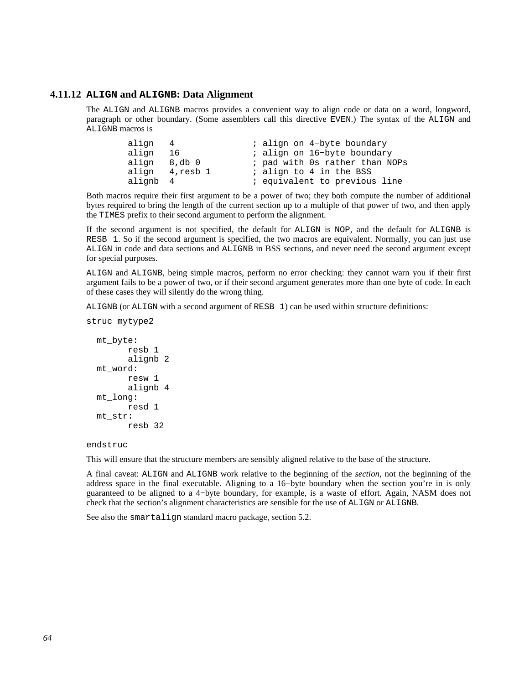### **4.11.12 ALIGN and ALIGNB: Data Alignment**

<span id="page-63-0"></span>The ALIGN and ALIGNB macros provides a convenient way to align code or data on a word, longword, paragraph or other boundary. (Some assemblers call this directive EVEN.) The syntax of the ALIGN and ALIGNB macros is

| align 4      |                | ; align on 4-byte boundary     |
|--------------|----------------|--------------------------------|
| align 16     |                | ; align on 16-byte boundary    |
| align 8,db 0 |                | ; pad with Os rather than NOPs |
|              | align 4,resb 1 | ; align to 4 in the BSS        |
| alignb 4     |                | ; equivalent to previous line  |

Both macros require their first argument to be a power of two; they both compute the number of additional bytes required to bring the length of the current section up to a multiple of that power of two, and then apply the TIMES prefix to their second argument to perform the alignment.

If the second argument is not specified, the default for ALIGN is NOP, and the default for ALIGNB is RESB 1. So if the second argument is specified, the two macros are equivalent. Normally, you can just use ALIGN in code and data sections and ALIGNB in BSS sections, and never need the second argument except for special purposes.

ALIGN and ALIGNB, being simple macros, perform no error checking: they cannot warn you if their first argument fails to be a power of two, or if their second argument generates more than one byte of code. In each of these cases they will silently do the wrong thing.

ALIGNB (or ALIGN with a second argument of RESB 1) can be used within structure definitions:

```
 mt_byte: 
        resb 1 
         alignb 2 
 mt_word: 
         resw 1 
         alignb 4 
 mt_long: 
         resd 1 
 mt_str: 
         resb 32
```
struc mytype2

endstruc

This will ensure that the structure members are sensibly aligned relative to the base of the structure.

A final caveat: ALIGN and ALIGNB work relative to the beginning of the *section*, not the beginning of the address space in the final executable. Aligning to a 16−byte boundary when the section you're in is only guaranteed to be aligned to a 4−byte boundary, for example, is a waste of effort. Again, NASM does not check that the section's alignment characteristics are sensible for the use of ALIGN or ALIGNB.

See also the smartalign standard macro package, [section 5.2.](#page-64-2)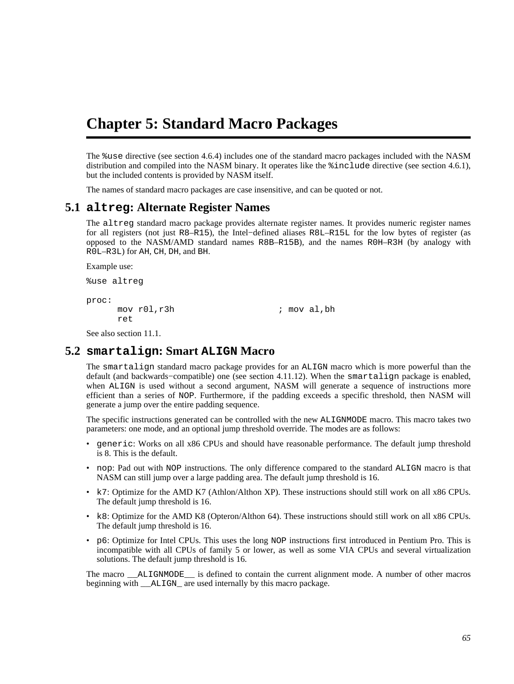# <span id="page-64-0"></span>**Chapter 5: Standard Macro Packages**

The %use directive (see [section 4.6.4\)](#page-52-1) includes one of the standard macro packages included with the NASM distribution and compiled into the NASM binary. It operates like the %include directive (see [section 4.6.1](#page-51-0)), but the included contents is provided by NASM itself.

The names of standard macro packages are case insensitive, and can be quoted or not.

## **5.1 altreg: Alternate Register Names**

<span id="page-64-1"></span>The altreg standard macro package provides alternate register names. It provides numeric register names for all registers (not just R8–R15), the Intel−defined aliases R8L–R15L for the low bytes of register (as opposed to the NASM/AMD standard names R8B–R15B), and the names R0H–R3H (by analogy with R0L–R3L) for AH, CH, DH, and BH.

Example use:

%use altreg

proc: ret

mov r01, r3h ; mov al, bh

See also [section 11.1.](#page-111-0)

# **5.2 smartalign: Smart ALIGN Macro**

<span id="page-64-2"></span>The smartalign standard macro package provides for an ALIGN macro which is more powerful than the default (and backwards−compatible) one (see [section 4.11.12\)](#page-63-0). When the smartalign package is enabled, when ALIGN is used without a second argument, NASM will generate a sequence of instructions more efficient than a series of NOP. Furthermore, if the padding exceeds a specific threshold, then NASM will generate a jump over the entire padding sequence.

The specific instructions generated can be controlled with the new ALIGNMODE macro. This macro takes two parameters: one mode, and an optional jump threshold override. The modes are as follows:

- generic: Works on all x86 CPUs and should have reasonable performance. The default jump threshold is 8. This is the default.
- nop: Pad out with NOP instructions. The only difference compared to the standard ALIGN macro is that NASM can still jump over a large padding area. The default jump threshold is 16.
- k7: Optimize for the AMD K7 (Athlon/Althon XP). These instructions should still work on all x86 CPUs. The default jump threshold is 16.
- k8: Optimize for the AMD K8 (Opteron/Althon 64). These instructions should still work on all x86 CPUs. The default jump threshold is 16.
- p6: Optimize for Intel CPUs. This uses the long NOP instructions first introduced in Pentium Pro. This is incompatible with all CPUs of family 5 or lower, as well as some VIA CPUs and several virtualization solutions. The default jump threshold is 16.

The macro \_\_ALIGNMODE\_\_ is defined to contain the current alignment mode. A number of other macros beginning with <br>ALIGN are used internally by this macro package.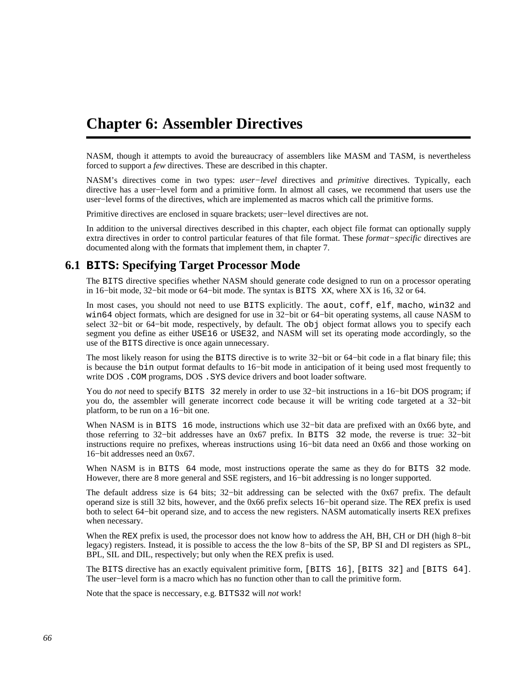# <span id="page-65-0"></span>**Chapter 6: Assembler Directives**

NASM, though it attempts to avoid the bureaucracy of assemblers like MASM and TASM, is nevertheless forced to support a *few* directives. These are described in this chapter.

NASM's directives come in two types: *user−level* directives and *primitive* directives. Typically, each directive has a user−level form and a primitive form. In almost all cases, we recommend that users use the user−level forms of the directives, which are implemented as macros which call the primitive forms.

Primitive directives are enclosed in square brackets; user−level directives are not.

In addition to the universal directives described in this chapter, each object file format can optionally supply extra directives in order to control particular features of that file format. These *format−specific* directives are documented along with the formats that implement them, in [chapter 7.](#page-71-0)

# **6.1 BITS: Specifying Target Processor Mode**

<span id="page-65-1"></span>The BITS directive specifies whether NASM should generate code designed to run on a processor operating in 16−bit mode, 32−bit mode or 64−bit mode. The syntax is BITS XX, where XX is 16, 32 or 64.

In most cases, you should not need to use BITS explicitly. The aout, coff, elf, macho, win32 and win64 object formats, which are designed for use in 32−bit or 64−bit operating systems, all cause NASM to select 32−bit or 64–bit mode, respectively, by default. The obj object format allows you to specify each segment you define as either USE16 or USE32, and NASM will set its operating mode accordingly, so the use of the BITS directive is once again unnecessary.

The most likely reason for using the BITS directive is to write 32–bit or 64–bit code in a flat binary file; this is because the bin output format defaults to 16−bit mode in anticipation of it being used most frequently to write DOS . COM programs, DOS . SYS device drivers and boot loader software.

You do *not* need to specify BITS 32 merely in order to use 32−bit instructions in a 16−bit DOS program; if you do, the assembler will generate incorrect code because it will be writing code targeted at a 32−bit platform, to be run on a 16−bit one.

When NASM is in BITS 16 mode, instructions which use 32–bit data are prefixed with an 0x66 byte, and those referring to 32−bit addresses have an 0x67 prefix. In BITS 32 mode, the reverse is true: 32−bit instructions require no prefixes, whereas instructions using 16−bit data need an 0x66 and those working on 16−bit addresses need an 0x67.

When NASM is in BITS 64 mode, most instructions operate the same as they do for BITS 32 mode. However, there are 8 more general and SSE registers, and 16−bit addressing is no longer supported.

The default address size is 64 bits; 32−bit addressing can be selected with the 0x67 prefix. The default operand size is still 32 bits, however, and the 0x66 prefix selects 16−bit operand size. The REX prefix is used both to select 64−bit operand size, and to access the new registers. NASM automatically inserts REX prefixes when necessary.

When the REX prefix is used, the processor does not know how to address the AH, BH, CH or DH (high 8−bit legacy) registers. Instead, it is possible to access the the low 8−bits of the SP, BP SI and DI registers as SPL, BPL, SIL and DIL, respectively; but only when the REX prefix is used.

The BITS directive has an exactly equivalent primitive form, [BITS 16], [BITS 32] and [BITS 64]. The user−level form is a macro which has no function other than to call the primitive form.

Note that the space is neccessary, e.g. BITS32 will *not* work!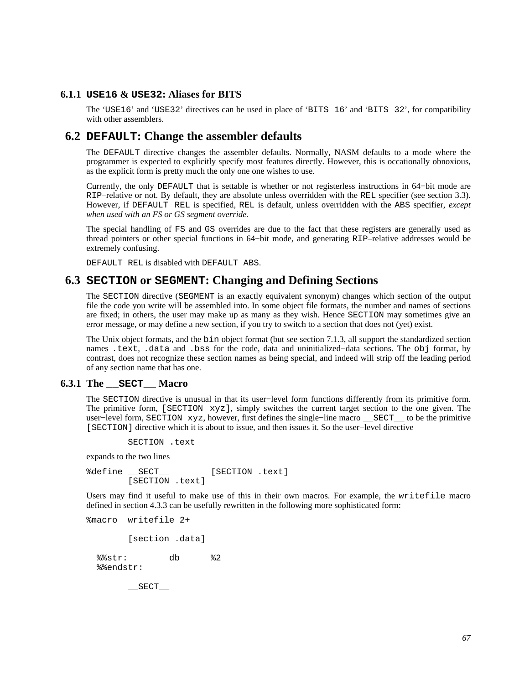### **6.1.1 USE16 & USE32: Aliases for BITS**

The 'USE16' and 'USE32' directives can be used in place of 'BITS 16' and 'BITS 32', for compatibility with other assemblers.

# **6.2 DEFAULT: Change the assembler defaults**

The DEFAULT directive changes the assembler defaults. Normally, NASM defaults to a mode where the programmer is expected to explicitly specify most features directly. However, this is occationally obnoxious, as the explicit form is pretty much the only one one wishes to use.

Currently, the only DEFAULT that is settable is whether or not registerless instructions in 64−bit mode are RIP–relative or not. By default, they are absolute unless overridden with the REL specifier (see [section 3.3](#page-27-0)). However, if DEFAULT REL is specified, REL is default, unless overridden with the ABS specifier, *except when used with an FS or GS segment override*.

The special handling of FS and GS overrides are due to the fact that these registers are generally used as thread pointers or other special functions in 64−bit mode, and generating RIP–relative addresses would be extremely confusing.

DEFAULT REL is disabled with DEFAULT ABS.

# **6.3 SECTION or SEGMENT: Changing and Defining Sections**

The SECTION directive (SEGMENT is an exactly equivalent synonym) changes which section of the output file the code you write will be assembled into. In some object file formats, the number and names of sections are fixed; in others, the user may make up as many as they wish. Hence SECTION may sometimes give an error message, or may define a new section, if you try to switch to a section that does not (yet) exist.

The Unix object formats, and the bin object format (but see [section 7.1.3](#page-72-0), all support the standardized section names .text, .data and .bss for the code, data and uninitialized−data sections. The obj format, by contrast, does not recognize these section names as being special, and indeed will strip off the leading period of any section name that has one.

### **6.3.1 The \_\_SECT\_\_ Macro**

<span id="page-66-0"></span>The SECTION directive is unusual in that its user−level form functions differently from its primitive form. The primitive form, [SECTION xyz], simply switches the current target section to the one given. The user−level form, SECTION xyz, however, first defines the single−line macro \_\_SECT\_\_ to be the primitive [SECTION] directive which it is about to issue, and then issues it. So the user−level directive

SECTION .text

expands to the two lines

%define SECT [SECTION .text] [SECTION .text]

Users may find it useful to make use of this in their own macros. For example, the writefile macro defined in [section 4.3.3](#page-43-0) can be usefully rewritten in the following more sophisticated form:

```
%macro writefile 2+
```
[section .data]

 %%str: db %2 %%endstr:

 $\_$ SECT $\_$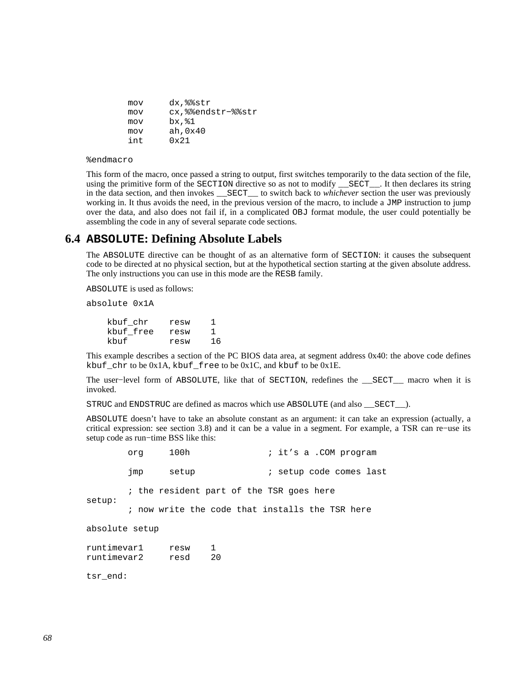| mov | dx,%%str              |
|-----|-----------------------|
| mov | cx, % endstr- % % str |
| mov | bx, %1                |
| mov | ah, 0x40              |
| int | $0 \times 21$         |

%endmacro

This form of the macro, once passed a string to output, first switches temporarily to the data section of the file, using the primitive form of the SECTION directive so as not to modify \_\_SECT\_\_. It then declares its string in the data section, and then invokes \_\_SECT\_\_ to switch back to *whichever* section the user was previously working in. It thus avoids the need, in the previous version of the macro, to include a JMP instruction to jump over the data, and also does not fail if, in a complicated OBJ format module, the user could potentially be assembling the code in any of several separate code sections.

# **6.4 ABSOLUTE: Defining Absolute Labels**

The ABSOLUTE directive can be thought of as an alternative form of SECTION: it causes the subsequent code to be directed at no physical section, but at the hypothetical section starting at the given absolute address. The only instructions you can use in this mode are the RESB family.

ABSOLUTE is used as follows:

absolute 0x1A

 kbuf\_chr resw 1 kbuf\_free resw 1 kbuf resw 16

This example describes a section of the PC BIOS data area, at segment address 0x40: the above code defines kbuf\_chr to be 0x1A, kbuf\_free to be 0x1C, and kbuf to be 0x1E.

The user−level form of ABSOLUTE, like that of SECTION, redefines the \_\_SECT\_\_ macro when it is invoked.

STRUC and ENDSTRUC are defined as macros which use ABSOLUTE (and also \_\_SECT\_\_).

ABSOLUTE doesn't have to take an absolute constant as an argument: it can take an expression (actually, a critical expression: see [section 3.8\)](#page-34-0) and it can be a value in a segment. For example, a TSR can re−use its setup code as run−time BSS like this:

|                            | orq | 100h         |                    | ; it's a .COM program                           |
|----------------------------|-----|--------------|--------------------|-------------------------------------------------|
|                            | jmp | setup        |                    | ; setup code comes last                         |
| setup:                     |     |              |                    | ; the resident part of the TSR goes here        |
|                            |     |              |                    | ; now write the code that installs the TSR here |
| absolute setup             |     |              |                    |                                                 |
| runtimevar1<br>runtimevar2 |     | resw<br>resd | $\mathbf{1}$<br>20 |                                                 |
| tsr end:                   |     |              |                    |                                                 |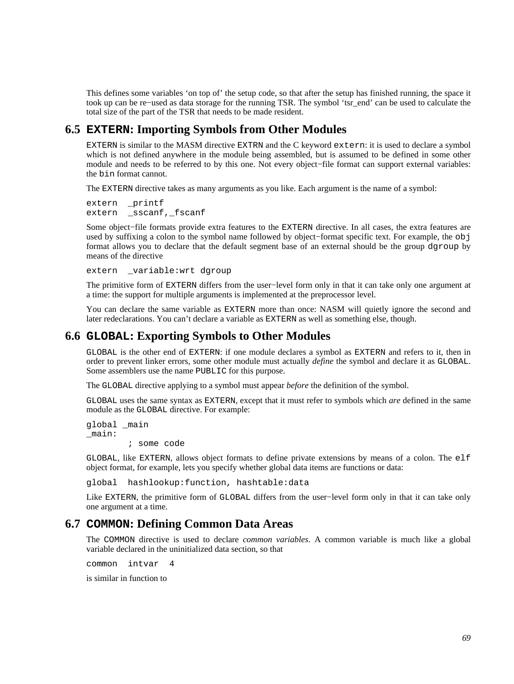This defines some variables 'on top of' the setup code, so that after the setup has finished running, the space it took up can be re−used as data storage for the running TSR. The symbol 'tsr\_end' can be used to calculate the total size of the part of the TSR that needs to be made resident.

# **6.5 EXTERN: Importing Symbols from Other Modules**

EXTERN is similar to the MASM directive EXTRN and the C keyword extern: it is used to declare a symbol which is not defined anywhere in the module being assembled, but is assumed to be defined in some other module and needs to be referred to by this one. Not every object−file format can support external variables: the bin format cannot.

The EXTERN directive takes as many arguments as you like. Each argument is the name of a symbol:

extern printf extern \_sscanf,\_fscanf

Some object−file formats provide extra features to the EXTERN directive. In all cases, the extra features are used by suffixing a colon to the symbol name followed by object−format specific text. For example, the obj format allows you to declare that the default segment base of an external should be the group dgroup by means of the directive

extern \_variable:wrt dgroup

The primitive form of EXTERN differs from the user−level form only in that it can take only one argument at a time: the support for multiple arguments is implemented at the preprocessor level.

You can declare the same variable as EXTERN more than once: NASM will quietly ignore the second and later redeclarations. You can't declare a variable as EXTERN as well as something else, though.

# **6.6 GLOBAL: Exporting Symbols to Other Modules**

GLOBAL is the other end of EXTERN: if one module declares a symbol as EXTERN and refers to it, then in order to prevent linker errors, some other module must actually *define* the symbol and declare it as GLOBAL. Some assemblers use the name PUBLIC for this purpose.

The GLOBAL directive applying to a symbol must appear *before* the definition of the symbol.

GLOBAL uses the same syntax as EXTERN, except that it must refer to symbols which *are* defined in the same module as the GLOBAL directive. For example:

global \_main \_main:

; some code

GLOBAL, like EXTERN, allows object formats to define private extensions by means of a colon. The elf object format, for example, lets you specify whether global data items are functions or data:

global hashlookup:function, hashtable:data

Like EXTERN, the primitive form of GLOBAL differs from the user−level form only in that it can take only one argument at a time.

## **6.7 COMMON: Defining Common Data Areas**

The COMMON directive is used to declare *common variables*. A common variable is much like a global variable declared in the uninitialized data section, so that

common intvar 4

is similar in function to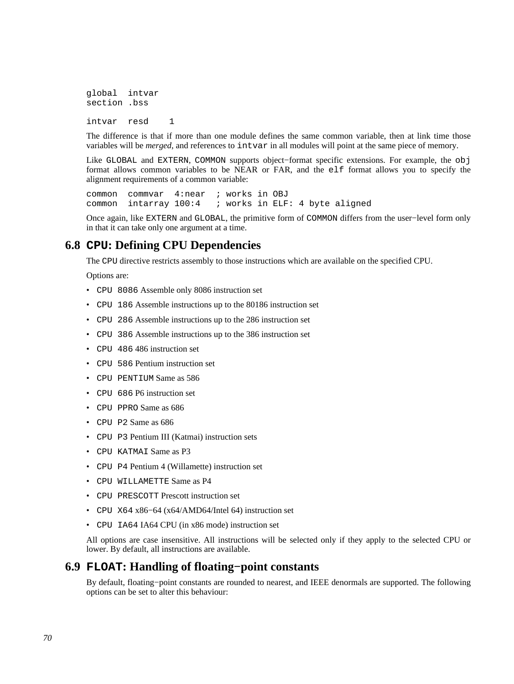global intvar section .bss intvar resd 1

The difference is that if more than one module defines the same common variable, then at link time those variables will be *merged*, and references to intvar in all modules will point at the same piece of memory.

Like GLOBAL and EXTERN, COMMON supports object−format specific extensions. For example, the obj format allows common variables to be NEAR or FAR, and the elf format allows you to specify the alignment requirements of a common variable:

common commvar 4:near ; works in OBJ common intarray 100:4 ; works in ELF: 4 byte aligned

Once again, like EXTERN and GLOBAL, the primitive form of COMMON differs from the user−level form only in that it can take only one argument at a time.

# **6.8 CPU: Defining CPU Dependencies**

The CPU directive restricts assembly to those instructions which are available on the specified CPU.

Options are:

- CPU 8086 Assemble only 8086 instruction set
- CPU 186 Assemble instructions up to the 80186 instruction set
- CPU 286 Assemble instructions up to the 286 instruction set
- CPU 386 Assemble instructions up to the 386 instruction set
- CPU 486 486 instruction set
- CPU 586 Pentium instruction set
- CPU PENTIUM Same as 586
- CPU 686 P6 instruction set
- CPU PPRO Same as 686
- CPU P2 Same as 686
- CPU P3 Pentium III (Katmai) instruction sets
- CPU KATMAI Same as P3
- CPU P4 Pentium 4 (Willamette) instruction set
- CPU WILLAMETTE Same as P4
- CPU PRESCOTT Prescott instruction set
- CPU X64 x86−64 (x64/AMD64/Intel 64) instruction set
- CPU IA64 IA64 CPU (in x86 mode) instruction set

All options are case insensitive. All instructions will be selected only if they apply to the selected CPU or lower. By default, all instructions are available.

# **6.9 FLOAT: Handling of floating−point constants**

By default, floating−point constants are rounded to nearest, and IEEE denormals are supported. The following options can be set to alter this behaviour: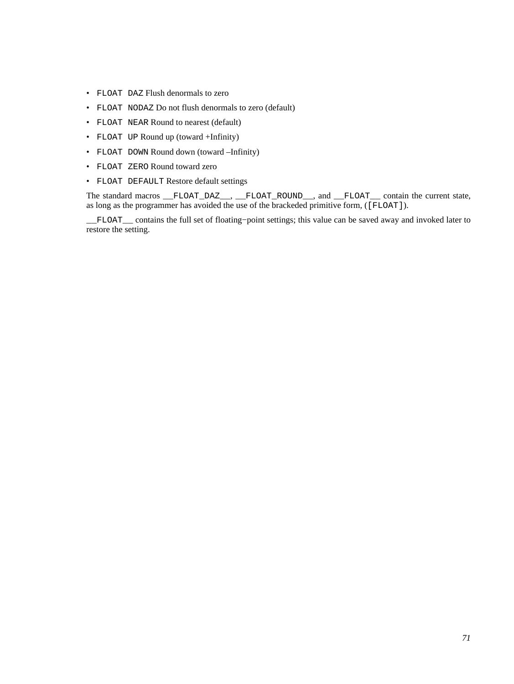- FLOAT DAZ Flush denormals to zero
- FLOAT NODAZ Do not flush denormals to zero (default)
- FLOAT NEAR Round to nearest (default)
- FLOAT UP Round up (toward +Infinity)
- FLOAT DOWN Round down (toward –Infinity)
- FLOAT ZERO Round toward zero
- FLOAT DEFAULT Restore default settings

The standard macros \_\_FLOAT\_DAZ\_\_, \_\_FLOAT\_ROUND\_\_, and \_\_FLOAT\_\_ contain the current state, as long as the programmer has avoided the use of the brackeded primitive form, ([FLOAT]).

\_\_FLOAT\_\_ contains the full set of floating−point settings; this value can be saved away and invoked later to restore the setting.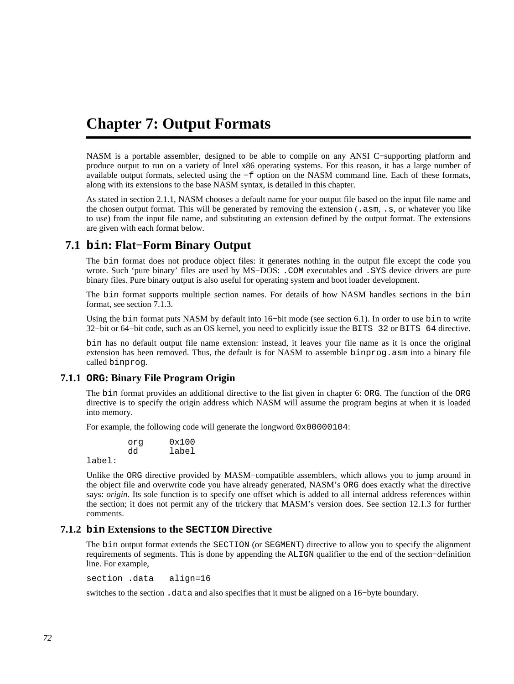# <span id="page-71-0"></span>**Chapter 7: Output Formats**

NASM is a portable assembler, designed to be able to compile on any ANSI C−supporting platform and produce output to run on a variety of Intel x86 operating systems. For this reason, it has a large number of available output formats, selected using the −f option on the NASM command line. Each of these formats, along with its extensions to the base NASM syntax, is detailed in this chapter.

As stated in [section 2.1.1](#page-16-0), NASM chooses a default name for your output file based on the input file name and the chosen output format. This will be generated by removing the extension (.asm, .s, or whatever you like to use) from the input file name, and substituting an extension defined by the output format. The extensions are given with each format below.

# **7.1 bin: Flat−Form Binary Output**

The bin format does not produce object files: it generates nothing in the output file except the code you wrote. Such 'pure binary' files are used by MS-DOS: . COM executables and . SYS device drivers are pure binary files. Pure binary output is also useful for operating system and boot loader development.

The bin format supports multiple section names. For details of how NASM handles sections in the bin format, see [section 7.1.3.](#page-72-0)

Using the bin format puts NASM by default into 16−bit mode (see [section 6.1](#page-65-1)). In order to use bin to write 32−bit or 64−bit code, such as an OS kernel, you need to explicitly issue the BITS 32 or BITS 64 directive.

bin has no default output file name extension: instead, it leaves your file name as it is once the original extension has been removed. Thus, the default is for NASM to assemble binprog.asm into a binary file called binprog.

### **7.1.1 ORG: Binary File Program Origin**

The bin format provides an additional directive to the list given in [chapter 6:](#page-65-0) ORG. The function of the ORG directive is to specify the origin address which NASM will assume the program begins at when it is loaded into memory.

For example, the following code will generate the longword 0x00000104:

 org 0x100 dd label

label:

Unlike the ORG directive provided by MASM−compatible assemblers, which allows you to jump around in the object file and overwrite code you have already generated, NASM's ORG does exactly what the directive says: *origin*. Its sole function is to specify one offset which is added to all internal address references within the section; it does not permit any of the trickery that MASM's version does. See [section 12.1.3](#page-114-0) for further comments.

### **7.1.2 bin Extensions to the SECTION Directive**

The bin output format extends the SECTION (or SEGMENT) directive to allow you to specify the alignment requirements of segments. This is done by appending the ALIGN qualifier to the end of the section−definition line. For example,

section .data align=16

switches to the section .data and also specifies that it must be aligned on a 16−byte boundary.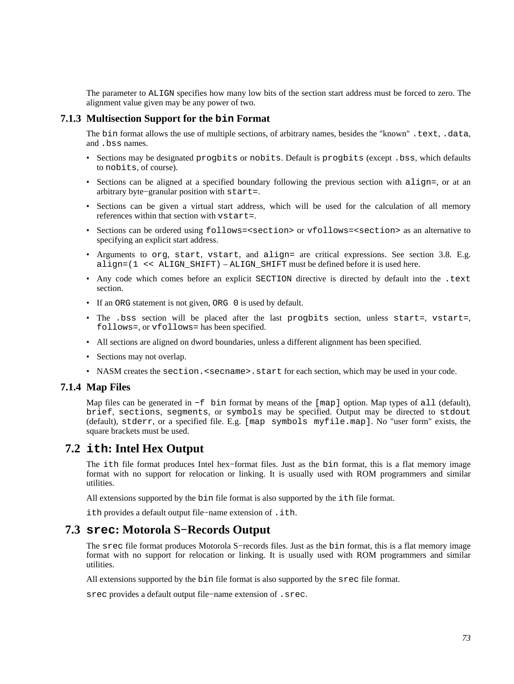The parameter to ALIGN specifies how many low bits of the section start address must be forced to zero. The alignment value given may be any power of two.

## **7.1.3 Multisection Support for the bin Format**

The bin format allows the use of multiple sections, of arbitrary names, besides the "known" .text, .data, and .bss names.

- Sections may be designated progbits or nobits. Default is progbits (except . bss, which defaults to nobits, of course).
- Sections can be aligned at a specified boundary following the previous section with  $\text{align}$ , or at an arbitrary byte−granular position with start=.
- Sections can be given a virtual start address, which will be used for the calculation of all memory references within that section with vstart=.
- Sections can be ordered using follows=<section> or vfollows=<section> as an alternative to specifying an explicit start address.
- Arguments to org, start, vstart, and align= are critical expressions. See [section 3.8.](#page-34-0) E.g. align= $(1 \le \text{ALIGN SHIFT})$  – ALIGN SHIFT must be defined before it is used here.
- Any code which comes before an explicit SECTION directive is directed by default into the .text section.
- If an ORG statement is not given, ORG 0 is used by default.
- The .bss section will be placed after the last progbits section, unless start=, vstart=, follows=, or vfollows= has been specified.
- All sections are aligned on dword boundaries, unless a different alignment has been specified.
- Sections may not overlap.
- NASM creates the section. < secname>. start for each section, which may be used in your code.

### **7.1.4 Map Files**

Map files can be generated in −f bin format by means of the [map] option. Map types of all (default), brief, sections, segments, or symbols may be specified. Output may be directed to stdout (default), stderr, or a specified file. E.g. [map symbols myfile.map]. No "user form" exists, the square brackets must be used.

## **7.2 ith: Intel Hex Output**

The ith file format produces Intel hex−format files. Just as the bin format, this is a flat memory image format with no support for relocation or linking. It is usually used with ROM programmers and similar utilities.

All extensions supported by the bin file format is also supported by the ith file format.

ith provides a default output file−name extension of .ith.

# **7.3 srec: Motorola S−Records Output**

The srec file format produces Motorola S−records files. Just as the bin format, this is a flat memory image format with no support for relocation or linking. It is usually used with ROM programmers and similar utilities.

All extensions supported by the bin file format is also supported by the srec file format.

srec provides a default output file−name extension of .srec.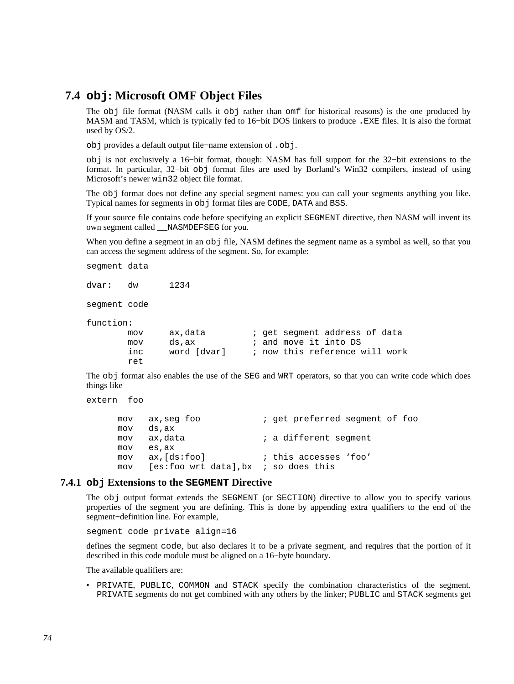# **7.4 obj: Microsoft OMF Object Files**

<span id="page-73-0"></span>The obj file format (NASM calls it obj rather than omf for historical reasons) is the one produced by MASM and TASM, which is typically fed to 16−bit DOS linkers to produce .EXE files. It is also the format used by OS/2.

obj provides a default output file−name extension of .obj.

obj is not exclusively a 16−bit format, though: NASM has full support for the 32−bit extensions to the format. In particular, 32−bit obj format files are used by Borland's Win32 compilers, instead of using Microsoft's newer win32 object file format.

The obj format does not define any special segment names: you can call your segments anything you like. Typical names for segments in obj format files are CODE, DATA and BSS.

If your source file contains code before specifying an explicit SEGMENT directive, then NASM will invent its own segment called \_\_NASMDEFSEG for you.

When you define a segment in an  $obj$  file, NASM defines the segment name as a symbol as well, so that you can access the segment address of the segment. So, for example:

segment data

dvar: dw 1234

segment code

function:

```
mov ax, data \qquad i get segment address of data
mov ds, ax \qquad ; and move it into DS
 inc word [dvar] ; now this reference will work 
 ret
```
The obj format also enables the use of the SEG and WRT operators, so that you can write code which does things like

```
extern foo
```
mov ax, seg foo ; get preferred segment of foo mov ds,ax mov ax, data  $\qquad i$  a different segment mov es,ax mov ax,[ds:foo] ; this accesses 'foo' mov [es:foo wrt data],bx ; so does this

### **7.4.1 obj Extensions to the SEGMENT Directive**

The obj output format extends the SEGMENT (or SECTION) directive to allow you to specify various properties of the segment you are defining. This is done by appending extra qualifiers to the end of the segment−definition line. For example,

segment code private align=16

defines the segment code, but also declares it to be a private segment, and requires that the portion of it described in this code module must be aligned on a 16−byte boundary.

The available qualifiers are:

• PRIVATE, PUBLIC, COMMON and STACK specify the combination characteristics of the segment. PRIVATE segments do not get combined with any others by the linker; PUBLIC and STACK segments get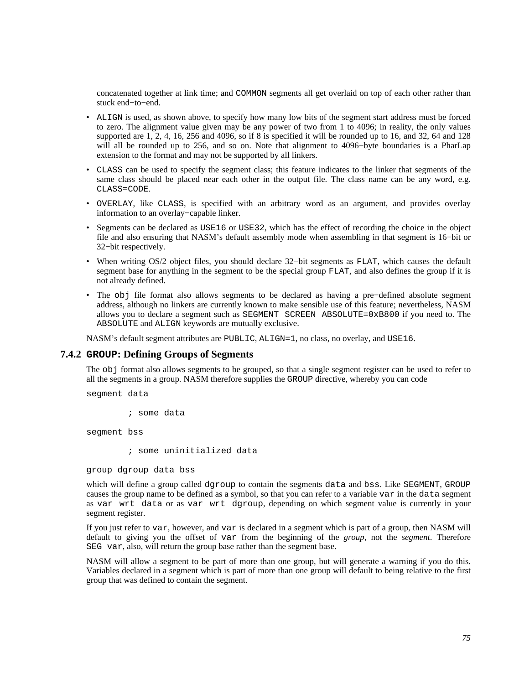concatenated together at link time; and COMMON segments all get overlaid on top of each other rather than stuck end−to−end.

- ALIGN is used, as shown above, to specify how many low bits of the segment start address must be forced to zero. The alignment value given may be any power of two from 1 to 4096; in reality, the only values supported are 1, 2, 4, 16, 256 and 4096, so if 8 is specified it will be rounded up to 16, and 32, 64 and 128 will all be rounded up to 256, and so on. Note that alignment to 4096−byte boundaries is a PharLap extension to the format and may not be supported by all linkers.
- CLASS can be used to specify the segment class; this feature indicates to the linker that segments of the same class should be placed near each other in the output file. The class name can be any word, e.g. CLASS=CODE.
- OVERLAY, like CLASS, is specified with an arbitrary word as an argument, and provides overlay information to an overlay−capable linker.
- Segments can be declared as USE16 or USE32, which has the effect of recording the choice in the object file and also ensuring that NASM's default assembly mode when assembling in that segment is 16−bit or 32−bit respectively.
- When writing OS/2 object files, you should declare 32−bit segments as FLAT, which causes the default segment base for anything in the segment to be the special group FLAT, and also defines the group if it is not already defined.
- The obj file format also allows segments to be declared as having a pre−defined absolute segment address, although no linkers are currently known to make sensible use of this feature; nevertheless, NASM allows you to declare a segment such as SEGMENT SCREEN ABSOLUTE=0xB800 if you need to. The ABSOLUTE and ALIGN keywords are mutually exclusive.

NASM's default segment attributes are PUBLIC, ALIGN=1, no class, no overlay, and USE16.

## **7.4.2 GROUP: Defining Groups of Segments**

The obj format also allows segments to be grouped, so that a single segment register can be used to refer to all the segments in a group. NASM therefore supplies the GROUP directive, whereby you can code

segment data

; some data

segment bss

; some uninitialized data

group dgroup data bss

which will define a group called dgroup to contain the segments data and bss. Like SEGMENT, GROUP causes the group name to be defined as a symbol, so that you can refer to a variable var in the data segment as var wrt data or as var wrt dgroup, depending on which segment value is currently in your segment register.

If you just refer to var, however, and var is declared in a segment which is part of a group, then NASM will default to giving you the offset of var from the beginning of the *group*, not the *segment*. Therefore SEG var, also, will return the group base rather than the segment base.

NASM will allow a segment to be part of more than one group, but will generate a warning if you do this. Variables declared in a segment which is part of more than one group will default to being relative to the first group that was defined to contain the segment.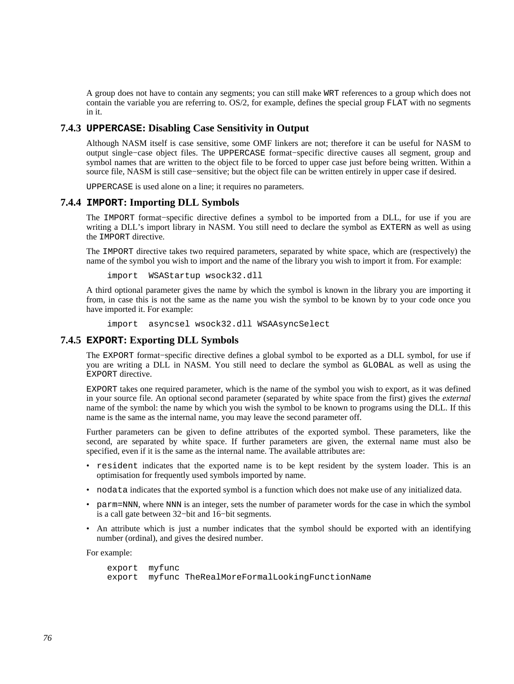A group does not have to contain any segments; you can still make WRT references to a group which does not contain the variable you are referring to. OS/2, for example, defines the special group FLAT with no segments in it.

## **7.4.3 UPPERCASE: Disabling Case Sensitivity in Output**

Although NASM itself is case sensitive, some OMF linkers are not; therefore it can be useful for NASM to output single−case object files. The UPPERCASE format−specific directive causes all segment, group and symbol names that are written to the object file to be forced to upper case just before being written. Within a source file, NASM is still case–sensitive; but the object file can be written entirely in upper case if desired.

UPPERCASE is used alone on a line; it requires no parameters.

### **7.4.4 IMPORT: Importing DLL Symbols**

The IMPORT format−specific directive defines a symbol to be imported from a DLL, for use if you are writing a DLL's import library in NASM. You still need to declare the symbol as EXTERN as well as using the IMPORT directive.

The IMPORT directive takes two required parameters, separated by white space, which are (respectively) the name of the symbol you wish to import and the name of the library you wish to import it from. For example:

import WSAStartup wsock32.dll

A third optional parameter gives the name by which the symbol is known in the library you are importing it from, in case this is not the same as the name you wish the symbol to be known by to your code once you have imported it. For example:

import asyncsel wsock32.dll WSAAsyncSelect

### **7.4.5 EXPORT: Exporting DLL Symbols**

The EXPORT format−specific directive defines a global symbol to be exported as a DLL symbol, for use if you are writing a DLL in NASM. You still need to declare the symbol as GLOBAL as well as using the EXPORT directive.

EXPORT takes one required parameter, which is the name of the symbol you wish to export, as it was defined in your source file. An optional second parameter (separated by white space from the first) gives the *external* name of the symbol: the name by which you wish the symbol to be known to programs using the DLL. If this name is the same as the internal name, you may leave the second parameter off.

Further parameters can be given to define attributes of the exported symbol. These parameters, like the second, are separated by white space. If further parameters are given, the external name must also be specified, even if it is the same as the internal name. The available attributes are:

- resident indicates that the exported name is to be kept resident by the system loader. This is an optimisation for frequently used symbols imported by name.
- nodata indicates that the exported symbol is a function which does not make use of any initialized data.
- parm=NNN, where NNN is an integer, sets the number of parameter words for the case in which the symbol is a call gate between 32−bit and 16−bit segments.
- An attribute which is just a number indicates that the symbol should be exported with an identifying number (ordinal), and gives the desired number.

For example:

```
 export myfunc 
 export myfunc TheRealMoreFormalLookingFunctionName
```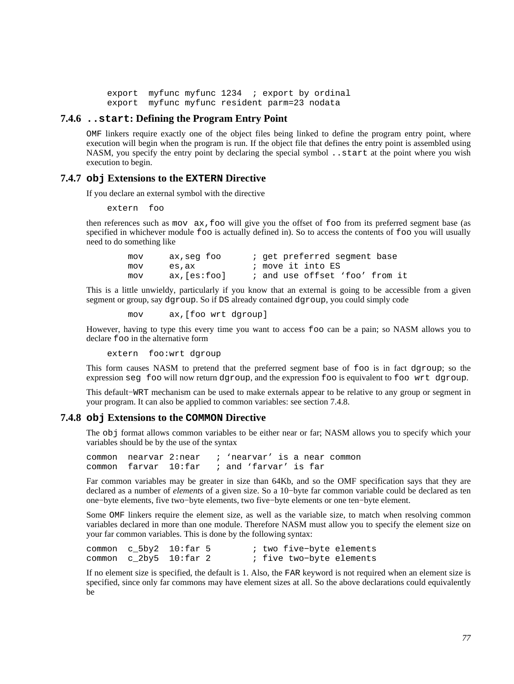export myfunc myfunc 1234 ; export by ordinal export myfunc myfunc resident parm=23 nodata

## **7.4.6 ..start: Defining the Program Entry Point**

<span id="page-76-2"></span>OMF linkers require exactly one of the object files being linked to define the program entry point, where execution will begin when the program is run. If the object file that defines the entry point is assembled using NASM, you specify the entry point by declaring the special symbol . . start at the point where you wish execution to begin.

### **7.4.7 obj Extensions to the EXTERN Directive**

<span id="page-76-1"></span>If you declare an external symbol with the directive

extern foo

then references such as mov ax,foo will give you the offset of foo from its preferred segment base (as specified in whichever module foo is actually defined in). So to access the contents of foo you will usually need to do something like

> mov ax, seg foo ; get preferred segment base mov es, ax ; move it into ES mov ax,[es:foo] ; and use offset 'foo' from it

This is a little unwieldy, particularly if you know that an external is going to be accessible from a given segment or group, say dgroup. So if DS already contained dgroup, you could simply code

mov ax,[foo wrt dgroup]

However, having to type this every time you want to access foo can be a pain; so NASM allows you to declare foo in the alternative form

extern foo:wrt dgroup

This form causes NASM to pretend that the preferred segment base of foo is in fact dgroup; so the expression seg foo will now return dgroup, and the expression foo is equivalent to foo wrt dgroup.

This default−WRT mechanism can be used to make externals appear to be relative to any group or segment in your program. It can also be applied to common variables: see [section 7.4.8.](#page-76-0)

### **7.4.8 obj Extensions to the COMMON Directive**

<span id="page-76-0"></span>The obj format allows common variables to be either near or far; NASM allows you to specify which your variables should be by the use of the syntax

common nearvar 2:near ; 'nearvar' is a near common common farvar 10:far ; and 'farvar' is far

Far common variables may be greater in size than 64Kb, and so the OMF specification says that they are declared as a number of *elements* of a given size. So a 10−byte far common variable could be declared as ten one−byte elements, five two−byte elements, two five−byte elements or one ten−byte element.

Some OMF linkers require the element size, as well as the variable size, to match when resolving common variables declared in more than one module. Therefore NASM must allow you to specify the element size on your far common variables. This is done by the following syntax:

| common c $5by2$ 10: far 5   |  | ; two five-byte elements |
|-----------------------------|--|--------------------------|
| common c $2by5$ 10: $far$ 2 |  | ; five two-byte elements |

If no element size is specified, the default is 1. Also, the FAR keyword is not required when an element size is specified, since only far commons may have element sizes at all. So the above declarations could equivalently be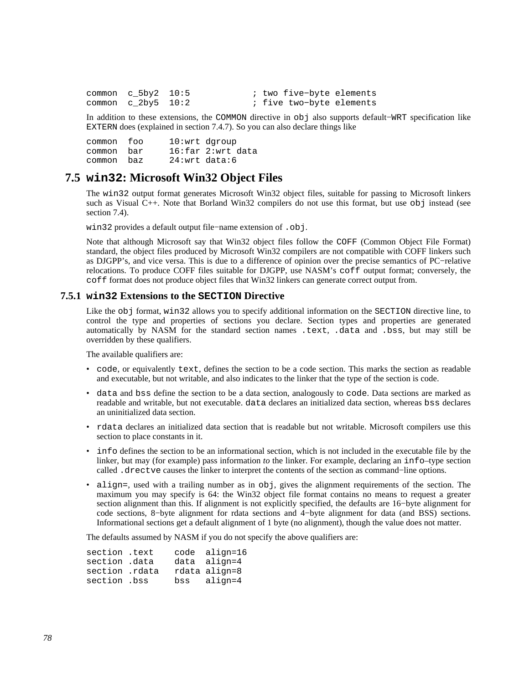| common c $5by2$ 10:5 |  | ; two five-byte elements |  |
|----------------------|--|--------------------------|--|
| common c $2by5$ 10:2 |  | ; five two-byte elements |  |

In addition to these extensions, the COMMON directive in obj also supports default−WRT specification like EXTERN does (explained in [section 7.4.7\)](#page-76-1). So you can also declare things like

common foo 10:wrt dgroup common bar 16:far 2:wrt data common baz 24:wrt data:6

# **7.5 win32: Microsoft Win32 Object Files**

<span id="page-77-0"></span>The win32 output format generates Microsoft Win32 object files, suitable for passing to Microsoft linkers such as Visual C++. Note that Borland Win32 compilers do not use this format, but use obj instead (see [section 7.4\)](#page-73-0).

win32 provides a default output file−name extension of .obj.

Note that although Microsoft say that Win32 object files follow the COFF (Common Object File Format) standard, the object files produced by Microsoft Win32 compilers are not compatible with COFF linkers such as DJGPP's, and vice versa. This is due to a difference of opinion over the precise semantics of PC−relative relocations. To produce COFF files suitable for DJGPP, use NASM's coff output format; conversely, the coff format does not produce object files that Win32 linkers can generate correct output from.

### **7.5.1 win32 Extensions to the SECTION Directive**

Like the obj format, win32 allows you to specify additional information on the SECTION directive line, to control the type and properties of sections you declare. Section types and properties are generated automatically by NASM for the standard section names .text, .data and .bss, but may still be overridden by these qualifiers.

The available qualifiers are:

- code, or equivalently text, defines the section to be a code section. This marks the section as readable and executable, but not writable, and also indicates to the linker that the type of the section is code.
- data and bss define the section to be a data section, analogously to code. Data sections are marked as readable and writable, but not executable. data declares an initialized data section, whereas bss declares an uninitialized data section.
- rdata declares an initialized data section that is readable but not writable. Microsoft compilers use this section to place constants in it.
- info defines the section to be an informational section, which is not included in the executable file by the linker, but may (for example) pass information *to* the linker. For example, declaring an info–type section called .drectve causes the linker to interpret the contents of the section as command−line options.
- align=, used with a trailing number as in  $obj$ , gives the alignment requirements of the section. The maximum you may specify is 64: the Win32 object file format contains no means to request a greater section alignment than this. If alignment is not explicitly specified, the defaults are 16−byte alignment for code sections, 8−byte alignment for rdata sections and 4−byte alignment for data (and BSS) sections. Informational sections get a default alignment of 1 byte (no alignment), though the value does not matter.

The defaults assumed by NASM if you do not specify the above qualifiers are:

| section .text  |  | code align=16 |
|----------------|--|---------------|
| section .data  |  | data align=4  |
| section .rdata |  | rdata align=8 |
| section .bss   |  | bss align=4   |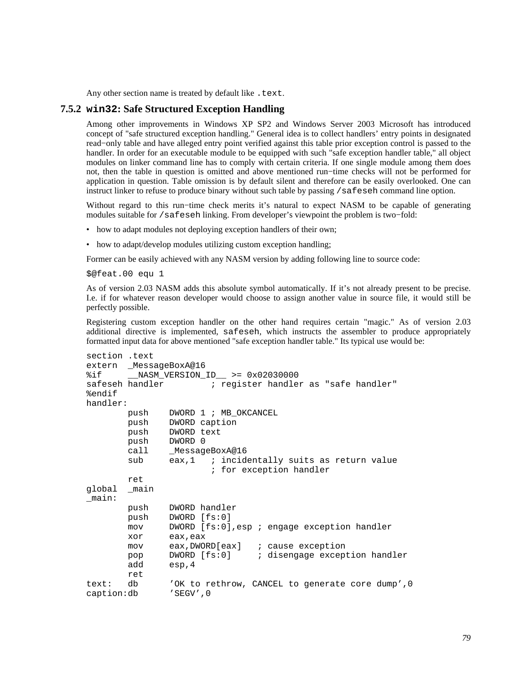Any other section name is treated by default like . text.

### **7.5.2 win32: Safe Structured Exception Handling**

Among other improvements in Windows XP SP2 and Windows Server 2003 Microsoft has introduced concept of "safe structured exception handling." General idea is to collect handlers' entry points in designated read−only table and have alleged entry point verified against this table prior exception control is passed to the handler. In order for an executable module to be equipped with such "safe exception handler table," all object modules on linker command line has to comply with certain criteria. If one single module among them does not, then the table in question is omitted and above mentioned run−time checks will not be performed for application in question. Table omission is by default silent and therefore can be easily overlooked. One can instruct linker to refuse to produce binary without such table by passing /safeseh command line option.

Without regard to this run−time check merits it's natural to expect NASM to be capable of generating modules suitable for /safeseh linking. From developer's viewpoint the problem is two−fold:

- how to adapt modules not deploying exception handlers of their own;
- how to adapt/develop modules utilizing custom exception handling;

Former can be easily achieved with any NASM version by adding following line to source code:

\$@feat.00 equ 1

As of version 2.03 NASM adds this absolute symbol automatically. If it's not already present to be precise. I.e. if for whatever reason developer would choose to assign another value in source file, it would still be perfectly possible.

Registering custom exception handler on the other hand requires certain "magic." As of version 2.03 additional directive is implemented, safeseh, which instructs the assembler to produce appropriately formatted input data for above mentioned "safe exception handler table." Its typical use would be:

```
section .text 
extern _MessageBoxA@16 
%if __NASM_VERSION_ID__ >= 0x02030000 
safeseh handler \qquad \qquad ; register handler as "safe handler"
%endif 
handler: 
        push DWORD 1 ; MB_OKCANCEL 
        push DWORD caption 
        push DWORD text 
        push DWORD 0 
        call _MessageBoxA@16 
        sub eax,1 ; incidentally suits as return value
                        ; for exception handler 
        ret 
global _main 
_main: 
        push DWORD handler 
        push DWORD [fs:0] 
        mov DWORD [fs:0],esp ; engage exception handler 
        xor eax,eax 
        mov eax,DWORD[eax] ; cause exception 
        pop DWORD [fs:0] ; disengage exception handler 
        add esp,4 
        ret 
text: db 'OK to rethrow, CANCEL to generate core dump',0 
caption:db 'SEGV',0
```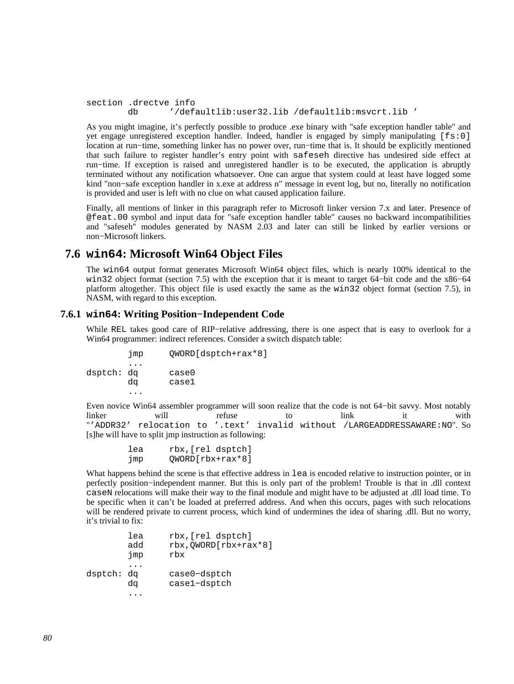```
section .drectve info 
        db '/defaultlib:user32.lib /defaultlib:msvcrt.lib '
```
As you might imagine, it's perfectly possible to produce .exe binary with "safe exception handler table" and yet engage unregistered exception handler. Indeed, handler is engaged by simply manipulating [fs:0] location at run−time, something linker has no power over, run−time that is. It should be explicitly mentioned that such failure to register handler's entry point with safeseh directive has undesired side effect at run−time. If exception is raised and unregistered handler is to be executed, the application is abruptly terminated without any notification whatsoever. One can argue that system could at least have logged some kind "non−safe exception handler in x.exe at address n" message in event log, but no, literally no notification is provided and user is left with no clue on what caused application failure.

Finally, all mentions of linker in this paragraph refer to Microsoft linker version 7.x and later. Presence of @feat.00 symbol and input data for "safe exception handler table" causes no backward incompatibilities and "safeseh" modules generated by NASM 2.03 and later can still be linked by earlier versions or non−Microsoft linkers.

# **7.6 win64: Microsoft Win64 Object Files**

The win64 output format generates Microsoft Win64 object files, which is nearly 100% identical to the win32 object format [\(section 7.5\)](#page-77-0) with the exception that it is meant to target 64−bit code and the x86−64 platform altogether. This object file is used exactly the same as the win32 object format [\(section 7.5\)](#page-77-0), in NASM, with regard to this exception.

## **7.6.1 win64: Writing Position−Independent Code**

While REL takes good care of RIP−relative addressing, there is one aspect that is easy to overlook for a Win64 programmer: indirect references. Consider a switch dispatch table:

```
 jmp QWORD[dsptch+rax*8] 
         ... 
dsptch: dq case0 
        dq case1 
         ...
```
Even novice Win64 assembler programmer will soon realize that the code is not 64−bit savvy. Most notably linker will refuse to link it with "'ADDR32' relocation to '.text' invalid without /LARGEADDRESSAWARE:NO". So [s]he will have to split jmp instruction as following:

```
 lea rbx,[rel dsptch] 
 jmp QWORD[rbx+rax*8]
```
What happens behind the scene is that effective address in lea is encoded relative to instruction pointer, or in perfectly position−independent manner. But this is only part of the problem! Trouble is that in .dll context caseN relocations will make their way to the final module and might have to be adjusted at .dll load time. To be specific when it can't be loaded at preferred address. And when this occurs, pages with such relocations will be rendered private to current process, which kind of undermines the idea of sharing .dll. But no worry, it's trivial to fix:

|            | lea<br>add<br>jmp | rbx, [rel dsptch]<br>rbx, QWORD[rbx+rax*8]<br>rbx |
|------------|-------------------|---------------------------------------------------|
| dsptch: dq | dα                | case0-dsptch<br>case1-dsptch                      |
|            |                   |                                                   |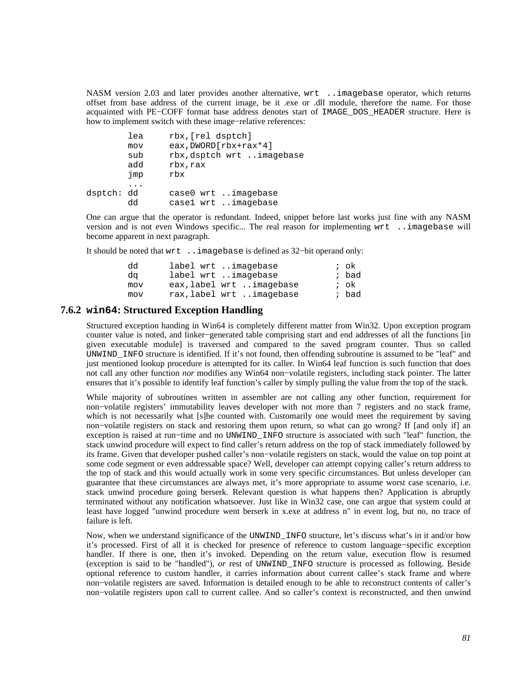NASM version 2.03 and later provides another alternative, wrt ..imagebase operator, which returns offset from base address of the current image, be it .exe or .dll module, therefore the name. For those acquainted with PE−COFF format base address denotes start of IMAGE\_DOS\_HEADER structure. Here is how to implement switch with these image−relative references:

|            | lea | rbx, [rel dsptch]         |
|------------|-----|---------------------------|
|            | mov | eax, DWORD [rbx+rax*4]    |
|            | sub | rbx, dsptch wrt imagebase |
|            | add | rbx, rax                  |
|            | jmp | rbx                       |
|            |     |                           |
| dsptch: dd |     | case0 wrt imagebase       |
|            | dd  | casel wrt imagebase       |

One can argue that the operator is redundant. Indeed, snippet before last works just fine with any NASM version and is not even Windows specific... The real reason for implementing wrt ..imagebase will become apparent in next paragraph.

It should be noted that wrt ..imagebase is defined as 32−bit operand only:

| dd  | label wrt imagebase      | ; ok  |
|-----|--------------------------|-------|
| da  | label wrt imagebase      | ; bad |
| mov | eax, label wrt imagebase | ; ok  |
| mov | rax, label wrt imagebase | ; bad |

### **7.6.2 win64: Structured Exception Handling**

Structured exception handing in Win64 is completely different matter from Win32. Upon exception program counter value is noted, and linker−generated table comprising start and end addresses of all the functions [in given executable module] is traversed and compared to the saved program counter. Thus so called UNWIND\_INFO structure is identified. If it's not found, then offending subroutine is assumed to be "leaf" and just mentioned lookup procedure is attempted for its caller. In Win64 leaf function is such function that does not call any other function *nor* modifies any Win64 non−volatile registers, including stack pointer. The latter ensures that it's possible to identify leaf function's caller by simply pulling the value from the top of the stack.

While majority of subroutines written in assembler are not calling any other function, requirement for non−volatile registers' immutability leaves developer with not more than 7 registers and no stack frame, which is not necessarily what [s]he counted with. Customarily one would meet the requirement by saving non−volatile registers on stack and restoring them upon return, so what can go wrong? If [and only if] an exception is raised at run–time and no UNWIND\_INFO structure is associated with such "leaf" function, the stack unwind procedure will expect to find caller's return address on the top of stack immediately followed by its frame. Given that developer pushed caller's non−volatile registers on stack, would the value on top point at some code segment or even addressable space? Well, developer can attempt copying caller's return address to the top of stack and this would actually work in some very specific circumstances. But unless developer can guarantee that these circumstances are always met, it's more appropriate to assume worst case scenario, i.e. stack unwind procedure going berserk. Relevant question is what happens then? Application is abruptly terminated without any notification whatsoever. Just like in Win32 case, one can argue that system could at least have logged "unwind procedure went berserk in x.exe at address n" in event log, but no, no trace of failure is left.

Now, when we understand significance of the UNWIND\_INFO structure, let's discuss what's in it and/or how it's processed. First of all it is checked for presence of reference to custom language−specific exception handler. If there is one, then it's invoked. Depending on the return value, execution flow is resumed (exception is said to be "handled"), *or* rest of UNWIND\_INFO structure is processed as following. Beside optional reference to custom handler, it carries information about current callee's stack frame and where non−volatile registers are saved. Information is detailed enough to be able to reconstruct contents of caller's non−volatile registers upon call to current callee. And so caller's context is reconstructed, and then unwind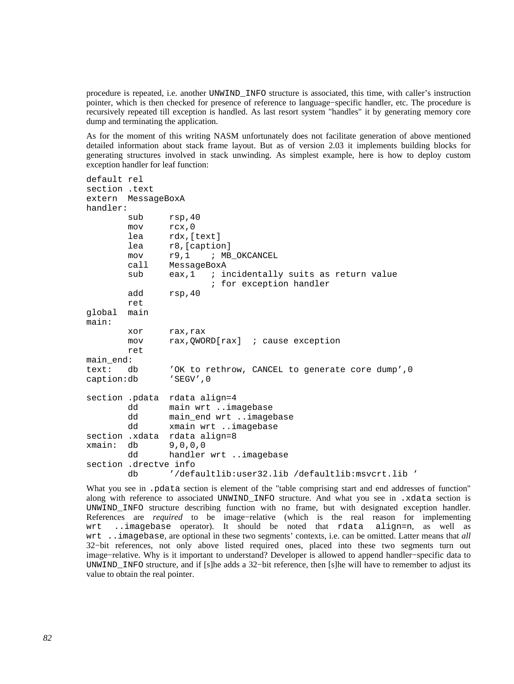procedure is repeated, i.e. another UNWIND\_INFO structure is associated, this time, with caller's instruction pointer, which is then checked for presence of reference to language−specific handler, etc. The procedure is recursively repeated till exception is handled. As last resort system "handles" it by generating memory core dump and terminating the application.

As for the moment of this writing NASM unfortunately does not facilitate generation of above mentioned detailed information about stack frame layout. But as of version 2.03 it implements building blocks for generating structures involved in stack unwinding. As simplest example, here is how to deploy custom exception handler for leaf function:

```
default rel 
section .text 
extern MessageBoxA 
handler: 
       sub rsp, 40
        mov rcx,0 
        lea rdx,[text] 
        lea r8,[caption] 
        mov r9,1 ; MB_OKCANCEL 
        call MessageBoxA 
       sub eax,1 ; incidentally suits as return value
                        ; for exception handler 
        add rsp,40 
        ret 
global main 
main: 
        xor rax,rax 
        mov rax,QWORD[rax] ; cause exception 
        ret 
main_end: 
text: db 'OK to rethrow, CANCEL to generate core dump',0 
caption:db 'SEGV',0 
section .pdata rdata align=4 
        dd main wrt ..imagebase 
       dd main end wrt ..imagebase
        dd xmain wrt ..imagebase 
section .xdata rdata align=8 
xmain: db 9,0,0,0 
        dd handler wrt ..imagebase 
section .drectve info 
        db '/defaultlib:user32.lib /defaultlib:msvcrt.lib '
```
What you see in .pdata section is element of the "table comprising start and end addresses of function" along with reference to associated UNWIND\_INFO structure. And what you see in .xdata section is UNWIND\_INFO structure describing function with no frame, but with designated exception handler. References are *required* to be image−relative (which is the real reason for implementing wrt ..imagebase operator). It should be noted that rdata align=n, as well as wrt ..imagebase, are optional in these two segments' contexts, i.e. can be omitted. Latter means that *all* 32−bit references, not only above listed required ones, placed into these two segments turn out image−relative. Why is it important to understand? Developer is allowed to append handler−specific data to UNWIND\_INFO structure, and if [s]he adds a 32−bit reference, then [s]he will have to remember to adjust its value to obtain the real pointer.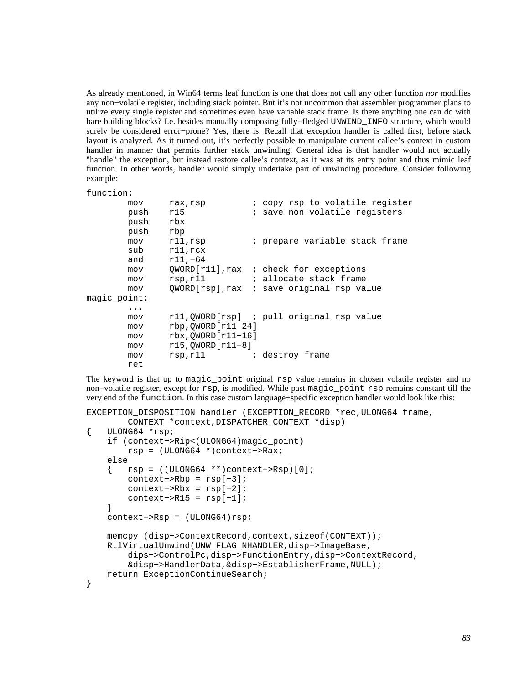As already mentioned, in Win64 terms leaf function is one that does not call any other function *nor* modifies any non−volatile register, including stack pointer. But it's not uncommon that assembler programmer plans to utilize every single register and sometimes even have variable stack frame. Is there anything one can do with bare building blocks? I.e. besides manually composing fully−fledged UNWIND\_INFO structure, which would surely be considered error−prone? Yes, there is. Recall that exception handler is called first, before stack layout is analyzed. As it turned out, it's perfectly possible to manipulate current callee's context in custom handler in manner that permits further stack unwinding. General idea is that handler would not actually "handle" the exception, but instead restore callee's context, as it was at its entry point and thus mimic leaf function. In other words, handler would simply undertake part of unwinding procedure. Consider following example:

#### function:

| mov<br>push<br>push<br>push | rax, rsp<br>r15<br>rbx<br>rbp | ; copy rsp to volatile register<br>; save non-volatile registers |
|-----------------------------|-------------------------------|------------------------------------------------------------------|
| mov                         | $r11$ , $rsp$                 | ; prepare variable stack frame                                   |
| sub                         | $r11$ , $rcx$                 |                                                                  |
| and<br>mov                  | $r11, -64$                    | QWORD[r11], rax ; check for exceptions                           |
| mov                         | rsp,r11                       | ; allocate stack frame                                           |
| mov                         |                               | QWORD[rsp], rax ; save original rsp value                        |
| maqic point:                |                               |                                                                  |
| .                           |                               |                                                                  |
| mov                         |                               | rll, QWORD[rsp] ; pull original rsp value                        |
| mov                         | $rbp,OWORD[r11-24]$           |                                                                  |
| mov                         | $rbx,OWORD[r11-16]$           |                                                                  |
| mov                         | $r15,OWORD[r11-8]$            |                                                                  |
| mov                         | rsp,r11                       | ; destroy frame                                                  |
| ret                         |                               |                                                                  |

The keyword is that up to magic point original rsp value remains in chosen volatile register and no non−volatile register, except for rsp, is modified. While past magic\_point rsp remains constant till the very end of the function. In this case custom language−specific exception handler would look like this:

```
EXCEPTION DISPOSITION handler (EXCEPTION RECORD *rec, ULONG64 frame,
         CONTEXT *context,DISPATCHER_CONTEXT *disp) 
{ ULONG64 *rsp; 
     if (context−>Rip<(ULONG64)magic_point) 
         rsp = (ULONG64 *)context−>Rax; 
     else 
     { rsp = ((ULONG64 **)context−>Rsp)[0]; 
         context−>Rbp = rsp[−3]; 
         context−>Rbx = rsp[−2]; 
        context->R15 = resp[-1]; } 
     context−>Rsp = (ULONG64)rsp; 
     memcpy (disp−>ContextRecord,context,sizeof(CONTEXT)); 
     RtlVirtualUnwind(UNW_FLAG_NHANDLER,disp−>ImageBase, 
         dips−>ControlPc,disp−>FunctionEntry,disp−>ContextRecord, 
         &disp−>HandlerData,&disp−>EstablisherFrame,NULL); 
     return ExceptionContinueSearch; 
}
```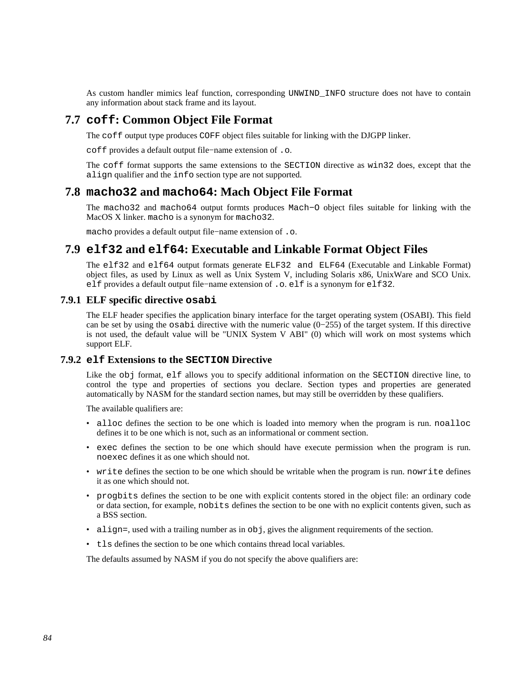As custom handler mimics leaf function, corresponding UNWIND\_INFO structure does not have to contain any information about stack frame and its layout.

# **7.7 coff: Common Object File Format**

The coff output type produces COFF object files suitable for linking with the DJGPP linker.

coff provides a default output file−name extension of .o.

The coff format supports the same extensions to the SECTION directive as win32 does, except that the align qualifier and the info section type are not supported.

# **7.8 macho32 and macho64: Mach Object File Format**

The macho32 and macho64 output formts produces Mach−O object files suitable for linking with the MacOS X linker. macho is a synonym for macho32.

macho provides a default output file−name extension of .o.

# **7.9 elf32 and elf64: Executable and Linkable Format Object Files**

<span id="page-83-0"></span>The elf32 and elf64 output formats generate ELF32 and ELF64 (Executable and Linkable Format) object files, as used by Linux as well as Unix System V, including Solaris x86, UnixWare and SCO Unix. elf provides a default output file−name extension of .o. elf is a synonym for elf32.

# **7.9.1 ELF specific directive osabi**

The ELF header specifies the application binary interface for the target operating system (OSABI). This field can be set by using the osabi directive with the numeric value (0−255) of the target system. If this directive is not used, the default value will be "UNIX System V ABI" (0) which will work on most systems which support ELF.

## **7.9.2 elf Extensions to the SECTION Directive**

Like the obj format, elf allows you to specify additional information on the SECTION directive line, to control the type and properties of sections you declare. Section types and properties are generated automatically by NASM for the standard section names, but may still be overridden by these qualifiers.

The available qualifiers are:

- alloc defines the section to be one which is loaded into memory when the program is run. noalloc defines it to be one which is not, such as an informational or comment section.
- exec defines the section to be one which should have execute permission when the program is run. noexec defines it as one which should not.
- write defines the section to be one which should be writable when the program is run. nowrite defines it as one which should not.
- progbits defines the section to be one with explicit contents stored in the object file: an ordinary code or data section, for example, nobits defines the section to be one with no explicit contents given, such as a BSS section.
- align=, used with a trailing number as in  $obj$ , gives the alignment requirements of the section.
- tls defines the section to be one which contains thread local variables.

The defaults assumed by NASM if you do not specify the above qualifiers are: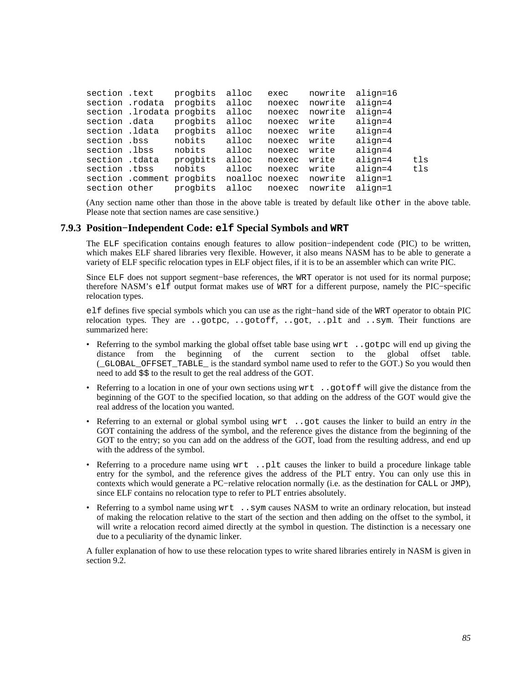| section .text   |                           | progbits                  | alloc          | exec   | nowrite | align=16  |     |
|-----------------|---------------------------|---------------------------|----------------|--------|---------|-----------|-----|
| section .rodata |                           | progbits                  | alloc          | noexec | nowrite | align=4   |     |
|                 | section .lrodata progbits |                           | alloc          | noexec | nowrite | $align=4$ |     |
| section .data   |                           | progbits                  | alloc          | noexec | write   | align=4   |     |
| section .ldata  |                           | progbits                  | alloc          | noexec | write   | align=4   |     |
| section .bss    |                           | nobits                    | alloc          | noexec | write   | align=4   |     |
| section .lbss   |                           | nobits                    | alloc          | noexec | write   | align=4   |     |
| section .tdata  |                           | progbits                  | alloc          | noexec | write   | align=4   | tls |
| section .tbss   |                           | nobits                    | alloc          | noexec | write   | $align=4$ | tls |
|                 |                           | section .comment progbits | noalloc noexec |        | nowrite | align=1   |     |
| section other   |                           | progbits                  | alloc          | noexec | nowrite | align=1   |     |

(Any section name other than those in the above table is treated by default like other in the above table. Please note that section names are case sensitive.)

### **7.9.3 Position−Independent Code: elf Special Symbols and WRT**

<span id="page-84-0"></span>The ELF specification contains enough features to allow position−independent code (PIC) to be written, which makes ELF shared libraries very flexible. However, it also means NASM has to be able to generate a variety of ELF specific relocation types in ELF object files, if it is to be an assembler which can write PIC.

Since ELF does not support segment−base references, the WRT operator is not used for its normal purpose; therefore NASM's elf output format makes use of WRT for a different purpose, namely the PIC−specific relocation types.

elf defines five special symbols which you can use as the right−hand side of the WRT operator to obtain PIC relocation types. They are ..gotpc, ..gotoff, ..got, ..plt and ..sym. Their functions are summarized here:

- Referring to the symbol marking the global offset table base using wrt ..gotpc will end up giving the distance from the beginning of the current section to the global offset table. (\_GLOBAL\_OFFSET\_TABLE\_ is the standard symbol name used to refer to the GOT.) So you would then need to add \$\$ to the result to get the real address of the GOT.
- Referring to a location in one of your own sections using wrt ..gotoff will give the distance from the beginning of the GOT to the specified location, so that adding on the address of the GOT would give the real address of the location you wanted.
- Referring to an external or global symbol using wrt ..got causes the linker to build an entry *in* the GOT containing the address of the symbol, and the reference gives the distance from the beginning of the GOT to the entry; so you can add on the address of the GOT, load from the resulting address, and end up with the address of the symbol.
- Referring to a procedure name using wrt ..plt causes the linker to build a procedure linkage table entry for the symbol, and the reference gives the address of the PLT entry. You can only use this in contexts which would generate a PC−relative relocation normally (i.e. as the destination for CALL or JMP), since ELF contains no relocation type to refer to PLT entries absolutely.
- Referring to a symbol name using wrt ..sym causes NASM to write an ordinary relocation, but instead of making the relocation relative to the start of the section and then adding on the offset to the symbol, it will write a relocation record aimed directly at the symbol in question. The distinction is a necessary one due to a peculiarity of the dynamic linker.

A fuller explanation of how to use these relocation types to write shared libraries entirely in NASM is given in [section 9.2.](#page-104-0)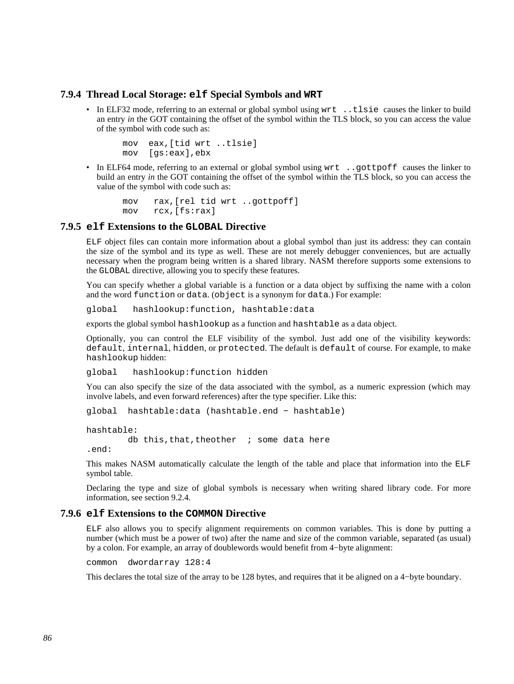## **7.9.4 Thread Local Storage: elf Special Symbols and WRT**

• In ELF32 mode, referring to an external or global symbol using wrt ..tlsie causes the linker to build an entry *in* the GOT containing the offset of the symbol within the TLS block, so you can access the value of the symbol with code such as:

```
 mov eax,[tid wrt ..tlsie] 
 mov [gs:eax],ebx
```
• In ELF64 mode, referring to an external or global symbol using  $wrt$ . . qottpoff causes the linker to build an entry *in* the GOT containing the offset of the symbol within the TLS block, so you can access the value of the symbol with code such as:

```
 mov rax,[rel tid wrt ..gottpoff] 
 mov rcx,[fs:rax]
```
### **7.9.5 elf Extensions to the GLOBAL Directive**

<span id="page-85-0"></span>ELF object files can contain more information about a global symbol than just its address: they can contain the size of the symbol and its type as well. These are not merely debugger conveniences, but are actually necessary when the program being written is a shared library. NASM therefore supports some extensions to the GLOBAL directive, allowing you to specify these features.

You can specify whether a global variable is a function or a data object by suffixing the name with a colon and the word function or data. (object is a synonym for data.) For example:

global hashlookup:function, hashtable:data

exports the global symbol hashlookup as a function and hashtable as a data object.

Optionally, you can control the ELF visibility of the symbol. Just add one of the visibility keywords: default, internal, hidden, or protected. The default is default of course. For example, to make hashlookup hidden:

global hashlookup:function hidden

You can also specify the size of the data associated with the symbol, as a numeric expression (which may involve labels, and even forward references) after the type specifier. Like this:

global hashtable:data (hashtable.end − hashtable)

```
hashtable: 
        db this, that, theother i some data here
.end:
```
This makes NASM automatically calculate the length of the table and place that information into the ELF symbol table.

Declaring the type and size of global symbols is necessary when writing shared library code. For more information, see [section 9.2.4.](#page-106-0)

### **7.9.6 elf Extensions to the COMMON Directive**

ELF also allows you to specify alignment requirements on common variables. This is done by putting a number (which must be a power of two) after the name and size of the common variable, separated (as usual) by a colon. For example, an array of doublewords would benefit from 4−byte alignment:

common dwordarray 128:4

This declares the total size of the array to be 128 bytes, and requires that it be aligned on a 4−byte boundary.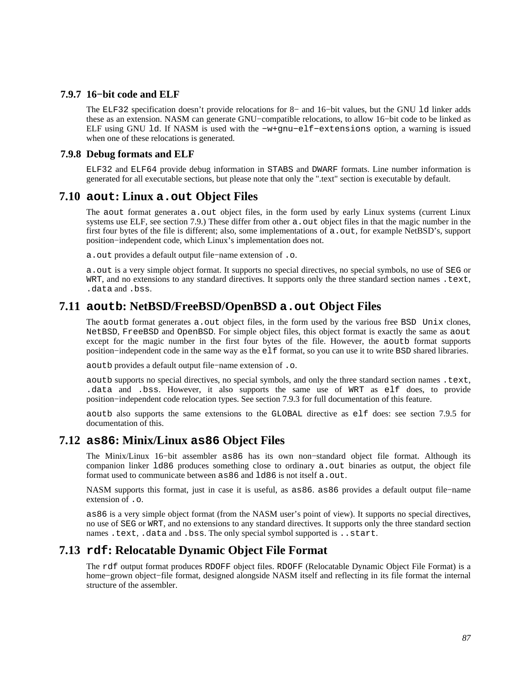## **7.9.7 16−bit code and ELF**

The ELF32 specification doesn't provide relocations for 8− and 16−bit values, but the GNU ld linker adds these as an extension. NASM can generate GNU−compatible relocations, to allow 16−bit code to be linked as ELF using GNU ld. If NASM is used with the −w+gnu−elf−extensions option, a warning is issued when one of these relocations is generated.

## **7.9.8 Debug formats and ELF**

ELF32 and ELF64 provide debug information in STABS and DWARF formats. Line number information is generated for all executable sections, but please note that only the ".text" section is executable by default.

# **7.10 aout: Linux a.out Object Files**

The aout format generates a.out object files, in the form used by early Linux systems (current Linux systems use ELF, see [section 7.9.](#page-83-0)) These differ from other a, out object files in that the magic number in the first four bytes of the file is different; also, some implementations of a.out, for example NetBSD's, support position−independent code, which Linux's implementation does not.

a.out provides a default output file−name extension of .o.

a.out is a very simple object format. It supports no special directives, no special symbols, no use of SEG or WRT, and no extensions to any standard directives. It supports only the three standard section names .text, .data and .bss.

# **7.11 aoutb: NetBSD/FreeBSD/OpenBSD a.out Object Files**

The aoutb format generates a.out object files, in the form used by the various free BSD Unix clones, NetBSD, FreeBSD and OpenBSD. For simple object files, this object format is exactly the same as aout except for the magic number in the first four bytes of the file. However, the aoutb format supports position−independent code in the same way as the elf format, so you can use it to write BSD shared libraries.

aoutb provides a default output file−name extension of .o.

aoutb supports no special directives, no special symbols, and only the three standard section names .text, .data and .bss. However, it also supports the same use of WRT as elf does, to provide position−independent code relocation types. See [section 7.9.3](#page-84-0) for full documentation of this feature.

aoutb also supports the same extensions to the GLOBAL directive as elf does: see [section 7.9.5](#page-85-0) for documentation of this.

# **7.12 as86: Minix/Linux as86 Object Files**

The Minix/Linux 16−bit assembler as86 has its own non−standard object file format. Although its companion linker 1d86 produces something close to ordinary a. out binaries as output, the object file format used to communicate between as 86 and 1d86 is not itself a. out.

NASM supports this format, just in case it is useful, as as86. as86 provides a default output file−name extension of .o.

as86 is a very simple object format (from the NASM user's point of view). It supports no special directives, no use of SEG or WRT, and no extensions to any standard directives. It supports only the three standard section names .text, .data and .bss. The only special symbol supported is ..start.

# **7.13 rdf: Relocatable Dynamic Object File Format**

The rdf output format produces RDOFF object files. RDOFF (Relocatable Dynamic Object File Format) is a home−grown object−file format, designed alongside NASM itself and reflecting in its file format the internal structure of the assembler.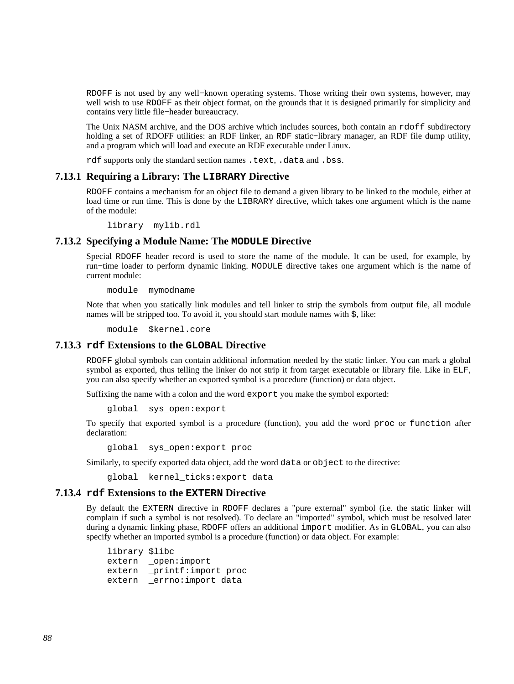RDOFF is not used by any well–known operating systems. Those writing their own systems, however, may well wish to use RDOFF as their object format, on the grounds that it is designed primarily for simplicity and contains very little file−header bureaucracy.

The Unix NASM archive, and the DOS archive which includes sources, both contain an rdoff subdirectory holding a set of RDOFF utilities: an RDF linker, an RDF static−library manager, an RDF file dump utility, and a program which will load and execute an RDF executable under Linux.

rdf supports only the standard section names .text, .data and .bss.

## **7.13.1 Requiring a Library: The LIBRARY Directive**

RDOFF contains a mechanism for an object file to demand a given library to be linked to the module, either at load time or run time. This is done by the LIBRARY directive, which takes one argument which is the name of the module:

library mylib.rdl

## **7.13.2 Specifying a Module Name: The MODULE Directive**

Special RDOFF header record is used to store the name of the module. It can be used, for example, by run−time loader to perform dynamic linking. MODULE directive takes one argument which is the name of current module:

module mymodname

Note that when you statically link modules and tell linker to strip the symbols from output file, all module names will be stripped too. To avoid it, you should start module names with \$, like:

module \$kernel.core

### **7.13.3 rdf Extensions to the GLOBAL Directive**

RDOFF global symbols can contain additional information needed by the static linker. You can mark a global symbol as exported, thus telling the linker do not strip it from target executable or library file. Like in ELF, you can also specify whether an exported symbol is a procedure (function) or data object.

Suffixing the name with a colon and the word export you make the symbol exported:

global sys\_open:export

To specify that exported symbol is a procedure (function), you add the word proc or function after declaration:

global sys\_open:export proc

Similarly, to specify exported data object, add the word data or object to the directive:

global kernel\_ticks:export data

## **7.13.4 rdf Extensions to the EXTERN Directive**

By default the EXTERN directive in RDOFF declares a "pure external" symbol (i.e. the static linker will complain if such a symbol is not resolved). To declare an "imported" symbol, which must be resolved later during a dynamic linking phase, RDOFF offers an additional import modifier. As in GLOBAL, you can also specify whether an imported symbol is a procedure (function) or data object. For example:

 library \$libc extern \_open:import extern \_printf:import proc extern \_errno:import data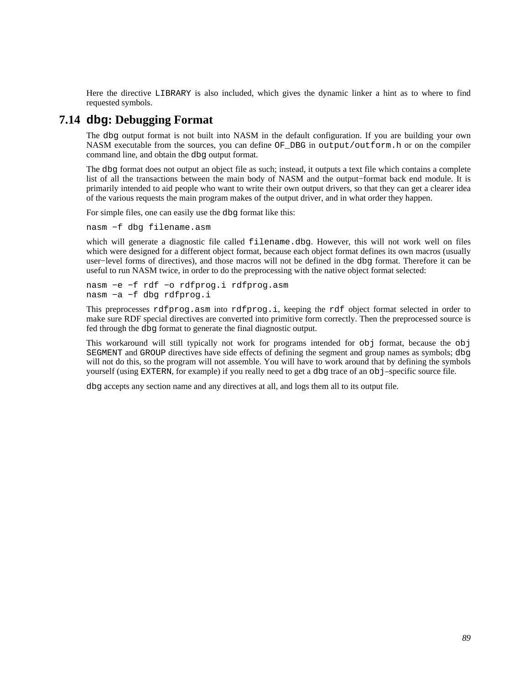Here the directive LIBRARY is also included, which gives the dynamic linker a hint as to where to find requested symbols.

# **7.14 dbg: Debugging Format**

The dbg output format is not built into NASM in the default configuration. If you are building your own NASM executable from the sources, you can define OF\_DBG in output/outform.h or on the compiler command line, and obtain the dbg output format.

The dbg format does not output an object file as such; instead, it outputs a text file which contains a complete list of all the transactions between the main body of NASM and the output−format back end module. It is primarily intended to aid people who want to write their own output drivers, so that they can get a clearer idea of the various requests the main program makes of the output driver, and in what order they happen.

For simple files, one can easily use the dbg format like this:

nasm −f dbg filename.asm

which will generate a diagnostic file called filename.dbq. However, this will not work well on files which were designed for a different object format, because each object format defines its own macros (usually user−level forms of directives), and those macros will not be defined in the dbg format. Therefore it can be useful to run NASM twice, in order to do the preprocessing with the native object format selected:

nasm −e −f rdf −o rdfprog.i rdfprog.asm nasm −a −f dbg rdfprog.i

This preprocesses rdfprog.asm into rdfprog.i, keeping the rdf object format selected in order to make sure RDF special directives are converted into primitive form correctly. Then the preprocessed source is fed through the dbg format to generate the final diagnostic output.

This workaround will still typically not work for programs intended for obj format, because the obj SEGMENT and GROUP directives have side effects of defining the segment and group names as symbols; dbg will not do this, so the program will not assemble. You will have to work around that by defining the symbols yourself (using EXTERN, for example) if you really need to get a dbg trace of an obj–specific source file.

dbg accepts any section name and any directives at all, and logs them all to its output file.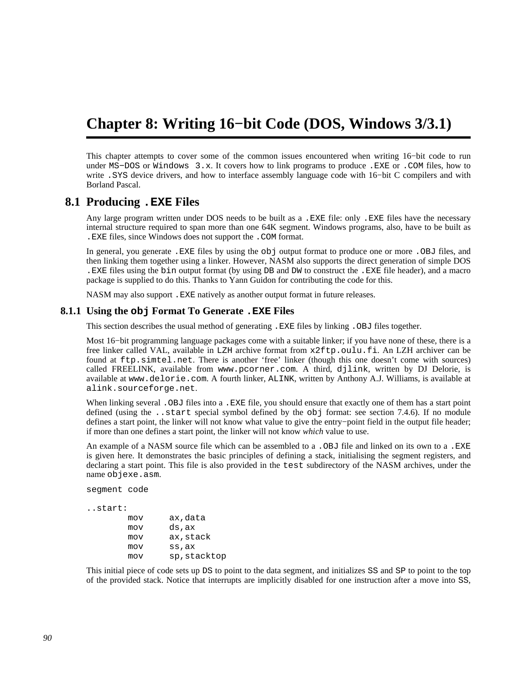# **Chapter 8: Writing 16−bit Code (DOS, Windows 3/3.1)**

This chapter attempts to cover some of the common issues encountered when writing 16−bit code to run under MS−DOS or Windows 3.x. It covers how to link programs to produce .EXE or .COM files, how to write .SYS device drivers, and how to interface assembly language code with 16−bit C compilers and with Borland Pascal.

# **8.1 Producing .EXE Files**

Any large program written under DOS needs to be built as a .EXE file: only .EXE files have the necessary internal structure required to span more than one 64K segment. Windows programs, also, have to be built as .EXE files, since Windows does not support the .COM format.

In general, you generate .EXE files by using the obj output format to produce one or more .OBJ files, and then linking them together using a linker. However, NASM also supports the direct generation of simple DOS .EXE files using the bin output format (by using DB and DW to construct the .EXE file header), and a macro package is supplied to do this. Thanks to Yann Guidon for contributing the code for this.

NASM may also support .EXE natively as another output format in future releases.

## **8.1.1 Using the obj Format To Generate .EXE Files**

This section describes the usual method of generating .EXE files by linking .OBJ files together.

Most 16−bit programming language packages come with a suitable linker; if you have none of these, there is a free linker called VAL, available in LZH archive format from [x2ftp.oulu.fi](ftp://x2ftp.oulu.fi/pub/msdos/programming/lang/). An LZH archiver can be found at [ftp.simtel.net](ftp://ftp.simtel.net/pub/simtelnet/msdos/arcers). There is another 'free' linker (though this one doesn't come with sources) called FREELINK, available from [www.pcorner.com](http://www.pcorner.com/tpc/old/3-101.html). A third, djlink, written by DJ Delorie, is available at [www.delorie.com](http://www.delorie.com/djgpp/16bit/djlink/). A fourth linker, ALINK, written by Anthony A.J. Williams, is available at [alink.sourceforge.net](http://alink.sourceforge.net).

When linking several . OBJ files into a . EXE file, you should ensure that exactly one of them has a start point defined (using the ..start special symbol defined by the obj format: see [section 7.4.6\)](#page-76-2). If no module defines a start point, the linker will not know what value to give the entry−point field in the output file header; if more than one defines a start point, the linker will not know *which* value to use.

An example of a NASM source file which can be assembled to a . OBJ file and linked on its own to a . EXE is given here. It demonstrates the basic principles of defining a stack, initialising the segment registers, and declaring a start point. This file is also provided in the test subdirectory of the NASM archives, under the name objexe.asm.

segment code

```
..start:
```

| mov | ax,data      |
|-----|--------------|
| mov | ds,ax        |
| mov | ax, stack    |
| mov | ss,ax        |
| mov | sp, stacktop |

This initial piece of code sets up DS to point to the data segment, and initializes SS and SP to point to the top of the provided stack. Notice that interrupts are implicitly disabled for one instruction after a move into SS,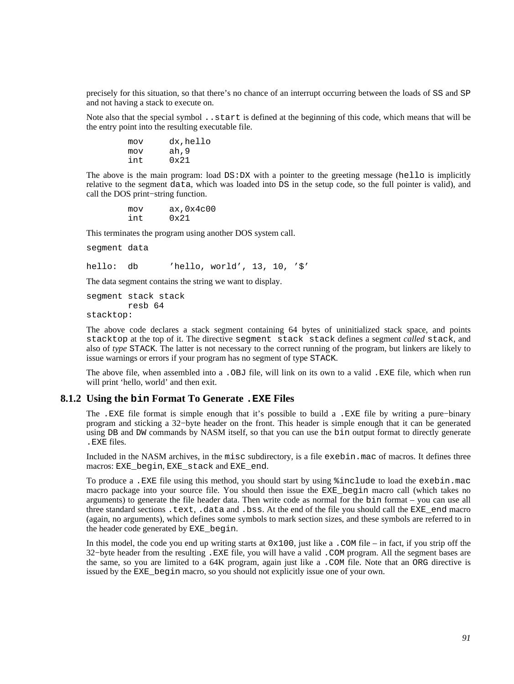precisely for this situation, so that there's no chance of an interrupt occurring between the loads of SS and SP and not having a stack to execute on.

Note also that the special symbol ..start is defined at the beginning of this code, which means that will be the entry point into the resulting executable file.

| mov | dx, hello |
|-----|-----------|
| mov | ah, 9     |
| int | 0x21      |

The above is the main program: load DS:DX with a pointer to the greeting message (hello is implicitly relative to the segment data, which was loaded into DS in the setup code, so the full pointer is valid), and call the DOS print−string function.

> mov ax,0x4c00 int 0x21

This terminates the program using another DOS system call.

segment data

hello: db 'hello, world', 13, 10, '\$'

The data segment contains the string we want to display.

segment stack stack resb 64

stacktop:

The above code declares a stack segment containing 64 bytes of uninitialized stack space, and points stacktop at the top of it. The directive segment stack stack defines a segment *called* stack, and also of *type* STACK. The latter is not necessary to the correct running of the program, but linkers are likely to issue warnings or errors if your program has no segment of type STACK.

The above file, when assembled into a .OBJ file, will link on its own to a valid .EXE file, which when run will print 'hello, world' and then exit.

## **8.1.2 Using the bin Format To Generate .EXE Files**

The .EXE file format is simple enough that it's possible to build a .EXE file by writing a pure−binary program and sticking a 32−byte header on the front. This header is simple enough that it can be generated using DB and DW commands by NASM itself, so that you can use the bin output format to directly generate .EXE files.

Included in the NASM archives, in the misc subdirectory, is a file exebin.mac of macros. It defines three macros: EXE\_begin, EXE\_stack and EXE\_end.

To produce a .EXE file using this method, you should start by using %include to load the exebin.mac macro package into your source file. You should then issue the EXE\_begin macro call (which takes no arguments) to generate the file header data. Then write code as normal for the bin format – you can use all three standard sections .text, .data and .bss. At the end of the file you should call the EXE\_end macro (again, no arguments), which defines some symbols to mark section sizes, and these symbols are referred to in the header code generated by EXE\_begin.

In this model, the code you end up writing starts at  $0 \times 100$ , just like a . COM file – in fact, if you strip off the 32−byte header from the resulting .EXE file, you will have a valid .COM program. All the segment bases are the same, so you are limited to a 64K program, again just like a .COM file. Note that an ORG directive is issued by the EXE\_begin macro, so you should not explicitly issue one of your own.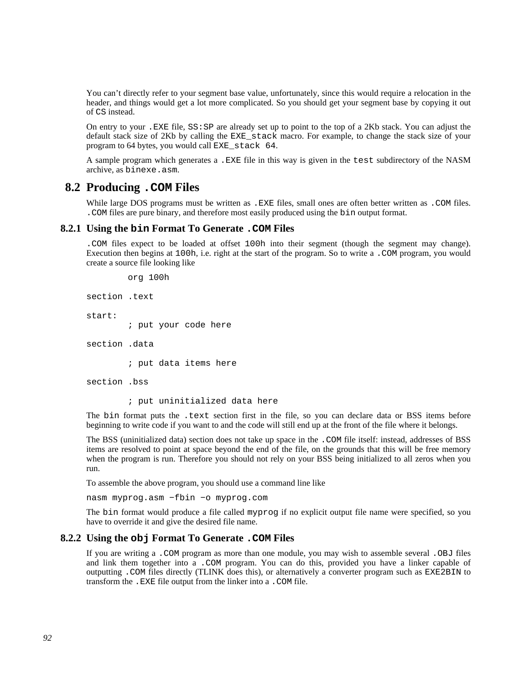You can't directly refer to your segment base value, unfortunately, since this would require a relocation in the header, and things would get a lot more complicated. So you should get your segment base by copying it out of CS instead.

On entry to your .EXE file, SS:SP are already set up to point to the top of a 2Kb stack. You can adjust the default stack size of 2Kb by calling the EXE\_stack macro. For example, to change the stack size of your program to 64 bytes, you would call EXE\_stack 64.

A sample program which generates a .EXE file in this way is given in the test subdirectory of the NASM archive, as binexe.asm.

# **8.2 Producing .COM Files**

While large DOS programs must be written as . EXE files, small ones are often better written as . COM files. .COM files are pure binary, and therefore most easily produced using the bin output format.

## **8.2.1 Using the bin Format To Generate .COM Files**

.COM files expect to be loaded at offset 100h into their segment (though the segment may change). Execution then begins at 100h, i.e. right at the start of the program. So to write a .COM program, you would create a source file looking like

```
 org 100h
```

```
section .text 
start: 
          ; put your code here 
section .data 
          ; put data items here 
section .bss 
          ; put uninitialized data here
```
The bin format puts the .text section first in the file, so you can declare data or BSS items before beginning to write code if you want to and the code will still end up at the front of the file where it belongs.

The BSS (uninitialized data) section does not take up space in the .COM file itself: instead, addresses of BSS items are resolved to point at space beyond the end of the file, on the grounds that this will be free memory when the program is run. Therefore you should not rely on your BSS being initialized to all zeros when you run.

To assemble the above program, you should use a command line like

nasm myprog.asm −fbin −o myprog.com

The bin format would produce a file called myprog if no explicit output file name were specified, so you have to override it and give the desired file name.

### **8.2.2 Using the obj Format To Generate .COM Files**

If you are writing a .COM program as more than one module, you may wish to assemble several .OBJ files and link them together into a .COM program. You can do this, provided you have a linker capable of outputting .COM files directly (TLINK does this), or alternatively a converter program such as EXE2BIN to transform the .EXE file output from the linker into a .COM file.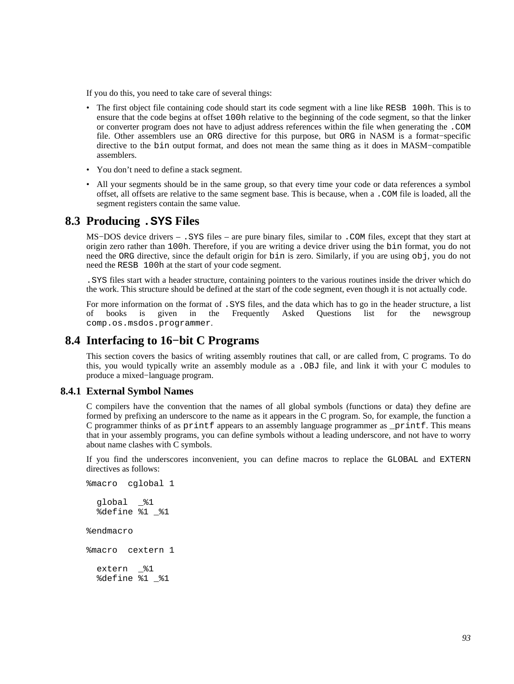If you do this, you need to take care of several things:

- The first object file containing code should start its code segment with a line like RESB 100h. This is to ensure that the code begins at offset 100h relative to the beginning of the code segment, so that the linker or converter program does not have to adjust address references within the file when generating the .COM file. Other assemblers use an ORG directive for this purpose, but ORG in NASM is a format−specific directive to the bin output format, and does not mean the same thing as it does in MASM−compatible assemblers.
- You don't need to define a stack segment.
- All your segments should be in the same group, so that every time your code or data references a symbol offset, all offsets are relative to the same segment base. This is because, when a .COM file is loaded, all the segment registers contain the same value.

## **8.3 Producing .SYS Files**

MS−DOS device drivers – .SYS files – are pure binary files, similar to .COM files, except that they start at origin zero rather than 100h. Therefore, if you are writing a device driver using the bin format, you do not need the ORG directive, since the default origin for bin is zero. Similarly, if you are using obj, you do not need the RESB 100h at the start of your code segment.

.SYS files start with a header structure, containing pointers to the various routines inside the driver which do the work. This structure should be defined at the start of the code segment, even though it is not actually code.

For more information on the format of .SYS files, and the data which has to go in the header structure, a list of books is given in the Frequently Asked Questions list for the newsgroup [comp.os.msdos.programmer](news:comp.os.msdos.programmer).

# **8.4 Interfacing to 16−bit C Programs**

<span id="page-92-1"></span>This section covers the basics of writing assembly routines that call, or are called from, C programs. To do this, you would typically write an assembly module as a .OBJ file, and link it with your C modules to produce a mixed−language program.

### **8.4.1 External Symbol Names**

<span id="page-92-0"></span>C compilers have the convention that the names of all global symbols (functions or data) they define are formed by prefixing an underscore to the name as it appears in the C program. So, for example, the function a C programmer thinks of as printf appears to an assembly language programmer as \_printf. This means that in your assembly programs, you can define symbols without a leading underscore, and not have to worry about name clashes with C symbols.

If you find the underscores inconvenient, you can define macros to replace the GLOBAL and EXTERN directives as follows:

```
%macro cglobal 1 
  global _%1 
   %define %1 _%1 
%endmacro 
%macro cextern 1 
   extern _%1 
   %define %1 _%1
```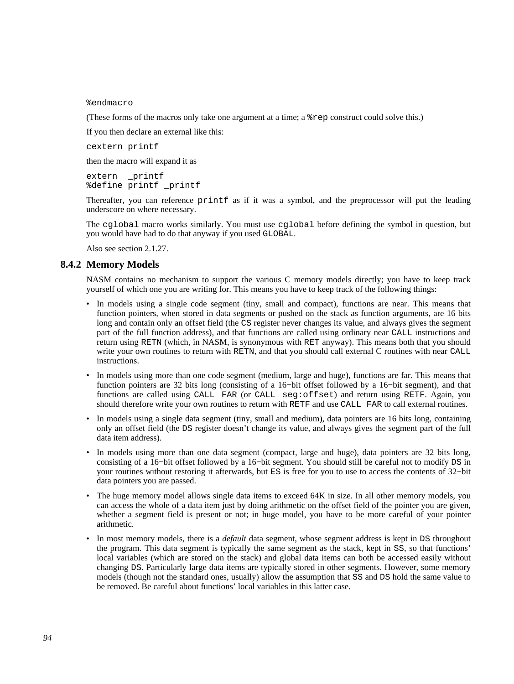%endmacro

(These forms of the macros only take one argument at a time; a %rep construct could solve this.)

If you then declare an external like this:

cextern printf

then the macro will expand it as

extern \_printf %define printf \_printf

Thereafter, you can reference printf as if it was a symbol, and the preprocessor will put the leading underscore on where necessary.

The cglobal macro works similarly. You must use cglobal before defining the symbol in question, but you would have had to do that anyway if you used GLOBAL.

Also see [section 2.1.27.](#page-22-0)

## **8.4.2 Memory Models**

NASM contains no mechanism to support the various C memory models directly; you have to keep track yourself of which one you are writing for. This means you have to keep track of the following things:

- In models using a single code segment (tiny, small and compact), functions are near. This means that function pointers, when stored in data segments or pushed on the stack as function arguments, are 16 bits long and contain only an offset field (the CS register never changes its value, and always gives the segment part of the full function address), and that functions are called using ordinary near CALL instructions and return using RETN (which, in NASM, is synonymous with RET anyway). This means both that you should write your own routines to return with RETN, and that you should call external C routines with near CALL instructions.
- In models using more than one code segment (medium, large and huge), functions are far. This means that function pointers are 32 bits long (consisting of a 16−bit offset followed by a 16−bit segment), and that functions are called using CALL FAR (or CALL seg:offset) and return using RETF. Again, you should therefore write your own routines to return with RETF and use CALL FAR to call external routines.
- In models using a single data segment (tiny, small and medium), data pointers are 16 bits long, containing only an offset field (the DS register doesn't change its value, and always gives the segment part of the full data item address).
- In models using more than one data segment (compact, large and huge), data pointers are 32 bits long, consisting of a 16−bit offset followed by a 16−bit segment. You should still be careful not to modify DS in your routines without restoring it afterwards, but ES is free for you to use to access the contents of 32−bit data pointers you are passed.
- The huge memory model allows single data items to exceed 64K in size. In all other memory models, you can access the whole of a data item just by doing arithmetic on the offset field of the pointer you are given, whether a segment field is present or not; in huge model, you have to be more careful of your pointer arithmetic.
- In most memory models, there is a *default* data segment, whose segment address is kept in DS throughout the program. This data segment is typically the same segment as the stack, kept in SS, so that functions' local variables (which are stored on the stack) and global data items can both be accessed easily without changing DS. Particularly large data items are typically stored in other segments. However, some memory models (though not the standard ones, usually) allow the assumption that SS and DS hold the same value to be removed. Be careful about functions' local variables in this latter case.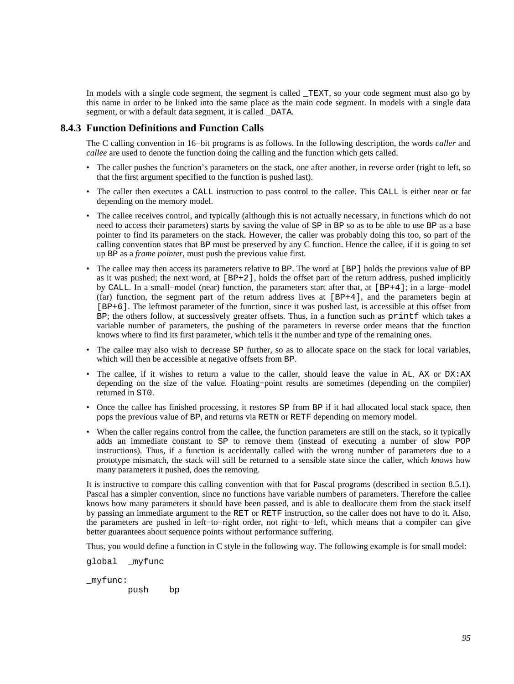In models with a single code segment, the segment is called TEXT, so your code segment must also go by this name in order to be linked into the same place as the main code segment. In models with a single data segment, or with a default data segment, it is called DATA.

## **8.4.3 Function Definitions and Function Calls**

The C calling convention in 16−bit programs is as follows. In the following description, the words *caller* and *callee* are used to denote the function doing the calling and the function which gets called.

- The caller pushes the function's parameters on the stack, one after another, in reverse order (right to left, so that the first argument specified to the function is pushed last).
- The caller then executes a CALL instruction to pass control to the callee. This CALL is either near or far depending on the memory model.
- The callee receives control, and typically (although this is not actually necessary, in functions which do not need to access their parameters) starts by saving the value of SP in BP so as to be able to use BP as a base pointer to find its parameters on the stack. However, the caller was probably doing this too, so part of the calling convention states that BP must be preserved by any C function. Hence the callee, if it is going to set up BP as a *frame pointer*, must push the previous value first.
- The callee may then access its parameters relative to BP. The word at [BP] holds the previous value of BP as it was pushed; the next word, at  $[BF+2]$ , holds the offset part of the return address, pushed implicitly by CALL. In a small−model (near) function, the parameters start after that, at [BP+4]; in a large−model (far) function, the segment part of the return address lives at [BP+4], and the parameters begin at [BP+6]. The leftmost parameter of the function, since it was pushed last, is accessible at this offset from BP; the others follow, at successively greater offsets. Thus, in a function such as printf which takes a variable number of parameters, the pushing of the parameters in reverse order means that the function knows where to find its first parameter, which tells it the number and type of the remaining ones.
- The callee may also wish to decrease SP further, so as to allocate space on the stack for local variables, which will then be accessible at negative offsets from BP.
- The callee, if it wishes to return a value to the caller, should leave the value in AL, AX or DX:AX depending on the size of the value. Floating−point results are sometimes (depending on the compiler) returned in ST0.
- Once the callee has finished processing, it restores SP from BP if it had allocated local stack space, then pops the previous value of BP, and returns via RETN or RETF depending on memory model.
- When the caller regains control from the callee, the function parameters are still on the stack, so it typically adds an immediate constant to SP to remove them (instead of executing a number of slow POP instructions). Thus, if a function is accidentally called with the wrong number of parameters due to a prototype mismatch, the stack will still be returned to a sensible state since the caller, which *knows* how many parameters it pushed, does the removing.

It is instructive to compare this calling convention with that for Pascal programs (described in [section 8.5.1](#page-98-0)). Pascal has a simpler convention, since no functions have variable numbers of parameters. Therefore the callee knows how many parameters it should have been passed, and is able to deallocate them from the stack itself by passing an immediate argument to the RET or RETF instruction, so the caller does not have to do it. Also, the parameters are pushed in left−to−right order, not right−to−left, which means that a compiler can give better guarantees about sequence points without performance suffering.

Thus, you would define a function in C style in the following way. The following example is for small model:

global \_myfunc

\_myfunc:

push bp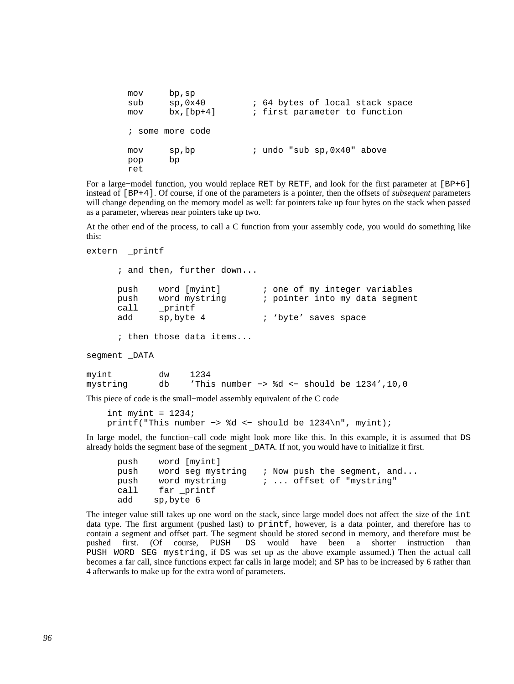```
mov bp,sp<br>sub sp,0x40
sub sp,0x40 ; 64 bytes of local stack space
 mov bx,[bp+4] ; first parameter to function 
 ; some more code 
 mov sp,bp ; undo "sub sp,0x40" above 
 pop bp 
 ret
```
For a large−model function, you would replace RET by RETF, and look for the first parameter at [BP+6] instead of [BP+4]. Of course, if one of the parameters is a pointer, then the offsets of *subsequent* parameters will change depending on the memory model as well: far pointers take up four bytes on the stack when passed as a parameter, whereas near pointers take up two.

At the other end of the process, to call a C function from your assembly code, you would do something like this:

```
extern printf
```
 ; and then, further down... push word [myint] ; one of my integer variables push word mystring  $\cdot$  ; pointer into my data segment call \_printf<br>add sp,byte sp, byte 4 ; 'byte' saves space ; then those data items... segment DATA myint dw 1234 mystring db 'This number −> %d <− should be 1234',10,0

This piece of code is the small−model assembly equivalent of the C code

```
int myint = 1234; printf("This number −> %d <− should be 1234\n", myint);
```
In large model, the function−call code might look more like this. In this example, it is assumed that DS already holds the segment base of the segment \_DATA. If not, you would have to initialize it first.

```
 push word [myint] 
push word seg mystring ; Now push the segment, and...<br>push word mystring ; ... offset of "mystring"
push word mystring \cdots offset of "mystring"
call far printf
 add sp,byte 6
```
The integer value still takes up one word on the stack, since large model does not affect the size of the int data type. The first argument (pushed last) to printf, however, is a data pointer, and therefore has to contain a segment and offset part. The segment should be stored second in memory, and therefore must be pushed first. (Of course, PUSH DS would have been a shorter instruction than PUSH WORD SEG mystring, if DS was set up as the above example assumed.) Then the actual call becomes a far call, since functions expect far calls in large model; and SP has to be increased by 6 rather than 4 afterwards to make up for the extra word of parameters.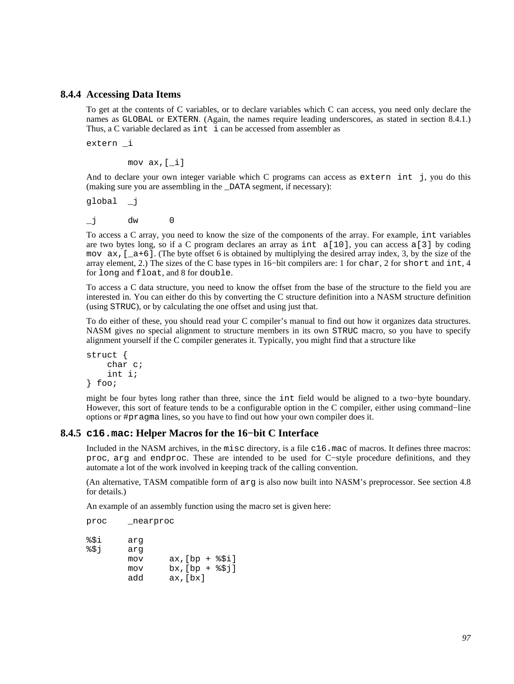## **8.4.4 Accessing Data Items**

To get at the contents of C variables, or to declare variables which C can access, you need only declare the names as GLOBAL or EXTERN. (Again, the names require leading underscores, as stated in [section 8.4.1](#page-92-0).) Thus, a C variable declared as int i can be accessed from assembler as

extern \_i

mov ax,[\_i]

And to declare your own integer variable which C programs can access as extern int j, you do this (making sure you are assembling in the \_DATA segment, if necessary):

global \_j

\_j dw 0

To access a C array, you need to know the size of the components of the array. For example, int variables are two bytes long, so if a C program declares an array as int  $a[10]$ , you can access a[3] by coding mov  $ax, \lceil a+6 \rceil$ . (The byte offset 6 is obtained by multiplying the desired array index, 3, by the size of the array element, 2.) The sizes of the C base types in 16−bit compilers are: 1 for char, 2 for short and int, 4 for long and float, and 8 for double.

To access a C data structure, you need to know the offset from the base of the structure to the field you are interested in. You can either do this by converting the C structure definition into a NASM structure definition (using STRUC), or by calculating the one offset and using just that.

To do either of these, you should read your C compiler's manual to find out how it organizes data structures. NASM gives no special alignment to structure members in its own STRUC macro, so you have to specify alignment yourself if the C compiler generates it. Typically, you might find that a structure like

```
struct { 
      char c; 
      int i; 
} foo;
```
might be four bytes long rather than three, since the int field would be aligned to a two−byte boundary. However, this sort of feature tends to be a configurable option in the C compiler, either using command−line options or #pragma lines, so you have to find out how your own compiler does it.

### **8.4.5 c16.mac: Helper Macros for the 16−bit C Interface**

<span id="page-96-0"></span>Included in the NASM archives, in the misc directory, is a file c16.mac of macros. It defines three macros: proc, arg and endproc. These are intended to be used for C−style procedure definitions, and they automate a lot of the work involved in keeping track of the calling convention.

(An alternative, TASM compatible form of arg is also now built into NASM's preprocessor. See [section 4.8](#page-55-0) for details.)

An example of an assembly function using the macro set is given here:

proc \_nearproc

| %\$i | arq |                 |
|------|-----|-----------------|
| 851  | arq |                 |
|      | mov | $ax/[bp + $Si]$ |
|      | mov | $bx/[bp + $51]$ |
|      | add | $ax$ , $bx$ ]   |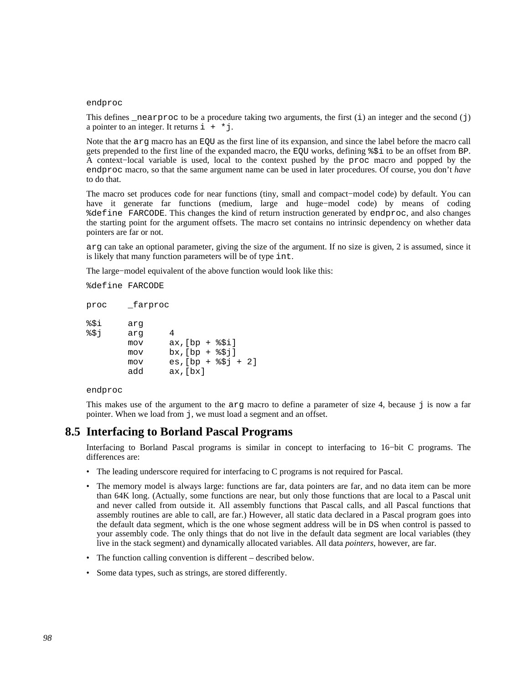### endproc

This defines \_nearproc to be a procedure taking two arguments, the first  $(i)$  an integer and the second  $(j)$ a pointer to an integer. It returns  $i + *j$ .

Note that the arg macro has an EQU as the first line of its expansion, and since the label before the macro call gets prepended to the first line of the expanded macro, the EQU works, defining %\$i to be an offset from BP. A context−local variable is used, local to the context pushed by the proc macro and popped by the endproc macro, so that the same argument name can be used in later procedures. Of course, you don't *have* to do that.

The macro set produces code for near functions (tiny, small and compact−model code) by default. You can have it generate far functions (medium, large and huge−model code) by means of coding %define FARCODE. This changes the kind of return instruction generated by endproc, and also changes the starting point for the argument offsets. The macro set contains no intrinsic dependency on whether data pointers are far or not.

arg can take an optional parameter, giving the size of the argument. If no size is given, 2 is assumed, since it is likely that many function parameters will be of type int.

The large−model equivalent of the above function would look like this:

%define FARCODE

| proc | farproc |                         |
|------|---------|-------------------------|
| %\$i | arq     |                         |
| 851  | arq     | 4                       |
|      | mov     | $ax$ , $[bp + $Si]$     |
|      | mov     | $bx/[bp + $3j]$         |
|      | mov     | $es$ , $[bp + $3j + 2]$ |
|      | add     | $ax$ , $[bx]$           |

### endproc

This makes use of the argument to the  $\arg \max$  macro to define a parameter of size 4, because  $\exists$  is now a far pointer. When we load from j, we must load a segment and an offset.

# **8.5 Interfacing to Borland Pascal Programs**

Interfacing to Borland Pascal programs is similar in concept to interfacing to 16−bit C programs. The differences are:

- The leading underscore required for interfacing to C programs is not required for Pascal.
- The memory model is always large: functions are far, data pointers are far, and no data item can be more than 64K long. (Actually, some functions are near, but only those functions that are local to a Pascal unit and never called from outside it. All assembly functions that Pascal calls, and all Pascal functions that assembly routines are able to call, are far.) However, all static data declared in a Pascal program goes into the default data segment, which is the one whose segment address will be in DS when control is passed to your assembly code. The only things that do not live in the default data segment are local variables (they live in the stack segment) and dynamically allocated variables. All data *pointers*, however, are far.
- The function calling convention is different described below.
- Some data types, such as strings, are stored differently.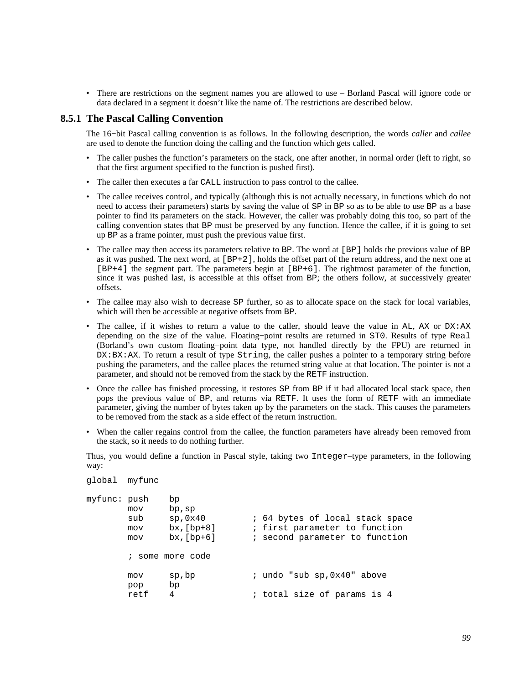• There are restrictions on the segment names you are allowed to use – Borland Pascal will ignore code or data declared in a segment it doesn't like the name of. The restrictions are described below.

## **8.5.1 The Pascal Calling Convention**

<span id="page-98-0"></span>The 16−bit Pascal calling convention is as follows. In the following description, the words *caller* and *callee* are used to denote the function doing the calling and the function which gets called.

- The caller pushes the function's parameters on the stack, one after another, in normal order (left to right, so that the first argument specified to the function is pushed first).
- The caller then executes a far CALL instruction to pass control to the callee.
- The callee receives control, and typically (although this is not actually necessary, in functions which do not need to access their parameters) starts by saving the value of SP in BP so as to be able to use BP as a base pointer to find its parameters on the stack. However, the caller was probably doing this too, so part of the calling convention states that BP must be preserved by any function. Hence the callee, if it is going to set up BP as a frame pointer, must push the previous value first.
- The callee may then access its parameters relative to BP. The word at [BP] holds the previous value of BP as it was pushed. The next word, at [BP+2], holds the offset part of the return address, and the next one at [BP+4] the segment part. The parameters begin at [BP+6]. The rightmost parameter of the function, since it was pushed last, is accessible at this offset from BP; the others follow, at successively greater offsets.
- The callee may also wish to decrease SP further, so as to allocate space on the stack for local variables, which will then be accessible at negative offsets from BP.
- The callee, if it wishes to return a value to the caller, should leave the value in  $AL$ ,  $AX$  or  $DX:AX$ depending on the size of the value. Floating−point results are returned in ST0. Results of type Real (Borland's own custom floating−point data type, not handled directly by the FPU) are returned in DX:BX:AX. To return a result of type String, the caller pushes a pointer to a temporary string before pushing the parameters, and the callee places the returned string value at that location. The pointer is not a parameter, and should not be removed from the stack by the RETF instruction.
- Once the callee has finished processing, it restores SP from BP if it had allocated local stack space, then pops the previous value of BP, and returns via RETF. It uses the form of RETF with an immediate parameter, giving the number of bytes taken up by the parameters on the stack. This causes the parameters to be removed from the stack as a side effect of the return instruction.
- When the caller regains control from the callee, the function parameters have already been removed from the stack, so it needs to do nothing further.

Thus, you would define a function in Pascal style, taking two Integer–type parameters, in the following way:

```
global myfunc 
myfunc: push bp 
       mov bp,sp 
      sub sp,0x40 ; 64 bytes of local stack space
       mov bx,[bp+8] ; first parameter to function 
       mov bx,[bp+6] ; second parameter to function 
        ; some more code 
      mov sp, bp \cdot i undo "sub sp, 0x40" above
       pop bp 
      retf 4 : total size of params is 4
```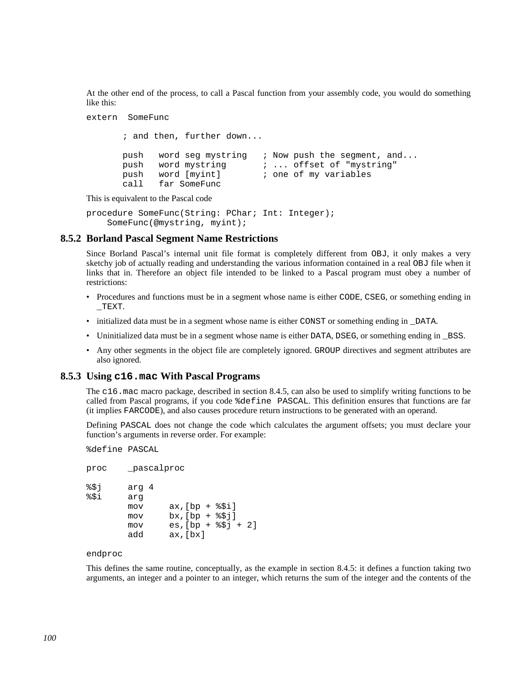At the other end of the process, to call a Pascal function from your assembly code, you would do something like this:

```
extern SomeFunc
```

```
 ; and then, further down... 
push word seg mystring ; Now push the segment, and...
push word mystring \vdots \vdots offset of "mystring"<br>push word [myint] \vdots one of my variables
 push word [myint] ; one of my variables 
 call far SomeFunc
```
This is equivalent to the Pascal code

```
procedure SomeFunc(String: PChar; Int: Integer); 
     SomeFunc(@mystring, myint);
```
## **8.5.2 Borland Pascal Segment Name Restrictions**

Since Borland Pascal's internal unit file format is completely different from OBJ, it only makes a very sketchy job of actually reading and understanding the various information contained in a real OBJ file when it links that in. Therefore an object file intended to be linked to a Pascal program must obey a number of restrictions:

- Procedures and functions must be in a segment whose name is either CODE, CSEG, or something ending in  $_T$ EXT.
- initialized data must be in a segment whose name is either CONST or something ending in DATA.
- Uninitialized data must be in a segment whose name is either DATA, DSEG, or something ending in \_BSS.
- Any other segments in the object file are completely ignored. GROUP directives and segment attributes are also ignored.

### **8.5.3 Using c16.mac With Pascal Programs**

The c16.mac macro package, described in [section 8.4.5](#page-96-0), can also be used to simplify writing functions to be called from Pascal programs, if you code %define PASCAL. This definition ensures that functions are far (it implies FARCODE), and also causes procedure return instructions to be generated with an operand.

Defining PASCAL does not change the code which calculates the argument offsets; you must declare your function's arguments in reverse order. For example:

%define PASCAL

```
proc _pascalproc 
%$j arg 4 
%$i arg 
       mov ax,[bp + <i>§</i> $i]mov bx, [bp + <i>§</i>5j]mov es, [bp + $$j + 2] add ax,[bx]
```
endproc

This defines the same routine, conceptually, as the example in [section 8.4.5:](#page-96-0) it defines a function taking two arguments, an integer and a pointer to an integer, which returns the sum of the integer and the contents of the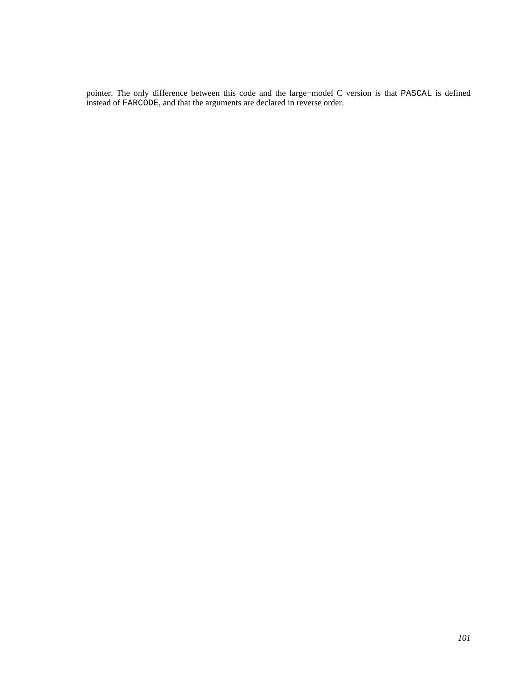pointer. The only difference between this code and the large−model C version is that PASCAL is defined instead of FARCODE, and that the arguments are declared in reverse order.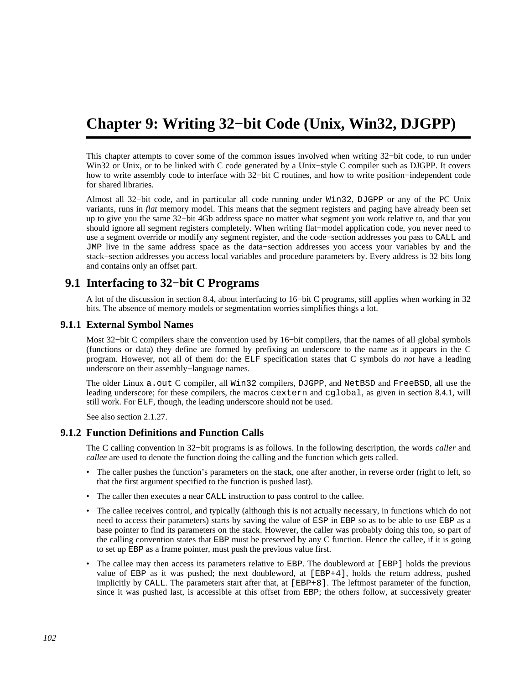# **Chapter 9: Writing 32−bit Code (Unix, Win32, DJGPP)**

This chapter attempts to cover some of the common issues involved when writing 32−bit code, to run under Win32 or Unix, or to be linked with C code generated by a Unix−style C compiler such as DJGPP. It covers how to write assembly code to interface with 32−bit C routines, and how to write position−independent code for shared libraries.

Almost all 32−bit code, and in particular all code running under Win32, DJGPP or any of the PC Unix variants, runs in *flat* memory model. This means that the segment registers and paging have already been set up to give you the same 32−bit 4Gb address space no matter what segment you work relative to, and that you should ignore all segment registers completely. When writing flat−model application code, you never need to use a segment override or modify any segment register, and the code−section addresses you pass to CALL and JMP live in the same address space as the data−section addresses you access your variables by and the stack−section addresses you access local variables and procedure parameters by. Every address is 32 bits long and contains only an offset part.

# **9.1 Interfacing to 32−bit C Programs**

A lot of the discussion in [section 8.4,](#page-92-1) about interfacing to 16−bit C programs, still applies when working in 32 bits. The absence of memory models or segmentation worries simplifies things a lot.

## **9.1.1 External Symbol Names**

<span id="page-101-0"></span>Most 32−bit C compilers share the convention used by 16−bit compilers, that the names of all global symbols (functions or data) they define are formed by prefixing an underscore to the name as it appears in the C program. However, not all of them do: the ELF specification states that C symbols do *not* have a leading underscore on their assembly−language names.

The older Linux a.out C compiler, all Win32 compilers, DJGPP, and NetBSD and FreeBSD, all use the leading underscore; for these compilers, the macros cextern and cglobal, as given in [section 8.4.1,](#page-92-0) will still work. For ELF, though, the leading underscore should not be used.

See also [section 2.1.27.](#page-22-0)

## **9.1.2 Function Definitions and Function Calls**

The C calling convention in 32−bit programs is as follows. In the following description, the words *caller* and *callee* are used to denote the function doing the calling and the function which gets called.

- The caller pushes the function's parameters on the stack, one after another, in reverse order (right to left, so that the first argument specified to the function is pushed last).
- The caller then executes a near CALL instruction to pass control to the callee.
- The callee receives control, and typically (although this is not actually necessary, in functions which do not need to access their parameters) starts by saving the value of ESP in EBP so as to be able to use EBP as a base pointer to find its parameters on the stack. However, the caller was probably doing this too, so part of the calling convention states that EBP must be preserved by any C function. Hence the callee, if it is going to set up EBP as a frame pointer, must push the previous value first.
- The callee may then access its parameters relative to EBP. The doubleword at [EBP] holds the previous value of EBP as it was pushed; the next doubleword, at [EBP+4], holds the return address, pushed implicitly by CALL. The parameters start after that, at [EBP+8]. The leftmost parameter of the function, since it was pushed last, is accessible at this offset from EBP; the others follow, at successively greater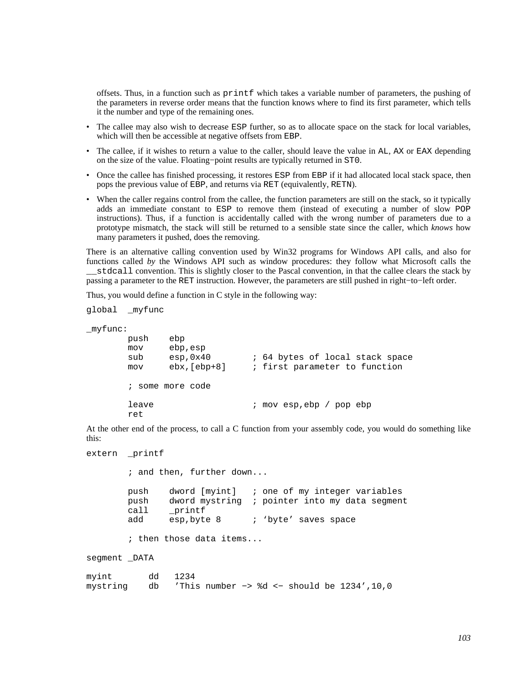offsets. Thus, in a function such as printf which takes a variable number of parameters, the pushing of the parameters in reverse order means that the function knows where to find its first parameter, which tells it the number and type of the remaining ones.

- The callee may also wish to decrease ESP further, so as to allocate space on the stack for local variables, which will then be accessible at negative offsets from EBP.
- The callee, if it wishes to return a value to the caller, should leave the value in AL, AX or EAX depending on the size of the value. Floating−point results are typically returned in ST0.
- Once the callee has finished processing, it restores ESP from EBP if it had allocated local stack space, then pops the previous value of EBP, and returns via RET (equivalently, RETN).
- When the caller regains control from the callee, the function parameters are still on the stack, so it typically adds an immediate constant to ESP to remove them (instead of executing a number of slow POP instructions). Thus, if a function is accidentally called with the wrong number of parameters due to a prototype mismatch, the stack will still be returned to a sensible state since the caller, which *knows* how many parameters it pushed, does the removing.

There is an alternative calling convention used by Win32 programs for Windows API calls, and also for functions called *by* the Windows API such as window procedures: they follow what Microsoft calls the \_\_stdcall convention. This is slightly closer to the Pascal convention, in that the callee clears the stack by passing a parameter to the RET instruction. However, the parameters are still pushed in right−to−left order.

Thus, you would define a function in C style in the following way:

```
global _myfunc 
_myfunc: 
                push ebp 
                mov ebp,esp 
               sub esp,0x40 ; 64 bytes of local stack space
                mov ebx,[ebp+8] ; first parameter to function 
                ; some more code 
               leave : : \mathbb{R}^p ; \mathbb{R}^p \mathbb{R}^p \mathbb{R}^p \mathbb{R}^p \mathbb{R}^p \mathbb{R}^p \mathbb{R}^p \mathbb{R}^p \mathbb{R}^p \mathbb{R}^p \mathbb{R}^p \mathbb{R}^p \mathbb{R}^p \mathbb{R}^p \mathbb{R}^p \mathbb{R}^p \mathbb{R}^p \mathbb{R}^ ret
```
At the other end of the process, to call a C function from your assembly code, you would do something like this:

extern \_printf

 ; and then, further down... push dword [myint] ; one of my integer variables push dword mystring ; pointer into my data segment call \_printf add esp, byte 8 ; 'byte' saves space

; then those data items...

segment DATA

| myint                                                      | dd 1234 |  |  |  |  |
|------------------------------------------------------------|---------|--|--|--|--|
| mystring db 'This number -> %d <- should be $1234'$ , 10,0 |         |  |  |  |  |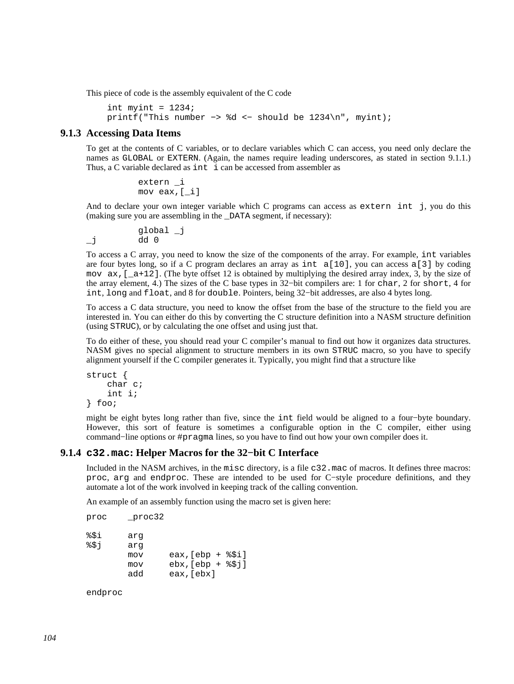This piece of code is the assembly equivalent of the C code

```
int myint = 1234;
 printf("This number −> %d <− should be 1234\n", myint);
```
## **9.1.3 Accessing Data Items**

To get at the contents of C variables, or to declare variables which C can access, you need only declare the names as GLOBAL or EXTERN. (Again, the names require leading underscores, as stated in [section 9.1.1](#page-101-0).) Thus, a C variable declared as int i can be accessed from assembler as

> extern \_i mov eax,[\_i]

And to declare your own integer variable which C programs can access as extern int j, you do this (making sure you are assembling in the \_DATA segment, if necessary):

 global \_j  $j$  dd 0

To access a C array, you need to know the size of the components of the array. For example, int variables are four bytes long, so if a C program declares an array as int  $a[10]$ , you can access a[3] by coding mov  $ax$ ,  $[a+12]$ . (The byte offset 12 is obtained by multiplying the desired array index, 3, by the size of the array element, 4.) The sizes of the C base types in 32−bit compilers are: 1 for char, 2 for short, 4 for int, long and float, and 8 for double. Pointers, being 32−bit addresses, are also 4 bytes long.

To access a C data structure, you need to know the offset from the base of the structure to the field you are interested in. You can either do this by converting the C structure definition into a NASM structure definition (using STRUC), or by calculating the one offset and using just that.

To do either of these, you should read your C compiler's manual to find out how it organizes data structures. NASM gives no special alignment to structure members in its own STRUC macro, so you have to specify alignment yourself if the C compiler generates it. Typically, you might find that a structure like

```
struct { 
      char c; 
      int i; 
} foo;
```
might be eight bytes long rather than five, since the int field would be aligned to a four−byte boundary. However, this sort of feature is sometimes a configurable option in the C compiler, either using command−line options or #pragma lines, so you have to find out how your own compiler does it.

### **9.1.4 c32.mac: Helper Macros for the 32−bit C Interface**

Included in the NASM archives, in the misc directory, is a file c32.mac of macros. It defines three macros: proc, arg and endproc. These are intended to be used for C−style procedure definitions, and they automate a lot of the work involved in keeping track of the calling convention.

An example of an assembly function using the macro set is given here:

```
proc _proc32 
%$i arg 
%$j arg 
        mov eax,[ebp + %$i] 
        mov ebx,[ebp + %$j] 
        add eax,[ebx]
```
endproc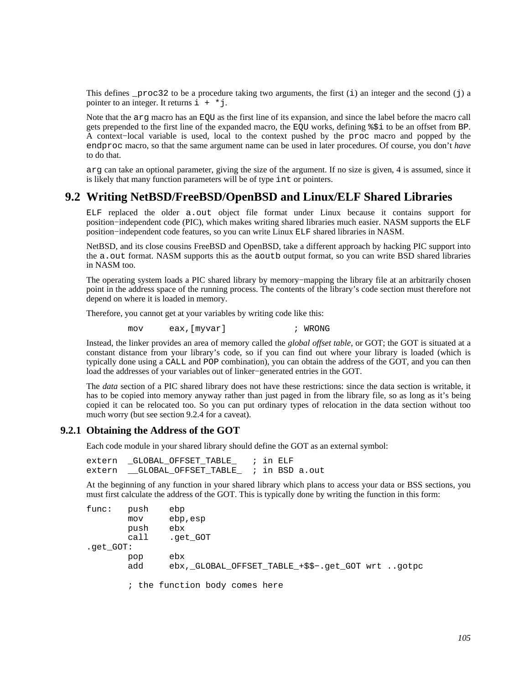This defines  $p\text{roc32}$  to be a procedure taking two arguments, the first (i) an integer and the second (j) and pointer to an integer. It returns  $i + *j$ .

Note that the arg macro has an EQU as the first line of its expansion, and since the label before the macro call gets prepended to the first line of the expanded macro, the EQU works, defining %\$i to be an offset from BP. A context−local variable is used, local to the context pushed by the proc macro and popped by the endproc macro, so that the same argument name can be used in later procedures. Of course, you don't *have* to do that.

arg can take an optional parameter, giving the size of the argument. If no size is given, 4 is assumed, since it is likely that many function parameters will be of type int or pointers.

# **9.2 Writing NetBSD/FreeBSD/OpenBSD and Linux/ELF Shared Libraries**

<span id="page-104-0"></span>ELF replaced the older a.out object file format under Linux because it contains support for position−independent code (PIC), which makes writing shared libraries much easier. NASM supports the ELF position−independent code features, so you can write Linux ELF shared libraries in NASM.

NetBSD, and its close cousins FreeBSD and OpenBSD, take a different approach by hacking PIC support into the a.out format. NASM supports this as the aoutb output format, so you can write BSD shared libraries in NASM too.

The operating system loads a PIC shared library by memory–mapping the library file at an arbitrarily chosen point in the address space of the running process. The contents of the library's code section must therefore not depend on where it is loaded in memory.

Therefore, you cannot get at your variables by writing code like this:

mov eax,[myvar] ; WRONG

Instead, the linker provides an area of memory called the *global offset table*, or GOT; the GOT is situated at a constant distance from your library's code, so if you can find out where your library is loaded (which is typically done using a CALL and POP combination), you can obtain the address of the GOT, and you can then load the addresses of your variables out of linker−generated entries in the GOT.

The *data* section of a PIC shared library does not have these restrictions: since the data section is writable, it has to be copied into memory anyway rather than just paged in from the library file, so as long as it's being copied it can be relocated too. So you can put ordinary types of relocation in the data section without too much worry (but see [section 9.2.4](#page-106-0) for a caveat).

## **9.2.1 Obtaining the Address of the GOT**

Each code module in your shared library should define the GOT as an external symbol:

extern \_GLOBAL\_OFFSET\_TABLE\_ ; in ELF extern GLOBAL OFFSET TABLE

At the beginning of any function in your shared library which plans to access your data or BSS sections, you must first calculate the address of the GOT. This is typically done by writing the function in this form:

```
func: push ebp 
        mov ebp,esp 
        push ebx 
        call .get_GOT 
.get_GOT: 
        pop ebx 
        add ebx,_GLOBAL_OFFSET_TABLE_+$$−.get_GOT wrt ..gotpc 
        ; the function body comes here
```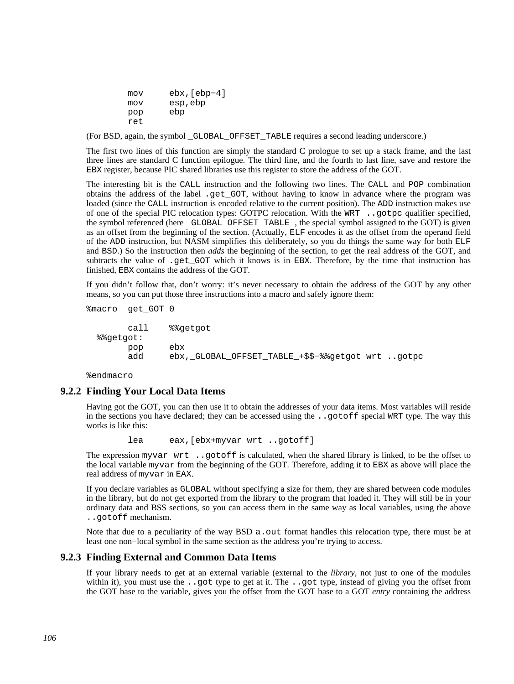mov ebx,[ebp−4] mov esp,ebp pop ebp ret

(For BSD, again, the symbol \_GLOBAL\_OFFSET\_TABLE requires a second leading underscore.)

The first two lines of this function are simply the standard C prologue to set up a stack frame, and the last three lines are standard C function epilogue. The third line, and the fourth to last line, save and restore the EBX register, because PIC shared libraries use this register to store the address of the GOT.

The interesting bit is the CALL instruction and the following two lines. The CALL and POP combination obtains the address of the label .get\_GOT, without having to know in advance where the program was loaded (since the CALL instruction is encoded relative to the current position). The ADD instruction makes use of one of the special PIC relocation types: GOTPC relocation. With the WRT ..gotpc qualifier specified, the symbol referenced (here \_GLOBAL\_OFFSET\_TABLE\_, the special symbol assigned to the GOT) is given as an offset from the beginning of the section. (Actually, ELF encodes it as the offset from the operand field of the ADD instruction, but NASM simplifies this deliberately, so you do things the same way for both ELF and BSD.) So the instruction then *adds* the beginning of the section, to get the real address of the GOT, and subtracts the value of .get\_GOT which it knows is in EBX. Therefore, by the time that instruction has finished, EBX contains the address of the GOT.

If you didn't follow that, don't worry: it's never necessary to obtain the address of the GOT by any other means, so you can put those three instructions into a macro and safely ignore them:

```
%macro get_GOT 0
```

```
 call %%getgot 
 %%getgot: 
      pop ebx 
      add ebx,_GLOBAL_OFFSET_TABLE_+$$−%%getgot wrt ..gotpc
```
%endmacro

## **9.2.2 Finding Your Local Data Items**

Having got the GOT, you can then use it to obtain the addresses of your data items. Most variables will reside in the sections you have declared; they can be accessed using the ..gotoff special WRT type. The way this works is like this:

lea eax,[ebx+myvar wrt ..gotoff]

The expression myvar wrt ..gotoff is calculated, when the shared library is linked, to be the offset to the local variable myvar from the beginning of the GOT. Therefore, adding it to EBX as above will place the real address of myvar in EAX.

If you declare variables as GLOBAL without specifying a size for them, they are shared between code modules in the library, but do not get exported from the library to the program that loaded it. They will still be in your ordinary data and BSS sections, so you can access them in the same way as local variables, using the above ..gotoff mechanism.

Note that due to a peculiarity of the way BSD a. out format handles this relocation type, there must be at least one non−local symbol in the same section as the address you're trying to access.

## **9.2.3 Finding External and Common Data Items**

If your library needs to get at an external variable (external to the *library*, not just to one of the modules within it), you must use the . got type to get at it. The . got type, instead of giving you the offset from the GOT base to the variable, gives you the offset from the GOT base to a GOT *entry* containing the address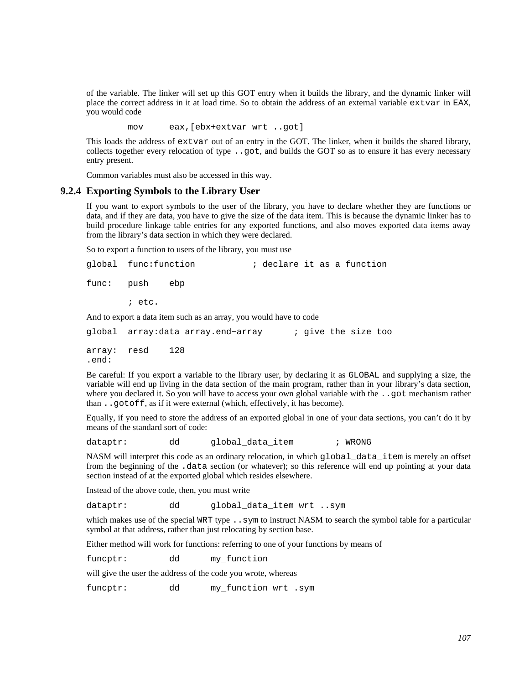of the variable. The linker will set up this GOT entry when it builds the library, and the dynamic linker will place the correct address in it at load time. So to obtain the address of an external variable extvar in EAX, you would code

mov eax,[ebx+extvar wrt ..got]

This loads the address of extvar out of an entry in the GOT. The linker, when it builds the shared library, collects together every relocation of type ..got, and builds the GOT so as to ensure it has every necessary entry present.

Common variables must also be accessed in this way.

### **9.2.4 Exporting Symbols to the Library User**

<span id="page-106-0"></span>If you want to export symbols to the user of the library, you have to declare whether they are functions or data, and if they are data, you have to give the size of the data item. This is because the dynamic linker has to build procedure linkage table entries for any exported functions, and also moves exported data items away from the library's data section in which they were declared.

So to export a function to users of the library, you must use

|                                                                    | qlobal func:function               | ; declare it as a function |  |  |  |  |                     |  |
|--------------------------------------------------------------------|------------------------------------|----------------------------|--|--|--|--|---------------------|--|
| func: push                                                         | ebp                                |                            |  |  |  |  |                     |  |
|                                                                    | $i$ etc.                           |                            |  |  |  |  |                     |  |
| And to export a data item such as an array, you would have to code |                                    |                            |  |  |  |  |                     |  |
|                                                                    | qlobal  array:data array.end-array |                            |  |  |  |  | ; give the size too |  |

array: resd 128 .end:

Be careful: If you export a variable to the library user, by declaring it as GLOBAL and supplying a size, the variable will end up living in the data section of the main program, rather than in your library's data section, where you declared it. So you will have to access your own global variable with the ..got mechanism rather than ..gotoff, as if it were external (which, effectively, it has become).

Equally, if you need to store the address of an exported global in one of your data sections, you can't do it by means of the standard sort of code:

dataptr: dd global data item ; WRONG

NASM will interpret this code as an ordinary relocation, in which global\_data\_item is merely an offset from the beginning of the .data section (or whatever); so this reference will end up pointing at your data section instead of at the exported global which resides elsewhere.

Instead of the above code, then, you must write

dataptr: dd global\_data\_item wrt ..sym

which makes use of the special WRT type . . sym to instruct NASM to search the symbol table for a particular symbol at that address, rather than just relocating by section base.

Either method will work for functions: referring to one of your functions by means of

funcptr: dd my\_function

will give the user the address of the code you wrote, whereas

funcptr: dd my\_function wrt .sym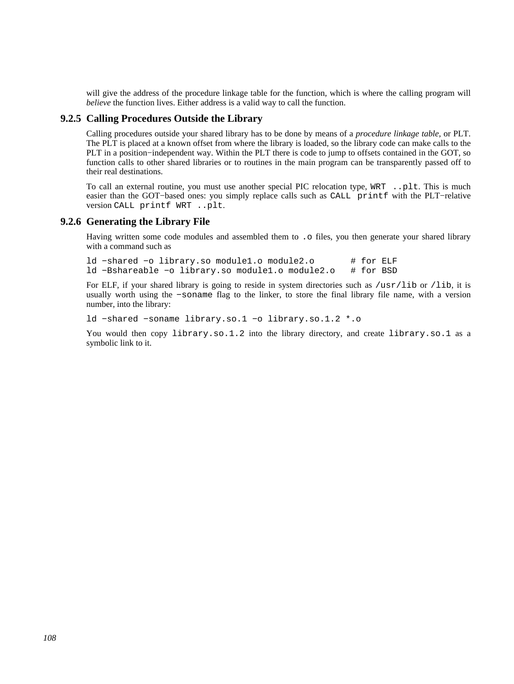will give the address of the procedure linkage table for the function, which is where the calling program will *believe* the function lives. Either address is a valid way to call the function.

## **9.2.5 Calling Procedures Outside the Library**

Calling procedures outside your shared library has to be done by means of a *procedure linkage table*, or PLT. The PLT is placed at a known offset from where the library is loaded, so the library code can make calls to the PLT in a position−independent way. Within the PLT there is code to jump to offsets contained in the GOT, so function calls to other shared libraries or to routines in the main program can be transparently passed off to their real destinations.

To call an external routine, you must use another special PIC relocation type, WRT ..plt. This is much easier than the GOT−based ones: you simply replace calls such as CALL printf with the PLT−relative version CALL printf WRT ..plt.

### **9.2.6 Generating the Library File**

Having written some code modules and assembled them to . o files, you then generate your shared library with a command such as

ld −shared −o library.so module1.o module2.o # for ELF<br>ld −Bshareable −o library.so module1.o module2.o # for BSD ld −Bshareable −o library.so module1.o module2.o

For ELF, if your shared library is going to reside in system directories such as /usr/lib or /lib, it is usually worth using the −soname flag to the linker, to store the final library file name, with a version number, into the library:

ld −shared −soname library.so.1 −o library.so.1.2 \*.o

You would then copy library.so.1.2 into the library directory, and create library.so.1 as a symbolic link to it.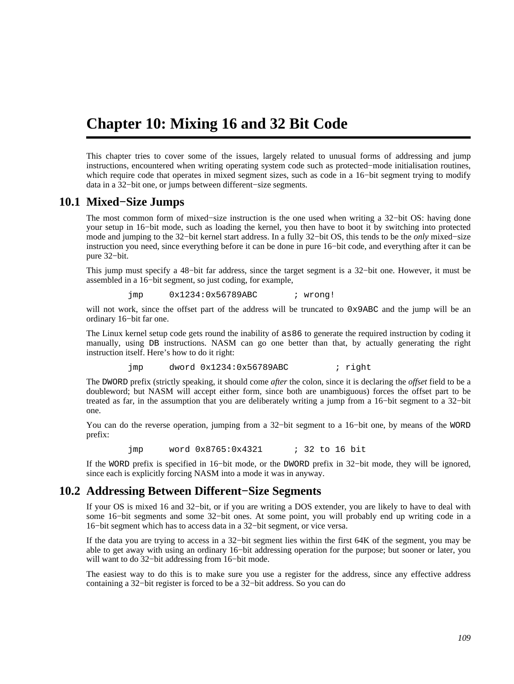## **Chapter 10: Mixing 16 and 32 Bit Code**

This chapter tries to cover some of the issues, largely related to unusual forms of addressing and jump instructions, encountered when writing operating system code such as protected−mode initialisation routines, which require code that operates in mixed segment sizes, such as code in a 16−bit segment trying to modify data in a 32−bit one, or jumps between different−size segments.

### **10.1 Mixed−Size Jumps**

<span id="page-108-0"></span>The most common form of mixed–size instruction is the one used when writing a 32–bit OS: having done your setup in 16−bit mode, such as loading the kernel, you then have to boot it by switching into protected mode and jumping to the 32−bit kernel start address. In a fully 32−bit OS, this tends to be the *only* mixed−size instruction you need, since everything before it can be done in pure 16−bit code, and everything after it can be pure 32−bit.

This jump must specify a 48−bit far address, since the target segment is a 32−bit one. However, it must be assembled in a 16−bit segment, so just coding, for example,

jmp 0x1234:0x56789ABC ; wrong!

will not work, since the offset part of the address will be truncated to 0x9ABC and the jump will be an ordinary 16−bit far one.

The Linux kernel setup code gets round the inability of as86 to generate the required instruction by coding it manually, using DB instructions. NASM can go one better than that, by actually generating the right instruction itself. Here's how to do it right:

jmp dword 0x1234:0x56789ABC ; right

The DWORD prefix (strictly speaking, it should come *after* the colon, since it is declaring the *offset* field to be a doubleword; but NASM will accept either form, since both are unambiguous) forces the offset part to be treated as far, in the assumption that you are deliberately writing a jump from a 16−bit segment to a 32−bit one.

You can do the reverse operation, jumping from a 32−bit segment to a 16−bit one, by means of the WORD prefix:

jmp word 0x8765:0x4321 ; 32 to 16 bit

If the WORD prefix is specified in 16−bit mode, or the DWORD prefix in 32−bit mode, they will be ignored, since each is explicitly forcing NASM into a mode it was in anyway.

### **10.2 Addressing Between Different−Size Segments**

If your OS is mixed 16 and 32−bit, or if you are writing a DOS extender, you are likely to have to deal with some 16−bit segments and some 32−bit ones. At some point, you will probably end up writing code in a 16−bit segment which has to access data in a 32−bit segment, or vice versa.

If the data you are trying to access in a 32−bit segment lies within the first 64K of the segment, you may be able to get away with using an ordinary 16−bit addressing operation for the purpose; but sooner or later, you will want to do 32−bit addressing from 16−bit mode.

The easiest way to do this is to make sure you use a register for the address, since any effective address containing a 32−bit register is forced to be a 32−bit address. So you can do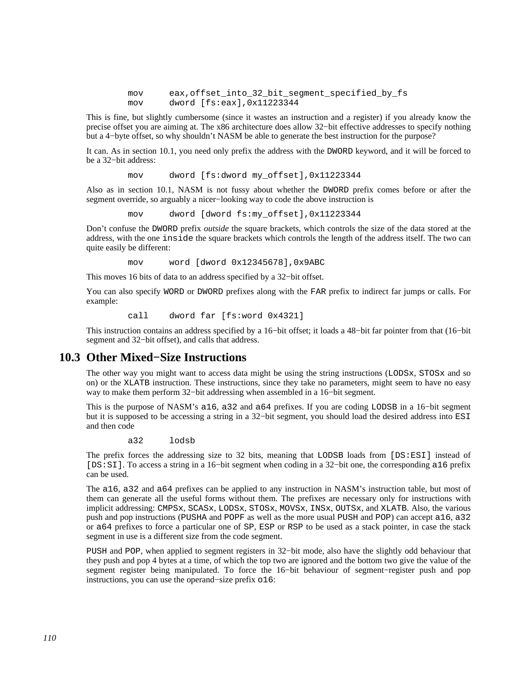mov eax, offset into 32 bit segment specified by fs mov dword [fs:eax],0x11223344

This is fine, but slightly cumbersome (since it wastes an instruction and a register) if you already know the precise offset you are aiming at. The x86 architecture does allow 32−bit effective addresses to specify nothing but a 4−byte offset, so why shouldn't NASM be able to generate the best instruction for the purpose?

It can. As in [section 10.1,](#page-108-0) you need only prefix the address with the DWORD keyword, and it will be forced to be a 32−bit address:

mov dword [fs:dword my\_offset],0x11223344

Also as in [section 10.1,](#page-108-0) NASM is not fussy about whether the DWORD prefix comes before or after the segment override, so arguably a nicer−looking way to code the above instruction is

mov dword [dword fs:my\_offset],0x11223344

Don't confuse the DWORD prefix *outside* the square brackets, which controls the size of the data stored at the address, with the one inside the square brackets which controls the length of the address itself. The two can quite easily be different:

mov word [dword 0x12345678],0x9ABC

This moves 16 bits of data to an address specified by a 32−bit offset.

You can also specify WORD or DWORD prefixes along with the FAR prefix to indirect far jumps or calls. For example:

call dword far [fs:word 0x4321]

This instruction contains an address specified by a 16−bit offset; it loads a 48−bit far pointer from that (16−bit segment and 32−bit offset), and calls that address.

## **10.3 Other Mixed−Size Instructions**

The other way you might want to access data might be using the string instructions (LODSx, STOSx and so on) or the XLATB instruction. These instructions, since they take no parameters, might seem to have no easy way to make them perform 32−bit addressing when assembled in a 16−bit segment.

This is the purpose of NASM's a16, a32 and a64 prefixes. If you are coding LODSB in a 16−bit segment but it is supposed to be accessing a string in a 32−bit segment, you should load the desired address into ESI and then code

a32 lodsb

The prefix forces the addressing size to 32 bits, meaning that LODSB loads from [DS:ESI] instead of [DS:SI]. To access a string in a 16−bit segment when coding in a 32−bit one, the corresponding a16 prefix can be used.

The a16, a32 and a64 prefixes can be applied to any instruction in NASM's instruction table, but most of them can generate all the useful forms without them. The prefixes are necessary only for instructions with implicit addressing: CMPSx, SCASx, LODSx, STOSx, MOVSx, INSx, OUTSx, and XLATB. Also, the various push and pop instructions (PUSHA and POPF as well as the more usual PUSH and POP) can accept a16, a32 or a64 prefixes to force a particular one of SP, ESP or RSP to be used as a stack pointer, in case the stack segment in use is a different size from the code segment.

PUSH and POP, when applied to segment registers in 32−bit mode, also have the slightly odd behaviour that they push and pop 4 bytes at a time, of which the top two are ignored and the bottom two give the value of the segment register being manipulated. To force the 16−bit behaviour of segment−register push and pop instructions, you can use the operand−size prefix o16: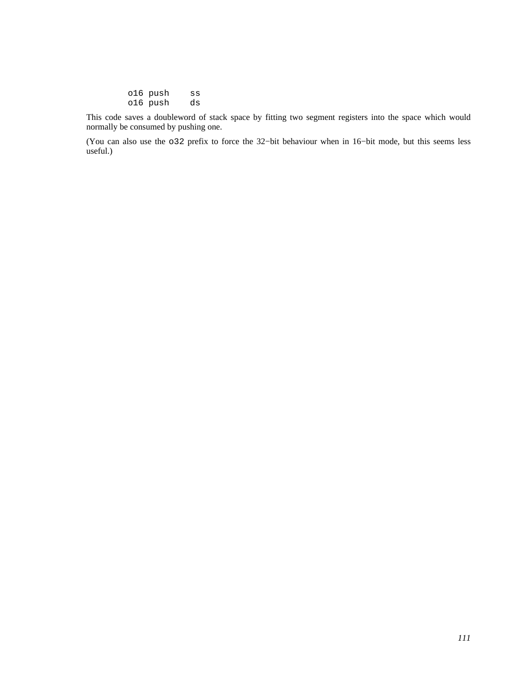| o16 push | SS |
|----------|----|
| o16 push | ds |

This code saves a doubleword of stack space by fitting two segment registers into the space which would normally be consumed by pushing one.

(You can also use the o32 prefix to force the 32−bit behaviour when in 16−bit mode, but this seems less useful.)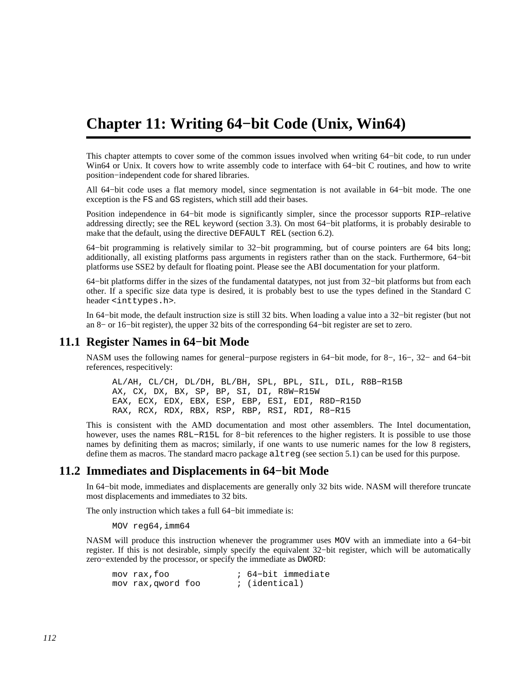## **Chapter 11: Writing 64−bit Code (Unix, Win64)**

This chapter attempts to cover some of the common issues involved when writing 64−bit code, to run under Win64 or Unix. It covers how to write assembly code to interface with 64−bit C routines, and how to write position−independent code for shared libraries.

All 64−bit code uses a flat memory model, since segmentation is not available in 64−bit mode. The one exception is the FS and GS registers, which still add their bases.

Position independence in 64−bit mode is significantly simpler, since the processor supports RIP–relative addressing directly; see the REL keyword [\(section 3.3\)](#page-27-0). On most 64−bit platforms, it is probably desirable to make that the default, using the directive DEFAULT REL [\(section 6.2\)](#page-66-0).

64−bit programming is relatively similar to 32−bit programming, but of course pointers are 64 bits long; additionally, all existing platforms pass arguments in registers rather than on the stack. Furthermore, 64−bit platforms use SSE2 by default for floating point. Please see the ABI documentation for your platform.

64−bit platforms differ in the sizes of the fundamental datatypes, not just from 32−bit platforms but from each other. If a specific size data type is desired, it is probably best to use the types defined in the Standard C header <inttypes.h>.

In 64−bit mode, the default instruction size is still 32 bits. When loading a value into a 32−bit register (but not an 8− or 16−bit register), the upper 32 bits of the corresponding 64−bit register are set to zero.

### **11.1 Register Names in 64−bit Mode**

NASM uses the following names for general−purpose registers in 64−bit mode, for 8−, 16−, 32− and 64−bit references, respecitively:

 AL/AH, CL/CH, DL/DH, BL/BH, SPL, BPL, SIL, DIL, R8B−R15B AX, CX, DX, BX, SP, BP, SI, DI, R8W−R15W EAX, ECX, EDX, EBX, ESP, EBP, ESI, EDI, R8D−R15D RAX, RCX, RDX, RBX, RSP, RBP, RSI, RDI, R8−R15

This is consistent with the AMD documentation and most other assemblers. The Intel documentation, however, uses the names R8L−R15L for 8−bit references to the higher registers. It is possible to use those names by definiting them as macros; similarly, if one wants to use numeric names for the low 8 registers, define them as macros. The standard macro package altreg (see [section 5.1](#page-64-0)) can be used for this purpose.

#### **11.2 Immediates and Displacements in 64−bit Mode**

In 64−bit mode, immediates and displacements are generally only 32 bits wide. NASM will therefore truncate most displacements and immediates to 32 bits.

The only instruction which takes a full 64−bit immediate is:

MOV reg64,imm64

NASM will produce this instruction whenever the programmer uses MOV with an immediate into a 64−bit register. If this is not desirable, simply specify the equivalent 32−bit register, which will be automatically zero−extended by the processor, or specify the immediate as DWORD:

| mov rax, foo       |  | ; 64-bit immediate |
|--------------------|--|--------------------|
| mov rax, qword foo |  | ; (identical)      |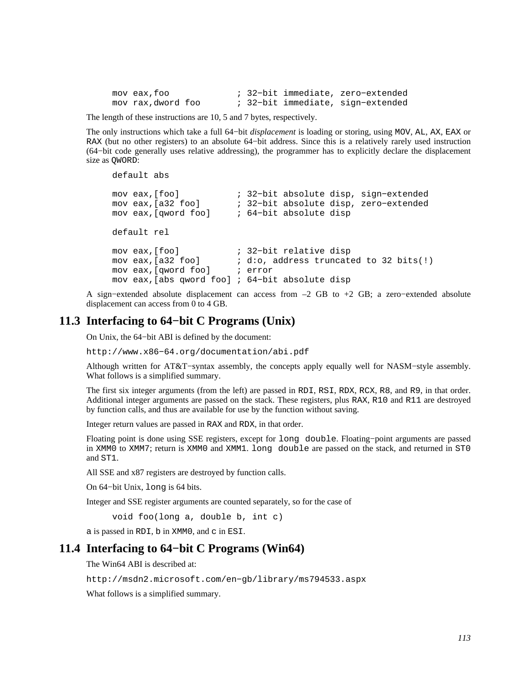mov eax,foo ; 32−bit immediate, zero−extended mov rax,dword foo ; 32−bit immediate, sign−extended

The length of these instructions are 10, 5 and 7 bytes, respectively.

The only instructions which take a full 64−bit *displacement* is loading or storing, using MOV, AL, AX, EAX or RAX (but no other registers) to an absolute 64−bit address. Since this is a relatively rarely used instruction (64−bit code generally uses relative addressing), the programmer has to explicitly declare the displacement size as QWORD:

```
 default abs 
    mov eax,[foo] ; 32−bit absolute disp, sign−extended 
mov eax,[a32 foo] ; 32−bit absolute disp, zero−extended 
mov eax,[qword foo] ; 64−bit absolute disp 
    default rel 
   mov eax, [foo] ; 32-bit relative disp<br>mov eax, [a32 foo] ; d:o, address truncate
                            i d:o, address truncated to 32 bits(!)
    mov eax,[qword foo] ; error 
    mov eax,[abs qword foo] ; 64−bit absolute disp
```
A sign−extended absolute displacement can access from –2 GB to +2 GB; a zero−extended absolute displacement can access from 0 to 4 GB.

#### **11.3 Interfacing to 64−bit C Programs (Unix)**

On Unix, the 64−bit ABI is defined by the document:

[http://www.x86−64.org/documentation/abi.pdf](http://www.x86-64.org/documentation/abi.pdf)

Although written for AT&T−syntax assembly, the concepts apply equally well for NASM−style assembly. What follows is a simplified summary.

The first six integer arguments (from the left) are passed in RDI, RSI, RDX, RCX, R8, and R9, in that order. Additional integer arguments are passed on the stack. These registers, plus RAX, R10 and R11 are destroyed by function calls, and thus are available for use by the function without saving.

Integer return values are passed in RAX and RDX, in that order.

Floating point is done using SSE registers, except for long double. Floating−point arguments are passed in XMM0 to XMM7; return is XMM0 and XMM1. long double are passed on the stack, and returned in ST0 and ST1.

All SSE and x87 registers are destroyed by function calls.

On 64−bit Unix, long is 64 bits.

Integer and SSE register arguments are counted separately, so for the case of

```
 void foo(long a, double b, int c)
```
a is passed in RDI, b in XMM0, and c in ESI.

### **11.4 Interfacing to 64−bit C Programs (Win64)**

The Win64 ABI is described at:

[http://msdn2.microsoft.com/en−gb/library/ms794533.aspx](http://msdn2.microsoft.com/en-gb/library/ms794533.aspx)

What follows is a simplified summary.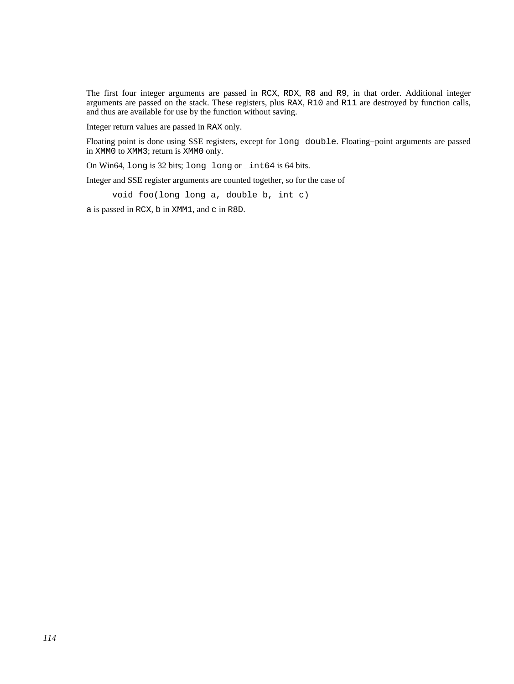The first four integer arguments are passed in RCX, RDX, R8 and R9, in that order. Additional integer arguments are passed on the stack. These registers, plus RAX, R10 and R11 are destroyed by function calls, and thus are available for use by the function without saving.

Integer return values are passed in RAX only.

Floating point is done using SSE registers, except for long double. Floating−point arguments are passed in XMM0 to XMM3; return is XMM0 only.

On Win64, long is 32 bits; long long or \_int64 is 64 bits.

Integer and SSE register arguments are counted together, so for the case of

void foo(long long a, double b, int c)

a is passed in RCX, b in XMM1, and c in R8D.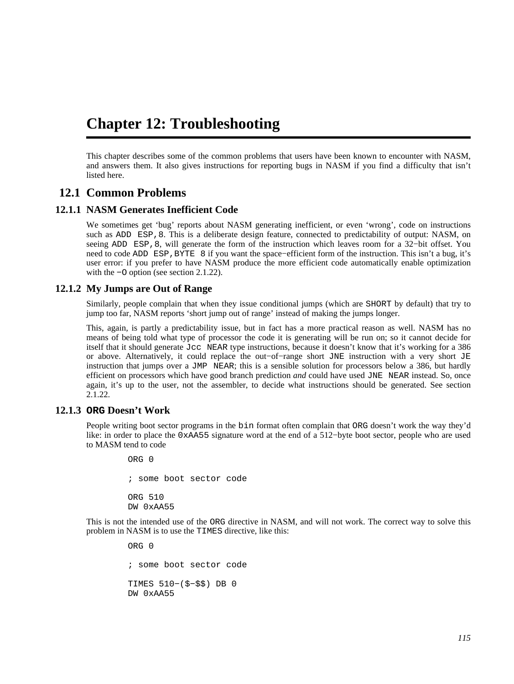## **Chapter 12: Troubleshooting**

This chapter describes some of the common problems that users have been known to encounter with NASM, and answers them. It also gives instructions for reporting bugs in NASM if you find a difficulty that isn't listed here.

## **12.1 Common Problems**

#### **12.1.1 NASM Generates Inefficient Code**

<span id="page-114-0"></span>We sometimes get 'bug' reports about NASM generating inefficient, or even 'wrong', code on instructions such as ADD ESP, 8. This is a deliberate design feature, connected to predictability of output: NASM, on seeing ADD ESP,8, will generate the form of the instruction which leaves room for a 32-bit offset. You need to code ADD ESP, BYTE 8 if you want the space–efficient form of the instruction. This isn't a bug, it's user error: if you prefer to have NASM produce the more efficient code automatically enable optimization with the −O option (see [section 2.1.22\)](#page-20-0).

#### **12.1.2 My Jumps are Out of Range**

Similarly, people complain that when they issue conditional jumps (which are SHORT by default) that try to jump too far, NASM reports 'short jump out of range' instead of making the jumps longer.

This, again, is partly a predictability issue, but in fact has a more practical reason as well. NASM has no means of being told what type of processor the code it is generating will be run on; so it cannot decide for itself that it should generate Jcc NEAR type instructions, because it doesn't know that it's working for a 386 or above. Alternatively, it could replace the out−of−range short JNE instruction with a very short JE instruction that jumps over a JMP NEAR; this is a sensible solution for processors below a 386, but hardly efficient on processors which have good branch prediction *and* could have used JNE NEAR instead. So, once again, it's up to the user, not the assembler, to decide what instructions should be generated. See [section](#page-20-0) [2.1.22.](#page-20-0)

#### **12.1.3 ORG Doesn't Work**

People writing boot sector programs in the bin format often complain that ORG doesn't work the way they'd like: in order to place the 0xAA55 signature word at the end of a 512−byte boot sector, people who are used to MASM tend to code

> ORG 0 ; some boot sector code ORG 510 DW 0xAA55

This is not the intended use of the ORG directive in NASM, and will not work. The correct way to solve this problem in NASM is to use the TIMES directive, like this:

> ORG 0 ; some boot sector code TIMES 510−(\$−\$\$) DB 0 DW 0xAA55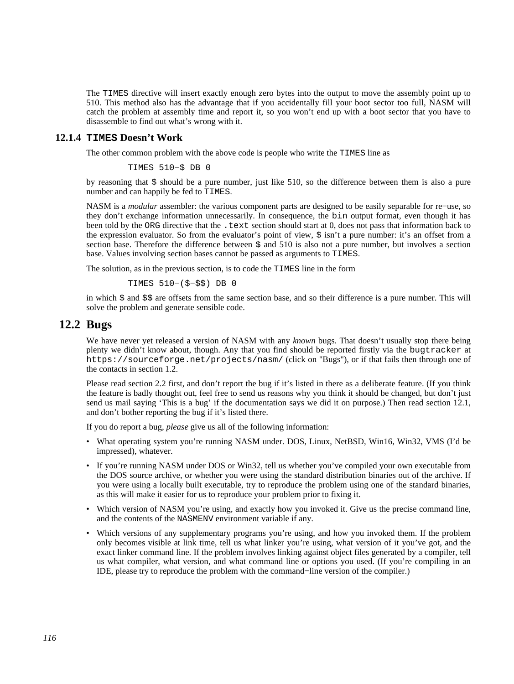The TIMES directive will insert exactly enough zero bytes into the output to move the assembly point up to 510. This method also has the advantage that if you accidentally fill your boot sector too full, NASM will catch the problem at assembly time and report it, so you won't end up with a boot sector that you have to disassemble to find out what's wrong with it.

#### **12.1.4 TIMES Doesn't Work**

The other common problem with the above code is people who write the TIMES line as

```
 TIMES 510−$ DB 0
```
by reasoning that  $\frac{1}{5}$  should be a pure number, just like 510, so the difference between them is also a pure number and can happily be fed to TIMES.

NASM is a *modular* assembler: the various component parts are designed to be easily separable for re−use, so they don't exchange information unnecessarily. In consequence, the bin output format, even though it has been told by the ORG directive that the .text section should start at 0, does not pass that information back to the expression evaluator. So from the evaluator's point of view, \$ isn't a pure number: it's an offset from a section base. Therefore the difference between  $\frac{1}{5}$  and 510 is also not a pure number, but involves a section base. Values involving section bases cannot be passed as arguments to TIMES.

The solution, as in the previous section, is to code the TIMES line in the form

TIMES 510−(\$−\$\$) DB 0

in which \$ and \$\$ are offsets from the same section base, and so their difference is a pure number. This will solve the problem and generate sensible code.

## **12.2 Bugs**

We have never yet released a version of NASM with any *known* bugs. That doesn't usually stop there being plenty we didn't know about, though. Any that you find should be reported firstly via the bugtracker at <https://sourceforge.net/projects/nasm/> (click on "Bugs"), or if that fails then through one of the contacts in [section 1.2.](#page-14-0)

Please read [section 2.2](#page-23-0) first, and don't report the bug if it's listed in there as a deliberate feature. (If you think the feature is badly thought out, feel free to send us reasons why you think it should be changed, but don't just send us mail saying 'This is a bug' if the documentation says we did it on purpose.) Then read [section 12.1](#page-114-0), and don't bother reporting the bug if it's listed there.

If you do report a bug, *please* give us all of the following information:

- What operating system you're running NASM under. DOS, Linux, NetBSD, Win16, Win32, VMS (I'd be impressed), whatever.
- If you're running NASM under DOS or Win32, tell us whether you've compiled your own executable from the DOS source archive, or whether you were using the standard distribution binaries out of the archive. If you were using a locally built executable, try to reproduce the problem using one of the standard binaries, as this will make it easier for us to reproduce your problem prior to fixing it.
- Which version of NASM you're using, and exactly how you invoked it. Give us the precise command line, and the contents of the NASMENV environment variable if any.
- Which versions of any supplementary programs you're using, and how you invoked them. If the problem only becomes visible at link time, tell us what linker you're using, what version of it you've got, and the exact linker command line. If the problem involves linking against object files generated by a compiler, tell us what compiler, what version, and what command line or options you used. (If you're compiling in an IDE, please try to reproduce the problem with the command−line version of the compiler.)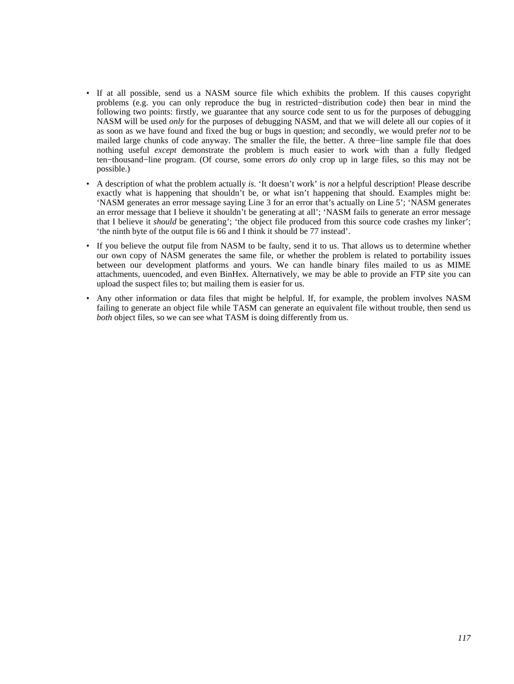- If at all possible, send us a NASM source file which exhibits the problem. If this causes copyright problems (e.g. you can only reproduce the bug in restricted−distribution code) then bear in mind the following two points: firstly, we guarantee that any source code sent to us for the purposes of debugging NASM will be used *only* for the purposes of debugging NASM, and that we will delete all our copies of it as soon as we have found and fixed the bug or bugs in question; and secondly, we would prefer *not* to be mailed large chunks of code anyway. The smaller the file, the better. A three−line sample file that does nothing useful *except* demonstrate the problem is much easier to work with than a fully fledged ten−thousand−line program. (Of course, some errors *do* only crop up in large files, so this may not be possible.)
- A description of what the problem actually *is*. 'It doesn't work' is *not* a helpful description! Please describe exactly what is happening that shouldn't be, or what isn't happening that should. Examples might be: 'NASM generates an error message saying Line 3 for an error that's actually on Line 5'; 'NASM generates an error message that I believe it shouldn't be generating at all'; 'NASM fails to generate an error message that I believe it *should* be generating'; 'the object file produced from this source code crashes my linker'; 'the ninth byte of the output file is 66 and I think it should be 77 instead'.
- If you believe the output file from NASM to be faulty, send it to us. That allows us to determine whether our own copy of NASM generates the same file, or whether the problem is related to portability issues between our development platforms and yours. We can handle binary files mailed to us as MIME attachments, uuencoded, and even BinHex. Alternatively, we may be able to provide an FTP site you can upload the suspect files to; but mailing them is easier for us.
- Any other information or data files that might be helpful. If, for example, the problem involves NASM failing to generate an object file while TASM can generate an equivalent file without trouble, then send us *both* object files, so we can see what TASM is doing differently from us.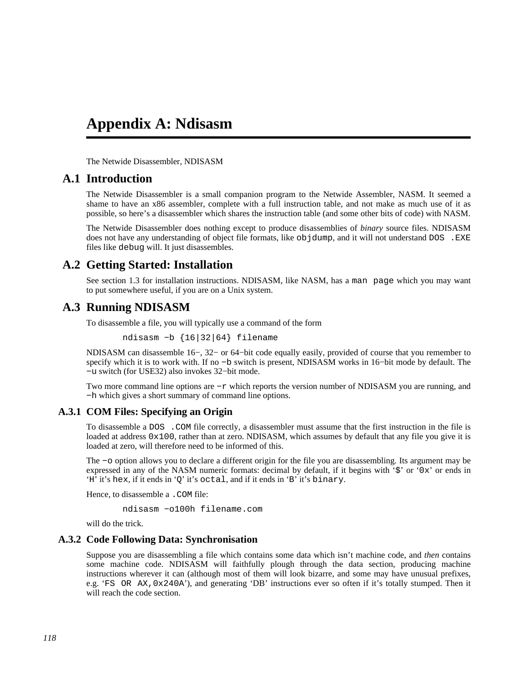## **Appendix A: Ndisasm**

The Netwide Disassembler, NDISASM

## **A.1 Introduction**

The Netwide Disassembler is a small companion program to the Netwide Assembler, NASM. It seemed a shame to have an x86 assembler, complete with a full instruction table, and not make as much use of it as possible, so here's a disassembler which shares the instruction table (and some other bits of code) with NASM.

The Netwide Disassembler does nothing except to produce disassemblies of *binary* source files. NDISASM does not have any understanding of object file formats, like objdump, and it will not understand DOS . EXE files like debug will. It just disassembles.

## **A.2 Getting Started: Installation**

See [section 1.3](#page-14-1) for installation instructions. NDISASM, like NASM, has a man page which you may want to put somewhere useful, if you are on a Unix system.

## **A.3 Running NDISASM**

To disassemble a file, you will typically use a command of the form

ndisasm −b {16|32|64} filename

NDISASM can disassemble 16−, 32− or 64−bit code equally easily, provided of course that you remember to specify which it is to work with. If no –b switch is present, NDISASM works in 16–bit mode by default. The −u switch (for USE32) also invokes 32−bit mode.

Two more command line options are −r which reports the version number of NDISASM you are running, and −h which gives a short summary of command line options.

#### **A.3.1 COM Files: Specifying an Origin**

To disassemble a DOS .COM file correctly, a disassembler must assume that the first instruction in the file is loaded at address  $0x100$ , rather than at zero. NDISASM, which assumes by default that any file you give it is loaded at zero, will therefore need to be informed of this.

The −o option allows you to declare a different origin for the file you are disassembling. Its argument may be expressed in any of the NASM numeric formats: decimal by default, if it begins with '\$' or '0x' or ends in 'H' it's hex, if it ends in 'Q' it's octal, and if it ends in 'B' it's binary.

Hence, to disassemble a . COM file:

ndisasm −o100h filename.com

will do the trick.

#### **A.3.2 Code Following Data: Synchronisation**

Suppose you are disassembling a file which contains some data which isn't machine code, and *then* contains some machine code. NDISASM will faithfully plough through the data section, producing machine instructions wherever it can (although most of them will look bizarre, and some may have unusual prefixes, e.g. 'FS OR AX,0x240A'), and generating 'DB' instructions ever so often if it's totally stumped. Then it will reach the code section.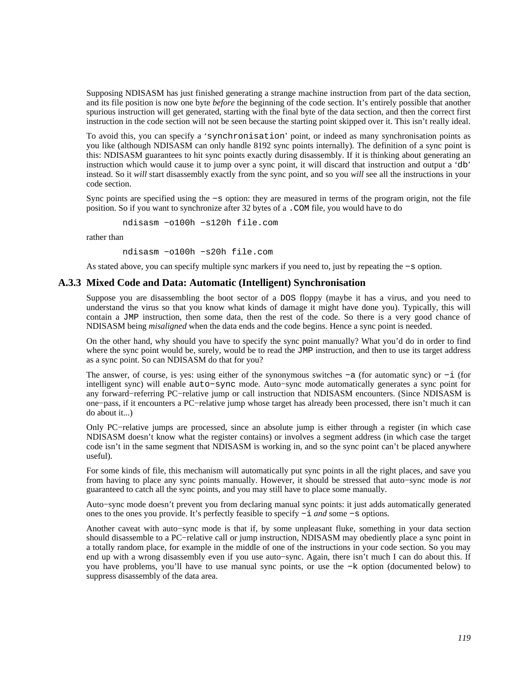Supposing NDISASM has just finished generating a strange machine instruction from part of the data section, and its file position is now one byte *before* the beginning of the code section. It's entirely possible that another spurious instruction will get generated, starting with the final byte of the data section, and then the correct first instruction in the code section will not be seen because the starting point skipped over it. This isn't really ideal.

To avoid this, you can specify a 'synchronisation' point, or indeed as many synchronisation points as you like (although NDISASM can only handle 8192 sync points internally). The definition of a sync point is this: NDISASM guarantees to hit sync points exactly during disassembly. If it is thinking about generating an instruction which would cause it to jump over a sync point, it will discard that instruction and output a 'db' instead. So it *will* start disassembly exactly from the sync point, and so you *will* see all the instructions in your code section.

Sync points are specified using the −s option: they are measured in terms of the program origin, not the file position. So if you want to synchronize after 32 bytes of a .COM file, you would have to do

ndisasm −o100h −s120h file.com

rather than

ndisasm −o100h −s20h file.com

As stated above, you can specify multiple sync markers if you need to, just by repeating the −s option.

#### **A.3.3 Mixed Code and Data: Automatic (Intelligent) Synchronisation**

Suppose you are disassembling the boot sector of a DOS floppy (maybe it has a virus, and you need to understand the virus so that you know what kinds of damage it might have done you). Typically, this will contain a JMP instruction, then some data, then the rest of the code. So there is a very good chance of NDISASM being *misaligned* when the data ends and the code begins. Hence a sync point is needed.

On the other hand, why should you have to specify the sync point manually? What you'd do in order to find where the sync point would be, surely, would be to read the JMP instruction, and then to use its target address as a sync point. So can NDISASM do that for you?

The answer, of course, is yes: using either of the synonymous switches −a (for automatic sync) or −i (for intelligent sync) will enable auto−sync mode. Auto−sync mode automatically generates a sync point for any forward−referring PC−relative jump or call instruction that NDISASM encounters. (Since NDISASM is one−pass, if it encounters a PC−relative jump whose target has already been processed, there isn't much it can do about it...)

Only PC−relative jumps are processed, since an absolute jump is either through a register (in which case NDISASM doesn't know what the register contains) or involves a segment address (in which case the target code isn't in the same segment that NDISASM is working in, and so the sync point can't be placed anywhere useful).

For some kinds of file, this mechanism will automatically put sync points in all the right places, and save you from having to place any sync points manually. However, it should be stressed that auto−sync mode is *not* guaranteed to catch all the sync points, and you may still have to place some manually.

Auto−sync mode doesn't prevent you from declaring manual sync points: it just adds automatically generated ones to the ones you provide. It's perfectly feasible to specify −i *and* some −s options.

Another caveat with auto−sync mode is that if, by some unpleasant fluke, something in your data section should disassemble to a PC−relative call or jump instruction, NDISASM may obediently place a sync point in a totally random place, for example in the middle of one of the instructions in your code section. So you may end up with a wrong disassembly even if you use auto−sync. Again, there isn't much I can do about this. If you have problems, you'll have to use manual sync points, or use the −k option (documented below) to suppress disassembly of the data area.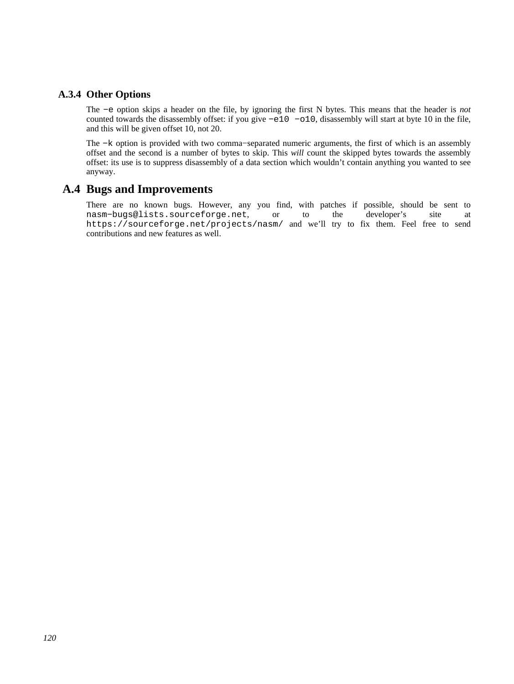### **A.3.4 Other Options**

The −e option skips a header on the file, by ignoring the first N bytes. This means that the header is *not* counted towards the disassembly offset: if you give −e10 −o10, disassembly will start at byte 10 in the file, and this will be given offset 10, not 20.

The −k option is provided with two comma–separated numeric arguments, the first of which is an assembly offset and the second is a number of bytes to skip. This *will* count the skipped bytes towards the assembly offset: its use is to suppress disassembly of a data section which wouldn't contain anything you wanted to see anyway.

## **A.4 Bugs and Improvements**

There are no known bugs. However, any you find, with patches if possible, should be sent to [nasm−bugs@lists.sourceforge.net](mailto:nasm-bugs@lists.sourceforge.net), or to the developer's site at <https://sourceforge.net/projects/nasm/> and we'll try to fix them. Feel free to send contributions and new features as well.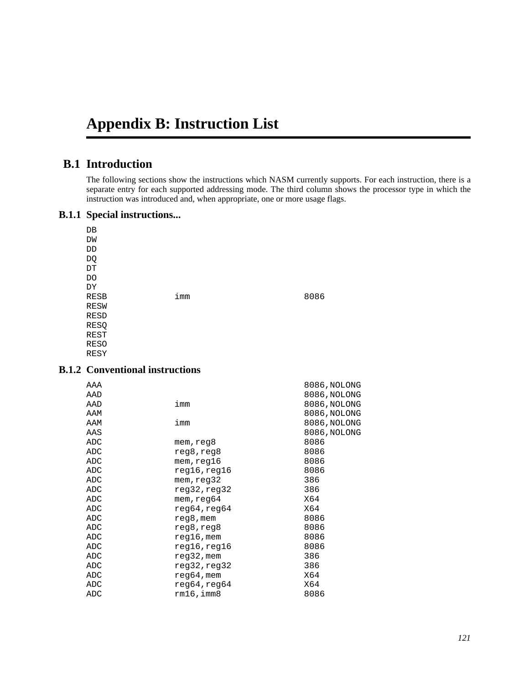# **Appendix B: Instruction List**

## **B.1 Introduction**

The following sections show the instructions which NASM currently supports. For each instruction, there is a separate entry for each supported addressing mode. The third column shows the processor type in which the instruction was introduced and, when appropriate, one or more usage flags.

#### **B.1.1 Special instructions...**

| DB                         |     |      |
|----------------------------|-----|------|
| DW                         |     |      |
| DD                         |     |      |
| DQ                         |     |      |
| $\mathop{\rm DT}\nolimits$ |     |      |
| DO                         |     |      |
| DΥ                         |     |      |
| <b>RESB</b>                | imm | 8086 |
| <b>RESW</b>                |     |      |
| <b>RESD</b>                |     |      |
| RESQ                       |     |      |
| REST                       |     |      |
| <b>RESO</b>                |     |      |
| RESY                       |     |      |

## **B.1.2 Conventional instructions**

| AAA |                  | 8086, NOLONG |
|-----|------------------|--------------|
| AAD |                  | 8086, NOLONG |
| AAD | imm              | 8086, NOLONG |
| AAM |                  | 8086, NOLONG |
| AAM | imm              | 8086, NOLONG |
| AAS |                  | 8086, NOLONG |
| ADC | mem,reg8         | 8086         |
| ADC | reg8,reg8        | 8086         |
| ADC | mem,reg16        | 8086         |
| ADC | reg16,reg16      | 8086         |
| ADC | mem,reg32        | 386          |
| ADC | reg32,reg32      | 386          |
| ADC | mem,reg64        | X64          |
| ADC | reg64, reg64     | X64          |
| ADC | reg8, mem        | 8086         |
| ADC | reg8,reg8        | 8086         |
| ADC | $req16$ , mem    | 8086         |
| ADC | reg16,reg16      | 8086         |
| ADC | reg32, mem       | 386          |
| ADC | reg32, reg32     | 386          |
| ADC | $reg64$ , mem    | X64          |
| ADC | reg64,reg64      | X64          |
| ADC | $rm16$ , imm $8$ | 8086         |
|     |                  |              |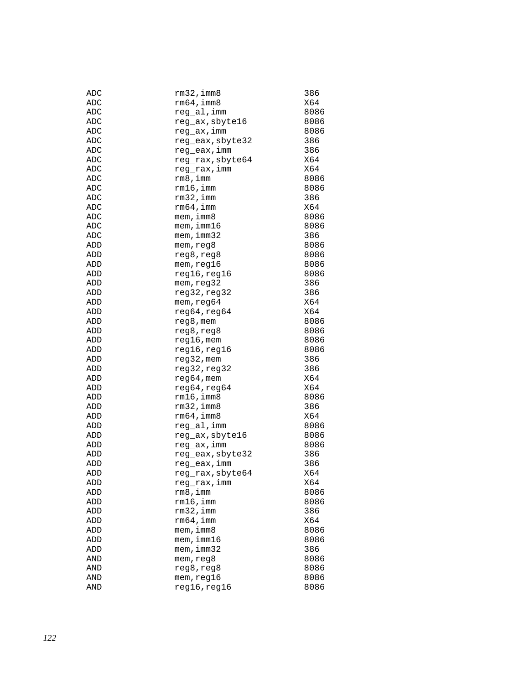| ADC | $rm32$ , imm $8$ | 386  |
|-----|------------------|------|
| ADC | $rm64$ , imm $8$ | X64  |
| ADC | reg_al,imm       | 8086 |
| ADC | reg_ax, sbyte16  | 8086 |
| ADC | reg_ax, imm      | 8086 |
| ADC | reg_eax, sbyte32 | 386  |
| ADC | reg_eax,imm      | 386  |
| ADC | reg_rax, sbyte64 | X64  |
| ADC | reg_rax,imm      | X64  |
| ADC | rm8,imm          | 8086 |
| ADC | rm16,imm         | 8086 |
| ADC | $rm32$ , imm     | 386  |
| ADC | rm64, imm        | X64  |
|     |                  |      |
| ADC | mem, imm8        | 8086 |
| ADC | $m$ em, imm $16$ | 8086 |
| ADC | mem, imm32       | 386  |
| ADD | mem, reg8        | 8086 |
| ADD | reg8, reg8       | 8086 |
| ADD | mem, reg16       | 8086 |
| ADD | reg16, reg16     | 8086 |
| ADD | mem, reg32       | 386  |
| ADD | reg32, reg32     | 386  |
| ADD | mem, reg64       | X64  |
| ADD | reg64, reg64     | X64  |
| ADD | reg8, mem        | 8086 |
| ADD | reg8, reg8       | 8086 |
| ADD | reg16, mem       | 8086 |
| ADD | reg16,reg16      | 8086 |
| ADD | reg32, mem       | 386  |
| ADD | reg32, reg32     | 386  |
| ADD | reg64, mem       | X64  |
| ADD | reg64, reg64     | X64  |
| ADD | $rm16$ , imm $8$ | 8086 |
| ADD | rm32,imm8        | 386  |
| ADD | $rm64$ , imm $8$ | X64  |
| ADD | reg al, imm      | 8086 |
| ADD | reg_ax, sbyte16  | 8086 |
|     |                  |      |
| ADD | reg_ax, imm      | 8086 |
| ADD | reg_eax, sbyte32 | 386  |
| ADD | reg_eax, imm     | 386  |
| ADD | reg_rax,sbyte64  | X64  |
| ADD | reg_rax,imm      | X64  |
| ADD | rm 8, imm        | 8086 |
| ADD | $rm16$ , imm     | 8086 |
| ADD | $rm32$ , imm     | 386  |
| ADD | rm64, imm        | X64  |
| ADD | mem, imm8        | 8086 |
| ADD | $m$ em, imm $16$ | 8086 |
| ADD | $m$ em, $imm32$  | 386  |
| AND | mem, reg8        | 8086 |
| AND | reg8, reg8       | 8086 |
| AND | mem, reg16       | 8086 |
| AND | reg16, reg16     | 8086 |
|     |                  |      |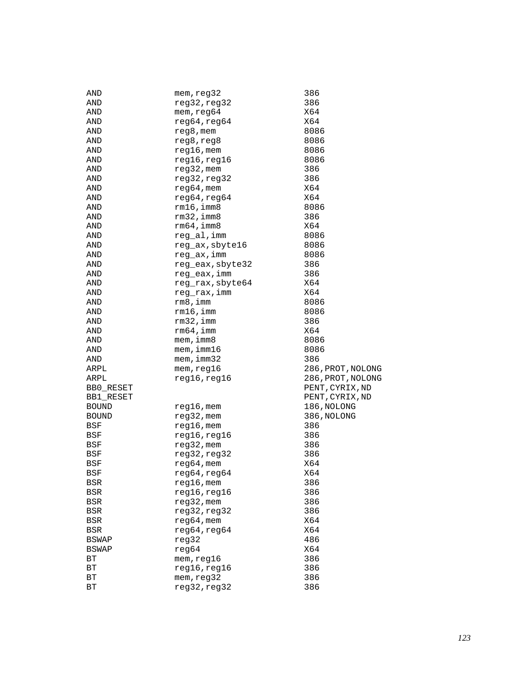| AND          | mem, reg32       | 386               |
|--------------|------------------|-------------------|
| AND          | reg32, reg32     | 386               |
| AND          | mem, reg64       | X64               |
| AND          | reg64, reg64     | X64               |
| AND          | $reg8$ , mem     | 8086              |
| AND          | reg8, reg8       | 8086              |
| AND          | $reg16$ , mem    | 8086              |
| AND          | reg16, reg16     | 8086              |
| AND          | $req32$ , mem    | 386               |
| AND          | reg32, reg32     | 386               |
| AND          | $reg64,$ mem     | X64               |
| AND          | reg64, reg64     | X64               |
| AND          | $rm16$ , imm $8$ | 8086              |
| AND          | $rm32$ , imm $8$ | 386               |
| AND          | $rm64$ , imm $8$ | X64               |
| AND          |                  | 8086              |
|              | reg_al,imm       |                   |
| AND          | reg_ax, sbyte16  | 8086              |
| AND          | reg_ax,imm       | 8086              |
| AND          | reg_eax, sbyte32 | 386               |
| AND          | reg_eax, imm     | 386               |
| AND          | reg_rax, sbyte64 | X64               |
| AND          | reg_rax,imm      | X64               |
| AND          | rm 8, imm        | 8086              |
| AND          | rm16, imm        | 8086              |
| AND          | $rm32$ , imm     | 386               |
| AND          | $rm64$ , imm     | X64               |
| AND          | mem, imm8        | 8086              |
| AND          | $m$ em, imm $16$ | 8086              |
| AND          | mem, imm32       | 386               |
| ARPL         | mem, reg16       | 286, PROT, NOLONG |
| ARPL         | reg16, reg16     | 286, PROT, NOLONG |
| BB0_RESET    |                  | PENT, CYRIX, ND   |
| BB1 RESET    |                  | PENT, CYRIX, ND   |
| <b>BOUND</b> | $reg16$ , mem    | 186, NOLONG       |
| <b>BOUND</b> | $reg32$ , mem    | 386, NOLONG       |
| BSF          | $reg16$ , mem    | 386               |
| BSF          | reg16, reg16     | 386               |
| BSF          | $reg32$ , mem    | 386               |
| BSF          | reg32, reg32     | 386               |
| BSF          | $reg64,$ mem     | X64               |
| BSF          | reg64, reg64     | X64               |
| BSR          | $reg16$ , mem    | 386               |
| BSR          | reg16, reg16     | 386               |
| <b>BSR</b>   | $reg32$ , mem    | 386               |
| BSR          | reg32, reg32     | 386               |
| BSR          | reg64, mem       | X64               |
| $_{\rm BSR}$ | reg64, reg64     | X64               |
| <b>BSWAP</b> | reg32            | 486               |
| <b>BSWAP</b> | reg64            | X64               |
| ВT           | mem, reg16       | 386               |
|              |                  | 386               |
| ВT           | reg16, reg16     |                   |
| ВT           | mem, reg32       | 386               |
| ВT           | reg32, reg32     | 386               |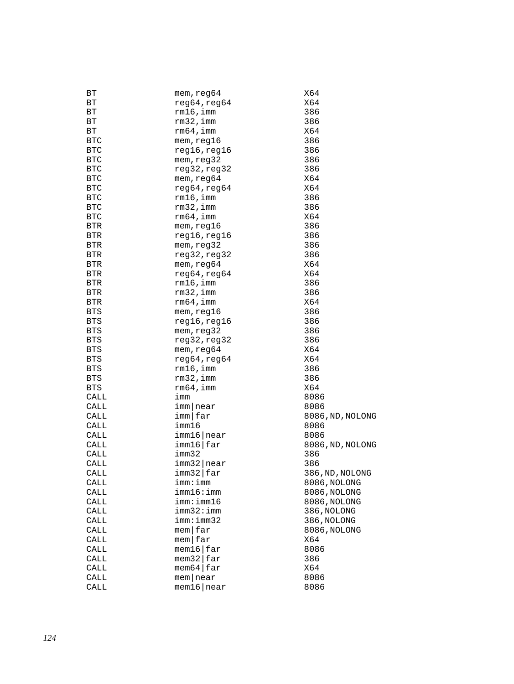| ВT         | mem, reg64                                   | X64              |
|------------|----------------------------------------------|------------------|
| ВT         | reg64, reg64                                 | X64              |
| ВT         | $rm16$ , imm                                 | 386              |
| ВT         | $rm32$ , imm                                 | 386              |
| ВT         | $rm64$ , imm                                 | X64              |
| <b>BTC</b> | mem, reg16                                   | 386              |
| <b>BTC</b> | reg16, reg16                                 | 386              |
| <b>BTC</b> | mem, reg32                                   | 386              |
| <b>BTC</b> | reg32, reg32                                 | 386              |
| <b>BTC</b> | mem, reg64                                   | X64              |
| <b>BTC</b> | reg64, reg64                                 | X64              |
| <b>BTC</b> | $rm16$ , imm                                 | 386              |
| <b>BTC</b> | $rm32$ , imm                                 | 386              |
| <b>BTC</b> | $rm64$ , imm                                 | X64              |
| <b>BTR</b> | mem, reg16                                   | 386              |
| <b>BTR</b> | reg16, reg16                                 | 386              |
| <b>BTR</b> | mem, reg32                                   | 386              |
| <b>BTR</b> | reg32, reg32                                 | 386              |
| BTR        | mem, reg64                                   | X64              |
| <b>BTR</b> | reg64, reg64                                 | X64              |
| <b>BTR</b> | $rm16$ , imm                                 | 386              |
| <b>BTR</b> | $rm32$ , imm                                 | 386              |
| <b>BTR</b> | $rm64$ , imm                                 | X64              |
| <b>BTS</b> | mem, reg16                                   | 386              |
| <b>BTS</b> | reg16, reg16                                 | 386              |
| <b>BTS</b> | mem, reg32                                   | 386              |
| <b>BTS</b> | reg32, reg32                                 | 386              |
| <b>BTS</b> | mem, reg64                                   | X64              |
| <b>BTS</b> | reg64, reg64                                 | X64              |
| BTS        | $rm16$ , imm                                 | 386              |
| <b>BTS</b> | $rm32$ , imm                                 | 386              |
| BTS        | $rm64$ , imm                                 | X64              |
| CALL       | imm                                          | 8086             |
| CALL       | imm near                                     | 8086             |
| CALL       | imm far                                      | 8086, ND, NOLONG |
| CALL       | imm16                                        | 8086             |
| CALL       | imm16 near                                   | 8086             |
| CALL       | imm16 far                                    | 8086, ND, NOLONG |
| CALL       | imm32                                        | 386              |
| CALL       | imm32 near                                   | 386              |
| CALL       | imm32 far                                    | 386, ND, NOLONG  |
| CALL       | imm:imm                                      | 8086, NOLONG     |
| CALL       | imm16:imm                                    | 8086, NOLONG     |
| CALL       | imm:imm16                                    | 8086, NOLONG     |
| CALL       | imm32:imm                                    | 386, NOLONG      |
| CALL       | imm:imm32                                    | 386, NOLONG      |
|            | $m$ em $far$                                 |                  |
| CALL       | $m$ em $far$                                 | 8086, NOLONG     |
| CALL       |                                              | X64              |
| CALL       | $m$ em16 $far$<br>$m$ em32 $\frac{1}{2}$ far | 8086             |
| CALL       |                                              | 386              |
| CALL       | $m$ em64 $\frac{1}{2}$ far                   | X64              |
| CALL       | $m$ em near                                  | 8086             |
| CALL       | $m$ em16   near                              | 8086             |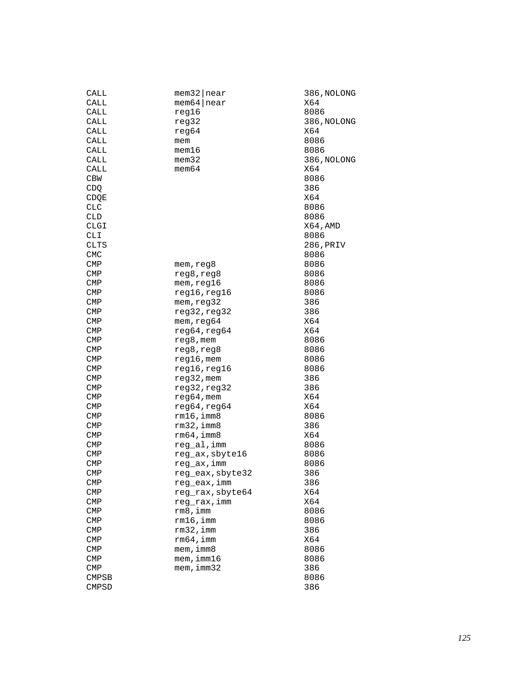| $m$ em64   near<br>X64<br>CALL<br>reg16<br>8086<br>CALL<br>CALL<br>386, NOLONG<br>reg32<br>CALL<br>reg64<br>X64<br>CALL<br>8086<br>mem<br>CALL<br>mem16<br>8086<br>CALL<br>mem32<br>386, NOLONG<br>mem64<br>X64<br>CALL<br><b>CBW</b><br>8086<br>CDQ<br>386<br>X64<br>CDQE<br><b>CLC</b><br>8086<br><b>CLD</b><br>8086<br>CLGI<br>X64, AMD<br>CLI<br>8086 |  |
|-----------------------------------------------------------------------------------------------------------------------------------------------------------------------------------------------------------------------------------------------------------------------------------------------------------------------------------------------------------|--|
|                                                                                                                                                                                                                                                                                                                                                           |  |
|                                                                                                                                                                                                                                                                                                                                                           |  |
|                                                                                                                                                                                                                                                                                                                                                           |  |
|                                                                                                                                                                                                                                                                                                                                                           |  |
|                                                                                                                                                                                                                                                                                                                                                           |  |
|                                                                                                                                                                                                                                                                                                                                                           |  |
|                                                                                                                                                                                                                                                                                                                                                           |  |
|                                                                                                                                                                                                                                                                                                                                                           |  |
|                                                                                                                                                                                                                                                                                                                                                           |  |
|                                                                                                                                                                                                                                                                                                                                                           |  |
|                                                                                                                                                                                                                                                                                                                                                           |  |
|                                                                                                                                                                                                                                                                                                                                                           |  |
|                                                                                                                                                                                                                                                                                                                                                           |  |
|                                                                                                                                                                                                                                                                                                                                                           |  |
|                                                                                                                                                                                                                                                                                                                                                           |  |
| CLTS<br>286,PRIV                                                                                                                                                                                                                                                                                                                                          |  |
| <b>CMC</b><br>8086                                                                                                                                                                                                                                                                                                                                        |  |
| <b>CMP</b><br>8086<br>mem, reg8                                                                                                                                                                                                                                                                                                                           |  |
| <b>CMP</b><br>reg8, reg8<br>8086                                                                                                                                                                                                                                                                                                                          |  |
| CMP<br>mem, <sub>req16</sub><br>8086                                                                                                                                                                                                                                                                                                                      |  |
| <b>CMP</b><br>reg16, reg16<br>8086                                                                                                                                                                                                                                                                                                                        |  |
| <b>CMP</b><br>mem, reg32<br>386                                                                                                                                                                                                                                                                                                                           |  |
| reg32, reg32<br>386<br>CMP                                                                                                                                                                                                                                                                                                                                |  |
| X64<br><b>CMP</b><br>mem, reg64                                                                                                                                                                                                                                                                                                                           |  |
| reg64, reg64<br>X64<br><b>CMP</b>                                                                                                                                                                                                                                                                                                                         |  |
| <b>CMP</b><br>reg8, mem<br>8086                                                                                                                                                                                                                                                                                                                           |  |
| <b>CMP</b><br>reg8,reg8<br>8086                                                                                                                                                                                                                                                                                                                           |  |
| <b>CMP</b><br>reg16, mem<br>8086                                                                                                                                                                                                                                                                                                                          |  |
| reg16, reg16<br>8086<br>CMP                                                                                                                                                                                                                                                                                                                               |  |
| reg32, mem<br><b>CMP</b><br>386                                                                                                                                                                                                                                                                                                                           |  |
| reg32, reg32<br><b>CMP</b><br>386                                                                                                                                                                                                                                                                                                                         |  |
| CMP<br>$req64,$ mem<br>X64                                                                                                                                                                                                                                                                                                                                |  |
| reg64, reg64<br>X64<br><b>CMP</b>                                                                                                                                                                                                                                                                                                                         |  |
| 8086<br><b>CMP</b><br>rm16,imm8                                                                                                                                                                                                                                                                                                                           |  |
| $rm32$ , imm $8$<br>386<br>CMP                                                                                                                                                                                                                                                                                                                            |  |
| rm64, imm8<br>X64<br><b>CMP</b>                                                                                                                                                                                                                                                                                                                           |  |
| reg_al,imm<br><b>CMP</b><br>8086                                                                                                                                                                                                                                                                                                                          |  |
| reg_ax, sbyte16<br><b>CMP</b><br>8086                                                                                                                                                                                                                                                                                                                     |  |
| reg_ax, imm<br><b>CMP</b><br>8086                                                                                                                                                                                                                                                                                                                         |  |
| 386<br><b>CMP</b><br>reg_eax, sbyte32                                                                                                                                                                                                                                                                                                                     |  |
| reg_eax, imm<br>386<br>CMP                                                                                                                                                                                                                                                                                                                                |  |
| reg_rax, sbyte64<br>X64<br>$\text{CMP}$                                                                                                                                                                                                                                                                                                                   |  |
| reg_rax, imm<br>X64<br>$\mathsf{CMP}$                                                                                                                                                                                                                                                                                                                     |  |
| rm8,imm<br>8086<br><b>CMP</b>                                                                                                                                                                                                                                                                                                                             |  |
| <b>CMP</b><br>$rm16$ ,imm<br>8086                                                                                                                                                                                                                                                                                                                         |  |
| $rm32$ , imm<br><b>CMP</b><br>386                                                                                                                                                                                                                                                                                                                         |  |
| rm64, imm<br>X64<br>$\text{CMP}$                                                                                                                                                                                                                                                                                                                          |  |
| mem, imm8<br><b>CMP</b><br>8086                                                                                                                                                                                                                                                                                                                           |  |
| $m$ em, imm $16$<br><b>CMP</b><br>8086                                                                                                                                                                                                                                                                                                                    |  |
| $m$ em, imm $32$<br>386<br>$\text{CMP}$                                                                                                                                                                                                                                                                                                                   |  |
| <b>CMPSB</b><br>8086                                                                                                                                                                                                                                                                                                                                      |  |
| 386<br><b>CMPSD</b>                                                                                                                                                                                                                                                                                                                                       |  |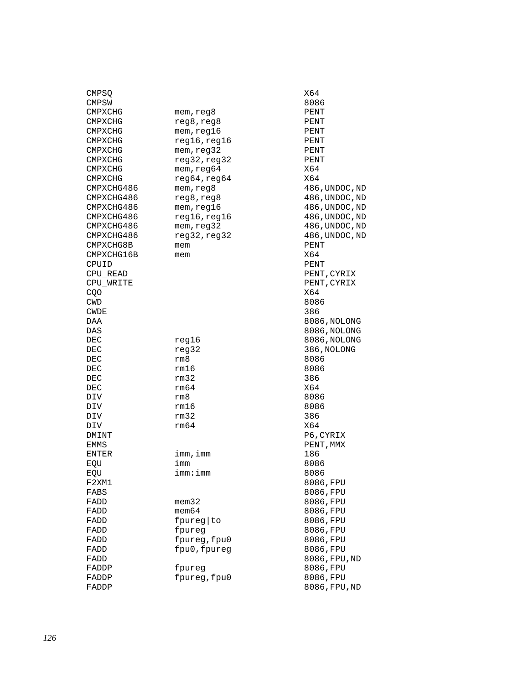| CMPSQ          |              | X64            |
|----------------|--------------|----------------|
| CMPSW          |              | 8086           |
| CMPXCHG        | mem, reg8    | PENT           |
| CMPXCHG        | reg8, reg8   | PENT           |
| CMPXCHG        | mem, reg16   | PENT           |
| CMPXCHG        | reg16,reg16  | PENT           |
| <b>CMPXCHG</b> | mem, reg32   | PENT           |
| CMPXCHG        | reg32, reg32 | PENT           |
| CMPXCHG        | mem, req64   | X64            |
| CMPXCHG        | reg64, reg64 | X64            |
| CMPXCHG486     | mem, reg8    | 486, UNDOC, ND |
| CMPXCHG486     | reg8, reg8   | 486, UNDOC, ND |
| CMPXCHG486     | mem, reg16   | 486, UNDOC, ND |
| CMPXCHG486     | reg16, reg16 | 486, UNDOC, ND |
| CMPXCHG486     | mem, reg32   | 486, UNDOC, ND |
| CMPXCHG486     | reg32, reg32 | 486, UNDOC, ND |
| CMPXCHG8B      | mem          | PENT           |
| CMPXCHG16B     | mem          | X64            |
| CPUID          |              | PENT           |
| CPU_READ       |              | PENT, CYRIX    |
| CPU WRITE      |              | PENT, CYRIX    |
| CQO            |              | X64            |
| CWD            |              | 8086           |
| CWDE           |              | 386            |
| DAA            |              | 8086,NOLONG    |
| DAS            |              | 8086, NOLONG   |
| DEC            | reg16        | 8086, NOLONG   |
| DEC            | reg32        | 386, NOLONG    |
| DEC            | rm8          | 8086           |
| DEC            | rm16         | 8086           |
| DEC            | rm32         | 386            |
| DEC            | rm64         | X64            |
| DIV            | rm8          | 8086           |
| DIV            | rm16         | 8086           |
| DIV            | rm32         | 386            |
| DIV            | rm64         | X64            |
| DMINT          |              | P6, CYRIX      |
| EMMS           |              | PENT, MMX      |
| <b>ENTER</b>   | imm, imm     | 186            |
| EQU            | imm          | 8086           |
| EQU            | imm:imm      | 8086           |
| F2XM1          |              | 8086, FPU      |
| FABS           |              | 8086, FPU      |
| FADD           | mem32        | 8086, FPU      |
| FADD           | $m$ em $64$  | 8086, FPU      |
| FADD           | fpureg   to  | 8086, FPU      |
| FADD           | fpureg       | 8086,FPU       |
| FADD           | fpureg, fpu0 | 8086, FPU      |
| FADD           | fpu0, fpureg | 8086, FPU      |
| FADD           |              | 8086, FPU, ND  |
| FADDP          | fpureg       | 8086, FPU      |
| FADDP          | fpureg, fpu0 | 8086, FPU      |
| FADDP          |              | 8086.FPU.ND    |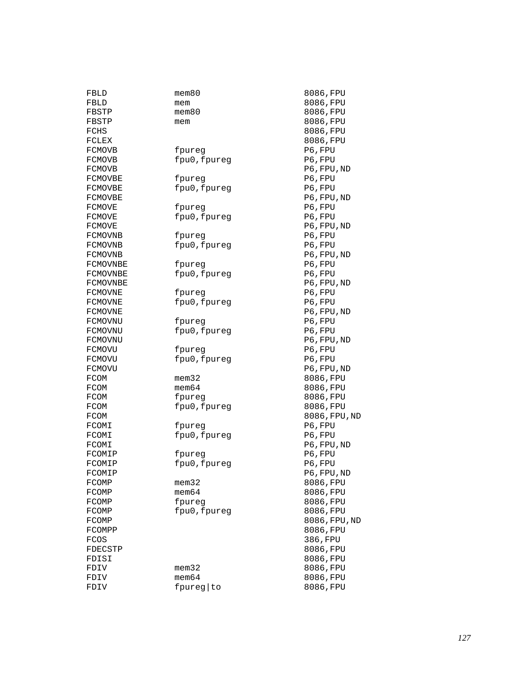| FBLD     | $m$ em $80$  | 8086, FPU     |
|----------|--------------|---------------|
| FBLD     | mem          | 8086, FPU     |
| FBSTP    | mem80        | 8086, FPU     |
| FBSTP    | mem          | 8086, FPU     |
| FCHS     |              | 8086, FPU     |
| FCLEX    |              | 8086, FPU     |
| FCMOVB   | fpureg       | P6, FPU       |
| FCMOVB   | fpu0, fpureg | P6, FPU       |
| FCMOVB   |              | P6,FPU,ND     |
| FCMOVBE  | fpureq       | P6, FPU       |
| FCMOVBE  | fpu0, fpureg | P6, FPU       |
| FCMOVBE  |              | P6, FPU, ND   |
| FCMOVE   | fpureg       | P6, FPU       |
| FCMOVE   | fpu0, fpureg | P6, FPU       |
| FCMOVE   |              | P6, FPU, ND   |
| FCMOVNB  | tpureg       | P6, FPU       |
| FCMOVNB  | fpu0, fpureg | P6, FPU       |
| FCMOVNB  |              | P6, FPU, ND   |
| FCMOVNBE | fpureg       | P6, FPU       |
| FCMOVNBE | fpu0, fpureg | P6, FPU       |
| FCMOVNBE |              | P6,FPU,ND     |
| FCMOVNE  | fpureq       | P6, FPU       |
| FCMOVNE  | fpu0, fpureg | P6,FPU        |
| FCMOVNE  |              | P6, FPU, ND   |
| FCMOVNU  | fpureg       | P6, FPU       |
| FCMOVNU  | fpu0, fpureg | P6, FPU       |
| FCMOVNU  |              | P6, FPU, ND   |
| FCMOVU   | tpureg       | P6, FPU       |
| FCMOVU   | fpu0, fpureg | P6, FPU       |
| FCMOVU   |              | P6, FPU, ND   |
| FCOM     | $m$ em $32$  | 8086, FPU     |
| FCOM     | mem64        | 8086, FPU     |
| FCOM     | fpureg       | 8086, FPU     |
| FCOM     | fpu0, fpureg | 8086, FPU     |
| FCOM     |              | 8086, FPU, ND |
| FCOMI    | fpureg       | P6, FPU       |
| FCOMI    | fpu0, fpureg | P6, FPU       |
| FCOMI    |              | P6, FPU, ND   |
| FCOMIP   | fpureg       | P6, FPU       |
| FCOMIP   | fpu0, fpureg | P6, FPU       |
| FCOMIP   |              | P6, FPU, ND   |
| FCOMP    | mem32        | 8086,FPU      |
| FCOMP    | $m$ em $64$  | 8086, FPU     |
| FCOMP    | fpureg       | 8086, FPU     |
| FCOMP    | fpu0, fpureg | 8086, FPU     |
| FCOMP    |              | 8086, FPU, ND |
| FCOMPP   |              | 8086, FPU     |
| FCOS     |              | 386, FPU      |
| FDECSTP  |              | 8086, FPU     |
| FDISI    |              | 8086, FPU     |
| FDIV     | $m$ em $32$  | 8086, FPU     |
| FDIV     | $m$ em $64$  | 8086, FPU     |
| FDIV     | fpureg to    | 8086, FPU     |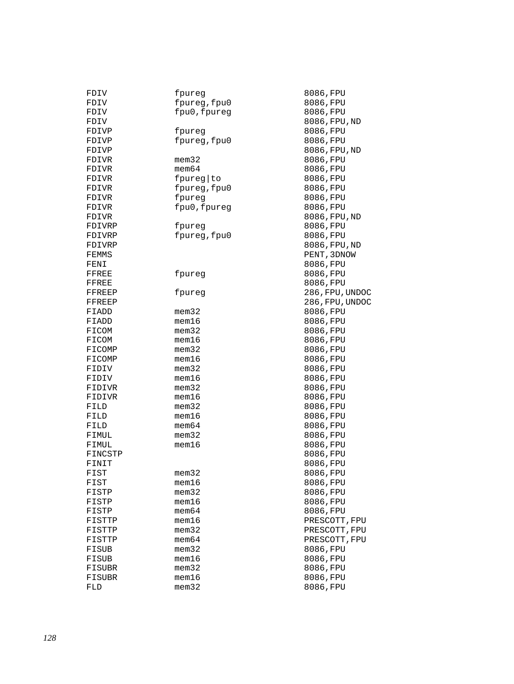| FDIV           | fpureg               | 8086,FPU        |
|----------------|----------------------|-----------------|
| FDIV           | fpureg, fpu0         | 8086, FPU       |
| FDIV           | fpu0, fpureg         | 8086, FPU       |
| FDIV           |                      | 8086, FPU, ND   |
| FDIVP          | fpureg               | 8086, FPU       |
| FDIVP          | fpureg, fpu0         | 8086, FPU       |
| FDIVP          |                      | 8086, FPU, ND   |
| FDIVR          | $m$ em $32$          | 8086, FPU       |
| FDIVR          | $m$ em $64$          | 8086, FPU       |
| FDIVR          | fpureg   to          | 8086, FPU       |
| FDIVR          | fpureg, fpu0         | 8086, FPU       |
| FDIVR          | fpureg               | 8086, FPU       |
| FDIVR          | fpu0, fpureg         | 8086, FPU       |
| FDIVR          |                      | 8086, FPU, ND   |
| FDIVRP         | fpureg               | 8086, FPU       |
| FDIVRP         | fpureg, fpu0         | 8086, FPU       |
| FDIVRP         |                      | 8086, FPU, ND   |
| FEMMS          |                      | PENT, 3DNOW     |
| FENI           |                      | 8086, FPU       |
| FFREE          | fpureg               | 8086, FPU       |
| FFREE          |                      | 8086, FPU       |
| FFREEP         | fpureg               | 286, FPU, UNDOC |
| FFREEP         |                      | 286, FPU, UNDOC |
| FIADD          | mem32                | 8086, FPU       |
| FIADD          | $m$ em $16$          | 8086,FPU        |
| FICOM          | $m$ em $32$          | 8086, FPU       |
| FICOM          | $m$ em $16$          | 8086, FPU       |
| FICOMP         | mem32                | 8086, FPU       |
| FICOMP         | $m$ em $16$          | 8086, FPU       |
|                | mem32                | 8086, FPU       |
| FIDIV<br>FIDIV | $m$ em $16$          | 8086, FPU       |
| FIDIVR         | $m$ em $32$          | 8086, FPU       |
|                | $m$ em $16$          | 8086, FPU       |
| FIDIVR         | mem32                | 8086, FPU       |
| FILD           | mem16                |                 |
| FILD           |                      | 8086, FPU       |
| FILD           | mem64<br>$m$ em $32$ | 8086,FPU        |
| FIMUL          | $m$ em $16$          | 8086, FPU       |
| FIMUL          |                      | 8086, FPU       |
| FINCSTP        |                      | 8086, FPU       |
| FINIT          |                      | 8086, FPU       |
| FIST           | $m$ em $32$          | 8086, FPU       |
| FIST           | $m$ em $16$          | 8086, FPU       |
| FISTP          | $m$ em $32$          | 8086, FPU       |
| FISTP          | mem16                | 8086, FPU       |
| FISTP          | $m$ em $64$          | 8086, FPU       |
| FISTTP         | mem16                | PRESCOTT, FPU   |
| FISTTP         | mem32                | PRESCOTT, FPU   |
| FISTTP         | $m$ em $64$          | PRESCOTT, FPU   |
| FISUB          | $m$ em $32$          | 8086, FPU       |
| FISUB          | $m$ em $16$          | 8086, FPU       |
| FISUBR         | $m$ em $32$          | 8086, FPU       |
| FISUBR         | mem16                | 8086, FPU       |
| FLD            | $m$ em $32$          | 8086, FPU       |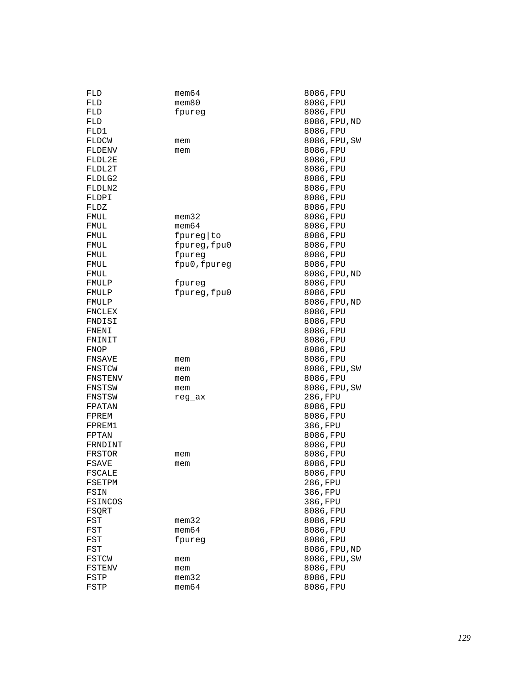| FLD     | mem64        | 8086, FPU     |
|---------|--------------|---------------|
| FLD     | $m$ em $80$  | 8086, FPU     |
| FLD     | fpureg       | 8086, FPU     |
| FLD     |              | 8086, FPU, ND |
| FLD1    |              | 8086,FPU      |
| FLDCW   | mem          | 8086, FPU, SW |
| FLDENV  | mem          | 8086, FPU     |
| FLDL2E  |              | 8086, FPU     |
| FLDL2T  |              | 8086, FPU     |
| FLDLG2  |              | 8086, FPU     |
| FLDLN2  |              | 8086, FPU     |
| FLDPI   |              | 8086, FPU     |
| FLDZ    |              | 8086, FPU     |
| FMUL    | mem32        | 8086, FPU     |
| FMUL    | $m$ em $64$  | 8086, FPU     |
| FMUL    | fpureg to    | 8086, FPU     |
| FMUL    | fpureg, fpu0 | 8086, FPU     |
| FMUL    | fpureg       | 8086, FPU     |
| FMUL    | fpu0, fpureg | 8086, FPU     |
| FMUL    |              | 8086, FPU, ND |
| FMULP   | fpureg       | 8086, FPU     |
| FMULP   | fpureg, fpu0 | 8086, FPU     |
| FMULP   |              | 8086, FPU, ND |
| FNCLEX  |              | 8086, FPU     |
| FNDISI  |              | 8086, FPU     |
| FNENI   |              | 8086, FPU     |
| FNINIT  |              | 8086, FPU     |
| FNOP    |              | 8086, FPU     |
| FNSAVE  | mem          | 8086, FPU     |
| FNSTCW  | mem          | 8086, FPU, SW |
| FNSTENV | mem          | 8086, FPU     |
| FNSTSW  | mem          | 8086, FPU, SW |
| FNSTSW  | reg_ax       | 286, FPU      |
| FPATAN  |              | 8086, FPU     |
| FPREM   |              | 8086, FPU     |
| FPREM1  |              | 386, FPU      |
| FPTAN   |              | 8086, FPU     |
| FRNDINT |              | 8086, FPU     |
| FRSTOR  | mem          | 8086, FPU     |
| FSAVE   | mem          | 8086, FPU     |
| FSCALE  |              | 8086, FPU     |
| FSETPM  |              | 286,FPU       |
| FSIN    |              | 386, FPU      |
| FSINCOS |              | 386, FPU      |
| FSQRT   |              | 8086,FPU      |
| FST     | $m$ em $32$  | 8086, FPU     |
| FST     | $m$ em $64$  | 8086, FPU     |
| FST     | fpureg       | 8086, FPU     |
| FST     |              | 8086, FPU, ND |
| FSTCW   | mem          | 8086, FPU, SW |
| FSTENV  | mem          | 8086, FPU     |
| FSTP    | $m$ em $32$  | 8086, FPU     |
| FSTP    | mem64        | 8086, FPU     |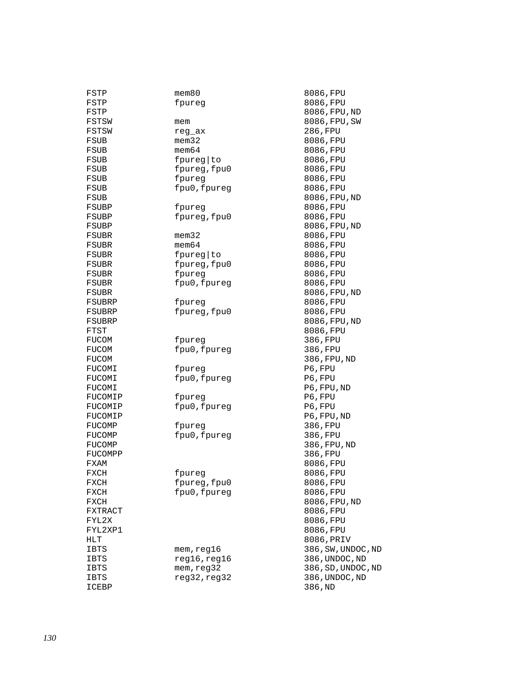| FSTP        | $m$ em $80$  | 8086, FPU          |
|-------------|--------------|--------------------|
| FSTP        | fpureg       | 8086, FPU          |
| FSTP        |              | 8086, FPU, ND      |
| FSTSW       | mem          | 8086, FPU, SW      |
| FSTSW       | reg_ax       | 286, FPU           |
| FSUB        | $m$ em $32$  | 8086, FPU          |
| FSUB        | $m$ em $64$  | 8086, FPU          |
| FSUB        | fpureg to    | 8086, FPU          |
| FSUB        | fpureg, fpu0 | 8086, FPU          |
| FSUB        | fpureg       | 8086, FPU          |
|             | fpu0, fpureg | 8086, FPU          |
| FSUB        |              |                    |
| FSUB        |              | 8086, FPU, ND      |
| FSUBP       | fpureg       | 8086, FPU          |
| FSUBP       | fpureg, fpu0 | 8086, FPU          |
| FSUBP       |              | 8086, FPU, ND      |
| FSUBR       | mem32        | 8086, FPU          |
| FSUBR       | mem64        | 8086, FPU          |
| FSUBR       | fpureg   to  | 8086, FPU          |
| FSUBR       | fpureg, fpu0 | 8086, FPU          |
| FSUBR       | fpureq       | 8086, FPU          |
| FSUBR       | fpu0, fpureg | 8086, FPU          |
| FSUBR       |              | 8086, FPU, ND      |
| FSUBRP      | fpureg       | 8086, FPU          |
| FSUBRP      | fpureg, fpu0 | 8086, FPU          |
| FSUBRP      |              | 8086, FPU, ND      |
| FTST        |              | 8086, FPU          |
| FUCOM       | fpureg       | 386, FPU           |
| FUCOM       | fpu0, fpureg | 386, FPU           |
| FUCOM       |              | 386, FPU, ND       |
| FUCOMI      | fpureg       | P6, FPU            |
| FUCOMI      | fpu0, fpureg | P6, FPU            |
| FUCOMI      |              | P6, FPU, ND        |
| FUCOMIP     | fpureg       | P6, FPU            |
| FUCOMIP     | fpu0, fpureg | P6, FPU            |
| FUCOMIP     |              | P6, FPU, ND        |
| FUCOMP      | fpureg       | 386, FPU           |
| FUCOMP      | fpu0, fpureg | 386, FPU           |
| FUCOMP      |              |                    |
|             |              | 386, FPU, ND       |
| FUCOMPP     |              | 386, FPU           |
| FXAM        |              | 8086,FPU           |
| FXCH        | fpureg       | 8086, FPU          |
| FXCH        | fpureg, fpu0 | 8086, FPU          |
| FXCH        | fpu0, fpureg | 8086, FPU          |
| FXCH        |              | 8086, FPU, ND      |
| FXTRACT     |              | 8086, FPU          |
| FYL2X       |              | 8086, FPU          |
| FYL2XP1     |              | 8086, FPU          |
| HLT         |              | 8086, PRIV         |
| IBTS        | mem, reg16   | 386, SW, UNDOC, ND |
| IBTS        | reg16, reg16 | 386, UNDOC, ND     |
| <b>IBTS</b> | mem, reg32   | 386, SD, UNDOC, ND |
| IBTS        | reg32, reg32 | 386, UNDOC, ND     |
| ICEBP       |              | 386, ND            |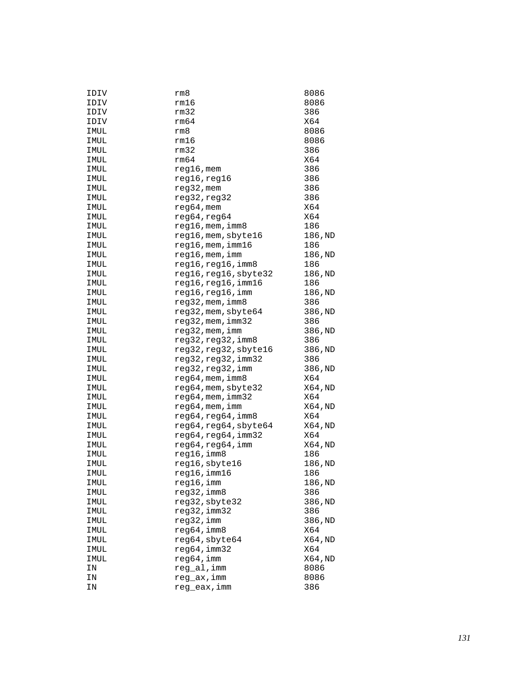| IDIV | rm8                    | 8086    |
|------|------------------------|---------|
| IDIV | rm16                   | 8086    |
| IDIV | rm32                   | 386     |
| IDIV | rm64                   | X64     |
| IMUL | rm8                    | 8086    |
| IMUL | rm16                   | 8086    |
| IMUL | rm32                   | 386     |
| IMUL | rm64                   | X64     |
| IMUL | reg16, mem             | 386     |
| IMUL | reg16, reg16           | 386     |
| IMUL | reg32, mem             | 386     |
| IMUL | reg32, reg32           | 386     |
| IMUL | $reg64$ , mem          | X64     |
| IMUL | reg64, reg64           | X64     |
| IMUL | $reg16$ , mem, imm $8$ | 186     |
| IMUL | reg16, mem, sbyte16    | 186, ND |
| IMUL | reg16,mem,imm16        | 186     |
| IMUL | reg16, mem, imm        | 186, ND |
| IMUL | reg16, reg16, imm8     | 186     |
| IMUL | reg16, reg16, sbyte32  | 186, ND |
| IMUL | reg16, reg16, imm16    | 186     |
| IMUL | reg16,reg16,imm        | 186,ND  |
| IMUL | reg32, mem, imm8       | 386     |
| IMUL | reg32, mem, sbyte64    | 386, ND |
| IMUL | $reg32$ , mem, $imm32$ | 386     |
| IMUL | reg32, mem, imm        | 386, ND |
| IMUL | reg32, reg32, imm8     | 386     |
| IMUL | reg32, reg32, sbyte16  | 386, ND |
| IMUL | reg32,reg32,imm32      | 386     |
| IMUL | reg32, reg32, imm      | 386, ND |
| IMUL | $reg64$ , mem, imm $8$ | X64     |
| IMUL | reg64, mem, sbyte32    | X64, ND |
| IMUL | reg64, mem, imm32      | X64     |
| IMUL | reg64, mem, imm        | X64, ND |
| IMUL | reg64, reg64, imm8     | X64     |
| IMUL | reg64, reg64, sbyte64  | X64, ND |
| IMUL | reg64, reg64, imm32    | X64     |
| IMUL | reg64,reg64,imm        | X64, ND |
| IMUL | reg16, imm8            | 186     |
| IMUL | reg16, sbyte16         | 186,ND  |
| IMUL | reg16,imm16            | 186     |
| IMUL | reg16,imm              | 186,ND  |
| IMUL | reg32, imm8            | 386     |
| IMUL | reg32, sbyte32         | 386, ND |
| IMUL | reg32,imm32            | 386     |
| IMUL | reg32,imm              | 386, ND |
| IMUL | reg64, imm8            | X64     |
| IMUL | reg64, sbyte64         | X64, ND |
| IMUL | reg64, imm32           | X64     |
| IMUL | reg64, imm             | X64,ND  |
| ΙN   | reg_al, imm            | 8086    |
| ΙN   | reg_ax,imm             | 8086    |
| ΙN   | reg_eax, imm           | 386     |
|      |                        |         |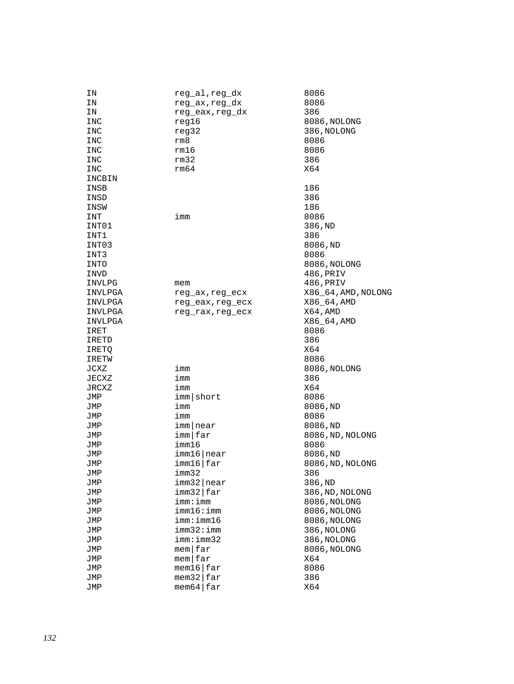| ΙN      | reg_al,reg_dx               | 8086                |
|---------|-----------------------------|---------------------|
| ΙN      | reg_ax,reg_dx               | 8086                |
| ΙN      | reg_eax,reg_dx              | 386                 |
| INC     | reg16                       | 8086, NOLONG        |
| INC     | reg32                       | 386, NOLONG         |
| INC     | rm8                         | 8086                |
| INC     | rm16                        | 8086                |
| INC     | rm32                        | 386                 |
| INC     | rm64                        | X64                 |
|         |                             |                     |
| INCBIN  |                             |                     |
| INSB    |                             | 186                 |
| INSD    |                             | 386                 |
| INSW    |                             | 186                 |
| INT     | imm                         | 8086                |
| INT01   |                             | 386, ND             |
| INT1    |                             | 386                 |
| INT03   |                             | 8086,ND             |
| INT3    |                             | 8086                |
| INTO    |                             | 8086, NOLONG        |
| INVD    |                             | 486,PRIV            |
| INVLPG  | mem                         | 486,PRIV            |
| INVLPGA | reg_ax,reg_ecx              | X86_64, AMD, NOLONG |
| INVLPGA | reg_eax,reg_ecx             | X86_64, AMD         |
| INVLPGA | reg_rax, reg_ecx            | X64, AMD            |
| INVLPGA |                             | X86_64, AMD         |
| IRET    |                             | 8086                |
| IRETD   |                             | 386                 |
| IRETQ   |                             | X64                 |
| IRETW   |                             | 8086                |
|         |                             |                     |
| JCXZ    | imm                         | 8086, NOLONG        |
| JECXZ   | imm                         | 386                 |
| JRCXZ   | imm                         | X64                 |
| JMP     | imm short                   | 8086                |
| JMP     | imm                         | 8086,ND             |
| JMP     | imm                         | 8086                |
| JMP     | imm near                    | 8086,ND             |
| JMP     | $imm$   far                 | 8086, ND, NOLONG    |
| JMP     | imm16                       | 8086                |
| JMP     | imm16 near                  | 8086,ND             |
| JMP     | imm16 far                   | 8086, ND, NOLONG    |
| JMP     | imm32                       | 386                 |
| JMP     | $imm32$  near               | 386, ND             |
| JMP     | imm32 far                   | 386, ND, NOLONG     |
| JMP     | imm:imm                     | 8086, NOLONG        |
| JMP     | imm16:imm                   | 8086, NOLONG        |
| JMP     | imm:imm16                   | 8086, NOLONG        |
| JMP     | imm32:imm                   | 386, NOLONG         |
| JMP     | imm:imm32                   | 386, NOLONG         |
| JMP     | $m$ em $far$                | 8086, NOLONG        |
| JMP     | $m$ em $far$                | X64                 |
| JMP     | $m$ em16 $\frac{1}{2}$ far  | 8086                |
| JMP     | $m$ em32 $\frac{1}{2}$ far  | 386                 |
| JMP     | $m$ em 64 $\frac{1}{2}$ far | X64                 |
|         |                             |                     |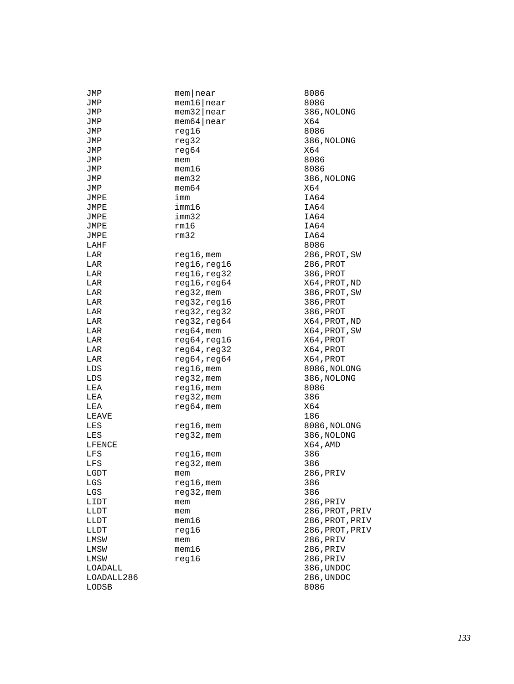| JMP          | $m$ em   near   | 8086           |
|--------------|-----------------|----------------|
| JMP          | $m$ em16   near | 8086           |
| JMP          | $m$ em32   near | 386, NOLONG    |
| JMP          | $m$ em64   near | X64            |
| JMP          | reg16           | 8086           |
| JMP          | reg32           | 386, NOLONG    |
| JMP          | reg64           | X64            |
| JMP          | mem             | 8086           |
| JMP          | $m$ em $16$     | 8086           |
| JMP          | $m$ em $32$     | 386, NOLONG    |
| JMP          | $m$ em $64$     | X64            |
| JMPE         | imm             | IA64           |
| JMPE         | imm16           | IA64           |
| JMPE         | imm32           | IA64           |
|              | rm16            | IA64           |
| JMPE         |                 | IA64           |
| JMPE         | rm32            |                |
| LAHF         |                 | 8086           |
| LAR          | reg16, mem      | 286, PROT, SW  |
| LAR          | reg16, reg16    | 286, PROT      |
| LAR          | reg16, reg32    | 386, PROT      |
| LAR          | reg16, reg64    | X64, PROT, ND  |
| LAR          | reg32, mem      | 386, PROT, SW  |
| LAR          | reg32,reg16     | 386, PROT      |
| LAR          | reg32, reg32    | 386, PROT      |
| LAR          | reg32, reg64    | X64, PROT, ND  |
| LAR          | $reg64,$ mem    | X64,PROT,SW    |
| LAR          | reg64, reg16    | X64, PROT      |
| LAR          | reg64, reg32    | X64, PROT      |
| LAR          | reg64, reg64    | X64, PROT      |
| LDS          | $reg16$ , mem   | 8086, NOLONG   |
| LDS          | reg32, mem      | 386, NOLONG    |
| LEA          | $reg16$ , mem   | 8086           |
| LEA          | reg32, mem      | 386            |
| LEA          | $reg64$ , mem   | X64            |
| LEAVE        |                 | 186            |
| LES          | reg16,mem       | 8086, NOLONG   |
| LES          | reg32, mem      | 386, NOLONG    |
| LFENCE       |                 | X64, AMD       |
|              |                 |                |
| LFS          | $req16$ , mem   | 386<br>386     |
| LFS          | reg32, mem      |                |
| LGDT         | mem             | 286, PRIV      |
| $_{\rm LGS}$ | reg16, mem      | 386            |
| LGS          | reg32, mem      | 386            |
| LIDT         | mem             | 286, PRIV      |
| LLDT         | mem             | 286, PROT, PRI |
| LLDT         | $m$ em $16$     | 286, PROT, PRI |
| LLDT         | reg16           | 286, PROT, PRI |
| LMSW         | mem             | 286, PRIV      |
| LMSW         | mem16           | 286, PRIV      |
| LMSW         | reg16           | 286, PRIV      |
| LOADALL      |                 | 386, UNDOC     |
| LOADALL286   |                 | 286, UNDOC     |
| LODSB        |                 | 8086           |
|              |                 |                |

ROT,SW<br>ROT ROT , ND ROT,SW<br>ROT ROT,ND ROT,S<mark>W</mark><br>ROT ROT, PRIV ROT, PRIV RO<mark>T, PRIV</mark><br>RIV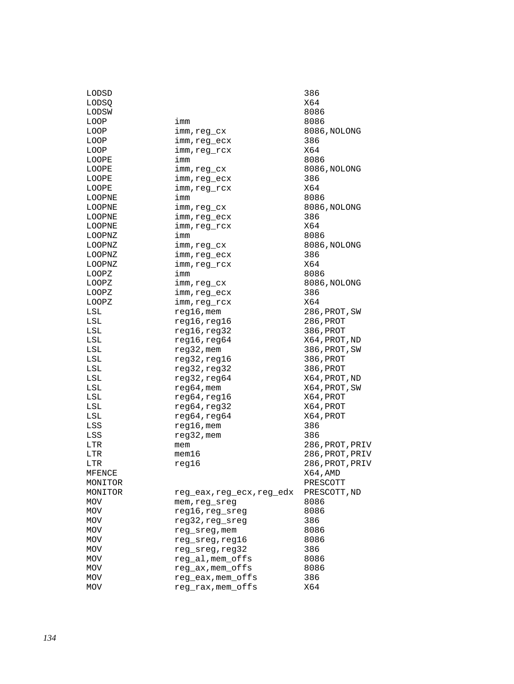| LODSD      |                         | 386             |
|------------|-------------------------|-----------------|
| LODSQ      |                         | X64             |
| LODSW      |                         | 8086            |
| LOOP       | imm                     | 8086            |
| LOOP       | imm,reg_cx              | 8086, NOLONG    |
| LOOP       | imm, reg_ecx            | 386             |
| LOOP       | imm, req rcx            | X64             |
| LOOPE      | imm                     | 8086            |
| LOOPE      | imm, reg_cx             | 8086, NOLONG    |
| LOOPE      | imm, reg_ecx            | 386             |
| LOOPE      | imm,reg_rcx             | X64             |
| LOOPNE     | imm                     | 8086            |
| LOOPNE     | imm,reg_cx              | 8086, NOLONG    |
| LOOPNE     | imm, reg_ecx            | 386             |
| LOOPNE     | imm,reg_rcx             | X64             |
| LOOPNZ     | imm                     | 8086            |
| LOOPNZ     | imm,reg_cx              | 8086, NOLONG    |
| LOOPNZ     | imm, reg_ecx            | 386             |
| LOOPNZ     | imm, reg_rcx            | X64             |
| LOOPZ      | imm                     | 8086            |
| LOOPZ      | imm, reg_cx             | 8086, NOLONG    |
| LOOPZ      | imm, reg_ecx            | 386             |
| LOOPZ      | imm, reg_rcx            | X64             |
| LSL        | $req16$ , mem           | 286, PROT, SW   |
| LSL        | reg16, reg16            | 286, PROT       |
| LSL        | reg16, reg32            | 386, PROT       |
| LSL        | reg16, reg64            | X64, PROT, ND   |
| LSL        | $reg32$ , mem           | 386, PROT, SW   |
| LSL        | reg32, reg16            | 386, PROT       |
| LSL        | reg32, reg32            | 386, PROT       |
| LSL        | reg32, reg64            | X64, PROT, ND   |
| LSL        | $reg64,$ mem            | X64,PROT,SW     |
| LSL        | reg64, reg16            | X64, PROT       |
| LSL        | reg64, reg32            | X64, PROT       |
| LSL        | reg64, reg64            | X64, PROT       |
| LSS        | $reg16$ , mem           | 386             |
| LSS        | $reg32$ , mem           | 386             |
| LTR        | mem                     | 286,PROT,PRIV   |
| LTR        | $m$ em $16$             | 286, PROT, PRIV |
| LTR        | req16                   | 286, PROT, PRIV |
| MFENCE     |                         | X64,AMD         |
| MONITOR    |                         | PRESCOTT        |
| MONITOR    | reg_eax,reg_ecx,reg_edx | PRESCOTT, ND    |
| <b>MOV</b> | mem, reg sreg           | 8086            |
| MOV        | reg16, reg_sreg         | 8086            |
| MOV        | reg32, reg_sreg         | 386             |
| MOV        | reg_sreg, mem           | 8086            |
| MOV        | reg_sreg, reg16         | 8086            |
| <b>MOV</b> | reg_sreg, reg32         | 386             |
| MOV        | reg_al,mem_offs         | 8086            |
| MOV        | reg_ax, mem_offs        | 8086            |
| <b>MOV</b> | reg_eax, mem_offs       | 386             |
| <b>MOV</b> | reg_rax, mem_offs       | X64             |
|            |                         |                 |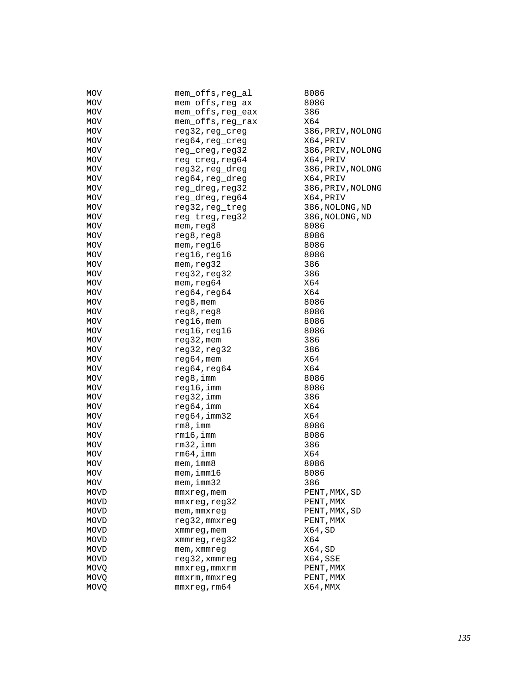| MOV         | mem_offs,reg_al   | 8086              |
|-------------|-------------------|-------------------|
| <b>MOV</b>  | mem_offs,reg_ax   | 8086              |
| MOV         | mem_offs,reg_eax  | 386               |
| MOV         | mem_offs, reg_rax | X64               |
| MOV         | reg32, reg_creg   | 386, PRIV, NOLONG |
| MOV         | reg64, reg_creg   | X64, PRIV         |
| MOV         | reg_creg, reg32   | 386, PRIV, NOLONG |
| MOV         | reg_creg, reg64   | X64, PRIV         |
| MOV         | reg32, reg_dreg   | 386, PRIV, NOLONG |
| MOV         | reg64, reg_dreg   | X64, PRIV         |
| MOV         | reg_dreg, reg32   | 386, PRIV, NOLONG |
| MOV         | reg_dreg, reg64   | X64, PRIV         |
| MOV         | reg32, reg_treg   | 386, NOLONG, ND   |
| <b>MOV</b>  | reg_treg, reg32   | 386, NOLONG, ND   |
| MOV         | mem, reg8         | 8086              |
| MOV         | reg8, reg8        | 8086              |
| MOV         | mem,reg16         | 8086              |
| MOV         | reg16, reg16      | 8086              |
| MOV         | mem, reg32        | 386               |
| MOV         | reg32, reg32      | 386               |
| MOV         | mem, reg64        | X64               |
| MOV         | reg64, reg64      | X64               |
| MOV         | reg8, mem         | 8086              |
| MOV         | reg8, reg8        | 8086              |
| MOV         | $reg16$ , mem     | 8086              |
|             |                   |                   |
| <b>MOV</b>  | reg16, reg16      | 8086<br>386       |
| MOV         | $reg32$ , mem     |                   |
| MOV         | reg32, reg32      | 386               |
| MOV         | $reg64,$ mem      | X64               |
| MOV         | reg64, reg64      | X64               |
| MOV         | reg8, imm         | 8086              |
| MOV         | reg16, imm        | 8086              |
| MOV         | reg32, imm        | 386               |
| MOV         | reg64, imm        | X64               |
| MOV         | reg64, imm32      | X64               |
| MOV         | $rm8$ , imm       | 8086              |
| MOV         | rm16, imm         | 8086              |
| <b>MOV</b>  | $rm32$ , imm      | 386               |
| MOV         | $rm64$ , imm      | X64               |
| <b>MOV</b>  | mem, imm8         | 8086              |
| <b>MOV</b>  | $m$ em, imm $16$  | 8086              |
| MOV         | mem,imm32         | 386               |
| MOVD        | mmxreg, mem       | PENT, MMX, SD     |
| MOVD        | mmxreg, reg32     | PENT, MMX         |
| MOVD        | mem, mmxreq       | PENT, MMX, SD     |
| MOVD        | reg32, mmxreg     | PENT, MMX         |
| MOVD        | xmmreg, mem       | X64, SD           |
| MOVD        | xmmreg, reg32     | X64               |
| MOVD        | mem, xmmreq       | X64, SD           |
| MOVD        | reg32, xmmreg     | X64, SSE          |
| MOVQ        | mmxreq, mmxrm     | PENT, MMX         |
| MOVQ        | mmxrm, mmxreq     | PENT, MMX         |
| <b>MOVQ</b> | mmxreg, rm64      | X64, MMX          |
|             |                   |                   |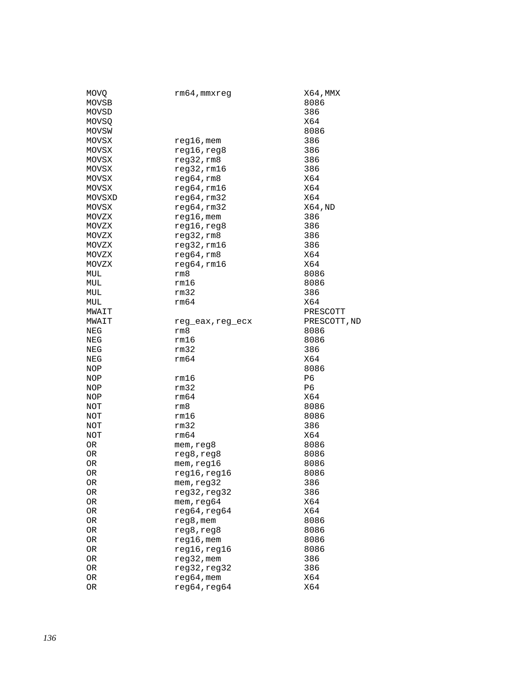| <b>MOVQ</b> | rm64,mmxreg            | X64, MMX     |
|-------------|------------------------|--------------|
| MOVSB       |                        | 8086         |
| MOVSD       |                        | 386          |
| MOVSQ       |                        | X64          |
| MOVSW       |                        | 8086         |
| MOVSX       | $reg16$ , mem          | 386          |
| MOVSX       | reg16, reg8            | 386          |
| MOVSX       | reg32,rm8              | 386          |
| MOVSX       | reg32,rm16             | 386          |
| MOVSX       | reg64,rm8              | X64          |
| MOVSX       | reg64,rm16             | X64          |
| MOVSXD      | reg64,rm32             | X64          |
| MOVSX       | reg64,rm32             | X64, ND      |
| MOVZX       | $reg16$ , mem          | 386          |
| MOVZX       | reg16, reg8            | 386          |
| MOVZX       | reg32,rm8              | 386          |
| MOVZX       | reg32,rm16             | 386          |
| MOVZX       | reg64, rm8             | X64          |
| MOVZX       | reg64,rm16             | X64          |
| MUL         | rm8                    | 8086         |
| MUL         | rm16                   | 8086         |
| MUL         | rm32                   | 386          |
| MUL         | rm64                   | X64          |
| MWAIT       |                        | PRESCOTT     |
| MWAIT       |                        | PRESCOTT, ND |
| NEG         | reg_eax,reg_ecx<br>rm8 | 8086         |
|             | rm16                   | 8086         |
| NEG         | rm32                   |              |
| NEG         | rm64                   | 386<br>X64   |
| NEG         |                        |              |
| NOP         |                        | 8086         |
| NOP         | rm16                   | P6           |
| NOP         | rm32                   | P6           |
| NOP         | rm64                   | X64          |
| NOT         | rm8                    | 8086         |
| NOT         | rm16                   | 8086         |
| NOT         | rm32                   | 386          |
| NOT         | rm64                   | X64          |
| OR          | mem, reg8              | 8086         |
| 0R          | reg8, reg8             | 8086         |
| OR          | mem, reg16             | 8086         |
| <b>OR</b>   | reg16, reg16           | 8086         |
| 0R          | mem, reg32             | 386          |
| OR          | reg32, reg32           | 386          |
| 0R          | mem, reg64             | X64          |
| 0R          | reg64, reg64           | X64          |
| OR          | reg8, mem              | 8086         |
| OR          | reg8,reg8              | 8086         |
| 0R          | reg16, mem             | 8086         |
| OR          | reg16, reg16           | 8086         |
| 0R          | reg32, mem             | 386          |
| OR          | reg32, reg32           | 386          |
| 0R          | $reg64,$ mem           | X64          |
| OR          | reg64, reg64           | X64          |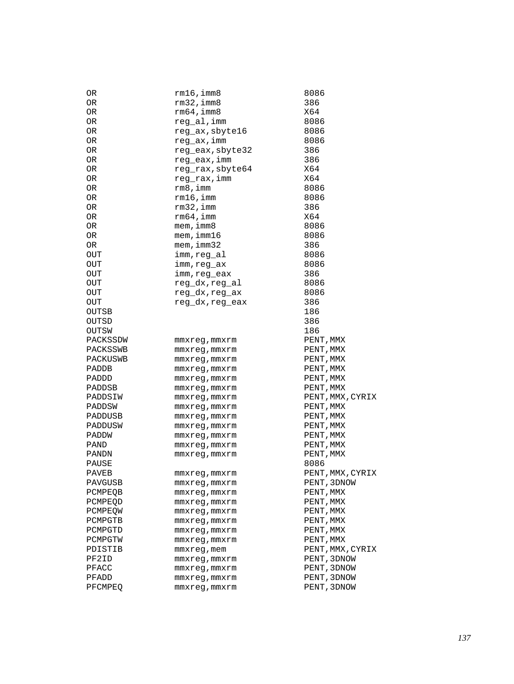| OR.        | $rm16$ , imm $8$   | 8086             |
|------------|--------------------|------------------|
| 0R         | $rm32$ , imm $8$   | 386              |
| 0R         | $rm64$ , imm $8$   | X64              |
| OR.        | reg_al, imm        | 8086             |
| 0R         | reg_ax, sbyte16    | 8086             |
| ${\sf OR}$ | reg_ax, imm        | 8086             |
| 0R         | reg_eax, sbyte32   | 386              |
| 0R         | reg_eax,imm        | 386              |
| 0R         | reg_rax, sbyte64   | X64              |
| OR.        | reg_rax,imm        | X64              |
| 0R         | rm 8, imm          | 8086             |
| OR         | rm16, imm          | 8086             |
| 0R         | $rm32$ , imm       | 386              |
| 0R         | $rm64$ , imm       | X64              |
| 0R         | $m$ em, imm $8$    | 8086             |
| OR.        | $m$ em, imm $16$   | 8086             |
|            | mem, imm32         | 386              |
| 0R         |                    |                  |
| <b>OUT</b> | imm, reg al        | 8086             |
| OUT        | imm,reg ax         | 8086             |
| <b>OUT</b> | imm,reg_eax        | 386              |
| OUT        | reg_dx,reg_al      | 8086             |
| OUT        | reg_dx,reg_ax      | 8086             |
| OUT        | reg_dx, reg_eax    | 386              |
| OUTSB      |                    | 186              |
| OUTSD      |                    | 386              |
| OUTSW      |                    | 186              |
| PACKSSDW   | mmxreg,mmxrm       | PENT, MMX        |
| PACKSSWB   | mmxreg,mmxrm       | PENT, MMX        |
| PACKUSWB   | mmxreg, mmxrm      | PENT, MMX        |
| PADDB      | mmxreg, mmxrm      | PENT, MMX        |
| PADDD      | mmxreg, mmxrm      | PENT, MMX        |
| PADDSB     | mmxreg,mmxrm       | PENT, MMX        |
| PADDSIW    | mmxreg,mmxrm       | PENT, MMX, CYRIX |
| PADDSW     | mmxreg,mmxrm       | PENT, MMX        |
| PADDUSB    | mmxreg, mmxrm      | PENT, MMX        |
| PADDUSW    | mmxreg, mmxrm      | PENT, MMX        |
| PADDW      | mmxreg, mmxrm      | PENT, MMX        |
| PAND       | mmxreg, mmxrm      | PENT, MMX        |
| PANDN      | mmxreg, mmxrm      | PENT, MMX        |
| PAUSE      |                    | 8086             |
| PAVEB      | mmxreg,mmxrm       | PENT, MMX, CYRIX |
| PAVGUSB    | mmxreg,mmxrm       | PENT, 3DNOW      |
| PCMPEOB    | $mmxreg$ , $mmxrm$ | PENT, MMX        |
| PCMPEOD    | mmxreg,mmxrm       | PENT, MMX        |
| PCMPEOW    | mmxreg,mmxrm       | PENT, MMX        |
| PCMPGTB    | mmxreg,mmxrm       | PENT, MMX        |
| PCMPGTD    | mmxreg,mmxrm       | PENT, MMX        |
| PCMPGTW    | mmxreg, mmxrm      | PENT, MMX        |
| PDISTIB    | mmxreg, mem        | PENT, MMX, CYRIX |
| PF2ID      |                    | PENT, 3DNOW      |
|            | mmxreg,mmxrm       | PENT, 3DNOW      |
| PFACC      | mmxreg,mmxrm       |                  |
| PFADD      | mmxreg,mmxrm       | PENT, 3DNOW      |
| PFCMPEQ    | mmxreg, mmxrm      | PENT, 3DNOW      |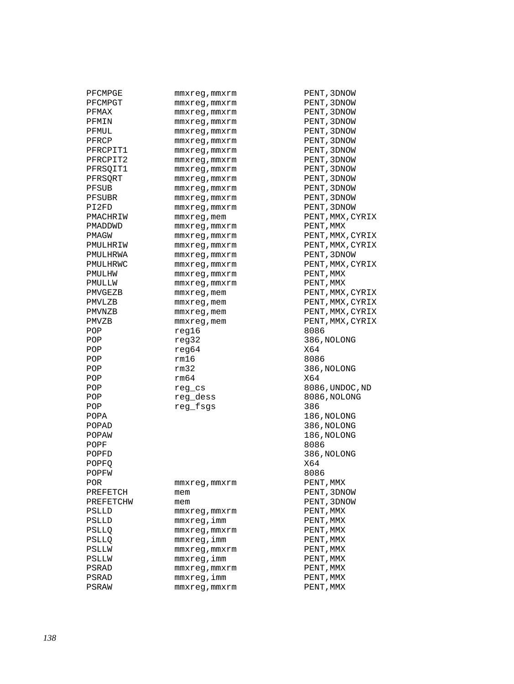| PFCMPGE   | mmxreg, mmxrm                       | PENT, 3DNOW        |
|-----------|-------------------------------------|--------------------|
| PFCMPGT   | mmxreg, mmxrm                       | PENT, 3DNOW        |
| PFMAX     | mmxreg, mmxrm                       | PENT, 3DNOW        |
| PFMIN     | $mmxreg$ , $mmxrm$                  | PENT, 3DNOW        |
| PFMUL     | mmxreg, mmxrm                       | PENT, 3DNOW        |
| PFRCP     | mmxreq, mmxrm                       | PENT, 3DNOW        |
| PFRCPIT1  | mmxreg, mmxrm                       | PENT, 3DNOW        |
| PFRCPIT2  | mmxreg, mmxrm                       | PENT, 3DNOW        |
| PFRSQIT1  | mmxreg, mmxrm                       | PENT, 3DNOW        |
| PFRSORT   | mmxreg, mmxrm                       | PENT, 3DNOW        |
| PFSUB     | mmxreg,mmxrm                        | PENT, 3DNOW        |
| PFSUBR    | mmxreg, mmxrm                       | PENT, 3DNOW        |
| PI2FD     | mmxreg, mmxrm                       | PENT, 3DNOW        |
| PMACHRIW  | mmxreg, mem                         | PENT, MMX, CYRIX   |
| PMADDWD   |                                     | PENT, MMX          |
| PMAGW     | mmxreg, mmxrm<br>$mmxreg$ , $mmxrm$ | PENT, MMX, CYRIX   |
| PMULHRIW  |                                     | PENT, MMX, CYRIX   |
| PMULHRWA  | mmxreg, mmxrm                       | PENT, 3DNOW        |
| PMULHRWC  | mmxreg, mmxrm                       | PENT, MMX, CYRIX   |
|           | mmxreq, mmxrm                       | PENT, MMX          |
| PMULHW    | mmxreq, mmxrm                       |                    |
| PMULLW    | mmxreg, mmxrm                       | PENT, MMX          |
| PMVGEZB   | mmxreg, mem                         | PENT, MMX, CYRIX   |
| PMVLZB    | mmxreg, mem                         | PENT, MMX, CYRIX   |
| PMVNZB    | mmxreg, mem                         | PENT, MMX, CYRIX   |
| PMVZB     | mmxreg, mem                         | PENT, MMX, CYRIX   |
| POP       | req16                               | 8086               |
| POP       | req32                               | 386, NOLONG<br>X64 |
| POP       | reg64                               |                    |
| POP       | rm16<br>rm32                        | 8086               |
| POP       |                                     | 386, NOLONG        |
| POP       | rm64                                | X64                |
| POP       | reg_cs                              | 8086, UNDOC, ND    |
| POP       | reg dess                            | 8086, NOLONG       |
| POP       | reg_fsgs                            | 386                |
| POPA      |                                     | 186,NOLONG         |
| POPAD     |                                     | 386, NOLONG        |
| POPAW     |                                     | 186, NOLONG        |
| POPF      |                                     | 8086               |
| POPFD     |                                     | 386, NOLONG        |
| POPFO     |                                     | X64                |
| POPFW     |                                     | 8086               |
| POR       | mmxreg,mmxrm                        | PENT, MMX          |
| PREFETCH  | mem                                 | PENT, 3DNOW        |
| PREFETCHW | mem                                 | PENT, 3DNOW        |
| PSLLD     | $mmxreg$ , $mmxrm$                  | PENT, MMX          |
| PSLLD     | mmxreg,imm                          | PENT, MMX          |
| PSLLQ     | mmxreg, mmxrm                       | PENT, MMX          |
| PSLLQ     | mmxreg,imm                          | PENT, MMX          |
| PSLLW     | mmxreq, mmxrm                       | PENT, MMX          |
| PSLLW     | mmxreg, imm                         | PENT, MMX          |
| PSRAD     | $mmxreg$ , $mmxrm$                  | PENT,MMX           |
| PSRAD     | mmxreg, imm                         | PENT,MMX           |
| PSRAW     | $mmxreg$ , $mmxrm$                  | PENT,MMX           |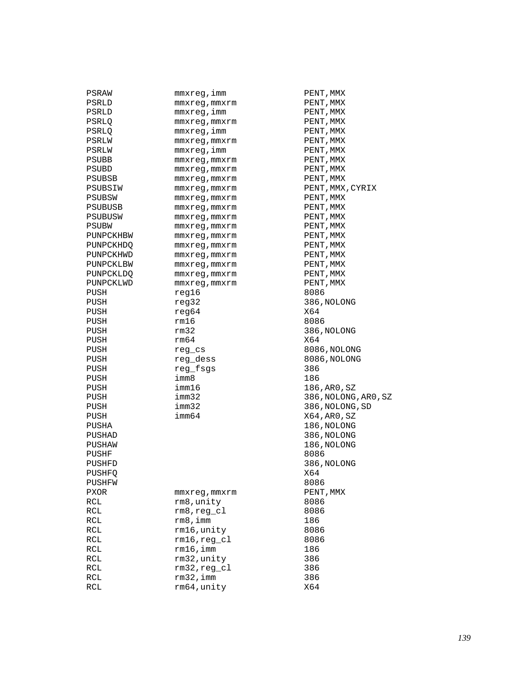| PSRAW        | mmxreg,imm                   | PENT, MMX |
|--------------|------------------------------|-----------|
| PSRLD        | mmxreg, mmxrm                | PENT, MMX |
| PSRLD        | mmxreg, imm                  | PENT, MMX |
| PSRLQ        | mmxreg, mmxrm                | PENT, MMX |
| PSRLO        | mmxreg,imm                   | PENT, MMX |
| PSRLW        | mmxreq, mmxrm                | PENT,MMX  |
| PSRLW        | mmxreg,imm                   | PENT, MMX |
| PSUBB        | mmxreg, mmxrm                | PENT, MMX |
| <b>PSUBD</b> | mmxreg, mmxrm                | PENT,MMX  |
| PSUBSB       | mmxreq, mmxrm                | PENT, MMX |
| PSUBSIW      | mmxreq, mmxrm                | PENT, MMX |
| PSUBSW       | mmxreg, mmxrm                | PENT, MMX |
| PSUBUSB      | mmxreg,mmxrm                 | PENT, MMX |
| PSUBUSW      |                              | PENT, MMX |
|              | mmxreg, mmxrm                |           |
| PSUBW        | mmxreg, mmxrm                | PENT, MMX |
| PUNPCKHBW    | mmxreg, mmxrm                | PENT, MMX |
| PUNPCKHDQ    | mmxreg, mmxrm                | PENT, MMX |
| PUNPCKHWD    | mmxreq, mmxrm                | PENT,MMX  |
| PUNPCKLBW    | mmxreg, mmxrm                | PENT, MMX |
| PUNPCKLDQ    | mmxreg, mmxrm                | PENT, MMX |
| PUNPCKLWD    | mmxreg, mmxrm                | PENT, MMX |
| PUSH         | req16                        | 8086      |
| PUSH         | req32                        | 386, NOLO |
| PUSH         | reg64                        | X64       |
| PUSH         | rm16                         | 8086      |
| PUSH         | rm32                         | 386, NOLO |
| PUSH         | rm64                         | X64       |
| PUSH         | reg_cs                       | 8086, NOL |
| PUSH         | reg dess                     | 8086, NOL |
| PUSH         | reg_fsgs                     | 386       |
| PUSH         | imm8                         | 186       |
| PUSH         | imm16                        | 186, AR0, |
| PUSH         | imm32                        | 386,NOLO  |
| PUSH         | imm32                        | 386, NOLO |
| PUSH         | imm64                        | X64,AR0,  |
| PUSHA        |                              | 186,NOLO  |
| PUSHAD       |                              | 386, NOLO |
| PUSHAW       |                              | 186,NOLO  |
| PUSHF        |                              | 8086      |
| PUSHFD       |                              | 386, NOLO |
| PUSHFQ       |                              | X64       |
| PUSHFW       |                              | 8086      |
| <b>PXOR</b>  | mmxreg,mmxrm                 | PENT, MMX |
| RCL          | rm8, unity                   | 8086      |
|              |                              | 8086      |
| RCL          | $rm8, reg_c1$<br>$rm8$ , imm |           |
| RCL          |                              | 186       |
| RCL          | rm16, unity                  | 8086      |
| RCL          | $rm16, reg_c1$               | 8086      |
| RCL          | $rm16$ , imm                 | 186       |
| RCL          | rm32, unity                  | 386       |
| RCL          | $rm32, reg_cl$               | 386       |
| RCL          | $rm32$ , imm                 | 386       |
| RCL          | rm64, unity                  | X64       |
|              |                              |           |

PENT, MMX PENT, MMX PENT, MMX PENT, MMX PENT, MMX PENT, MMX PENT, MMX PENT, MMX PENT, MMX PENT, MMX, CYRIX PENT, MMX PENT, MMX PENT, MMX PENT, MMX PENT, MMX PENT, MMX PENT, MMX PENT, MMX PENT, MMX PENT,MMX<br>8086 386,NOLONG<br>X64 386, NOLONG 8086,NOLONG 8086,NOLONG<br>386 186,AR0,SZ 386,NOLONG,AR0,SZ 386,NOLONG,SD  $X64$ , AR0, SZ 186, NOLONG 386, NOLONG 186, NOLONG 386,NOLONG<br>X64 PENT, MMX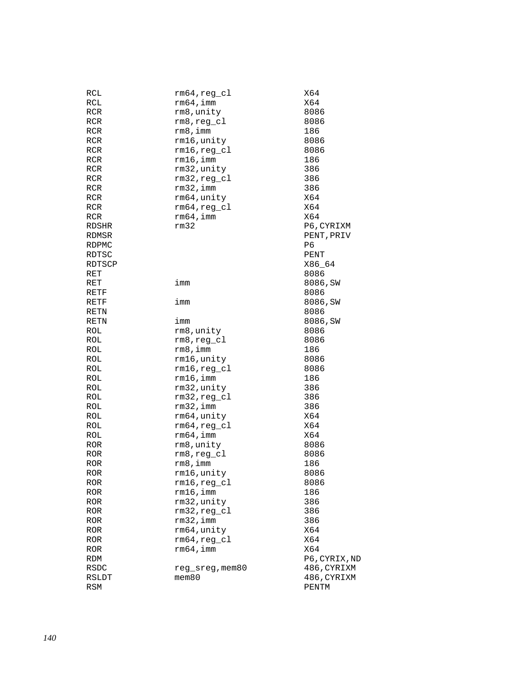| RCL          | $rm64, reg\_cl$ | X64           |
|--------------|-----------------|---------------|
| RCL          | $rm64$ , imm    | X64           |
| RCR          | rm8, unity      | 8086          |
| RCR          | $rm8, reg_c1$   | 8086          |
| RCR          | rm8,imm         | 186           |
| RCR          | rm16, unity     | 8086          |
|              |                 |               |
| RCR          | rm16,reg_cl     | 8086          |
| RCR          | $rm16$ , imm    | 186           |
| RCR          | rm32, unity     | 386           |
| RCR          | $rm32, reg_c1$  | 386           |
| RCR          | $rm32$ , imm    | 386           |
| RCR          | rm64, unity     | X64           |
| RCR          | $rm64, reg_c1$  | X64           |
| RCR          | $rm64$ , imm    | X64           |
| <b>RDSHR</b> | rm32            | P6, CYRIXM    |
| RDMSR        |                 | PENT, PRIV    |
| <b>RDPMC</b> |                 | P6            |
| RDTSC        |                 | PENT          |
| RDTSCP       |                 | X86_64        |
| RET          |                 | 8086          |
| <b>RET</b>   | imm             | 8086, SW      |
| RETF         |                 | 8086          |
| RETF         | imm             | 8086, SW      |
| RETN         |                 | 8086          |
| RETN         | imm             | 8086,SW       |
| ROL          | rm8, unity      | 8086          |
| ROL          | $rm8, reg_c1$   | 8086          |
| ROL          | rm 8, imm       | 186           |
| ROL          |                 | 8086          |
|              | rm16, unity     |               |
| ROL          | $rm16, reg_c1$  | 8086          |
| ROL          | $rm16$ , imm    | 186           |
| ROL          | rm32, unity     | 386           |
| ROL          | $rm32, reg_cl$  | 386           |
| ROL          | $rm32$ , imm    | 386           |
| ROL          | rm64, unity     | X64           |
| ROL          | $rm64, reg_c1$  | X64           |
| ROL          | $rm64$ , imm    | X64           |
| ROR          | rm8, unity      | 8086          |
| <b>ROR</b>   | $rm8, reg_c1$   | 8086          |
| <b>ROR</b>   | rm 8, imm       | 186           |
| ROR          | rm16,unity      | 8086          |
| ROR          | $rm16, reg_c1$  | 8086          |
| ROR          | $rm16$ , imm    | 186           |
| ROR          | rm32, unity     | 386           |
| ROR          | $rm32, reg_c1$  | 386           |
| ROR          | $rm32$ , imm    | 386           |
| ROR          | rm64, unity     | X64           |
| <b>ROR</b>   | $rm64, reg_c1$  | X64           |
| <b>ROR</b>   | $rm64$ , imm    | X64           |
| RDM          |                 | P6, CYRIX, ND |
| RSDC         | reg_sreg, mem80 | 486, CYRIXM   |
| RSLDT        | $m$ em $80$     | 486, CYRIXM   |
| RSM          |                 | PENTM         |
|              |                 |               |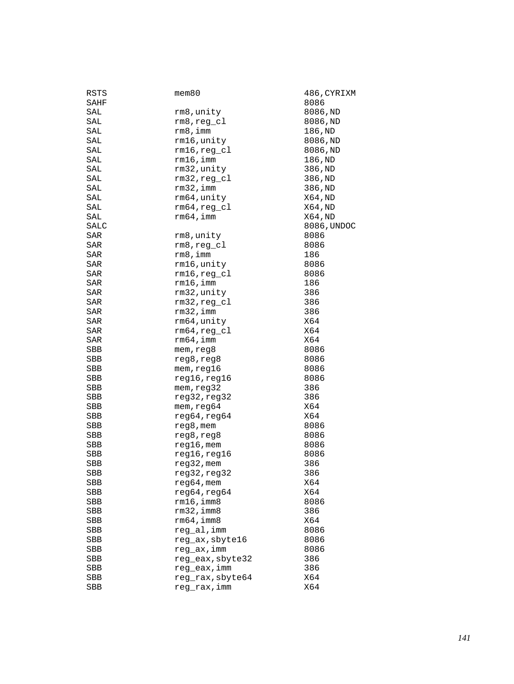| RSTS       | $m$ em $80$      | 486, CYRIXM |
|------------|------------------|-------------|
| SAHF       |                  | 8086        |
| SAL        | rm8, unity       | 8086, ND    |
| SAL        | $rm8, reg_c1$    | 8086,ND     |
| SAL        | rm 8, imm        | 186,ND      |
| SAL        | rm16, unity      | 8086, ND    |
| SAL        | $rm16, reg_c1$   | 8086, ND    |
| SAL        | $rm16$ , imm     | 186,ND      |
| SAL        | rm32, unity      | 386,ND      |
| SAL        | $rm32, reg_cl$   | 386, ND     |
| SAL        | $rm32$ , imm     | 386, ND     |
| SAL        | rm64, unity      | X64, ND     |
| SAL        | $rm64, reg_cl$   | X64, ND     |
| SAL        | $rm64$ , imm     | X64, ND     |
| SALC       |                  | 8086, UNDOC |
| SAR        | rm8, unity       | 8086        |
| SAR        | $rm8, reg_c1$    | 8086        |
| SAR        | rm 8, imm        | 186         |
| SAR        | rm16, unity      | 8086        |
| SAR        | $rm16, reg_c1$   | 8086        |
|            |                  |             |
| SAR        | $rm16$ , imm     | 186         |
| SAR        | rm32, unity      | 386         |
| SAR        | $rm32, reg_cl$   | 386         |
| SAR        | $rm32$ , imm     | 386         |
| SAR        | rm64, unity      | X64         |
| SAR        | $rm64, reg_c1$   | X64         |
| SAR        | rm64, imm        | X64         |
| SBB        | mem, reg8        | 8086        |
| SBB        | reg8, reg8       | 8086        |
| SBB        | mem, reg16       | 8086        |
| <b>SBB</b> | reg16, reg16     | 8086        |
| SBB        | mem, reg32       | 386         |
| SBB        | reg32, reg32     | 386         |
| SBB        | mem, reg64       | X64         |
| SBB        | reg64, reg64     | X64         |
| SBB        | reg8, mem        | 8086        |
| SBB        | reg8, reg8       | 8086        |
| SBB        | $reg16$ , mem    | 8086        |
| SBB        | reg16, reg16     | 8086        |
| SBB        | $reg32$ , mem    | 386         |
| <b>SBB</b> | reg32, reg32     | 386         |
| SBB        | $reg64,$ mem     | X64         |
| SBB        | reg64, reg64     | X64         |
| SBB        | rm16, imm8       | 8086        |
| SBB        | $rm32$ , imm $8$ | 386         |
| SBB        | rm64, imm8       | X64         |
| SBB        | reg_al,imm       | 8086        |
| SBB        | reg_ax, sbyte16  | 8086        |
| <b>SBB</b> | reg_ax, imm      | 8086        |
| SBB        | reg_eax, sbyte32 | 386         |
| SBB        | reg_eax, imm     | 386         |
| SBB        | reg_rax, sbyte64 | X64         |
| SBB        | reg_rax, imm     | X64         |
|            |                  |             |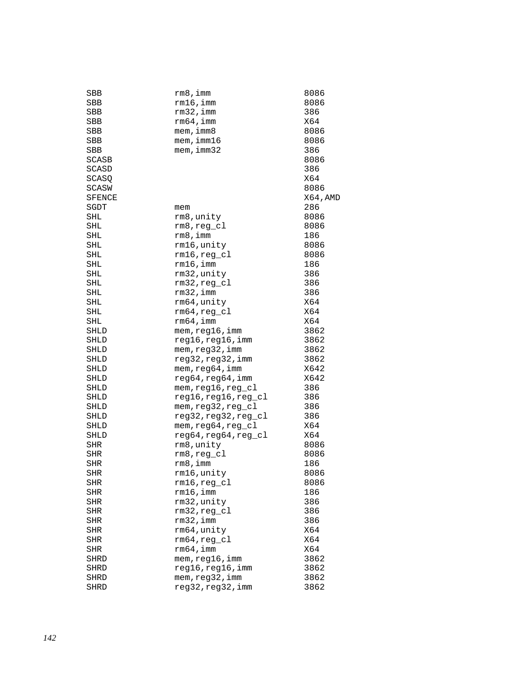| SBB           | rm8,imm              | 8086     |
|---------------|----------------------|----------|
| SBB           | rm16, imm            | 8086     |
| SBB           | $rm32$ , imm         | 386      |
| SBB           | $rm64$ , imm         | X64      |
| SBB           | mem, imm8            | 8086     |
| SBB           | mem, imm16           | 8086     |
| SBB           | mem, imm32           | 386      |
| SCASB         |                      | 8086     |
| SCASD         |                      | 386      |
| SCASQ         |                      | X64      |
| SCASW         |                      | 8086     |
| <b>SFENCE</b> |                      | X64, AMD |
| SGDT          | mem                  | 286      |
| SHL           | rm8, unity           | 8086     |
| SHL           | $rm8, reg_cl$        | 8086     |
| SHL           | rm 8, imm            | 186      |
| SHL           | rm16, unity          | 8086     |
| SHL           | $rm16, reg_c1$       | 8086     |
| SHL           | $rm16$ , imm         | 186      |
| <b>SHL</b>    | rm32, unity          | 386      |
|               | $rm32, reg_cl$       | 386      |
| SHL           |                      |          |
| SHL           | $rm32$ , imm         | 386      |
| SHL           | rm64, unity          | X64      |
| SHL           | $rm64, reg_c1$       | X64      |
| SHL           | $rm64$ , imm         | X64      |
| SHLD          | mem, reg16, imm      | 3862     |
| SHLD          | reg16, reg16, imm    | 3862     |
| SHLD          | mem, reg32, imm      | 3862     |
| SHLD          | reg32, reg32, imm    | 3862     |
| SHLD          | mem, reg64, imm      | X642     |
| SHLD          | reg64, reg64, imm    | X642     |
| SHLD          | mem, reg16, reg_cl   | 386      |
| SHLD          | reg16, reg16, reg_cl | 386      |
| SHLD          | mem, reg32, reg_cl   | 386      |
| SHLD          | reg32, reg32, reg_cl | 386      |
| SHLD          | mem, reg64, reg_cl   | X64      |
| <b>SHLD</b>   | reg64, reg64, reg_cl | X64      |
| SHR           | rm8, unity           | 8086     |
| SHR           | rm8,reg_cl           | 8086     |
| <b>SHR</b>    | rm 8, imm            | 186      |
| <b>SHR</b>    | rm16, unity          | 8086     |
| SHR           | $rm16, reg_c1$       | 8086     |
| SHR           | rm16, imm            | 186      |
| SHR           | rm32, unity          | 386      |
| SHR           | $rm32, reg_cl$       | 386      |
| <b>SHR</b>    | $rm32$ , imm         | 386      |
| SHR           | rm64, unity          | X64      |
| SHR           | rm64, req cl         | X64      |
| SHR           | $rm64$ , imm         | X64      |
| SHRD          | mem, reg16, imm      | 3862     |
| SHRD          | reg16, reg16, imm    | 3862     |
| <b>SHRD</b>   | mem, reg32, imm      | 3862     |
| <b>SHRD</b>   | reg32, reg32, imm    | 3862     |
|               |                      |          |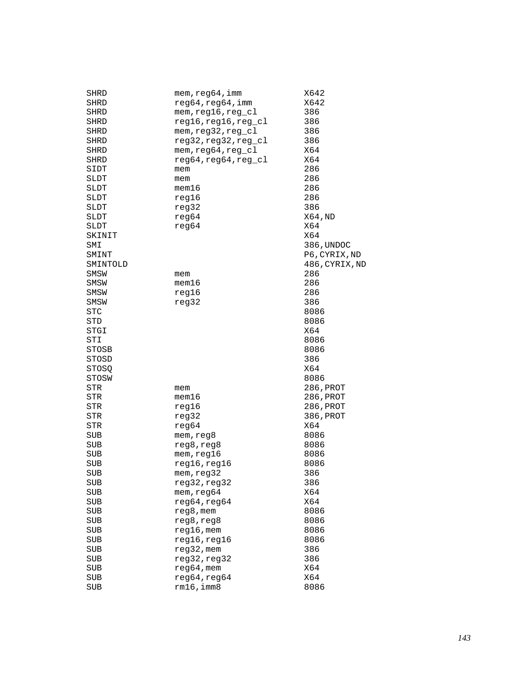| SHRD       | mem, reg64, imm      | X642           |
|------------|----------------------|----------------|
| SHRD       | reg64,reg64,imm      | X642           |
| SHRD       | mem, reg16, reg_cl   | 386            |
| SHRD       | reg16, reg16, reg_cl | 386            |
| SHRD       | mem, reg32, reg_cl   | 386            |
| SHRD       | reg32, reg32, reg_cl | 386            |
| SHRD       | mem, reg64, reg_cl   | X64            |
| SHRD       | reg64, reg64, reg_cl | X64            |
|            |                      | 286            |
| SIDT       | mem                  |                |
| SLDT       | mem                  | 286<br>286     |
| SLDT       | mem16                |                |
| SLDT       | reg16                | 286            |
| SLDT       | reg32                | 386            |
| SLDT       | reg64                | X64, ND        |
| SLDT       | reg64                | X64            |
| SKINIT     |                      | X64            |
| SMI        |                      | 386, UNDOC     |
| SMINT      |                      | P6, CYRIX, ND  |
| SMINTOLD   |                      | 486, CYRIX, ND |
| SMSW       | mem                  | 286            |
| SMSW       | $m$ em $16$          | 286            |
| SMSW       | reg16                | 286            |
| SMSW       | reg32                | 386            |
| <b>STC</b> |                      | 8086           |
| STD        |                      | 8086           |
| STGI       |                      | X64            |
| STI        |                      | 8086           |
| STOSB      |                      | 8086           |
| STOSD      |                      | 386            |
| STOSO      |                      | X64            |
| STOSW      |                      | 8086           |
| STR        | mem                  | 286, PROT      |
| STR        | $m$ em $16$          | 286, PROT      |
| STR        | reg16                | 286,PROT       |
| STR        |                      | 386, PROT      |
|            | reg32                | X64            |
| STR        | reg64                |                |
| SUB        | mem, reg8            | 8086           |
| SUB        | reg8,reg8            | 8086           |
| <b>SUB</b> | mem,reg16            | 8086           |
| SUB        | reg16, reg16         | 8086           |
| <b>SUB</b> | mem, reg32           | 386            |
| SUB        | reg32, reg32         | 386            |
| SUB        | mem, reg64           | X64            |
| SUB        | reg64, reg64         | X64            |
| <b>SUB</b> | $reg8$ , mem         | 8086           |
| SUB        | reg8, reg8           | 8086           |
| SUB        | $reg16$ , mem        | 8086           |
| SUB        | reg16, reg16         | 8086           |
| SUB        | reg32, mem           | 386            |
| SUB        | reg32, reg32         | 386            |
| <b>SUB</b> | $reg64,$ mem         | X64            |
| SUB        | reg64, reg64         | X64            |
| SUB        | rm16, imm8           | 8086           |
|            |                      |                |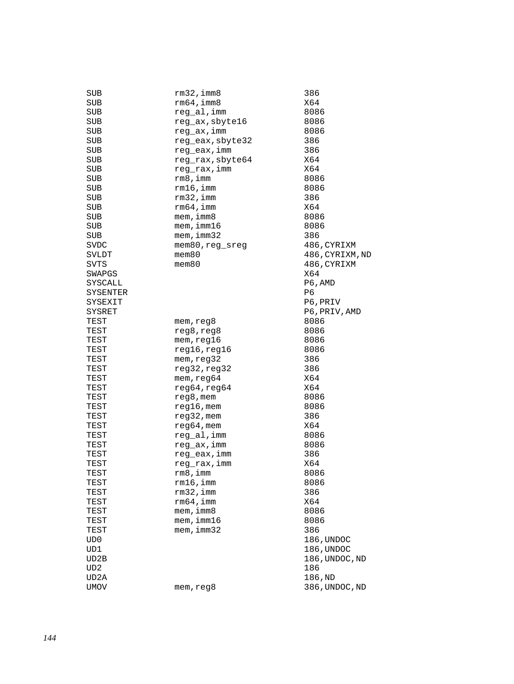| SUB        | $rm32$ , imm $8$ | 386             |
|------------|------------------|-----------------|
| SUB        | rm64, imm8       | X64             |
| <b>SUB</b> | reg_al, imm      | 8086            |
| <b>SUB</b> | reg_ax, sbyte16  | 8086            |
| SUB        | reg_ax,imm       | 8086            |
| SUB        | reg_eax, sbyte32 | 386             |
| SUB        | reg_eax,imm      | 386             |
| SUB        | reg_rax, sbyte64 | X64             |
| <b>SUB</b> | reg_rax, imm     | X64             |
| <b>SUB</b> | rm 8, imm        | 8086            |
|            |                  |                 |
| SUB        | $rm16$ , imm     | 8086            |
| <b>SUB</b> | $rm32$ , imm     | 386             |
| <b>SUB</b> | rm64, imm        | X64             |
| <b>SUB</b> | $m$ em, imm $8$  | 8086            |
| <b>SUB</b> | $m$ em, imm $16$ | 8086            |
| <b>SUB</b> | mem, imm32       | 386             |
| SVDC       | mem80, reg_sreg  | 486,CYRIXM      |
| SVLDT      | mem80            | 486, CYRIXM, ND |
| SVTS       | $m$ em $80$      | 486, CYRIXM     |
| SWAPGS     |                  | X64             |
| SYSCALL    |                  | P6, AMD         |
| SYSENTER   |                  | P6              |
| SYSEXIT    |                  | P6, PRIV        |
| SYSRET     |                  | P6, PRIV, AMD   |
| TEST       | mem, reg8        | 8086            |
| TEST       | reg8, reg8       | 8086            |
| TEST       | mem, reg16       | 8086            |
| TEST       | reg16, reg16     | 8086            |
| TEST       | mem, reg32       | 386             |
| TEST       | reg32, reg32     | 386             |
|            | mem, reg64       | X64             |
| TEST       | reg64, reg64     | X64             |
| TEST       |                  |                 |
| TEST       | $req8$ , mem     | 8086            |
| TEST       | $reg16$ , mem    | 8086            |
| TEST       | $reg32$ , mem    | 386             |
| TEST       | reg64, mem       | X64             |
| TEST       | reg_al, imm      | 8086            |
| TEST       | reg_ax,imm       | 8086            |
| TEST       | reg_eax, imm     | 386             |
| TEST       | reg_rax,imm      | X64             |
| TEST       | rm8,imm          | 8086            |
| TEST       | rm16,imm         | 8086            |
| TEST       | $rm32$ , imm     | 386             |
| TEST       | rm64, imm        | X64             |
| TEST       | $m$ em, imm $8$  | 8086            |
| TEST       | $m$ em, imm $16$ | 8086            |
| TEST       | mem, imm32       | 386             |
| UD0        |                  | 186, UNDOC      |
| UD1        |                  | 186, UNDOC      |
| UD2B       |                  | 186, UNDOC, ND  |
| UD2        |                  | 186             |
| UD2A       |                  | 186, ND         |
| UMOV       | mem, reg8        | 386, UNDOC, ND  |
|            |                  |                 |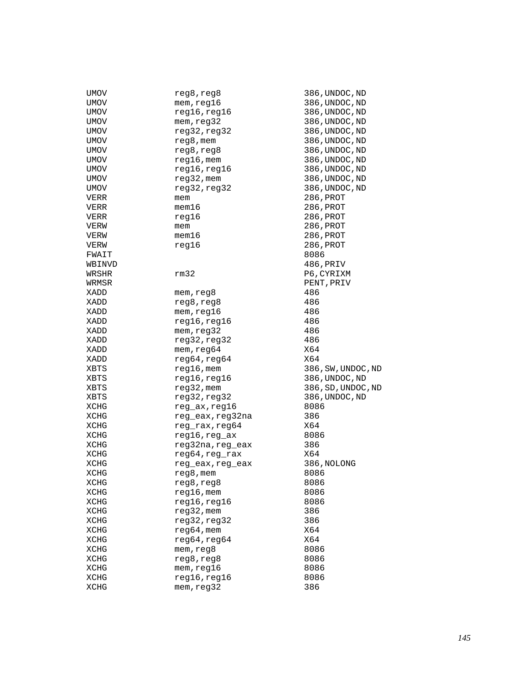| UMOV        | reg8,reg8        | 386, UNDOC, ND     |
|-------------|------------------|--------------------|
| UMOV        | mem,reg16        | 386, UNDOC, ND     |
| UMOV        | reg16, reg16     | 386, UNDOC, ND     |
| UMOV        | mem, reg32       | 386, UNDOC, ND     |
| UMOV        | reg32, reg32     | 386, UNDOC, ND     |
| UMOV        | reg8, mem        | 386, UNDOC, ND     |
| UMOV        | reg8, reg8       | 386, UNDOC, ND     |
| UMOV        | $reg16$ , mem    | 386, UNDOC, ND     |
|             |                  |                    |
| UMOV        | reg16, reg16     | 386, UNDOC, ND     |
| UMOV        | $reg32$ , mem    | 386, UNDOC, ND     |
| UMOV        | reg32,reg32      | 386, UNDOC, ND     |
| VERR        | mem              | 286, PROT          |
| VERR        | mem16            | 286, PROT          |
| VERR        | reg16            | 286, PROT          |
| VERW        | mem              | 286, PROT          |
| VERW        | mem16            | 286, PROT          |
| VERW        | reg16            | 286,PROT           |
| FWAIT       |                  | 8086               |
| WBINVD      |                  | 486, PRIV          |
| WRSHR       | rm32             | P6, CYRIXM         |
| WRMSR       |                  | PENT, PRIV         |
| XADD        | mem, reg8        | 486                |
| XADD        | reg8, reg8       | 486                |
| XADD        | mem, reg16       | 486                |
| XADD        | reg16, reg16     | 486                |
| XADD        | mem, reg32       | 486                |
| XADD        | reg32, reg32     | 486                |
| XADD        | mem, reg64       | X64                |
| XADD        |                  | X64                |
|             | reg64, reg64     |                    |
| XBTS        | $reg16$ , mem    | 386, SW, UNDOC, ND |
| XBTS        | reg16, reg16     | 386, UNDOC, ND     |
| XBTS        | $reg32$ , mem    | 386, SD, UNDOC, ND |
| XBTS        | reg32, reg32     | 386, UNDOC, ND     |
| XCHG        | reg_ax,reg16     | 8086               |
| XCHG        | reg_eax,reg32na  | 386                |
| XCHG        | reg_rax, reg64   | X64                |
| XCHG        | reg16, reg_ax    | 8086               |
| XCHG        | reg32na, reg_eax | 386                |
| XCHG        | reg64, reg_rax   | X64                |
| XCHG        | reg_eax, reg_eax | 386, NOLONG        |
| XCHG        | reg8, mem        | 8086               |
| XCHG        | reg8, reg8       | 8086               |
| XCHG        | $reg16$ , mem    | 8086               |
| <b>XCHG</b> | reg16, reg16     | 8086               |
| XCHG        | $reg32$ , mem    | 386                |
| XCHG        | reg32, reg32     | 386                |
| XCHG        | reg64, mem       | X64                |
| XCHG        | reg64, reg64     | X64                |
| XCHG        | mem, reg8        | 8086               |
| XCHG        | reg8, reg8       | 8086               |
|             |                  |                    |
| XCHG        | mem, reg16       | 8086               |
| XCHG        | reg16, reg16     | 8086               |
| XCHG        | mem, reg32       | 386                |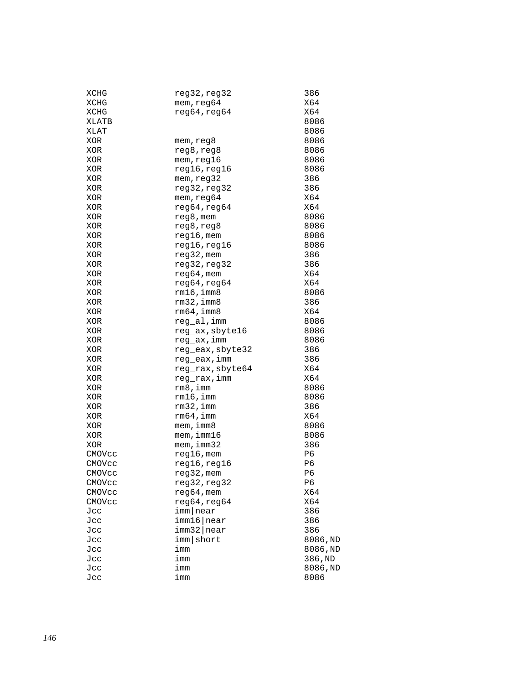| XCHG   | reg32,reg32      | 386      |
|--------|------------------|----------|
| XCHG   | mem, reg64       | X64      |
| XCHG   | reg64, reg64     | X64      |
| XLATB  |                  | 8086     |
| XLAT   |                  | 8086     |
| XOR    | mem, reg8        | 8086     |
| XOR    | reg8, reg8       | 8086     |
| XOR    | mem, reg16       | 8086     |
| XOR    | reg16, reg16     | 8086     |
| XOR    | mem, reg32       | 386      |
| XOR    | reg32, reg32     | 386      |
| XOR    | mem, reg64       | X64      |
| XOR    | reg64, reg64     | X64      |
| XOR    | reg8, mem        | 8086     |
| XOR    | reg8, reg8       | 8086     |
| XOR    | reg16, mem       | 8086     |
| XOR    | reg16,reg16      | 8086     |
| XOR    | reg32, mem       | 386      |
| XOR    | reg32, reg32     | 386      |
| XOR    | $reg64,$ mem     | X64      |
| XOR    | reg64, reg64     | X64      |
| XOR    | $rm16$ , imm $8$ | 8086     |
| XOR    | $rm32$ , imm $8$ | 386      |
| XOR    | rm64, imm8       | X64      |
| XOR    | reg_al, imm      | 8086     |
| XOR    | reg_ax, sbyte16  | 8086     |
| XOR    | reg_ax, imm      | 8086     |
| XOR    | reg_eax, sbyte32 | 386      |
| XOR    | reg_eax,imm      | 386      |
| XOR    | reg_rax, sbyte64 | X64      |
| XOR    | reg_rax, imm     | X64      |
| XOR    | rm8,imm          | 8086     |
| XOR    | $rm16$ , imm     | 8086     |
| XOR    | $rm32$ , imm     | 386      |
| XOR    | $rm64$ , imm     | X64      |
| XOR    | mem, imm8        | 8086     |
| XOR    | mem, imm16       | 8086     |
| XOR    | mem, imm32       | 386      |
| CMOVcc | $req16$ , mem    | P6       |
| CMOVcc | reg16, reg16     | P6       |
| CMOVcc | reg32, mem       | P6       |
| CMOVcc | reg32, reg32     | P6       |
| CMOVCC | $reg64,$ mem     | X64      |
| CMOVCC | reg64, reg64     | X64      |
| Jcc    | imm near         | 386      |
| Jcc    | imm16 near       | 386      |
| Jcc    | $imm32$ near     | 386      |
| Jcc    | imm   short      | 8086,ND  |
| Jcc    | imm              | 8086, ND |
| Jcc    | imm              | 386, ND  |
| Jcc    | imm              | 8086, ND |
| Jcc    | imm              | 8086     |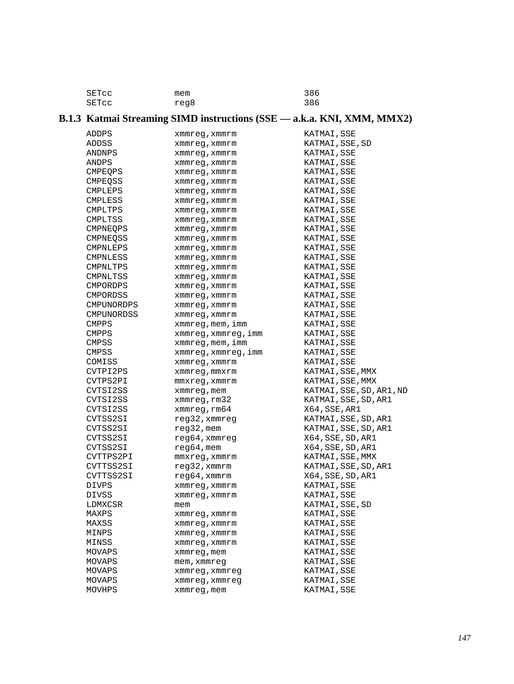| SETCC | mem  | 386 |
|-------|------|-----|
| SETCC | reg8 | 386 |

# **B.1.3 Katmai Streaming SIMD instructions (SSE –– a.k.a. KNI, XMM, MMX2)**

| ADDPS             | xmmreg, xmmrm           | KATMAI,SSE               |
|-------------------|-------------------------|--------------------------|
| ADDSS             | xmmreg, xmmrm           | KATMAI, SSE, SD          |
| ANDNPS            | xmmreg, xmmrm           | KATMAI, SSE              |
| ANDPS             | xmmreg,xmmrm            | KATMAI,SSE               |
| CMPEOPS           | xmmreg, xmmrm           | KATMAI,SSE               |
| <b>CMPEOSS</b>    | xmmreg, xmmrm           | KATMAI, SSE              |
| <b>CMPLEPS</b>    | xmmreg, xmmrm           | KATMAI,SSE               |
| CMPLESS           | xmmreg, xmmrm           | KATMAI,SSE               |
| CMPLTPS           | xmmreg, xmmrm           | KATMAI,SSE               |
| CMPLTSS           | xmmreg,xmmrm            | KATMAI,SSE               |
| CMPNEOPS          | xmmreg, xmmrm           | KATMAI,SSE               |
| CMPNEQSS          | xmmreg, xmmrm           | KATMAI, SSE              |
| CMPNLEPS          | xmmreg, xmmrm           | KATMAI, SSE              |
| CMPNLESS          | xmmreg, xmmrm           | KATMAI, SSE              |
| CMPNLTPS          | xmmreg, xmmrm           | KATMAI, SSE              |
| CMPNLTSS          | xmmreg,xmmrm            | KATMAI,SSE               |
| CMPORDPS          | xmmreg, xmmrm           | KATMAI,SSE               |
| CMPORDSS          | xmmreg, xmmrm           | KATMAI, SSE              |
| <b>CMPUNORDPS</b> | xmmreg, xmmrm           | KATMAI, SSE              |
| CMPUNORDSS        | xmmreg, xmmrm           | KATMAI,SSE               |
| <b>CMPPS</b>      | $x$ mm $x$ eq, mem, imm | KATMAI, SSE              |
| <b>CMPPS</b>      | xmmreg, xmmreg, imm     | KATMAI,SSE               |
| CMPSS             | xmmreg, mem, imm        | KATMAI, SSE              |
| <b>CMPSS</b>      | xmmreg, xmmreg, imm     | KATMAI, SSE              |
| COMISS            | xmmreq, xmmrm           | KATMAI,SSE               |
| CVTPI2PS          | xmmreg, mmxrm           | KATMAI, SSE, MMX         |
| CVTPS2PI          | $mmxreg$ , $xmmrm$      | KATMAI, SSE, MMX         |
| CVTSI2SS          | xmmreg, mem             | KATMAI, SSE, SD, AR1, ND |
| CVTSI2SS          | xmmreg, rm32            | KATMAI, SSE, SD, AR1     |
| CVTSI2SS          | xmmreg, rm64            | X64, SSE, AR1            |
| CVTSS2SI          | reg32, xmmreg           | KATMAI, SSE, SD, AR1     |
| CVTSS2SI          | $reg32$ , mem           | KATMAI, SSE, SD, AR1     |
| CVTSS2SI          | $req64$ , xmmreq        | X64, SSE, SD, AR1        |
| CVTSS2SI          | $reg64,$ mem            | X64, SSE, SD, AR1        |
| CVTTPS2PI         | mmxreg, xmmrm           | KATMAI, SSE, MMX         |
| CVTTSS2SI         | reg32, xmmrm            | KATMAI, SSE, SD, AR1     |
| CVTTSS2SI         | reg64, xmmrm            | X64, SSE, SD, AR1        |
| DIVPS             | xmmreg, xmmrm           | KATMAI,SSE               |
| DIVSS             | xmmreq, xmmrm           | KATMAI, SSE              |
| LDMXCSR           | mem                     | KATMAI, SSE, SD          |
| MAXPS             | xmmreg,xmmrm            | KATMAI, SSE              |
| MAXSS             | xmmreq, xmmrm           | KATMAI, SSE              |
| MINPS             | xmmreq, xmmrm           | KATMAI, SSE              |
| MINSS             | xmmreg, xmmrm           | KATMAI, SSE              |
| MOVAPS            | xmmreg, mem             | KATMAI, SSE              |
| MOVAPS            | mem, xmmreq             | KATMAI, SSE              |
| MOVAPS            | xmmreg, xmmreg          | KATMAI, SSE              |
| MOVAPS            | xmmreg, xmmreg          | KATMAI, SSE              |
| MOVHPS            | xmmreg, mem             | KATMAI, SSE              |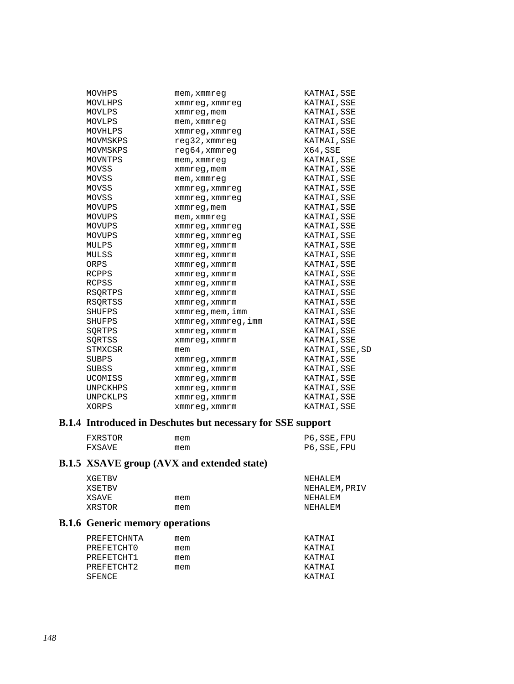| MOVHPS       | mem, xmmreg             | KATMAI, SSE     |
|--------------|-------------------------|-----------------|
| MOVLHPS      | xmmreg, xmmreg          | KATMAI, SSE     |
| MOVLPS       | xmmreg, mem             | KATMAI, SSE     |
| MOVLPS       | mem, xmmreq             | KATMAI, SSE     |
| MOVHLPS      | xmmreg, xmmreg          | KATMAI, SSE     |
| MOVMSKPS     | reg32, xmmreg           | KATMAI, SSE     |
| MOVMSKPS     | $req64$ , xmmreq        | X64, SSE        |
| MOVNTPS      | mem, xmmreq             | KATMAI, SSE     |
| MOVSS        | xmmreg, mem             | KATMAI, SSE     |
| MOVSS        | mem, xmmreq             | KATMAI, SSE     |
| MOVSS        | xmmreg, xmmreg          | KATMAI, SSE     |
| MOVSS        | xmmreg, xmmreg          | KATMAI, SSE     |
| MOVUPS       | xmmreg, mem             | KATMAI, SSE     |
| MOVUPS       | mem, xmmreq             | KATMAI, SSE     |
| MOVUPS       | xmmreg, xmmreg          | KATMAI, SSE     |
| MOVUPS       | xmmreg, xmmreg          | KATMAI, SSE     |
| MULPS        | xmmreg, xmmrm           | KATMAI, SSE     |
| MULSS        | xmmreg, xmmrm           | KATMAI, SSE     |
| ORPS         | xmmreg, xmmrm           | KATMAI, SSE     |
| RCPPS        | xmmreg, xmmrm           | KATMAI, SSE     |
| <b>RCPSS</b> | xmmreg, xmmrm           | KATMAI, SSE     |
| RSQRTPS      | xmmreq, xmmrm           | KATMAI, SSE     |
| RSORTSS      | xmmreq, xmmrm           | KATMAI, SSE     |
| SHUFPS       | $x$ mm $x$ eq, mem, imm | KATMAI, SSE     |
| SHUFPS       | xmmreg,xmmreg,imm       | KATMAI, SSE     |
| SORTPS       | xmmreg, xmmrm           | KATMAI, SSE     |
| SORTSS       | xmmreg, xmmrm           | KATMAI, SSE     |
| STMXCSR      | mem                     | KATMAI, SSE, SD |
| SUBPS        | xmmreg, xmmrm           | KATMAI, SSE     |
| <b>SUBSS</b> | xmmreg, xmmrm           | KATMAI, SSE     |
| UCOMISS      | xmmreg, xmmrm           | KATMAI, SSE     |
| UNPCKHPS     | xmmreq, xmmrm           | KATMAI, SSE     |
| UNPCKLPS     | xmmreq, xmmrm           | KATMAI, SSE     |
| XORPS        | xmmreq, xmmrm           | KATMAI, SSE     |

## **B.1.4 Introduced in Deschutes but necessary for SSE support**

| FXRSTOR | mem | P6, SSE, FPU |
|---------|-----|--------------|
| FXSAVE  | mem | P6, SSE, FPU |

# **B.1.5 XSAVE group (AVX and extended state)**

| XGETBV |     | NEHALEM       |
|--------|-----|---------------|
| XSETBV |     | NEHALEM, PRIV |
| XSAVE  | mem | NEHALEM       |
| XRSTOR | mem | NEHALEM       |

## **B.1.6 Generic memory operations**

| PREFETCHNTA | mem | KATMAT |
|-------------|-----|--------|
| PREFETCHT0  | mem | KATMAT |
| PREFETCHT1  | mem | KATMAT |
| PREFETCHT2  | mem | KATMAT |
| SFENCE      |     | KATMAT |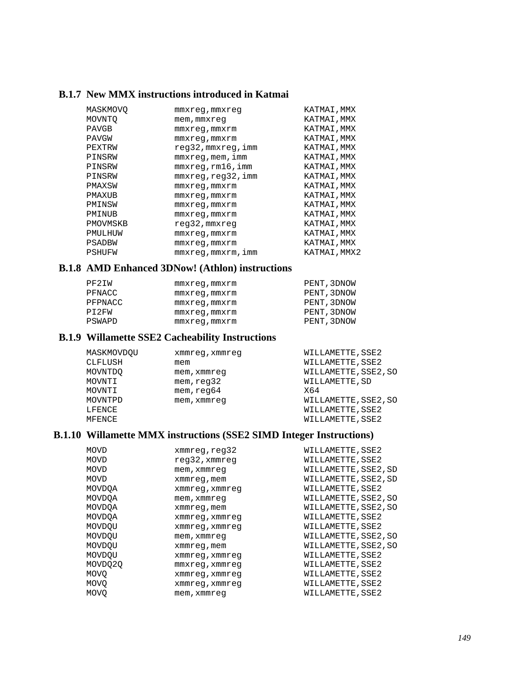#### **B.1.7 New MMX instructions introduced in Katmai**

| MASKMOVO     | mmxreq,mmxreq       | KATMAI, MMX  |
|--------------|---------------------|--------------|
| MOVNTO       | mem, mmxreq         | KATMAI, MMX  |
| PAVGB        | $mmxreq$ , $mmxrm$  | KATMAI, MMX  |
| <b>PAVGW</b> | mmxreq,mmxrm        | KATMAI, MMX  |
| PEXTRW       | reg32, mmxreg, imm  | KATMAI, MMX  |
| PINSRW       | $mmxreq$ , mem, imm | KATMAI, MMX  |
| PINSRW       | mmxreq,rm16,imm     | KATMAI, MMX  |
| PINSRW       | mmxreq, req32, imm  | KATMAI, MMX  |
| PMAXSW       | mmxreq,mmxrm        | KATMAI, MMX  |
| PMAXUB       | mmxreq,mmxrm        | KATMAI, MMX  |
| PMINSW       | mmxreq,mmxrm        | KATMAI, MMX  |
| PMINUB       | mmxreq, mmxrm       | KATMAI, MMX  |
| PMOVMSKB     | reg32, mmxreg       | KATMAI, MMX  |
| PMULHUW      | $mmxreq$ , $mmxrm$  | KATMAI, MMX  |
| PSADBW       | mmxreq, mmxrm       | KATMAI, MMX  |
| PSHUFW       | mmxreq,mmxrm,imm    | KATMAI, MMX2 |

#### **B.1.8 AMD Enhanced 3DNow! (Athlon) instructions**

| PF2IW   | mmxreq, mmxrm      | PENT, 3DNOW |
|---------|--------------------|-------------|
| PFNACC  | $mmxreq$ , $mmxrm$ | PENT, 3DNOW |
| PFPNACC | $mmxreq$ , $mmxrm$ | PENT, 3DNOW |
| PI2FW   | mmxreq, mmxrm      | PENT, 3DNOW |
| PSWAPD  | $mmxreq$ , $mmxrm$ | PENT, 3DNOW |

#### **B.1.9 Willamette SSE2 Cacheability Instructions**

| MASKMOVDOU | xmmreg, xmmreg | WILLAMETTE, SSE2     |
|------------|----------------|----------------------|
| CLFLUSH    | mem            | WILLAMETTE, SSE2     |
| MOVNTDO    | mem, xmmreg    | WILLAMETTE, SSE2, SO |
| MOVNTI     | mem, read32    | WILLAMETTE, SD       |
| MOVNTI     | mem, reg64     | X64                  |
| MOVNTPD    | mem, xmmreq    | WILLAMETTE, SSE2, SO |
| LFENCE     |                | WILLAMETTE, SSE2     |
| MFENCE     |                | WILLAMETTE, SSE2     |

## **B.1.10 Willamette MMX instructions (SSE2 SIMD Integer Instructions)**

| <b>MOVD</b> | xmmreg, reg32    | WILLAMETTE, SSE2     |
|-------------|------------------|----------------------|
| <b>MOVD</b> | $req32$ , xmmreq | WILLAMETTE, SSE2     |
| <b>MOVD</b> | mem, xmmreq      | WILLAMETTE, SSE2, SD |
| MOVD        | xmmreg, mem      | WILLAMETTE, SSE2, SD |
| MOVDQA      | xmmreg, xmmreg   | WILLAMETTE, SSE2     |
| MOVDOA      | mem, xmmreq      | WILLAMETTE, SSE2, SO |
| MOVDOA      | xmmreg, mem      | WILLAMETTE, SSE2, SO |
| MOVDOA      | xmmreg, xmmreg   | WILLAMETTE, SSE2     |
| MOVDOU      | xmmreg, xmmreg   | WILLAMETTE, SSE2     |
| MOVDOU      | mem, xmmreq      | WILLAMETTE, SSE2, SO |
| MOVDOU      | xmmreg, mem      | WILLAMETTE, SSE2, SO |
| MOVDOU      | xmmreg, xmmreg   | WILLAMETTE, SSE2     |
| MOVDO20     | mmxreg, xmmreg   | WILLAMETTE, SSE2     |
| MOVO        | xmmreg, xmmreg   | WILLAMETTE, SSE2     |
| <b>MOVO</b> | xmmreg, xmmreg   | WILLAMETTE, SSE2     |
| MOVO        | mem, xmmreg      | WILLAMETTE, SSE2     |
|             |                  |                      |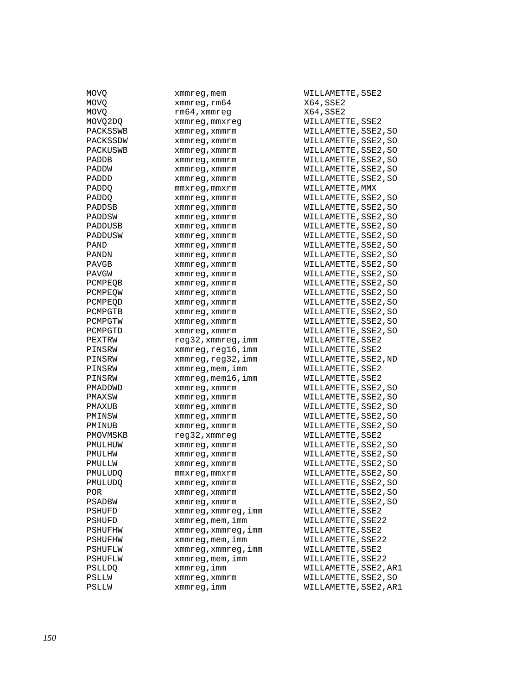| MOVO        | xmmreg, mem             | WILLAMETTE, SSE2 |
|-------------|-------------------------|------------------|
| <b>MOVO</b> | xmmreg, rm64            | X64, SSE2        |
| MOVQ        | rm64, xmmreq            | X64, SSE2        |
| MOVQ2DQ     | xmmreg, mmxreg          | WILLAMETTE, SSE2 |
| PACKSSWB    | xmmreg, xmmrm           | WILLAMETTE, SSE2 |
| PACKSSDW    | xmmreg, xmmrm           | WILLAMETTE, SSE2 |
| PACKUSWB    |                         | WILLAMETTE, SSE2 |
| PADDB       | xmmreg, xmmrm           |                  |
|             | xmmreg, xmmrm           | WILLAMETTE, SSE2 |
| PADDW       | xmmreg, xmmrm           | WILLAMETTE, SSE2 |
| PADDD       | xmmreg,xmmrm            | WILLAMETTE, SSE2 |
| PADDQ       | mmxreg,mmxrm            | WILLAMETTE, MMX  |
| PADDQ       | xmmreg, xmmrm           | WILLAMETTE, SSE2 |
| PADDSB      | xmmreg, xmmrm           | WILLAMETTE, SSE2 |
| PADDSW      | xmmreg, xmmrm           | WILLAMETTE, SSE2 |
| PADDUSB     | xmmreg, xmmrm           | WILLAMETTE, SSE2 |
| PADDUSW     | xmmreg, xmmrm           | WILLAMETTE, SSE2 |
| PAND        | xmmreg, xmmrm           | WILLAMETTE, SSE2 |
| PANDN       | xmmreg, xmmrm           | WILLAMETTE, SSE2 |
| PAVGB       | xmmreg, xmmrm           | WILLAMETTE, SSE2 |
| PAVGW       | xmmreg, xmmrm           | WILLAMETTE, SSE2 |
| PCMPEQB     | xmmreg, xmmrm           | WILLAMETTE, SSE2 |
| PCMPEOW     | xmmreg, xmmrm           | WILLAMETTE, SSE2 |
| PCMPEQD     | xmmreg, xmmrm           | WILLAMETTE, SSE2 |
| PCMPGTB     | xmmreg, xmmrm           | WILLAMETTE, SSE2 |
| PCMPGTW     | xmmreg, xmmrm           | WILLAMETTE, SSE2 |
| PCMPGTD     | xmmreg, xmmrm           | WILLAMETTE, SSE2 |
| PEXTRW      | reg32, xmmreg, imm      | WILLAMETTE, SSE2 |
| PINSRW      | xmmreg,reg16,imm        | WILLAMETTE, SSE2 |
| PINSRW      | xmmreg,reg32,imm        | WILLAMETTE, SSE2 |
| PINSRW      | xmmreg, mem, imm        | WILLAMETTE, SSE2 |
| PINSRW      | xmmreg, mem16, imm      | WILLAMETTE, SSE2 |
| PMADDWD     | xmmreg, xmmrm           | WILLAMETTE, SSE2 |
|             | xmmreg, xmmrm           | WILLAMETTE, SSE2 |
| PMAXSW      |                         |                  |
| PMAXUB      | xmmreg, xmmrm           | WILLAMETTE, SSE2 |
| PMINSW      | xmmreg, xmmrm           | WILLAMETTE, SSE2 |
| PMINUB      | xmmreq, xmmrm           | WILLAMETTE, SSE2 |
| PMOVMSKB    | reg32, xmmreg           | WILLAMETTE, SSE2 |
| PMULHUW     | xmmreg, xmmrm           | WILLAMETTE, SSE2 |
| PMULHW      | xmmreg, xmmrm           | WILLAMETTE, SSE2 |
| PMULLW      | xmmreg, xmmrm           | WILLAMETTE, SSE2 |
| PMULUDO     | mmxreq,mmxrm            | WILLAMETTE, SSE2 |
| PMULUDQ     | xmmreg,xmmrm            | WILLAMETTE, SSE2 |
| POR         | xmmreg, xmmrm           | WILLAMETTE, SSE2 |
| PSADBW      | xmmreg, xmmrm           | WILLAMETTE, SSE2 |
| PSHUFD      | xmmreg, xmmreg, imm     | WILLAMETTE, SSE2 |
| PSHUFD      | $x$ mm $x$ eg, mem, imm | WILLAMETTE, SSE2 |
| PSHUFHW     | xmmreg, xmmreg, imm     | WILLAMETTE, SSE2 |
| PSHUFHW     | $x$ mm $x$ eg, mem, imm | WILLAMETTE, SSE2 |
| PSHUFLW     | xmmreg, xmmreg, imm     | WILLAMETTE, SSE2 |
| PSHUFLW     | xmmreg, mem, imm        | WILLAMETTE, SSE2 |
| PSLLDQ      | xmmreq, imm             | WILLAMETTE, SSE2 |
| PSLLW       | xmmreg, xmmrm           | WILLAMETTE, SSE2 |
| PSLLW       | xmmreg,imm              | WILLAMETTE, SSE2 |
|             |                         |                  |

X64,SSE2  $X64$ , SSE2 WILLAMETTE, SSE2 WILLAMETTE, SSE2, SO WILLAMETTE, SSE2, SO WILLAMETTE, SSE2, SO WILLAMETTE, SSE2, SO WILLAMETTE, SSE2, SO WILLAMETTE, SSE2, SO WILLAMETTE, MMX WILLAMETTE, SSE2, SO WILLAMETTE, SSE2, SO WILLAMETTE, SSE2, SO WILLAMETTE, SSE2, SO WILLAMETTE, SSE2, SO WILLAMETTE, SSE2, SO WILLAMETTE, SSE2, SO WILLAMETTE, SSE2, SO WILLAMETTE, SSE2, SO WILLAMETTE, SSE2, SO WILLAMETTE, SSE2, SO WILLAMETTE, SSE2, SO WILLAMETTE, SSE2, SO WILLAMETTE, SSE2, SO WILLAMETTE, SSE2, SO extra Permitte Nutrician Regard and Muslim Regard and Muslim Regard and Muslim Regard and Muslim Regard and Mu PHONSTRIAMETTE, SSE2 PHONST WILLAMETTE, SSE2, ND WILLAMETTE, SSE2 PHONSTRIM WILLAMETTE, SSE2 WILLAMETTE, SSE2, SO WILLAMETTE, SSE2, SO WILLAMETTE, SSE2, SO WILLAMETTE, SSE2, SO WILLAMETTE, SSE2, SO WILLAMETTE, SSE2 WILLAMETTE, SSE2, SO WILLAMETTE, SSE2, SO WILLAMETTE, SSE2, SO WILLAMETTE, SSE2, SO WILLAMETTE, SSE2, SO WILLAMETTE, SSE2, SO WILLAMETTE, SSE2, SO PSHUFD XILLAMETTE, SSE2 WILLAMETTE, SSE22 PSHUFFHM WILLAMETTE, SSE2 WILLAMETTE, SSE22 PSHUFLM WILLAMETTE, SSE2 WILLAMETTE, SSE22 WILLAMETTE, SSE2, AR1 WILLAMETTE, SSE2, SO WILLAMETTE, SSE2, AR1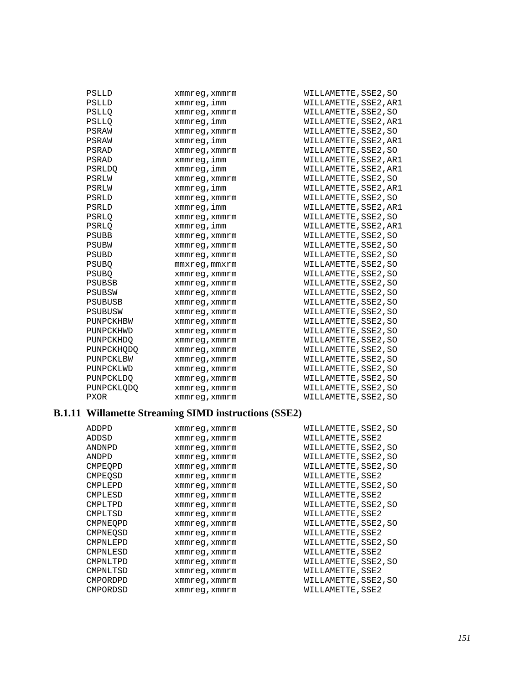| PSLLD         | xmmreq, xmmrm      | WILLAMETTE, SSE2, SO  |
|---------------|--------------------|-----------------------|
| PSLLD         | xmmreg,imm         | WILLAMETTE, SSE2, AR1 |
| <b>PSLLO</b>  | xmmreq, xmmrm      | WILLAMETTE, SSE2, SO  |
| <b>PSLLO</b>  | xmmreg,imm         | WILLAMETTE, SSE2, AR1 |
| PSRAW         | xmmreg, xmmrm      | WILLAMETTE, SSE2, SO  |
| PSRAW         | xmmreg,imm         | WILLAMETTE, SSE2, AR1 |
| PSRAD         | xmmreq, xmmrm      | WILLAMETTE, SSE2, SO  |
| PSRAD         | xmmreg, imm        | WILLAMETTE, SSE2, AR1 |
| <b>PSRLDO</b> | xmmreg,imm         | WILLAMETTE, SSE2, AR1 |
| PSRLW         | xmmreq, xmmrm      | WILLAMETTE, SSE2, SO  |
| PSRLW         | xmmreg,imm         | WILLAMETTE, SSE2, AR1 |
| PSRLD         | xmmreq, xmmrm      | WILLAMETTE, SSE2, SO  |
| PSRLD         | xmmreq,imm         | WILLAMETTE, SSE2, AR1 |
| PSRLO         | xmmreq, xmmrm      | WILLAMETTE, SSE2, SO  |
| PSRLO         | xmmreg, imm        | WILLAMETTE, SSE2, AR1 |
| <b>PSUBB</b>  | xmmreq, xmmrm      | WILLAMETTE, SSE2, SO  |
| <b>PSUBW</b>  | xmmreq, xmmrm      | WILLAMETTE, SSE2, SO  |
| PSUBD         | xmmreg, xmmrm      | WILLAMETTE, SSE2, SO  |
| <b>PSUBO</b>  | $mmxreq$ , $mmxrm$ | WILLAMETTE, SSE2, SO  |
| <b>PSUBO</b>  | xmmreq, xmmrm      | WILLAMETTE, SSE2, SO  |
| <b>PSUBSB</b> | xmmreq, xmmrm      | WILLAMETTE, SSE2, SO  |
| PSUBSW        | xmmreq, xmmrm      | WILLAMETTE, SSE2, SO  |
| PSUBUSB       | xmmreq, xmmrm      | WILLAMETTE, SSE2, SO  |
| PSUBUSW       | xmmreq, xmmrm      | WILLAMETTE, SSE2, SO  |
| PUNPCKHBW     | xmmreq, xmmrm      | WILLAMETTE, SSE2, SO  |
| PUNPCKHWD     | xmmreg, xmmrm      | WILLAMETTE, SSE2, SO  |
| PUNPCKHDO     | xmmreq, xmmrm      | WILLAMETTE, SSE2, SO  |
| PUNPCKHODO    | xmmreg, xmmrm      | WILLAMETTE, SSE2, SO  |
| PUNPCKLBW     | xmmreg, xmmrm      | WILLAMETTE, SSE2, SO  |
| PUNPCKLWD     | xmmreq, xmmrm      | WILLAMETTE, SSE2, SO  |
| PUNPCKLDO     | xmmreq, xmmrm      | WILLAMETTE, SSE2, SO  |
| PUNPCKLODO    | xmmreq, xmmrm      | WILLAMETTE, SSE2, SO  |
| <b>PXOR</b>   | xmmreq, xmmrm      | WILLAMETTE, SSE2, SO  |

# **B.1.11 Willamette Streaming SIMD instructions (SSE2)**

| ADDPD           | xmmreg, xmmrm | WILLAMETTE, SSE2, SO |
|-----------------|---------------|----------------------|
| ADDSD           | xmmreq, xmmrm | WILLAMETTE, SSE2     |
| ANDNPD          | xmmreq, xmmrm | WILLAMETTE, SSE2, SO |
| ANDPD           | xmmreq, xmmrm | WILLAMETTE, SSE2, SO |
| <b>CMPEOPD</b>  | xmmreq, xmmrm | WILLAMETTE, SSE2, SO |
| <b>CMPEOSD</b>  | xmmreq, xmmrm | WILLAMETTE, SSE2     |
| CMPLEPD         | xmmreq, xmmrm | WILLAMETTE, SSE2, SO |
| CMPLESD         | xmmreq, xmmrm | WILLAMETTE, SSE2     |
| CMPLTPD         | xmmreq, xmmrm | WILLAMETTE, SSE2, SO |
| CMPLTSD         | xmmreq, xmmrm | WILLAMETTE, SSE2     |
| <b>CMPNEOPD</b> | xmmreq, xmmrm | WILLAMETTE, SSE2, SO |
| CMPNEOSD        | xmmreq, xmmrm | WILLAMETTE, SSE2     |
| CMPNLEPD        | xmmreq, xmmrm | WILLAMETTE, SSE2, SO |
| CMPNLESD        | xmmreq, xmmrm | WILLAMETTE, SSE2     |
| CMPNLTPD        | xmmreq, xmmrm | WILLAMETTE, SSE2, SO |
| CMPNLTSD        | xmmreq, xmmrm | WILLAMETTE, SSE2     |
| CMPORDPD        | xmmreq, xmmrm | WILLAMETTE, SSE2, SO |
| CMPORDSD        | xmmreq, xmmrm | WILLAMETTE, SSE2     |
|                 |               |                      |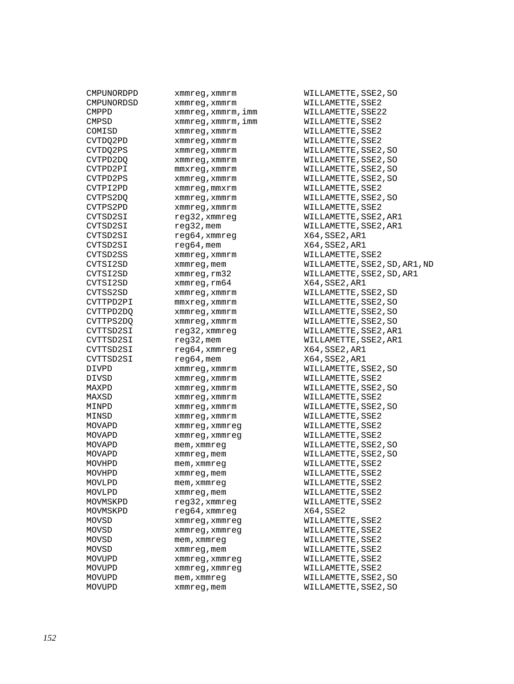| CMPUNORDPD | xmmreg, xmmrm    |
|------------|------------------|
| CMPUNORDSD | xmmreq, xmmrm    |
| CMPPD      | xmmreg,xmmrm,imm |
| CMPSD      | xmmreg,xmmrm,imm |
| COMISD     | xmmreg, xmmrm    |
| CVTDO2PD   | xmmreq, xmmrm    |
| CVTDQ2PS   | xmmreg, xmmrm    |
| CVTPD2DQ   | xmmreg, xmmrm    |
| CVTPD2PI   | mmxreg,xmmrm     |
| CVTPD2PS   | xmmreg, xmmrm    |
| CVTPI2PD   | xmmreq, mmxrm    |
| CVTPS2DO   | xmmreq, xmmrm    |
| CVTPS2PD   | xmmreg, xmmrm    |
| CVTSD2SI   | reg32,xmmreg     |
| CVTSD2SI   | reg32, mem       |
| CVTSD2SI   | reg64, xmmreg    |
| CVTSD2SI   | $reg64,$ mem     |
|            |                  |
| CVTSD2SS   | xmmreq, xmmrm    |
| CVTSI2SD   | xmmreg, mem      |
| CVTSI2SD   | xmmreg, rm32     |
| CVTSI2SD   | xmmreg, rm64     |
| CVTSS2SD   | xmmreg, xmmrm    |
| CVTTPD2PI  | mmxreg, xmmrm    |
| CVTTPD2DO  | xmmreq, xmmrm    |
| CVTTPS2DO  | xmmreg, xmmrm    |
| CVTTSD2SI  | reg32,xmmreg     |
| CVTTSD2SI  | reg32, mem       |
| CVTTSD2SI  | reg64, xmmreg    |
| CVTTSD2SI  | reg64, mem       |
| DIVPD      | xmmreg, xmmrm    |
| DIVSD      | xmmreg, xmmrm    |
| MAXPD      | xmmreg, xmmrm    |
| MAXSD      | xmmreg, xmmrm    |
| MINPD      | xmmreg, xmmrm    |
| MINSD      | xmmreg, xmmrm    |
| MOVAPD     | xmmreg, xmmreg   |
| MOVAPD     | xmmreq, xmmreq   |
| MOVAPD     | mem,xmmreg       |
| MOVAPD     | xmmreg, mem      |
| MOVHPD     | mem, xmmreq      |
| MOVHPD     | xmmreg, mem      |
| MOVLPD     | mem, xmmreq      |
| MOVLPD     | xmmreg, mem      |
| MOVMSKPD   | reg32,xmmreg     |
| MOVMSKPD   | reg64,xmmreg     |
| MOVSD      | xmmreq, xmmreq   |
| MOVSD      | xmmreg, xmmreg   |
| MOVSD      | mem,xmmreq       |
| MOVSD      | xmmreg, mem      |
| MOVUPD     | xmmreg, xmmreg   |
|            |                  |
| MOVUPD     | xmmreg, xmmreg   |
| MOVUPD     | mem, xmmreq      |
| MOVUPD     | xmmreg,mem       |

WILLAMETTE, SSE2, SO WILLAMETTE, SSE2 WILLAMETTE, SSE22 WILLAMETTE, SSE2 WILLAMETTE, SSE2 WILLAMETTE, SSE2 WILLAMETTE, SSE2, SO WILLAMETTE, SSE2, SO WILLAMETTE, SSE2, SO WILLAMETTE, SSE2, SO WILLAMETTE, SSE2 WILLAMETTE, SSE2, SO WILLAMETTE, SSE2 WILLAMETTE, SSE2, AR1 WILLAMETTE, SSE2, AR1 X64, SSE2, AR1  $X64,$ SSE2,AR1 WILLAMETTE, SSE2 WILLAMETTE, SSE2, SD, AR1, ND WILLAMETTE, SSE2, SD, AR1 X64,SSE2,AR1 WILLAMETTE, SSE2, SD WILLAMETTE, SSE2, SO WILLAMETTE, SSE2, SO WILLAMETTE, SSE2, SO WILLAMETTE, SSE2, AR1 WILLAMETTE, SSE2, AR1 X64,SSE2,AR1  $X64, SSE2, ARI$ WILLAMETTE, SSE2, SO WILLAMETTE, SSE2 WILLAMETTE, SSE2, SO WILLAMETTE, SSE2 WILLAMETTE, SSE2, SO WILLAMETTE, SSE2 WILLAMETTE, SSE2 WILLAMETTE, SSE2 WILLAMETTE, SSE2, SO WILLAMETTE, SSE2, SO WILLAMETTE, SSE2 WILLAMETTE, SSE2 WILLAMETTE, SSE2 WILLAMETTE, SSE2 WILLAMETTE, SSE2  $X64,$ SSE2 WILLAMETTE, SSE2 WILLAMETTE, SSE2 WILLAMETTE, SSE2 WILLAMETTE, SSE2 WILLAMETTE, SSE2 WILLAMETTE, SSE2 WILLAMETTE, SSE2, SO WILLAMETTE, SSE2, SO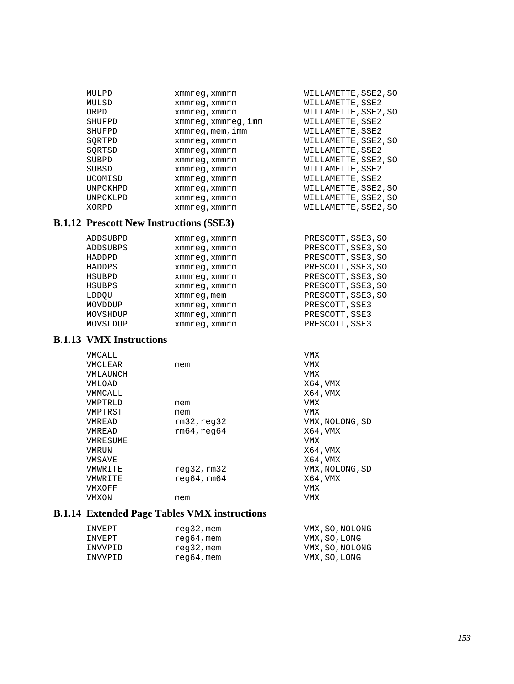| MULPD    | xmmreg, xmmrm     | WILLAMETTE, SSE2, SO |
|----------|-------------------|----------------------|
| MULSD    | xmmreq, xmmrm     | WILLAMETTE, SSE2     |
| ORPD     | xmmreq, xmmrm     | WILLAMETTE, SSE2, SO |
| SHUFPD   | xmmreg,xmmreg,imm | WILLAMETTE, SSE2     |
| SHUFPD   | xmmreg, mem, imm  | WILLAMETTE, SSE2     |
| SORTPD   | xmmreq, xmmrm     | WILLAMETTE, SSE2, SO |
| SORTSD   | xmmreq, xmmrm     | WILLAMETTE, SSE2     |
| SUBPD    | xmmreq, xmmrm     | WILLAMETTE, SSE2, SO |
| SUBSD    | xmmreq, xmmrm     | WILLAMETTE, SSE2     |
| UCOMISD  | xmmreq, xmmrm     | WILLAMETTE, SSE2     |
| UNPCKHPD | xmmreq, xmmrm     | WILLAMETTE, SSE2, SO |
| UNPCKLPD | xmmreq, xmmrm     | WILLAMETTE, SSE2, SO |
| XORPD    | xmmreq, xmmrm     | WILLAMETTE, SSE2, SO |

#### **B.1.12 Prescott New Instructions (SSE3)**

| ADDSUBPD      | xmmreq, xmmrm | PRESCOTT, SSE3, SO |
|---------------|---------------|--------------------|
| ADDSUBPS      | xmmreq, xmmrm | PRESCOTT, SSE3, SO |
| HADDPD        | xmmreq, xmmrm | PRESCOTT, SSE3, SO |
| <b>HADDPS</b> | xmmreq, xmmrm | PRESCOTT, SSE3, SO |
| HSUBPD        | xmmreq, xmmrm | PRESCOTT, SSE3, SO |
| HSUBPS        | xmmreq, xmmrm | PRESCOTT, SSE3, SO |
| LDDOU         | xmmreg, mem   | PRESCOTT, SSE3, SO |
| MOVDDUP       | xmmreq, xmmrm | PRESCOTT, SSE3     |
| MOVSHDUP      | xmmreq, xmmrm | PRESCOTT, SSE3     |
| MOVSLDUP      | xmmreq, xmmrm | PRESCOTT, SSE3     |

#### **B.1.13 VMX Instructions**

| VMCALL   |              | VMX             |
|----------|--------------|-----------------|
| VMCLEAR  | mem          | VMX             |
| VMLAUNCH |              | VMX             |
| VMLOAD   |              | X64, VMX        |
| VMMCALL  |              | X64, VMX        |
| VMPTRLD  | mem          | VMX             |
| VMPTRST  | mem          | VMX             |
| VMREAD   | rm32, read32 | VMX, NOLONG, SD |
| VMREAD   | rm64, read64 | X64, VMX        |
| VMRESUME |              | VMX             |
| VMRUN    |              | X64, VMX        |
| VMSAVE   |              | X64, VMX        |
| VMWRITE  | req32,rm32   | VMX, NOLONG, SD |
| VMWRITE  | req64, rm64  | X64, VMX        |
| VMXOFF   |              | VMX             |
| VMXON    | mem          | VMX             |
|          |              |                 |

#### **B.1.14 Extended Page Tables VMX instructions**

| INVEPT  | reg32,mem  | VMX, SO, NOLONG |
|---------|------------|-----------------|
| INVEPT  | reg64,mem  | VMX, SO, LONG   |
| INVVPID | reg32, mem | VMX, SO, NOLONG |
| INVVPID | reg64,mem  | VMX, SO, LONG   |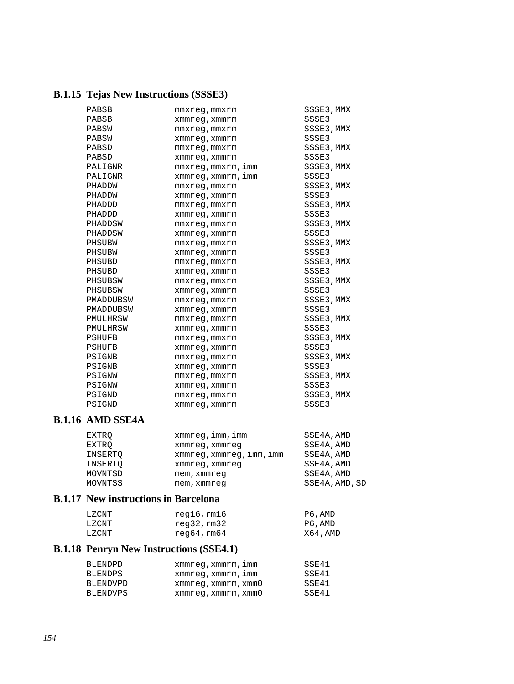# **B.1.15 Tejas New Instructions (SSSE3)**

| PABSB         | mmxreq, mmxrm      | SSSE3, MMX |
|---------------|--------------------|------------|
| PABSB         | xmmreg, xmmrm      | SSSE3      |
| PABSW         | $mmxreg$ , $mmxrm$ | SSSE3, MMX |
| PABSW         | xmmreg, xmmrm      | SSSE3      |
| PABSD         | $mmxreq$ , $mmxrm$ | SSSE3, MMX |
| PABSD         | xmmreg, xmmrm      | SSSE3      |
| PALIGNR       | mmxreq, mmxrm, imm | SSSE3, MMX |
| PALIGNR       | xmmreg, xmmrm, imm | SSSE3      |
| PHADDW        | $mmxreg$ , $mmxrm$ | SSSE3, MMX |
| PHADDW        | xmmreg, xmmrm      | SSSE3      |
| PHADDD        | $mmxreg$ , $mmxrm$ | SSSE3, MMX |
| PHADDD        | xmmreg, xmmrm      | SSSE3      |
| PHADDSW       | $mmxreq$ , $mmxrm$ | SSSE3, MMX |
| PHADDSW       | xmmreq, xmmrm      | SSSE3      |
| PHSUBW        | mmxreq, mmxrm      | SSSE3, MMX |
| PHSUBW        | xmmreg, xmmrm      | SSSE3      |
| PHSUBD        | mmxreq, mmxrm      | SSSE3, MMX |
| PHSUBD        | xmmreg, xmmrm      | SSSE3      |
| PHSUBSW       | mmxreq, mmxrm      | SSSE3, MMX |
| PHSUBSW       | xmmreq, xmmrm      | SSSE3      |
| PMADDUBSW     | mmxreq, mmxrm      | SSSE3, MMX |
| PMADDUBSW     | xmmreg,xmmrm       | SSSE3      |
| PMULHRSW      | mmxreq, mmxrm      | SSSE3, MMX |
| PMULHRSW      | xmmreg, xmmrm      | SSSE3      |
| <b>PSHUFB</b> | $mmxreq$ , $mmxrm$ | SSSE3, MMX |
| <b>PSHUFB</b> | xmmreq, xmmrm      | SSSE3      |
| PSIGNB        | $mmxreq$ , $mmxrm$ | SSSE3, MMX |
| PSIGNB        | xmmreg,xmmrm       | SSSE3      |
| PSIGNW        | $mmxreg$ , $mmxrm$ | SSSE3, MMX |
| PSIGNW        | xmmreq, xmmrm      | SSSE3      |
| PSIGND        | $mmxreg$ , $mmxrm$ | SSSE3, MMX |
| PSIGND        | xmmreq, xmmrm      | SSSE3      |

## **B.1.16 AMD SSE4A**

| EXTRO   | $x$ mm $x$ eq, $imm$ , $imm$ | SSE4A, AMD     |
|---------|------------------------------|----------------|
| EXTRO   | xmmreq, xmmreq               | SSE4A, AMD     |
| INSERTO | xmmreg, xmmreg, imm, imm     | SSE4A, AMD     |
| INSERTO | xmmreg, xmmreg               | SSE4A, AMD     |
| MOVNTSD | mem, xmmreq                  | SSE4A, AMD     |
| MOVNTSS | mem, xmmreq                  | SSE4A, AMD, SD |

#### **B.1.17 New instructions in Barcelona**

| LZCNT | reg16,rm16 | P6,AMD  |
|-------|------------|---------|
| LZCNT | reg32,rm32 | P6,AMD  |
| LZCNT | reg64,rm64 | X64,AMD |

## **B.1.18 Penryn New Instructions (SSE4.1)**

| BLENDPD  | xmmreq, xmmrm, imm  | SSE41 |
|----------|---------------------|-------|
| BLENDPS  | xmmreq, xmmrm, imm  | SSE41 |
| BLENDVPD | xmmreq, xmmrm, xmm0 | SSE41 |
| BLENDVPS | xmmreq, xmmrm, xmm0 | SSE41 |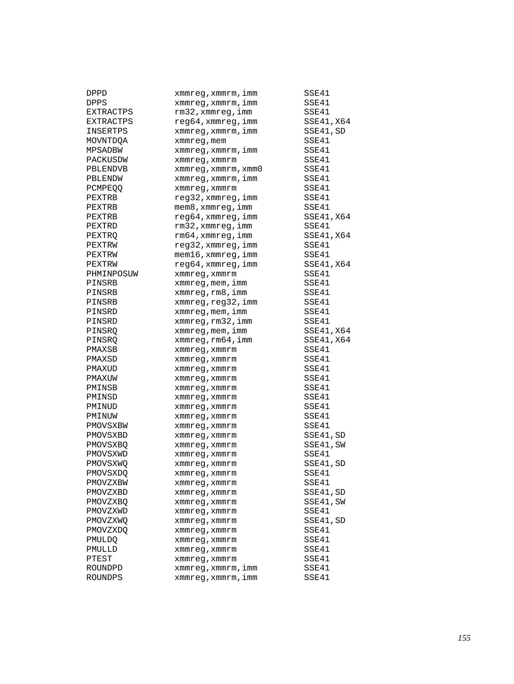| DPPD        | xmmreg, xmmrm, imm          | SSE41      |
|-------------|-----------------------------|------------|
| <b>DPPS</b> | xmmreg, xmmrm, imm          | SSE41      |
| EXTRACTPS   | rm32, xmmreq, imm           | SSE41      |
| EXTRACTPS   | $req64$ , xmmreq, imm       | SSE41, X64 |
| INSERTPS    | xmmreg, xmmrm, imm          | SSE41, SD  |
| MOVNTDQA    | xmmreg, mem                 | SSE41      |
| MPSADBW     | xmmreg, xmmrm, imm          | SSE41      |
| PACKUSDW    | xmmreg, xmmrm               | SSE41      |
| PBLENDVB    | $xmmreg$ , $xmmrm$ , $xmm0$ | SSE41      |
| PBLENDW     | xmmreg, xmmrm, imm          | SSE41      |
| PCMPEOO     | xmmreg, xmmrm               | SSE41      |
| PEXTRB      | reg32, xmmreg, imm          | SSE41      |
| PEXTRB      | mem8, xmmreq, imm           | SSE41      |
| PEXTRB      | reg64, xmmreg, imm          | SSE41, X64 |
| PEXTRD      | rm32, xmmreg, imm           | SSE41      |
| PEXTRQ      | $rm64$ , xmmreg, imm        | SSE41, X64 |
| PEXTRW      | reg32, xmmreg, imm          | SSE41      |
| PEXTRW      | mem16, xmmreg, imm          | SSE41      |
| PEXTRW      | $req64$ , xmmreq, imm       | SSE41, X64 |
| PHMINPOSUW  | xmmreg, xmmrm               | SSE41      |
| PINSRB      | xmmreg, mem, imm            | SSE41      |
| PINSRB      | xmmreq, rm8, imm            | SSE41      |
| PINSRB      | xmmreg,reg32,imm            | SSE41      |
| PINSRD      | xmmreg, mem, imm            | SSE41      |
| PINSRD      | xmmreg, rm32, imm           | SSE41      |
| PINSRO      | xmmreg, mem, imm            | SSE41, X64 |
| PINSRO      | $xmmreg$ , $rm64$ , $imm$   | SSE41, X64 |
| PMAXSB      | xmmreg, xmmrm               | SSE41      |
| PMAXSD      | xmmreg, xmmrm               | SSE41      |
| PMAXUD      | xmmreg, xmmrm               | SSE41      |
| PMAXUW      | xmmreg, xmmrm               | SSE41      |
| PMINSB      | xmmreg, xmmrm               | SSE41      |
| PMINSD      | xmmreg, xmmrm               | SSE41      |
| PMINUD      | xmmreg, xmmrm               | SSE41      |
| PMINUW      | xmmreg, xmmrm               | SSE41      |
| PMOVSXBW    | xmmreg, xmmrm               | SSE41      |
| PMOVSXBD    | xmmreg, xmmrm               | SSE41, SD  |
| PMOVSXBQ    | xmmreg, xmmrm               | SSE41, SW  |
| PMOVSXWD    | xmmreq, xmmrm               | SSE41      |
| PMOVSXWQ    | xmmreq, xmmrm               | SSE41, SD  |
| PMOVSXDQ    | xmmreg, xmmrm               | SSE41      |
| PMOVZXBW    | xmmreg, xmmrm               | SSE41      |
| PMOVZXBD    | xmmreg, xmmrm               | SSE41, SD  |
| PMOVZXBQ    | xmmreg, xmmrm               | SSE41, SW  |
| PMOVZXWD    | xmmreq, xmmrm               | SSE41      |
| PMOVZXWQ    | xmmreg, xmmrm               | SSE41,SD   |
| PMOVZXDO    | xmmreg,xmmrm                | SSE41      |
| PMULDQ      | xmmreg, xmmrm               | SSE41      |
| PMULLD      | xmmreq, xmmrm               | SSE41      |
| PTEST       | xmmreg, xmmrm               | SSE41      |
| ROUNDPD     | xmmreg, xmmrm, imm          | SSE41      |
| ROUNDPS     | xmmreg, xmmrm, imm          | SSE41      |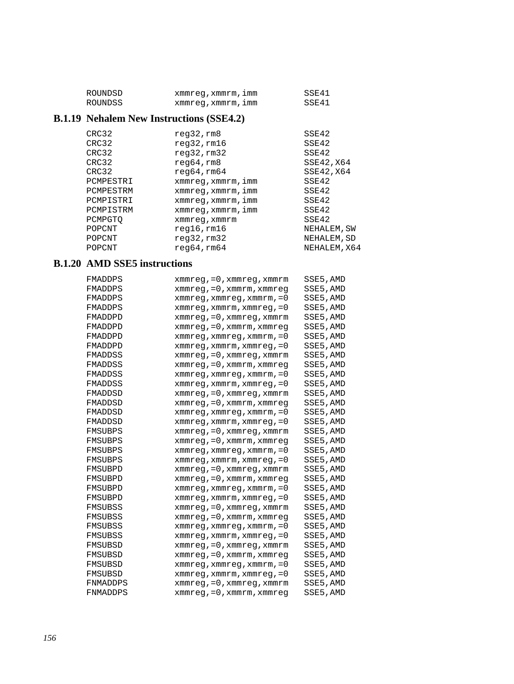| ROUNDSD | xmmreg, xmmrm, imm | SSE41 |
|---------|--------------------|-------|
| ROUNDSS | xmmreg, xmmrm, imm | SSE41 |

## **B.1.19 Nehalem New Instructions (SSE4.2)**

| CRC32     | reg32, rm8         | SSE42        |
|-----------|--------------------|--------------|
| CRC32     | $req32$ , $rm16$   | SSE42        |
| CRC32     | reg32,rm32         | SSE42        |
| CRC32     | req64,rm8          | SSE42, X64   |
| CRC32     | req64, rm64        | SSE42, X64   |
| PCMPESTRI | xmmreq, xmmrm, imm | SSE42        |
| PCMPESTRM | xmmreq, xmmrm, imm | SSE42        |
| PCMPISTRI | xmmreg, xmmrm, imm | SSE42        |
| PCMPISTRM | xmmreq, xmmrm, imm | SSE42        |
| PCMPGTO   | xmmreq, xmmrm      | SSE42        |
| POPCNT    | $req16$ , $rm16$   | NEHALEM, SW  |
| POPCNT    | req32,rm32         | NEHALEM, SD  |
| POPCNT    | req64, rm64        | NEHALEM, X64 |

#### **B.1.20 AMD SSE5 instructions**

| FMADDPS  | $xmmreg, =0, xmmreg, xmmrm$                     | SSE5, AMD |
|----------|-------------------------------------------------|-----------|
| FMADDPS  | $xmmreg, =0, xmmrm, xmmreg$                     | SSE5, AMD |
| FMADDPS  | $x$ mmreg, $x$ mmreg, $x$ mmrm, $=0$            | SSE5, AMD |
| FMADDPS  | xmmreg, xmmrm, xmmreg, = 0                      | SSE5, AMD |
| FMADDPD  | xmmreg, = 0, xmmreg, xmmrm                      | SSE5, AMD |
| FMADDPD  | $xmmreg, =0, xmmrm, xmmreg$                     | SSE5, AMD |
| FMADDPD  | $x$ mmreg, $x$ mmreg, $x$ mmrm, $=0$            | SSE5, AMD |
| FMADDPD  | $xmmreg$ , $xmmrm$ , $xmmreg$ , $=0$            | SSE5, AMD |
| FMADDSS  | $xmmreg, =0, xmmreg, xmmrm$                     | SSE5, AMD |
| FMADDSS  | $xmmreg, =0, xmmrm, xmmreg$                     | SSE5, AMD |
| FMADDSS  | $x$ mmreg, $x$ mmreg, $x$ mmrm, = 0             | SSE5, AMD |
| FMADDSS  | $x$ mmreg, $x$ mmrm, $x$ mmreg, $=0$            | SSE5,AMD  |
| FMADDSD  | $xmmreg, =0, xmmreg, xmmrm$                     | SSE5, AMD |
| FMADDSD  | $x$ mm $x$ eq, = 0, $x$ mm $x$ m, $x$ mm $x$ eq | SSE5, AMD |
| FMADDSD  | $x$ mmreg, $x$ mmreg, $x$ mmrm, $=0$            | SSE5, AMD |
| FMADDSD  | $x$ mmreg, $x$ mmrm, $x$ mmreg, = 0             | SSE5, AMD |
| FMSUBPS  | $xmmreg, =0, xmmreg, xmmrm$                     | SSE5, AMD |
| FMSUBPS  | xmmreg, = 0, xmmrm, xmmreg                      | SSE5, AMD |
| FMSUBPS  | $x$ mmreg, $x$ mmreg, $x$ mmrm, $=0$            | SSE5, AMD |
| FMSUBPS  | xmmreg, xmmrm, xmmreg, = 0                      | SSE5, AMD |
| FMSUBPD  | $xmmreg, =0, xmmreg, xmmrm$                     | SSE5, AMD |
| FMSUBPD  | $xmmreg, =0, xmmrm, xmmreg$                     | SSE5,AMD  |
| FMSUBPD  | $x$ mmreg, $x$ mmreg, $x$ mmrm, $=0$            | SSE5, AMD |
| FMSUBPD  | $x$ mmreg, $x$ mmrm, $x$ mmreg, = 0             | SSE5, AMD |
| FMSUBSS  | $xmmreg, =0, xmmreg, xmmrm$                     | SSE5, AMD |
| FMSUBSS  | $xmmreg, =0, xmmrm, xmmreg$                     | SSE5, AMD |
| FMSUBSS  | $x$ mmreg, $x$ mmreg, $x$ mmrm, $=0$            | SSE5, AMD |
| FMSUBSS  | xmmreg, xmmrm, xmmreg, = 0                      | SSE5, AMD |
| FMSUBSD  | $xmmreg, =0, xmmreg, xmmrmm$                    | SSE5, AMD |
| FMSUBSD  | xmmreg, = 0, xmmrm, xmmreg                      | SSE5, AMD |
| FMSUBSD  | $x$ mmreg, $x$ mmreg, $x$ mmrm, $=0$            | SSE5,AMD  |
| FMSUBSD  | $x$ mmreg, $x$ mmrm, $x$ mmreg, $=0$            | SSE5, AMD |
| FNMADDPS | $xmmreg, =0, xmmreg, xmmrmm$                    | SSE5, AMD |
| FNMADDPS | xmmreg, = 0, xmmrm, xmmreq                      | SSE5, AMD |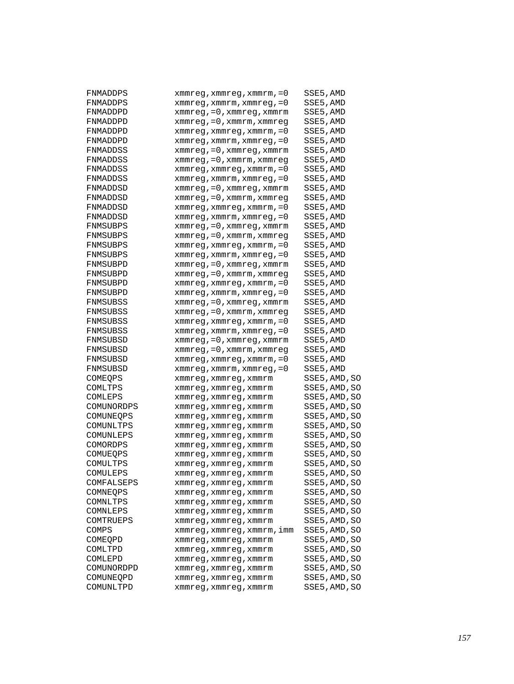| FNMADDPS             | xmmreg, xmmreg, xmmrm, = 0                        | SSE5,AMD      |
|----------------------|---------------------------------------------------|---------------|
| FNMADDPS             | $x$ mmreg, $x$ mmrm, $x$ mmreg, = 0               | SSE5, AMD     |
| FNMADDPD             | $xmmreg$ , = 0, $xmmreg$ , $xmmrmr$               | SSE5, AMD     |
| FNMADDPD             | xmmreg, = 0, xmmrm, xmmreg                        | SSE5, AMD     |
| FNMADDPD             | $x$ mmreg, $x$ mmreg, $x$ mmrm, = 0               | SSE5, AMD     |
| FNMADDPD             | $x$ mmreg, $x$ mmrm, $x$ mmreg, = 0               | SSE5,AMD      |
| FNMADDSS             | $xmmreg$ , = 0, $xmmreg$ , $xmmrmr$               | SSE5,AMD      |
| FNMADDSS             | $xmmreg$ , = 0, $xmmrm$ , $xmmreg$                | SSE5, AMD     |
| FNMADDSS             | $xmmreg$ , $xmmreg$ , $xmmrm$ reg, $zmmrm$ , $=0$ | SSE5, AMD     |
| FNMADDSS             | $xmmreg$ , $xmmrm$ , $xmmreg$ , $=0$              | SSE5, AMD     |
| FNMADDSD             | $xmmreg, =0, xmmreg, xmmrm$                       | SSE5, AMD     |
| FNMADDSD             | xmmreg, = 0, xmmrm, xmmreg                        | SSE5,AMD      |
| FNMADDSD             | $xmmreg$ , $xmmreg$ , $xmmrm$ reg, $zmmrm$ , $=0$ | SSE5, AMD     |
| FNMADDSD             | xmmreg,xmmrm,xmmreg,=0                            | SSE5, AMD     |
| FNMSUBPS             | $xmmreg$ , = 0, $xmmreg$ , $xmmrmr$               | SSE5, AMD     |
| FNMSUBPS             | xmmreg, = 0, xmmrm, xmmreg                        | SSE5, AMD     |
| FNMSUBPS             | $x$ mmreg, $x$ mmreg, $x$ mmrm, = 0               | SSE5, AMD     |
| FNMSUBPS             | $x$ mmreg, $x$ mmrm, $x$ mmreg, = 0               | SSE5,AMD      |
| FNMSUBPD             | $xmmreg$ , = 0, $xmmreg$ , $xmmrmr$               | SSE5,AMD      |
| FNMSUBPD             | $xmmreg$ , = 0, $xmmrm$ , $xmmreg$                | SSE5, AMD     |
| FNMSUBPD             | $xmmreg$ , $xmmreg$ , $xmmrm$ reg, $zmmrm$ , $=0$ | SSE5, AMD     |
| FNMSUBPD             | $xmmreg$ , $xmmrm$ , $xmmreg$ , $=0$              | SSE5, AMD     |
| FNMSUBSS             | $xmmreg, =0, xmmreg, xmmrm$                       | SSE5, AMD     |
| FNMSUBSS             | xmmreg, = 0, xmmrm, xmmreg                        | SSE5,AMD      |
| FNMSUBSS             | $x$ mmreg, $x$ mmreg, $x$ mmrm, $=0$              | SSE5, AMD     |
| FNMSUBSS             | xmmreg,xmmrm,xmmreg,=0                            | SSE5, AMD     |
| FNMSUBSD             | $xmmreg$ , = 0, $xmmreg$ , $xmmrm$                | SSE5, AMD     |
| FNMSUBSD             | xmmreg, = 0, xmmrm, xmmreg                        | SSE5, AMD     |
| FNMSUBSD             | xmmreg, xmmreg, xmmrm, = 0                        | SSE5, AMD     |
| FNMSUBSD             | $x$ mmreg, $x$ mmrm, $x$ mmreg, = 0               | SSE5,AMD      |
| COMEQPS              | xmmreg, xmmreg, xmmrm                             | SSE5,AMD,SO   |
| COMLTPS              | xmmreg, xmmreg, xmmrm                             | SSE5, AMD, SO |
| COMLEPS              | xmmreg, xmmreg, xmmrm                             | SSE5, AMD, SO |
| COMUNORDPS           | xmmreg, xmmreg, xmmrm                             | SSE5,AMD,SO   |
| COMUNEQPS            | xmmreg, xmmreg, xmmrm                             | SSE5, AMD, SO |
| COMUNLTPS            | xmmreq, xmmreq, xmmrm                             | SSE5, AMD, SO |
| COMUNLEPS            |                                                   | SSE5,AMD,SO   |
| COMORDPS             | xmmreg, xmmreg, xmmrm                             | SSE5, AMD, SO |
|                      | xmmreg, xmmreg, xmmrm                             | SSE5, AMD, SO |
| COMUEQPS             | xmmreq, xmmreq, xmmrm                             | SSE5, AMD, SO |
| COMULTPS<br>COMULEPS | xmmreg, xmmreg, xmmrm                             |               |
|                      | xmmreg, xmmreg, xmmrm                             | SSE5, AMD, SO |
| COMFALSEPS           | xmmreg,xmmreg,xmmrm                               | SSE5, AMD, SO |
| COMNEOPS             | xmmreg, xmmreg, xmmrm                             | SSE5, AMD, SO |
| COMNLTPS             | xmmreg, xmmreg, xmmrm                             | SSE5, AMD, SO |
| COMNLEPS             | xmmreg, xmmreg, xmmrm                             | SSE5, AMD, SO |
| COMTRUEPS            | xmmreg, xmmreg, xmmrm                             | SSE5, AMD, SO |
| COMPS                | xmmreg,xmmreg,xmmrm,imm                           | SSE5, AMD, SO |
| COMEQPD              | xmmreg, xmmreg, xmmrm                             | SSE5, AMD, SO |
| COMLTPD              | xmmreg,xmmreg,xmmrm                               | SSE5, AMD, SO |
| COMLEPD              | xmmreg, xmmreg, xmmrm                             | SSE5, AMD, SO |
| COMUNORDPD           | xmmreg, xmmreg, xmmrm                             | SSE5, AMD, SO |
| COMUNEQPD            | xmmreg, xmmreg, xmmrm                             | SSE5, AMD, SO |
| COMUNLTPD            | xmmreg, xmmreg, xmmrm                             | SSE5, AMD, SO |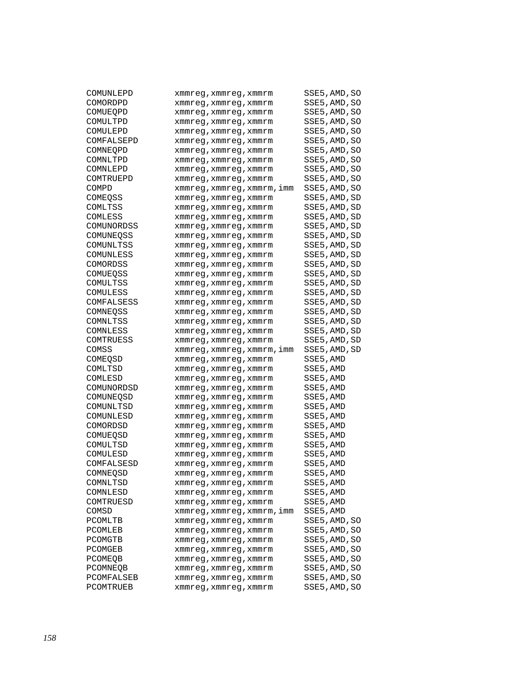| COMUNLEPD  | xmmreg,xmmreg,xmmrm     | SSE5,AMD,SO   |
|------------|-------------------------|---------------|
| COMORDPD   | xmmreg, xmmreg, xmmrm   | SSE5, AMD, SO |
| COMUEQPD   | xmmreg, xmmreg, xmmrm   | SSE5, AMD, SO |
| COMULTPD   | xmmreg,xmmreg,xmmrm     | SSE5, AMD, SO |
| COMULEPD   | xmmreg,xmmreg,xmmrm     | SSE5, AMD, SO |
| COMFALSEPD | xmmreq, xmmreq, xmmrm   | SSE5,AMD,SO   |
| COMNEQPD   | xmmreg, xmmreg, xmmrm   | SSE5,AMD,SO   |
| COMNLTPD   | xmmreg, xmmreg, xmmrm   | SSE5, AMD, SO |
| COMNLEPD   | xmmreg,xmmreg,xmmrm     | SSE5, AMD, SO |
| COMTRUEPD  | xmmreg, xmmreg, xmmrm   | SSE5, AMD, SO |
| COMPD      | xmmreg,xmmreg,xmmrm,imm | SSE5, AMD, SO |
| COMEOSS    | xmmreg, xmmreg, xmmrm   | SSE5,AMD,SD   |
| COMLTSS    | xmmreg,xmmreg,xmmrm     | SSE5, AMD, SD |
| COMLESS    | xmmreg,xmmreg,xmmrm     | SSE5, AMD, SD |
| COMUNORDSS | xmmreg,xmmreg,xmmrm     | SSE5, AMD, SD |
| COMUNEOSS  | xmmreg,xmmreg,xmmrm     | SSE5, AMD, SD |
| COMUNLTSS  | xmmreg,xmmreg,xmmrm     | SSE5, AMD, SD |
| COMUNLESS  | xmmreg, xmmreg, xmmrm   | SSE5,AMD,SD   |
| COMORDSS   | xmmreg, xmmreg, xmmrm   | SSE5,AMD,SD   |
| COMUEOSS   | xmmreg, xmmreg, xmmrm   | SSE5, AMD, SD |
| COMULTSS   | xmmreg,xmmreg,xmmrm     | SSE5, AMD, SD |
| COMULESS   | xmmreg, xmmreg, xmmrm   | SSE5,AMD,SD   |
| COMFALSESS | xmmreg,xmmreg,xmmrm     | SSE5,AMD,SD   |
| COMNEOSS   | xmmreg,xmmreg,xmmrm     | SSE5,AMD,SD   |
| COMNLTSS   | xmmreg,xmmreg,xmmrm     | SSE5,AMD,SD   |
| COMNLESS   | xmmreg,xmmreg,xmmrm     | SSE5, AMD, SD |
| COMTRUESS  | xmmreg,xmmreg,xmmrm     | SSE5, AMD, SD |
| COMSS      | xmmreg,xmmreg,xmmrm,imm | SSE5,AMD,SD   |
| COMEQSD    | xmmreg,xmmreg,xmmrm     | SSE5,AMD      |
| COMLTSD    | xmmreg, xmmreg, xmmrm   | SSE5,AMD      |
| COMLESD    | xmmreg,xmmreg,xmmrm     | SSE5,AMD      |
| COMUNORDSD | xmmreg,xmmreg,xmmrm     | SSE5, AMD     |
| COMUNEOSD  | xmmreg,xmmreg,xmmrm     | SSE5, AMD     |
| COMUNLTSD  | xmmreg,xmmreg,xmmrm     | SSE5, AMD     |
| COMUNLESD  | xmmreg,xmmreg,xmmrm     | SSE5, AMD     |
| COMORDSD   | xmmreg,xmmreg,xmmrm     | SSE5, AMD     |
| COMUEOSD   | xmmreg,xmmreg,xmmrm     | SSE5, AMD     |
| COMULTSD   | xmmreg,xmmreg,xmmrm     | SSE5, AMD     |
| COMULESD   | xmmreg,xmmreg,xmmrm     | SSE5, AMD     |
| COMFALSESD | xmmreg, xmmreg, xmmrm   | SSE5, AMD     |
| COMNEQSD   | xmmreg,xmmreg,xmmrm     | SSE5, AMD     |
| COMNLTSD   | xmmreg,xmmreg,xmmrm     | SSE5,AMD      |
| COMNLESD   | xmmreg, xmmreg, xmmrm   | SSE5, AMD     |
| COMTRUESD  | xmmreg, xmmreg, xmmrm   | SSE5, AMD     |
| COMSD      | xmmreq,xmmreq,xmmrm,imm | SSE5, AMD     |
| PCOMLTB    | xmmreg, xmmreg, xmmrm   | SSE5, AMD, SO |
| PCOMLEB    | xmmreg, xmmreg, xmmrm   | SSE5, AMD, SO |
| PCOMGTB    | xmmreq, xmmreq, xmmrm   | SSE5, AMD, SO |
| PCOMGEB    | xmmreq, xmmreq, xmmrm   | SSE5, AMD, SO |
| PCOMEQB    | xmmreg, xmmreg, xmmrm   | SSE5, AMD, SO |
| PCOMNEQB   | xmmreq, xmmreq, xmmrm   | SSE5, AMD, SO |
| PCOMFALSEB | xmmreq, xmmreq, xmmrm   | SSE5, AMD, SO |
| PCOMTRUEB  | xmmreg, xmmreg, xmmrm   | SSE5, AMD, SO |
|            |                         |               |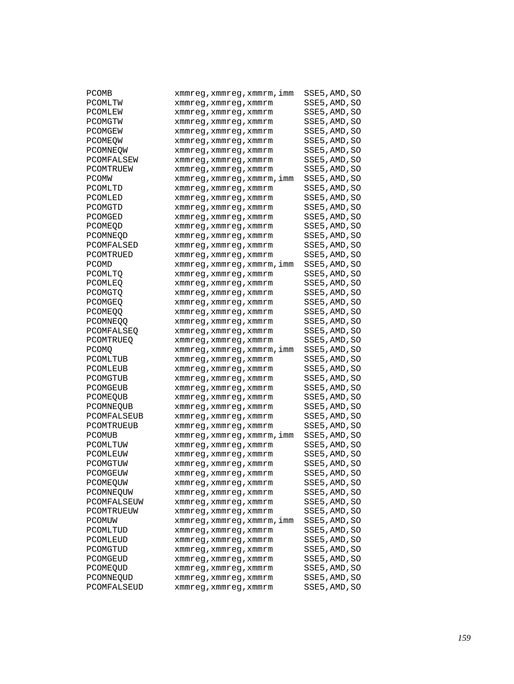| <b>PCOMB</b>          | xmmreg, xmmreg, xmmrm, imm                     | SSE5, AMD, SO |
|-----------------------|------------------------------------------------|---------------|
| PCOMLTW               | xmmreg,xmmreg,xmmrm                            | SSE5, AMD, SO |
| PCOMLEW               | xmmreg,xmmreg,xmmrm                            | SSE5, AMD, SO |
| PCOMGTW               | xmmreg,xmmreg,xmmrm                            | SSE5,AMD,SO   |
| PCOMGEW               | xmmreg,xmmreg,xmmrm                            | SSE5, AMD, SO |
| PCOMEOW               | xmmreg,xmmreg,xmmrm                            | SSE5,AMD,SO   |
| PCOMNEOW              | xmmreg,xmmreg,xmmrm                            | SSE5, AMD, SO |
| PCOMFALSEW            | xmmreg,xmmreg,xmmrm                            | SSE5, AMD, SO |
| PCOMTRUEW             | xmmreg, xmmreg, xmmrm                          | SSE5, AMD, SO |
| <b>PCOMW</b>          | xmmreg,xmmreg,xmmrm,imm                        | SSE5,AMD,SO   |
| PCOMLTD               | xmmreg,xmmreg,xmmrm                            | SSE5, AMD, SO |
| PCOMLED               | xmmreg,xmmreg,xmmrm                            | SSE5, AMD, SO |
| PCOMGTD               | xmmreg, xmmreg, xmmrm                          | SSE5,AMD,SO   |
| PCOMGED               | xmmreg,xmmreg,xmmrm                            | SSE5, AMD, SO |
| PCOMEQD               | xmmreg,xmmreg,xmmrm                            | SSE5, AMD, SO |
| PCOMNEOD              | xmmreg,xmmreg,xmmrm                            | SSE5,AMD,SO   |
| PCOMFALSED            | xmmreg,xmmreg,xmmrm                            | SSE5, AMD, SO |
| PCOMTRUED             | xmmreg, xmmreg, xmmrm                          | SSE5,AMD,SO   |
| PCOMD                 | xmmreg,xmmreg,xmmrm,imm                        | SSE5, AMD, SO |
| PCOMLTO               | xmmreg,xmmreg,xmmrm                            | SSE5, AMD, SO |
| PCOMLEQ               | xmmreg,xmmreg,xmmrm                            | SSE5, AMD, SO |
| PCOMGTO               | xmmreg,xmmreg,xmmrm                            | SSE5,AMD,SO   |
| PCOMGEQ               | xmmreg, xmmreg, xmmrm                          | SSE5, AMD, SO |
| <b>PCOMEQQ</b>        |                                                | SSE5,AMD,SO   |
| PCOMNEOO              | xmmreg,xmmreg,xmmrm                            | SSE5, AMD, SO |
| PCOMFALSEQ            | xmmreg,xmmreg,xmmrm                            | SSE5, AMD, SO |
| PCOMTRUEQ             | xmmreg,xmmreg,xmmrm                            | SSE5, AMD, SO |
| PCOMQ                 | xmmreg,xmmreg,xmmrm<br>xmmreg,xmmreg,xmmrm,imm | SSE5,AMD,SO   |
| PCOMLTUB              |                                                | SSE5, AMD, SO |
| PCOMLEUB              | xmmreg,xmmreg,xmmrm<br>xmmreg, xmmreg, xmmrm   | SSE5,AMD,SO   |
| PCOMGTUB              |                                                | SSE5, AMD, SO |
| PCOMGEUB              | xmmreg,xmmreg,xmmrm                            | SSE5, AMD, SO |
|                       | xmmreg,xmmreg,xmmrm                            | SSE5, AMD, SO |
| PCOMEQUB<br>PCOMNEQUB | xmmreg, xmmreg, xmmrm                          | SSE5,AMD,SO   |
| PCOMFALSEUB           | xmmreg,xmmreg,xmmrm                            | SSE5, AMD, SO |
| PCOMTRUEUB            | xmmreg,xmmreg,xmmrm                            | SSE5,AMD,SO   |
|                       | xmmreg, xmmreg, xmmrm                          | SSE5, AMD, SO |
| PCOMUB<br>PCOMLTUW    | xmmreg, xmmreg, xmmrm, imm                     |               |
|                       | xmmreg, xmmreg, xmmrm                          | SSE5, AMD, SO |
| PCOMLEUW              | xmmreg,xmmreg,xmmrm                            | SSE5, AMD, SO |
| PCOMGTUW              | xmmreg,xmmreg,xmmrm                            | SSE5, AMD, SO |
| PCOMGEUW              | xmmreg, xmmreg, xmmrm                          | SSE5, AMD, SO |
| PCOMEQUW              | xmmreg,xmmreg,xmmrm                            | SSE5, AMD, SO |
| PCOMNEQUW             | xmmreg, xmmreg, xmmrm                          | SSE5, AMD, SO |
| PCOMFALSEUW           | xmmreg, xmmreg, xmmrm                          | SSE5, AMD, SO |
| PCOMTRUEUW            | xmmreq, xmmreq, xmmrm                          | SSE5, AMD, SO |
| <b>PCOMUW</b>         | xmmreg, xmmreg, xmmrm, imm                     | SSE5, AMD, SO |
| PCOMLTUD              | xmmreg, xmmreg, xmmrm                          | SSE5, AMD, SO |
| PCOMLEUD              | xmmreg, xmmreg, xmmrm                          | SSE5, AMD, SO |
| PCOMGTUD              | xmmreg, xmmreg, xmmrm                          | SSE5, AMD, SO |
| PCOMGEUD              | xmmreg, xmmreg, xmmrm                          | SSE5, AMD, SO |
| PCOMEQUD              | xmmreg, xmmreg, xmmrm                          | SSE5, AMD, SO |
| PCOMNEQUD             | xmmreg, xmmreg, xmmrm                          | SSE5, AMD, SO |
| PCOMFALSEUD           | xmmreg, xmmreg, xmmrm                          | SSE5, AMD, SO |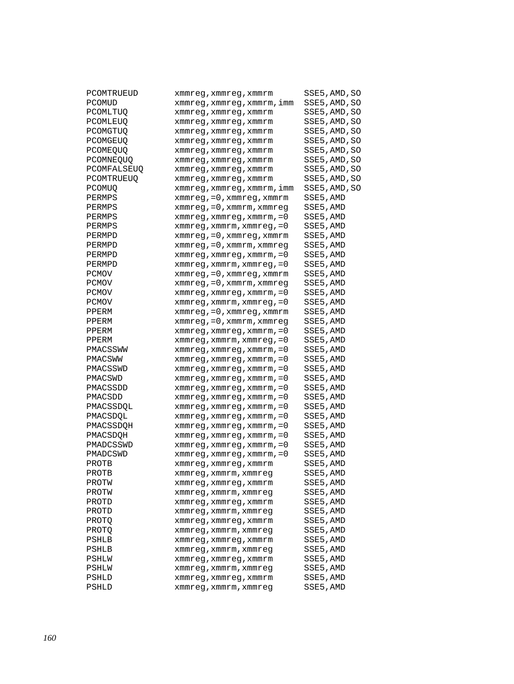| PCOMTRUEUD   | xmmreg,xmmreg,xmmrm                  | SSE5,AMD,SO   |
|--------------|--------------------------------------|---------------|
| PCOMUD       | xmmreg, xmmreg, xmmrm, imm           | SSE5, AMD, SO |
| PCOMLTUQ     | xmmreg, xmmreg, xmmrm                | SSE5, AMD, SO |
| PCOMLEUQ     | xmmreg, xmmreg, xmmrm                | SSE5, AMD, SO |
| PCOMGTUQ     | xmmreg,xmmreg,xmmrm                  | SSE5, AMD, SO |
| PCOMGEUO     | xmmreq, xmmreq, xmmrm                | SSE5, AMD, SO |
| PCOMEOUO     | xmmreg, xmmreg, xmmrm                | SSE5,AMD,SO   |
| PCOMNEQUQ    | xmmreg, xmmreg, xmmrm                | SSE5, AMD, SO |
| PCOMFALSEUQ  | xmmreg, xmmreg, xmmrm                | SSE5, AMD, SO |
| PCOMTRUEUQ   | xmmreg, xmmreg, xmmrm                | SSE5, AMD, SO |
| PCOMUO       | xmmreg, xmmreg, xmmrm, imm           | SSE5, AMD, SO |
| PERMPS       | $xmmreg, =0, xmmreg, xmmrm$          | SSE5, AMD     |
| PERMPS       | $xmmreg$ , = 0, $xmmrm$ , $xmmreg$   | SSE5, AMD     |
| PERMPS       | $x$ mmreg, $x$ mmreg, $x$ mmrm, $=0$ | SSE5, AMD     |
| PERMPS       | $xmmreg$ , $xmmrm$ , $xmmreg$ , $=0$ | SSE5, AMD     |
| PERMPD       | $xmmreg, =0, xmmreg, xmmrm$          | SSE5, AMD     |
| PERMPD       | $xmmreg$ , = 0, $xmmrm$ , $xmmreg$   | SSE5, AMD     |
| PERMPD       | $xmmreg$ , $xmmreg$ , $xmmrm$ , $=0$ | SSE5, AMD     |
| PERMPD       | $x$ mmreg, $x$ mmrm, $x$ mmreg, = 0  | SSE5,AMD      |
| <b>PCMOV</b> | $xmmreg, =0, xmmreg, xmmrm$          | SSE5, AMD     |
| <b>PCMOV</b> | $xmmreg, =0, xmmrm, xmmreg$          | SSE5, AMD     |
| <b>PCMOV</b> | $x$ mmreg, $x$ mmreg, $x$ mmrm, $=0$ | SSE5, AMD     |
| PCMOV        | $x$ mmreg, $x$ mmrm, $x$ mmreg, = 0  | SSE5, AMD     |
| PPERM        | xmmreg, = 0, xmmreg, xmmrm           | SSE5, AMD     |
| PPERM        | $xmmreg$ , = 0, $xmmrm$ , $xmmreg$   | SSE5, AMD     |
| PPERM        | $xmmreg$ , $xmmreg$ , $xmmrm$ , $=0$ | SSE5, AMD     |
| PPERM        | xmmreg, xmmrm, xmmreg, = 0           | SSE5, AMD     |
| PMACSSWW     | $x$ mmreg, $x$ mmreg, $x$ mmrm, $=0$ | SSE5, AMD     |
| PMACSWW      | xmmreg,xmmreg,xmmrm,=0               | SSE5, AMD     |
| PMACSSWD     | $xmmreg$ , $xmmreg$ , $xmmrm$ , $=0$ | SSE5, AMD     |
| PMACSWD      | $x$ mmreg, $x$ mmreg, $x$ mmrm, = 0  | SSE5,AMD      |
| PMACSSDD     | $x$ mmreg, $x$ mmreg, $x$ mmrm, $=0$ | SSE5,AMD      |
| PMACSDD      | xmmreg, xmmreg, xmmrm, = 0           | SSE5, AMD     |
| PMACSSDQL    | $x$ mmreg, $x$ mmreg, $x$ mmrm, $=0$ | SSE5, AMD     |
| PMACSDQL     | $x$ mmreg, $x$ mmreg, $x$ mmrm, $=0$ | SSE5, AMD     |
| PMACSSDOH    | $x$ mmreg, $x$ mmreg, $x$ mmrm, $=0$ | SSE5, AMD     |
| PMACSDOH     | xmmreg, xmmreg, xmmrm, = 0           | SSE5,AMD      |
| PMADCSSWD    | $x$ mmreg, $x$ mmreg, $x$ mmrm, $=0$ | SSE5, AMD     |
| PMADCSWD     | xmmreg, xmmreg, xmmrm, = 0           | SSE5, AMD     |
| PROTB        | xmmreg, xmmreg, xmmrm                | SSE5, AMD     |
| PROTB        | xmmreg, xmmrm, xmmreg                | SSE5, AMD     |
| PROTW        | xmmreg,xmmreg,xmmrm                  | SSE5,AMD      |
| PROTW        | xmmreg, xmmrm, xmmreg                | SSE5, AMD     |
| PROTD        | xmmreg, xmmreg, xmmrm                | SSE5, AMD     |
| PROTD        | xmmreg, xmmrm, xmmreg                | SSE5, AMD     |
| PROTQ        | xmmreg, xmmreg, xmmrm                | SSE5, AMD     |
| PROTO        | xmmreg, xmmrm, xmmreg                | SSE5, AMD     |
| PSHLB        | xmmreg, xmmreg, xmmrm                | SSE5, AMD     |
| PSHLB        | xmmreg, xmmrm, xmmreg                | SSE5, AMD     |
| PSHLW        | xmmreg, xmmreg, xmmrm                | SSE5, AMD     |
| PSHLW        | xmmreg, xmmrm, xmmreg                | SSE5, AMD     |
| PSHLD        | xmmreg, xmmreg, xmmrm                | SSE5, AMD     |
| PSHLD        | xmmreg, xmmrm, xmmreg                | SSE5, AMD     |
|              |                                      |               |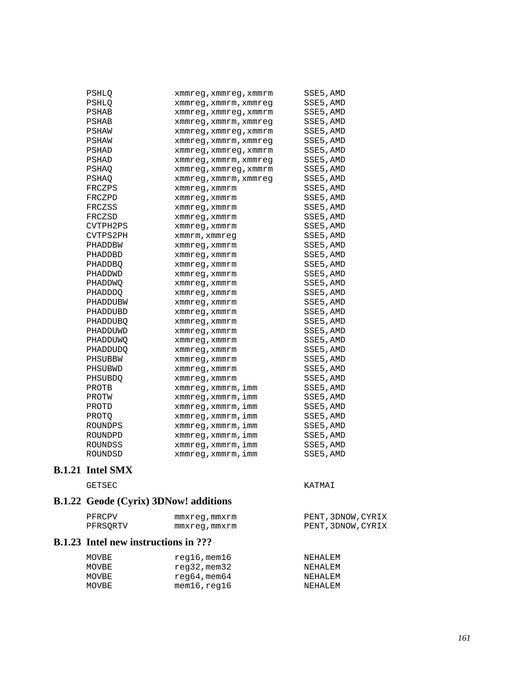| PSHLO          | xmmreg,xmmreg,xmmrm   | SSE5, AMD |
|----------------|-----------------------|-----------|
| PSHLO          | xmmreg, xmmrm, xmmreg | SSE5, AMD |
| PSHAB          | xmmreg, xmmreg, xmmrm | SSE5, AMD |
| PSHAB          | xmmreg, xmmrm, xmmreg | SSE5, AMD |
| PSHAW          | xmmreg, xmmreg, xmmrm | SSE5, AMD |
| PSHAW          | xmmreg, xmmrm, xmmreg | SSE5, AMD |
| PSHAD          | xmmreg, xmmreg, xmmrm | SSE5, AMD |
| PSHAD          | xmmreg,xmmrm,xmmreg   | SSE5, AMD |
| PSHAO          | xmmreg, xmmreg, xmmrm | SSE5, AMD |
| PSHAO          | xmmreg, xmmrm, xmmreg | SSE5, AMD |
| FRCZPS         | xmmreg, xmmrm         | SSE5, AMD |
| FRCZPD         | xmmreq, xmmrm         | SSE5, AMD |
| FRCZSS         | xmmreg, xmmrm         | SSE5, AMD |
| FRCZSD         | xmmreg, xmmrm         | SSE5, AMD |
| CVTPH2PS       | xmmreg, xmmrm         | SSE5, AMD |
| CVTPS2PH       | xmmrm, xmmreq         | SSE5, AMD |
| PHADDBW        | xmmreg, xmmrm         | SSE5, AMD |
| PHADDBD        | xmmreq, xmmrm         | SSE5, AMD |
| <b>PHADDBO</b> | xmmreg, xmmrm         | SSE5, AMD |
| PHADDWD        | xmmreg, xmmrm         | SSE5, AMD |
| PHADDWO        | xmmreq, xmmrm         | SSE5, AMD |
| <b>PHADDDO</b> | xmmreg, xmmrm         | SSE5, AMD |
| PHADDUBW       | xmmreg, xmmrm         | SSE5, AMD |
| PHADDUBD       | xmmreq, xmmrm         | SSE5, AMD |
| PHADDUBO       | xmmreq, xmmrm         | SSE5, AMD |
| PHADDUWD       | xmmreg,xmmrm          | SSE5, AMD |
| PHADDUWO       | xmmreq, xmmrm         | SSE5, AMD |
| PHADDUDO       | xmmreg, xmmrm         | SSE5, AMD |
| PHSUBBW        | xmmreg, xmmrm         | SSE5, AMD |
| PHSUBWD        | xmmreg, xmmrm         | SSE5, AMD |
| PHSUBDO        | xmmreq, xmmrm         | SSE5, AMD |
| PROTB          | xmmreg, xmmrm, imm    | SSE5, AMD |
| PROTW          | xmmreg, xmmrm, imm    | SSE5, AMD |
| PROTD          | xmmreq, xmmrm, imm    | SSE5, AMD |
| PROTO          | xmmreg, xmmrm, imm    | SSE5, AMD |
| ROUNDPS        | xmmreg, xmmrm, imm    | SSE5, AMD |
| ROUNDPD        | xmmreg, xmmrm, imm    | SSE5, AMD |
| ROUNDSS        | xmmreg, xmmrm, imm    | SSE5, AMD |
| ROUNDSD        | xmmreg, xmmrm, imm    | SSE5, AMD |
|                |                       |           |

## **B.1.21 Intel SMX**

GETSEC KATMAI

# **B.1.22 Geode (Cyrix) 3DNow! additions**

| PFRCPV   | mmxreg,mmxrm | PENT, 3DNOW, CYRIX |
|----------|--------------|--------------------|
| PFRSORTV | mmxreg,mmxrm | PENT, 3DNOW, CYRIX |

#### **B.1.23 Intel new instructions in ???**

| MOVBE | $req16$ , mem $16$     | NEHALEM |
|-------|------------------------|---------|
| MOVBE | reg32,mem32            | NEHALEM |
| MOVBE | $r$ eq64,mem64         | NEHALEM |
| MOVBE | $m$ em $16$ , req $16$ | NEHALEM |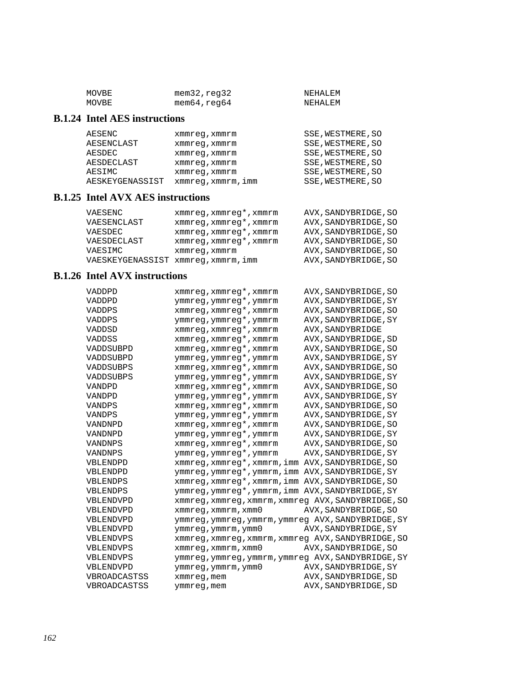| MOVBE | $m$ em $32$ , $req32$ | NEHALEM |
|-------|-----------------------|---------|
| MOVBE | mem64,reg64           | NEHALEM |

## **B.1.24 Intel AES instructions**

| AESENC          | xmmreq, xmmrm      | SSE, WESTMERE, SO |
|-----------------|--------------------|-------------------|
| AESENCLAST      | xmmreq, xmmrm      | SSE, WESTMERE, SO |
| AESDEC          | xmmreq, xmmrm      | SSE, WESTMERE, SO |
| AESDECLAST      | xmmreq, xmmrm      | SSE, WESTMERE, SO |
| AESIMC          | xmmreq, xmmrm      | SSE, WESTMERE, SO |
| AESKEYGENASSIST | xmmreg, xmmrm, imm | SSE, WESTMERE, SO |

#### **B.1.25 Intel AVX AES instructions**

| VAESENC                             | xmmreq, xmmreq*, xmmrm | AVX, SANDYBRIDGE, SO |
|-------------------------------------|------------------------|----------------------|
| VAESENCLAST                         | xmmreg, xmmreg*, xmmrm | AVX, SANDYBRIDGE, SO |
| VAESDEC                             | xmmreg, xmmreg*, xmmrm | AVX, SANDYBRIDGE, SO |
| VAESDECLAST                         | xmmreq, xmmreq*, xmmrm | AVX, SANDYBRIDGE, SO |
| VAESIMC                             | xmmreq, xmmrm          | AVX, SANDYBRIDGE, SO |
| VAESKEYGENASSIST xmmreq, xmmrm, imm |                        | AVX, SANDYBRIDGE, SO |

## **B.1.26 Intel AVX instructions**

| VADDPD       | xmmreg, xmmreg*, xmmrm                             | AVX, SANDYBRIDGE, SO |
|--------------|----------------------------------------------------|----------------------|
| VADDPD       | ymmreg, ymmreg*, ymmrm                             | AVX, SANDYBRIDGE, SY |
| VADDPS       | xmmreg, xmmreg*, xmmrm                             | AVX, SANDYBRIDGE, SO |
| VADDPS       | ymmreg, ymmreg*, ymmrm                             | AVX, SANDYBRIDGE, SY |
| VADDSD       | xmmreg, xmmreg*, xmmrm                             | AVX, SANDYBRIDGE     |
| VADDSS       | xmmreg, xmmreg*, xmmrm                             | AVX, SANDYBRIDGE, SD |
| VADDSUBPD    | xmmreg, xmmreg*, xmmrm                             | AVX, SANDYBRIDGE, SO |
| VADDSUBPD    | ymmreg, ymmreg*, ymmrm                             | AVX, SANDYBRIDGE, SY |
| VADDSUBPS    | xmmreg, xmmreg*, xmmrm                             | AVX, SANDYBRIDGE, SO |
| VADDSUBPS    | ymmreg, ymmreg*, ymmrm                             | AVX, SANDYBRIDGE, SY |
| VANDPD       | xmmreg, xmmreg*, xmmrm                             | AVX, SANDYBRIDGE, SO |
| VANDPD       | ymmreg, ymmreg*, ymmrm                             | AVX, SANDYBRIDGE, SY |
| VANDPS       | xmmreg, xmmreg*, xmmrm                             | AVX, SANDYBRIDGE, SO |
| VANDPS       | ymmreg, ymmreg*, ymmrm                             | AVX, SANDYBRIDGE, SY |
| VANDNPD      | xmmreg, xmmreg*, xmmrm                             | AVX, SANDYBRIDGE, SO |
| VANDNPD      | ymmreg, ymmreg*, ymmrm                             | AVX, SANDYBRIDGE, SY |
| VANDNPS      | xmmreg, xmmreg*, xmmrm                             | AVX, SANDYBRIDGE, SO |
| VANDNPS      | ymmreg, ymmreg*, ymmrm                             | AVX, SANDYBRIDGE, SY |
| VBLENDPD     | xmmreg, xmmreg*, xmmrm, imm AVX, SANDYBRIDGE, SO   |                      |
| VBLENDPD     | ymmreg, ymmreg*, ymmrm, imm AVX, SANDYBRIDGE, SY   |                      |
| VBLENDPS     | xmmreg, xmmreg*, xmmrm, imm AVX, SANDYBRIDGE, SO   |                      |
| VBLENDPS     | ymmreg, ymmreg*, ymmrm, imm AVX, SANDYBRIDGE, SY   |                      |
| VBLENDVPD    | xmmreg, xmmreg, xmmrm, xmmreg AVX, SANDYBRIDGE, SO |                      |
| VBLENDVPD    | $x$ mm $x$ eq, $x$ mm $x$ m, $x$ mm $0$            | AVX, SANDYBRIDGE, SO |
| VBLENDVPD    | ymmreg, ymmreg, ymmrm, ymmreg AVX, SANDYBRIDGE, SY |                      |
| VBLENDVPD    | ymmreg, ymmrm, ymm0                                | AVX, SANDYBRIDGE, SY |
| VBLENDVPS    | xmmreg, xmmreg, xmmrm, xmmreg AVX, SANDYBRIDGE, SO |                      |
| VBLENDVPS    | $x$ mm $x$ eq, $x$ mm $x$ m, $x$ mm $0$            | AVX, SANDYBRIDGE, SO |
| VBLENDVPS    | ymmreg, ymmreg, ymmrm, ymmreg AVX, SANDYBRIDGE, SY |                      |
| VBLENDVPD    | ymmreg, ymmrm, ymm0                                | AVX, SANDYBRIDGE, SY |
| VBROADCASTSS | xmmreg, mem                                        | AVX, SANDYBRIDGE, SD |
| VBROADCASTSS | ymmreg, mem                                        | AVX, SANDYBRIDGE, SD |
|              |                                                    |                      |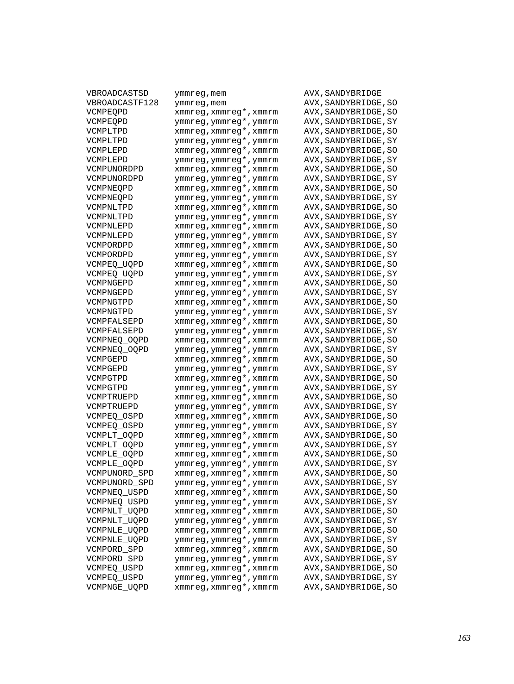| VBROADCASTSD   | ymmreg,mem                                  | AVX, SANDYBRIDGE     |
|----------------|---------------------------------------------|----------------------|
| VBROADCASTF128 | ymmreg, mem                                 | AVX, SANDYBRIDGE, SO |
| VCMPEQPD       | xmmreg, xmmreg*, xmmrm                      | AVX, SANDYBRIDGE, SO |
| VCMPEQPD       | ymmreg, ymmreg*, ymmrm                      | AVX, SANDYBRIDGE, SY |
| VCMPLTPD       | xmmreg, xmmreg*, xmmrm                      | AVX, SANDYBRIDGE, SO |
| VCMPLTPD       | ymmreg, ymmreg*, ymmrm                      | AVX, SANDYBRIDGE, SY |
| VCMPLEPD       | xmmreg, xmmreg*, xmmrm                      | AVX, SANDYBRIDGE, SO |
| VCMPLEPD       | ymmreg, ymmreg*, ymmrm                      | AVX, SANDYBRIDGE, SY |
| VCMPUNORDPD    | xmmreg, xmmreg*, xmmrm                      | AVX, SANDYBRIDGE, SO |
| VCMPUNORDPD    | ymmreg, ymmreg*, ymmrm                      | AVX, SANDYBRIDGE, SY |
| VCMPNEOPD      | $x$ mm $x$ eg, $x$ mm $x$ eg*, $x$ mm $x$ m | AVX, SANDYBRIDGE, SO |
| VCMPNEQPD      | ymmreg, ymmreg*, ymmrm                      | AVX, SANDYBRIDGE, SY |
| VCMPNLTPD      | xmmreg, xmmreg*, xmmrm                      | AVX, SANDYBRIDGE, SO |
| VCMPNLTPD      | ymmreg, ymmreg*, ymmrm                      | AVX, SANDYBRIDGE, SY |
| VCMPNLEPD      | xmmreg, xmmreg*, xmmrm                      | AVX, SANDYBRIDGE, SO |
| VCMPNLEPD      | ymmreg, ymmreg*, ymmrm                      |                      |
| VCMPORDPD      | $xmmreg$ , $xmmreg*$ , $xmmrmr$             | AVX, SANDYBRIDGE, SY |
|                |                                             | AVX, SANDYBRIDGE, SO |
| VCMPORDPD      | ymmreg, ymmreg*, ymmrm                      | AVX, SANDYBRIDGE, SY |
| VCMPEO UOPD    | xmmreg, xmmreg*, xmmrm                      | AVX, SANDYBRIDGE, SO |
| VCMPEO UOPD    | ymmreg, ymmreg*, ymmrm                      | AVX, SANDYBRIDGE, SY |
| VCMPNGEPD      | xmmreg, xmmreg*, xmmrm                      | AVX, SANDYBRIDGE, SO |
| VCMPNGEPD      | ymmreg, ymmreg*, ymmrm                      | AVX, SANDYBRIDGE, SY |
| VCMPNGTPD      | $xmmreg$ , $xmmreg*$ , $xmmrmr$             | AVX, SANDYBRIDGE, SO |
| VCMPNGTPD      | ymmreg, ymmreg*, ymmrm                      | AVX, SANDYBRIDGE, SY |
| VCMPFALSEPD    | xmmreg, xmmreg*, xmmrm                      | AVX, SANDYBRIDGE, SO |
| VCMPFALSEPD    | ymmreg, ymmreg*, ymmrm                      | AVX, SANDYBRIDGE, SY |
| VCMPNEQ_OQPD   | xmmreg, xmmreg*, xmmrm                      | AVX, SANDYBRIDGE, SO |
| VCMPNEQ_OQPD   | ymmreg, ymmreg*, ymmrm                      | AVX, SANDYBRIDGE, SY |
| VCMPGEPD       | $xmmreg$ , $xmmreg*$ , $xmmrmr$             | AVX, SANDYBRIDGE, SO |
| VCMPGEPD       | ymmreg, ymmreg*, ymmrm                      | AVX, SANDYBRIDGE, SY |
| VCMPGTPD       | xmmreg, xmmreg*, xmmrm                      | AVX, SANDYBRIDGE, SO |
| VCMPGTPD       | ymmreg, ymmreg*, ymmrm                      | AVX, SANDYBRIDGE, SY |
| VCMPTRUEPD     | xmmreg, xmmreg*, xmmrm                      | AVX, SANDYBRIDGE, SO |
| VCMPTRUEPD     | ymmreg, ymmreg*, ymmrm                      | AVX, SANDYBRIDGE, SY |
| VCMPEO OSPD    | xmmreg, xmmreg*, xmmrm                      | AVX, SANDYBRIDGE, SO |
| VCMPEO OSPD    | ymmreg, ymmreg*, ymmrm                      | AVX, SANDYBRIDGE, SY |
| VCMPLT_OQPD    | xmmreg, xmmreg*, xmmrm                      | AVX, SANDYBRIDGE, SO |
| VCMPLT_OQPD    | ymmreg, ymmreg*, ymmrm                      | AVX, SANDYBRIDGE, SY |
| VCMPLE_OQPD    | xmmreg, xmmreg*, xmmrm                      | AVX, SANDYBRIDGE, SO |
| VCMPLE_OQPD    | ymmreg, ymmreg*, ymmrm                      | AVX, SANDYBRIDGE, SY |
| VCMPUNORD SPD  | xmmreg,xmmreg*,xmmrm                        | AVX, SANDYBRIDGE, SO |
| VCMPUNORD_SPD  | ymmreg, ymmreg*, ymmrm                      | AVX, SANDYBRIDGE, SY |
| VCMPNEQ_USPD   | xmmreg, xmmreg*, xmmrm                      | AVX, SANDYBRIDGE, SO |
| VCMPNEQ_USPD   | ymmreg, ymmreg*, ymmrm                      | AVX, SANDYBRIDGE, SY |
| VCMPNLT_UQPD   | xmmreg, xmmreg*, xmmrm                      | AVX, SANDYBRIDGE, SO |
| VCMPNLT_UQPD   | ymmreg, ymmreg*, ymmrm                      | AVX, SANDYBRIDGE, SY |
| VCMPNLE_UQPD   | xmmreg, xmmreg*, xmmrm                      | AVX, SANDYBRIDGE, SO |
| VCMPNLE_UQPD   | ymmreg, ymmreg*, ymmrm                      | AVX, SANDYBRIDGE, SY |
| VCMPORD_SPD    | xmmreg, xmmreg*, xmmrm                      | AVX, SANDYBRIDGE, SO |
| VCMPORD_SPD    | ymmreg, ymmreg*, ymmrm                      | AVX, SANDYBRIDGE, SY |
|                | xmmreg, xmmreg*, xmmrm                      |                      |
| VCMPEQ_USPD    |                                             | AVX, SANDYBRIDGE, SO |
| VCMPEQ_USPD    | ymmreg, ymmreg*, ymmrm                      | AVX, SANDYBRIDGE, SY |
| VCMPNGE_UQPD   | xmmreg, xmmreg*, xmmrm                      | AVX, SANDYBRIDGE, SO |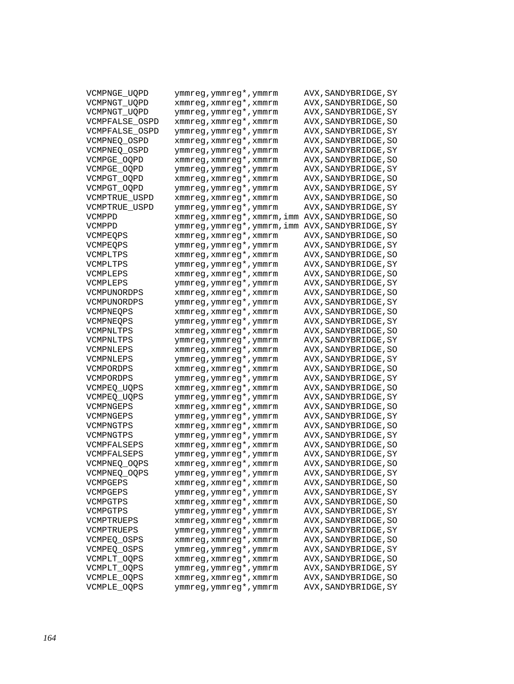| VCMPNGE_UQPD           | ymmreg,ymmreg*,ymmrm        | AVX, SANDYBRIDGE, SY                         |
|------------------------|-----------------------------|----------------------------------------------|
| VCMPNGT_UQPD           | xmmreg, xmmreg*, xmmrm      | AVX, SANDYBRIDGE, SO                         |
| VCMPNGT UQPD           | ymmreg, ymmreg*, ymmrm      | AVX, SANDYBRIDGE, SY                         |
| VCMPFALSE_OSPD         | xmmreg, xmmreg*, xmmrm      | AVX, SANDYBRIDGE, SO                         |
| VCMPFALSE_OSPD         | ymmreg, ymmreg*, ymmrm      | AVX, SANDYBRIDGE, SY                         |
| VCMPNEO OSPD           | xmmreg, xmmreg*, xmmrm      | AVX, SANDYBRIDGE, SO                         |
| VCMPNEQ_OSPD           | ymmreg, ymmreg*, ymmrm      | AVX, SANDYBRIDGE, SY                         |
| VCMPGE_OQPD            | xmmreg, xmmreg*, xmmrm      | AVX, SANDYBRIDGE, SO                         |
| VCMPGE OOPD            | ymmreg, ymmreg*, ymmrm      | AVX, SANDYBRIDGE, SY                         |
| VCMPGT_OQPD            | xmmreg, xmmreg*, xmmrm      | AVX, SANDYBRIDGE, SO                         |
| VCMPGT_OQPD            | ymmreg, ymmreg*, ymmrm      | AVX, SANDYBRIDGE, SY                         |
| VCMPTRUE USPD          | xmmreg, xmmreg*, xmmrm      | AVX, SANDYBRIDGE, SO                         |
| VCMPTRUE USPD          | ymmreg, ymmreg*, ymmrm      | AVX, SANDYBRIDGE, SY                         |
| VCMPPD                 | xmmreg,xmmreg*,xmmrm,imm    | AVX, SANDYBRIDGE, SO                         |
| VCMPPD                 | ymmreg, ymmreg*, ymmrm, imm | AVX, SANDYBRIDGE, SY                         |
| VCMPEQPS               | xmmreg, xmmreg*, xmmrm      | AVX, SANDYBRIDGE, SO                         |
| VCMPEQPS               | ymmreg, ymmreg*, ymmrm      | AVX, SANDYBRIDGE, SY                         |
| VCMPLTPS               | xmmreg, xmmreg*, xmmrm      | AVX, SANDYBRIDGE, SO                         |
| VCMPLTPS               | ymmreg, ymmreg*, ymmrm      | AVX, SANDYBRIDGE, SY                         |
| VCMPLEPS               | xmmreg, xmmreg*, xmmrm      | AVX, SANDYBRIDGE, SO                         |
| VCMPLEPS               | ymmreg, ymmreg*, ymmrm      | AVX, SANDYBRIDGE, SY                         |
| VCMPUNORDPS            | xmmreg, xmmreg*, xmmrm      | AVX, SANDYBRIDGE, SO                         |
| VCMPUNORDPS            | ymmreg, ymmreg*, ymmrm      | AVX, SANDYBRIDGE, SY                         |
|                        | xmmreg, xmmreg*, xmmrm      |                                              |
| VCMPNEQPS<br>VCMPNEQPS | ymmreg, ymmreg*, ymmrm      | AVX, SANDYBRIDGE, SO<br>AVX, SANDYBRIDGE, SY |
| VCMPNLTPS              | xmmreg, xmmreg*, xmmrm      |                                              |
| VCMPNLTPS              | ymmreg, ymmreg*, ymmrm      | AVX, SANDYBRIDGE, SO                         |
| VCMPNLEPS              | xmmreg, xmmreg*, xmmrm      | AVX, SANDYBRIDGE, SY<br>AVX, SANDYBRIDGE, SO |
| VCMPNLEPS              | ymmreg, ymmreg*, ymmrm      | AVX , SANDYBRIDGE , SY                       |
| VCMPORDPS              | xmmreg, xmmreg*, xmmrm      |                                              |
| VCMPORDPS              | ymmreg, ymmreg*, ymmrm      | AVX, SANDYBRIDGE, SO                         |
|                        |                             | AVX, SANDYBRIDGE, SY                         |
| VCMPEO UOPS            | xmmreg, xmmreg*, xmmrm      | AVX, SANDYBRIDGE, SO                         |
| VCMPEO UOPS            | ymmreg, ymmreg*, ymmrm      | AVX, SANDYBRIDGE, SY                         |
| VCMPNGEPS              | xmmreg, xmmreg*, xmmrm      | AVX, SANDYBRIDGE, SO                         |
| VCMPNGEPS              | ymmreg, ymmreg*, ymmrm      | AVX, SANDYBRIDGE, SY                         |
| VCMPNGTPS              | xmmreg, xmmreg*, xmmrm      | AVX, SANDYBRIDGE, SO                         |
| VCMPNGTPS              | ymmreg, ymmreg*, ymmrm      | AVX, SANDYBRIDGE, SY                         |
| VCMPFALSEPS            | xmmreg, xmmreg*, xmmrm      | AVX, SANDYBRIDGE, SO                         |
| VCMPFALSEPS            | ymmreg, ymmreg*, ymmrm      | AVX, SANDYBRIDGE, SY                         |
| VCMPNEO OOPS           | xmmreg, xmmreg*, xmmrm      | AVX,SANDYBRIDGE,SO                           |
| VCMPNEQ_OQPS           | ymmreg, ymmreg*, ymmrm      | AVX, SANDYBRIDGE, SY                         |
| VCMPGEPS               | xmmreg, xmmreg*, xmmrm      | AVX, SANDYBRIDGE, SO                         |
| VCMPGEPS               | ymmreg, ymmreg*, ymmrm      | AVX, SANDYBRIDGE, SY                         |
| VCMPGTPS               | xmmreg, xmmreg*, xmmrm      | AVX, SANDYBRIDGE, SO                         |
| VCMPGTPS               | ymmreg, ymmreg*, ymmrm      | AVX, SANDYBRIDGE, SY                         |
| VCMPTRUEPS             | xmmreg, xmmreg*, xmmrm      | AVX, SANDYBRIDGE, SO                         |
| VCMPTRUEPS             | ymmreg, ymmreg*, ymmrm      | AVX, SANDYBRIDGE, SY                         |
| VCMPEQ_OSPS            | xmmreg, xmmreg*, xmmrm      | AVX, SANDYBRIDGE, SO                         |
| VCMPEQ_OSPS            | ymmreg, ymmreg*, ymmrm      | AVX, SANDYBRIDGE, SY                         |
| VCMPLT OOPS            | xmmreg, xmmreg*, xmmrm      | AVX, SANDYBRIDGE, SO                         |
| VCMPLT OOPS            | ymmreg, ymmreg*, ymmrm      | AVX, SANDYBRIDGE, SY                         |
| VCMPLE_OQPS            | xmmreg, xmmreg*, xmmrm      | AVX, SANDYBRIDGE, SO                         |
| VCMPLE_OQPS            | ymmreg, ymmreg*, ymmrm      | AVX, SANDYBRIDGE, SY                         |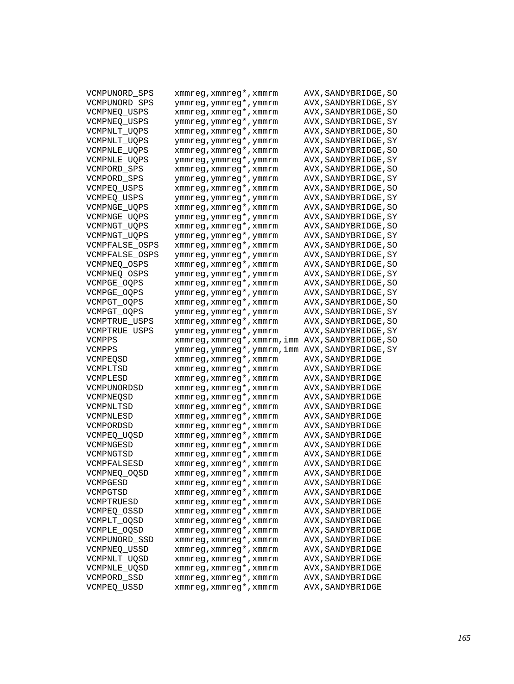| VCMPUNORD_SPS       | xmmreg, xmmreg*, xmmrm      | AVX, SANDYBRIDGE, SO   |
|---------------------|-----------------------------|------------------------|
| VCMPUNORD_SPS       | ymmreg, ymmreg*, ymmrm      | AVX , SANDYBRIDGE , SY |
| VCMPNEO USPS        | xmmreg, xmmreg*, xmmrm      | AVX, SANDYBRIDGE, SO   |
| VCMPNEO USPS        | ymmreg, ymmreg*, ymmrm      | AVX , SANDYBRIDGE , SY |
| VCMPNLT_UQPS        | xmmreg, xmmreg*, xmmrm      | AVX, SANDYBRIDGE, SO   |
| VCMPNLT_UQPS        | ymmreg, ymmreg*, ymmrm      | AVX, SANDYBRIDGE, SY   |
| <b>VCMPNLE UQPS</b> | xmmreg, xmmreg*, xmmrm      | AVX, SANDYBRIDGE, SO   |
| VCMPNLE_UQPS        | ymmreg, ymmreg*, ymmrm      | AVX, SANDYBRIDGE, SY   |
| VCMPORD SPS         | xmmreg, xmmreg*, xmmrm      | AVX, SANDYBRIDGE, SO   |
| VCMPORD_SPS         | ymmreg, ymmreg*, ymmrm      | AVX, SANDYBRIDGE, SY   |
| VCMPEQ USPS         | xmmreg, xmmreg*, xmmrm      | AVX, SANDYBRIDGE, SO   |
| VCMPEQ_USPS         | ymmreg, ymmreg*, ymmrm      | AVX, SANDYBRIDGE, SY   |
| VCMPNGE_UQPS        | xmmreg, xmmreg*, xmmrm      | AVX, SANDYBRIDGE, SO   |
| VCMPNGE_UQPS        | ymmreg, ymmreg*, ymmrm      | AVX, SANDYBRIDGE, SY   |
| VCMPNGT UQPS        | xmmreg, xmmreg*, xmmrm      | AVX, SANDYBRIDGE, SO   |
| VCMPNGT_UQPS        | ymmreg, ymmreg*, ymmrm      | AVX , SANDYBRIDGE , SY |
| VCMPFALSE_OSPS      | xmmreg, xmmreg*, xmmrm      | AVX, SANDYBRIDGE, SO   |
| VCMPFALSE_OSPS      | ymmreg, ymmreg*, ymmrm      | AVX, SANDYBRIDGE, SY   |
| VCMPNEQ_OSPS        | xmmreg, xmmreg*, xmmrm      | AVX, SANDYBRIDGE, SO   |
| VCMPNEO OSPS        | ymmreg, ymmreg*, ymmrm      | AVX, SANDYBRIDGE, SY   |
| VCMPGE OOPS         | xmmreg, xmmreg*, xmmrm      | AVX, SANDYBRIDGE, SO   |
| VCMPGE OOPS         | ymmreg, ymmreg*, ymmrm      | AVX , SANDYBRIDGE , SY |
| VCMPGT_OQPS         | xmmreg, xmmreg*, xmmrm      | AVX, SANDYBRIDGE, SO   |
| VCMPGT_OQPS         | ymmreg, ymmreg*, ymmrm      | AVX, SANDYBRIDGE, SY   |
| VCMPTRUE_USPS       | xmmreg, xmmreg*, xmmrm      | AVX, SANDYBRIDGE, SO   |
| VCMPTRUE USPS       | ymmreg, ymmreg*, ymmrm      | AVX, SANDYBRIDGE, SY   |
| VCMPPS              | xmmreg, xmmreg*, xmmrm, imm | AVX, SANDYBRIDGE, SO   |
| VCMPPS              | ymmreg, ymmreg*, ymmrm, imm | AVX , SANDYBRIDGE , SY |
| VCMPEOSD            | xmmreg, xmmreg*, xmmrm      | AVX, SANDYBRIDGE       |
| VCMPLTSD            | xmmreg, xmmreg*, xmmrm      | AVX, SANDYBRIDGE       |
| VCMPLESD            | xmmreg, xmmreg*, xmmrm      | AVX, SANDYBRIDGE       |
| VCMPUNORDSD         | xmmreg, xmmreg*, xmmrm      | AVX, SANDYBRIDGE       |
| VCMPNEOSD           | xmmreg, xmmreg*, xmmrm      | AVX,SANDYBRIDGE        |
| VCMPNLTSD           | xmmreg, xmmreg*, xmmrm      | AVX, SANDYBRIDGE       |
| VCMPNLESD           | xmmreg, xmmreg*, xmmrm      | AVX,SANDYBRIDGE        |
| VCMPORDSD           | xmmreg, xmmreg*, xmmrm      | AVX, SANDYBRIDGE       |
| VCMPEO UOSD         | xmmreg, xmmreg*, xmmrm      | AVX, SANDYBRIDGE       |
| VCMPNGESD           | xmmreg, xmmreg*, xmmrm      | AVX, SANDYBRIDGE       |
| VCMPNGTSD           | xmmreg, xmmreg*, xmmrm      | AVX, SANDYBRIDGE       |
| VCMPFALSESD         | xmmreg, xmmreg*, xmmrm      | AVX, SANDYBRIDGE       |
| VCMPNEQ_OQSD        | xmmreg, xmmreg*, xmmrm      | AVX, SANDYBRIDGE       |
| VCMPGESD            | xmmreg, xmmreg*, xmmrm      | AVX, SANDYBRIDGE       |
| VCMPGTSD            | xmmreg, xmmreg*, xmmrm      | AVX, SANDYBRIDGE       |
| VCMPTRUESD          | xmmreg, xmmreg*, xmmrm      | AVX, SANDYBRIDGE       |
| VCMPEQ_OSSD         | xmmreg, xmmreg*, xmmrm      | AVX, SANDYBRIDGE       |
| VCMPLT OOSD         | xmmreg, xmmreg*, xmmrm      | AVX, SANDYBRIDGE       |
| VCMPLE_OQSD         | xmmreg, xmmreg*, xmmrm      | AVX, SANDYBRIDGE       |
| VCMPUNORD SSD       | xmmreg, xmmreg*, xmmrm      | AVX, SANDYBRIDGE       |
| VCMPNEQ_USSD        | xmmreg, xmmreg*, xmmrm      | AVX, SANDYBRIDGE       |
| VCMPNLT_UQSD        | xmmreg, xmmreg*, xmmrm      | AVX, SANDYBRIDGE       |
| <b>VCMPNLE UOSD</b> | xmmreg, xmmreg*, xmmrm      | AVX, SANDYBRIDGE       |
| VCMPORD SSD         | xmmreg, xmmreg*, xmmrm      | AVX, SANDYBRIDGE       |
| <b>VCMPEO USSD</b>  | xmmreg, xmmreg*, xmmrm      | AVX, SANDYBRIDGE       |
|                     |                             |                        |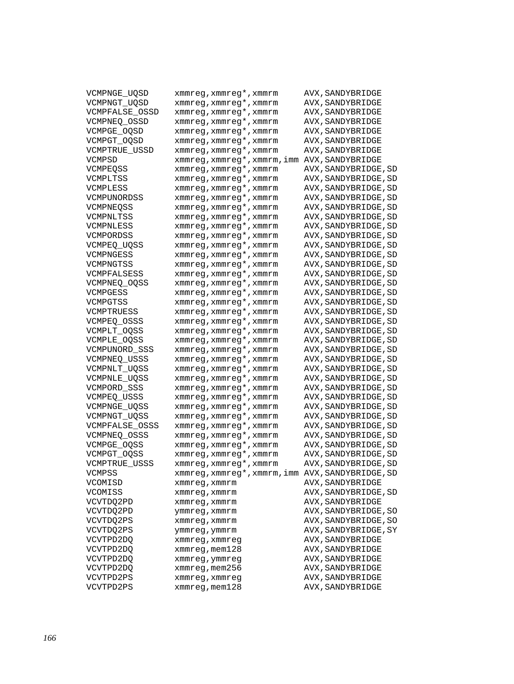| VCMPNGE UQSD   | xmmreg, xmmreg*, xmmrm   | AVX, SANDYBRIDGE       |
|----------------|--------------------------|------------------------|
| VCMPNGT_UQSD   | xmmreg, xmmreg*, xmmrm   | AVX, SANDYBRIDGE       |
| VCMPFALSE_OSSD | xmmreg, xmmreg*, xmmrm   | AVX, SANDYBRIDGE       |
| VCMPNEQ_OSSD   | xmmreg, xmmreg*, xmmrm   | AVX, SANDYBRIDGE       |
| VCMPGE_OQSD    | xmmreg, xmmreg*, xmmrm   | AVX, SANDYBRIDGE       |
| VCMPGT_OQSD    | xmmreg, xmmreg*, xmmrm   | AVX, SANDYBRIDGE       |
| VCMPTRUE USSD  | xmmreg, xmmreg*, xmmrm   | AVX, SANDYBRIDGE       |
| VCMPSD         | xmmreg,xmmreg*,xmmrm,imm | AVX, SANDYBRIDGE       |
| VCMPEOSS       | xmmreg, xmmreg*, xmmrm   | AVX , SANDYBRIDGE , SD |
| VCMPLTSS       | xmmreg, xmmreg*, xmmrm   | AVX, SANDYBRIDGE, SD   |
| VCMPLESS       | xmmreg, xmmreg*, xmmrm   | AVX, SANDYBRIDGE, SD   |
| VCMPUNORDSS    | xmmreg, xmmreg*, xmmrm   | AVX, SANDYBRIDGE, SD   |
| VCMPNEOSS      | xmmreg, xmmreg*, xmmrm   | AVX, SANDYBRIDGE, SD   |
| VCMPNLTSS      | xmmreg, xmmreg*, xmmrm   | AVX, SANDYBRIDGE, SD   |
| VCMPNLESS      | xmmreg, xmmreg*, xmmrm   | AVX, SANDYBRIDGE, SD   |
| VCMPORDSS      | xmmreg, xmmreg*, xmmrm   | AVX, SANDYBRIDGE, SD   |
| VCMPEQ_UQSS    | xmmreg, xmmreg*, xmmrm   | AVX, SANDYBRIDGE, SD   |
| VCMPNGESS      | xmmreg, xmmreg*, xmmrm   | AVX, SANDYBRIDGE, SD   |
| VCMPNGTSS      | xmmreg, xmmreg*, xmmrm   | AVX, SANDYBRIDGE, SD   |
| VCMPFALSESS    | xmmreg, xmmreg*, xmmrm   | AVX, SANDYBRIDGE, SD   |
| VCMPNEO OOSS   | xmmreg, xmmreg*, xmmrm   | AVX, SANDYBRIDGE, SD   |
| VCMPGESS       | xmmreg, xmmreg*, xmmrm   | AVX, SANDYBRIDGE, SD   |
| VCMPGTSS       | xmmreg, xmmreg*, xmmrm   | AVX, SANDYBRIDGE, SD   |
| VCMPTRUESS     | xmmreg, xmmreg*, xmmrm   | AVX, SANDYBRIDGE, SD   |
| VCMPEO OSSS    | xmmreg, xmmreg*, xmmrm   | AVX, SANDYBRIDGE, SD   |
| VCMPLT OOSS    | xmmreg, xmmreg*, xmmrm   | AVX, SANDYBRIDGE, SD   |
| VCMPLE OOSS    | xmmreg, xmmreg*, xmmrm   | AVX, SANDYBRIDGE, SD   |
| VCMPUNORD_SSS  | xmmreg, xmmreg*, xmmrm   | AVX, SANDYBRIDGE, SD   |
| VCMPNEQ_USSS   | xmmreg, xmmreg*, xmmrm   | AVX, SANDYBRIDGE, SD   |
| VCMPNLT_UQSS   | xmmreg, xmmreg*, xmmrm   | AVX, SANDYBRIDGE, SD   |
| VCMPNLE_UQSS   | xmmreg, xmmreg*, xmmrm   | AVX, SANDYBRIDGE, SD   |
| VCMPORD_SSS    | xmmreg, xmmreg*, xmmrm   | AVX, SANDYBRIDGE, SD   |
| VCMPEO USSS    | xmmreg, xmmreg*, xmmrm   | AVX, SANDYBRIDGE, SD   |
| VCMPNGE_UQSS   | xmmreg, xmmreg*, xmmrm   | AVX, SANDYBRIDGE, SD   |
| VCMPNGT_UQSS   | xmmreg, xmmreg*, xmmrm   | AVX, SANDYBRIDGE, SD   |
| VCMPFALSE OSSS | xmmreg, xmmreg*, xmmrm   | AVX, SANDYBRIDGE, SD   |
| VCMPNEO OSSS   | xmmreg, xmmreg*, xmmrm   | AVX, SANDYBRIDGE, SD   |
| VCMPGE OOSS    | xmmreg, xmmreg*, xmmrm   | AVX, SANDYBRIDGE, SD   |
| VCMPGT_OQSS    | xmmreg, xmmreg*, xmmrm   | AVX, SANDYBRIDGE, SD   |
| VCMPTRUE USSS  | xmmreg, xmmreg*, xmmrm   | AVX, SANDYBRIDGE, SD   |
| VCMPSS         | xmmreg,xmmreg*,xmmrm,imm | AVX, SANDYBRIDGE, SD   |
| VCOMISD        | xmmreg, xmmrm            | AVX, SANDYBRIDGE       |
| VCOMISS        | xmmreg, xmmrm            | AVX, SANDYBRIDGE, SD   |
| VCVTDO2PD      | xmmreq, xmmrm            | AVX, SANDYBRIDGE       |
| VCVTDQ2PD      | ymmreg, xmmrm            | AVX, SANDYBRIDGE, SO   |
| VCVTDQ2PS      | xmmreg, xmmrm            | AVX, SANDYBRIDGE, SO   |
| VCVTDQ2PS      | ymmreg, ymmrm            | AVX, SANDYBRIDGE, SY   |
| VCVTPD2DQ      | xmmreg, xmmreg           | AVX, SANDYBRIDGE       |
| VCVTPD2DQ      | xmmreg, mem128           | AVX, SANDYBRIDGE       |
| VCVTPD2DQ      | xmmreg, ymmreg           | AVX, SANDYBRIDGE       |
| VCVTPD2DQ      | xmmreq, mem256           | AVX, SANDYBRIDGE       |
| VCVTPD2PS      | xmmreg, xmmreg           | AVX, SANDYBRIDGE       |
| VCVTPD2PS      | $xmmreg$ , mem $128$     | AVX, SANDYBRIDGE       |
|                |                          |                        |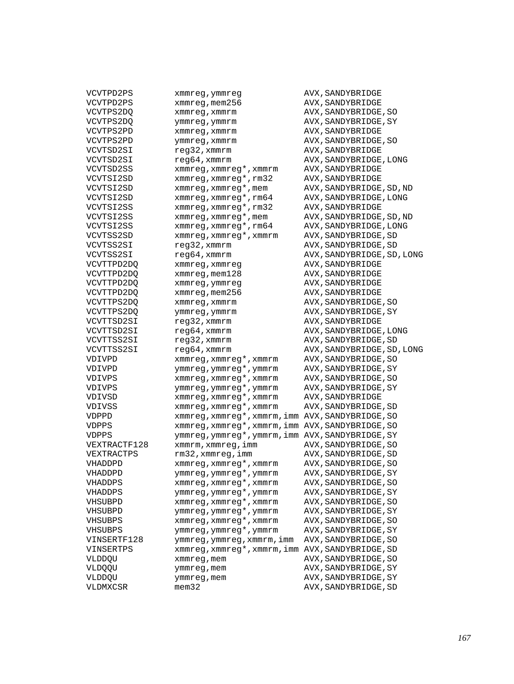| VCVTPD2PS    | xmmreg, ymmreg                                   | AVX, SANDYBRIDGE           |
|--------------|--------------------------------------------------|----------------------------|
| VCVTPD2PS    | xmmreg, mem256                                   | AVX, SANDYBRIDGE           |
| VCVTPS2DQ    | xmmreg, xmmrm                                    | AVX, SANDYBRIDGE, SO       |
| VCVTPS2DQ    | ymmreg, ymmrm                                    | AVX, SANDYBRIDGE, SY       |
| VCVTPS2PD    | xmmreg, xmmrm                                    | AVX, SANDYBRIDGE           |
| VCVTPS2PD    | ymmreg, xmmrm                                    | AVX, SANDYBRIDGE, SO       |
| VCVTSD2SI    | reg32, xmmrm                                     | AVX, SANDYBRIDGE           |
| VCVTSD2SI    | reg64, xmmrm                                     | AVX, SANDYBRIDGE, LONG     |
| VCVTSD2SS    | xmmreg, xmmreg*, xmmrm                           | AVX, SANDYBRIDGE           |
| VCVTSI2SD    | xmmreg, xmmreg*, rm32                            | AVX, SANDYBRIDGE           |
| VCVTSI2SD    | xmmreg, xmmreg*, mem                             | AVX, SANDYBRIDGE, SD, ND   |
| VCVTSI2SD    | xmmreq, xmmreq*, rm64                            | AVX, SANDYBRIDGE, LONG     |
| VCVTSI2SS    | xmmreg, xmmreg*, rm32                            | AVX, SANDYBRIDGE           |
| VCVTSI2SS    | xmmreg, xmmreg*, mem                             | AVX, SANDYBRIDGE, SD, ND   |
|              | xmmreg, xmmreg*, rm64                            |                            |
| VCVTSI2SS    |                                                  | AVX, SANDYBRIDGE, LONG     |
| VCVTSS2SD    | xmmreg, xmmreg*, xmmrm                           | AVX, SANDYBRIDGE, SD       |
| VCVTSS2SI    | reg32, xmmrm                                     | AVX, SANDYBRIDGE, SD       |
| VCVTSS2SI    | $req64$ , xmm $rm$                               | AVX, SANDYBRIDGE, SD, LONG |
| VCVTTPD2DQ   | xmmreg, xmmreg                                   | AVX, SANDYBRIDGE           |
| VCVTTPD2DQ   | xmmreg, mem128                                   | AVX, SANDYBRIDGE           |
| VCVTTPD2DQ   | xmmreg, ymmreg                                   | AVX, SANDYBRIDGE           |
| VCVTTPD2DQ   | xmmreg, mem256                                   | AVX, SANDYBRIDGE           |
| VCVTTPS2DQ   | xmmreg, xmmrm                                    | AVX, SANDYBRIDGE, SO       |
| VCVTTPS2DO   | ymmreg, ymmrm                                    | AVX, SANDYBRIDGE, SY       |
| VCVTTSD2SI   | reg32, xmmrm                                     | AVX, SANDYBRIDGE           |
| VCVTTSD2SI   | reg64, xmmrm                                     | AVX, SANDYBRIDGE, LONG     |
| VCVTTSS2SI   | reg32, xmmrm                                     | AVX, SANDYBRIDGE, SD       |
| VCVTTSS2SI   | reg64, xmmrm                                     | AVX, SANDYBRIDGE, SD, LONG |
| VDIVPD       | xmmreg, xmmreg*, xmmrm                           | AVX, SANDYBRIDGE, SO       |
| VDIVPD       | ymmreg, ymmreg*, ymmrm                           | AVX, SANDYBRIDGE, SY       |
| VDIVPS       | xmmreg, xmmreg*, xmmrm                           | AVX, SANDYBRIDGE, SO       |
| VDIVPS       | ymmreg, ymmreg*, ymmrm                           | AVX, SANDYBRIDGE, SY       |
| VDIVSD       | xmmreg, xmmreg*, xmmrm                           | AVX, SANDYBRIDGE           |
| VDIVSS       | xmmreg, xmmreg*, xmmrm                           | AVX, SANDYBRIDGE, SD       |
| VDPPD        | xmmreg, xmmreg*, xmmrm, imm                      | AVX, SANDYBRIDGE, SO       |
| VDPPS        | xmmreg, xmmreg*, xmmrm, imm AVX, SANDYBRIDGE, SO |                            |
| VDPPS        | ymmreg, ymmreg*, ymmrm, imm AVX, SANDYBRIDGE, SY |                            |
| VEXTRACTF128 | xmmrm, xmmreg, imm                               | AVX, SANDYBRIDGE, SO       |
| VEXTRACTPS   | rm32, xmmreq, imm                                | AVX, SANDYBRIDGE, SD       |
| VHADDPD      | xmmreg, xmmreg*, xmmrm                           | AVX, SANDYBRIDGE, SO       |
| VHADDPD      | ymmreg, ymmreg*, ymmrm                           | AVX, SANDYBRIDGE, SY       |
| VHADDPS      | xmmreg, xmmreg*, xmmrm                           | AVX, SANDYBRIDGE, SO       |
| VHADDPS      | ymmreg, ymmreg*, ymmrm                           | AVX, SANDYBRIDGE, SY       |
| VHSUBPD      | xmmreg, xmmreg*, xmmrm                           | AVX, SANDYBRIDGE, SO       |
| VHSUBPD      | ymmreg, ymmreg*, ymmrm                           | AVX, SANDYBRIDGE, SY       |
| VHSUBPS      | xmmreg, xmmreg*, xmmrm                           | AVX, SANDYBRIDGE, SO       |
| VHSUBPS      | ymmreg, ymmreg*, ymmrm                           | AVX, SANDYBRIDGE, SY       |
| VINSERTF128  | ymmreg,ymmreg,xmmrm,imm                          | AVX, SANDYBRIDGE, SO       |
| VINSERTPS    | xmmreq, xmmreq*, xmmrm, imm                      | AVX, SANDYBRIDGE, SD       |
| VLDDQU       | xmmreg, mem                                      | AVX, SANDYBRIDGE, SO       |
| VLDQQU       | ymmreg, mem                                      | AVX, SANDYBRIDGE, SY       |
| VLDDQU       | ymmreg, mem                                      | AVX, SANDYBRIDGE, SY       |
| VLDMXCSR     | $m$ em $32$                                      | AVX, SANDYBRIDGE, SD       |
|              |                                                  |                            |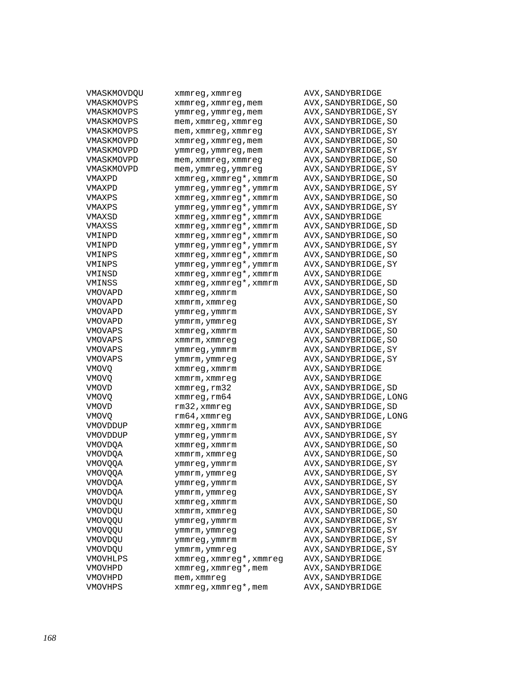| VMASKMOVDQU    | xmmreg,xmmreg             | AVX, SANDYBRIDGE       |
|----------------|---------------------------|------------------------|
| VMASKMOVPS     | xmmreg,xmmreg,mem         | AVX, SANDYBRIDGE, SO   |
| VMASKMOVPS     | ymmreg, ymmreg, mem       | AVX, SANDYBRIDGE, SY   |
| VMASKMOVPS     | mem, xmmreg, xmmreg       | AVX, SANDYBRIDGE, SO   |
| VMASKMOVPS     | mem, xmmreg, xmmreg       | AVX, SANDYBRIDGE, SY   |
| VMASKMOVPD     | xmmreg, xmmreg, mem       | AVX, SANDYBRIDGE, SO   |
| VMASKMOVPD     | ymmreg, ymmreg, mem       | AVX, SANDYBRIDGE, SY   |
| VMASKMOVPD     | mem, xmmreg, xmmreg       | AVX, SANDYBRIDGE, SO   |
| VMASKMOVPD     | mem, ymmreg, ymmreg       | AVX, SANDYBRIDGE, SY   |
| VMAXPD         | xmmreg, xmmreg*, xmmrm    | AVX, SANDYBRIDGE, SO   |
| VMAXPD         | ymmreg, ymmreg*, ymmrm    | AVX, SANDYBRIDGE, SY   |
| VMAXPS         | xmmreg, xmmreg*, xmmrm    | AVX, SANDYBRIDGE, SO   |
| VMAXPS         | ymmreg, ymmreg*, ymmrm    | AVX, SANDYBRIDGE, SY   |
| VMAXSD         | xmmreg, xmmreg*, xmmrm    | AVX, SANDYBRIDGE       |
| VMAXSS         | xmmreg, xmmreg*, xmmrm    | AVX, SANDYBRIDGE, SD   |
| VMINPD         | xmmreg, xmmreg*, xmmrm    | AVX, SANDYBRIDGE, SO   |
| VMINPD         | ymmreg, ymmreg*, ymmrm    | AVX, SANDYBRIDGE, SY   |
|                | xmmreg, xmmreg*, xmmrm    |                        |
| VMINPS         | ymmreg, ymmreg*, ymmrm    | AVX, SANDYBRIDGE, SO   |
| VMINPS         |                           | AVX, SANDYBRIDGE, SY   |
| VMINSD         | xmmreg, xmmreg*, xmmrm    | AVX, SANDYBRIDGE       |
| VMINSS         | xmmreg, xmmreg*, xmmrm    | AVX, SANDYBRIDGE, SD   |
| VMOVAPD        | xmmreg, xmmrm             | AVX, SANDYBRIDGE, SO   |
| VMOVAPD        | xmmrm, xmmreg             | AVX, SANDYBRIDGE, SO   |
| VMOVAPD        | ymmreg, ymmrm             | AVX, SANDYBRIDGE, SY   |
| VMOVAPD        | ymmrm,ymmreg              | AVX, SANDYBRIDGE, SY   |
| VMOVAPS        | xmmreg,xmmrm              | AVX, SANDYBRIDGE, SO   |
| VMOVAPS        | xmmrm, xmmreg             | AVX, SANDYBRIDGE, SO   |
| VMOVAPS        | ymmreg, ymmrm             | AVX, SANDYBRIDGE, SY   |
| VMOVAPS        | ymmrm, ymmreg             | AVX, SANDYBRIDGE, SY   |
| VMOVQ          | xmmreg, xmmrm             | AVX, SANDYBRIDGE       |
| VMOVQ          | xmmrm, xmmreg             | AVX, SANDYBRIDGE       |
| VMOVD          | xmmreg, rm32              | AVX, SANDYBRIDGE, SD   |
| VMOVQ          | $x$ mm $x$ eq, $x$ m $64$ | AVX, SANDYBRIDGE, LONG |
| VMOVD          | rm32, xmmreg              | AVX, SANDYBRIDGE, SD   |
| VMOVQ          | rm64,xmmreg               | AVX, SANDYBRIDGE, LONG |
| VMOVDDUP       | xmmreq, xmmrm             | AVX, SANDYBRIDGE       |
| VMOVDDUP       | ymmreg, ymmrm             | AVX, SANDYBRIDGE, SY   |
| VMOVDQA        | xmmreg, xmmrm             | AVX, SANDYBRIDGE, SO   |
| VMOVDQA        | xmmrm, xmmreg             | AVX, SANDYBRIDGE, SO   |
| VMOVQQA        | ymmreg,ymmrm              | AVX, SANDYBRIDGE, SY   |
| <b>VMOVQQA</b> | ymmrm,ymmreg              | AVX, SANDYBRIDGE, SY   |
| VMOVDQA        | ymmreg,ymmrm              | AVX, SANDYBRIDGE, SY   |
| VMOVDQA        | ymmrm,ymmreg              | AVX, SANDYBRIDGE, SY   |
| VMOVDQU        | xmmreq, xmmrm             | AVX, SANDYBRIDGE, SO   |
| VMOVDQU        | xmmrm, xmmreg             | AVX, SANDYBRIDGE, SO   |
| VMOVQQU        | ymmreg, ymmrm             | AVX, SANDYBRIDGE, SY   |
| VMOVQQU        | ymmrm, ymmreg             | AVX, SANDYBRIDGE, SY   |
| VMOVDQU        | ymmreg, ymmrm             | AVX, SANDYBRIDGE, SY   |
| VMOVDQU        | ymmrm, ymmreg             | AVX, SANDYBRIDGE, SY   |
| VMOVHLPS       | xmmreg, xmmreg*, xmmreg   | AVX, SANDYBRIDGE       |
| VMOVHPD        | xmmreg, xmmreg*, mem      | AVX, SANDYBRIDGE       |
| VMOVHPD        | mem, xmmreg               | AVX, SANDYBRIDGE       |
| VMOVHPS        | xmmreg, xmmreg*, mem      | AVX, SANDYBRIDGE       |
|                |                           |                        |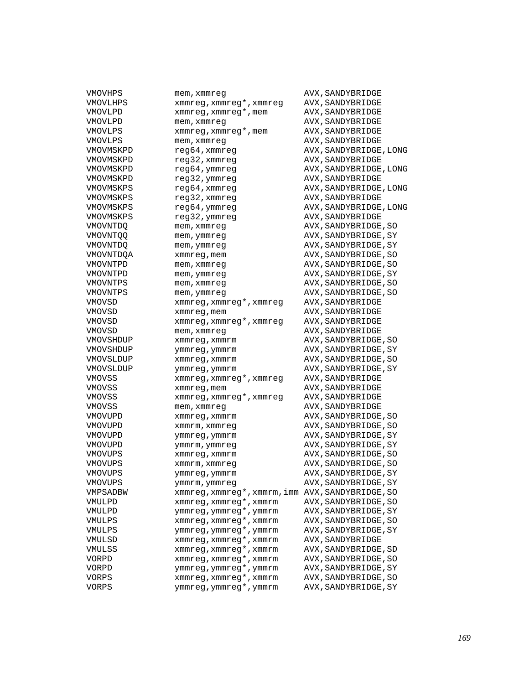| VMOVHPS   | mem, xmmreq                                      | AVX, SANDYBRIDGE       |
|-----------|--------------------------------------------------|------------------------|
| VMOVLHPS  | xmmreg, xmmreg*, xmmreg                          | AVX, SANDYBRIDGE       |
| VMOVLPD   | xmmreg, xmmreg*, mem                             | AVX, SANDYBRIDGE       |
| VMOVLPD   | mem, xmmreg                                      | AVX, SANDYBRIDGE       |
| VMOVLPS   | xmmreg, xmmreg*, mem                             | AVX, SANDYBRIDGE       |
| VMOVLPS   | mem, xmmreg                                      | AVX, SANDYBRIDGE       |
| VMOVMSKPD | reg64, xmmreg                                    | AVX, SANDYBRIDGE, LONG |
| VMOVMSKPD | reg32, xmmreg                                    | AVX, SANDYBRIDGE       |
| VMOVMSKPD | reg64, ymmreg                                    | AVX, SANDYBRIDGE, LONG |
| VMOVMSKPD | reg32, ymmreg                                    | AVX, SANDYBRIDGE       |
| VMOVMSKPS | reg64, xmmreg                                    | AVX, SANDYBRIDGE, LONG |
| VMOVMSKPS | reg32, xmmreg                                    | AVX, SANDYBRIDGE       |
| VMOVMSKPS | reg64, ymmreg                                    | AVX, SANDYBRIDGE, LONG |
| VMOVMSKPS | reg32,ymmreg                                     | AVX, SANDYBRIDGE       |
| VMOVNTDO  |                                                  | AVX, SANDYBRIDGE, SO   |
| VMOVNTOO  | mem,xmmreg                                       | AVX, SANDYBRIDGE, SY   |
|           | mem,ymmreg                                       |                        |
| VMOVNTDO  | mem,ymmreg                                       | AVX, SANDYBRIDGE, SY   |
| VMOVNTDQA | xmmreg, mem                                      | AVX, SANDYBRIDGE, SO   |
| VMOVNTPD  | mem,xmmreg                                       | AVX, SANDYBRIDGE, SO   |
| VMOVNTPD  | mem,ymmreg                                       | AVX, SANDYBRIDGE, SY   |
| VMOVNTPS  | mem,xmmreg                                       | AVX, SANDYBRIDGE, SO   |
| VMOVNTPS  | mem, ymmreg                                      | AVX, SANDYBRIDGE, SO   |
| VMOVSD    | xmmreg, xmmreg*, xmmreg                          | AVX, SANDYBRIDGE       |
| VMOVSD    | xmmreg, mem                                      | AVX, SANDYBRIDGE       |
| VMOVSD    | xmmreq, xmmreq*, xmmreq                          | AVX, SANDYBRIDGE       |
| VMOVSD    | mem,xmmreg                                       | AVX, SANDYBRIDGE       |
| VMOVSHDUP | xmmreg, xmmrm                                    | AVX, SANDYBRIDGE, SO   |
| VMOVSHDUP | ymmreg, ymmrm                                    | AVX, SANDYBRIDGE, SY   |
| VMOVSLDUP | xmmreg, xmmrm                                    | AVX, SANDYBRIDGE, SO   |
| VMOVSLDUP | ymmreg, ymmrm                                    | AVX, SANDYBRIDGE, SY   |
| VMOVSS    | xmmreg, xmmreg*, xmmreg                          | AVX, SANDYBRIDGE       |
| VMOVSS    | xmmreg, mem                                      | AVX, SANDYBRIDGE       |
| VMOVSS    | xmmreg, xmmreg*, xmmreg                          | AVX, SANDYBRIDGE       |
| VMOVSS    | mem,xmmreg                                       | AVX, SANDYBRIDGE       |
| VMOVUPD   | xmmreg, xmmrm                                    | AVX, SANDYBRIDGE, SO   |
| VMOVUPD   | xmmrm, xmmreg                                    | AVX, SANDYBRIDGE, SO   |
| VMOVUPD   | ymmreg, ymmrm                                    | AVX, SANDYBRIDGE, SY   |
| VMOVUPD   | ymmrm,ymmreg                                     | AVX, SANDYBRIDGE, SY   |
| VMOVUPS   | xmmreg, xmmrm                                    | AVX, SANDYBRIDGE, SO   |
| VMOVUPS   | xmmrm, xmmreq                                    | AVX, SANDYBRIDGE, SO   |
| VMOVUPS   | ymmreg, ymmrm                                    | AVX, SANDYBRIDGE, SY   |
| VMOVUPS   | ymmrm,ymmreg                                     | AVX, SANDYBRIDGE, SY   |
| VMPSADBW  | xmmreg, xmmreg*, xmmrm, imm AVX, SANDYBRIDGE, SO |                        |
| VMULPD    | xmmreg, xmmreg*, xmmrm                           | AVX, SANDYBRIDGE, SO   |
| VMULPD    | ymmreg, ymmreg*, ymmrm                           | AVX, SANDYBRIDGE, SY   |
| VMULPS    | xmmreg, xmmreg*, xmmrm                           | AVX, SANDYBRIDGE, SO   |
| VMULPS    | ymmreg, ymmreg*, ymmrm                           | AVX, SANDYBRIDGE, SY   |
| VMULSD    | xmmreq, xmmreq*, xmmrm                           | AVX, SANDYBRIDGE       |
| VMULSS    | xmmreg, xmmreg*, xmmrm                           | AVX, SANDYBRIDGE, SD   |
| VORPD     | xmmreg, xmmreg*, xmmrm                           | AVX, SANDYBRIDGE, SO   |
| VORPD     | ymmreg, ymmreg*, ymmrm                           | AVX, SANDYBRIDGE, SY   |
| VORPS     | xmmreg, xmmreg*, xmmrm                           | AVX, SANDYBRIDGE, SO   |
|           | ymmreg, ymmreg*, ymmrm                           | AVX, SANDYBRIDGE, SY   |
| VORPS     |                                                  |                        |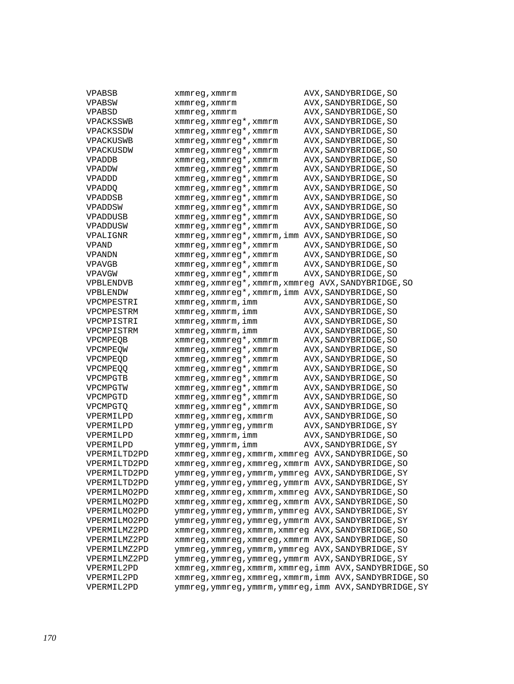| VPABSB       | xmmreg,xmmrm                                            | AVX, SANDYBRIDGE, SO                                    |
|--------------|---------------------------------------------------------|---------------------------------------------------------|
| VPABSW       | xmmreg,xmmrm                                            | AVX, SANDYBRIDGE, SO                                    |
| VPABSD       | xmmreg, xmmrm                                           | AVX, SANDYBRIDGE, SO                                    |
| VPACKSSWB    | xmmreg, xmmreg*, xmmrm                                  | AVX, SANDYBRIDGE, SO                                    |
| VPACKSSDW    | xmmreg, xmmreg*, xmmrm                                  | AVX, SANDYBRIDGE, SO                                    |
| VPACKUSWB    | xmmreg, xmmreg*, xmmrm                                  | AVX, SANDYBRIDGE, SO                                    |
| VPACKUSDW    | xmmreg, xmmreg*, xmmrm                                  | AVX, SANDYBRIDGE, SO                                    |
| VPADDB       | xmmreg, xmmreg*, xmmrm                                  | AVX, SANDYBRIDGE, SO                                    |
| VPADDW       | xmmreg, xmmreg*, xmmrm                                  | AVX, SANDYBRIDGE, SO                                    |
| VPADDD       | xmmreg, xmmreg*, xmmrm                                  | AVX, SANDYBRIDGE, SO                                    |
| VPADDQ       | xmmreg, xmmreg*, xmmrm                                  | AVX, SANDYBRIDGE, SO                                    |
| VPADDSB      | xmmreg, xmmreg*, xmmrm                                  | AVX, SANDYBRIDGE, SO                                    |
| VPADDSW      | xmmreg, xmmreg*, xmmrm                                  | AVX, SANDYBRIDGE, SO                                    |
| VPADDUSB     |                                                         | AVX, SANDYBRIDGE, SO                                    |
|              | xmmreg, xmmreg*, xmmrm                                  |                                                         |
| VPADDUSW     | xmmreg, xmmreg*, xmmrm                                  | AVX, SANDYBRIDGE, SO                                    |
| VPALIGNR     | xmmreg, xmmreg*, xmmrm, imm AVX, SANDYBRIDGE, SO        |                                                         |
| VPAND        | xmmreg, xmmreg*, xmmrm                                  | AVX, SANDYBRIDGE, SO                                    |
| VPANDN       | xmmreg, xmmreg*, xmmrm                                  | AVX, SANDYBRIDGE, SO                                    |
| VPAVGB       | xmmreg, xmmreg*, xmmrm                                  | AVX, SANDYBRIDGE, SO                                    |
| VPAVGW       | xmmreg, xmmreg*, xmmrm                                  | AVX, SANDYBRIDGE, SO                                    |
| VPBLENDVB    | xmmreq, xmmreq*, xmmrm, xmmreq AVX, SANDYBRIDGE, SO     |                                                         |
| VPBLENDW     | xmmreg, xmmreg*, xmmrm, imm AVX, SANDYBRIDGE, SO        |                                                         |
| VPCMPESTRI   | xmmreg, xmmrm, imm                                      | AVX, SANDYBRIDGE, SO                                    |
| VPCMPESTRM   | xmmreg, xmmrm, imm                                      | AVX, SANDYBRIDGE, SO                                    |
| VPCMPISTRI   | xmmreg, xmmrm, imm                                      | AVX, SANDYBRIDGE, SO                                    |
| VPCMPISTRM   | xmmreg, xmmrm, imm                                      | AVX, SANDYBRIDGE, SO                                    |
| VPCMPEQB     | xmmreg, xmmreg*, xmmrm                                  | AVX, SANDYBRIDGE, SO                                    |
| VPCMPEQW     | xmmreg, xmmreg*, xmmrm                                  | AVX, SANDYBRIDGE, SO                                    |
| VPCMPEOD     | xmmreg, xmmreg*, xmmrm                                  | AVX, SANDYBRIDGE, SO                                    |
| VPCMPEOO     | xmmreg, xmmreg*, xmmrm                                  | AVX, SANDYBRIDGE, SO                                    |
| VPCMPGTB     | xmmreg, xmmreg*, xmmrm                                  | AVX, SANDYBRIDGE, SO                                    |
| VPCMPGTW     | xmmreg, xmmreg*, xmmrm                                  | AVX, SANDYBRIDGE, SO                                    |
| VPCMPGTD     | xmmreg, xmmreg*, xmmrm                                  | AVX, SANDYBRIDGE, SO                                    |
| VPCMPGTQ     | xmmreg, xmmreg*, xmmrm                                  | AVX, SANDYBRIDGE, SO                                    |
| VPERMILPD    | xmmreg, xmmreg, xmmrm                                   | AVX, SANDYBRIDGE, SO                                    |
| VPERMILPD    | ymmreg, ymmreg, ymmrm                                   | AVX, SANDYBRIDGE, SY                                    |
| VPERMILPD    | xmmreg, xmmrm, imm                                      | AVX, SANDYBRIDGE, SO                                    |
| VPERMILPD    | ymmreg, ymmrm, imm                                      | AVX, SANDYBRIDGE, SY                                    |
| VPERMILTD2PD | xmmreg, xmmreg, xmmrm, xmmreg AVX, SANDYBRIDGE, SO      |                                                         |
| VPERMILTD2PD | xmmreg, xmmreg, xmmreg, xmmrm AVX, SANDYBRIDGE, SO      |                                                         |
| VPERMILTD2PD | ymmreg, ymmreg, ymmrm, ymmreg AVX, SANDYBRIDGE, SY      |                                                         |
| VPERMILTD2PD | ymmreg, ymmreg, ymmreg, ymmrm AVX, SANDYBRIDGE, SY      |                                                         |
| VPERMILMO2PD | xmmreg, xmmreg, xmmrm, xmmreg AVX, SANDYBRIDGE, SO      |                                                         |
| VPERMILMO2PD | xmmreg, xmmreg, xmmreg, xmmrm AVX, SANDYBRIDGE, SO      |                                                         |
| VPERMILMO2PD | ymmreg, ymmreg, ymmrm, ymmreg AVX, SANDYBRIDGE, SY      |                                                         |
| VPERMILMO2PD | ymmreg, ymmreg, ymmreg, ymmrm AVX, SANDYBRIDGE, SY      |                                                         |
| VPERMILMZ2PD | xmmreg, xmmreg, xmmrm, xmmreg AVX, SANDYBRIDGE, SO      |                                                         |
| VPERMILMZ2PD |                                                         |                                                         |
|              | xmmreg, xmmreg, xmmreg, xmmrm AVX, SANDYBRIDGE, SO      |                                                         |
| VPERMILMZ2PD | ymmreg, ymmreg, ymmrm, ymmreg AVX, SANDYBRIDGE, SY      |                                                         |
| VPERMILMZ2PD | ymmreg, ymmreg, ymmreg, ymmrm AVX, SANDYBRIDGE, SY      |                                                         |
| VPERMIL2PD   | xmmreg, xmmreg, xmmrm, xmmreg, imm AVX, SANDYBRIDGE, SO |                                                         |
| VPERMIL2PD   | xmmreg, xmmreg, xmmreg, xmmrm, imm AVX, SANDYBRIDGE, SO |                                                         |
| VPERMIL2PD   |                                                         | ymmreg, ymmreg, ymmrm, ymmreg, imm AVX, SANDYBRIDGE, SY |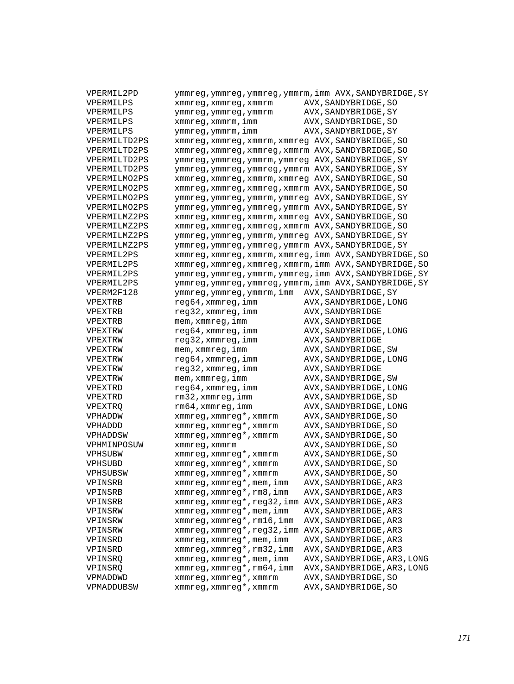| VPERMIL2PD   |                                                    | ymmreg, ymmreg, ymmreg, ymmrm, imm AVX, SANDYBRIDGE, SY |
|--------------|----------------------------------------------------|---------------------------------------------------------|
| VPERMILPS    | xmmreg, xmmreg, xmmrm                              | AVX, SANDYBRIDGE, SO                                    |
| VPERMILPS    | ymmreg, ymmreg, ymmrm                              | AVX, SANDYBRIDGE, SY                                    |
| VPERMILPS    | xmmreg, xmmrm, imm                                 | AVX, SANDYBRIDGE, SO                                    |
| VPERMILPS    | ymmreg, ymmrm, imm                                 | AVX, SANDYBRIDGE, SY                                    |
| VPERMILTD2PS | xmmreg, xmmreg, xmmrm, xmmreg AVX, SANDYBRIDGE, SO |                                                         |
| VPERMILTD2PS | xmmreg, xmmreg, xmmreg, xmmrm AVX, SANDYBRIDGE, SO |                                                         |
| VPERMILTD2PS | ymmreg, ymmreg, ymmrm, ymmreg AVX, SANDYBRIDGE, SY |                                                         |
| VPERMILTD2PS | ymmreg, ymmreg, ymmreg, ymmrm AVX, SANDYBRIDGE, SY |                                                         |
| VPERMILMO2PS | xmmreg, xmmreg, xmmrm, xmmreg AVX, SANDYBRIDGE, SO |                                                         |
| VPERMILMO2PS | xmmreg, xmmreg, xmmreg, xmmrm AVX, SANDYBRIDGE, SO |                                                         |
| VPERMILMO2PS | ymmreg, ymmreg, ymmrm, ymmreg AVX, SANDYBRIDGE, SY |                                                         |
| VPERMILMO2PS | ymmreg, ymmreg, ymmreg, ymmrm AVX, SANDYBRIDGE, SY |                                                         |
| VPERMILMZ2PS | xmmreg, xmmreg, xmmrm, xmmreg AVX, SANDYBRIDGE, SO |                                                         |
| VPERMILMZ2PS | xmmreg, xmmreg, xmmreg, xmmrm AVX, SANDYBRIDGE, SO |                                                         |
| VPERMILMZ2PS | ymmreg, ymmreg, ymmrm, ymmreg AVX, SANDYBRIDGE, SY |                                                         |
| VPERMILMZ2PS | ymmreg, ymmreg, ymmreg, ymmrm AVX, SANDYBRIDGE, SY |                                                         |
| VPERMIL2PS   |                                                    | xmmreg, xmmreg, xmmrm, xmmreg, imm AVX, SANDYBRIDGE, SO |
| VPERMIL2PS   |                                                    | xmmreg, xmmreg, xmmreg, xmmrm, imm AVX, SANDYBRIDGE, SO |
| VPERMIL2PS   |                                                    | ymmreg, ymmreg, ymmrm, ymmreg, imm AVX, SANDYBRIDGE, SY |
| VPERMIL2PS   |                                                    | ymmreg, ymmreg, ymmreg, ymmrm, imm AVX, SANDYBRIDGE, SY |
| VPERM2F128   | ymmreg,ymmreg,ymmrm,imm                            | AVX, SANDYBRIDGE, SY                                    |
| VPEXTRB      | reg64,xmmreg,imm                                   | AVX, SANDYBRIDGE, LONG                                  |
| VPEXTRB      | reg32, xmmreg, imm                                 | AVX, SANDYBRIDGE                                        |
| VPEXTRB      | mem, xmmreg, imm                                   | AVX, SANDYBRIDGE                                        |
| VPEXTRW      | reg64, xmmreg, imm                                 | AVX, SANDYBRIDGE, LONG                                  |
| VPEXTRW      | reg32, xmmreg, imm                                 | AVX, SANDYBRIDGE                                        |
| VPEXTRW      | mem, xmmreg, imm                                   | AVX, SANDYBRIDGE, SW                                    |
| VPEXTRW      | reg64, xmmreg, imm                                 | AVX, SANDYBRIDGE, LONG                                  |
| VPEXTRW      | reg32, xmmreg, imm                                 | AVX, SANDYBRIDGE                                        |
| VPEXTRW      | mem, xmmreg, imm                                   | AVX, SANDYBRIDGE, SW                                    |
| VPEXTRD      | reg64, xmmreg, imm                                 | AVX, SANDYBRIDGE, LONG                                  |
| VPEXTRD      | rm32, xmmreg, imm                                  | AVX, SANDYBRIDGE, SD                                    |
| VPEXTRQ      | rm64, xmmreg, imm                                  | AVX, SANDYBRIDGE, LONG                                  |
| VPHADDW      | xmmreg, xmmreg*, xmmrm                             | AVX, SANDYBRIDGE, SO                                    |
| VPHADDD      | xmmreg, xmmreg*, xmmrm                             | AVX, SANDYBRIDGE, SO                                    |
| VPHADDSW     | xmmreg, xmmreg*, xmmrm                             | AVX, SANDYBRIDGE, SO                                    |
| VPHMINPOSUW  | xmmreq, xmmrm                                      | AVX, SANDYBRIDGE, SO                                    |
| VPHSUBW      | xmmreg, xmmreg*, xmmrm                             | AVX, SANDYBRIDGE, SO                                    |
| VPHSUBD      | xmmreg, xmmreg*, xmmrm                             | AVX, SANDYBRIDGE, SO                                    |
| VPHSUBSW     | xmmreg, xmmreg*, xmmrm                             | AVX, SANDYBRIDGE, SO                                    |
| VPINSRB      | xmmreg, xmmreg*, mem, imm                          | AVX, SANDYBRIDGE, AR3                                   |
| VPINSRB      | xmmreg, xmmreg*, rm8, imm                          | AVX, SANDYBRIDGE, AR3                                   |
| VPINSRB      | xmmreg, xmmreg*, reg32, imm AVX, SANDYBRIDGE, AR3  |                                                         |
| VPINSRW      | $xmmreg$ , $xmmreg*$ , $mem$ , $imm$               | AVX, SANDYBRIDGE, AR3                                   |
| VPINSRW      | xmmreg, xmmreg*, rm16, imm                         | AVX, SANDYBRIDGE, AR3                                   |
| VPINSRW      | xmmreg, xmmreg*, reg32, imm AVX, SANDYBRIDGE, AR3  |                                                         |
| VPINSRD      | xmmreg, xmmreg*, mem, imm                          | AVX, SANDYBRIDGE, AR3                                   |
| VPINSRD      | xmmreg, xmmreg*, rm32, imm                         | AVX, SANDYBRIDGE, AR3                                   |
| VPINSRQ      | xmmreg, xmmreg*, mem, imm                          | AVX, SANDYBRIDGE, AR3, LONG                             |
| VPINSRQ      | xmmreq, xmmreq*, rm64, imm                         | AVX, SANDYBRIDGE, AR3, LONG                             |
| VPMADDWD     | xmmreg, xmmreg*, xmmrm                             | AVX, SANDYBRIDGE, SO                                    |
| VPMADDUBSW   | xmmreg, xmmreg*, xmmrm                             | AVX, SANDYBRIDGE, SO                                    |
|              |                                                    |                                                         |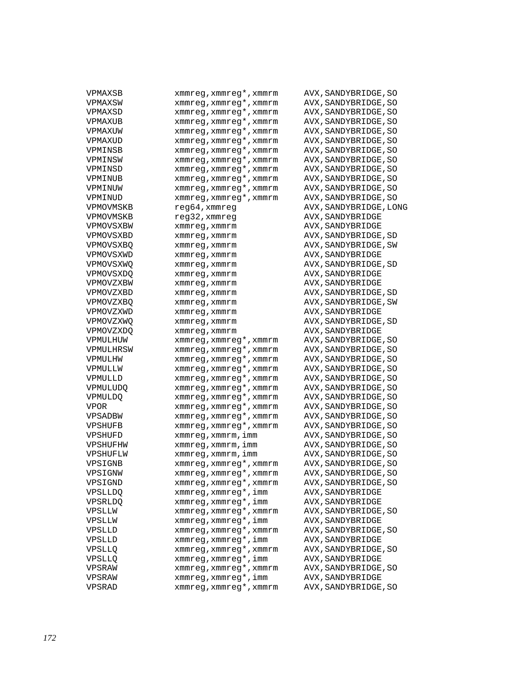| VPMAXSB        | xmmreg, xmmreg*, xmmrm | AVX, SANDYBRIDGE, SO   |
|----------------|------------------------|------------------------|
| VPMAXSW        | xmmreg, xmmreg*, xmmrm | AVX, SANDYBRIDGE, SO   |
| VPMAXSD        | xmmreg, xmmreg*, xmmrm | AVX, SANDYBRIDGE, SO   |
| VPMAXUB        | xmmreg, xmmreg*, xmmrm | AVX, SANDYBRIDGE, SO   |
| VPMAXUW        | xmmreg, xmmreg*, xmmrm | AVX, SANDYBRIDGE, SO   |
| VPMAXUD        | xmmreg, xmmreg*, xmmrm | AVX, SANDYBRIDGE, SO   |
| VPMINSB        | xmmreg, xmmreg*, xmmrm | AVX, SANDYBRIDGE, SO   |
| VPMINSW        | xmmreg, xmmreg*, xmmrm | AVX, SANDYBRIDGE, SO   |
| VPMINSD        | xmmreg, xmmreg*, xmmrm | AVX, SANDYBRIDGE, SO   |
| VPMINUB        | xmmreg, xmmreg*, xmmrm | AVX, SANDYBRIDGE, SO   |
| VPMINUW        | xmmreg, xmmreg*, xmmrm | AVX, SANDYBRIDGE, SO   |
| VPMINUD        | xmmreg, xmmreg*, xmmrm | AVX, SANDYBRIDGE, SO   |
| VPMOVMSKB      | reg64,xmmreg           | AVX, SANDYBRIDGE, LONG |
| VPMOVMSKB      | reg32, xmmreg          | AVX, SANDYBRIDGE       |
| VPMOVSXBW      | xmmreg,xmmrm           | AVX, SANDYBRIDGE       |
| VPMOVSXBD      | xmmreg, xmmrm          | AVX, SANDYBRIDGE, SD   |
| VPMOVSXBQ      | xmmreg, xmmrm          | AVX, SANDYBRIDGE, SW   |
| VPMOVSXWD      | xmmreg, xmmrm          | AVX, SANDYBRIDGE       |
| VPMOVSXWQ      | xmmreg, xmmrm          | AVX, SANDYBRIDGE, SD   |
| VPMOVSXDO      | xmmreg, xmmrm          | AVX, SANDYBRIDGE       |
| VPMOVZXBW      | xmmreg, xmmrm          | AVX, SANDYBRIDGE       |
| VPMOVZXBD      | xmmreg, xmmrm          | AVX, SANDYBRIDGE, SD   |
| VPMOVZXBQ      | xmmreg, xmmrm          | AVX, SANDYBRIDGE, SW   |
| VPMOVZXWD      | xmmreq, xmmrm          | AVX, SANDYBRIDGE       |
| VPMOVZXWQ      | xmmreg, xmmrm          | AVX, SANDYBRIDGE, SD   |
| VPMOVZXDQ      | xmmreg, xmmrm          | AVX, SANDYBRIDGE       |
| VPMULHUW       | xmmreg, xmmreg*, xmmrm | AVX, SANDYBRIDGE, SO   |
| VPMULHRSW      | xmmreg, xmmreg*, xmmrm | AVX, SANDYBRIDGE, SO   |
| VPMULHW        | xmmreg, xmmreg*, xmmrm | AVX, SANDYBRIDGE, SO   |
| VPMULLW        | xmmreg, xmmreg*, xmmrm | AVX, SANDYBRIDGE, SO   |
| VPMULLD        | xmmreg, xmmreg*, xmmrm | AVX, SANDYBRIDGE, SO   |
| VPMULUDQ       | xmmreg, xmmreg*, xmmrm | AVX, SANDYBRIDGE, SO   |
| VPMULDO        | xmmreg, xmmreg*, xmmrm | AVX, SANDYBRIDGE, SO   |
| <b>VPOR</b>    | xmmreg, xmmreg*, xmmrm | AVX, SANDYBRIDGE, SO   |
| VPSADBW        | xmmreg, xmmreg*, xmmrm | AVX, SANDYBRIDGE, SO   |
| VPSHUFB        | xmmreg, xmmreg*, xmmrm | AVX, SANDYBRIDGE, SO   |
| VPSHUFD        | xmmreg, xmmrm, imm     | AVX, SANDYBRIDGE, SO   |
| VPSHUFHW       | xmmreg, xmmrm, imm     | AVX, SANDYBRIDGE, SO   |
| VPSHUFLW       | xmmreq, xmmrm, imm     | AVX, SANDYBRIDGE, SO   |
| VPSIGNB        | xmmreg, xmmreg*, xmmrm | AVX, SANDYBRIDGE, SO   |
| VPSIGNW        | xmmreg, xmmreg*, xmmrm | AVX, SANDYBRIDGE, SO   |
| VPSIGND        | xmmreg, xmmreg*, xmmrm | AVX, SANDYBRIDGE, SO   |
| <b>VPSLLDQ</b> | xmmreg, xmmreg*, imm   | AVX, SANDYBRIDGE       |
| VPSRLDQ        | xmmreg, xmmreg*, imm   | AVX, SANDYBRIDGE       |
| VPSLLW         | xmmreg, xmmreg*, xmmrm | AVX, SANDYBRIDGE, SO   |
| VPSLLW         | xmmreg, xmmreg*, imm   | AVX, SANDYBRIDGE       |
| VPSLLD         | xmmreg, xmmreg*, xmmrm | AVX, SANDYBRIDGE, SO   |
| VPSLLD         | xmmreg, xmmreg*, imm   | AVX, SANDYBRIDGE       |
| VPSLLO         | xmmreq, xmmreq*, xmmrm | AVX, SANDYBRIDGE, SO   |
| VPSLLQ         | xmmreq, xmmreq*, imm   | AVX, SANDYBRIDGE       |
| VPSRAW         | xmmreg, xmmreg*, xmmrm | AVX, SANDYBRIDGE, SO   |
| VPSRAW         | xmmreg, xmmreg*, imm   | AVX, SANDYBRIDGE       |
| VPSRAD         | xmmreg, xmmreg*, xmmrm | AVX, SANDYBRIDGE, SO   |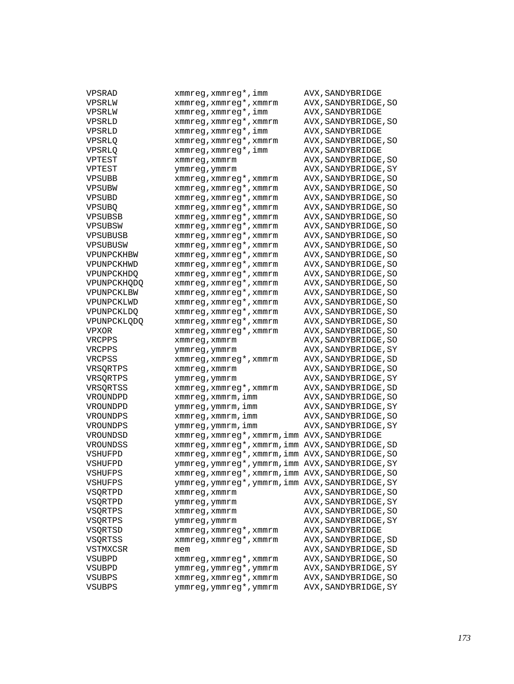| VPSRAD             | xmmreg, xmmreg*, imm                             | AVX, SANDYBRIDGE       |
|--------------------|--------------------------------------------------|------------------------|
| VPSRLW             | xmmreg, xmmreg*, xmmrm                           | AVX, SANDYBRIDGE, SO   |
| VPSRLW             | xmmreg, xmmreg*, imm                             | AVX, SANDYBRIDGE       |
| VPSRLD             | xmmreg, xmmreg*, xmmrm                           | AVX, SANDYBRIDGE, SO   |
| VPSRLD             | xmmreg,xmmreg*,imm                               | AVX, SANDYBRIDGE       |
| VPSRLQ             | xmmreg, xmmreg*, xmmrm                           | AVX, SANDYBRIDGE, SO   |
| VPSRLQ             | xmmreq, xmmreq*, imm                             | AVX, SANDYBRIDGE       |
| VPTEST             | xmmreg, xmmrm                                    | AVX, SANDYBRIDGE, SO   |
| VPTEST             | ymmreg, ymmrm                                    | AVX, SANDYBRIDGE, SY   |
| VPSUBB             | xmmreg, xmmreg*, xmmrm                           | AVX, SANDYBRIDGE, SO   |
| VPSUBW             | xmmreg, xmmreg*, xmmrm                           | AVX, SANDYBRIDGE, SO   |
| VPSUBD             | xmmreg, xmmreg*, xmmrm                           | AVX, SANDYBRIDGE, SO   |
| <b>VPSUBO</b>      | xmmreg, xmmreg*, xmmrm                           | AVX, SANDYBRIDGE, SO   |
| VPSUBSB            | xmmreg, xmmreg*, xmmrm                           | AVX, SANDYBRIDGE, SO   |
| VPSUBSW            | xmmreg, xmmreg*, xmmrm                           | AVX, SANDYBRIDGE, SO   |
| VPSUBUSB           | xmmreg, xmmreg*, xmmrm                           | AVX, SANDYBRIDGE, SO   |
| VPSUBUSW           | xmmreg, xmmreg*, xmmrm                           | AVX, SANDYBRIDGE, SO   |
| VPUNPCKHBW         | xmmreg, xmmreg*, xmmrm                           | AVX, SANDYBRIDGE, SO   |
| VPUNPCKHWD         | xmmreg, xmmreg*, xmmrm                           | AVX, SANDYBRIDGE, SO   |
| VPUNPCKHDQ         | xmmreg, xmmreg*, xmmrm                           | AVX, SANDYBRIDGE, SO   |
| <b>VPUNPCKHODO</b> | xmmreg, xmmreg*, xmmrm                           | AVX, SANDYBRIDGE, SO   |
| VPUNPCKLBW         | xmmreg, xmmreg*, xmmrm                           | AVX, SANDYBRIDGE, SO   |
| VPUNPCKLWD         | xmmreg, xmmreg*, xmmrm                           | AVX, SANDYBRIDGE, SO   |
| VPUNPCKLDQ         | xmmreg, xmmreg*, xmmrm                           | AVX, SANDYBRIDGE, SO   |
| VPUNPCKLODO        | xmmreg, xmmreg*, xmmrm                           | AVX, SANDYBRIDGE, SO   |
| VPXOR              | xmmreg, xmmreg*, xmmrm                           | AVX, SANDYBRIDGE, SO   |
| VRCPPS             | xmmreg, xmmrm                                    | AVX, SANDYBRIDGE, SO   |
| VRCPPS             | ymmreg, ymmrm                                    | AVX , SANDYBRIDGE , SY |
| VRCPSS             | xmmreg, xmmreg*, xmmrm                           | AVX, SANDYBRIDGE, SD   |
| VRSQRTPS           | xmmreg, xmmrm                                    | AVX, SANDYBRIDGE, SO   |
| VRSQRTPS           | ymmreg, ymmrm                                    | AVX, SANDYBRIDGE, SY   |
| VRSQRTSS           | xmmreg, xmmreg*, xmmrm                           | AVX, SANDYBRIDGE, SD   |
| VROUNDPD           | xmmreg, xmmrm, imm                               | AVX, SANDYBRIDGE, SO   |
| VROUNDPD           | ymmreg,ymmrm,imm                                 | AVX , SANDYBRIDGE , SY |
| VROUNDPS           | xmmreg, xmmrm, imm                               | AVX, SANDYBRIDGE, SO   |
| VROUNDPS           | ymmreg, ymmrm, imm                               | AVX, SANDYBRIDGE, SY   |
| VROUNDSD           | xmmreg, xmmreg*, xmmrm, imm AVX, SANDYBRIDGE     |                        |
| VROUNDSS           | xmmreg, xmmreg*, xmmrm, imm AVX, SANDYBRIDGE, SD |                        |
| VSHUFPD            | xmmreg, xmmreg*, xmmrm, imm AVX, SANDYBRIDGE, SO |                        |
| VSHUFPD            | ymmreg, ymmreg*, ymmrm, imm AVX, SANDYBRIDGE, SY |                        |
| VSHUFPS            | xmmreg, xmmreg*, xmmrm, imm AVX, SANDYBRIDGE, SO |                        |
| VSHUFPS            | ymmreg, ymmreg*, ymmrm, imm AVX, SANDYBRIDGE, SY |                        |
| VSQRTPD            | xmmreg, xmmrm                                    | AVX, SANDYBRIDGE, SO   |
| VSQRTPD            | ymmreg, ymmrm                                    | AVX, SANDYBRIDGE, SY   |
| VSQRTPS            | xmmreg, xmmrm                                    | AVX, SANDYBRIDGE, SO   |
| VSQRTPS            | ymmreg, ymmrm                                    | AVX, SANDYBRIDGE, SY   |
| VSQRTSD            | xmmreg, xmmreg*, xmmrm                           | AVX, SANDYBRIDGE       |
| <b>VSORTSS</b>     | xmmreg, xmmreg*, xmmrm                           | AVX, SANDYBRIDGE, SD   |
| VSTMXCSR           | mem                                              | AVX, SANDYBRIDGE, SD   |
|                    | xmmreg, xmmreg*, xmmrm                           | AVX, SANDYBRIDGE, SO   |
| VSUBPD<br>VSUBPD   | ymmreg, ymmreg*, ymmrm                           | AVX, SANDYBRIDGE, SY   |
| VSUBPS             | xmmreg, xmmreg*, xmmrm                           | AVX, SANDYBRIDGE, SO   |
| <b>VSUBPS</b>      | ymmreg, ymmreg*, ymmrm                           | AVX, SANDYBRIDGE, SY   |
|                    |                                                  |                        |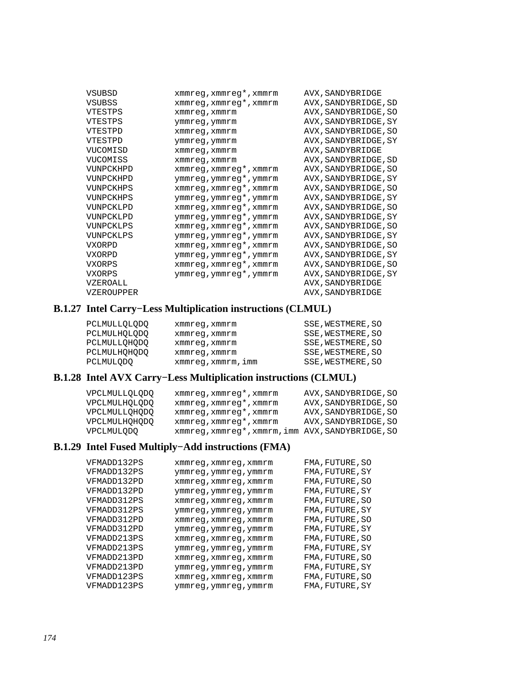| <b>VSUBSD</b> | xmmreg, xmmreg*, xmmrm | AVX, SANDYBRIDGE     |
|---------------|------------------------|----------------------|
| <b>VSUBSS</b> | xmmreg, xmmreg*, xmmrm | AVX, SANDYBRIDGE, SD |
| VTESTPS       | xmmreq, xmmrm          | AVX, SANDYBRIDGE, SO |
| VTESTPS       | ymmreg, ymmrm          | AVX, SANDYBRIDGE, SY |
| VTESTPD       | xmmreq, xmmrm          | AVX, SANDYBRIDGE, SO |
| VTESTPD       | ymmreg, ymmrm          | AVX, SANDYBRIDGE, SY |
| VUCOMISD      | xmmreq, xmmrm          | AVX, SANDYBRIDGE     |
| VUCOMISS      | xmmreg, xmmrm          | AVX, SANDYBRIDGE, SD |
| VUNPCKHPD     | xmmreg, xmmreg*, xmmrm | AVX, SANDYBRIDGE, SO |
| VUNPCKHPD     | ymmreg, ymmreg*, ymmrm | AVX, SANDYBRIDGE, SY |
| VUNPCKHPS     | xmmreg, xmmreg*, xmmrm | AVX, SANDYBRIDGE, SO |
| VUNPCKHPS     | ymmreg, ymmreg*, ymmrm | AVX, SANDYBRIDGE, SY |
| VUNPCKLPD     | xmmreg, xmmreg*, xmmrm | AVX, SANDYBRIDGE, SO |
| VUNPCKLPD     | ymmreg, ymmreg*, ymmrm | AVX, SANDYBRIDGE, SY |
| VUNPCKLPS     | xmmreg, xmmreg*, xmmrm | AVX, SANDYBRIDGE, SO |
| VUNPCKLPS     | ymmreg, ymmreg*, ymmrm | AVX, SANDYBRIDGE, SY |
| VXORPD        | xmmreg, xmmreg*, xmmrm | AVX, SANDYBRIDGE, SO |
| VXORPD        | ymmreg, ymmreg*, ymmrm | AVX, SANDYBRIDGE, SY |
| VXORPS        | xmmreg, xmmreg*, xmmrm | AVX, SANDYBRIDGE, SO |
| VXORPS        | ymmreg, ymmreg*, ymmrm | AVX, SANDYBRIDGE, SY |
| VZEROALL      |                        | AVX, SANDYBRIDGE     |
| VZEROUPPER    |                        | AVX, SANDYBRIDGE     |

## **B.1.27 Intel Carry−Less Multiplication instructions (CLMUL)**

| PCLMULLOLODO | xmmreq, xmmrm      | SSE, WESTMERE, SO |
|--------------|--------------------|-------------------|
| PCLMULHOLODO | xmmreq, xmmrm      | SSE, WESTMERE, SO |
| PCLMULLOHODO | xmmreq, xmmrm      | SSE, WESTMERE, SO |
| PCLMULHOHODO | xmmreq, xmmrm      | SSE, WESTMERE, SO |
| PCLMULODO    | xmmreq, xmmrm, imm | SSE, WESTMERE, SO |

# **B.1.28 Intel AVX Carry−Less Multiplication instructions (CLMUL)**

| VPCLMULLOLODO | xmmreq, xmmreq*, xmmrm                           | AVX, SANDYBRIDGE, SO |
|---------------|--------------------------------------------------|----------------------|
| VPCLMULHOLODO | xmmreg, xmmreg*, xmmrm                           | AVX, SANDYBRIDGE, SO |
| VPCLMULLOHODO | xmmreq, xmmreq*, xmmrm                           | AVX, SANDYBRIDGE, SO |
| VPCLMULHOHODO | xmmreq, xmmreq*, xmmrm                           | AVX, SANDYBRIDGE, SO |
| VPCLMULODO    | xmmreq, xmmreq*, xmmrm, imm AVX, SANDYBRIDGE, SO |                      |

#### **B.1.29 Intel Fused Multiply−Add instructions (FMA)**

| VFMADD132PS | xmmreg, xmmreg, xmmrm | FMA, FUTURE, SO |
|-------------|-----------------------|-----------------|
| VFMADD132PS | ymmreg, ymmreg, ymmrm | FMA, FUTURE, SY |
| VFMADD132PD | xmmreq, xmmreq, xmmrm | FMA, FUTURE, SO |
| VFMADD132PD | ymmreg, ymmreg, ymmrm | FMA, FUTURE, SY |
| VFMADD312PS | xmmreq, xmmreq, xmmrm | FMA, FUTURE, SO |
| VFMADD312PS | ymmreg, ymmreg, ymmrm | FMA, FUTURE, SY |
| VFMADD312PD | xmmreg, xmmreg, xmmrm | FMA, FUTURE, SO |
| VFMADD312PD | ymmreg, ymmreg, ymmrm | FMA, FUTURE, SY |
| VFMADD213PS | xmmreq, xmmreq, xmmrm | FMA, FUTURE, SO |
| VFMADD213PS | ymmreg, ymmreg, ymmrm | FMA, FUTURE, SY |
| VFMADD213PD | xmmreq, xmmreq, xmmrm | FMA, FUTURE, SO |
| VFMADD213PD | ymmreg, ymmreg, ymmrm | FMA, FUTURE, SY |
| VFMADD123PS | xmmreq, xmmreq, xmmrm | FMA, FUTURE, SO |
| VFMADD123PS | ymmreg, ymmreg, ymmrm | FMA, FUTURE, SY |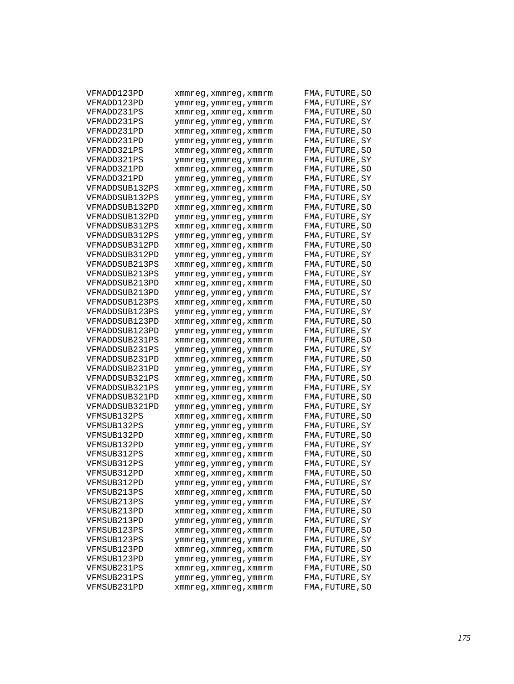| VFMADD123PD    | xmmreg,xmmreg,xmmrm   | FMA, FUTURE, SO |
|----------------|-----------------------|-----------------|
| VFMADD123PD    | ymmreg,ymmreg,ymmrm   | FMA, FUTURE, SY |
| VFMADD231PS    | xmmreg,xmmreg,xmmrm   | FMA, FUTURE, SO |
| VFMADD231PS    | ymmreg,ymmreg,ymmrm   | FMA, FUTURE, SY |
| VFMADD231PD    | xmmreg,xmmreg,xmmrm   | FMA, FUTURE, SO |
| VFMADD231PD    | ymmreg,ymmreg,ymmrm   | FMA, FUTURE, SY |
| VFMADD321PS    | xmmreg, xmmreg, xmmrm | FMA, FUTURE, SO |
| VFMADD321PS    | ymmreg,ymmreg,ymmrm   | FMA, FUTURE, SY |
| VFMADD321PD    | xmmreg,xmmreg,xmmrm   | FMA, FUTURE, SO |
| VFMADD321PD    | ymmreg,ymmreg,ymmrm   | FMA, FUTURE, SY |
| VFMADDSUB132PS | xmmreg,xmmreg,xmmrm   | FMA, FUTURE, SO |
| VFMADDSUB132PS | ymmreg,ymmreg,ymmrm   | FMA, FUTURE, SY |
| VFMADDSUB132PD | xmmreg,xmmreg,xmmrm   | FMA, FUTURE, SO |
| VFMADDSUB132PD | ymmreg,ymmreg,ymmrm   | FMA,FUTURE,SY   |
| VFMADDSUB312PS | xmmreg,xmmreg,xmmrm   | FMA, FUTURE, SO |
| VFMADDSUB312PS | ymmreg,ymmreg,ymmrm   | FMA, FUTURE, SY |
| VFMADDSUB312PD | xmmreg,xmmreg,xmmrm   | FMA, FUTURE, SO |
| VFMADDSUB312PD | ymmreg,ymmreg,ymmrm   | FMA, FUTURE, SY |
| VFMADDSUB213PS | xmmreg,xmmreg,xmmrm   | FMA, FUTURE, SO |
| VFMADDSUB213PS | ymmreg,ymmreg,ymmrm   | FMA, FUTURE, SY |
| VFMADDSUB213PD | xmmreg, xmmreg, xmmrm | FMA, FUTURE, SO |
| VFMADDSUB213PD | ymmreg,ymmreg,ymmrm   | FMA, FUTURE, SY |
| VFMADDSUB123PS | xmmreg,xmmreg,xmmrm   | FMA, FUTURE, SO |
| VFMADDSUB123PS | ymmreg,ymmreg,ymmrm   | FMA, FUTURE, SY |
| VFMADDSUB123PD | xmmreg,xmmreg,xmmrm   | FMA, FUTURE, SO |
| VFMADDSUB123PD | ymmreg,ymmreg,ymmrm   | FMA,FUTURE,SY   |
| VFMADDSUB231PS | xmmreg,xmmreg,xmmrm   | FMA, FUTURE, SO |
| VFMADDSUB231PS | ymmreg,ymmreg,ymmrm   | FMA, FUTURE, SY |
| VFMADDSUB231PD | xmmreg,xmmreg,xmmrm   | FMA, FUTURE, SO |
| VFMADDSUB231PD | ymmreg,ymmreg,ymmrm   | FMA, FUTURE, SY |
| VFMADDSUB321PS | xmmreg,xmmreg,xmmrm   | FMA, FUTURE, SO |
| VFMADDSUB321PS | ymmreg,ymmreg,ymmrm   | FMA, FUTURE, SY |
| VFMADDSUB321PD | xmmreg,xmmreg,xmmrm   | FMA, FUTURE, SO |
| VFMADDSUB321PD | ymmreg,ymmreg,ymmrm   | FMA, FUTURE, SY |
| VFMSUB132PS    | xmmreg,xmmreg,xmmrm   | FMA, FUTURE, SO |
| VFMSUB132PS    | ymmreg,ymmreg,ymmrm   | FMA, FUTURE, SY |
| VFMSUB132PD    | xmmreg,xmmreg,xmmrm   | FMA, FUTURE, SO |
| VFMSUB132PD    | ymmreg,ymmreg,ymmrm   | FMA,FUTURE,SY   |
| VFMSUB312PS    | xmmreg,xmmreg,xmmrm   | FMA, FUTURE, SO |
| VFMSUB312PS    | ymmreg,ymmreg,ymmrm   | FMA, FUTURE, SY |
| VFMSUB312PD    | xmmreg, xmmreg, xmmrm | FMA, FUTURE, SO |
| VFMSUB312PD    | ymmreg,ymmreg,ymmrm   | FMA, FUTURE, SY |
| VFMSUB213PS    | xmmreq, xmmreq, xmmrm | FMA, FUTURE, SO |
| VFMSUB213PS    | ymmreg,ymmreg,ymmrm   | FMA, FUTURE, SY |
| VFMSUB213PD    | xmmreg, xmmreg, xmmrm | FMA, FUTURE, SO |
| VFMSUB213PD    | ymmreg,ymmreg,ymmrm   | FMA, FUTURE, SY |
| VFMSUB123PS    | xmmreg, xmmreg, xmmrm | FMA, FUTURE, SO |
| VFMSUB123PS    | ymmreg,ymmreg,ymmrm   | FMA, FUTURE, SY |
| VFMSUB123PD    | xmmreg, xmmreg, xmmrm | FMA, FUTURE, SO |
| VFMSUB123PD    | ymmreg,ymmreg,ymmrm   | FMA, FUTURE, SY |
| VFMSUB231PS    | xmmreg, xmmreg, xmmrm | FMA, FUTURE, SO |
| VFMSUB231PS    | ymmreg, ymmreg, ymmrm | FMA, FUTURE, SY |
| VFMSUB231PD    | xmmreg, xmmreg, xmmrm | FMA, FUTURE, SO |
|                |                       |                 |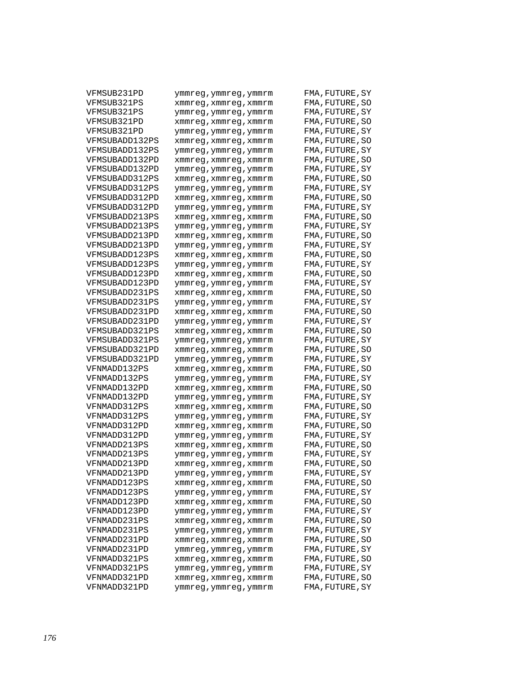| VFMSUB231PD    | ymmreg,ymmreg,ymmrm   | FMA,FUTURE,SY   |
|----------------|-----------------------|-----------------|
| VFMSUB321PS    | xmmreg,xmmreg,xmmrm   | FMA,FUTURE,SO   |
| VFMSUB321PS    | ymmreg,ymmreg,ymmrm   | FMA,FUTURE,SY   |
| VFMSUB321PD    | xmmreg,xmmreg,xmmrm   | FMA,FUTURE,SO   |
| VFMSUB321PD    | ymmreg,ymmreg,ymmrm   | FMA, FUTURE, SY |
| VFMSUBADD132PS | xmmreg,xmmreg,xmmrm   | FMA, FUTURE, SO |
| VFMSUBADD132PS | ymmreg,ymmreg,ymmrm   | FMA,FUTURE,SY   |
| VFMSUBADD132PD | xmmreg,xmmreg,xmmrm   | FMA,FUTURE,SO   |
| VFMSUBADD132PD | ymmreg,ymmreg,ymmrm   | FMA,FUTURE,SY   |
| VFMSUBADD312PS | xmmreg,xmmreg,xmmrm   | FMA,FUTURE,SO   |
| VFMSUBADD312PS | ymmreg,ymmreg,ymmrm   | FMA,FUTURE,SY   |
| VFMSUBADD312PD | xmmreg, xmmreg, xmmrm | FMA,FUTURE,SO   |
| VFMSUBADD312PD | ymmreg,ymmreg,ymmrm   | FMA,FUTURE,SY   |
| VFMSUBADD213PS | xmmreg,xmmreg,xmmrm   | FMA,FUTURE,SO   |
| VFMSUBADD213PS | ymmreg,ymmreg,ymmrm   | FMA,FUTURE,SY   |
| VFMSUBADD213PD | xmmreg,xmmreg,xmmrm   | FMA, FUTURE, SO |
| VFMSUBADD213PD | ymmreg,ymmreg,ymmrm   | FMA, FUTURE, SY |
| VFMSUBADD123PS | xmmreg,xmmreg,xmmrm   | FMA, FUTURE, SO |
| VFMSUBADD123PS | ymmreg,ymmreg,ymmrm   | FMA,FUTURE,SY   |
| VFMSUBADD123PD | xmmreg,xmmreg,xmmrm   | FMA,FUTURE,SO   |
| VFMSUBADD123PD | ymmreg,ymmreg,ymmrm   | FMA,FUTURE,SY   |
| VFMSUBADD231PS | xmmreg,xmmreg,xmmrm   | FMA,FUTURE,SO   |
| VFMSUBADD231PS | ymmreg,ymmreg,ymmrm   | FMA,FUTURE,SY   |
| VFMSUBADD231PD | xmmreg,xmmreg,xmmrm   | FMA,FUTURE,SO   |
| VFMSUBADD231PD | ymmreg,ymmreg,ymmrm   | FMA,FUTURE,SY   |
| VFMSUBADD321PS | xmmreg,xmmreg,xmmrm   | FMA,FUTURE,SO   |
| VFMSUBADD321PS | ymmreg,ymmreg,ymmrm   | FMA,FUTURE,SY   |
| VFMSUBADD321PD | xmmreg,xmmreg,xmmrm   | FMA, FUTURE, SO |
| VFMSUBADD321PD | ymmreg,ymmreg,ymmrm   | FMA, FUTURE, SY |
| VFNMADD132PS   | xmmreg,xmmreg,xmmrm   | FMA, FUTURE, SO |
| VFNMADD132PS   | ymmreg,ymmreg,ymmrm   | FMA,FUTURE,SY   |
| VFNMADD132PD   | xmmreg,xmmreg,xmmrm   | FMA,FUTURE,SO   |
| VFNMADD132PD   | ymmreg,ymmreg,ymmrm   | FMA,FUTURE,SY   |
| VFNMADD312PS   | xmmreg,xmmreg,xmmrm   | FMA,FUTURE,SO   |
| VFNMADD312PS   | ymmreg,ymmreg,ymmrm   | FMA, FUTURE, SY |
| VFNMADD312PD   | xmmreg,xmmreg,xmmrm   | FMA,FUTURE,SO   |
| VFNMADD312PD   | ymmreg,ymmreg,ymmrm   | FMA,FUTURE,SY   |
| VFNMADD213PS   | xmmreg,xmmreg,xmmrm   | FMA,FUTURE,SO   |
| VFNMADD213PS   | ymmreg,ymmreg,ymmrm   | FMA,FUTURE,SY   |
| VFNMADD213PD   | xmmreg,xmmreg,xmmrm   | FMA, FUTURE, SO |
| VFNMADD213PD   | ymmreg,ymmreg,ymmrm   | FMA, FUTURE, SY |
| VFNMADD123PS   | xmmreg,xmmreg,xmmrm   | FMA, FUTURE, SO |
| VFNMADD123PS   | ymmreg,ymmreg,ymmrm   | FMA, FUTURE, SY |
| VFNMADD123PD   | xmmreg, xmmreg, xmmrm | FMA, FUTURE, SO |
| VFNMADD123PD   | ymmreg,ymmreg,ymmrm   | FMA, FUTURE, SY |
| VFNMADD231PS   | xmmreg, xmmreg, xmmrm | FMA, FUTURE, SO |
| VFNMADD231PS   | ymmreg, ymmreg, ymmrm | FMA, FUTURE, SY |
| VFNMADD231PD   | xmmreq, xmmreq, xmmrm | FMA, FUTURE, SO |
| VFNMADD231PD   | ymmreg, ymmreg, ymmrm | FMA, FUTURE, SY |
| VFNMADD321PS   | xmmreq, xmmreq, xmmrm | FMA, FUTURE, SO |
| VFNMADD321PS   | ymmreg, ymmreg, ymmrm | FMA, FUTURE, SY |
| VFNMADD321PD   | xmmreg, xmmreg, xmmrm | FMA, FUTURE, SO |
| VFNMADD321PD   | ymmreg, ymmreg, ymmrm | FMA, FUTURE, SY |
|                |                       |                 |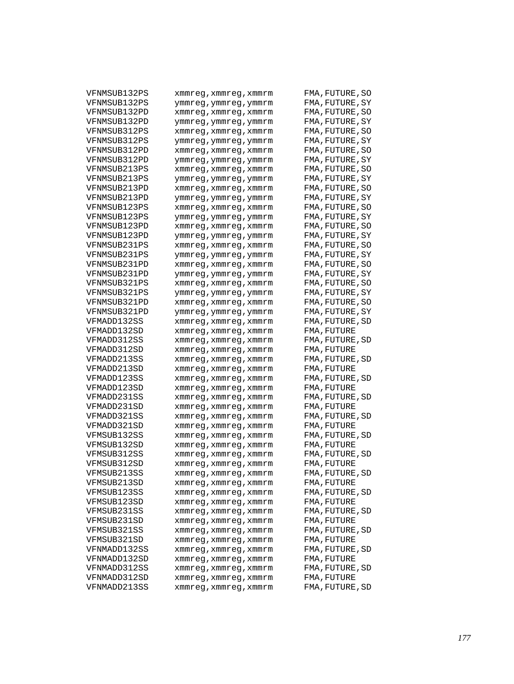| VFNMSUB132PS | xmmreg,xmmreg,xmmrm                          | FMA, FUTURE, SO                |
|--------------|----------------------------------------------|--------------------------------|
| VFNMSUB132PS | ymmreg,ymmreg,ymmrm                          | FMA, FUTURE, SY                |
| VFNMSUB132PD | xmmreg,xmmreg,xmmrm                          | FMA, FUTURE, SO                |
| VFNMSUB132PD | ymmreg,ymmreg,ymmrm                          | FMA, FUTURE, SY                |
| VFNMSUB312PS | xmmreg,xmmreg,xmmrm                          | FMA, FUTURE, SO                |
| VFNMSUB312PS | ymmreg,ymmreg,ymmrm                          | FMA, FUTURE, SY                |
| VFNMSUB312PD | xmmreg,xmmreg,xmmrm                          | FMA, FUTURE, SO                |
| VFNMSUB312PD | ymmreg,ymmreg,ymmrm                          | FMA, FUTURE, SY                |
| VFNMSUB213PS | xmmreg,xmmreg,xmmrm                          | FMA, FUTURE, SO                |
| VFNMSUB213PS | ymmreg,ymmreg,ymmrm                          | FMA, FUTURE, SY                |
| VFNMSUB213PD | xmmreg,xmmreg,xmmrm                          | FMA, FUTURE, SO                |
| VFNMSUB213PD | ymmreg,ymmreg,ymmrm                          | FMA, FUTURE, SY                |
| VFNMSUB123PS | xmmreg,xmmreg,xmmrm                          | FMA, FUTURE, SO                |
| VFNMSUB123PS | ymmreg,ymmreg,ymmrm                          | FMA, FUTURE, SY                |
| VFNMSUB123PD | xmmreg,xmmreg,xmmrm                          | FMA, FUTURE, SO                |
| VFNMSUB123PD | ymmreg,ymmreg,ymmrm                          | FMA, FUTURE, SY                |
| VFNMSUB231PS | xmmreg,xmmreg,xmmrm                          | FMA, FUTURE, SO                |
| VFNMSUB231PS | ymmreg,ymmreg,ymmrm                          | FMA, FUTURE, SY                |
| VFNMSUB231PD | xmmreg,xmmreg,xmmrm                          | FMA, FUTURE, SO                |
| VFNMSUB231PD |                                              | FMA, FUTURE, SY                |
| VFNMSUB321PS | ymmreg,ymmreg,ymmrm                          | FMA, FUTURE, SO                |
| VFNMSUB321PS | xmmreg,xmmreg,xmmrm<br>ymmreg,ymmreg,ymmrm   | FMA, FUTURE, SY                |
| VFNMSUB321PD |                                              | FMA, FUTURE, SO                |
| VFNMSUB321PD | xmmreg,xmmreg,xmmrm                          |                                |
| VFMADD132SS  | ymmreg,ymmreg,ymmrm                          | FMA, FUTURE, SY                |
| VFMADD132SD  | xmmreg,xmmreg,xmmrm                          | FMA, FUTURE, SD<br>FMA,FUTURE  |
| VFMADD312SS  | xmmreg,xmmreg,xmmrm<br>xmmreg,xmmreg,xmmrm   | FMA, FUTURE, SD                |
| VFMADD312SD  | xmmreg,xmmreg,xmmrm                          | FMA,FUTURE                     |
| VFMADD213SS  | xmmreg,xmmreg,xmmrm                          | FMA, FUTURE, SD                |
| VFMADD213SD  | xmmreg, xmmreg, xmmrm                        | FMA,FUTURE                     |
| VFMADD123SS  | xmmreg,xmmreg,xmmrm                          | FMA, FUTURE, SD                |
| VFMADD123SD  | xmmreg,xmmreg,xmmrm                          | FMA,FUTURE                     |
| VFMADD231SS  | xmmreg,xmmreg,xmmrm                          | FMA, FUTURE, SD                |
| VFMADD231SD  | xmmreg,xmmreg,xmmrm                          | FMA, FUTURE                    |
| VFMADD321SS  |                                              | FMA, FUTURE, SD                |
| VFMADD321SD  | xmmreg,xmmreg,xmmrm<br>xmmreg, xmmreg, xmmrm | FMA, FUTURE                    |
| VFMSUB132SS  |                                              | FMA, FUTURE, SD                |
| VFMSUB132SD  | xmmreg,xmmreg,xmmrm                          | FMA,FUTURE                     |
| VFMSUB312SS  | xmmreg,xmmreg,xmmrm                          |                                |
| VFMSUB312SD  | xmmreg,xmmreg,xmmrm                          | FMA, FUTURE, SD                |
| VFMSUB213SS  | xmmreg, xmmreg, xmmrm                        | FMA,FUTURE                     |
| VFMSUB213SD  | xmmreg,xmmreg,xmmrm                          | FMA, FUTURE, SD                |
| VFMSUB123SS  | xmmreg, xmmreg, xmmrm                        | FMA, FUTURE<br>FMA, FUTURE, SD |
|              | xmmreg, xmmreg, xmmrm                        |                                |
| VFMSUB123SD  | xmmreg, xmmreg, xmmrm                        | FMA, FUTURE                    |
| VFMSUB231SS  | xmmreg, xmmreg, xmmrm                        | FMA, FUTURE, SD                |
| VFMSUB231SD  | xmmreq, xmmreq, xmmrm                        | FMA, FUTURE                    |
| VFMSUB321SS  | xmmreg, xmmreg, xmmrm                        | FMA, FUTURE, SD                |
| VFMSUB321SD  | xmmreg, xmmreg, xmmrm                        | FMA, FUTURE                    |
| VFNMADD132SS | xmmreg, xmmreg, xmmrm                        | FMA, FUTURE, SD                |
| VFNMADD132SD | xmmreg, xmmreg, xmmrm                        | FMA, FUTURE                    |
| VFNMADD312SS | xmmreq, xmmreq, xmmrm                        | FMA, FUTURE, SD                |
| VFNMADD312SD | xmmreg, xmmreg, xmmrm                        | FMA, FUTURE                    |
| VFNMADD213SS | xmmreg, xmmreg, xmmrm                        | FMA, FUTURE, SD                |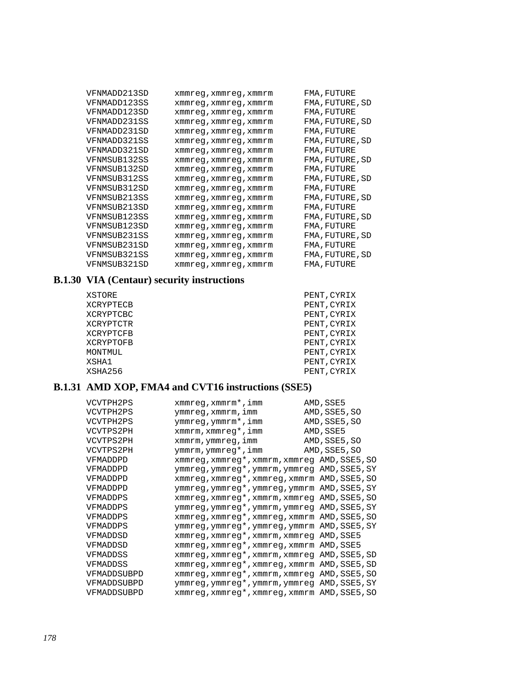| VFNMADD213SD | xmmreg, xmmreg, xmmrm | FMA, FUTURE     |
|--------------|-----------------------|-----------------|
| VFNMADD123SS | xmmreg, xmmreg, xmmrm | FMA, FUTURE, SD |
| VFNMADD123SD | xmmreq, xmmreq, xmmrm | FMA, FUTURE     |
| VFNMADD231SS | xmmreq, xmmreq, xmmrm | FMA, FUTURE, SD |
| VFNMADD231SD | xmmreq, xmmreq, xmmrm | FMA, FUTURE     |
| VFNMADD321SS | xmmreq, xmmreq, xmmrm | FMA, FUTURE, SD |
| VFNMADD321SD | xmmreq, xmmreq, xmmrm | FMA, FUTURE     |
| VFNMSUB132SS | xmmreq, xmmreq, xmmrm | FMA, FUTURE, SD |
| VFNMSUB132SD | xmmreq, xmmreq, xmmrm | FMA, FUTURE     |
| VFNMSUB312SS | xmmreq, xmmreq, xmmrm | FMA, FUTURE, SD |
| VFNMSUB312SD | xmmreq, xmmreq, xmmrm | FMA, FUTURE     |
| VFNMSUB213SS | xmmreq, xmmreq, xmmrm | FMA, FUTURE, SD |
| VFNMSUB213SD | xmmreq, xmmreq, xmmrm | FMA, FUTURE     |
| VFNMSUB123SS | xmmreq, xmmreq, xmmrm | FMA, FUTURE, SD |
| VFNMSUB123SD | xmmreq, xmmreq, xmmrm | FMA, FUTURE     |
| VFNMSUB231SS | xmmreg, xmmreg, xmmrm | FMA, FUTURE, SD |
| VFNMSUB231SD | xmmreq, xmmreq, xmmrm | FMA, FUTURE     |
| VFNMSUB321SS | xmmreq, xmmreq, xmmrm | FMA, FUTURE, SD |
| VFNMSUB321SD | xmmreg, xmmreg, xmmrm | FMA, FUTURE     |

## **B.1.30 VIA (Centaur) security instructions**

| XSTORE    | PENT, CYRIX |
|-----------|-------------|
| XCRYPTECB | PENT, CYRIX |
| XCRYPTCBC | PENT, CYRIX |
| XCRYPTCTR | PENT, CYRIX |
| XCRYPTCFB | PENT, CYRIX |
| XCRYPTOFB | PENT, CYRIX |
| MONTMUL   | PENT, CYRIX |
| XSHA1     | PENT, CYRIX |
| XSHA256   | PENT, CYRIX |

# **B.1.31 AMD XOP, FMA4 and CVT16 instructions (SSE5)**

| VCVTPH2PS   | xmmreg, xmmrm*, imm                          | AMD, SSE5     |
|-------------|----------------------------------------------|---------------|
| VCVTPH2PS   | ymmreg, xmmrm, imm                           | AMD, SSE5, SO |
| VCVTPH2PS   | ymmreg, ymmrm*, imm                          | AMD, SSE5, SO |
| VCVTPS2PH   | xmmrm, xmmreq*, imm                          | AMD, SSE5     |
| VCVTPS2PH   | xmmrm, ymmreg, imm                           | AMD, SSE5, SO |
| VCVTPS2PH   | ymmrm, ymmreg*, imm                          | AMD, SSE5, SO |
| VFMADDPD    | xmmreg, xmmreg*, xmmrm, xmmreg AMD, SSE5, SO |               |
| VFMADDPD    | ymmreg, ymmreg*, ymmrm, ymmreg AMD, SSE5, SY |               |
| VFMADDPD    | xmmreg, xmmreg*, xmmreg, xmmrm AMD, SSE5, SO |               |
| VFMADDPD    | ymmreg, ymmreg*, ymmreg, ymmrm AMD, SSE5, SY |               |
| VFMADDPS    | xmmreg, xmmreg*, xmmrm, xmmreg AMD, SSE5, SO |               |
| VFMADDPS    | ymmreg, ymmreg*, ymmrm, ymmreg AMD, SSE5, SY |               |
| VFMADDPS    | xmmreg, xmmreg*, xmmreg, xmmrm AMD, SSE5, SO |               |
| VFMADDPS    | ymmreg, ymmreg*, ymmreg, ymmrm AMD, SSE5, SY |               |
| VFMADDSD    | xmmreg, xmmreg*, xmmrm, xmmreg AMD, SSE5     |               |
| VFMADDSD    | xmmreg, xmmreg*, xmmreg, xmmrm AMD, SSE5     |               |
| VFMADDSS    | xmmreg, xmmreg*, xmmrm, xmmreg AMD, SSE5, SD |               |
| VFMADDSS    | xmmreg, xmmreg*, xmmreg, xmmrm AMD, SSE5, SD |               |
| VFMADDSUBPD | xmmreg, xmmreg*, xmmrm, xmmreg AMD, SSE5, SO |               |
| VFMADDSUBPD | ymmreg, ymmreg*, ymmrm, ymmreg AMD, SSE5, SY |               |
| VFMADDSUBPD | xmmreq, xmmreq*, xmmreq, xmmrm AMD, SSE5, SO |               |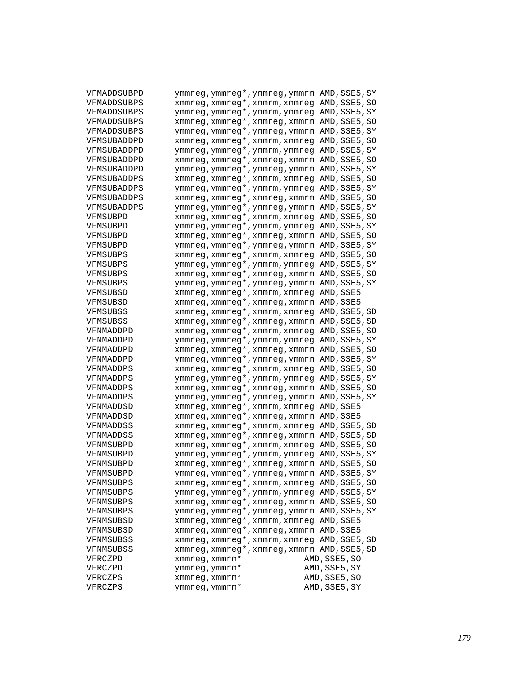| VFMADDSUBPD        | ymmreg, ymmreg*, ymmreg, ymmrm AMD, SSE5, SY |               |
|--------------------|----------------------------------------------|---------------|
| VFMADDSUBPS        | xmmreg, xmmreg*, xmmrm, xmmreg AMD, SSE5, SO |               |
| VFMADDSUBPS        | ymmreg, ymmreg*, ymmrm, ymmreg AMD, SSE5, SY |               |
| <b>VFMADDSUBPS</b> | xmmreg, xmmreg*, xmmreg, xmmrm AMD, SSE5, SO |               |
| VFMADDSUBPS        | ymmreg, ymmreg*, ymmreg, ymmrm AMD, SSE5, SY |               |
| VFMSUBADDPD        | xmmreg, xmmreg*, xmmrm, xmmreg AMD, SSE5, SO |               |
| VFMSUBADDPD        | ymmreg, ymmreg*, ymmrm, ymmreg AMD, SSE5, SY |               |
| VFMSUBADDPD        | xmmreg, xmmreg*, xmmreg, xmmrm AMD, SSE5, SO |               |
| VFMSUBADDPD        | ymmreg, ymmreg*, ymmreg, ymmrm AMD, SSE5, SY |               |
| <b>VFMSUBADDPS</b> | xmmreg, xmmreg*, xmmrm, xmmreg AMD, SSE5, SO |               |
| VFMSUBADDPS        | ymmreg, ymmreg*, ymmrm, ymmreg AMD, SSE5, SY |               |
| <b>VFMSUBADDPS</b> | xmmreg, xmmreg*, xmmreg, xmmrm AMD, SSE5, SO |               |
| VFMSUBADDPS        | ymmreg, ymmreg*, ymmreg, ymmrm AMD, SSE5, SY |               |
| VFMSUBPD           | xmmreg, xmmreg*, xmmrm, xmmreg AMD, SSE5, SO |               |
| VFMSUBPD           | ymmreg, ymmreg*, ymmrm, ymmreg AMD, SSE5, SY |               |
| VFMSUBPD           | xmmreg, xmmreg*, xmmreg, xmmrm AMD, SSE5, SO |               |
| VFMSUBPD           | ymmreg, ymmreg*, ymmreg, ymmrm AMD, SSE5, SY |               |
| VFMSUBPS           | xmmreg, xmmreg*, xmmrm, xmmreg AMD, SSE5, SO |               |
| VFMSUBPS           | ymmreg, ymmreg*, ymmrm, ymmreg AMD, SSE5, SY |               |
| VFMSUBPS           | xmmreg, xmmreg*, xmmreg, xmmrm AMD, SSE5, SO |               |
| VFMSUBPS           | ymmreg, ymmreg*, ymmreg, ymmrm AMD, SSE5, SY |               |
| VFMSUBSD           | xmmreg, xmmreg*, xmmrm, xmmreg AMD, SSE5     |               |
| VFMSUBSD           | xmmreg, xmmreg*, xmmreg, xmmrm AMD, SSE5     |               |
| VFMSUBSS           | xmmreg, xmmreg*, xmmrm, xmmreg AMD, SSE5, SD |               |
| VFMSUBSS           | xmmreg, xmmreg*, xmmreg, xmmrm AMD, SSE5, SD |               |
| VFNMADDPD          | xmmreg, xmmreg*, xmmrm, xmmreg AMD, SSE5, SO |               |
| VFNMADDPD          | ymmreg, ymmreg*, ymmrm, ymmreg AMD, SSE5, SY |               |
| VFNMADDPD          | xmmreg, xmmreg*, xmmreg, xmmrm AMD, SSE5, SO |               |
| VFNMADDPD          | ymmreg, ymmreg*, ymmreg, ymmrm AMD, SSE5, SY |               |
| VFNMADDPS          | xmmreg, xmmreg*, xmmrm, xmmreg AMD, SSE5, SO |               |
| VFNMADDPS          | ymmreg, ymmreg*, ymmrm, ymmreg AMD, SSE5, SY |               |
| VFNMADDPS          | xmmreg, xmmreg*, xmmreg, xmmrm AMD, SSE5, SO |               |
| VFNMADDPS          | ymmreg, ymmreg*, ymmreg, ymmrm AMD, SSE5, SY |               |
| VFNMADDSD          | xmmreg, xmmreg*, xmmrm, xmmreg AMD, SSE5     |               |
| VFNMADDSD          | xmmreg, xmmreg*, xmmreg, xmmrm AMD, SSE5     |               |
| VFNMADDSS          | xmmreg, xmmreg*, xmmrm, xmmreg AMD, SSE5, SD |               |
| VFNMADDSS          | xmmreg, xmmreg*, xmmreg, xmmrm AMD, SSE5, SD |               |
| VFNMSUBPD          | xmmreg, xmmreg*, xmmrm, xmmreg AMD, SSE5, SO |               |
| VFNMSUBPD          | ymmreg, ymmreg*, ymmrm, ymmreg AMD, SSE5, SY |               |
| VFNMSUBPD          | xmmreg, xmmreg*, xmmreg, xmmrm AMD, SSE5, SO |               |
| VFNMSUBPD          | ymmreg, ymmreg*, ymmreg, ymmrm AMD, SSE5, SY |               |
| VFNMSUBPS          | xmmreg, xmmreg*, xmmrm, xmmreg AMD, SSE5, SO |               |
| VFNMSUBPS          | ymmreg, ymmreg*, ymmrm, ymmreg AMD, SSE5, SY |               |
| VFNMSUBPS          | xmmreg, xmmreg*, xmmreg, xmmrm AMD, SSE5, SO |               |
| VFNMSUBPS          | ymmreg, ymmreg*, ymmreg, ymmrm AMD, SSE5, SY |               |
| VFNMSUBSD          | xmmreg, xmmreg*, xmmrm, xmmreg AMD, SSE5     |               |
| VFNMSUBSD          | xmmreg, xmmreg*, xmmreg, xmmrm AMD, SSE5     |               |
| VFNMSUBSS          | xmmreg, xmmreg*, xmmrm, xmmreg AMD, SSE5, SD |               |
| VFNMSUBSS          | xmmreg, xmmreg*, xmmreg, xmmrm AMD, SSE5, SD |               |
| VFRCZPD            | xmmreg, xmmrm*                               | AMD, SSE5, SO |
| VFRCZPD            | ymmreg, ymmrm*                               | AMD, SSE5, SY |
| VFRCZPS            | xmmreg, xmmrm*                               | AMD, SSE5, SO |
| VFRCZPS            | ymmreg, ymmrm*                               | AMD, SSE5, SY |
|                    |                                              |               |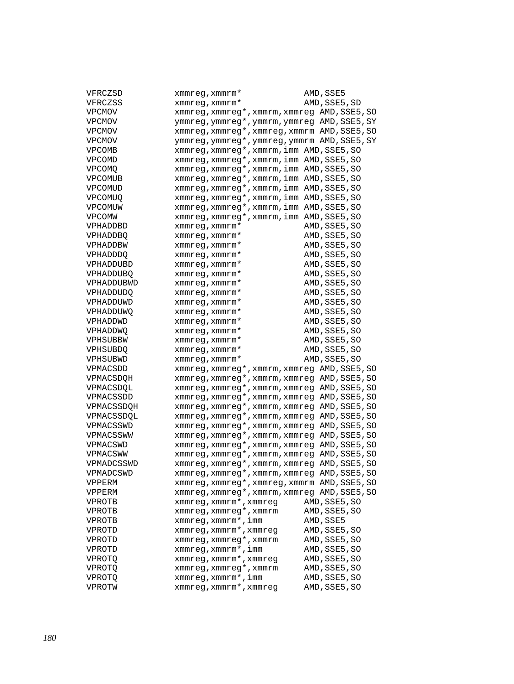| VFRCZSD          | xmmreg, xmmrm*                               | AMD, SSE5     |
|------------------|----------------------------------------------|---------------|
| VFRCZSS          | $x$ mm $x$ eq, $x$ mm $x$ m $*$              | AMD, SSE5, SD |
| VPCMOV           | xmmreg, xmmreg*, xmmrm, xmmreg AMD, SSE5, SO |               |
| VPCMOV           | ymmreg, ymmreg*, ymmrm, ymmreg AMD, SSE5, SY |               |
| VPCMOV           | xmmreg, xmmreg*, xmmreg, xmmrm AMD, SSE5, SO |               |
| <b>VPCMOV</b>    | ymmreg, ymmreg*, ymmreg, ymmrm AMD, SSE5, SY |               |
| <b>VPCOMB</b>    | xmmreg, xmmreg*, xmmrm, imm AMD, SSE5, SO    |               |
| VPCOMD           | xmmreg, xmmreg*, xmmrm, imm AMD, SSE5, SO    |               |
| <b>VPCOMQ</b>    | xmmreg, xmmreg*, xmmrm, imm AMD, SSE5, SO    |               |
| VPCOMUB          | xmmreg, xmmreg*, xmmrm, imm AMD, SSE5, SO    |               |
| VPCOMUD          | xmmreg, xmmreg*, xmmrm, imm AMD, SSE5, SO    |               |
| <b>VPCOMUO</b>   | xmmreg, xmmreg*, xmmrm, imm AMD, SSE5, SO    |               |
| VPCOMUW          | xmmreg, xmmreg*, xmmrm, imm AMD, SSE5, SO    |               |
| <b>VPCOMW</b>    | xmmreg, xmmreg*, xmmrm, imm AMD, SSE5, SO    |               |
| VPHADDBD         | $x$ mm $x$ eq, $x$ mm $x$ m $*$              | AMD, SSE5, SO |
| <b>VPHADDBQ</b>  | xmmreq, xmmrm*                               | AMD, SSE5, SO |
| VPHADDBW         | xmmreg, xmmrm*                               | AMD, SSE5, SO |
| VPHADDDQ         | xmmreg, xmmrm*                               | AMD, SSE5, SO |
| VPHADDUBD        | xmmreg, xmmrm*                               | AMD, SSE5, SO |
| <b>VPHADDUBQ</b> | xmmreq, xmmrm*                               | AMD, SSE5, SO |
| VPHADDUBWD       | xmmreg, xmmrm*                               | AMD, SSE5, SO |
| VPHADDUDQ        | xmmreq, xmmrm*                               | AMD, SSE5, SO |
| VPHADDUWD        | xmmreg, xmmrm*                               | AMD, SSE5, SO |
| VPHADDUWQ        | xmmreg, xmmrm*                               | AMD, SSE5, SO |
| VPHADDWD         | xmmreg, xmmrm*                               | AMD, SSE5, SO |
| VPHADDWQ         | xmmreq, xmmrm*                               | AMD, SSE5, SO |
| VPHSUBBW         | xmmreg, xmmrm*                               | AMD, SSE5, SO |
| <b>VPHSUBDQ</b>  | xmmreq, xmmrm*                               | AMD, SSE5, SO |
| VPHSUBWD         | xmmreg, xmmrm*                               | AMD, SSE5, SO |
| VPMACSDD         | xmmreg, xmmreg*, xmmrm, xmmreg AMD, SSE5, SO |               |
| VPMACSDOH        | xmmreg, xmmreg*, xmmrm, xmmreg AMD, SSE5, SO |               |
| VPMACSDQL        | xmmreg, xmmreg*, xmmrm, xmmreg AMD, SSE5, SO |               |
| VPMACSSDD        | xmmreg, xmmreg*, xmmrm, xmmreg AMD, SSE5, SO |               |
|                  | xmmreg, xmmreg*, xmmrm, xmmreg AMD, SSE5, SO |               |
| VPMACSSDOH       |                                              |               |
| VPMACSSDOL       | xmmreg, xmmreg*, xmmrm, xmmreg AMD, SSE5, SO |               |
| VPMACSSWD        | xmmreg, xmmreg*, xmmrm, xmmreg AMD, SSE5, SO |               |
| VPMACSSWW        | xmmreg, xmmreg*, xmmrm, xmmreg AMD, SSE5, SO |               |
| VPMACSWD         | xmmreg, xmmreg*, xmmrm, xmmreg AMD, SSE5, SO |               |
| VPMACSWW         | xmmreg, xmmreg*, xmmrm, xmmreg AMD, SSE5, SO |               |
| VPMADCSSWD       | xmmreg, xmmreg*, xmmrm, xmmreg AMD, SSE5, SO |               |
| VPMADCSWD        | xmmreg, xmmreg*, xmmrm, xmmreg AMD, SSE5, SO |               |
| VPPERM           | xmmreg, xmmreg*, xmmreg, xmmrm AMD, SSE5, SO |               |
| VPPERM           | xmmreg, xmmreg*, xmmrm, xmmreg AMD, SSE5, SO |               |
| VPROTB           | xmmreg, xmmrm*, xmmreg                       | AMD, SSE5, SO |
| VPROTB           | xmmreq, xmmreq*, xmmrm                       | AMD, SSE5, SO |
| VPROTB           | xmmreq, xmmrm*, imm                          | AMD, SSE5     |
| VPROTD           | xmmreg, xmmrm*, xmmreg                       | AMD, SSE5, SO |
| VPROTD           | xmmreg, xmmreg*, xmmrm                       | AMD, SSE5, SO |
| VPROTD           | xmmreg, xmmrm*, imm                          | AMD, SSE5, SO |
| VPROTQ           | xmmreg, xmmrm*, xmmreg                       | AMD, SSE5, SO |
| VPROTQ           | xmmreg, xmmreg*, xmmrm                       | AMD, SSE5, SO |
| VPROTQ           | xmmreg, xmmrm*, imm                          | AMD, SSE5, SO |
| VPROTW           | xmmreg, xmmrm*, xmmreg                       | AMD, SSE5, SO |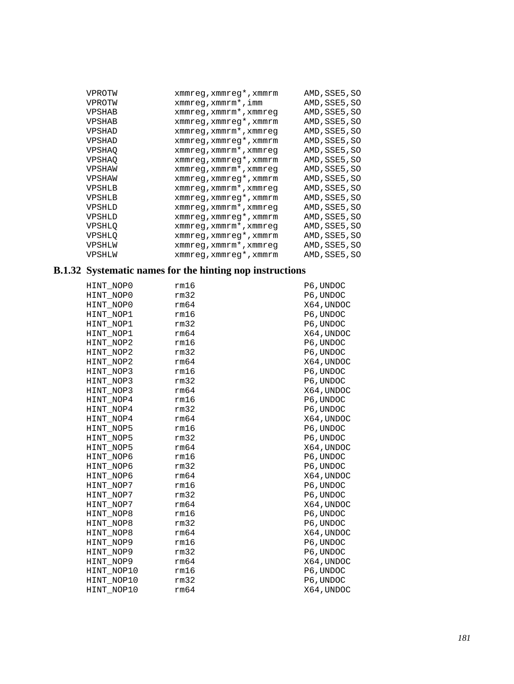| VPROTW        | xmmreg, xmmreg*, xmmrm | AMD, SSE5, SO |
|---------------|------------------------|---------------|
| VPROTW        | $xmmreg, xmmrm*$ , imm | AMD, SSE5, SO |
| <b>VPSHAB</b> | xmmreg, xmmrm*, xmmreg | AMD, SSE5, SO |
| <b>VPSHAB</b> | xmmreg, xmmreg*, xmmrm | AMD, SSE5, SO |
| VPSHAD        | xmmreg, xmmrm*, xmmreg | AMD, SSE5, SO |
| VPSHAD        | xmmreg, xmmreg*, xmmrm | AMD, SSE5, SO |
| <b>VPSHAO</b> | xmmreg, xmmrm*, xmmreg | AMD, SSE5, SO |
| <b>VPSHAO</b> | xmmreg, xmmreg*, xmmrm | AMD, SSE5, SO |
| VPSHAW        | xmmreg, xmmrm*, xmmreg | AMD, SSE5, SO |
| VPSHAW        | xmmreg, xmmreg*, xmmrm | AMD, SSE5, SO |
| VPSHLB        | xmmreg, xmmrm*, xmmreg | AMD, SSE5, SO |
| VPSHLB        | xmmreg, xmmreg*, xmmrm | AMD, SSE5, SO |
| VPSHLD        | xmmreg, xmmrm*, xmmreg | AMD, SSE5, SO |
| VPSHLD        | xmmreg, xmmreg*, xmmrm | AMD, SSE5, SO |
| <b>VPSHLO</b> | xmmreg, xmmrm*, xmmreg | AMD, SSE5, SO |
| <b>VPSHLO</b> | xmmreq, xmmreq*, xmmrm | AMD, SSE5, SO |
| VPSHLW        | xmmreg, xmmrm*, xmmreg | AMD, SSE5, SO |
| VPSHLW        | xmmreg, xmmreg*, xmmrm | AMD, SSE5, SO |

## **B.1.32 Systematic names for the hinting nop instructions**

| HINT NOPO  | rm16 | P6, UNDOC  |
|------------|------|------------|
| HINT NOPO  | rm32 | P6, UNDOC  |
| HINT NOPO  | rm64 | X64, UNDOC |
| HINT NOP1  | rm16 | P6, UNDOC  |
| HINT NOP1  | rm32 | P6, UNDOC  |
| HINT NOP1  | rm64 | X64, UNDOC |
| HINT NOP2  | rm16 | P6, UNDOC  |
| HINT NOP2  | rm32 | P6, UNDOC  |
| HINT NOP2  | rm64 | X64, UNDOC |
| HINT NOP3  | rm16 | P6, UNDOC  |
| HINT NOP3  | rm32 | P6, UNDOC  |
| HINT NOP3  | rm64 | X64, UNDOC |
| HINT NOP4  | rm16 | P6, UNDOC  |
| HINT_NOP4  | rm32 | P6, UNDOC  |
| HINT NOP4  | rm64 | X64, UNDOC |
| HINT NOP5  | rm16 | P6, UNDOC  |
| HINT NOP5  | rm32 | P6, UNDOC  |
| HINT NOP5  | rm64 | X64, UNDOC |
| HINT NOP6  | rm16 | P6, UNDOC  |
| HINT NOP6  | rm32 | P6, UNDOC  |
| HINT NOP6  | rm64 | X64,UNDOC  |
| HINT NOP7  | rm16 | P6, UNDOC  |
| HINT NOP7  | rm32 | P6, UNDOC  |
| HINT NOP7  | rm64 | X64, UNDOC |
| HINT NOP8  | rm16 | P6, UNDOC  |
| HINT NOP8  | rm32 | P6, UNDOC  |
| HINT NOP8  | rm64 | X64, UNDOC |
| HINT NOP9  | rm16 | P6, UNDOC  |
| HINT NOP9  | rm32 | P6, UNDOC  |
| HINT NOP9  | rm64 | X64, UNDOC |
| HINT NOP10 | rm16 | P6, UNDOC  |
| HINT NOP10 | rm32 | P6, UNDOC  |
| HINT NOP10 | rm64 | X64, UNDOC |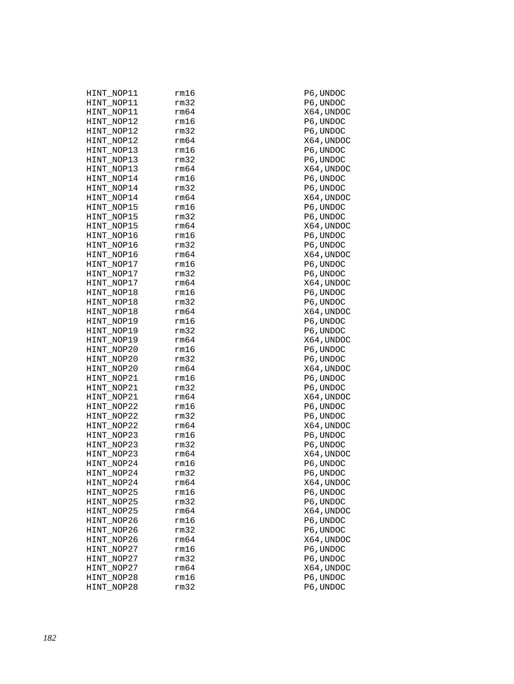| HINT NOP11 | rm16 |
|------------|------|
| HINT_NOP11 | rm32 |
| HINT NOP11 | rm64 |
| HINT NOP12 | rm16 |
| HINT_NOP12 | rm32 |
| HINT_NOP12 | rm64 |
| HINT NOP13 | rm16 |
| HINT_NOP13 | rm32 |
| HINT_NOP13 | rm64 |
| HINT_NOP14 | rm16 |
| HINT_NOP14 | rm32 |
| HINT_NOP14 | rm64 |
| HINT_NOP15 | rm16 |
| HINT_NOP15 | rm32 |
| HINT NOP15 | rm64 |
| HINT_NOP16 | rm16 |
| HINT_NOP16 | rm32 |
| HINT_NOP16 | rm64 |
| HINT NOP17 | rm16 |
| HINT NOP17 | rm32 |
| HINT_NOP17 | rm64 |
| HINT_NOP18 | rm16 |
| HINT_NOP18 | rm32 |
| HINT_NOP18 | rm64 |
| HINT_NOP19 | rm16 |
| HINT_NOP19 | rm32 |
| HINT NOP19 | rm64 |
| HINT_NOP20 | rm16 |
| HINT_NOP20 | rm32 |
| HINT_NOP20 | rm64 |
| HINT_NOP21 | rm16 |
| HINT_NOP21 | rm32 |
| HINT_NOP21 | rm64 |
| HINT_NOP22 | rm16 |
| HINT_NOP22 | rm32 |
| HINT_NOP22 | rm64 |
| HINT_NOP23 | rm16 |
| HINT_NOP23 | rm32 |
| HINT NOP23 | rm64 |
| HINT NOP24 | rm16 |
| HINT_NOP24 | rm32 |
| HINT_NOP24 | rm64 |
| HINT NOP25 | rm16 |
| HINT_NOP25 | rm32 |
| HINT NOP25 | rm64 |
| HINT NOP26 | rm16 |
| HINT_NOP26 | rm32 |
| HINT_NOP26 | rm64 |
| HINT NOP27 | rm16 |
| HINT_NOP27 | rm32 |
| HINT NOP27 | rm64 |
| HINT NOP28 | rm16 |
| HINT NOP28 | rm32 |
|            |      |

P6, UNDOC P6, UNDOC X64, UNDOC P6, UNDOC P6, UNDOC X64, UNDOC P6, UNDOC P6, UNDOC X64, UNDOC P6, UNDOC P6, UNDOC X64, UNDOC P6, UNDOC P6, UNDOC X64, UNDOC P6, UNDOC P6, UNDOC X64, UNDOC P6, UNDOC P6, UNDOC X64, UNDOC P6, UNDOC P6, UNDOC X64, UNDOC P6, UNDOC P6, UNDOC X64, UNDOC P6, UNDOC P6, UNDOC X64, UNDOC P6, UNDOC P6, UNDOC X64, UNDOC P6, UNDOC P6, UNDOC X64, UNDOC P6, UNDOC P6, UNDOC X64, UNDOC P6, UNDOC P6, UNDOC X64, UNDOC P6, UNDOC P6, UNDOC X64, UNDOC P6, UNDOC P6, UNDOC X64, UNDOC P6, UNDOC P6, UNDOC X64, UNDOC  ${\tt P6}$  , UNDOC P6, UNDOC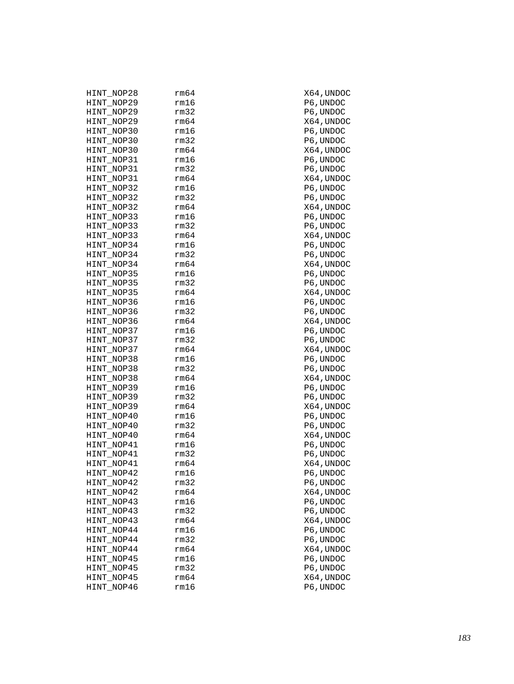| HINT_NOP28 | rm64 | X64,UNDOC  |
|------------|------|------------|
| HINT NOP29 | rm16 | P6, UNDOC  |
| HINT NOP29 | rm32 | P6, UNDOC  |
| HINT_NOP29 | rm64 | X64, UNDOC |
| HINT NOP30 | rm16 | P6,UNDOC   |
| HINT_NOP30 | rm32 | P6, UNDOC  |
| HINT_NOP30 | rm64 | X64,UNDOC  |
| HINT_NOP31 | rm16 | P6, UNDOC  |
| HINT NOP31 | rm32 | P6, UNDOC  |
| HINT_NOP31 | rm64 | X64, UNDOC |
| HINT NOP32 | rm16 | P6, UNDOC  |
| HINT_NOP32 | rm32 | P6,UNDOC   |
| HINT_NOP32 | rm64 | X64,UNDOC  |
| HINT_NOP33 | rm16 | P6, UNDOC  |
| HINT NOP33 | rm32 | P6, UNDOC  |
| HINT_NOP33 | rm64 | X64, UNDOC |
| HINT NOP34 | rm16 | P6,UNDOC   |
| HINT_NOP34 | rm32 | P6, UNDOC  |
| HINT_NOP34 | rm64 | X64,UNDOC  |
| HINT_NOP35 | rm16 | P6, UNDOC  |
| HINT NOP35 | rm32 | P6, UNDOC  |
| HINT_NOP35 | rm64 | X64, UNDOC |
| HINT_NOP36 | rm16 | P6, UNDOC  |
| HINT_NOP36 | rm32 | P6,UNDOC   |
| HINT_NOP36 | rm64 | X64,UNDOC  |
| HINT NOP37 | rm16 | P6, UNDOC  |
| HINT_NOP37 | rm32 | P6, UNDOC  |
| HINT_NOP37 | rm64 | X64,UNDOC  |
| HINT NOP38 | rm16 | P6,UNDOC   |
| HINT_NOP38 | rm32 | P6, UNDOC  |
| HINT_NOP38 | rm64 | X64,UNDOC  |
| HINT_NOP39 | rm16 | P6, UNDOC  |
| HINT NOP39 | rm32 | P6, UNDOC  |
| HINT_NOP39 | rm64 | X64, UNDOC |
| HINT_NOP40 | rm16 | P6,UNDOC   |
| HINT_NOP40 | rm32 | P6,UNDOC   |
| HINT_NOP40 | rm64 | X64,UNDOC  |
| HINT_NOP41 | rm16 | P6, UNDOC  |
| HINT_NOP41 | rm32 | P6, UNDOC  |
| HINT NOP41 | rm64 | X64, UNDOC |
| HINT NOP42 | rm16 | P6, UNDOC  |
| HINT_NOP42 | rm32 | P6, UNDOC  |
| HINT_NOP42 | rm64 | X64, UNDOC |
| HINT_NOP43 | rm16 | P6, UNDOC  |
| HINT_NOP43 | rm32 | P6, UNDOC  |
| HINT_NOP43 | rm64 | X64, UNDOC |
| HINT_NOP44 | rm16 | P6, UNDOC  |
| HINT_NOP44 | rm32 | P6, UNDOC  |
| HINT_NOP44 | rm64 | X64, UNDOC |
| HINT_NOP45 | rm16 | P6, UNDOC  |
| HINT_NOP45 | rm32 | P6, UNDOC  |
| HINT_NOP45 | rm64 | X64, UNDOC |
| HINT NOP46 | rm16 | P6, UNDOC  |
|            |      |            |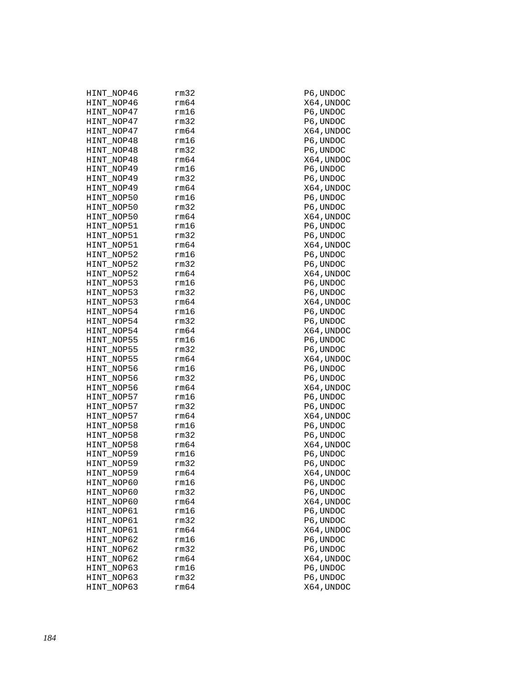| HINT_NOP46 | rm32 | P6,UNDOC   |
|------------|------|------------|
| HINT NOP46 | rm64 | X64, UNDOC |
| HINT_NOP47 | rm16 | P6, UNDOC  |
| HINT_NOP47 | rm32 | P6, UNDOC  |
| HINT_NOP47 | rm64 | X64,UNDOC  |
| HINT NOP48 | rm16 | P6,UNDOC   |
| HINT_NOP48 | rm32 | P6,UNDOC   |
| HINT_NOP48 | rm64 | X64,UNDOC  |
| HINT_NOP49 | rm16 | P6, UNDOC  |
| HINT_NOP49 | rm32 | P6, UNDOC  |
| HINT_NOP49 | rm64 | X64,UNDOC  |
| HINT NOP50 | rm16 | P6,UNDOC   |
| HINT_NOP50 | rm32 | P6,UNDOC   |
|            | rm64 |            |
| HINT_NOP50 |      | X64,UNDOC  |
| HINT_NOP51 | rm16 | P6, UNDOC  |
| HINT_NOP51 | rm32 | P6, UNDOC  |
| HINT_NOP51 | rm64 | X64,UNDOC  |
| HINT NOP52 | rm16 | P6, UNDOC  |
| HINT NOP52 | rm32 | P6, UNDOC  |
| HINT_NOP52 | rm64 | X64,UNDOC  |
| HINT NOP53 | rm16 | P6, UNDOC  |
| HINT_NOP53 | rm32 | P6, UNDOC  |
| HINT_NOP53 | rm64 | X64,UNDOC  |
| HINT NOP54 | rm16 | P6,UNDOC   |
| HINT_NOP54 | rm32 | P6,UNDOC   |
| HINT_NOP54 | rm64 | X64,UNDOC  |
| HINT_NOP55 | rm16 | P6, UNDOC  |
| HINT_NOP55 | rm32 | P6, UNDOC  |
| HINT_NOP55 | rm64 | X64,UNDOC  |
| HINT NOP56 | rm16 | P6, UNDOC  |
| HINT_NOP56 | rm32 | P6, UNDOC  |
| HINT_NOP56 | rm64 | X64,UNDOC  |
| HINT NOP57 | rm16 | P6, UNDOC  |
| HINT_NOP57 | rm32 | P6, UNDOC  |
| HINT_NOP57 | rm64 | X64,UNDOC  |
| HINT NOP58 | rm16 | P6,UNDOC   |
| HINT NOP58 | rm32 | P6, UNDOC  |
|            | rm64 |            |
| HINT_NOP58 |      | X64,UNDOC  |
| HINT NOP59 | rm16 | P6, UNDOC  |
| HINT_NOP59 | rm32 | P6, UNDOC  |
| HINT_NOP59 | rm64 | X64,UNDOC  |
| HINT_NOP60 | rm16 | P6,UNDOC   |
| HINT_NOP60 | rm32 | P6, UNDOC  |
| HINT_NOP60 | rm64 | X64, UNDOC |
| HINT NOP61 | rm16 | P6, UNDOC  |
| HINT_NOP61 | rm32 | P6, UNDOC  |
| HINT_NOP61 | rm64 | X64,UNDOC  |
| HINT NOP62 | rm16 | P6, UNDOC  |
| HINT_NOP62 | rm32 | P6, UNDOC  |
| HINT_NOP62 | rm64 | X64, UNDOC |
| HINT NOP63 | rm16 | P6, UNDOC  |
|            |      |            |
| HINT_NOP63 | rm32 | P6, UNDOC  |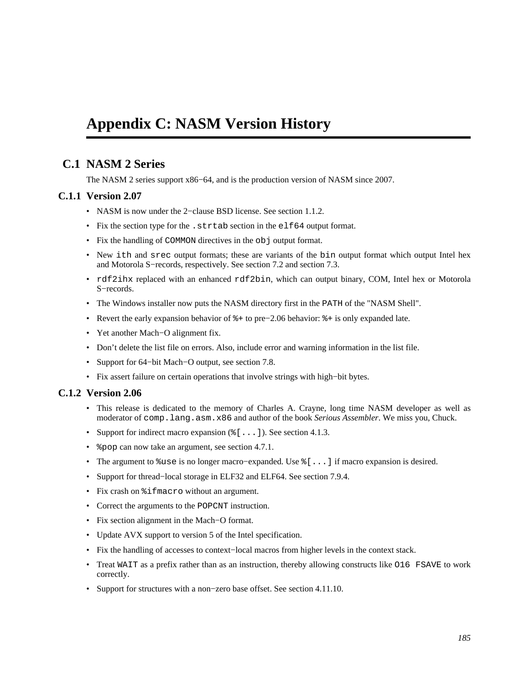# <span id="page-184-0"></span>**Appendix C: NASM Version History**

## **C.1 NASM 2 Series**

The NASM 2 series support x86−64, and is the production version of NASM since 2007.

#### **C.1.1 Version 2.07**

- NASM is now under the 2−clause BSD license. See [section 1.1.2.](#page-13-0)
- Fix the section type for the .strtab section in the elf64 output format.
- Fix the handling of COMMON directives in the obj output format.
- New ith and srec output formats; these are variants of the bin output format which output Intel hex and Motorola S−records, respectively. See [section 7.2](#page-72-0) and [section 7.3.](#page-72-1)
- rdf2ihx replaced with an enhanced rdf2bin, which can output binary, COM, Intel hex or Motorola S−records.
- The Windows installer now puts the NASM directory first in the PATH of the "NASM Shell".
- Revert the early expansion behavior of %+ to pre−2.06 behavior: %+ is only expanded late.
- Yet another Mach−O alignment fix.
- Don't delete the list file on errors. Also, include error and warning information in the list file.
- Support for 64−bit Mach−O output, see [section 7.8.](#page-83-0)
- Fix assert failure on certain operations that involve strings with high−bit bytes.

#### **C.1.2 Version 2.06**

- This release is dedicated to the memory of Charles A. Crayne, long time NASM developer as well as moderator of comp.lang.asm.x86 and author of the book *Serious Assembler*. We miss you, Chuck.
- Support for indirect macro expansion  $(\xi$  [ . . . ]). See [section 4.1.3.](#page-38-0)
- & pop can now take an argument, see [section 4.7.1.](#page-53-0)
- The argument to %use is no longer macro−expanded. Use %[...] if macro expansion is desired.
- Support for thread−local storage in ELF32 and ELF64. See [section 7.9.4.](#page-85-0)
- Fix crash on  $\text{\$ifmacro without an argument.}$
- Correct the arguments to the POPCNT instruction.
- Fix section alignment in the Mach−O format.
- Update AVX support to version 5 of the Intel specification.
- Fix the handling of accesses to context−local macros from higher levels in the context stack.
- Treat WAIT as a prefix rather than as an instruction, thereby allowing constructs like O16 FSAVE to work correctly.
- Support for structures with a non−zero base offset. See [section 4.11.10.](#page-61-0)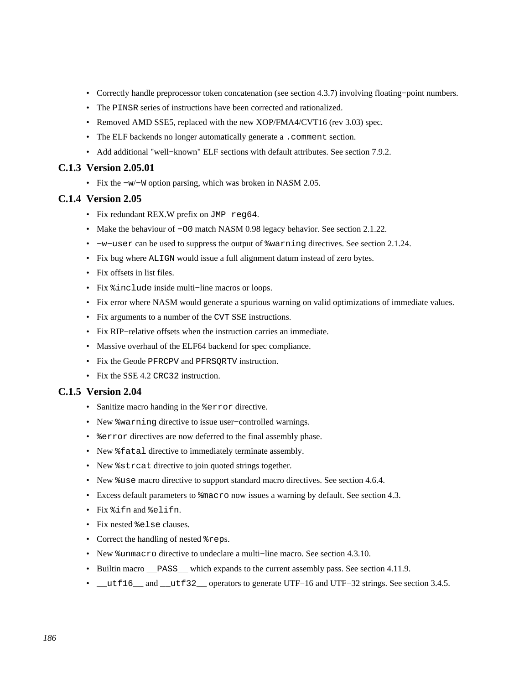- Correctly handle preprocessor token concatenation (see [section 4.3.7\)](#page-45-0) involving floating−point numbers.
- The PINSR series of instructions have been corrected and rationalized.
- Removed AMD SSE5, replaced with the new XOP/FMA4/CVT16 (rev 3.03) spec.
- The ELF backends no longer automatically generate a .comment section.
- Add additional "well−known" ELF sections with default attributes. See [section 7.9.2.](#page-83-1)

#### **C.1.3 Version 2.05.01**

• Fix the −w/−W option parsing, which was broken in NASM 2.05.

#### **C.1.4 Version 2.05**

- Fix redundant REX.W prefix on JMP reg64.
- Make the behaviour of −O0 match NASM 0.98 legacy behavior. See [section 2.1.22.](#page-20-0)
- −w−user can be used to suppress the output of %warning directives. See [section 2.1.24.](#page-21-0)
- Fix bug where ALIGN would issue a full alignment datum instead of zero bytes.
- Fix offsets in list files.
- Fix %include inside multi−line macros or loops.
- Fix error where NASM would generate a spurious warning on valid optimizations of immediate values.
- Fix arguments to a number of the CVT SSE instructions.
- Fix RIP−relative offsets when the instruction carries an immediate.
- Massive overhaul of the ELF64 backend for spec compliance.
- Fix the Geode PFRCPV and PFRSQRTV instruction.
- Fix the SSE 4.2 CRC32 instruction.

## **C.1.5 Version 2.04**

- Sanitize macro handing in the %error directive.
- New %warning directive to issue user−controlled warnings.
- %error directives are now deferred to the final assembly phase.
- New %fatal directive to immediately terminate assembly.
- New *\*strcat directive to join quoted strings together.*
- New %use macro directive to support standard macro directives. See [section 4.6.4.](#page-52-0)
- Excess default parameters to  $\text{Rm}$  acro now issues a warning by default. See [section 4.3.](#page-41-0)
- Fix %ifn and %elifn.
- Fix nested %else clauses.
- Correct the handling of nested  $*$ reps.
- New %unmacro directive to undeclare a multi−line macro. See [section 4.3.10.](#page-47-0)
- Builtin macro <u>pass</u> which expands to the current assembly pass. See [section 4.11.9.](#page-61-1)
- \_\_utf16\_\_ and \_\_utf32\_\_ operators to generate UTF−16 and UTF−32 strings. See [section 3.4.5.](#page-30-0)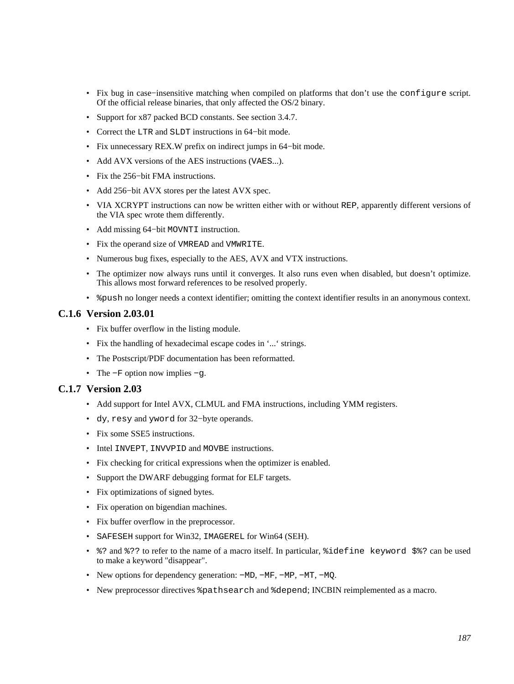- Fix bug in case−insensitive matching when compiled on platforms that don't use the configure script. Of the official release binaries, that only affected the OS/2 binary.
- Support for x87 packed BCD constants. See [section 3.4.7.](#page-32-0)
- Correct the LTR and SLDT instructions in 64−bit mode.
- Fix unnecessary REX.W prefix on indirect jumps in 64−bit mode.
- Add AVX versions of the AES instructions (VAES...).
- Fix the 256−bit FMA instructions.
- Add 256−bit AVX stores per the latest AVX spec.
- VIA XCRYPT instructions can now be written either with or without REP, apparently different versions of the VIA spec wrote them differently.
- Add missing 64−bit MOVNTI instruction.
- Fix the operand size of VMREAD and VMWRITE.
- Numerous bug fixes, especially to the AES, AVX and VTX instructions.
- The optimizer now always runs until it converges. It also runs even when disabled, but doesn't optimize. This allows most forward references to be resolved properly.
- $\epsilon$  apush no longer needs a context identifier; omitting the context identifier results in an anonymous context.

## **C.1.6 Version 2.03.01**

- Fix buffer overflow in the listing module.
- Fix the handling of hexadecimal escape codes in '...' strings.
- The Postscript/PDF documentation has been reformatted.
- The −F option now implies −g.

#### **C.1.7 Version 2.03**

- Add support for Intel AVX, CLMUL and FMA instructions, including YMM registers.
- dy, resy and yword for 32−byte operands.
- Fix some SSE5 instructions.
- Intel INVEPT, INVVPID and MOVBE instructions.
- Fix checking for critical expressions when the optimizer is enabled.
- Support the DWARF debugging format for ELF targets.
- Fix optimizations of signed bytes.
- Fix operation on bigendian machines.
- Fix buffer overflow in the preprocessor.
- SAFESEH support for Win32, IMAGEREL for Win64 (SEH).
- %? and %?? to refer to the name of a macro itself. In particular, %idefine keyword \$%? can be used to make a keyword "disappear".
- New options for dependency generation: −MD, −MF, −MP, −MT, −MQ.
- New preprocessor directives %pathsearch and %depend; INCBIN reimplemented as a macro.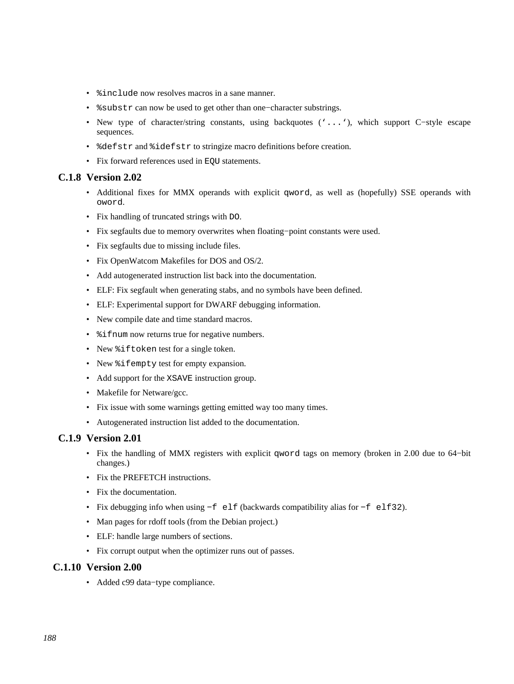- $\sin$ clude now resolves macros in a sane manner.
- %substr can now be used to get other than one−character substrings.
- New type of character/string constants, using backquotes ('...'), which support C−style escape sequences.
- %defstr and %idefstr to stringize macro definitions before creation.
- Fix forward references used in EQU statements.

#### **C.1.8 Version 2.02**

- Additional fixes for MMX operands with explicit qword, as well as (hopefully) SSE operands with oword.
- Fix handling of truncated strings with DO.
- Fix segfaults due to memory overwrites when floating−point constants were used.
- Fix segfaults due to missing include files.
- Fix OpenWatcom Makefiles for DOS and OS/2.
- Add autogenerated instruction list back into the documentation.
- ELF: Fix segfault when generating stabs, and no symbols have been defined.
- ELF: Experimental support for DWARF debugging information.
- New compile date and time standard macros.
- $\frac{1}{2}$  if num now returns true for negative numbers.
- New %iftoken test for a single token.
- New %ifempty test for empty expansion.
- Add support for the XSAVE instruction group.
- Makefile for Netware/gcc.
- Fix issue with some warnings getting emitted way too many times.
- Autogenerated instruction list added to the documentation.

#### **C.1.9 Version 2.01**

- Fix the handling of MMX registers with explicit qword tags on memory (broken in 2.00 due to 64−bit changes.)
- Fix the PREFETCH instructions.
- Fix the documentation.
- Fix debugging info when using −f elf (backwards compatibility alias for −f elf32).
- Man pages for rdoff tools (from the Debian project.)
- ELF: handle large numbers of sections.
- Fix corrupt output when the optimizer runs out of passes.

#### **C.1.10 Version 2.00**

• Added c99 data−type compliance.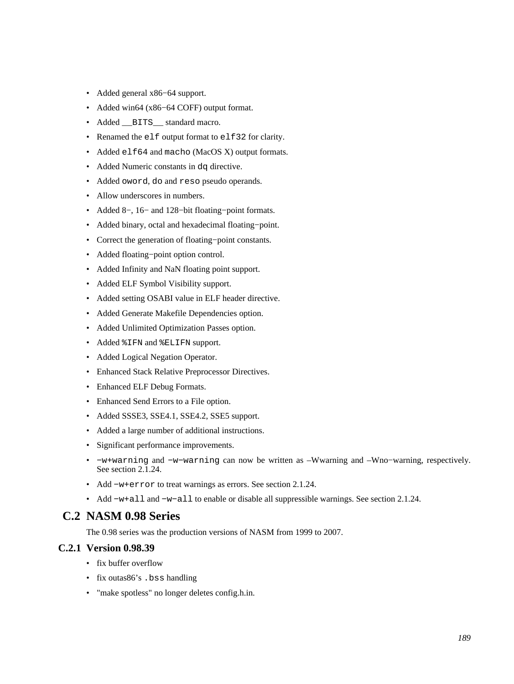- Added general x86−64 support.
- Added win64 (x86−64 COFF) output format.
- Added \_\_BITS\_\_ standard macro.
- Renamed the elf output format to elf32 for clarity.
- Added elf64 and macho (MacOS X) output formats.
- Added Numeric constants in dq directive.
- Added oword, do and reso pseudo operands.
- Allow underscores in numbers.
- Added 8−, 16− and 128−bit floating−point formats.
- Added binary, octal and hexadecimal floating−point.
- Correct the generation of floating−point constants.
- Added floating−point option control.
- Added Infinity and NaN floating point support.
- Added ELF Symbol Visibility support.
- Added setting OSABI value in ELF header directive.
- Added Generate Makefile Dependencies option.
- Added Unlimited Optimization Passes option.
- Added %IFN and %ELIFN support.
- Added Logical Negation Operator.
- Enhanced Stack Relative Preprocessor Directives.
- Enhanced ELF Debug Formats.
- Enhanced Send Errors to a File option.
- Added SSSE3, SSE4.1, SSE4.2, SSE5 support.
- Added a large number of additional instructions.
- Significant performance improvements.
- −w+warning and −w−warning can now be written as –Wwarning and –Wno−warning, respectively. See [section 2.1.24.](#page-21-0)
- Add −w+error to treat warnings as errors. See [section 2.1.24.](#page-21-0)
- Add −w+all and −w−all to enable or disable all suppressible warnings. See [section 2.1.24.](#page-21-0)

## **C.2 NASM 0.98 Series**

The 0.98 series was the production versions of NASM from 1999 to 2007.

#### **C.2.1 Version 0.98.39**

- fix buffer overflow
- fix outas 86's . bss handling
- "make spotless" no longer deletes config.h.in.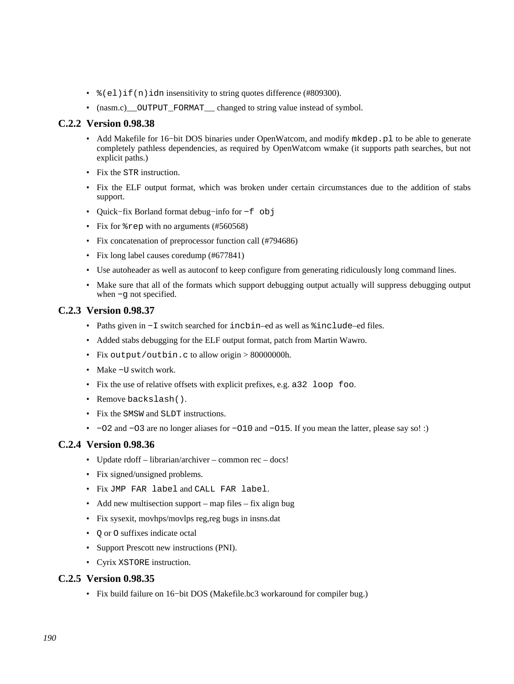- $\epsilon$  (el)if(n)idn insensitivity to string quotes difference (#809300).
- (nasm.c)\_\_OUTPUT\_FORMAT\_\_ changed to string value instead of symbol.

#### **C.2.2 Version 0.98.38**

- Add Makefile for 16–bit DOS binaries under OpenWatcom, and modify mkdep.pl to be able to generate completely pathless dependencies, as required by OpenWatcom wmake (it supports path searches, but not explicit paths.)
- Fix the STR instruction.
- Fix the ELF output format, which was broken under certain circumstances due to the addition of stabs support.
- Quick−fix Borland format debug−info for −f obj
- Fix for  $*$  rep with no arguments (#560568)
- Fix concatenation of preprocessor function call (#794686)
- Fix long label causes coredump (#677841)
- Use autoheader as well as autoconf to keep configure from generating ridiculously long command lines.
- Make sure that all of the formats which support debugging output actually will suppress debugging output when −g not specified.

#### **C.2.3 Version 0.98.37**

- Paths given in −I switch searched for incbin–ed as well as %include–ed files.
- Added stabs debugging for the ELF output format, patch from Martin Wawro.
- Fix output/outbin.c to allow origin > 80000000h.
- Make −U switch work.
- Fix the use of relative offsets with explicit prefixes, e.g. a32 loop foo.
- Remove backslash().
- Fix the SMSW and SLDT instructions.
- −O2 and −O3 are no longer aliases for −O10 and −O15. If you mean the latter, please say so! :)

#### **C.2.4 Version 0.98.36**

- Update rdoff librarian/archiver common rec docs!
- Fix signed/unsigned problems.
- Fix JMP FAR label and CALL FAR label.
- Add new multisection support map files fix align bug
- Fix sysexit, movhps/movlps reg,reg bugs in insns.dat
- Q or O suffixes indicate octal
- Support Prescott new instructions (PNI).
- Cyrix XSTORE instruction.

#### **C.2.5 Version 0.98.35**

• Fix build failure on 16−bit DOS (Makefile.bc3 workaround for compiler bug.)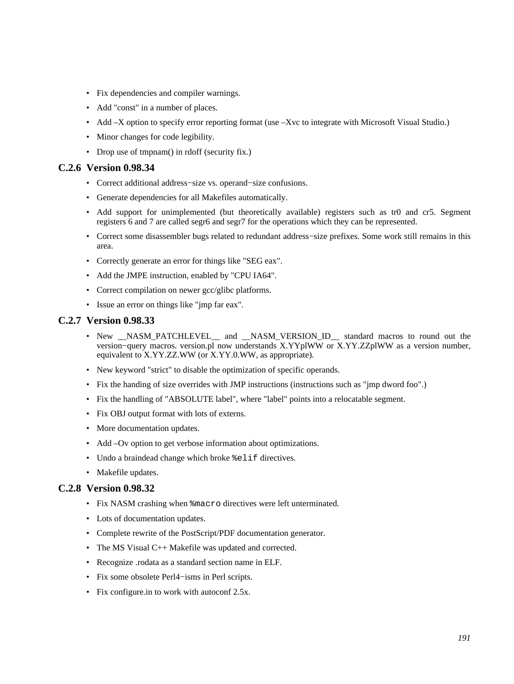- Fix dependencies and compiler warnings.
- Add "const" in a number of places.
- Add –X option to specify error reporting format (use –Xvc to integrate with Microsoft Visual Studio.)
- Minor changes for code legibility.
- Drop use of tmpnam() in rdoff (security fix.)

#### **C.2.6 Version 0.98.34**

- Correct additional address−size vs. operand−size confusions.
- Generate dependencies for all Makefiles automatically.
- Add support for unimplemented (but theoretically available) registers such as tr0 and cr5. Segment registers 6 and 7 are called segr6 and segr7 for the operations which they can be represented.
- Correct some disassembler bugs related to redundant address−size prefixes. Some work still remains in this area.
- Correctly generate an error for things like "SEG eax".
- Add the JMPE instruction, enabled by "CPU IA64".
- Correct compilation on newer gcc/glibc platforms.
- Issue an error on things like "jmp far eax".

#### **C.2.7 Version 0.98.33**

- New \_NASM\_PATCHLEVEL\_ and \_NASM\_VERSION\_ID\_ standard macros to round out the version−query macros. version.pl now understands X.YYplWW or X.YY.ZZplWW as a version number, equivalent to X.YY.ZZ.WW (or X.YY.0.WW, as appropriate).
- New keyword "strict" to disable the optimization of specific operands.
- Fix the handing of size overrides with JMP instructions (instructions such as "jmp dword foo".)
- Fix the handling of "ABSOLUTE label", where "label" points into a relocatable segment.
- Fix OBJ output format with lots of externs.
- More documentation updates.
- Add –Ov option to get verbose information about optimizations.
- Undo a braindead change which broke  $\ell$ elif directives.
- Makefile updates.

#### **C.2.8 Version 0.98.32**

- Fix NASM crashing when %macro directives were left unterminated.
- Lots of documentation updates.
- Complete rewrite of the PostScript/PDF documentation generator.
- The MS Visual C++ Makefile was updated and corrected.
- Recognize .rodata as a standard section name in ELF.
- Fix some obsolete Perl4−isms in Perl scripts.
- Fix configure.in to work with autoconf 2.5x.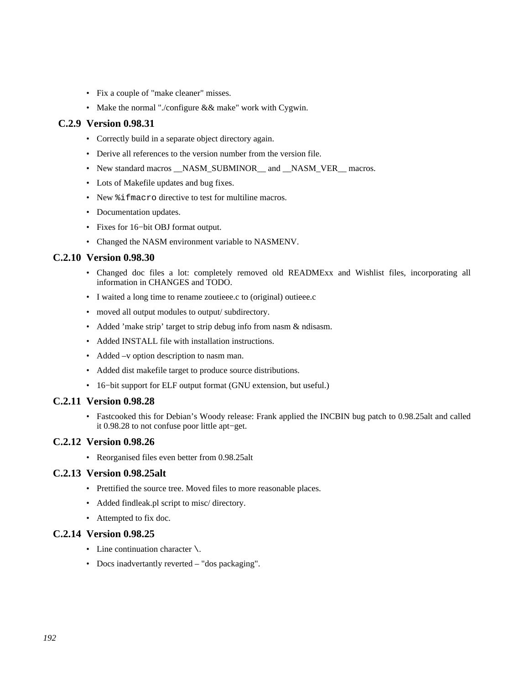- Fix a couple of "make cleaner" misses.
- Make the normal "./configure && make" work with Cygwin.

## **C.2.9 Version 0.98.31**

- Correctly build in a separate object directory again.
- Derive all references to the version number from the version file.
- New standard macros \_\_NASM\_SUBMINOR \_\_ and \_\_NASM\_VER \_\_ macros.
- Lots of Makefile updates and bug fixes.
- New  $\frac{1}{2}$  fmacro directive to test for multiline macros.
- Documentation updates.
- Fixes for 16−bit OBJ format output.
- Changed the NASM environment variable to NASMENV.

## **C.2.10 Version 0.98.30**

- Changed doc files a lot: completely removed old READMExx and Wishlist files, incorporating all information in CHANGES and TODO.
- I waited a long time to rename zoutieee.c to (original) outieee.c
- moved all output modules to output/ subdirectory.
- Added 'make strip' target to strip debug info from nasm & ndisasm.
- Added INSTALL file with installation instructions.
- Added –v option description to nasm man.
- Added dist makefile target to produce source distributions.
- 16−bit support for ELF output format (GNU extension, but useful.)

#### **C.2.11 Version 0.98.28**

• Fastcooked this for Debian's Woody release: Frank applied the INCBIN bug patch to 0.98.25alt and called it 0.98.28 to not confuse poor little apt−get.

## **C.2.12 Version 0.98.26**

• Reorganised files even better from 0.98.25alt

#### **C.2.13 Version 0.98.25alt**

- Prettified the source tree. Moved files to more reasonable places.
- Added findleak.pl script to misc/ directory.
- Attempted to fix doc.

#### **C.2.14 Version 0.98.25**

- Line continuation character  $\setminus$ .
- Docs inadvertantly reverted "dos packaging".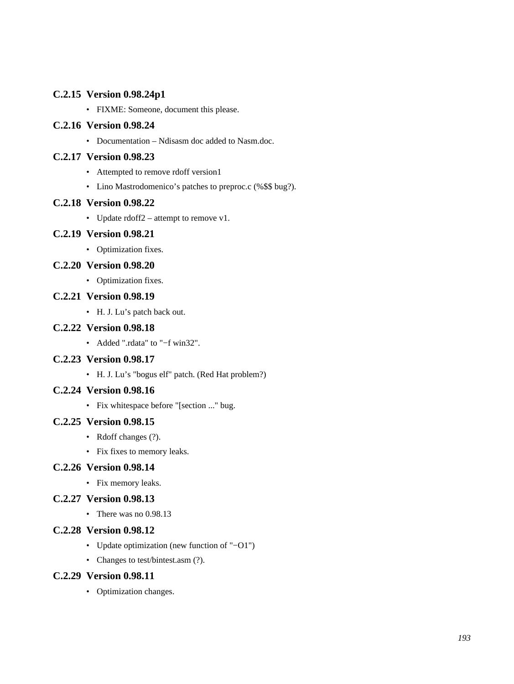## **C.2.15 Version 0.98.24p1**

• FIXME: Someone, document this please.

## **C.2.16 Version 0.98.24**

• Documentation – Ndisasm doc added to Nasm.doc.

## **C.2.17 Version 0.98.23**

- Attempted to remove rdoff version1
- Lino Mastrodomenico's patches to preproc.c (%\$\$ bug?).

## **C.2.18 Version 0.98.22**

• Update rdoff2 – attempt to remove v1.

## **C.2.19 Version 0.98.21**

• Optimization fixes.

## **C.2.20 Version 0.98.20**

• Optimization fixes.

## **C.2.21 Version 0.98.19**

• H. J. Lu's patch back out.

## **C.2.22 Version 0.98.18**

• Added ".rdata" to "−f win32".

## **C.2.23 Version 0.98.17**

• H. J. Lu's "bogus elf" patch. (Red Hat problem?)

## **C.2.24 Version 0.98.16**

• Fix whitespace before "[section ..." bug.

## **C.2.25 Version 0.98.15**

- Rdoff changes (?).
- Fix fixes to memory leaks.

#### **C.2.26 Version 0.98.14**

• Fix memory leaks.

## **C.2.27 Version 0.98.13**

• There was no 0.98.13

## **C.2.28 Version 0.98.12**

- Update optimization (new function of "−O1")
- Changes to test/bintest.asm (?).

#### **C.2.29 Version 0.98.11**

• Optimization changes.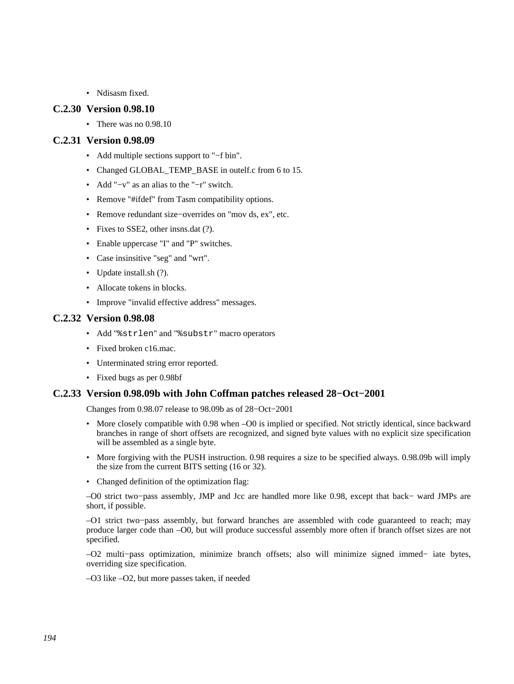• Ndisasm fixed.

#### **C.2.30 Version 0.98.10**

• There was no 0.98.10

#### **C.2.31 Version 0.98.09**

- Add multiple sections support to "−f bin".
- Changed GLOBAL\_TEMP\_BASE in outelf.c from 6 to 15.
- Add "−v" as an alias to the "−r" switch.
- Remove "#ifdef" from Tasm compatibility options.
- Remove redundant size−overrides on "mov ds, ex", etc.
- Fixes to SSE2, other insns.dat (?).
- Enable uppercase "I" and "P" switches.
- Case insinsitive "seg" and "wrt".
- Update install.sh (?).
- Allocate tokens in blocks.
- Improve "invalid effective address" messages.

#### **C.2.32 Version 0.98.08**

- Add "%strlen" and "%substr" macro operators
- Fixed broken c16.mac.
- Unterminated string error reported.
- Fixed bugs as per 0.98bf

#### **C.2.33 Version 0.98.09b with John Coffman patches released 28−Oct−2001**

Changes from 0.98.07 release to 98.09b as of 28−Oct−2001

- More closely compatible with 0.98 when –O0 is implied or specified. Not strictly identical, since backward branches in range of short offsets are recognized, and signed byte values with no explicit size specification will be assembled as a single byte.
- More forgiving with the PUSH instruction. 0.98 requires a size to be specified always. 0.98.09b will imply the size from the current BITS setting (16 or 32).
- Changed definition of the optimization flag:

–O0 strict two−pass assembly, JMP and Jcc are handled more like 0.98, except that back− ward JMPs are short, if possible.

–O1 strict two−pass assembly, but forward branches are assembled with code guaranteed to reach; may produce larger code than –O0, but will produce successful assembly more often if branch offset sizes are not specified.

–O2 multi−pass optimization, minimize branch offsets; also will minimize signed immed− iate bytes, overriding size specification.

–O3 like –O2, but more passes taken, if needed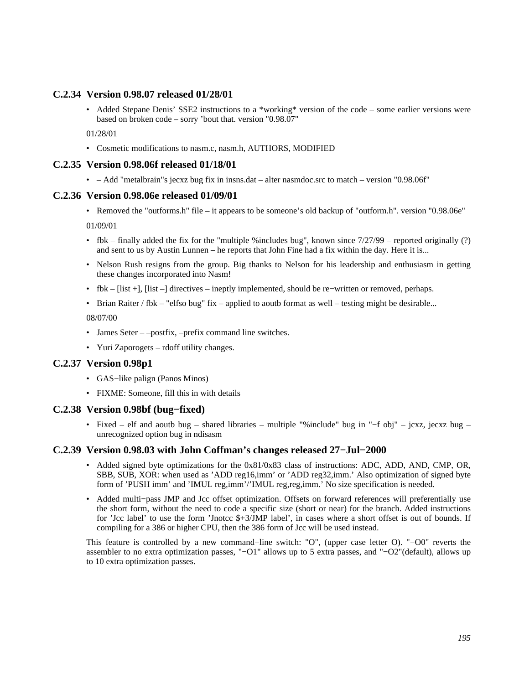## **C.2.34 Version 0.98.07 released 01/28/01**

• Added Stepane Denis' SSE2 instructions to a \*working\* version of the code – some earlier versions were based on broken code – sorry 'bout that. version "0.98.07"

01/28/01

• Cosmetic modifications to nasm.c, nasm.h, AUTHORS, MODIFIED

#### **C.2.35 Version 0.98.06f released 01/18/01**

• – Add "metalbrain"s jecxz bug fix in insns.dat – alter nasmdoc.src to match – version "0.98.06f"

#### **C.2.36 Version 0.98.06e released 01/09/01**

• Removed the "outforms.h" file – it appears to be someone's old backup of "outform.h". version "0.98.06e"

01/09/01

- fbk finally added the fix for the "multiple %includes bug", known since  $7/27/99$  reported originally (?) and sent to us by Austin Lunnen – he reports that John Fine had a fix within the day. Here it is...
- Nelson Rush resigns from the group. Big thanks to Nelson for his leadership and enthusiasm in getting these changes incorporated into Nasm!
- fbk [list +], [list –] directives ineptly implemented, should be re−written or removed, perhaps.
- Brian Raiter / fbk "elfso bug" fix applied to aoutb format as well testing might be desirable...

08/07/00

- James Seter –postfix, –prefix command line switches.
- Yuri Zaporogets rdoff utility changes.

#### **C.2.37 Version 0.98p1**

- GAS−like palign (Panos Minos)
- FIXME: Someone, fill this in with details

#### **C.2.38 Version 0.98bf (bug−fixed)**

• Fixed – elf and aoutb bug – shared libraries – multiple "%include" bug in "−f obj" – jcxz, jecxz bug – unrecognized option bug in ndisasm

#### **C.2.39 Version 0.98.03 with John Coffman's changes released 27−Jul−2000**

- Added signed byte optimizations for the 0x81/0x83 class of instructions: ADC, ADD, AND, CMP, OR, SBB, SUB, XOR: when used as 'ADD reg16,imm' or 'ADD reg32,imm.' Also optimization of signed byte form of 'PUSH imm' and 'IMUL reg,imm'/'IMUL reg,reg,imm.' No size specification is needed.
- Added multi−pass JMP and Jcc offset optimization. Offsets on forward references will preferentially use the short form, without the need to code a specific size (short or near) for the branch. Added instructions for 'Jcc label' to use the form 'Jnotcc \$+3/JMP label', in cases where a short offset is out of bounds. If compiling for a 386 or higher CPU, then the 386 form of Jcc will be used instead.

This feature is controlled by a new command−line switch: "O", (upper case letter O). "−O0" reverts the assembler to no extra optimization passes, "−O1" allows up to 5 extra passes, and "−O2"(default), allows up to 10 extra optimization passes.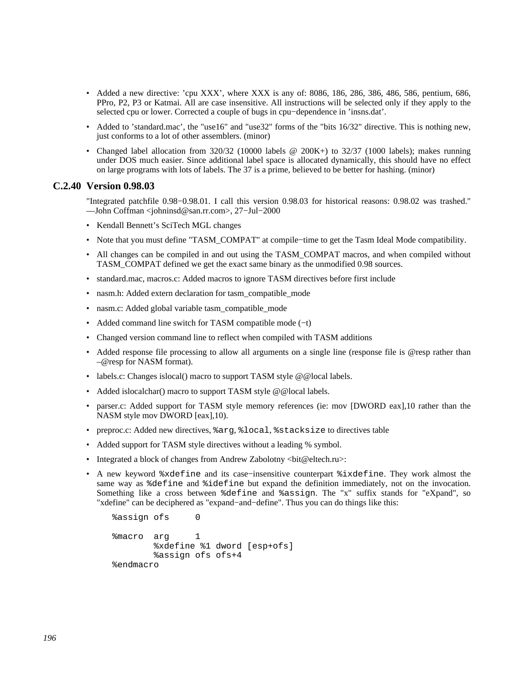- Added a new directive: 'cpu XXX', where XXX is any of: 8086, 186, 286, 386, 486, 586, pentium, 686, PPro, P2, P3 or Katmai. All are case insensitive. All instructions will be selected only if they apply to the selected cpu or lower. Corrected a couple of bugs in cpu−dependence in 'insns.dat'.
- Added to 'standard.mac', the "use16" and "use32" forms of the "bits 16/32" directive. This is nothing new, just conforms to a lot of other assemblers. (minor)
- Changed label allocation from 320/32 (10000 labels @ 200K+) to 32/37 (1000 labels); makes running under DOS much easier. Since additional label space is allocated dynamically, this should have no effect on large programs with lots of labels. The 37 is a prime, believed to be better for hashing. (minor)

#### **C.2.40 Version 0.98.03**

"Integrated patchfile 0.98−0.98.01. I call this version 0.98.03 for historical reasons: 0.98.02 was trashed." ––John Coffman <johninsd@san.rr.com>, 27−Jul−2000

- Kendall Bennett's SciTech MGL changes
- Note that you must define "TASM\_COMPAT" at compile−time to get the Tasm Ideal Mode compatibility.
- All changes can be compiled in and out using the TASM\_COMPAT macros, and when compiled without TASM\_COMPAT defined we get the exact same binary as the unmodified 0.98 sources.
- standard.mac, macros.c: Added macros to ignore TASM directives before first include
- nasm.h: Added extern declaration for tasm\_compatible\_mode
- nasm.c: Added global variable tasm\_compatible\_mode
- Added command line switch for TASM compatible mode (−t)
- Changed version command line to reflect when compiled with TASM additions
- Added response file processing to allow all arguments on a single line (response file is @resp rather than –@resp for NASM format).
- labels.c: Changes islocal() macro to support TASM style @@local labels.
- Added islocalchar() macro to support TASM style @@local labels.
- parser.c: Added support for TASM style memory references (ie: mov [DWORD eax],10 rather than the NASM style mov DWORD [eax],10).
- preproc.c: Added new directives, %arg, %local, %stacksize to directives table
- Added support for TASM style directives without a leading % symbol.
- Integrated a block of changes from Andrew Zabolotny <br/> <br/>bit@eltech.ru>:
- A new keyword %xdefine and its case−insensitive counterpart %ixdefine. They work almost the same way as %define and %idefine but expand the definition immediately, not on the invocation. Something like a cross between %define and %assign. The "x" suffix stands for "eXpand", so "xdefine" can be deciphered as "expand−and−define". Thus you can do things like this:

```
 %assign ofs 0 
 %macro arg 1 
         %xdefine %1 dword [esp+ofs] 
         %assign ofs ofs+4 
 %endmacro
```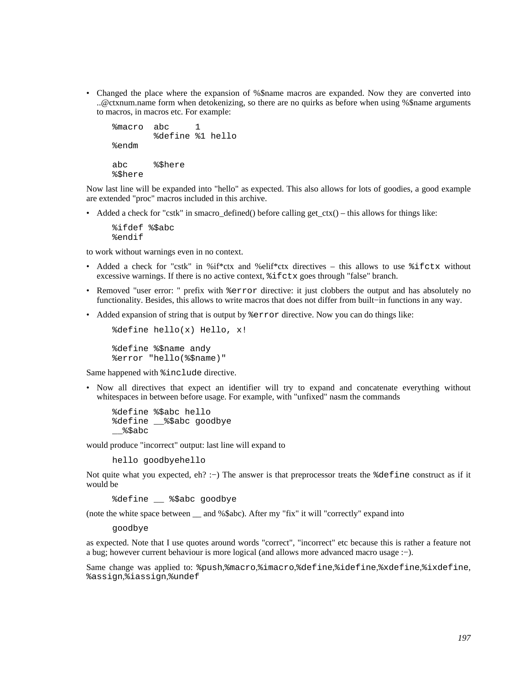• Changed the place where the expansion of %\$name macros are expanded. Now they are converted into ..@ctxnum.name form when detokenizing, so there are no quirks as before when using %\$name arguments to macros, in macros etc. For example:

```
 %macro abc 1 
         %define %1 hello 
 %endm 
 abc %$here 
 %$here
```
Now last line will be expanded into "hello" as expected. This also allows for lots of goodies, a good example are extended "proc" macros included in this archive.

• Added a check for "cstk" in smacro\_defined() before calling get\_ctx() – this allows for things like:

 %ifdef %\$abc %endif

to work without warnings even in no context.

- Added a check for "cstk" in %if\*ctx and %elif\*ctx directives this allows to use  $\text{\$ifctx without}$ excessive warnings. If there is no active context, %ifctx goes through "false" branch.
- Removed "user error: " prefix with  $\epsilon$  error directive: it just clobbers the output and has absolutely no functionality. Besides, this allows to write macros that does not differ from built−in functions in any way.
- Added expansion of string that is output by  $*$  error directive. Now you can do things like:

%define hello(x) Hello, x!

 %define %\$name andy %error "hello(%\$name)"

Same happened with %include directive.

• Now all directives that expect an identifier will try to expand and concatenate everything without whitespaces in between before usage. For example, with "unfixed" nasm the commands

```
 %define %$abc hello 
 %define __%$abc goodbye 
\$$abc
```
would produce "incorrect" output: last line will expand to

hello goodbyehello

Not quite what you expected, eh? :–) The answer is that preprocessor treats the %define construct as if it would be

%define \_\_ %\$abc goodbye

(note the white space between \_\_ and %\$abc). After my "fix" it will "correctly" expand into

goodbye

as expected. Note that I use quotes around words "correct", "incorrect" etc because this is rather a feature not a bug; however current behaviour is more logical (and allows more advanced macro usage :−).

Same change was applied to: %push,%macro,%imacro,%define,%idefine,%xdefine,%ixdefine, %assign,%iassign,%undef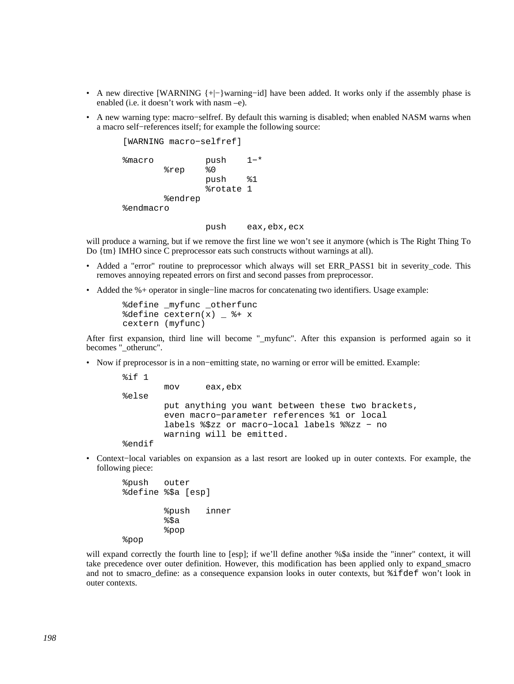- A new directive [WARNING {+ $\vert$ -}warning–id] have been added. It works only if the assembly phase is enabled (i.e. it doesn't work with nasm –e).
- A new warning type: macro–selfref. By default this warning is disabled; when enabled NASM warns when a macro self−references itself; for example the following source:

 [WARNING macro−selfref] %macro push 1−\* %rep %0 push %1 %rotate 1 %endrep %endmacro

push eax,ebx,ecx

will produce a warning, but if we remove the first line we won't see it anymore (which is The Right Thing To Do {tm} IMHO since C preprocessor eats such constructs without warnings at all).

- Added a "error" routine to preprocessor which always will set ERR\_PASS1 bit in severity\_code. This removes annoying repeated errors on first and second passes from preprocessor.
- Added the %+ operator in single−line macros for concatenating two identifiers. Usage example:

```
 %define _myfunc _otherfunc 
\deltadefine cextern(x) \delta + x
 cextern (myfunc)
```
After first expansion, third line will become "\_myfunc". After this expansion is performed again so it becomes " otherunc".

• Now if preprocessor is in a non−emitting state, no warning or error will be emitted. Example:

```
 %if 1 
         mov eax,ebx 
 %else 
         put anything you want between these two brackets, 
         even macro−parameter references %1 or local 
         labels %$zz or macro−local labels %%zz − no 
         warning will be emitted. 
 %endif
```
• Context−local variables on expansion as a last resort are looked up in outer contexts. For example, the following piece:

```
 %push outer 
 %define %$a [esp] 
          %push inner 
         §$a
          %pop 
 %pop
```
will expand correctly the fourth line to [esp]; if we'll define another %\$a inside the "inner" context, it will take precedence over outer definition. However, this modification has been applied only to expand\_smacro and not to smacro\_define: as a consequence expansion looks in outer contexts, but %ifdef won't look in outer contexts.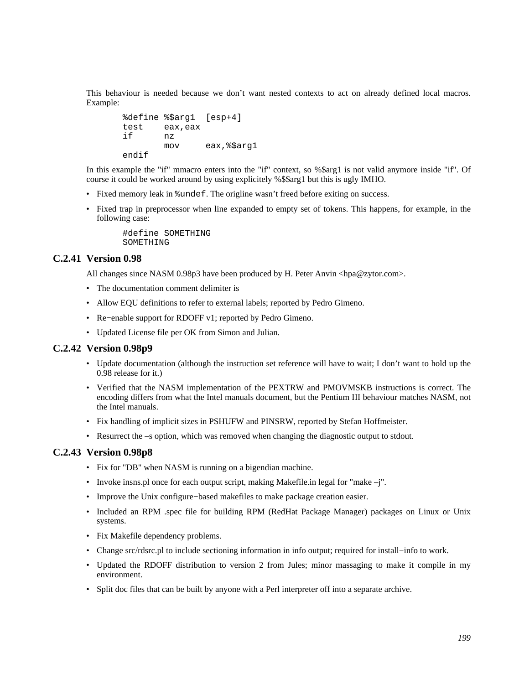This behaviour is needed because we don't want nested contexts to act on already defined local macros. Example:

```
 %define %$arg1 [esp+4] 
       test eax,eax 
 if nz 
              mov eax,%$arg1 
       endif
```
In this example the "if" mmacro enters into the "if" context, so %\$arg1 is not valid anymore inside "if". Of course it could be worked around by using explicitely %\$\$arg1 but this is ugly IMHO.

- Fixed memory leak in %undef. The origline wasn't freed before exiting on success.
- Fixed trap in preprocessor when line expanded to empty set of tokens. This happens, for example, in the following case:

 #define SOMETHING SOMETHING

#### **C.2.41 Version 0.98**

All changes since NASM 0.98p3 have been produced by H. Peter Anvin <hpa@zytor.com>.

- The documentation comment delimiter is
- Allow EQU definitions to refer to external labels; reported by Pedro Gimeno.
- Re−enable support for RDOFF v1; reported by Pedro Gimeno.
- Updated License file per OK from Simon and Julian.

#### **C.2.42 Version 0.98p9**

- Update documentation (although the instruction set reference will have to wait; I don't want to hold up the 0.98 release for it.)
- Verified that the NASM implementation of the PEXTRW and PMOVMSKB instructions is correct. The encoding differs from what the Intel manuals document, but the Pentium III behaviour matches NASM, not the Intel manuals.
- Fix handling of implicit sizes in PSHUFW and PINSRW, reported by Stefan Hoffmeister.
- Resurrect the –s option, which was removed when changing the diagnostic output to stdout.

#### **C.2.43 Version 0.98p8**

- Fix for "DB" when NASM is running on a bigendian machine.
- Invoke insns.pl once for each output script, making Makefile.in legal for "make –j".
- Improve the Unix configure−based makefiles to make package creation easier.
- Included an RPM .spec file for building RPM (RedHat Package Manager) packages on Linux or Unix systems.
- Fix Makefile dependency problems.
- Change src/rdsrc.pl to include sectioning information in info output; required for install−info to work.
- Updated the RDOFF distribution to version 2 from Jules; minor massaging to make it compile in my environment.
- Split doc files that can be built by anyone with a Perl interpreter off into a separate archive.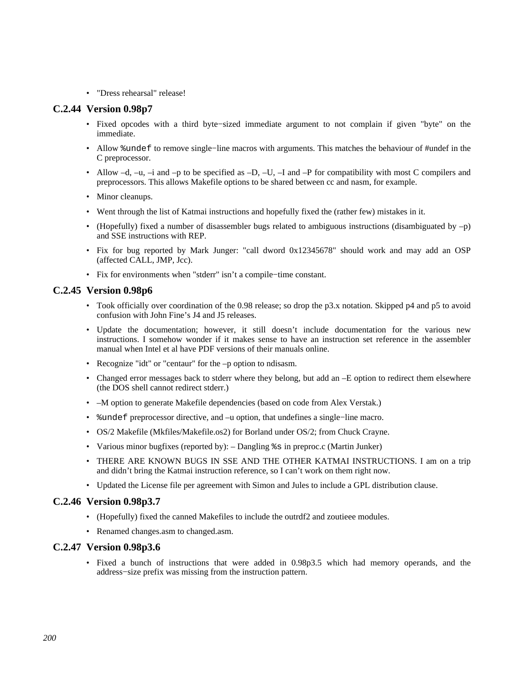• "Dress rehearsal" release!

#### **C.2.44 Version 0.98p7**

- Fixed opcodes with a third byte−sized immediate argument to not complain if given "byte" on the immediate.
- Allow %undef to remove single–line macros with arguments. This matches the behaviour of #undef in the C preprocessor.
- Allow  $-d$ ,  $-u$ ,  $-i$  and  $-p$  to be specified as  $-D$ ,  $-U$ ,  $-i$  and  $-P$  for compatibility with most C compilers and preprocessors. This allows Makefile options to be shared between cc and nasm, for example.
- Minor cleanups.
- Went through the list of Katmai instructions and hopefully fixed the (rather few) mistakes in it.
- (Hopefully) fixed a number of disassembler bugs related to ambiguous instructions (disambiguated by  $-p$ ) and SSE instructions with REP.
- Fix for bug reported by Mark Junger: "call dword 0x12345678" should work and may add an OSP (affected CALL, JMP, Jcc).
- Fix for environments when "stderr" isn't a compile−time constant.

#### **C.2.45 Version 0.98p6**

- Took officially over coordination of the 0.98 release; so drop the p3.x notation. Skipped p4 and p5 to avoid confusion with John Fine's J4 and J5 releases.
- Update the documentation; however, it still doesn't include documentation for the various new instructions. I somehow wonder if it makes sense to have an instruction set reference in the assembler manual when Intel et al have PDF versions of their manuals online.
- Recognize "idt" or "centaur" for the –p option to ndisasm.
- Changed error messages back to stderr where they belong, but add an -E option to redirect them elsewhere (the DOS shell cannot redirect stderr.)
- –M option to generate Makefile dependencies (based on code from Alex Verstak.)
- %undef preprocessor directive, and –u option, that undefines a single−line macro.
- OS/2 Makefile (Mkfiles/Makefile.os2) for Borland under OS/2; from Chuck Crayne.
- Various minor bugfixes (reported by): Dangling %s in preproc.c (Martin Junker)
- THERE ARE KNOWN BUGS IN SSE AND THE OTHER KATMAI INSTRUCTIONS. I am on a trip and didn't bring the Katmai instruction reference, so I can't work on them right now.
- Updated the License file per agreement with Simon and Jules to include a GPL distribution clause.

#### **C.2.46 Version 0.98p3.7**

- (Hopefully) fixed the canned Makefiles to include the outrdf2 and zoutieee modules.
- Renamed changes.asm to changed.asm.

#### **C.2.47 Version 0.98p3.6**

• Fixed a bunch of instructions that were added in 0.98p3.5 which had memory operands, and the address−size prefix was missing from the instruction pattern.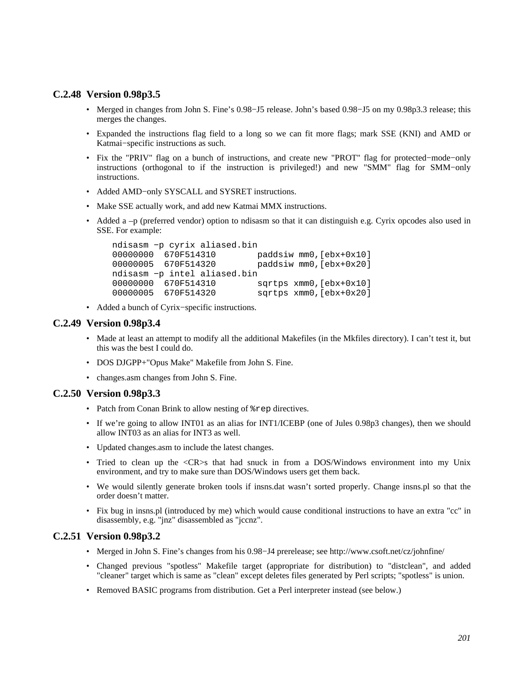#### **C.2.48 Version 0.98p3.5**

- Merged in changes from John S. Fine's 0.98−J5 release. John's based 0.98−J5 on my 0.98p3.3 release; this merges the changes.
- Expanded the instructions flag field to a long so we can fit more flags; mark SSE (KNI) and AMD or Katmai−specific instructions as such.
- Fix the "PRIV" flag on a bunch of instructions, and create new "PROT" flag for protected−mode−only instructions (orthogonal to if the instruction is privileged!) and new "SMM" flag for SMM−only instructions.
- Added AMD−only SYSCALL and SYSRET instructions.
- Make SSE actually work, and add new Katmai MMX instructions.
- Added a –p (preferred vendor) option to ndisasm so that it can distinguish e.g. Cyrix opcodes also used in SSE. For example:

```
 ndisasm −p cyrix aliased.bin 
00000000 670F514310 paddsiw mm0,[ebx+0x10]<br>00000005 670F514320 paddsiw mm0.[ebx+0x20]
                                paddsiw mm0, [ebx+0x20]
 ndisasm −p intel aliased.bin 
 00000000 670F514310 sqrtps xmm0,[ebx+0x10] 
 00000005 670F514320 sqrtps xmm0,[ebx+0x20]
```
• Added a bunch of Cyrix−specific instructions.

#### **C.2.49 Version 0.98p3.4**

- Made at least an attempt to modify all the additional Makefiles (in the Mkfiles directory). I can't test it, but this was the best I could do.
- DOS DJGPP+"Opus Make" Makefile from John S. Fine.
- changes.asm changes from John S. Fine.

#### **C.2.50 Version 0.98p3.3**

- Patch from Conan Brink to allow nesting of  $*$ rep directives.
- If we're going to allow INT01 as an alias for INT1/ICEBP (one of Jules 0.98p3 changes), then we should allow INT03 as an alias for INT3 as well.
- Updated changes.asm to include the latest changes.
- Tried to clean up the  $\langle CR \rangle$ s that had snuck in from a DOS/Windows environment into my Unix environment, and try to make sure than DOS/Windows users get them back.
- We would silently generate broken tools if insns.dat wasn't sorted properly. Change insns.pl so that the order doesn't matter.
- Fix bug in insns.pl (introduced by me) which would cause conditional instructions to have an extra "cc" in disassembly, e.g. "jnz" disassembled as "jccnz".

## **C.2.51 Version 0.98p3.2**

- Merged in John S. Fine's changes from his 0.98−J4 prerelease; see http://www.csoft.net/cz/johnfine/
- Changed previous "spotless" Makefile target (appropriate for distribution) to "distclean", and added "cleaner" target which is same as "clean" except deletes files generated by Perl scripts; "spotless" is union.
- Removed BASIC programs from distribution. Get a Perl interpreter instead (see below.)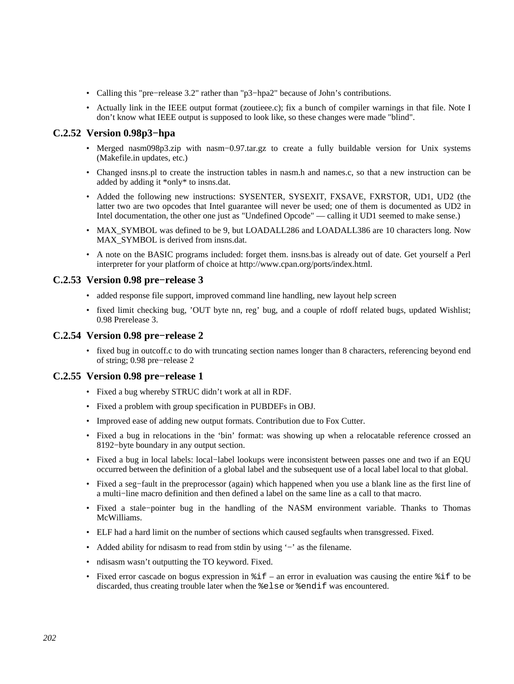- Calling this "pre−release 3.2" rather than "p3−hpa2" because of John's contributions.
- Actually link in the IEEE output format (zoutieee.c); fix a bunch of compiler warnings in that file. Note I don't know what IEEE output is supposed to look like, so these changes were made "blind".

## **C.2.52 Version 0.98p3−hpa**

- Merged nasm098p3.zip with nasm−0.97.tar.gz to create a fully buildable version for Unix systems (Makefile.in updates, etc.)
- Changed insns.pl to create the instruction tables in nasm.h and names.c, so that a new instruction can be added by adding it \*only\* to insns.dat.
- Added the following new instructions: SYSENTER, SYSEXIT, FXSAVE, FXRSTOR, UD1, UD2 (the latter two are two opcodes that Intel guarantee will never be used; one of them is documented as UD2 in Intel documentation, the other one just as "Undefined Opcode" — calling it UD1 seemed to make sense.)
- MAX SYMBOL was defined to be 9, but LOADALL286 and LOADALL386 are 10 characters long. Now MAX SYMBOL is derived from insns.dat.
- A note on the BASIC programs included: forget them. insns.bas is already out of date. Get yourself a Perl interpreter for your platform of choice at [http://www.cpan.org/ports/index.html.](http://www.cpan.org/ports/index.html)

#### **C.2.53 Version 0.98 pre−release 3**

- added response file support, improved command line handling, new layout help screen
- fixed limit checking bug, 'OUT byte nn, reg' bug, and a couple of rdoff related bugs, updated Wishlist; 0.98 Prerelease 3.

#### **C.2.54 Version 0.98 pre−release 2**

• fixed bug in outcoff.c to do with truncating section names longer than 8 characters, referencing beyond end of string; 0.98 pre−release 2

#### **C.2.55 Version 0.98 pre−release 1**

- Fixed a bug whereby STRUC didn't work at all in RDF.
- Fixed a problem with group specification in PUBDEFs in OBJ.
- Improved ease of adding new output formats. Contribution due to Fox Cutter.
- Fixed a bug in relocations in the 'bin' format: was showing up when a relocatable reference crossed an 8192−byte boundary in any output section.
- Fixed a bug in local labels: local−label lookups were inconsistent between passes one and two if an EQU occurred between the definition of a global label and the subsequent use of a local label local to that global.
- Fixed a seg−fault in the preprocessor (again) which happened when you use a blank line as the first line of a multi−line macro definition and then defined a label on the same line as a call to that macro.
- Fixed a stale−pointer bug in the handling of the NASM environment variable. Thanks to Thomas McWilliams.
- ELF had a hard limit on the number of sections which caused segfaults when transgressed. Fixed.
- Added ability for ndisasm to read from stdin by using '−' as the filename.
- ndisasm wasn't outputting the TO keyword. Fixed.
- Fixed error cascade on bogus expression in  $\hat{\tau}$  = an error in evaluation was causing the entire  $\hat{\tau}$  to be discarded, thus creating trouble later when the %else or %endif was encountered.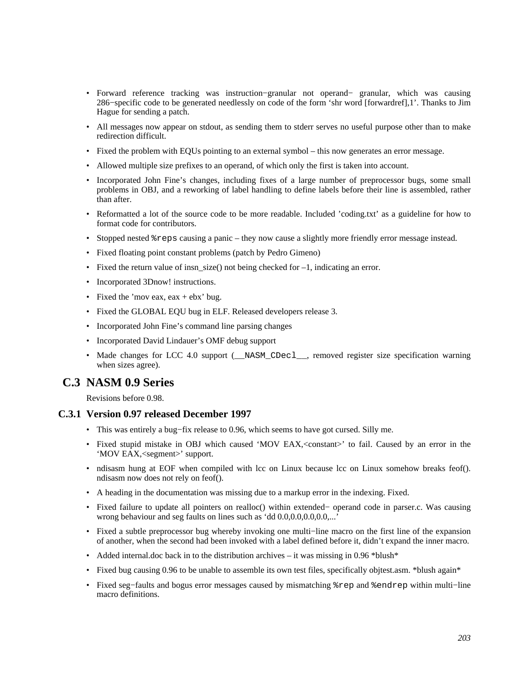- Forward reference tracking was instruction−granular not operand− granular, which was causing 286−specific code to be generated needlessly on code of the form 'shr word [forwardref],1'. Thanks to Jim Hague for sending a patch.
- All messages now appear on stdout, as sending them to stderr serves no useful purpose other than to make redirection difficult.
- Fixed the problem with EQUs pointing to an external symbol this now generates an error message.
- Allowed multiple size prefixes to an operand, of which only the first is taken into account.
- Incorporated John Fine's changes, including fixes of a large number of preprocessor bugs, some small problems in OBJ, and a reworking of label handling to define labels before their line is assembled, rather than after.
- Reformatted a lot of the source code to be more readable. Included 'coding.txt' as a guideline for how to format code for contributors.
- Stopped nested %reps causing a panic they now cause a slightly more friendly error message instead.
- Fixed floating point constant problems (patch by Pedro Gimeno)
- Fixed the return value of insn  $size()$  not being checked for  $-1$ , indicating an error.
- Incorporated 3Dnow! instructions.
- Fixed the 'mov eax,  $eax + ebx$ ' bug.
- Fixed the GLOBAL EQU bug in ELF. Released developers release 3.
- Incorporated John Fine's command line parsing changes
- Incorporated David Lindauer's OMF debug support
- Made changes for LCC 4.0 support (\_\_NASM\_CDecl\_\_, removed register size specification warning when sizes agree).

## **C.3 NASM 0.9 Series**

Revisions before 0.98.

#### **C.3.1 Version 0.97 released December 1997**

- This was entirely a bug−fix release to 0.96, which seems to have got cursed. Silly me.
- Fixed stupid mistake in OBJ which caused 'MOV EAX, < constant>' to fail. Caused by an error in the 'MOV EAX,<segment>' support.
- ndisasm hung at EOF when compiled with lcc on Linux because lcc on Linux somehow breaks feof(). ndisasm now does not rely on feof().
- A heading in the documentation was missing due to a markup error in the indexing. Fixed.
- Fixed failure to update all pointers on realloc() within extended− operand code in parser.c. Was causing wrong behaviour and seg faults on lines such as 'dd 0.0,0.0,0.0,0.0,...'
- Fixed a subtle preprocessor bug whereby invoking one multi−line macro on the first line of the expansion of another, when the second had been invoked with a label defined before it, didn't expand the inner macro.
- Added internal.doc back in to the distribution archives it was missing in 0.96 \*blush\*
- Fixed bug causing 0.96 to be unable to assemble its own test files, specifically objtest.asm. \*blush again\*
- Fixed seg−faults and bogus error messages caused by mismatching %rep and %endrep within multi−line macro definitions.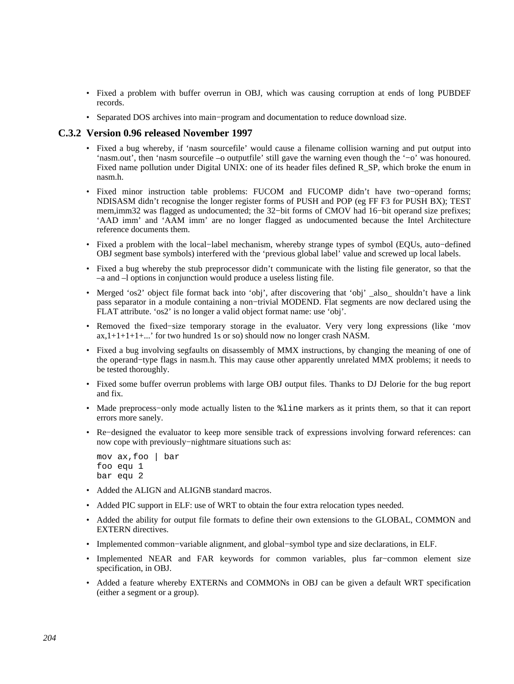- Fixed a problem with buffer overrun in OBJ, which was causing corruption at ends of long PUBDEF records.
- Separated DOS archives into main−program and documentation to reduce download size.

#### **C.3.2 Version 0.96 released November 1997**

- Fixed a bug whereby, if 'nasm sourcefile' would cause a filename collision warning and put output into 'nasm.out', then 'nasm sourcefile –o outputfile' still gave the warning even though the '−o' was honoured. Fixed name pollution under Digital UNIX: one of its header files defined R\_SP, which broke the enum in nasm.h.
- Fixed minor instruction table problems: FUCOM and FUCOMP didn't have two−operand forms; NDISASM didn't recognise the longer register forms of PUSH and POP (eg FF F3 for PUSH BX); TEST mem,imm32 was flagged as undocumented; the 32–bit forms of CMOV had 16–bit operand size prefixes; 'AAD imm' and 'AAM imm' are no longer flagged as undocumented because the Intel Architecture reference documents them.
- Fixed a problem with the local−label mechanism, whereby strange types of symbol (EQUs, auto−defined OBJ segment base symbols) interfered with the 'previous global label' value and screwed up local labels.
- Fixed a bug whereby the stub preprocessor didn't communicate with the listing file generator, so that the –a and –l options in conjunction would produce a useless listing file.
- Merged 'os2' object file format back into 'obj', after discovering that 'obj' \_also\_ shouldn't have a link pass separator in a module containing a non−trivial MODEND. Flat segments are now declared using the FLAT attribute. 'os2' is no longer a valid object format name: use 'obj'.
- Removed the fixed−size temporary storage in the evaluator. Very very long expressions (like 'mov  $ax,1+1+1+1+...$  for two hundred 1s or so) should now no longer crash NASM.
- Fixed a bug involving segfaults on disassembly of MMX instructions, by changing the meaning of one of the operand−type flags in nasm.h. This may cause other apparently unrelated MMX problems; it needs to be tested thoroughly.
- Fixed some buffer overrun problems with large OBJ output files. Thanks to DJ Delorie for the bug report and fix.
- Made preprocess–only mode actually listen to the %line markers as it prints them, so that it can report errors more sanely.
- Re−designed the evaluator to keep more sensible track of expressions involving forward references: can now cope with previously−nightmare situations such as:

```
 mov ax,foo | bar 
 foo equ 1 
 bar equ 2
```
- Added the ALIGN and ALIGNB standard macros.
- Added PIC support in ELF: use of WRT to obtain the four extra relocation types needed.
- Added the ability for output file formats to define their own extensions to the GLOBAL, COMMON and EXTERN directives.
- Implemented common−variable alignment, and global−symbol type and size declarations, in ELF.
- Implemented NEAR and FAR keywords for common variables, plus far−common element size specification, in OBJ.
- Added a feature whereby EXTERNs and COMMONs in OBJ can be given a default WRT specification (either a segment or a group).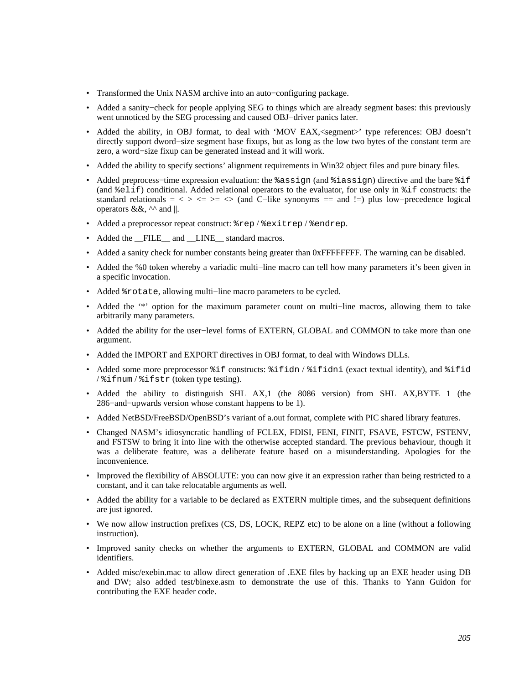- Transformed the Unix NASM archive into an auto−configuring package.
- Added a sanity−check for people applying SEG to things which are already segment bases: this previously went unnoticed by the SEG processing and caused OBJ−driver panics later.
- Added the ability, in OBJ format, to deal with 'MOV EAX, <segment>' type references: OBJ doesn't directly support dword−size segment base fixups, but as long as the low two bytes of the constant term are zero, a word−size fixup can be generated instead and it will work.
- Added the ability to specify sections' alignment requirements in Win32 object files and pure binary files.
- Added preprocess−time expression evaluation: the %assign (and %iassign) directive and the bare %if (and %elif) conditional. Added relational operators to the evaluator, for use only in %if constructs: the standard relationals =  $\langle \rangle \langle \rangle \langle \rangle = \rangle$  (and C−like synonyms == and !=) plus low-precedence logical operators &&,  $\wedge$  and ||.
- Added a preprocessor repeat construct: %rep / %exitrep / %endrep.
- Added the FILE\_ and LINE\_ standard macros.
- Added a sanity check for number constants being greater than 0xFFFFFFFF. The warning can be disabled.
- Added the %0 token whereby a variadic multi−line macro can tell how many parameters it's been given in a specific invocation.
- Added %rotate, allowing multi−line macro parameters to be cycled.
- Added the '\*' option for the maximum parameter count on multi−line macros, allowing them to take arbitrarily many parameters.
- Added the ability for the user−level forms of EXTERN, GLOBAL and COMMON to take more than one argument.
- Added the IMPORT and EXPORT directives in OBJ format, to deal with Windows DLLs.
- Added some more preprocessor %if constructs: %ifidn / %ifidni (exact textual identity), and %ifid / %ifnum / %ifstr (token type testing).
- Added the ability to distinguish SHL AX,1 (the 8086 version) from SHL AX,BYTE 1 (the 286−and−upwards version whose constant happens to be 1).
- Added NetBSD/FreeBSD/OpenBSD's variant of a.out format, complete with PIC shared library features.
- Changed NASM's idiosyncratic handling of FCLEX, FDISI, FENI, FINIT, FSAVE, FSTCW, FSTENV, and FSTSW to bring it into line with the otherwise accepted standard. The previous behaviour, though it was a deliberate feature, was a deliberate feature based on a misunderstanding. Apologies for the inconvenience.
- Improved the flexibility of ABSOLUTE: you can now give it an expression rather than being restricted to a constant, and it can take relocatable arguments as well.
- Added the ability for a variable to be declared as EXTERN multiple times, and the subsequent definitions are just ignored.
- We now allow instruction prefixes (CS, DS, LOCK, REPZ etc) to be alone on a line (without a following instruction).
- Improved sanity checks on whether the arguments to EXTERN, GLOBAL and COMMON are valid identifiers.
- Added misc/exebin.mac to allow direct generation of .EXE files by hacking up an EXE header using DB and DW; also added test/binexe.asm to demonstrate the use of this. Thanks to Yann Guidon for contributing the EXE header code.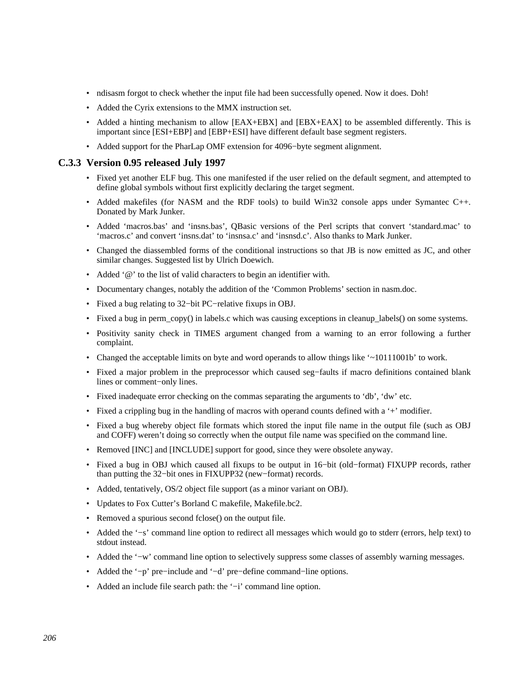- ndisasm forgot to check whether the input file had been successfully opened. Now it does. Doh!
- Added the Cyrix extensions to the MMX instruction set.
- Added a hinting mechanism to allow [EAX+EBX] and [EBX+EAX] to be assembled differently. This is important since [ESI+EBP] and [EBP+ESI] have different default base segment registers.
- Added support for the PharLap OMF extension for 4096−byte segment alignment.

#### **C.3.3 Version 0.95 released July 1997**

- Fixed yet another ELF bug. This one manifested if the user relied on the default segment, and attempted to define global symbols without first explicitly declaring the target segment.
- Added makefiles (for NASM and the RDF tools) to build Win32 console apps under Symantec C++. Donated by Mark Junker.
- Added 'macros.bas' and 'insns.bas', QBasic versions of the Perl scripts that convert 'standard.mac' to 'macros.c' and convert 'insns.dat' to 'insnsa.c' and 'insnsd.c'. Also thanks to Mark Junker.
- Changed the diassembled forms of the conditional instructions so that JB is now emitted as JC, and other similar changes. Suggested list by Ulrich Doewich.
- Added '@' to the list of valid characters to begin an identifier with.
- Documentary changes, notably the addition of the 'Common Problems' section in nasm.doc.
- Fixed a bug relating to 32−bit PC−relative fixups in OBJ.
- Fixed a bug in perm\_copy() in labels.c which was causing exceptions in cleanup\_labels() on some systems.
- Positivity sanity check in TIMES argument changed from a warning to an error following a further complaint.
- Changed the acceptable limits on byte and word operands to allow things like '~10111001b' to work.
- Fixed a major problem in the preprocessor which caused seg−faults if macro definitions contained blank lines or comment−only lines.
- Fixed inadequate error checking on the commas separating the arguments to 'db', 'dw' etc.
- Fixed a crippling bug in the handling of macros with operand counts defined with a '+' modifier.
- Fixed a bug whereby object file formats which stored the input file name in the output file (such as OBJ and COFF) weren't doing so correctly when the output file name was specified on the command line.
- Removed [INC] and [INCLUDE] support for good, since they were obsolete anyway.
- Fixed a bug in OBJ which caused all fixups to be output in 16−bit (old−format) FIXUPP records, rather than putting the 32−bit ones in FIXUPP32 (new−format) records.
- Added, tentatively, OS/2 object file support (as a minor variant on OBJ).
- Updates to Fox Cutter's Borland C makefile, Makefile.bc2.
- Removed a spurious second fclose() on the output file.
- Added the '−s' command line option to redirect all messages which would go to stderr (errors, help text) to stdout instead.
- Added the '−w' command line option to selectively suppress some classes of assembly warning messages.
- Added the '−p' pre−include and '−d' pre−define command−line options.
- Added an include file search path: the '−i' command line option.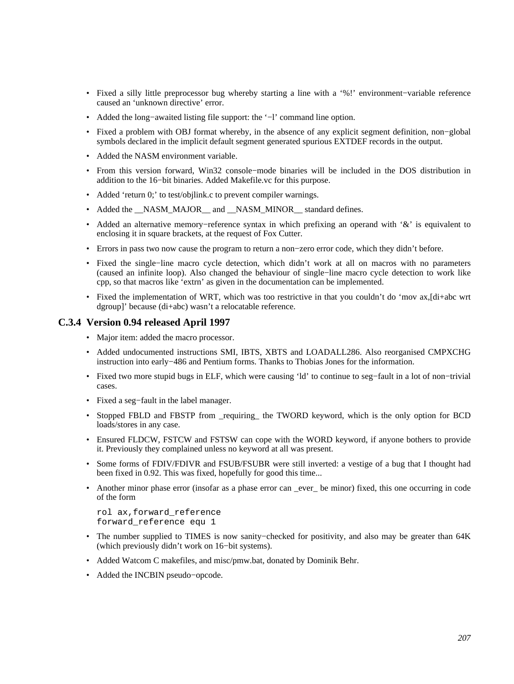- Fixed a silly little preprocessor bug whereby starting a line with a '%!' environment−variable reference caused an 'unknown directive' error.
- Added the long−awaited listing file support: the '−l' command line option.
- Fixed a problem with OBJ format whereby, in the absence of any explicit segment definition, non−global symbols declared in the implicit default segment generated spurious EXTDEF records in the output.
- Added the NASM environment variable.
- From this version forward, Win32 console−mode binaries will be included in the DOS distribution in addition to the 16−bit binaries. Added Makefile.vc for this purpose.
- Added 'return 0;' to test/objlink.c to prevent compiler warnings.
- Added the \_\_NASM\_MAJOR\_\_ and \_\_NASM\_MINOR\_\_ standard defines.
- Added an alternative memory−reference syntax in which prefixing an operand with '&' is equivalent to enclosing it in square brackets, at the request of Fox Cutter.
- Errors in pass two now cause the program to return a non−zero error code, which they didn't before.
- Fixed the single−line macro cycle detection, which didn't work at all on macros with no parameters (caused an infinite loop). Also changed the behaviour of single−line macro cycle detection to work like cpp, so that macros like 'extrn' as given in the documentation can be implemented.
- Fixed the implementation of WRT, which was too restrictive in that you couldn't do 'mov ax,[di+abc wrt dgroup]' because (di+abc) wasn't a relocatable reference.

#### **C.3.4 Version 0.94 released April 1997**

- Major item: added the macro processor.
- Added undocumented instructions SMI, IBTS, XBTS and LOADALL286. Also reorganised CMPXCHG instruction into early−486 and Pentium forms. Thanks to Thobias Jones for the information.
- Fixed two more stupid bugs in ELF, which were causing 'ld' to continue to seg−fault in a lot of non−trivial cases.
- Fixed a seg−fault in the label manager.
- Stopped FBLD and FBSTP from \_requiring\_ the TWORD keyword, which is the only option for BCD loads/stores in any case.
- Ensured FLDCW, FSTCW and FSTSW can cope with the WORD keyword, if anyone bothers to provide it. Previously they complained unless no keyword at all was present.
- Some forms of FDIV/FDIVR and FSUB/FSUBR were still inverted: a vestige of a bug that I thought had been fixed in 0.92. This was fixed, hopefully for good this time...
- Another minor phase error (insofar as a phase error can \_ever\_ be minor) fixed, this one occurring in code of the form

```
 rol ax,forward_reference 
 forward_reference equ 1
```
- The number supplied to TIMES is now sanity−checked for positivity, and also may be greater than 64K (which previously didn't work on 16−bit systems).
- Added Watcom C makefiles, and misc/pmw.bat, donated by Dominik Behr.
- Added the INCBIN pseudo−opcode.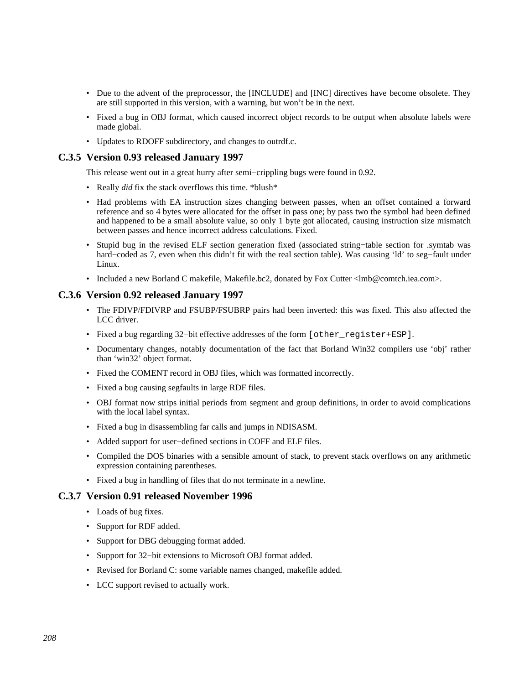- Due to the advent of the preprocessor, the [INCLUDE] and [INC] directives have become obsolete. They are still supported in this version, with a warning, but won't be in the next.
- Fixed a bug in OBJ format, which caused incorrect object records to be output when absolute labels were made global.
- Updates to RDOFF subdirectory, and changes to outrdf.c.

#### **C.3.5 Version 0.93 released January 1997**

This release went out in a great hurry after semi−crippling bugs were found in 0.92.

- Really *did* fix the stack overflows this time. \*blush\*
- Had problems with EA instruction sizes changing between passes, when an offset contained a forward reference and so 4 bytes were allocated for the offset in pass one; by pass two the symbol had been defined and happened to be a small absolute value, so only 1 byte got allocated, causing instruction size mismatch between passes and hence incorrect address calculations. Fixed.
- Stupid bug in the revised ELF section generation fixed (associated string−table section for .symtab was hard−coded as 7, even when this didn't fit with the real section table). Was causing 'ld' to seg−fault under Linux.
- Included a new Borland C makefile, Makefile.bc2, donated by Fox Cutter <lmb@comtch.iea.com>.

#### **C.3.6 Version 0.92 released January 1997**

- The FDIVP/FDIVRP and FSUBP/FSUBRP pairs had been inverted: this was fixed. This also affected the LCC driver.
- Fixed a bug regarding 32−bit effective addresses of the form [other\_register+ESP].
- Documentary changes, notably documentation of the fact that Borland Win32 compilers use 'obj' rather than 'win32' object format.
- Fixed the COMENT record in OBJ files, which was formatted incorrectly.
- Fixed a bug causing segfaults in large RDF files.
- OBJ format now strips initial periods from segment and group definitions, in order to avoid complications with the local label syntax.
- Fixed a bug in disassembling far calls and jumps in NDISASM.
- Added support for user−defined sections in COFF and ELF files.
- Compiled the DOS binaries with a sensible amount of stack, to prevent stack overflows on any arithmetic expression containing parentheses.
- Fixed a bug in handling of files that do not terminate in a newline.

#### **C.3.7 Version 0.91 released November 1996**

- Loads of bug fixes.
- Support for RDF added.
- Support for DBG debugging format added.
- Support for 32−bit extensions to Microsoft OBJ format added.
- Revised for Borland C: some variable names changed, makefile added.
- LCC support revised to actually work.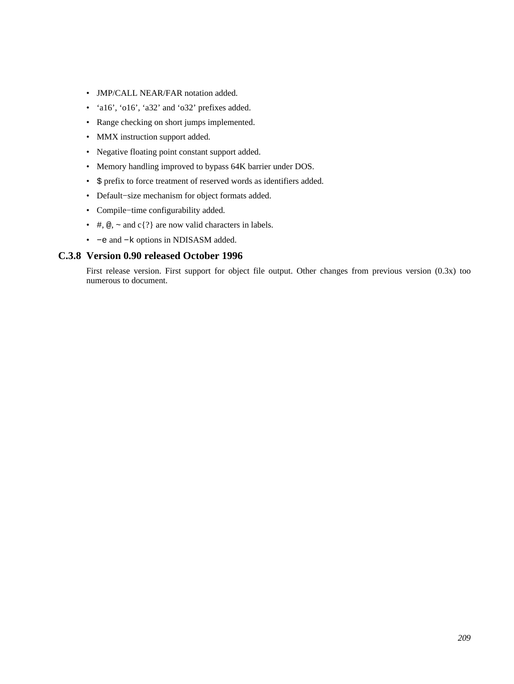- JMP/CALL NEAR/FAR notation added.
- 'a16', 'o16', 'a32' and 'o32' prefixes added.
- Range checking on short jumps implemented.
- MMX instruction support added.
- Negative floating point constant support added.
- Memory handling improved to bypass 64K barrier under DOS.
- \$ prefix to force treatment of reserved words as identifiers added.
- Default−size mechanism for object formats added.
- Compile−time configurability added.
- #,  $\textcircled{e}$ ,  $\sim$  and c{?} are now valid characters in labels.
- −e and −k options in NDISASM added.

#### **C.3.8 Version 0.90 released October 1996**

First release version. First support for object file output. Other changes from previous version (0.3x) too numerous to document.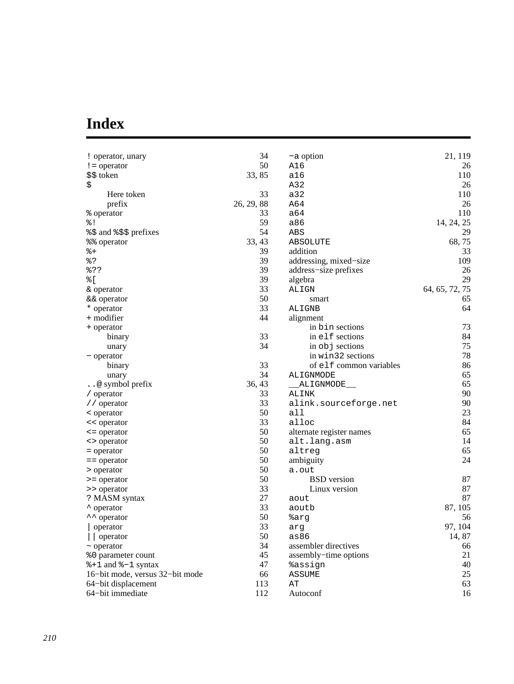# **Index**

| ! operator, unary               | 34         | -a option                | 21, 119        |
|---------------------------------|------------|--------------------------|----------------|
| $!=$ operator                   | 50         | A16                      | 26             |
| \$\$ token                      | 33, 85     | a16                      | 110            |
| \$                              |            | A32                      | 26             |
| Here token                      | 33         | a32                      | 110            |
| prefix                          | 26, 29, 88 | A64                      | 26             |
| % operator                      | 33         | a64                      | 110            |
| 응 !                             | 59         | a86                      | 14, 24, 25     |
| %\$ and %\$\$ prefixes          | 54         | ABS                      | 29             |
| %% operator                     | 33, 43     | ABSOLUTE                 | 68,75          |
| 웅+                              | 39         | addition                 | 33             |
| 응?                              | 39         | addressing, mixed-size   | 109            |
| 응??                             | 39         | address-size prefixes    | 26             |
| % [                             | 39         | algebra                  | 29             |
| & operator                      | 33         | ALIGN                    | 64, 65, 72, 75 |
| && operator                     | 50         | smart                    | 65             |
| * operator                      | 33         | ALIGNB                   | 64             |
| + modifier                      | 44         | alignment                |                |
| + operator                      |            | in bin sections          | 73             |
| binary                          | 33         | in elf sections          | 84             |
| unary                           | 34         | in $obj$ sections        | 75             |
| - operator                      |            | in win32 sections        | 78             |
| binary                          | 33         | of elf common variables  | 86             |
| unary                           | 34         | ALIGNMODE                | 65             |
| @ symbol prefix                 | 36, 43     | ALIGNMODE___             | 65             |
| / operator                      | 33         | ALINK                    | 90             |
| // operator                     | 33         | alink.sourceforge.net    | 90             |
| < operator                      | 50         | all                      | 23             |
| << operator                     | 33         | alloc                    | 84             |
| $\leq$ = operator               | 50         | alternate register names | 65             |
| <> operator                     | 50         | alt.lang.asm             | 14             |
| = operator                      | 50         | altreg                   | 65             |
| $=$ = $\alpha$ operator         | 50         | ambiguity                | 24             |
| > operator                      | 50         | a.out                    |                |
| > = operator                    | 50         | <b>BSD</b> version       | 87             |
| >> operator                     | 33         | Linux version            | 87             |
| ? MASM syntax                   | 27         | aout                     | 87             |
| * operator                      | 33         | aoutb                    | 87, 105        |
| ** operator                     | 50         | %arq                     | 56             |
| operator                        | 33         | arg                      | 97, 104        |
| operator                        | 50         | as86                     | 14, 87         |
| $\sim$ operator                 | 34         | assembler directives     | 66             |
| %0 parameter count              | 45         | assembly-time options    | 21             |
| $*1$ and $*-1$ syntax           | 47         | %assign                  | 40             |
| 16-bit mode, versus 32-bit mode | 66         | <b>ASSUME</b>            | 25             |
| 64-bit displacement             | 113        | AΤ                       | 63             |
| 64-bit immediate                | 112        | Autoconf                 | 16             |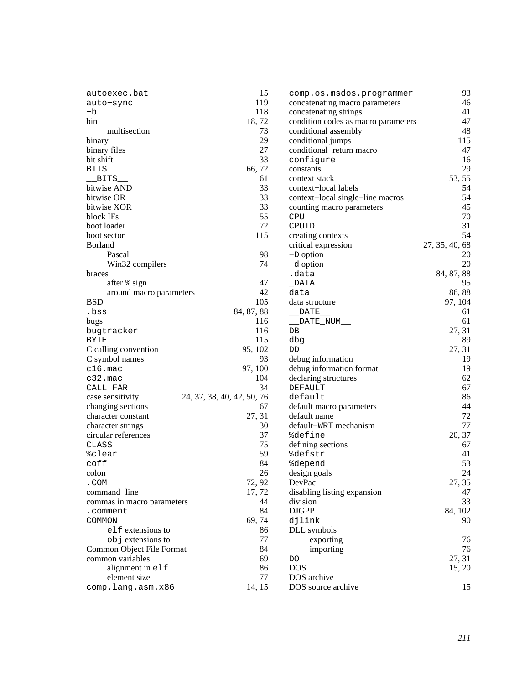| autoexec.bat               | 15                         | comp.os.msdos.programmer            | 93             |
|----------------------------|----------------------------|-------------------------------------|----------------|
| auto-sync                  | 119                        | concatenating macro parameters      | 46             |
| -b                         | 118                        | concatenating strings               | 41             |
| bin                        | 18,72                      | condition codes as macro parameters | 47             |
| multisection               | 73                         | conditional assembly                | 48             |
| binary                     | 29                         | conditional jumps                   | 115            |
| binary files               | 27                         | conditional-return macro            | 47             |
| bit shift                  | 33                         | configure                           | 16             |
| <b>BITS</b>                | 66, 72                     | constants                           | 29             |
| BITS                       | 61                         | context stack                       | 53, 55         |
| bitwise AND                | 33                         | context-local labels                | 54             |
| bitwise OR                 | 33                         | context-local single-line macros    | 54             |
| bitwise XOR                | 33                         | counting macro parameters           | 45             |
| block IFs                  | 55                         | CPU                                 | 70             |
| boot loader                | 72                         | CPUID                               | 31             |
| boot sector                | 115                        | creating contexts                   | 54             |
| <b>Borland</b>             |                            | critical expression                 | 27, 35, 40, 68 |
| Pascal                     | 98                         | $-D$ option                         | 20             |
| Win32 compilers            | 74                         | -d option                           | 20             |
| braces                     |                            | .data                               | 84, 87, 88     |
| after % sign               | 47                         | DATA                                | 95             |
| around macro parameters    | 42                         | data                                | 86, 88         |
| <b>BSD</b>                 | 105                        | data structure                      | 97, 104        |
| .bss                       | 84, 87, 88                 | DATE                                | 61             |
| bugs                       | 116                        | DATE NUM                            | 61             |
| bugtracker                 | 116                        | DB                                  | 27, 31         |
| BYTE                       | 115                        | dbg                                 | 89             |
| C calling convention       | 95, 102                    | DD                                  | 27, 31         |
| C symbol names             | 93                         | debug information                   | 19             |
| $c16.\text{mac}$           | 97, 100                    | debug information format            | 19             |
| c32.mac                    | 104                        | declaring structures                | 62             |
| CALL FAR                   | 34                         | DEFAULT                             | 67             |
| case sensitivity           | 24, 37, 38, 40, 42, 50, 76 | default                             | 86             |
| changing sections          | 67                         | default macro parameters            | 44             |
| character constant         | 27, 31                     | default name                        | 72             |
| character strings          | 30                         | default-WRT mechanism               | 77             |
| circular references        | 37                         | <i><b>%define</b></i>               | 20, 37         |
| CLASS                      | 75                         | defining sections                   | 67             |
| %clear                     | 59                         | <i><b>%defstr</b></i>               | 41             |
| coff                       | 84                         | <i><b>%depend</b></i>               | 53             |
| colon                      | 26                         | design goals                        | 24             |
| .COM                       | 72, 92                     | DevPac                              | 27, 35         |
| command-line               | 17,72                      | disabling listing expansion         | 47             |
| commas in macro parameters | 44                         | division                            | 33             |
| .comment                   | 84                         | <b>DJGPP</b>                        | 84, 102        |
| COMMON                     | 69, 74                     | djlink                              | 90             |
| elf extensions to          | 86                         | DLL symbols                         |                |
| objextensions to           | 77                         | exporting                           | 76             |
| Common Object File Format  | 84                         | importing                           | 76             |
| common variables           | 69                         | DO                                  | 27, 31         |
|                            | 86                         | <b>DOS</b>                          |                |
| alignment in elf           |                            | DOS archive                         | 15, 20         |
| element size               | 77                         |                                     |                |
| comp.lang.asm.x86          | 14, 15                     | DOS source archive                  | 15             |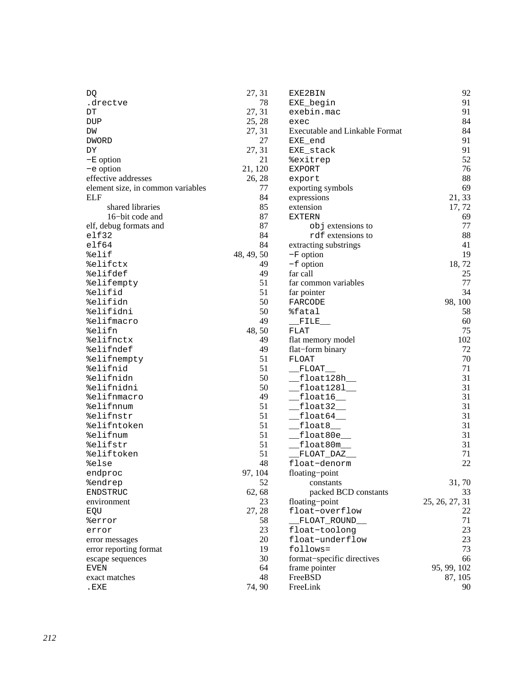| DQ                                | 27, 31     | EXE2BIN                               | 92             |
|-----------------------------------|------------|---------------------------------------|----------------|
| .drectve                          | 78         | EXE_begin                             | 91             |
| DΤ                                | 27, 31     | exebin.mac                            | 91             |
| DUP                               | 25, 28     | exec                                  | 84             |
| DM                                | 27, 31     | <b>Executable and Linkable Format</b> | 84             |
| <b>DWORD</b>                      | 27         | EXE_end                               | 91             |
| DΥ                                | 27, 31     | EXE_stack                             | 91             |
| $-E$ option                       | 21         | %exitrep                              | 52             |
| -e option                         | 21, 120    | EXPORT                                | 76             |
| effective addresses               | 26, 28     |                                       | 88             |
|                                   | 77         | export                                | 69             |
| element size, in common variables |            | exporting symbols                     |                |
| <b>ELF</b>                        | 84         | expressions                           | 21, 33         |
| shared libraries                  | 85         | extension                             | 17, 72         |
| 16-bit code and                   | 87         | <b>EXTERN</b>                         | 69             |
| elf, debug formats and            | 87         | objextensions to                      | 77             |
| $e$ 1f32                          | 84         | rdf extensions to                     | 88             |
| $e$ 1f64                          | 84         | extracting substrings                 | 41             |
| %elif                             | 48, 49, 50 | $-F$ option                           | 19             |
| %elifctx                          | 49         | $-f$ option                           | 18,72          |
| %elifdef                          | 49         | far call                              | 25             |
| %elifempty                        | 51         | far common variables                  | 77             |
| %elifid                           | 51         | far pointer                           | 34             |
| %elifidn                          | 50         | FARCODE                               | 98, 100        |
| %elifidni                         | 50         | %fatal                                | 58             |
| %elifmacro                        | 49         | $\_$ FILE $\_$                        | 60             |
| %elifn                            | 48, 50     | <b>FLAT</b>                           | 75             |
| %elifnctx                         | 49         | flat memory model                     | 102            |
| %elifndef                         | 49         | flat-form binary                      | 72             |
| %elifnempty                       | 51         | FLOAT                                 | 70             |
| %elifnid                          | 51         | $_F$ LOAT                             | 71             |
| %elifnidn                         | 50         | $_{\text{\_float128h}}$               | 31             |
|                                   | 50         |                                       | 31             |
| %elifnidni                        |            | $\_$ float $1281\_$                   |                |
| %elifnmacro                       | 49         | $_{\text{\_float16}\_\text{}}$        | 31             |
| %elifnnum                         | 51         | $_{\text{10at32}}$                    | 31             |
| %elifnstr                         | 51         | $f$ loat $64$                         | 31             |
| %elifntoken                       | 51         | $ft$ loat $8$                         | 31             |
| %elifnum                          | 51         | $_{\rm \_float80e}$                   | 31             |
| %elifstr                          | 51         | float80m                              | 31             |
| %eliftoken                        | 51         | FLOAT_DAZ_                            | 71             |
| %else                             | 48         | float-denorm                          | 22             |
| endproc                           | 97, 104    | floating-point                        |                |
| %endrep                           | 52         | constants                             | 31,70          |
| ENDSTRUC                          | 62, 68     | packed BCD constants                  | 33             |
| environment                       | 23         | floating-point                        | 25, 26, 27, 31 |
| EQU                               | 27, 28     | float-overflow                        | 22             |
| %error                            | 58         | FLOAT ROUND                           | 71             |
| error                             | 23         | float-toolong                         | 23             |
| error messages                    | 20         | float-underflow                       | 23             |
| error reporting format            | 19         | follows=                              | 73             |
| escape sequences                  | 30         | format-specific directives            | 66             |
| EVEN                              | 64         | frame pointer                         | 95, 99, 102    |
| exact matches                     | 48         | FreeBSD                               | 87, 105        |
| .EXE                              | 74, 90     | FreeLink                              | 90             |
|                                   |            |                                       |                |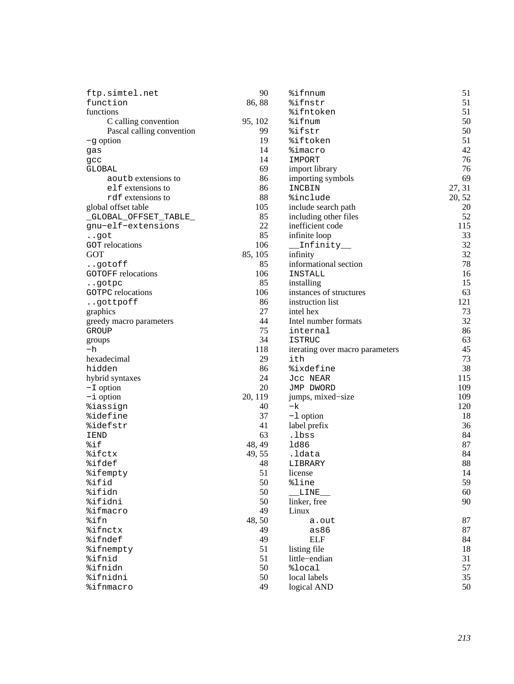| ftp.simtel.net            | 90           | %ifnnum                         | 51     |
|---------------------------|--------------|---------------------------------|--------|
| function                  | 86,88        | %ifnstr                         | 51     |
| functions                 |              | <i><b>%ifntoken</b></i>         | 51     |
| C calling convention      | 95, 102      | %ifnum                          | 50     |
| Pascal calling convention | 99           | %ifstr                          | 50     |
| $-g$ option               | 19           | %iftoken                        | 51     |
| gas                       | 14           | <i>%imacro</i>                  | 42     |
| gcc                       | 14           | IMPORT                          | 76     |
| GLOBAL                    | 69           | import library                  | 76     |
| a out b extensions to     | 86           | importing symbols               | 69     |
| elf extensions to         | 86           | INCBIN                          | 27, 31 |
| rdf extensions to         | 88           | <i>%include</i>                 | 20, 52 |
| global offset table       | 105          | include search path             | 20     |
| _GLOBAL_OFFSET_TABLE_     | 85           | including other files           | 52     |
| gnu-elf-extensions        | 22           | inefficient code                | 115    |
| got                       | 85           | infinite loop                   | 33     |
| <b>GOT</b> relocations    | 106          | Infinity__                      | 32     |
| <b>GOT</b>                | 85, 105      | infinity                        | 32     |
| gotoff                    | 85           | informational section           | 78     |
| <b>GOTOFF</b> relocations | 106          | INSTALL                         | 16     |
| gotpc                     | 85           | installing                      | 15     |
| <b>GOTPC</b> relocations  | 106          | instances of structures         | 63     |
| gottpoff                  | 86           | instruction list                | 121    |
| graphics                  | 27           | intel hex                       | 73     |
| greedy macro parameters   | 44           | Intel number formats            | 32     |
| GROUP                     | 75           | internal                        | 86     |
| groups                    | 34           | <b>ISTRUC</b>                   | 63     |
| -h                        | 118          | iterating over macro parameters | 45     |
| hexadecimal               | 29           | ith                             | 73     |
| hidden                    | 86           | %ixdefine                       | 38     |
| hybrid syntaxes           | 24           | Jcc NEAR                        | 115    |
| $-L$ option               | 20           | JMP DWORD                       | 109    |
| $-i$ option               | 20, 119      | jumps, mixed-size               | 109    |
| <i>%iassign</i>           | 40           | -k                              | 120    |
| %idefine                  | 37           | $-1$ option                     | 18     |
| %idefstr                  | 41           | label prefix                    | 36     |
| IEND                      | 63           | .lbss                           | 84     |
| %if                       | 48, 49       | 1d86                            | 87     |
| %ifctx                    |              |                                 | 84     |
| %ifdef                    | 49, 55<br>48 | .ldata                          | 88     |
|                           | 51           | LIBRARY<br>license              | 14     |
| %ifempty                  | 50           |                                 | 59     |
| %ifid                     | 50           | %line                           |        |
| %ifidn                    | 50           | LINE                            | 60     |
| %ifidni                   |              | linker, free                    | 90     |
| <i><b>%ifmacro</b></i>    | 49           | Linux                           |        |
| %ifn                      | 48, 50       | a.out                           | 87     |
| %ifnctx                   | 49           | as86                            | 87     |
| %ifndef                   | 49           | <b>ELF</b>                      | 84     |
| <i><b>%ifnempty</b></i>   | 51           | listing file                    | 18     |
| %ifnid                    | 51           | little-endian                   | 31     |
| %ifnidn                   | 50           | %local                          | 57     |
| %ifnidni                  | 50           | local labels                    | 35     |
| %ifnmacro                 | 49           | logical AND                     | 50     |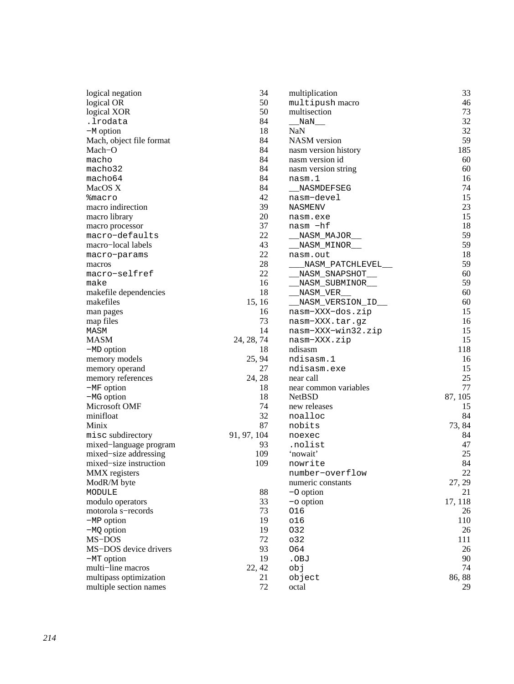| logical negation         | 34          | multiplication        | 33      |
|--------------------------|-------------|-----------------------|---------|
| logical OR               | 50          | multipush macro       | 46      |
| logical XOR              | 50          | multisection          | 73      |
| .lrodata                 | 84          | NaN                   | 32      |
| $-M$ option              | 18          | <b>NaN</b>            | 32      |
| Mach, object file format | 84          | <b>NASM</b> version   | 59      |
| Mach–O                   | 84          | nasm version history  | 185     |
| macho                    | 84          | nasm version id       | 60      |
| macho32                  | 84          | nasm version string   | 60      |
| macho64                  | 84          | nasm.1                | 16      |
| MacOS X                  | 84          | NASMDEFSEG            | 74      |
| <b>&amp;macro</b>        | 42          | nasm-devel            | 15      |
| macro indirection        | 39          | NASMENV               | 23      |
| macro library            | 20          | nasm.exe              | 15      |
| macro processor          | 37          | nasm -hf              | 18      |
| macro-defaults           | 22          | _NASM__MAJOR_         | 59      |
| macro-local labels       | 43          | _NASM_MINOR_          | 59      |
| macro-params             | 22          | nasm.out              | 18      |
| macros                   | 28          | NASM_PATCHLEVEL__     | 59      |
| macro-selfref            | 22          | NASM SNAPSHOT         | 60      |
| make                     | 16          | _NASM_SUBMINOR__      | 59      |
| makefile dependencies    | 18          | _NASM_VER_            | 60      |
| makefiles                | 15, 16      | _NASM_VERSION_ID_     | 60      |
| man pages                | 16          | nasm-XXX-dos.zip      | 15      |
| map files                | 73          | nasm-XXX.tar.gz       | 16      |
| MASM                     | 14          | nasm-XXX-win32.zip    | 15      |
| <b>MASM</b>              | 24, 28, 74  | nasm-XXX.zip          | 15      |
| $-MD$ option             | 18          | ndisasm               | 118     |
| memory models            | 25, 94      | ndisasm.1             | 16      |
| memory operand           | 27          | ndisasm.exe           | 15      |
| memory references        | 24, 28      | near call             | 25      |
| $-MF$ option             | 18          | near common variables | 77      |
| $-MG$ option             | 18          | <b>NetBSD</b>         | 87, 105 |
| Microsoft OMF            | 74          | new releases          | 15      |
| minifloat                | 32          | noalloc               | 84      |
| Minix                    | 87          | nobits                | 73, 84  |
| misc subdirectory        | 91, 97, 104 | noexec                | 84      |
| mixed-language program   | 93          | .nolist               | 47      |
| mixed-size addressing    | 109         | 'nowait'              | 25      |
| mixed-size instruction   | 109         | nowrite               | 84      |
| MMX registers            |             | number-overflow       | 22      |
| ModR/M byte              |             | numeric constants     | 27, 29  |
| MODULE                   | 88          | $-$ O option          | 21      |
| modulo operators         | 33          | $-\circ$ option       | 17, 118 |
| motorola s-records       | 73          | 016                   | 26      |
| $-MP$ option             | 19          | 016                   | 110     |
| $-MQ$ option             | 19          | 032                   | 26      |
| MS-DOS                   | 72          | 032                   | 111     |
| MS-DOS device drivers    | 93          | 064                   | 26      |
| $-MT$ option             | 19          | .OBJ                  | 90      |
| multi-line macros        | 22, 42      | cbj                   | 74      |
| multipass optimization   | 21          | object                | 86,88   |
| multiple section names   | 72          | octal                 | 29      |
|                          |             |                       |         |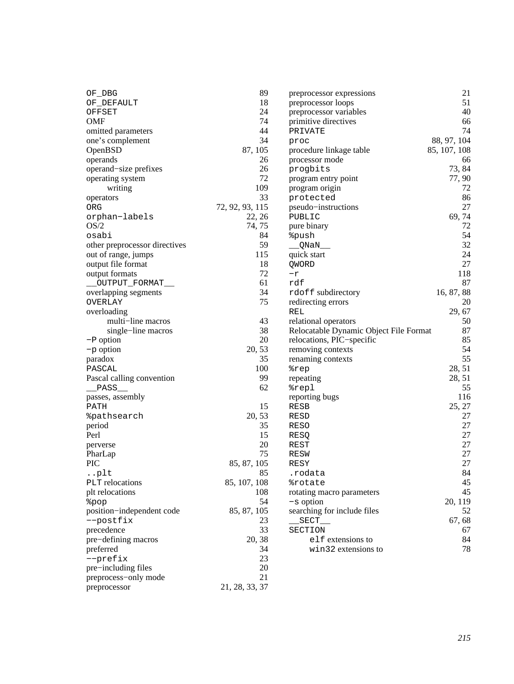| OF_DBG                        | 89              | preprocessor expressions               | 21           |
|-------------------------------|-----------------|----------------------------------------|--------------|
| OF_DEFAULT                    | 18              | preprocessor loops                     | 51           |
| OFFSET                        | 24              | preprocessor variables                 | 40           |
| OMF                           | 74              | primitive directives                   | 66           |
| omitted parameters            | 44              | PRIVATE                                | 74           |
| one's complement              | 34              | proc                                   | 88, 97, 104  |
| OpenBSD                       | 87, 105         | procedure linkage table                | 85, 107, 108 |
| operands                      | 26              | processor mode                         | 66           |
| operand-size prefixes         | 26              | progbits                               | 73, 84       |
| operating system              | 72              | program entry point                    | 77, 90       |
| writing                       | 109             | program origin                         | 72           |
| operators                     | 33              | protected                              | 86           |
| ORG                           | 72, 92, 93, 115 | pseudo-instructions                    | 27           |
| orphan-labels                 | 22, 26          | PUBLIC                                 | 69,74        |
| OS/2                          | 74, 75          | pure binary                            | 72           |
| osabi                         | 84              | <i><b>&amp;push</b></i>                | 54           |
| other preprocessor directives | 59              | __QNaN__                               | 32           |
| out of range, jumps           | 115             | quick start                            | 24           |
| output file format            | 18              | QWORD                                  | 27           |
| output formats                | 72              | $-\underline{r}$                       | 118          |
| OUTPUT_FORMAT_                | 61              | rdf                                    | 87           |
| overlapping segments          | 34              | rdoff subdirectory                     | 16, 87, 88   |
| OVERLAY                       | 75              | redirecting errors                     | 20           |
| overloading                   |                 |                                        |              |
| multi-line macros             | 43              | REL<br>relational operators            | 29, 67       |
|                               |                 |                                        | 50           |
| single-line macros            | 38              | Relocatable Dynamic Object File Format | 87           |
| -P option                     | 20              | relocations, PIC-specific              | 85           |
| -p option                     | 20, 53          | removing contexts                      | 54           |
| paradox                       | 35              | renaming contexts                      | 55           |
| PASCAL                        | 100             | %rep                                   | 28, 51       |
| Pascal calling convention     | 99              | repeating                              | 28, 51       |
| PASS_                         | 62              | %repl                                  | 55           |
| passes, assembly              |                 | reporting bugs                         | 116          |
| PATH                          | 15              | <b>RESB</b>                            | 25, 27       |
| <i><b>&amp;pathsearch</b></i> | 20, 53          | RESD                                   | 27           |
| period                        | 35              | <b>RESO</b>                            | 27           |
| Perl                          | 15              | RESQ                                   | 27           |
| perverse                      | 20              | REST                                   | 27           |
| PharLap                       | 75              | <b>RESW</b>                            | 27           |
| <b>PIC</b>                    | 85, 87, 105     | RESY                                   | 27           |
| plt                           | 85              | .rodata                                | 84           |
| <b>PLT</b> relocations        | 85, 107, 108    | <i><b>&amp;rotate</b></i>              | 45           |
| plt relocations               | 108             | rotating macro parameters              | 45           |
| <i></i> *pop                  | 54              | $-s$ option                            | 20, 119      |
| position-independent code     | 85, 87, 105     | searching for include files            | 52           |
| --postfix                     | 23              | SECT $\_\_$                            | 67, 68       |
| precedence                    | 33              | SECTION                                | 67           |
| pre-defining macros           | 20, 38          | elf extensions to                      | 84           |
| preferred                     | 34              | win32 extensions to                    | 78           |
| --prefix                      | 23              |                                        |              |
| pre-including files           | 20              |                                        |              |
| preprocess-only mode          | 21              |                                        |              |
|                               |                 |                                        |              |
| preprocessor                  | 21, 28, 33, 37  |                                        |              |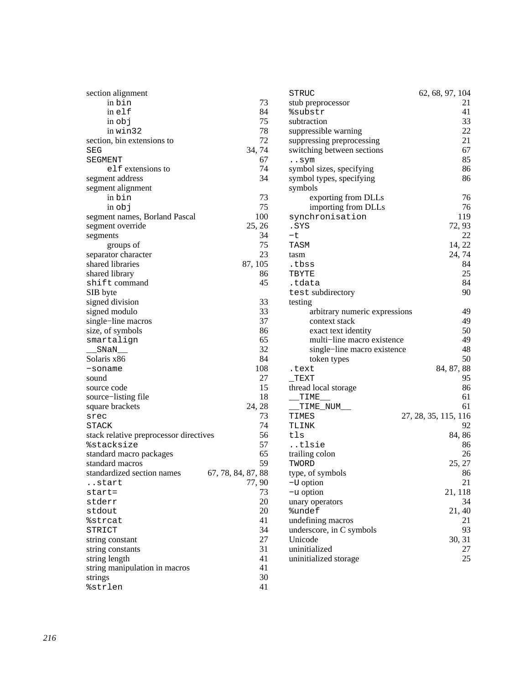| section alignment                      |                    | <b>STRUC</b>                  | 62, 68, 97, 104      |
|----------------------------------------|--------------------|-------------------------------|----------------------|
| in bin                                 | 73                 | stub preprocessor             | 21                   |
| inelf                                  | 84                 | %substr                       | 41                   |
| in obj                                 | 75                 | subtraction                   | 33                   |
| in win32                               | 78                 | suppressible warning          | 22                   |
| section, bin extensions to             | 72                 | suppressing preprocessing     | 21                   |
| <b>SEG</b>                             | 34, 74             | switching between sections    | 67                   |
| SEGMENT                                | 67                 | $\ldots$ sym                  | 85                   |
| elf extensions to                      | 74                 | symbol sizes, specifying      | 86                   |
| segment address                        | 34                 | symbol types, specifying      | 86                   |
| segment alignment                      |                    | symbols                       |                      |
| in bin                                 | 73                 | exporting from DLLs           | 76                   |
| $in$ $obj$                             | 75                 | importing from DLLs           | 76                   |
| segment names, Borland Pascal          | 100                | synchronisation               | 119                  |
| segment override                       | 25, 26             | .SYS                          | 72, 93               |
|                                        | 34                 | $-t$                          | 22                   |
| segments<br>groups of                  | 75                 | TASM                          | 14, 22               |
| separator character                    | 23                 |                               | 24, 74               |
| shared libraries                       | 87, 105            | tasm                          | 84                   |
| shared library                         | 86                 | .tbss<br>TBYTE                | 25                   |
| shift command                          | 45                 |                               | 84                   |
| SIB byte                               |                    | .tdata                        | 90                   |
| signed division                        | 33                 | test subdirectory<br>testing  |                      |
| signed modulo                          | 33                 | arbitrary numeric expressions | 49                   |
| single-line macros                     | 37                 | context stack                 | 49                   |
| size, of symbols                       | 86                 | exact text identity           | 50                   |
| smartalign                             | 65                 | multi-line macro existence    | 49                   |
| SNaN                                   | 32                 | single-line macro existence   | 48                   |
| Solaris x86                            | 84                 | token types                   | 50                   |
| -soname                                | 108                | .text                         | 84, 87, 88           |
| sound                                  | 27                 | $_T$ EXT                      | 95                   |
| source code                            | 15                 | thread local storage          | 86                   |
| source-listing file                    | 18                 | TIME                          | 61                   |
| square brackets                        | 24, 28             | TIME_NUM__                    | 61                   |
| srec                                   | 73                 | TIMES                         | 27, 28, 35, 115, 116 |
| STACK                                  | 74                 | TLINK                         | 92                   |
| stack relative preprocessor directives | 56                 | tls                           | 84, 86               |
| <i><b>&amp;stacksize</b></i>           | 57                 | tlsie                         | 86                   |
| standard macro packages                | 65                 | trailing colon                | 26                   |
| standard macros                        | 59                 | TWORD                         | 25, 27               |
| standardized section names             | 67, 78, 84, 87, 88 | type, of symbols              | 86                   |
| start                                  | 77, 90             | $-U$ option                   | 21                   |
| $start =$                              | 73                 | $-u$ option                   | 21, 118              |
| stderr                                 | 20                 | unary operators               | 34                   |
| stdout                                 | 20                 | %undef                        | 21, 40               |
| <i><b>%strcat</b></i>                  | 41                 | undefining macros             | 21                   |
| STRICT                                 | 34                 | underscore, in C symbols      | 93                   |
| string constant                        | 27                 | Unicode                       | 30, 31               |
| string constants                       | 31                 | uninitialized                 | 27                   |
| string length                          | 41                 | uninitialized storage         | 25                   |
| string manipulation in macros          | 41                 |                               |                      |
| strings                                | 30                 |                               |                      |
| %strlen                                | 41                 |                               |                      |